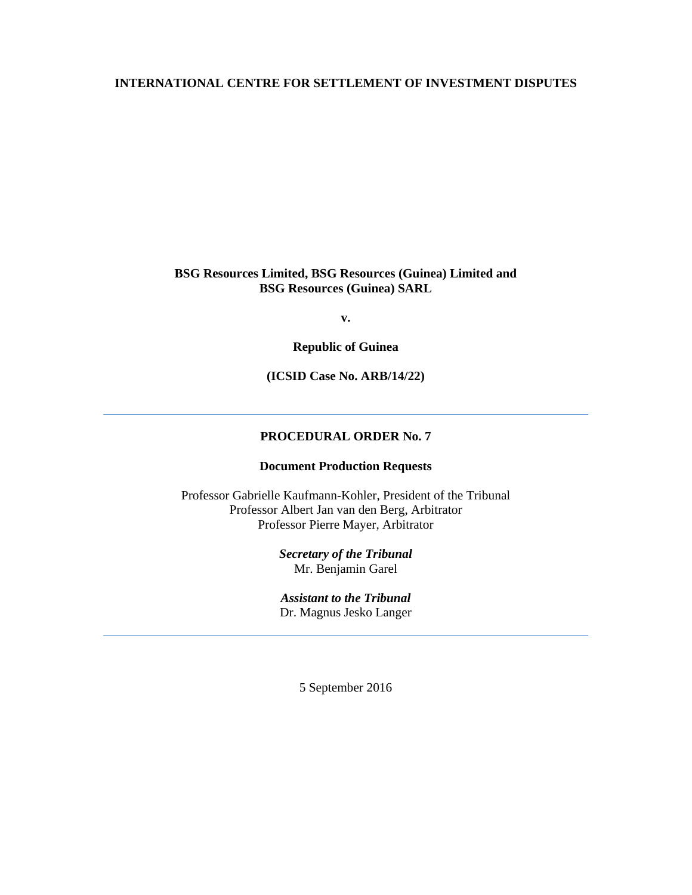### **INTERNATIONAL CENTRE FOR SETTLEMENT OF INVESTMENT DISPUTES**

### **BSG Resources Limited, BSG Resources (Guinea) Limited and BSG Resources (Guinea) SARL**

**v.** 

**Republic of Guinea** 

**(ICSID Case No. ARB/14/22)** 

### **PROCEDURAL ORDER No. 7**

### **Document Production Requests**

Professor Gabrielle Kaufmann-Kohler, President of the Tribunal Professor Albert Jan van den Berg, Arbitrator Professor Pierre Mayer, Arbitrator

> *Secretary of the Tribunal* Mr. Benjamin Garel

*Assistant to the Tribunal* Dr. Magnus Jesko Langer

5 September 2016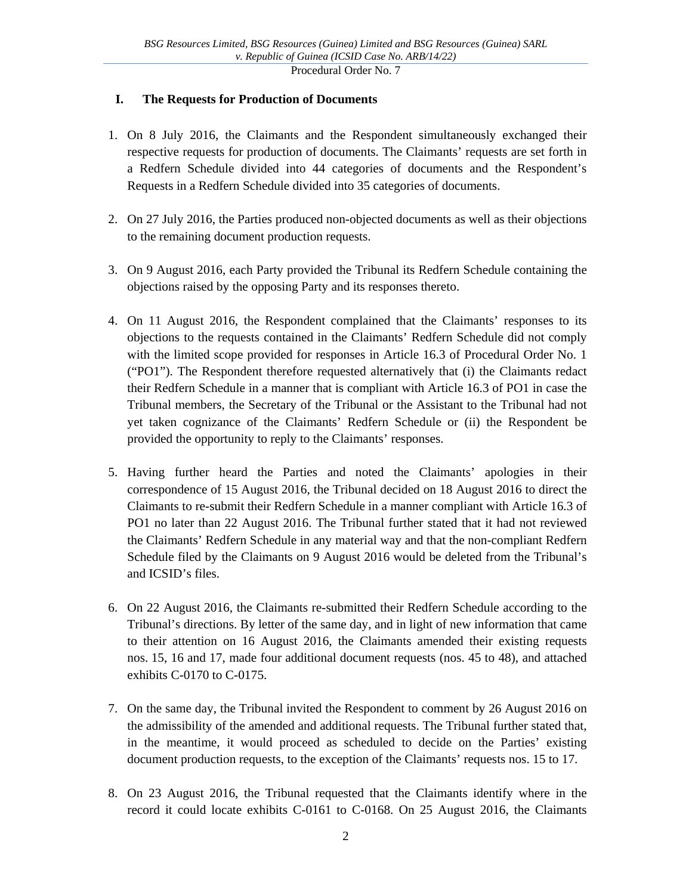### **I. The Requests for Production of Documents**

- 1. On 8 July 2016, the Claimants and the Respondent simultaneously exchanged their respective requests for production of documents. The Claimants' requests are set forth in a Redfern Schedule divided into 44 categories of documents and the Respondent's Requests in a Redfern Schedule divided into 35 categories of documents.
- 2. On 27 July 2016, the Parties produced non-objected documents as well as their objections to the remaining document production requests.
- 3. On 9 August 2016, each Party provided the Tribunal its Redfern Schedule containing the objections raised by the opposing Party and its responses thereto.
- 4. On 11 August 2016, the Respondent complained that the Claimants' responses to its objections to the requests contained in the Claimants' Redfern Schedule did not comply with the limited scope provided for responses in Article 16.3 of Procedural Order No. 1 ("PO1"). The Respondent therefore requested alternatively that (i) the Claimants redact their Redfern Schedule in a manner that is compliant with Article 16.3 of PO1 in case the Tribunal members, the Secretary of the Tribunal or the Assistant to the Tribunal had not yet taken cognizance of the Claimants' Redfern Schedule or (ii) the Respondent be provided the opportunity to reply to the Claimants' responses.
- 5. Having further heard the Parties and noted the Claimants' apologies in their correspondence of 15 August 2016, the Tribunal decided on 18 August 2016 to direct the Claimants to re-submit their Redfern Schedule in a manner compliant with Article 16.3 of PO1 no later than 22 August 2016. The Tribunal further stated that it had not reviewed the Claimants' Redfern Schedule in any material way and that the non-compliant Redfern Schedule filed by the Claimants on 9 August 2016 would be deleted from the Tribunal's and ICSID's files.
- 6. On 22 August 2016, the Claimants re-submitted their Redfern Schedule according to the Tribunal's directions. By letter of the same day, and in light of new information that came to their attention on 16 August 2016, the Claimants amended their existing requests nos. 15, 16 and 17, made four additional document requests (nos. 45 to 48), and attached exhibits C-0170 to C-0175.
- 7. On the same day, the Tribunal invited the Respondent to comment by 26 August 2016 on the admissibility of the amended and additional requests. The Tribunal further stated that, in the meantime, it would proceed as scheduled to decide on the Parties' existing document production requests, to the exception of the Claimants' requests nos. 15 to 17.
- 8. On 23 August 2016, the Tribunal requested that the Claimants identify where in the record it could locate exhibits C-0161 to C-0168. On 25 August 2016, the Claimants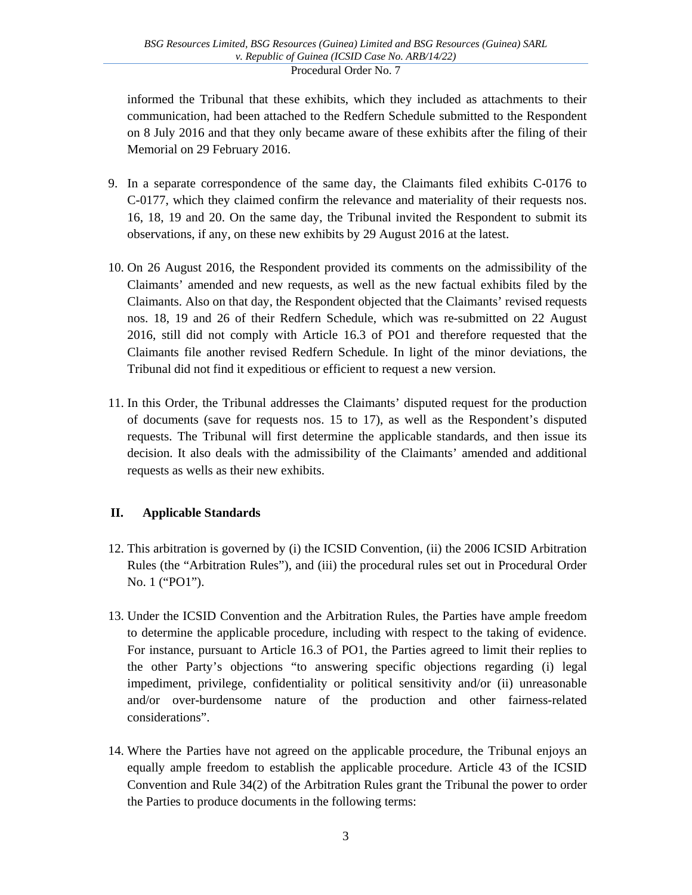informed the Tribunal that these exhibits, which they included as attachments to their communication, had been attached to the Redfern Schedule submitted to the Respondent on 8 July 2016 and that they only became aware of these exhibits after the filing of their Memorial on 29 February 2016.

- 9. In a separate correspondence of the same day, the Claimants filed exhibits C-0176 to C-0177, which they claimed confirm the relevance and materiality of their requests nos. 16, 18, 19 and 20. On the same day, the Tribunal invited the Respondent to submit its observations, if any, on these new exhibits by 29 August 2016 at the latest.
- 10. On 26 August 2016, the Respondent provided its comments on the admissibility of the Claimants' amended and new requests, as well as the new factual exhibits filed by the Claimants. Also on that day, the Respondent objected that the Claimants' revised requests nos. 18, 19 and 26 of their Redfern Schedule, which was re-submitted on 22 August 2016, still did not comply with Article 16.3 of PO1 and therefore requested that the Claimants file another revised Redfern Schedule. In light of the minor deviations, the Tribunal did not find it expeditious or efficient to request a new version.
- 11. In this Order, the Tribunal addresses the Claimants' disputed request for the production of documents (save for requests nos. 15 to 17), as well as the Respondent's disputed requests. The Tribunal will first determine the applicable standards, and then issue its decision. It also deals with the admissibility of the Claimants' amended and additional requests as wells as their new exhibits.

# **II. Applicable Standards**

- 12. This arbitration is governed by (i) the ICSID Convention, (ii) the 2006 ICSID Arbitration Rules (the "Arbitration Rules"), and (iii) the procedural rules set out in Procedural Order No. 1 ("PO1").
- 13. Under the ICSID Convention and the Arbitration Rules, the Parties have ample freedom to determine the applicable procedure, including with respect to the taking of evidence. For instance, pursuant to Article 16.3 of PO1, the Parties agreed to limit their replies to the other Party's objections "to answering specific objections regarding (i) legal impediment, privilege, confidentiality or political sensitivity and/or (ii) unreasonable and/or over-burdensome nature of the production and other fairness-related considerations".
- 14. Where the Parties have not agreed on the applicable procedure, the Tribunal enjoys an equally ample freedom to establish the applicable procedure. Article 43 of the ICSID Convention and Rule 34(2) of the Arbitration Rules grant the Tribunal the power to order the Parties to produce documents in the following terms: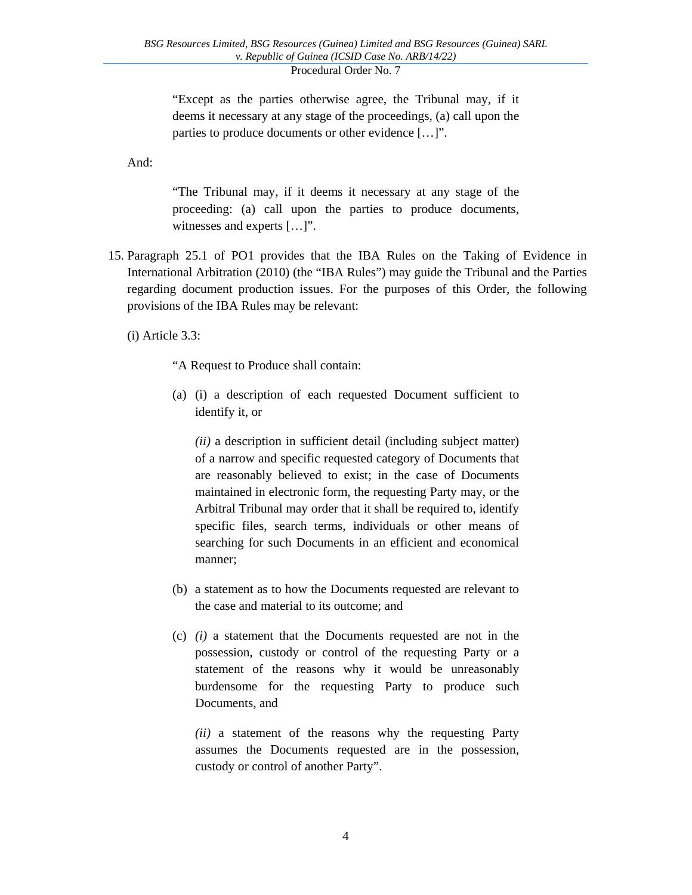"Except as the parties otherwise agree, the Tribunal may, if it deems it necessary at any stage of the proceedings, (a) call upon the parties to produce documents or other evidence […]".

And:

"The Tribunal may, if it deems it necessary at any stage of the proceeding: (a) call upon the parties to produce documents, witnesses and experts […]".

15. Paragraph 25.1 of PO1 provides that the IBA Rules on the Taking of Evidence in International Arbitration (2010) (the "IBA Rules") may guide the Tribunal and the Parties regarding document production issues. For the purposes of this Order, the following provisions of the IBA Rules may be relevant:

(i) Article 3.3:

"A Request to Produce shall contain:

(a) (i) a description of each requested Document sufficient to identify it, or

*(ii)* a description in sufficient detail (including subject matter) of a narrow and specific requested category of Documents that are reasonably believed to exist; in the case of Documents maintained in electronic form, the requesting Party may, or the Arbitral Tribunal may order that it shall be required to, identify specific files, search terms, individuals or other means of searching for such Documents in an efficient and economical manner;

- (b) a statement as to how the Documents requested are relevant to the case and material to its outcome; and
- (c) *(i)* a statement that the Documents requested are not in the possession, custody or control of the requesting Party or a statement of the reasons why it would be unreasonably burdensome for the requesting Party to produce such Documents, and

*(ii)* a statement of the reasons why the requesting Party assumes the Documents requested are in the possession, custody or control of another Party".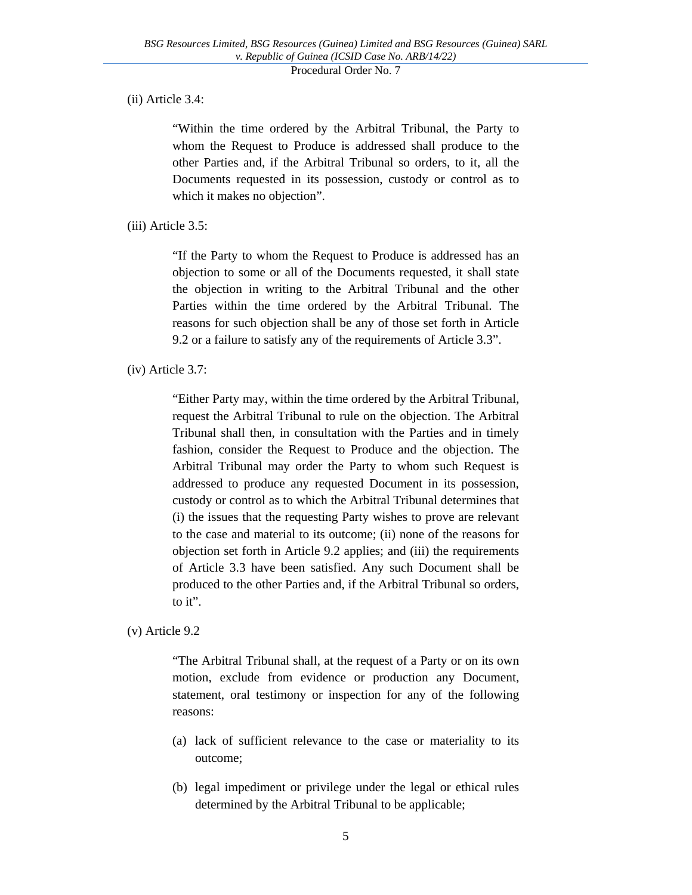### (ii) Article 3.4:

"Within the time ordered by the Arbitral Tribunal, the Party to whom the Request to Produce is addressed shall produce to the other Parties and, if the Arbitral Tribunal so orders, to it, all the Documents requested in its possession, custody or control as to which it makes no objection".

(iii) Article 3.5:

"If the Party to whom the Request to Produce is addressed has an objection to some or all of the Documents requested, it shall state the objection in writing to the Arbitral Tribunal and the other Parties within the time ordered by the Arbitral Tribunal. The reasons for such objection shall be any of those set forth in Article 9.2 or a failure to satisfy any of the requirements of Article 3.3".

(iv) Article 3.7:

"Either Party may, within the time ordered by the Arbitral Tribunal, request the Arbitral Tribunal to rule on the objection. The Arbitral Tribunal shall then, in consultation with the Parties and in timely fashion, consider the Request to Produce and the objection. The Arbitral Tribunal may order the Party to whom such Request is addressed to produce any requested Document in its possession, custody or control as to which the Arbitral Tribunal determines that (i) the issues that the requesting Party wishes to prove are relevant to the case and material to its outcome; (ii) none of the reasons for objection set forth in Article 9.2 applies; and (iii) the requirements of Article 3.3 have been satisfied. Any such Document shall be produced to the other Parties and, if the Arbitral Tribunal so orders, to it".

(v) Article 9.2

"The Arbitral Tribunal shall, at the request of a Party or on its own motion, exclude from evidence or production any Document, statement, oral testimony or inspection for any of the following reasons:

- (a) lack of sufficient relevance to the case or materiality to its outcome;
- (b) legal impediment or privilege under the legal or ethical rules determined by the Arbitral Tribunal to be applicable;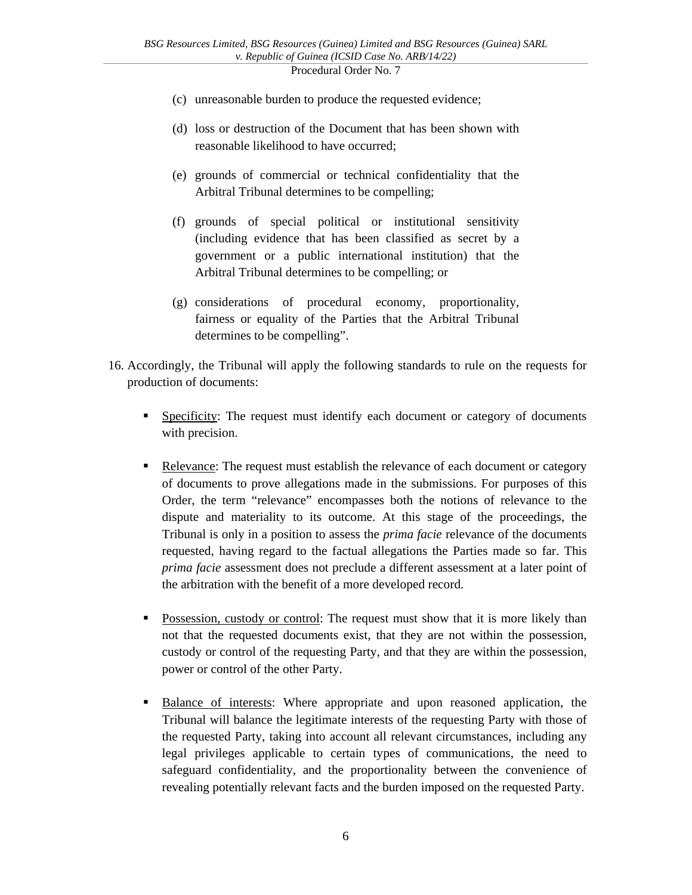- (c) unreasonable burden to produce the requested evidence;
- (d) loss or destruction of the Document that has been shown with reasonable likelihood to have occurred;
- (e) grounds of commercial or technical confidentiality that the Arbitral Tribunal determines to be compelling;
- (f) grounds of special political or institutional sensitivity (including evidence that has been classified as secret by a government or a public international institution) that the Arbitral Tribunal determines to be compelling; or
- (g) considerations of procedural economy, proportionality, fairness or equality of the Parties that the Arbitral Tribunal determines to be compelling".
- 16. Accordingly, the Tribunal will apply the following standards to rule on the requests for production of documents:
	- **Specificity:** The request must identify each document or category of documents with precision.
	- Relevance: The request must establish the relevance of each document or category of documents to prove allegations made in the submissions. For purposes of this Order, the term "relevance" encompasses both the notions of relevance to the dispute and materiality to its outcome. At this stage of the proceedings, the Tribunal is only in a position to assess the *prima facie* relevance of the documents requested, having regard to the factual allegations the Parties made so far. This *prima facie* assessment does not preclude a different assessment at a later point of the arbitration with the benefit of a more developed record.
	- **Possession, custody or control:** The request must show that it is more likely than not that the requested documents exist, that they are not within the possession, custody or control of the requesting Party, and that they are within the possession, power or control of the other Party.
	- **Balance of interests:** Where appropriate and upon reasoned application, the Tribunal will balance the legitimate interests of the requesting Party with those of the requested Party, taking into account all relevant circumstances, including any legal privileges applicable to certain types of communications, the need to safeguard confidentiality, and the proportionality between the convenience of revealing potentially relevant facts and the burden imposed on the requested Party.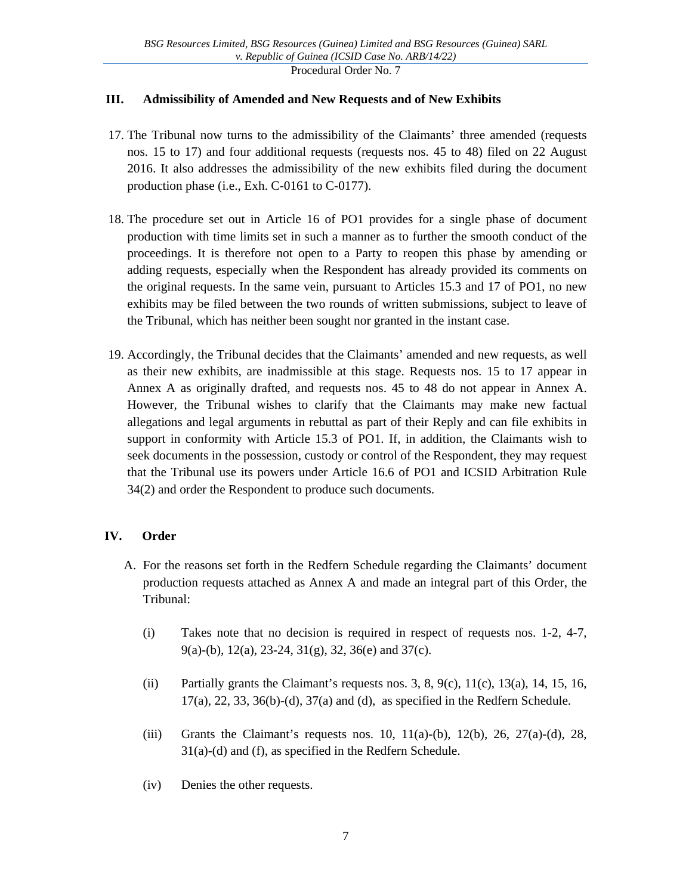## **III. Admissibility of Amended and New Requests and of New Exhibits**

- 17. The Tribunal now turns to the admissibility of the Claimants' three amended (requests nos. 15 to 17) and four additional requests (requests nos. 45 to 48) filed on 22 August 2016. It also addresses the admissibility of the new exhibits filed during the document production phase (i.e., Exh. C-0161 to C-0177).
- 18. The procedure set out in Article 16 of PO1 provides for a single phase of document production with time limits set in such a manner as to further the smooth conduct of the proceedings. It is therefore not open to a Party to reopen this phase by amending or adding requests, especially when the Respondent has already provided its comments on the original requests. In the same vein, pursuant to Articles 15.3 and 17 of PO1, no new exhibits may be filed between the two rounds of written submissions, subject to leave of the Tribunal, which has neither been sought nor granted in the instant case.
- 19. Accordingly, the Tribunal decides that the Claimants' amended and new requests, as well as their new exhibits, are inadmissible at this stage. Requests nos. 15 to 17 appear in Annex A as originally drafted, and requests nos. 45 to 48 do not appear in Annex A. However, the Tribunal wishes to clarify that the Claimants may make new factual allegations and legal arguments in rebuttal as part of their Reply and can file exhibits in support in conformity with Article 15.3 of PO1. If, in addition, the Claimants wish to seek documents in the possession, custody or control of the Respondent, they may request that the Tribunal use its powers under Article 16.6 of PO1 and ICSID Arbitration Rule 34(2) and order the Respondent to produce such documents.

## **IV. Order**

- A. For the reasons set forth in the Redfern Schedule regarding the Claimants' document production requests attached as Annex A and made an integral part of this Order, the Tribunal:
	- (i) Takes note that no decision is required in respect of requests nos. 1-2, 4-7, 9(a)-(b), 12(a), 23-24, 31(g), 32, 36(e) and 37(c).
	- (ii) Partially grants the Claimant's requests nos. 3, 8, 9(c),  $11(c)$ ,  $13(a)$ ,  $14$ ,  $15$ ,  $16$ , 17(a), 22, 33, 36(b)-(d), 37(a) and (d), as specified in the Redfern Schedule.
	- (iii) Grants the Claimant's requests nos. 10,  $11(a)$ -(b),  $12(b)$ ,  $26$ ,  $27(a)$ -(d),  $28$ , 31(a)-(d) and (f), as specified in the Redfern Schedule.
	- (iv) Denies the other requests.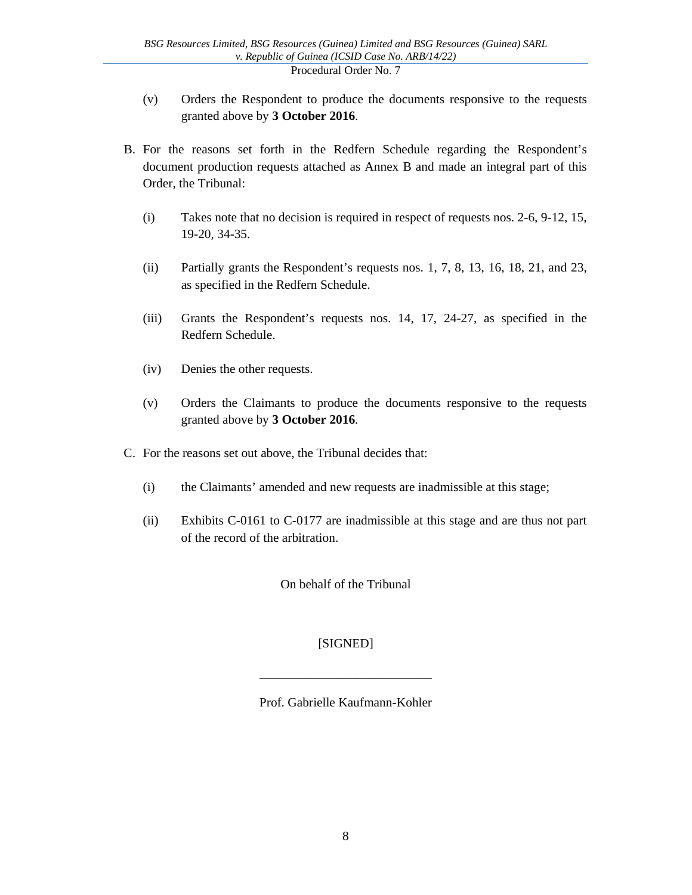- (v) Orders the Respondent to produce the documents responsive to the requests granted above by **3 October 2016**.
- B. For the reasons set forth in the Redfern Schedule regarding the Respondent's document production requests attached as Annex B and made an integral part of this Order, the Tribunal:
	- (i) Takes note that no decision is required in respect of requests nos. 2-6, 9-12, 15, 19-20, 34-35.
	- (ii) Partially grants the Respondent's requests nos. 1, 7, 8, 13, 16, 18, 21, and 23, as specified in the Redfern Schedule.
	- (iii) Grants the Respondent's requests nos. 14, 17, 24-27, as specified in the Redfern Schedule.
	- (iv) Denies the other requests.
	- (v) Orders the Claimants to produce the documents responsive to the requests granted above by **3 October 2016**.
- C. For the reasons set out above, the Tribunal decides that:
	- (i) the Claimants' amended and new requests are inadmissible at this stage;
	- (ii) Exhibits C-0161 to C-0177 are inadmissible at this stage and are thus not part of the record of the arbitration.

On behalf of the Tribunal

## [SIGNED]

Prof. Gabrielle Kaufmann-Kohler

\_\_\_\_\_\_\_\_\_\_\_\_\_\_\_\_\_\_\_\_\_\_\_\_\_\_\_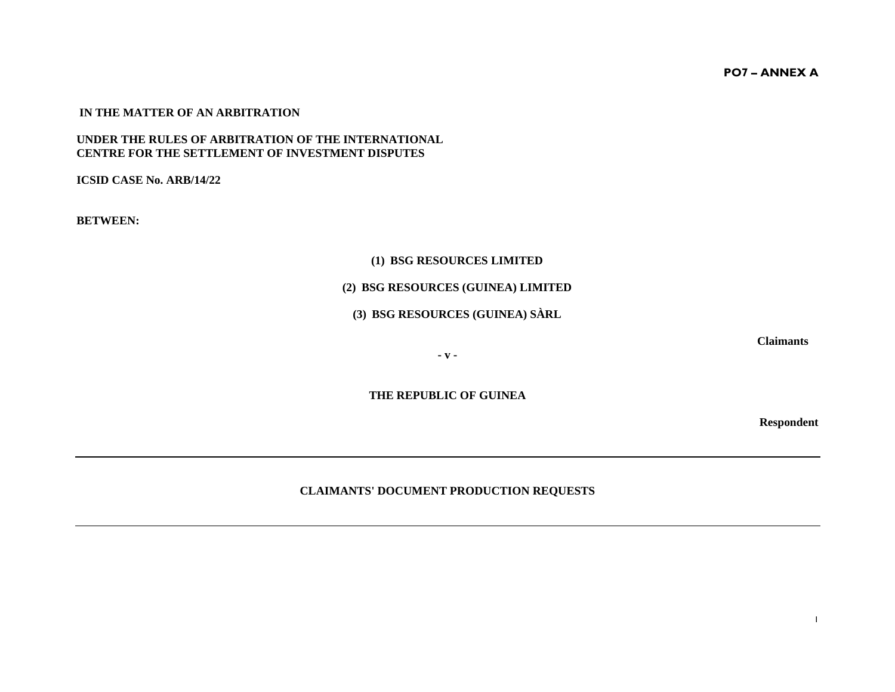**PO7 – ANNEX A** 

#### **IN THE MATTER OF AN ARBITRATION**

#### **UNDER THE RULES OF ARBITRATION OF THE INTERNATIONAL CENTRE FOR THE SETTLEMENT OF INVESTMENT DISPUTES**

**ICSID CASE No. ARB/14/22** 

**BETWEEN:** 

### **(1) BSG RESOURCES LIMITED**

### **(2) BSG RESOURCES (GUINEA) LIMITED**

### **(3) BSG RESOURCES (GUINEA) SÀRL**

**Claimants** 

**- v -** 

**THE REPUBLIC OF GUINEA** 

**Respondent** 

### **CLAIMANTS' DOCUMENT PRODUCTION REQUESTS**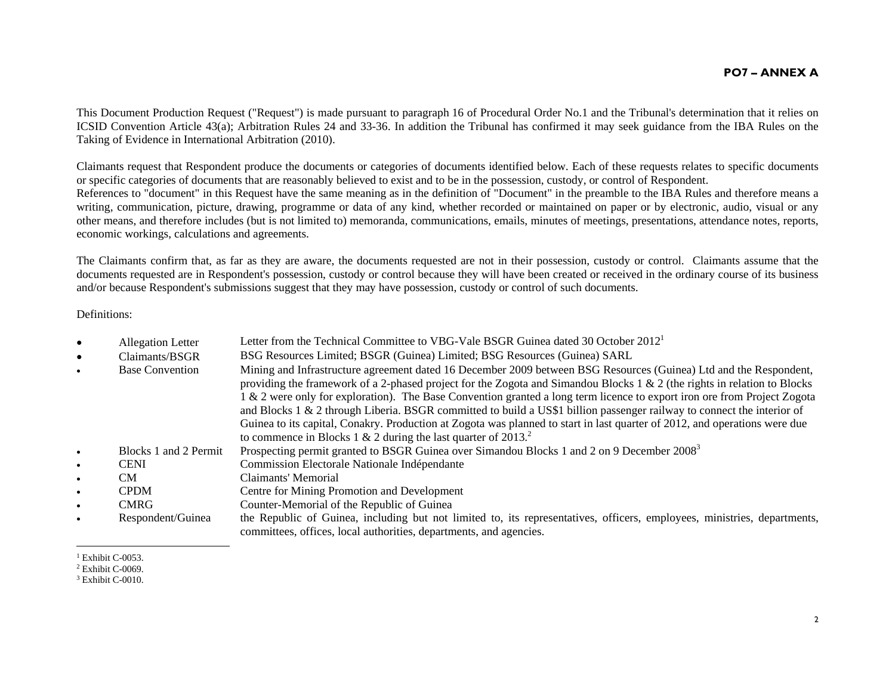#### **PO7 – ANNEX A**

This Document Production Request ("Request") is made pursuant to paragraph 16 of Procedural Order No.1 and the Tribunal's determination that it relies on ICSID Convention Article 43(a); Arbitration Rules 24 and 33-36. In addition the Tribunal has confirmed it may seek guidance from the IBA Rules on the Taking of Evidence in International Arbitration (2010).

Claimants request that Respondent produce the documents or categories of documents identified below. Each of these requests relates to specific documents or specific categories of documents that are reasonably believed to exist and to be in the possession, custody, or control of Respondent. References to "document" in this Request have the same meaning as in the definition of "Document" in the preamble to the IBA Rules and therefore means a writing, communication, picture, drawing, programme or data of any kind, whether recorded or maintained on paper or by electronic, audio, visual or any other means, and therefore includes (but is not limited to) memoranda, communications, emails, minutes of meetings, presentations, attendance notes, reports, economic workings, calculations and agreements.

The Claimants confirm that, as far as they are aware, the documents requested are not in their possession, custody or control. Claimants assume that the documents requested are in Respondent's possession, custody or control because they will have been created or received in the ordinary course of its business and/or because Respondent's submissions suggest that they may have possession, custody or control of such documents.

Definitions:

|           | <b>Allegation Letter</b> | Letter from the Technical Committee to VBG-Vale BSGR Guinea dated 30 October 2012 <sup>1</sup>                                                                                                                                                                                                                                                                                                                                                                                                                                                                                                                                                                                                        |
|-----------|--------------------------|-------------------------------------------------------------------------------------------------------------------------------------------------------------------------------------------------------------------------------------------------------------------------------------------------------------------------------------------------------------------------------------------------------------------------------------------------------------------------------------------------------------------------------------------------------------------------------------------------------------------------------------------------------------------------------------------------------|
|           | Claimants/BSGR           | BSG Resources Limited; BSGR (Guinea) Limited; BSG Resources (Guinea) SARL                                                                                                                                                                                                                                                                                                                                                                                                                                                                                                                                                                                                                             |
|           | <b>Base Convention</b>   | Mining and Infrastructure agreement dated 16 December 2009 between BSG Resources (Guinea) Ltd and the Respondent,<br>providing the framework of a 2-phased project for the Zogota and Simandou Blocks 1 & 2 (the rights in relation to Blocks<br>1 & 2 were only for exploration). The Base Convention granted a long term licence to export iron ore from Project Zogota<br>and Blocks 1 & 2 through Liberia. BSGR committed to build a US\$1 billion passenger railway to connect the interior of<br>Guinea to its capital, Conakry. Production at Zogota was planned to start in last quarter of 2012, and operations were due<br>to commence in Blocks 1 & 2 during the last quarter of $20132$ . |
|           | Blocks 1 and 2 Permit    | Prospecting permit granted to BSGR Guinea over Simandou Blocks 1 and 2 on 9 December 2008 <sup>3</sup>                                                                                                                                                                                                                                                                                                                                                                                                                                                                                                                                                                                                |
|           | <b>CENI</b>              | Commission Electorale Nationale Indépendante                                                                                                                                                                                                                                                                                                                                                                                                                                                                                                                                                                                                                                                          |
|           | CM.                      | Claimants' Memorial                                                                                                                                                                                                                                                                                                                                                                                                                                                                                                                                                                                                                                                                                   |
| $\bullet$ | <b>CPDM</b>              | Centre for Mining Promotion and Development                                                                                                                                                                                                                                                                                                                                                                                                                                                                                                                                                                                                                                                           |
| $\bullet$ | <b>CMRG</b>              | Counter-Memorial of the Republic of Guinea                                                                                                                                                                                                                                                                                                                                                                                                                                                                                                                                                                                                                                                            |
|           | Respondent/Guinea        | the Republic of Guinea, including but not limited to, its representatives, officers, employees, ministries, departments,<br>committees, offices, local authorities, departments, and agencies.                                                                                                                                                                                                                                                                                                                                                                                                                                                                                                        |

 $1$  Exhibit C-0053.

2 Exhibit C-0069.

<sup>3</sup> Exhibit C-0010.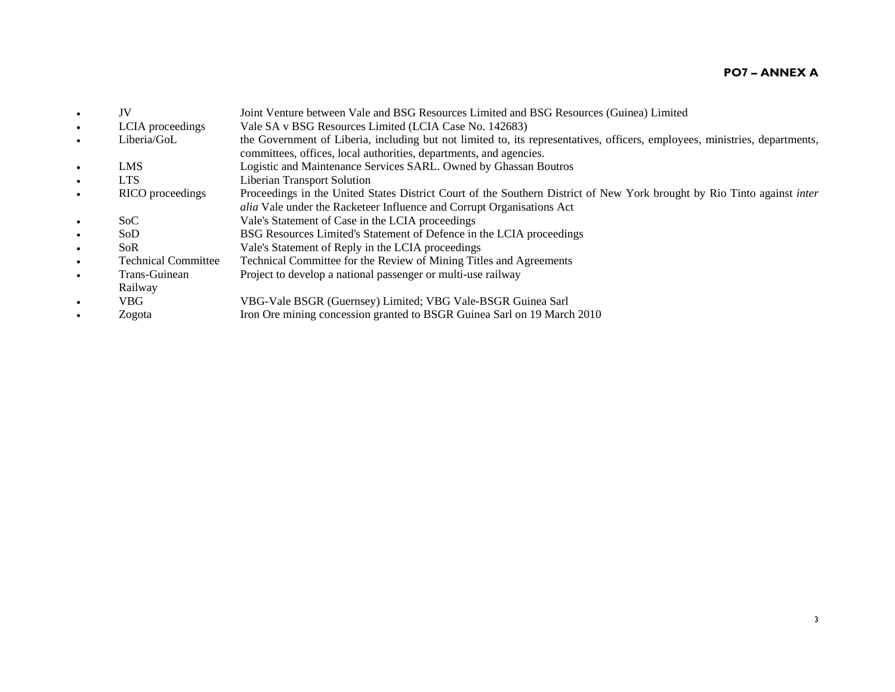#### **PO7 – ANNEX A**

- $\bullet$  JV Joint Venture between Vale and BSG Resources Limited and BSG Resources (Guinea) Limited  $\bullet$ LCIA proceedings Vale SA v BSG Resources Limited (LCIA Case No. 142683)  $\bullet$  Liberia/GoL the Government of Liberia, including but not limited to, its representatives, officers, employees, ministries, departments, committees, offices, local authorities, departments, and agencies.  $\bullet$  LMS Logistic and Maintenance Services SARL. Owned by Ghassan Boutros  $\bullet$  LTSLTS Liberian Transport Solution<br>RICO proceedings Proceedings in the United S  $\bullet$ Proceedings in the United States District Court of the Southern District of New York brought by Rio Tinto against *inter alia* Vale under the Racketeer Influence and Corrupt Organisations Act c SoC Vale's Statement of Case in the LCIA proceedings 0 SoD BSG Resources Limited's Statement of Defence in the LCIA proceedings . SoR Vale's Statement of Reply in the LCIA proceedings  $\bullet$  Technical Committee Technical Committee for the Review of Mining Titles and Agreements  $\bullet$  Trans-Guinean Railway Project to develop a national passenger or multi-use railway  $\bullet$  VBGVBG-Vale BSGR (Guernsey) Limited; VBG Vale-BSGR Guinea Sarl
- $\bullet$ Zogota Iron Ore mining concession granted to BSGR Guinea Sarl on 19 March 2010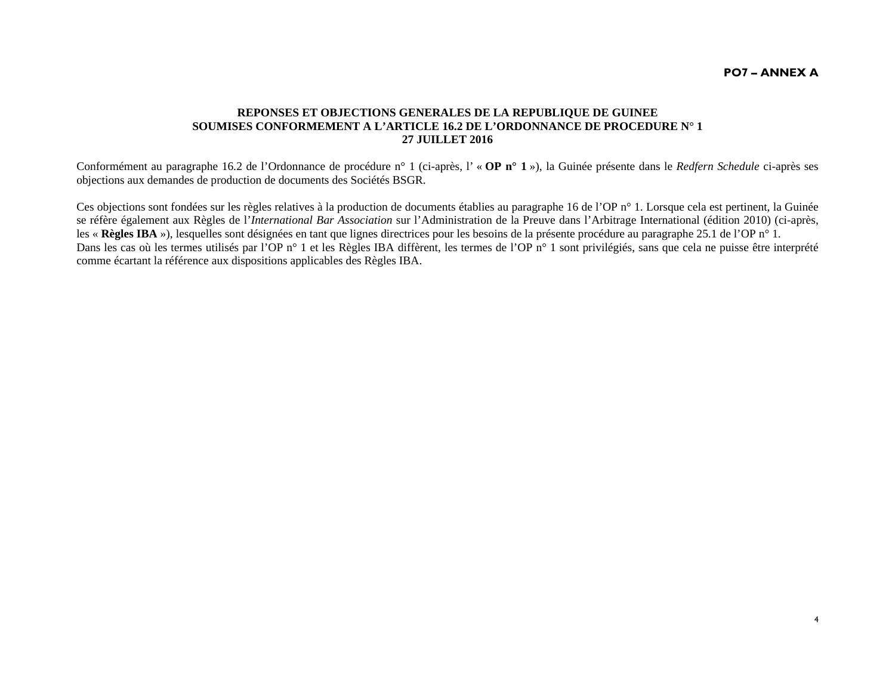4

#### **REPONSES ET OBJECTIONS GENERALES DE LA REPUBLIQUE DE GUINEE SOUMISES CONFORMEMENT A L'ARTICLE 16.2 DE L'ORDONNANCE DE PROCEDURE N° 1 27 JUILLET 2016**

Conformément au paragraphe 16.2 de l'Ordonnance de procédure n° 1 (ci-après, l' « **OP n° 1** »), la Guinée présente dans le *Redfern Schedule* ci-après ses objections aux demandes de production de documents des Sociétés BSGR.

Ces objections sont fondées sur les règles relatives à la production de documents établies au paragraphe 16 de l'OP n° 1. Lorsque cela est pertinent, la Guinée se réfère également aux Règles de l'*International Bar Association* sur l'Administration de la Preuve dans l'Arbitrage International (édition 2010) (ci-après, les « **Règles IBA** »), lesquelles sont désignées en tant que lignes directrices pour les besoins de la présente procédure au paragraphe 25.1 de l'OP n° 1. Dans les cas où les termes utilisés par l'OP n° 1 et les Règles IBA diffèrent, les termes de l'OP n° 1 sont privilégiés, sans que cela ne puisse être interprété comme écartant la référence aux dispositions applicables des Règles IBA.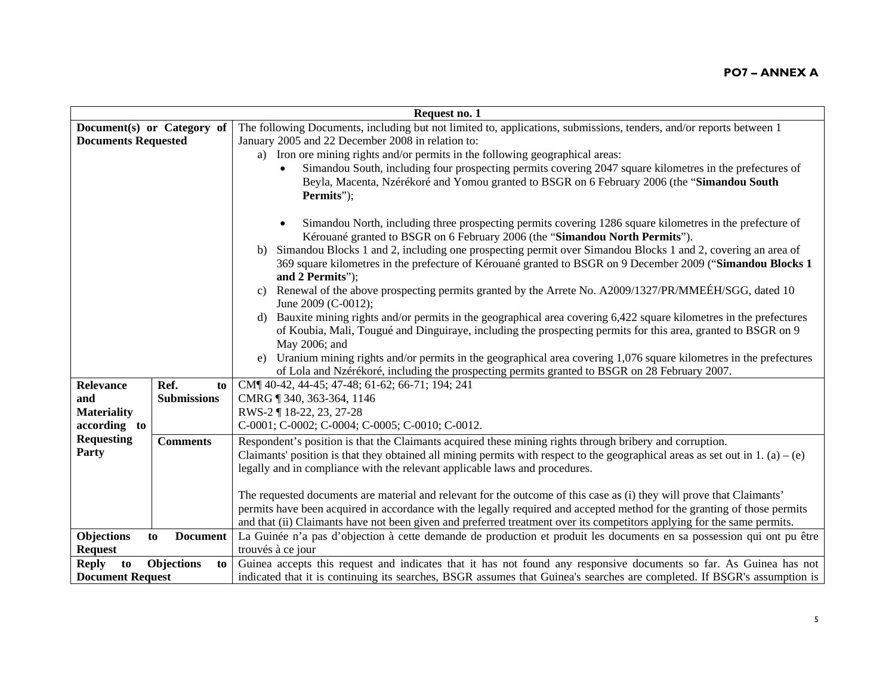| Request no. 1                          |                                                                                                                                |  |
|----------------------------------------|--------------------------------------------------------------------------------------------------------------------------------|--|
| Document(s) or Category of             | The following Documents, including but not limited to, applications, submissions, tenders, and/or reports between 1            |  |
| <b>Documents Requested</b>             | January 2005 and 22 December 2008 in relation to:                                                                              |  |
|                                        | a) Iron ore mining rights and/or permits in the following geographical areas:                                                  |  |
|                                        | Simandou South, including four prospecting permits covering 2047 square kilometres in the prefectures of                       |  |
|                                        | Beyla, Macenta, Nzérékoré and Yomou granted to BSGR on 6 February 2006 (the "Simandou South                                    |  |
|                                        | Permits");                                                                                                                     |  |
|                                        |                                                                                                                                |  |
|                                        | Simandou North, including three prospecting permits covering 1286 square kilometres in the prefecture of                       |  |
|                                        | Kérouané granted to BSGR on 6 February 2006 (the "Simandou North Permits").                                                    |  |
|                                        | Simandou Blocks 1 and 2, including one prospecting permit over Simandou Blocks 1 and 2, covering an area of<br>b)              |  |
|                                        | 369 square kilometres in the prefecture of Kérouané granted to BSGR on 9 December 2009 ("Simandou Blocks 1                     |  |
|                                        | and 2 Permits");                                                                                                               |  |
|                                        | Renewal of the above prospecting permits granted by the Arrete No. A2009/1327/PR/MMEÉH/SGG, dated 10<br>$\mathbf{c}$ )         |  |
|                                        | June 2009 (C-0012);                                                                                                            |  |
|                                        | Bauxite mining rights and/or permits in the geographical area covering 6,422 square kilometres in the prefectures<br>d)        |  |
|                                        | of Koubia, Mali, Tougué and Dinguiraye, including the prospecting permits for this area, granted to BSGR on 9                  |  |
|                                        | May 2006; and                                                                                                                  |  |
|                                        | Uranium mining rights and/or permits in the geographical area covering 1,076 square kilometres in the prefectures<br>e)        |  |
|                                        | of Lola and Nzérékoré, including the prospecting permits granted to BSGR on 28 February 2007.                                  |  |
| Ref.<br>Relevance<br>to                | CM¶ 40-42, 44-45; 47-48; 61-62; 66-71; 194; 241                                                                                |  |
| <b>Submissions</b><br>and              | CMRG 1340, 363-364, 1146                                                                                                       |  |
| <b>Materiality</b>                     | RWS-2 ¶ 18-22, 23, 27-28                                                                                                       |  |
| according to                           | C-0001; C-0002; C-0004; C-0005; C-0010; C-0012.                                                                                |  |
| <b>Requesting</b><br><b>Comments</b>   | Respondent's position is that the Claimants acquired these mining rights through bribery and corruption.                       |  |
| Party                                  | Claimants' position is that they obtained all mining permits with respect to the geographical areas as set out in 1. (a) – (e) |  |
|                                        | legally and in compliance with the relevant applicable laws and procedures.                                                    |  |
|                                        |                                                                                                                                |  |
|                                        | The requested documents are material and relevant for the outcome of this case as (i) they will prove that Claimants'          |  |
|                                        | permits have been acquired in accordance with the legally required and accepted method for the granting of those permits       |  |
|                                        | and that (ii) Claimants have not been given and preferred treatment over its competitors applying for the same permits.        |  |
| Objections<br>to<br><b>Document</b>    | La Guinée n'a pas d'objection à cette demande de production et produit les documents en sa possession qui ont pu être          |  |
| <b>Request</b>                         | trouvés à ce jour                                                                                                              |  |
| <b>Reply</b><br>Objections<br>to<br>to | Guinea accepts this request and indicates that it has not found any responsive documents so far. As Guinea has not             |  |
| <b>Document Request</b>                | indicated that it is continuing its searches, BSGR assumes that Guinea's searches are completed. If BSGR's assumption is       |  |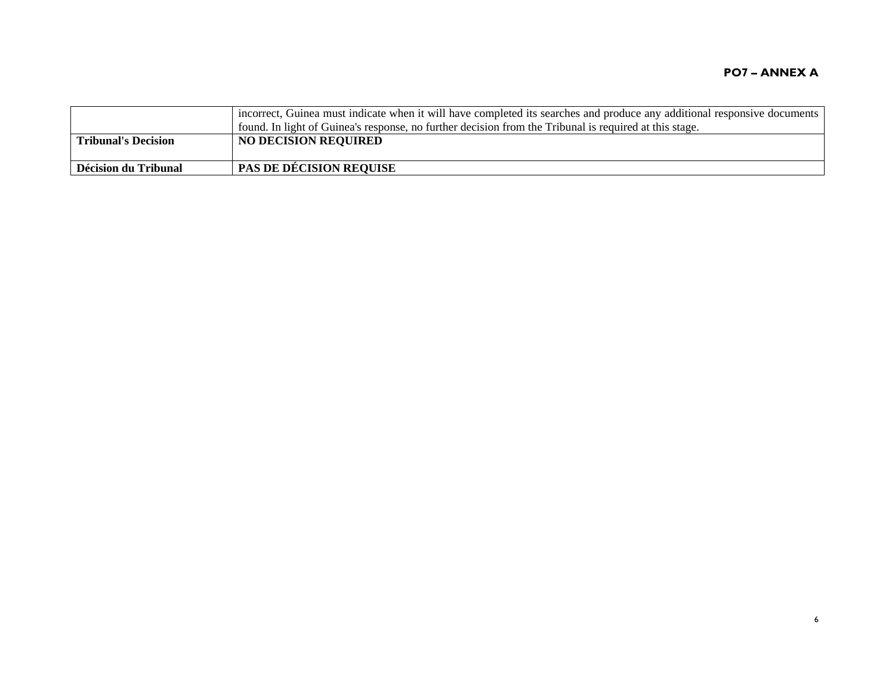|                       | incorrect, Guinea must indicate when it will have completed its searches and produce any additional responsive documents<br>found. In light of Guinea's response, no further decision from the Tribunal is required at this stage. |
|-----------------------|------------------------------------------------------------------------------------------------------------------------------------------------------------------------------------------------------------------------------------|
| l Tribunal's Decision | <b>NO DECISION REQUIRED</b>                                                                                                                                                                                                        |
| Décision du Tribunal  | <b>PAS DE DÉCISION REQUISE</b>                                                                                                                                                                                                     |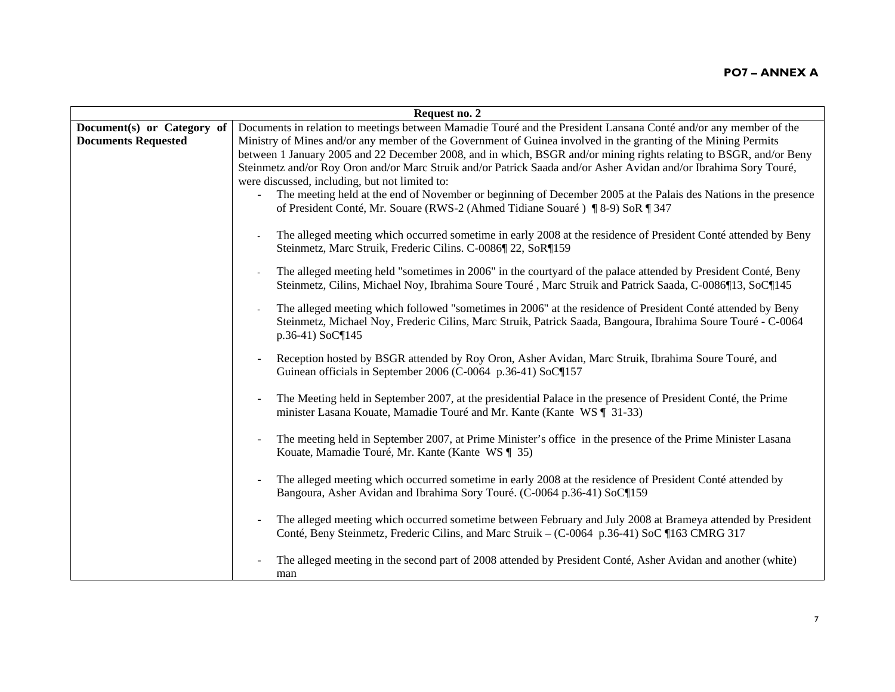|                            | Request no. 2                                                                                                      |  |  |
|----------------------------|--------------------------------------------------------------------------------------------------------------------|--|--|
| Document(s) or Category of | Documents in relation to meetings between Mamadie Touré and the President Lansana Conté and/or any member of the   |  |  |
| <b>Documents Requested</b> | Ministry of Mines and/or any member of the Government of Guinea involved in the granting of the Mining Permits     |  |  |
|                            | between 1 January 2005 and 22 December 2008, and in which, BSGR and/or mining rights relating to BSGR, and/or Beny |  |  |
|                            | Steinmetz and/or Roy Oron and/or Marc Struik and/or Patrick Saada and/or Asher Avidan and/or Ibrahima Sory Touré,  |  |  |
|                            | were discussed, including, but not limited to:                                                                     |  |  |
|                            | The meeting held at the end of November or beginning of December 2005 at the Palais des Nations in the presence    |  |  |
|                            | of President Conté, Mr. Souare (RWS-2 (Ahmed Tidiane Souaré) ¶ 8-9) SoR ¶ 347                                      |  |  |
|                            |                                                                                                                    |  |  |
|                            | The alleged meeting which occurred sometime in early 2008 at the residence of President Conté attended by Beny     |  |  |
|                            | Steinmetz, Marc Struik, Frederic Cilins. C-0086¶ 22, SoR¶159                                                       |  |  |
|                            |                                                                                                                    |  |  |
|                            | The alleged meeting held "sometimes in 2006" in the courtyard of the palace attended by President Conté, Beny      |  |  |
|                            | Steinmetz, Cilins, Michael Noy, Ibrahima Soure Touré, Marc Struik and Patrick Saada, C-0086¶13, SoC¶145            |  |  |
|                            | The alleged meeting which followed "sometimes in 2006" at the residence of President Conté attended by Beny        |  |  |
|                            |                                                                                                                    |  |  |
|                            | Steinmetz, Michael Noy, Frederic Cilins, Marc Struik, Patrick Saada, Bangoura, Ibrahima Soure Touré - C-0064       |  |  |
|                            | p.36-41) SoC¶145                                                                                                   |  |  |
|                            | Reception hosted by BSGR attended by Roy Oron, Asher Avidan, Marc Struik, Ibrahima Soure Touré, and                |  |  |
|                            | Guinean officials in September 2006 (C-0064 p.36-41) SoC¶157                                                       |  |  |
|                            |                                                                                                                    |  |  |
|                            | The Meeting held in September 2007, at the presidential Palace in the presence of President Conté, the Prime       |  |  |
|                            | minister Lasana Kouate, Mamadie Touré and Mr. Kante (Kante WS   31-33)                                             |  |  |
|                            |                                                                                                                    |  |  |
|                            | The meeting held in September 2007, at Prime Minister's office in the presence of the Prime Minister Lasana        |  |  |
|                            | Kouate, Mamadie Touré, Mr. Kante (Kante WS ¶ 35)                                                                   |  |  |
|                            |                                                                                                                    |  |  |
|                            | The alleged meeting which occurred sometime in early 2008 at the residence of President Conté attended by          |  |  |
|                            | Bangoura, Asher Avidan and Ibrahima Sory Touré. (C-0064 p.36-41) SoC¶159                                           |  |  |
|                            |                                                                                                                    |  |  |
|                            | The alleged meeting which occurred sometime between February and July 2008 at Brameya attended by President        |  |  |
|                            | Conté, Beny Steinmetz, Frederic Cilins, and Marc Struik – (C-0064 p.36-41) SoC ¶163 CMRG 317                       |  |  |
|                            |                                                                                                                    |  |  |
|                            | The alleged meeting in the second part of 2008 attended by President Conté, Asher Avidan and another (white)       |  |  |
|                            | man                                                                                                                |  |  |
|                            |                                                                                                                    |  |  |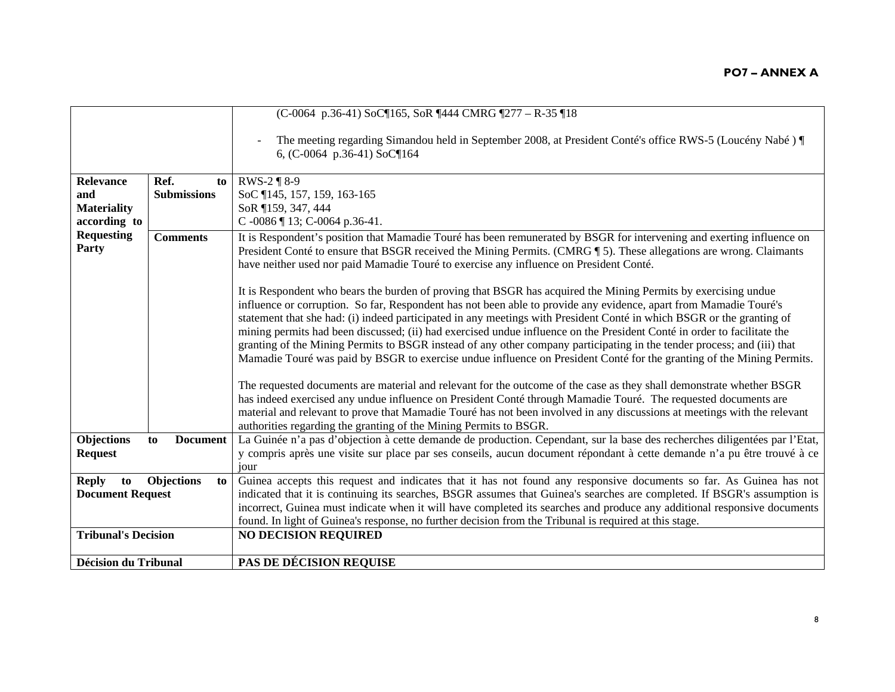|                             |                         | (C-0064 p.36-41) SoC¶165, SoR ¶444 CMRG ¶277 - R-35 ¶18                                                                                                                                                                                                                                                                                                                                                                                                                                                                                                                                                                                                                                                                                                                                                                                                                                                                                                                                                                                                                                                                                                                                |
|-----------------------------|-------------------------|----------------------------------------------------------------------------------------------------------------------------------------------------------------------------------------------------------------------------------------------------------------------------------------------------------------------------------------------------------------------------------------------------------------------------------------------------------------------------------------------------------------------------------------------------------------------------------------------------------------------------------------------------------------------------------------------------------------------------------------------------------------------------------------------------------------------------------------------------------------------------------------------------------------------------------------------------------------------------------------------------------------------------------------------------------------------------------------------------------------------------------------------------------------------------------------|
|                             |                         | The meeting regarding Simandou held in September 2008, at President Conté's office RWS-5 (Loucény Nabé) ¶<br>6, (C-0064 p.36-41) SoC¶164                                                                                                                                                                                                                                                                                                                                                                                                                                                                                                                                                                                                                                                                                                                                                                                                                                                                                                                                                                                                                                               |
| <b>Relevance</b>            | Ref.<br>to              | RWS-2 ¶ 8-9                                                                                                                                                                                                                                                                                                                                                                                                                                                                                                                                                                                                                                                                                                                                                                                                                                                                                                                                                                                                                                                                                                                                                                            |
| and                         | <b>Submissions</b>      | SoC 145, 157, 159, 163-165                                                                                                                                                                                                                                                                                                                                                                                                                                                                                                                                                                                                                                                                                                                                                                                                                                                                                                                                                                                                                                                                                                                                                             |
| <b>Materiality</b>          |                         | SoR 159, 347, 444                                                                                                                                                                                                                                                                                                                                                                                                                                                                                                                                                                                                                                                                                                                                                                                                                                                                                                                                                                                                                                                                                                                                                                      |
| according to                |                         | C-0086 ¶ 13; C-0064 p.36-41.                                                                                                                                                                                                                                                                                                                                                                                                                                                                                                                                                                                                                                                                                                                                                                                                                                                                                                                                                                                                                                                                                                                                                           |
| <b>Requesting</b>           | <b>Comments</b>         | It is Respondent's position that Mamadie Touré has been remunerated by BSGR for intervening and exerting influence on                                                                                                                                                                                                                                                                                                                                                                                                                                                                                                                                                                                                                                                                                                                                                                                                                                                                                                                                                                                                                                                                  |
| Party                       |                         | President Conté to ensure that BSGR received the Mining Permits. (CMRG ¶ 5). These allegations are wrong. Claimants<br>have neither used nor paid Mamadie Touré to exercise any influence on President Conté.                                                                                                                                                                                                                                                                                                                                                                                                                                                                                                                                                                                                                                                                                                                                                                                                                                                                                                                                                                          |
|                             |                         | It is Respondent who bears the burden of proving that BSGR has acquired the Mining Permits by exercising undue<br>influence or corruption. So far, Respondent has not been able to provide any evidence, apart from Mamadie Touré's<br>statement that she had: (i) indeed participated in any meetings with President Conté in which BSGR or the granting of<br>mining permits had been discussed; (ii) had exercised undue influence on the President Conté in order to facilitate the<br>granting of the Mining Permits to BSGR instead of any other company participating in the tender process; and (iii) that<br>Mamadie Touré was paid by BSGR to exercise undue influence on President Conté for the granting of the Mining Permits.<br>The requested documents are material and relevant for the outcome of the case as they shall demonstrate whether BSGR<br>has indeed exercised any undue influence on President Conté through Mamadie Touré. The requested documents are<br>material and relevant to prove that Mamadie Touré has not been involved in any discussions at meetings with the relevant<br>authorities regarding the granting of the Mining Permits to BSGR. |
| Objections                  | <b>Document</b><br>to   | La Guinée n'a pas d'objection à cette demande de production. Cependant, sur la base des recherches diligentées par l'Etat,                                                                                                                                                                                                                                                                                                                                                                                                                                                                                                                                                                                                                                                                                                                                                                                                                                                                                                                                                                                                                                                             |
| <b>Request</b>              |                         | y compris après une visite sur place par ses conseils, aucun document répondant à cette demande n'a pu être trouvé à ce                                                                                                                                                                                                                                                                                                                                                                                                                                                                                                                                                                                                                                                                                                                                                                                                                                                                                                                                                                                                                                                                |
|                             |                         | iour                                                                                                                                                                                                                                                                                                                                                                                                                                                                                                                                                                                                                                                                                                                                                                                                                                                                                                                                                                                                                                                                                                                                                                                   |
| <b>Reply</b><br>to          | <b>Objections</b><br>to | Guinea accepts this request and indicates that it has not found any responsive documents so far. As Guinea has not                                                                                                                                                                                                                                                                                                                                                                                                                                                                                                                                                                                                                                                                                                                                                                                                                                                                                                                                                                                                                                                                     |
| <b>Document Request</b>     |                         | indicated that it is continuing its searches, BSGR assumes that Guinea's searches are completed. If BSGR's assumption is                                                                                                                                                                                                                                                                                                                                                                                                                                                                                                                                                                                                                                                                                                                                                                                                                                                                                                                                                                                                                                                               |
|                             |                         | incorrect, Guinea must indicate when it will have completed its searches and produce any additional responsive documents                                                                                                                                                                                                                                                                                                                                                                                                                                                                                                                                                                                                                                                                                                                                                                                                                                                                                                                                                                                                                                                               |
| <b>Tribunal's Decision</b>  |                         | found. In light of Guinea's response, no further decision from the Tribunal is required at this stage.                                                                                                                                                                                                                                                                                                                                                                                                                                                                                                                                                                                                                                                                                                                                                                                                                                                                                                                                                                                                                                                                                 |
|                             |                         | <b>NO DECISION REQUIRED</b>                                                                                                                                                                                                                                                                                                                                                                                                                                                                                                                                                                                                                                                                                                                                                                                                                                                                                                                                                                                                                                                                                                                                                            |
| <b>Décision du Tribunal</b> |                         | PAS DE DÉCISION REQUISE                                                                                                                                                                                                                                                                                                                                                                                                                                                                                                                                                                                                                                                                                                                                                                                                                                                                                                                                                                                                                                                                                                                                                                |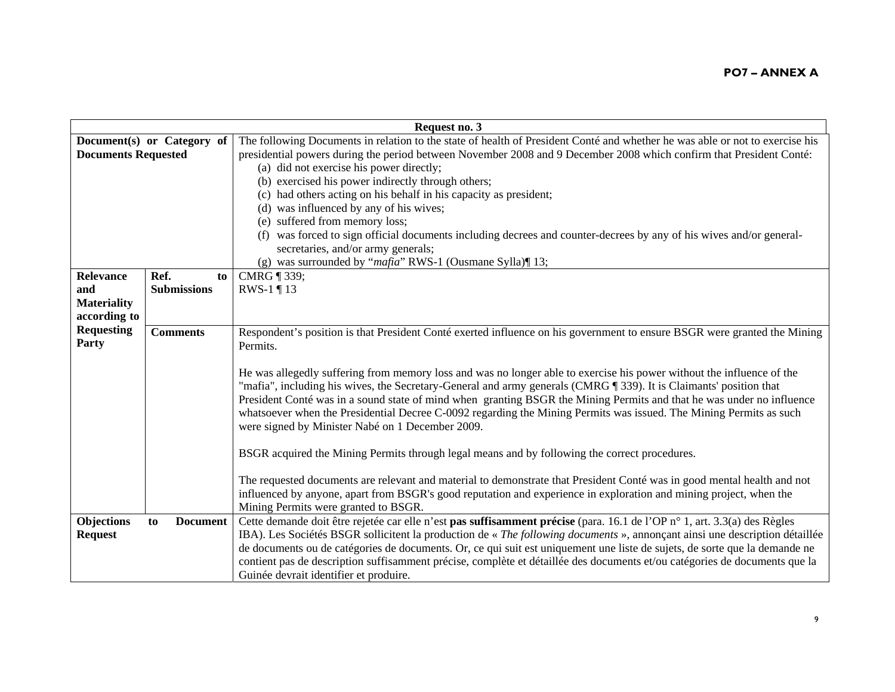|                            |                       |    | Request no. 3                                                                                                                |
|----------------------------|-----------------------|----|------------------------------------------------------------------------------------------------------------------------------|
| Document(s) or Category of |                       |    | The following Documents in relation to the state of health of President Conté and whether he was able or not to exercise his |
| <b>Documents Requested</b> |                       |    | presidential powers during the period between November 2008 and 9 December 2008 which confirm that President Conté:          |
|                            |                       |    | (a) did not exercise his power directly;                                                                                     |
|                            |                       |    | (b) exercised his power indirectly through others;                                                                           |
|                            |                       |    | (c) had others acting on his behalf in his capacity as president;                                                            |
|                            |                       |    | (d) was influenced by any of his wives;                                                                                      |
|                            |                       |    | (e) suffered from memory loss;                                                                                               |
|                            |                       |    | (f) was forced to sign official documents including decrees and counter-decrees by any of his wives and/or general-          |
|                            |                       |    | secretaries, and/or army generals;                                                                                           |
|                            |                       |    | (g) was surrounded by "mafia" RWS-1 (Ousmane Sylla)¶ 13;                                                                     |
| Relevance                  | Ref.                  | to | CMRG ¶ 339;                                                                                                                  |
| and                        | <b>Submissions</b>    |    | RWS-1 $\P$ 13                                                                                                                |
| <b>Materiality</b>         |                       |    |                                                                                                                              |
| according to               |                       |    |                                                                                                                              |
| <b>Requesting</b>          | <b>Comments</b>       |    | Respondent's position is that President Conté exerted influence on his government to ensure BSGR were granted the Mining     |
| Party                      |                       |    | Permits.                                                                                                                     |
|                            |                       |    |                                                                                                                              |
|                            |                       |    | He was allegedly suffering from memory loss and was no longer able to exercise his power without the influence of the        |
|                            |                       |    | "mafia", including his wives, the Secretary-General and army generals (CMRG ¶ 339). It is Claimants' position that           |
|                            |                       |    | President Conté was in a sound state of mind when granting BSGR the Mining Permits and that he was under no influence        |
|                            |                       |    | whatsoever when the Presidential Decree C-0092 regarding the Mining Permits was issued. The Mining Permits as such           |
|                            |                       |    | were signed by Minister Nabé on 1 December 2009.                                                                             |
|                            |                       |    |                                                                                                                              |
|                            |                       |    | BSGR acquired the Mining Permits through legal means and by following the correct procedures.                                |
|                            |                       |    |                                                                                                                              |
|                            |                       |    | The requested documents are relevant and material to demonstrate that President Conté was in good mental health and not      |
|                            |                       |    | influenced by anyone, apart from BSGR's good reputation and experience in exploration and mining project, when the           |
|                            |                       |    | Mining Permits were granted to BSGR.                                                                                         |
| Objections                 | to<br><b>Document</b> |    | Cette demande doit être rejetée car elle n'est pas suffisamment précise (para. 16.1 de l'OP n° 1, art. 3.3(a) des Règles     |
| <b>Request</b>             |                       |    | IBA). Les Sociétés BSGR sollicitent la production de « The following documents », annonçant ainsi une description détaillée  |
|                            |                       |    | de documents ou de catégories de documents. Or, ce qui suit est uniquement une liste de sujets, de sorte que la demande ne   |
|                            |                       |    | contient pas de description suffisamment précise, complète et détaillée des documents et/ou catégories de documents que la   |
|                            |                       |    | Guinée devrait identifier et produire.                                                                                       |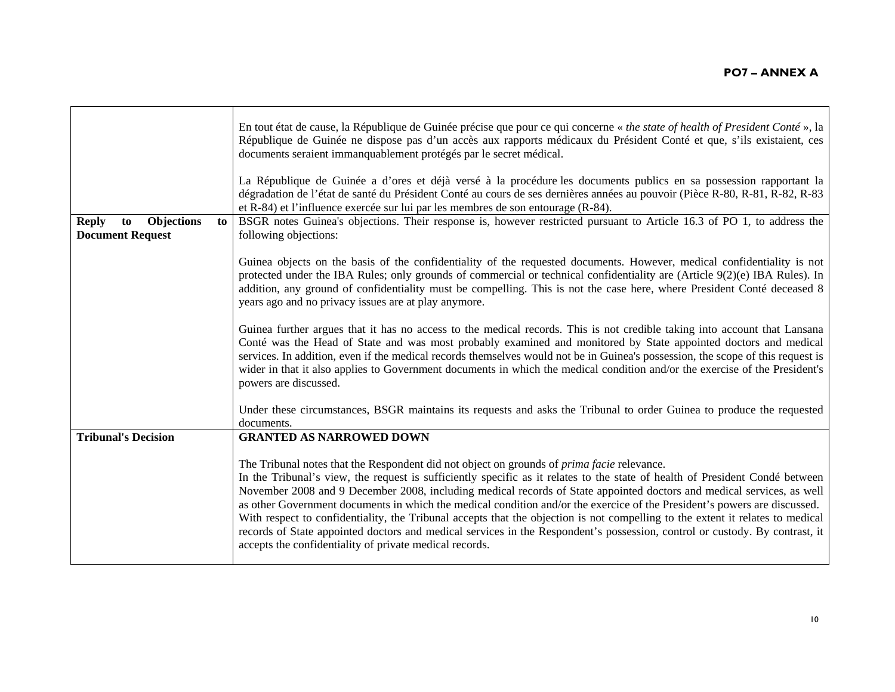|                                                                   | En tout état de cause, la République de Guinée précise que pour ce qui concerne « the state of health of President Conté », la<br>République de Guinée ne dispose pas d'un accès aux rapports médicaux du Président Conté et que, s'ils existaient, ces<br>documents seraient immanquablement protégés par le secret médical.<br>La République de Guinée a d'ores et déjà versé à la procédure les documents publics en sa possession rapportant la<br>dégradation de l'état de santé du Président Conté au cours de ses dernières années au pouvoir (Pièce R-80, R-81, R-82, R-83                                                                                                                                                                                                                                  |
|-------------------------------------------------------------------|---------------------------------------------------------------------------------------------------------------------------------------------------------------------------------------------------------------------------------------------------------------------------------------------------------------------------------------------------------------------------------------------------------------------------------------------------------------------------------------------------------------------------------------------------------------------------------------------------------------------------------------------------------------------------------------------------------------------------------------------------------------------------------------------------------------------|
|                                                                   | et R-84) et l'influence exercée sur lui par les membres de son entourage (R-84).                                                                                                                                                                                                                                                                                                                                                                                                                                                                                                                                                                                                                                                                                                                                    |
| Objections<br><b>Reply</b><br>to<br>to<br><b>Document Request</b> | BSGR notes Guinea's objections. Their response is, however restricted pursuant to Article 16.3 of PO 1, to address the<br>following objections:                                                                                                                                                                                                                                                                                                                                                                                                                                                                                                                                                                                                                                                                     |
|                                                                   | Guinea objects on the basis of the confidentiality of the requested documents. However, medical confidentiality is not<br>protected under the IBA Rules; only grounds of commercial or technical confidentiality are (Article 9(2)(e) IBA Rules). In<br>addition, any ground of confidentiality must be compelling. This is not the case here, where President Conté deceased 8<br>years ago and no privacy issues are at play anymore.                                                                                                                                                                                                                                                                                                                                                                             |
|                                                                   | Guinea further argues that it has no access to the medical records. This is not credible taking into account that Lansana<br>Conté was the Head of State and was most probably examined and monitored by State appointed doctors and medical<br>services. In addition, even if the medical records themselves would not be in Guinea's possession, the scope of this request is<br>wider in that it also applies to Government documents in which the medical condition and/or the exercise of the President's<br>powers are discussed.                                                                                                                                                                                                                                                                             |
|                                                                   | Under these circumstances, BSGR maintains its requests and asks the Tribunal to order Guinea to produce the requested<br>documents.                                                                                                                                                                                                                                                                                                                                                                                                                                                                                                                                                                                                                                                                                 |
| <b>Tribunal's Decision</b>                                        | <b>GRANTED AS NARROWED DOWN</b>                                                                                                                                                                                                                                                                                                                                                                                                                                                                                                                                                                                                                                                                                                                                                                                     |
|                                                                   | The Tribunal notes that the Respondent did not object on grounds of <i>prima facie</i> relevance.<br>In the Tribunal's view, the request is sufficiently specific as it relates to the state of health of President Condé between<br>November 2008 and 9 December 2008, including medical records of State appointed doctors and medical services, as well<br>as other Government documents in which the medical condition and/or the exercice of the President's powers are discussed.<br>With respect to confidentiality, the Tribunal accepts that the objection is not compelling to the extent it relates to medical<br>records of State appointed doctors and medical services in the Respondent's possession, control or custody. By contrast, it<br>accepts the confidentiality of private medical records. |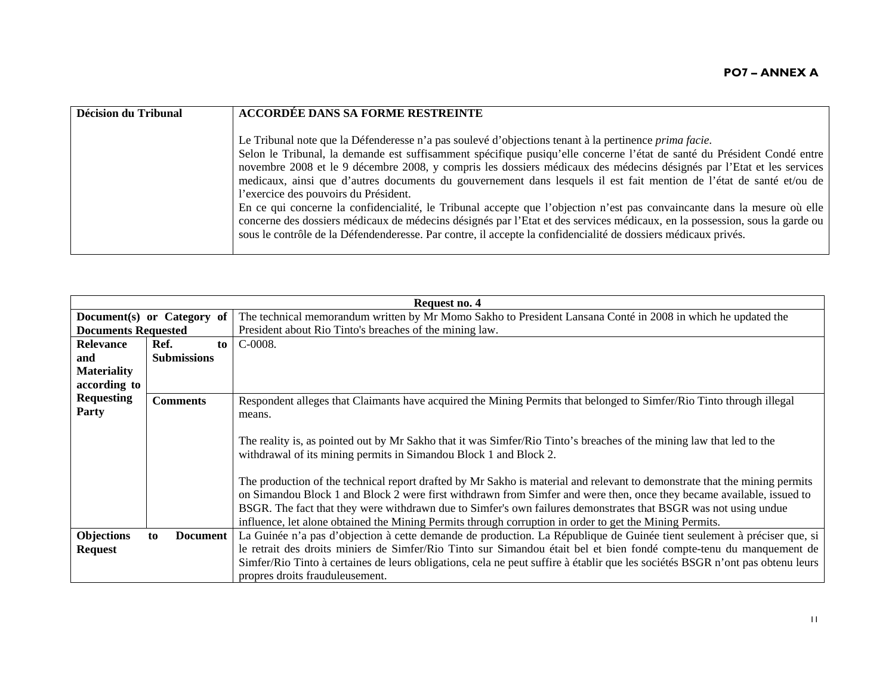| Décision du Tribunal | <b>ACCORDÉE DANS SA FORME RESTREINTE</b>                                                                                                                                                                                                                                                                                                                                                                                                                                                                                                                                                                                                                                                                                                                                                                                                                                                                        |
|----------------------|-----------------------------------------------------------------------------------------------------------------------------------------------------------------------------------------------------------------------------------------------------------------------------------------------------------------------------------------------------------------------------------------------------------------------------------------------------------------------------------------------------------------------------------------------------------------------------------------------------------------------------------------------------------------------------------------------------------------------------------------------------------------------------------------------------------------------------------------------------------------------------------------------------------------|
|                      | Le Tribunal note que la Défenderesse n'a pas soulevé d'objections tenant à la pertinence <i>prima facie</i> .<br>Selon le Tribunal, la demande est suffisamment spécifique pusiqu'elle concerne l'état de santé du Président Condé entre<br>novembre 2008 et le 9 décembre 2008, y compris les dossiers médicaux des médecins désignés par l'Etat et les services<br>medicaux, ainsi que d'autres documents du gouvernement dans lesquels il est fait mention de l'état de santé et/ou de<br>l'exercice des pouvoirs du Président.<br>En ce qui concerne la confidencialité, le Tribunal accepte que l'objection n'est pas convaincante dans la mesure où elle<br>concerne des dossiers médicaux de médecins désignés par l'Etat et des services médicaux, en la possession, sous la garde ou<br>sous le contrôle de la Défendenderesse. Par contre, il accepte la confidencialité de dossiers médicaux privés. |

| Request no. 4              |                       |    |                                                                                                                                |  |
|----------------------------|-----------------------|----|--------------------------------------------------------------------------------------------------------------------------------|--|
| Document(s) or Category of |                       |    | The technical memorandum written by Mr Momo Sakho to President Lansana Conté in 2008 in which he updated the                   |  |
| <b>Documents Requested</b> |                       |    | President about Rio Tinto's breaches of the mining law.                                                                        |  |
| <b>Relevance</b>           | Ref.                  | to | $C-0008.$                                                                                                                      |  |
| and                        | <b>Submissions</b>    |    |                                                                                                                                |  |
| <b>Materiality</b>         |                       |    |                                                                                                                                |  |
| according to               |                       |    |                                                                                                                                |  |
| <b>Requesting</b>          | <b>Comments</b>       |    | Respondent alleges that Claimants have acquired the Mining Permits that belonged to Simfer/Rio Tinto through illegal           |  |
| Party                      |                       |    | means.                                                                                                                         |  |
|                            |                       |    |                                                                                                                                |  |
|                            |                       |    | The reality is, as pointed out by Mr Sakho that it was Simfer/Rio Tinto's breaches of the mining law that led to the           |  |
|                            |                       |    | withdrawal of its mining permits in Simandou Block 1 and Block 2.                                                              |  |
|                            |                       |    |                                                                                                                                |  |
|                            |                       |    | The production of the technical report drafted by Mr Sakho is material and relevant to demonstrate that the mining permits     |  |
|                            |                       |    | on Simandou Block 1 and Block 2 were first withdrawn from Simfer and were then, once they became available, issued to          |  |
|                            |                       |    | BSGR. The fact that they were withdrawn due to Simfer's own failures demonstrates that BSGR was not using undue                |  |
|                            |                       |    | influence, let alone obtained the Mining Permits through corruption in order to get the Mining Permits.                        |  |
| <b>Objections</b>          | <b>Document</b><br>to |    | La Guinée n'a pas d'objection à cette demande de production. La République de Guinée tient seulement à préciser que, si        |  |
| <b>Request</b>             |                       |    | le retrait des droits miniers de Simfer/Rio Tinto sur Simandou était bel et bien fondé compte-tenu du manquement de            |  |
|                            |                       |    | Simfer/Rio Tinto à certaines de leurs obligations, cela ne peut suffire à établir que les sociétés BSGR n'ont pas obtenu leurs |  |
|                            |                       |    | propres droits frauduleusement.                                                                                                |  |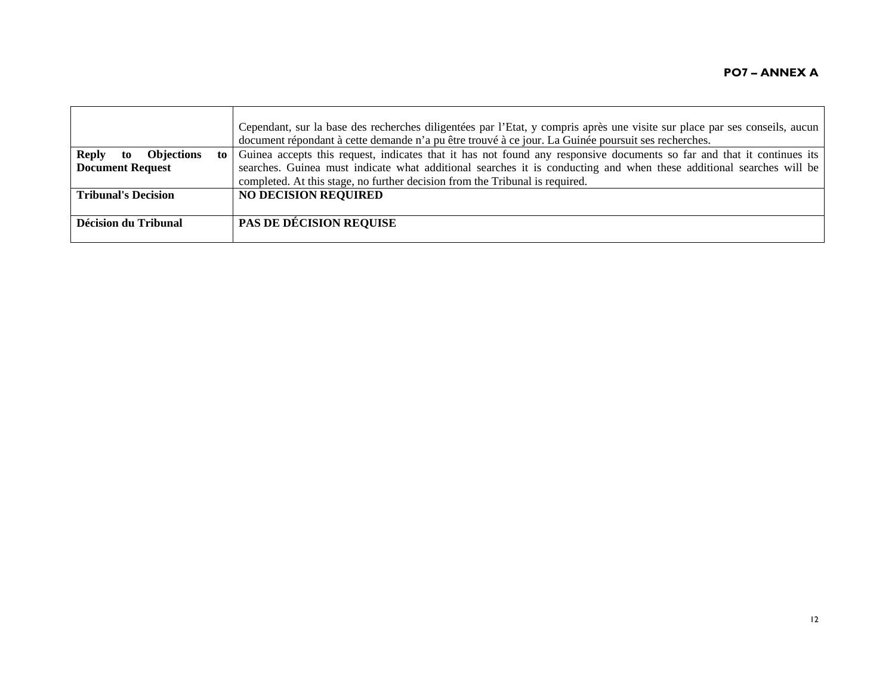|                                               | Cependant, sur la base des recherches diligentées par l'Etat, y compris après une visite sur place par ses conseils, aucun |
|-----------------------------------------------|----------------------------------------------------------------------------------------------------------------------------|
|                                               | document répondant à cette demande n'a pu être trouvé à ce jour. La Guinée poursuit ses recherches.                        |
| <b>Reply</b><br><b>Objections</b><br>to<br>to | Guinea accepts this request, indicates that it has not found any responsive documents so far and that it continues its     |
| <b>Document Request</b>                       | searches. Guinea must indicate what additional searches it is conducting and when these additional searches will be        |
|                                               | completed. At this stage, no further decision from the Tribunal is required.                                               |
| <b>Tribunal's Decision</b>                    | <b>NO DECISION REQUIRED</b>                                                                                                |
|                                               |                                                                                                                            |
| Décision du Tribunal                          | <b>PAS DE DÉCISION REQUISE</b>                                                                                             |
|                                               |                                                                                                                            |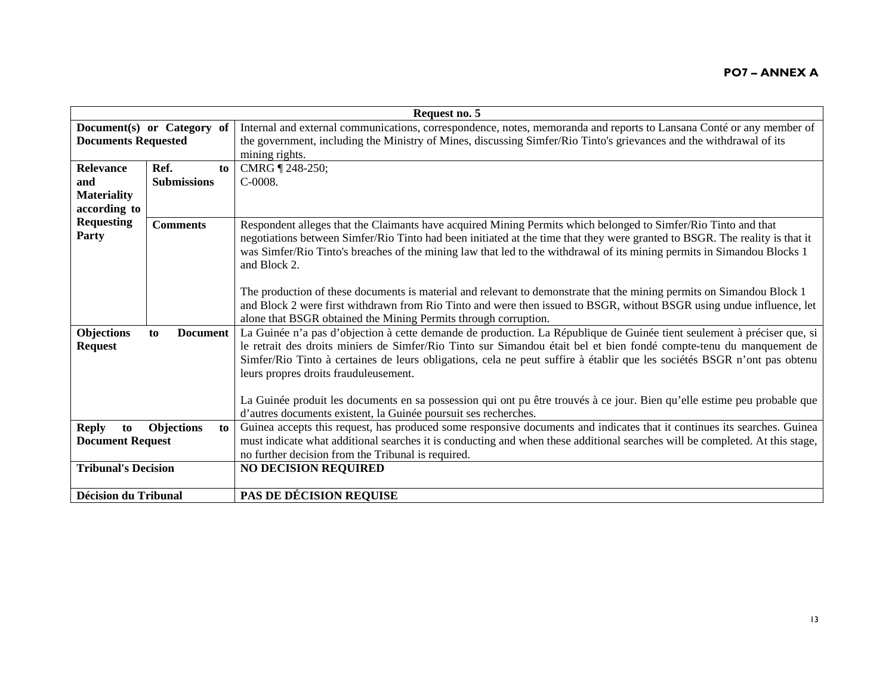|                             | Request no. 5           |                                                                                                                              |  |
|-----------------------------|-------------------------|------------------------------------------------------------------------------------------------------------------------------|--|
| Document(s) or Category of  |                         | Internal and external communications, correspondence, notes, memoranda and reports to Lansana Conté or any member of         |  |
| <b>Documents Requested</b>  |                         | the government, including the Ministry of Mines, discussing Simfer/Rio Tinto's grievances and the withdrawal of its          |  |
|                             |                         | mining rights.                                                                                                               |  |
| <b>Relevance</b>            | Ref.<br>to              | CMRG   248-250;                                                                                                              |  |
| and                         | <b>Submissions</b>      | $C-0008.$                                                                                                                    |  |
| <b>Materiality</b>          |                         |                                                                                                                              |  |
| according to                |                         |                                                                                                                              |  |
| <b>Requesting</b>           | <b>Comments</b>         | Respondent alleges that the Claimants have acquired Mining Permits which belonged to Simfer/Rio Tinto and that               |  |
| Party                       |                         | negotiations between Simfer/Rio Tinto had been initiated at the time that they were granted to BSGR. The reality is that it  |  |
|                             |                         | was Simfer/Rio Tinto's breaches of the mining law that led to the withdrawal of its mining permits in Simandou Blocks 1      |  |
|                             |                         | and Block 2.                                                                                                                 |  |
|                             |                         |                                                                                                                              |  |
|                             |                         | The production of these documents is material and relevant to demonstrate that the mining permits on Simandou Block 1        |  |
|                             |                         | and Block 2 were first withdrawn from Rio Tinto and were then issued to BSGR, without BSGR using undue influence, let        |  |
|                             |                         | alone that BSGR obtained the Mining Permits through corruption.                                                              |  |
| Objections                  | <b>Document</b><br>to   | La Guinée n'a pas d'objection à cette demande de production. La République de Guinée tient seulement à préciser que, si      |  |
| <b>Request</b>              |                         | le retrait des droits miniers de Simfer/Rio Tinto sur Simandou était bel et bien fondé compte-tenu du manquement de          |  |
|                             |                         | Simfer/Rio Tinto à certaines de leurs obligations, cela ne peut suffire à établir que les sociétés BSGR n'ont pas obtenu     |  |
|                             |                         | leurs propres droits frauduleusement.                                                                                        |  |
|                             |                         |                                                                                                                              |  |
|                             |                         | La Guinée produit les documents en sa possession qui ont pu être trouvés à ce jour. Bien qu'elle estime peu probable que     |  |
|                             |                         | d'autres documents existent, la Guinée poursuit ses recherches.                                                              |  |
| <b>Reply</b><br>to          | <b>Objections</b><br>to | Guinea accepts this request, has produced some responsive documents and indicates that it continues its searches. Guinea     |  |
| <b>Document Request</b>     |                         | must indicate what additional searches it is conducting and when these additional searches will be completed. At this stage, |  |
|                             |                         | no further decision from the Tribunal is required.                                                                           |  |
| <b>Tribunal's Decision</b>  |                         | <b>NO DECISION REQUIRED</b>                                                                                                  |  |
|                             |                         |                                                                                                                              |  |
| <b>Décision du Tribunal</b> |                         | <b>PAS DE DÉCISION REQUISE</b>                                                                                               |  |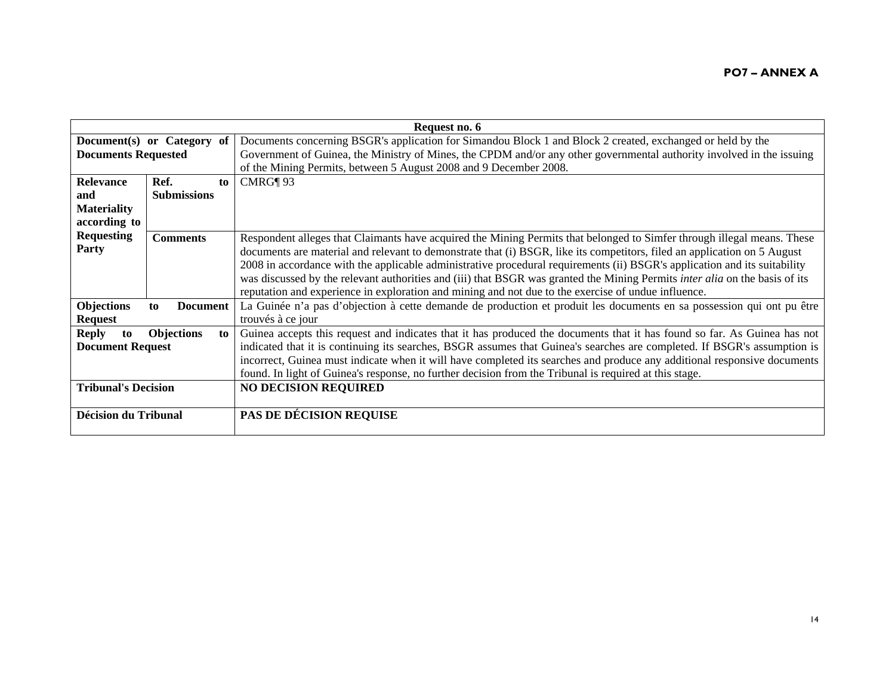| Request no. 6               |                       |    |                                                                                                                                    |
|-----------------------------|-----------------------|----|------------------------------------------------------------------------------------------------------------------------------------|
| Document(s) or Category of  |                       |    | Documents concerning BSGR's application for Simandou Block 1 and Block 2 created, exchanged or held by the                         |
| <b>Documents Requested</b>  |                       |    | Government of Guinea, the Ministry of Mines, the CPDM and/or any other governmental authority involved in the issuing              |
|                             |                       |    | of the Mining Permits, between 5 August 2008 and 9 December 2008.                                                                  |
| Relevance                   | Ref.                  | to | CMRG¶ 93                                                                                                                           |
| and                         | <b>Submissions</b>    |    |                                                                                                                                    |
| <b>Materiality</b>          |                       |    |                                                                                                                                    |
| according to                |                       |    |                                                                                                                                    |
| <b>Requesting</b>           | <b>Comments</b>       |    | Respondent alleges that Claimants have acquired the Mining Permits that belonged to Simfer through illegal means. These            |
| Party                       |                       |    | documents are material and relevant to demonstrate that (i) BSGR, like its competitors, filed an application on 5 August           |
|                             |                       |    | 2008 in accordance with the applicable administrative procedural requirements (ii) BSGR's application and its suitability          |
|                             |                       |    | was discussed by the relevant authorities and (iii) that BSGR was granted the Mining Permits <i>inter alia</i> on the basis of its |
|                             |                       |    | reputation and experience in exploration and mining and not due to the exercise of undue influence.                                |
| <b>Objections</b>           | <b>Document</b><br>to |    | La Guinée n'a pas d'objection à cette demande de production et produit les documents en sa possession qui ont pu être              |
| <b>Request</b>              |                       |    | trouvés à ce jour                                                                                                                  |
| <b>Reply</b><br>to          | <b>Objections</b>     | to | Guinea accepts this request and indicates that it has produced the documents that it has found so far. As Guinea has not           |
| <b>Document Request</b>     |                       |    | indicated that it is continuing its searches, BSGR assumes that Guinea's searches are completed. If BSGR's assumption is           |
|                             |                       |    | incorrect, Guinea must indicate when it will have completed its searches and produce any additional responsive documents           |
|                             |                       |    | found. In light of Guinea's response, no further decision from the Tribunal is required at this stage.                             |
| <b>Tribunal's Decision</b>  |                       |    | <b>NO DECISION REQUIRED</b>                                                                                                        |
|                             |                       |    |                                                                                                                                    |
| <b>Décision du Tribunal</b> |                       |    | PAS DE DÉCISION REQUISE                                                                                                            |
|                             |                       |    |                                                                                                                                    |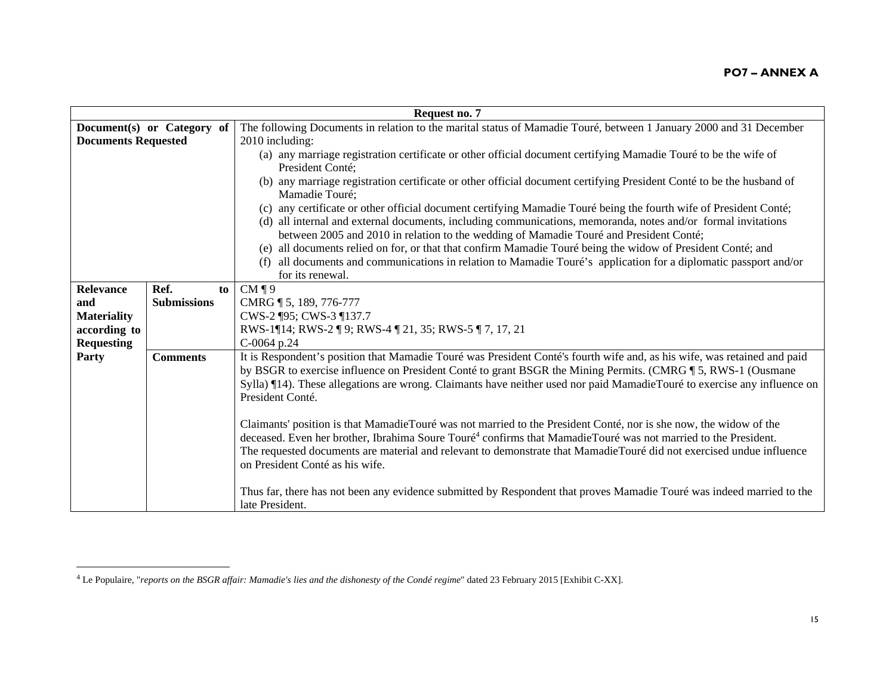| Request no. 7              |                    |                                                                                                                                        |
|----------------------------|--------------------|----------------------------------------------------------------------------------------------------------------------------------------|
| Document(s) or Category of |                    | The following Documents in relation to the marital status of Mamadie Touré, between 1 January 2000 and 31 December                     |
| <b>Documents Requested</b> |                    | 2010 including:                                                                                                                        |
|                            |                    | (a) any marriage registration certificate or other official document certifying Mamadie Touré to be the wife of                        |
|                            |                    | President Conté:                                                                                                                       |
|                            |                    | (b) any marriage registration certificate or other official document certifying President Conté to be the husband of<br>Mamadie Touré; |
|                            |                    | (c) any certificate or other official document certifying Mamadie Touré being the fourth wife of President Conté;                      |
|                            |                    | (d) all internal and external documents, including communications, memoranda, notes and/or formal invitations                          |
|                            |                    | between 2005 and 2010 in relation to the wedding of Mamadie Touré and President Conté;                                                 |
|                            |                    | (e) all documents relied on for, or that that confirm Mamadie Touré being the widow of President Conté; and                            |
|                            |                    | all documents and communications in relation to Mamadie Touré's application for a diplomatic passport and/or                           |
|                            |                    | for its renewal.                                                                                                                       |
| Relevance                  | Ref.               | $CM \, \P \, 9$<br>to                                                                                                                  |
| and                        | <b>Submissions</b> | CMRG ¶ 5, 189, 776-777                                                                                                                 |
| <b>Materiality</b>         |                    | CWS-2 ¶95; CWS-3 ¶137.7                                                                                                                |
| according to               |                    | RWS-1¶14; RWS-2 ¶ 9; RWS-4 ¶ 21, 35; RWS-5 ¶ 7, 17, 21                                                                                 |
| <b>Requesting</b>          |                    | C-0064 p.24                                                                                                                            |
| Party                      | <b>Comments</b>    | It is Respondent's position that Mamadie Touré was President Conté's fourth wife and, as his wife, was retained and paid               |
|                            |                    | by BSGR to exercise influence on President Conté to grant BSGR the Mining Permits. (CMRG ¶ 5, RWS-1 (Ousmane                           |
|                            |                    | Sylla) ¶14). These allegations are wrong. Claimants have neither used nor paid MamadieTouré to exercise any influence on               |
|                            |                    | President Conté.                                                                                                                       |
|                            |                    |                                                                                                                                        |
|                            |                    | Claimants' position is that MamadieTouré was not married to the President Conté, nor is she now, the widow of the                      |
|                            |                    | deceased. Even her brother, Ibrahima Soure Touré <sup>4</sup> confirms that MamadieTouré was not married to the President.             |
|                            |                    | The requested documents are material and relevant to demonstrate that MamadieTouré did not exercised undue influence                   |
|                            |                    | on President Conté as his wife.                                                                                                        |
|                            |                    |                                                                                                                                        |
|                            |                    | Thus far, there has not been any evidence submitted by Respondent that proves Mamadie Touré was indeed married to the                  |
|                            |                    | late President.                                                                                                                        |

<sup>4</sup> Le Populaire, "*reports on the BSGR affair: Mamadie's lies and the dishonesty of the Condé regime*" dated 23 February 2015 [Exhibit C-XX].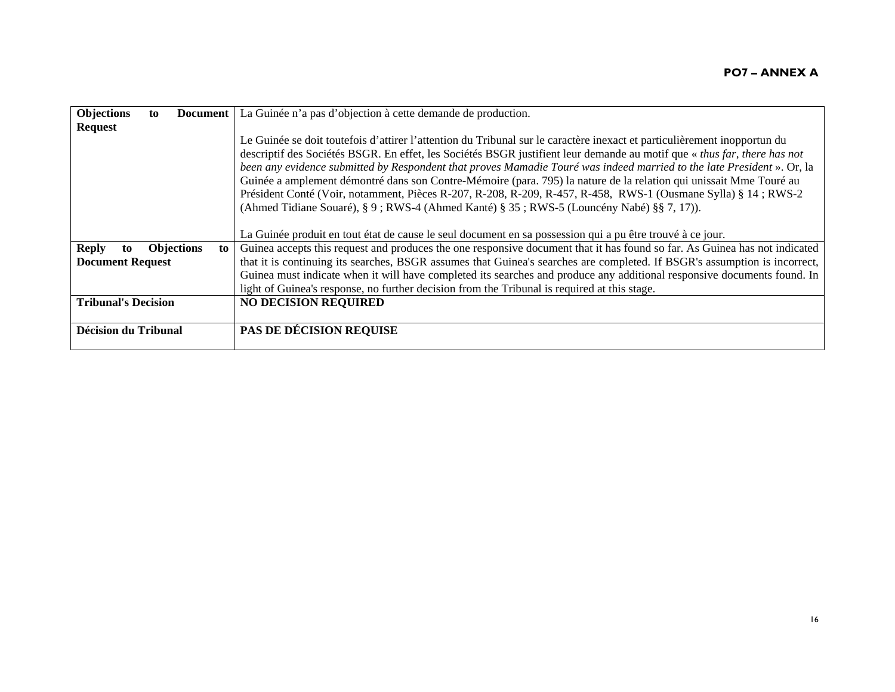| <b>Objections</b>           | to | <b>Document</b>         | La Guinée n'a pas d'objection à cette demande de production.                                                               |
|-----------------------------|----|-------------------------|----------------------------------------------------------------------------------------------------------------------------|
| <b>Request</b>              |    |                         |                                                                                                                            |
|                             |    |                         | Le Guinée se doit toutefois d'attirer l'attention du Tribunal sur le caractère inexact et particulièrement inopportun du   |
|                             |    |                         | descriptif des Sociétés BSGR. En effet, les Sociétés BSGR justifient leur demande au motif que « thus far, there has not   |
|                             |    |                         | been any evidence submitted by Respondent that proves Mamadie Touré was indeed married to the late President ». Or, la     |
|                             |    |                         | Guinée a amplement démontré dans son Contre-Mémoire (para. 795) la nature de la relation qui unissait Mme Touré au         |
|                             |    |                         | Président Conté (Voir, notamment, Pièces R-207, R-208, R-209, R-457, R-458, RWS-1 (Ousmane Sylla) § 14; RWS-2              |
|                             |    |                         | (Ahmed Tidiane Souaré), § 9; RWS-4 (Ahmed Kanté) § 35; RWS-5 (Louncény Nabé) §§ 7, 17)).                                   |
|                             |    |                         |                                                                                                                            |
|                             |    |                         | La Guinée produit en tout état de cause le seul document en sa possession qui a pu être trouvé à ce jour.                  |
| <b>Reply</b><br>to          |    | <b>Objections</b><br>to | Guinea accepts this request and produces the one responsive document that it has found so far. As Guinea has not indicated |
| <b>Document Request</b>     |    |                         | that it is continuing its searches, BSGR assumes that Guinea's searches are completed. If BSGR's assumption is incorrect,  |
|                             |    |                         | Guinea must indicate when it will have completed its searches and produce any additional responsive documents found. In    |
|                             |    |                         | light of Guinea's response, no further decision from the Tribunal is required at this stage.                               |
| <b>Tribunal's Decision</b>  |    |                         | <b>NO DECISION REQUIRED</b>                                                                                                |
|                             |    |                         |                                                                                                                            |
| <b>Décision du Tribunal</b> |    |                         | <b>PAS DE DÉCISION REQUISE</b>                                                                                             |
|                             |    |                         |                                                                                                                            |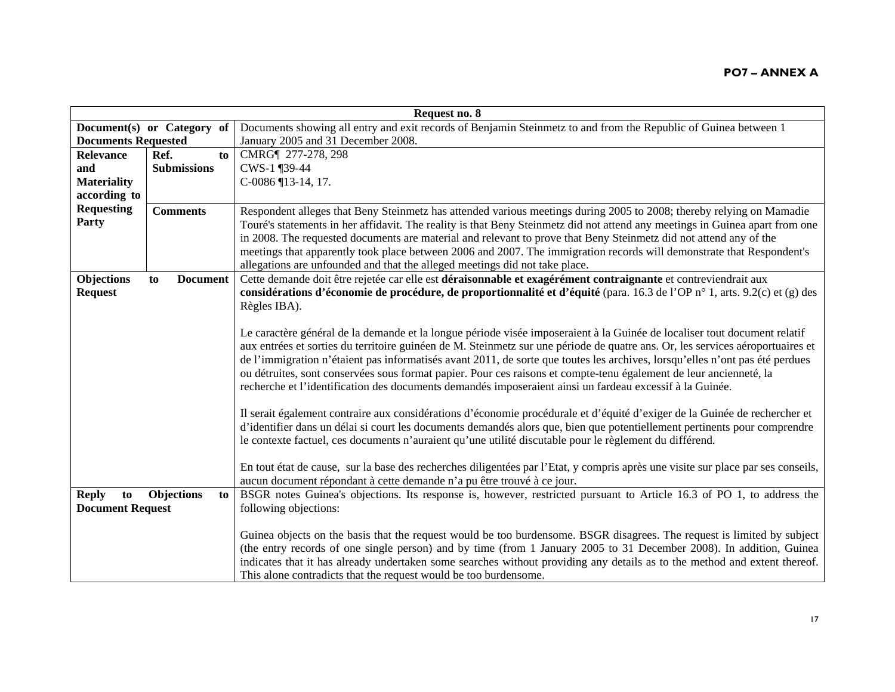| Request no. 8              |                            |                                                                                                                                  |
|----------------------------|----------------------------|----------------------------------------------------------------------------------------------------------------------------------|
|                            | Document(s) or Category of | Documents showing all entry and exit records of Benjamin Steinmetz to and from the Republic of Guinea between 1                  |
| <b>Documents Requested</b> |                            | January 2005 and 31 December 2008.                                                                                               |
| <b>Relevance</b>           | Ref.<br>to                 | CMRG¶ 277-278, 298                                                                                                               |
| and                        | <b>Submissions</b>         | CWS-1 ¶39-44                                                                                                                     |
| <b>Materiality</b>         |                            | $C-0086$ [13-14, 17.                                                                                                             |
| according to               |                            |                                                                                                                                  |
| <b>Requesting</b>          | <b>Comments</b>            | Respondent alleges that Beny Steinmetz has attended various meetings during 2005 to 2008; thereby relying on Mamadie             |
| Party                      |                            | Touré's statements in her affidavit. The reality is that Beny Steinmetz did not attend any meetings in Guinea apart from one     |
|                            |                            | in 2008. The requested documents are material and relevant to prove that Beny Steinmetz did not attend any of the                |
|                            |                            | meetings that apparently took place between 2006 and 2007. The immigration records will demonstrate that Respondent's            |
|                            |                            | allegations are unfounded and that the alleged meetings did not take place.                                                      |
| Objections                 | <b>Document</b><br>to      | Cette demande doit être rejetée car elle est déraisonnable et exagérément contraignante et contreviendrait aux                   |
| <b>Request</b>             |                            | considérations d'économie de procédure, de proportionnalité et d'équité (para. 16.3 de l'OP n° 1, arts. 9.2(c) et (g) des        |
|                            |                            | Règles IBA).                                                                                                                     |
|                            |                            |                                                                                                                                  |
|                            |                            | Le caractère général de la demande et la longue période visée imposeraient à la Guinée de localiser tout document relatif        |
|                            |                            | aux entrées et sorties du territoire guinéen de M. Steinmetz sur une période de quatre ans. Or, les services aéroportuaires et   |
|                            |                            | de l'immigration n'étaient pas informatisés avant 2011, de sorte que toutes les archives, lorsqu'elles n'ont pas été perdues     |
|                            |                            | ou détruites, sont conservées sous format papier. Pour ces raisons et compte-tenu également de leur ancienneté, la               |
|                            |                            | recherche et l'identification des documents demandés imposeraient ainsi un fardeau excessif à la Guinée.                         |
|                            |                            |                                                                                                                                  |
|                            |                            | Il serait également contraire aux considérations d'économie procédurale et d'équité d'exiger de la Guinée de rechercher et       |
|                            |                            | d'identifier dans un délai si court les documents demandés alors que, bien que potentiellement pertinents pour comprendre        |
|                            |                            | le contexte factuel, ces documents n'auraient qu'une utilité discutable pour le règlement du différend.                          |
|                            |                            |                                                                                                                                  |
|                            |                            | En tout état de cause, sur la base des recherches diligentées par l'Etat, y compris après une visite sur place par ses conseils, |
|                            |                            | aucun document répondant à cette demande n'a pu être trouvé à ce jour.                                                           |
| <b>Reply</b><br>to         | Objections<br>to           | BSGR notes Guinea's objections. Its response is, however, restricted pursuant to Article 16.3 of PO 1, to address the            |
| <b>Document Request</b>    |                            | following objections:                                                                                                            |
|                            |                            |                                                                                                                                  |
|                            |                            | Guinea objects on the basis that the request would be too burdensome. BSGR disagrees. The request is limited by subject          |
|                            |                            | (the entry records of one single person) and by time (from 1 January 2005 to 31 December 2008). In addition, Guinea              |
|                            |                            | indicates that it has already undertaken some searches without providing any details as to the method and extent thereof.        |
|                            |                            | This alone contradicts that the request would be too burdensome.                                                                 |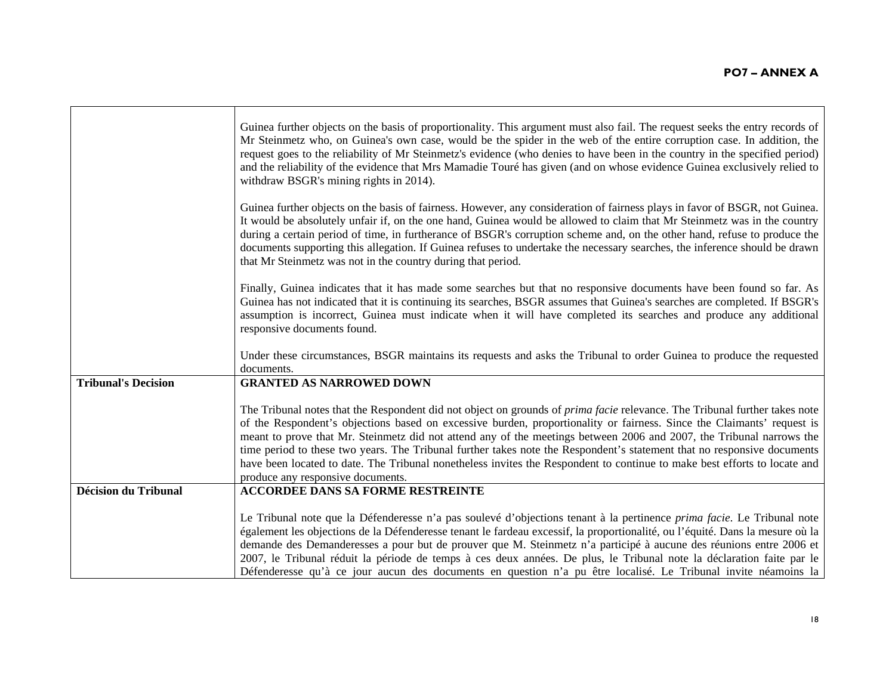|                             | Guinea further objects on the basis of proportionality. This argument must also fail. The request seeks the entry records of<br>Mr Steinmetz who, on Guinea's own case, would be the spider in the web of the entire corruption case. In addition, the<br>request goes to the reliability of Mr Steinmetz's evidence (who denies to have been in the country in the specified period)<br>and the reliability of the evidence that Mrs Mamadie Touré has given (and on whose evidence Guinea exclusively relied to<br>withdraw BSGR's mining rights in 2014).                                                                                                                     |
|-----------------------------|----------------------------------------------------------------------------------------------------------------------------------------------------------------------------------------------------------------------------------------------------------------------------------------------------------------------------------------------------------------------------------------------------------------------------------------------------------------------------------------------------------------------------------------------------------------------------------------------------------------------------------------------------------------------------------|
|                             | Guinea further objects on the basis of fairness. However, any consideration of fairness plays in favor of BSGR, not Guinea.<br>It would be absolutely unfair if, on the one hand, Guinea would be allowed to claim that Mr Steinmetz was in the country<br>during a certain period of time, in furtherance of BSGR's corruption scheme and, on the other hand, refuse to produce the<br>documents supporting this allegation. If Guinea refuses to undertake the necessary searches, the inference should be drawn<br>that Mr Steinmetz was not in the country during that period.                                                                                               |
|                             | Finally, Guinea indicates that it has made some searches but that no responsive documents have been found so far. As<br>Guinea has not indicated that it is continuing its searches, BSGR assumes that Guinea's searches are completed. If BSGR's<br>assumption is incorrect, Guinea must indicate when it will have completed its searches and produce any additional<br>responsive documents found.                                                                                                                                                                                                                                                                            |
|                             | Under these circumstances, BSGR maintains its requests and asks the Tribunal to order Guinea to produce the requested<br>documents.                                                                                                                                                                                                                                                                                                                                                                                                                                                                                                                                              |
| <b>Tribunal's Decision</b>  | <b>GRANTED AS NARROWED DOWN</b>                                                                                                                                                                                                                                                                                                                                                                                                                                                                                                                                                                                                                                                  |
|                             | The Tribunal notes that the Respondent did not object on grounds of <i>prima facie</i> relevance. The Tribunal further takes note<br>of the Respondent's objections based on excessive burden, proportionality or fairness. Since the Claimants' request is<br>meant to prove that Mr. Steinmetz did not attend any of the meetings between 2006 and 2007, the Tribunal narrows the<br>time period to these two years. The Tribunal further takes note the Respondent's statement that no responsive documents<br>have been located to date. The Tribunal nonetheless invites the Respondent to continue to make best efforts to locate and<br>produce any responsive documents. |
| <b>Décision du Tribunal</b> | <b>ACCORDEE DANS SA FORME RESTREINTE</b>                                                                                                                                                                                                                                                                                                                                                                                                                                                                                                                                                                                                                                         |
|                             | Le Tribunal note que la Défenderesse n'a pas soulevé d'objections tenant à la pertinence prima facie. Le Tribunal note<br>également les objections de la Défenderesse tenant le fardeau excessif, la proportionalité, ou l'équité. Dans la mesure où la<br>demande des Demanderesses a pour but de prouver que M. Steinmetz n'a participé à aucune des réunions entre 2006 et<br>2007, le Tribunal réduit la période de temps à ces deux années. De plus, le Tribunal note la déclaration faite par le<br>Défenderesse qu'à ce jour aucun des documents en question n'a pu être localisé. Le Tribunal invite néamoins la                                                         |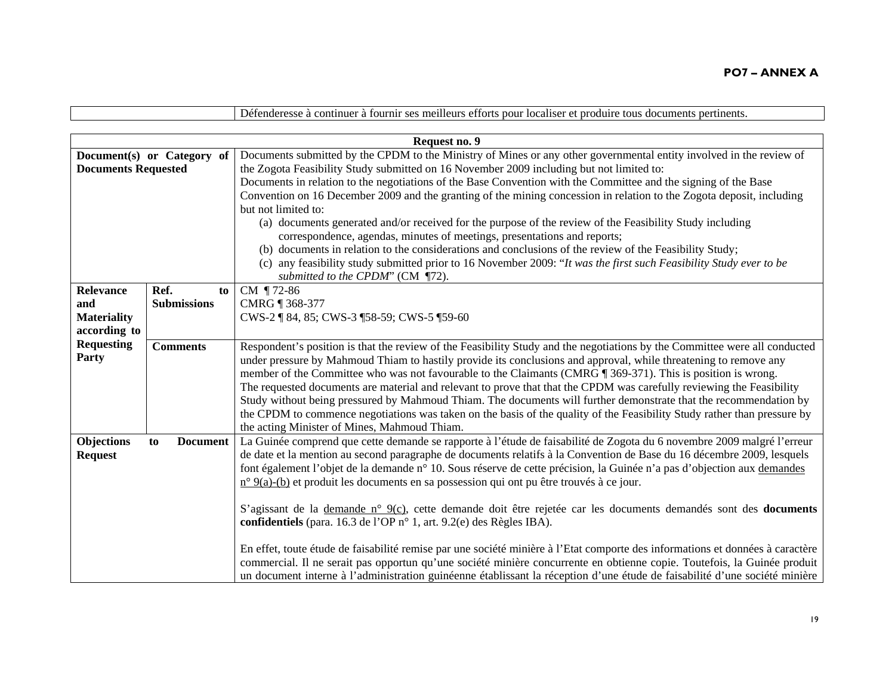|                            |                            | Défenderesse à continuer à fournir ses meilleurs efforts pour localiser et produire tous documents pertinents.                |  |
|----------------------------|----------------------------|-------------------------------------------------------------------------------------------------------------------------------|--|
|                            |                            |                                                                                                                               |  |
|                            |                            | Request no. 9                                                                                                                 |  |
|                            | Document(s) or Category of | Documents submitted by the CPDM to the Ministry of Mines or any other governmental entity involved in the review of           |  |
| <b>Documents Requested</b> |                            | the Zogota Feasibility Study submitted on 16 November 2009 including but not limited to:                                      |  |
|                            |                            | Documents in relation to the negotiations of the Base Convention with the Committee and the signing of the Base               |  |
|                            |                            | Convention on 16 December 2009 and the granting of the mining concession in relation to the Zogota deposit, including         |  |
|                            |                            | but not limited to:                                                                                                           |  |
|                            |                            | (a) documents generated and/or received for the purpose of the review of the Feasibility Study including                      |  |
|                            |                            | correspondence, agendas, minutes of meetings, presentations and reports;                                                      |  |
|                            |                            | (b) documents in relation to the considerations and conclusions of the review of the Feasibility Study;                       |  |
|                            |                            | (c) any feasibility study submitted prior to 16 November 2009: "It was the first such Feasibility Study ever to be            |  |
|                            |                            | submitted to the CPDM" (CM ¶72).                                                                                              |  |
| Relevance                  | Ref.<br>to                 | CM ¶72-86                                                                                                                     |  |
| and                        | <b>Submissions</b>         | CMRG 1368-377                                                                                                                 |  |
| <b>Materiality</b>         |                            | CWS-2   84, 85; CWS-3   58-59; CWS-5   59-60                                                                                  |  |
| according to               |                            |                                                                                                                               |  |
| <b>Requesting</b>          | <b>Comments</b>            | Respondent's position is that the review of the Feasibility Study and the negotiations by the Committee were all conducted    |  |
| Party                      |                            | under pressure by Mahmoud Thiam to hastily provide its conclusions and approval, while threatening to remove any              |  |
|                            |                            | member of the Committee who was not favourable to the Claimants (CMRG ¶ 369-371). This is position is wrong.                  |  |
|                            |                            | The requested documents are material and relevant to prove that that the CPDM was carefully reviewing the Feasibility         |  |
|                            |                            | Study without being pressured by Mahmoud Thiam. The documents will further demonstrate that the recommendation by             |  |
|                            |                            | the CPDM to commence negotiations was taken on the basis of the quality of the Feasibility Study rather than pressure by      |  |
|                            |                            | the acting Minister of Mines, Mahmoud Thiam.                                                                                  |  |
| Objections                 | <b>Document</b><br>to      | La Guinée comprend que cette demande se rapporte à l'étude de faisabilité de Zogota du 6 novembre 2009 malgré l'erreur        |  |
| <b>Request</b>             |                            | de date et la mention au second paragraphe de documents relatifs à la Convention de Base du 16 décembre 2009, lesquels        |  |
|                            |                            | font également l'objet de la demande n° 10. Sous réserve de cette précision, la Guinée n'a pas d'objection aux demandes       |  |
|                            |                            | n° 9(a)-(b) et produit les documents en sa possession qui ont pu être trouvés à ce jour.                                      |  |
|                            |                            |                                                                                                                               |  |
|                            |                            | S'agissant de la demande n° 9(c), cette demande doit être rejetée car les documents demandés sont des documents               |  |
|                            |                            | confidentiels (para. 16.3 de l'OP n° 1, art. 9.2(e) des Règles IBA).                                                          |  |
|                            |                            |                                                                                                                               |  |
|                            |                            | En effet, toute étude de faisabilité remise par une société minière à l'Etat comporte des informations et données à caractère |  |
|                            |                            | commercial. Il ne serait pas opportun qu'une société minière concurrente en obtienne copie. Toutefois, la Guinée produit      |  |
|                            |                            | un document interne à l'administration guinéenne établissant la réception d'une étude de faisabilité d'une société minière    |  |

 $\blacksquare$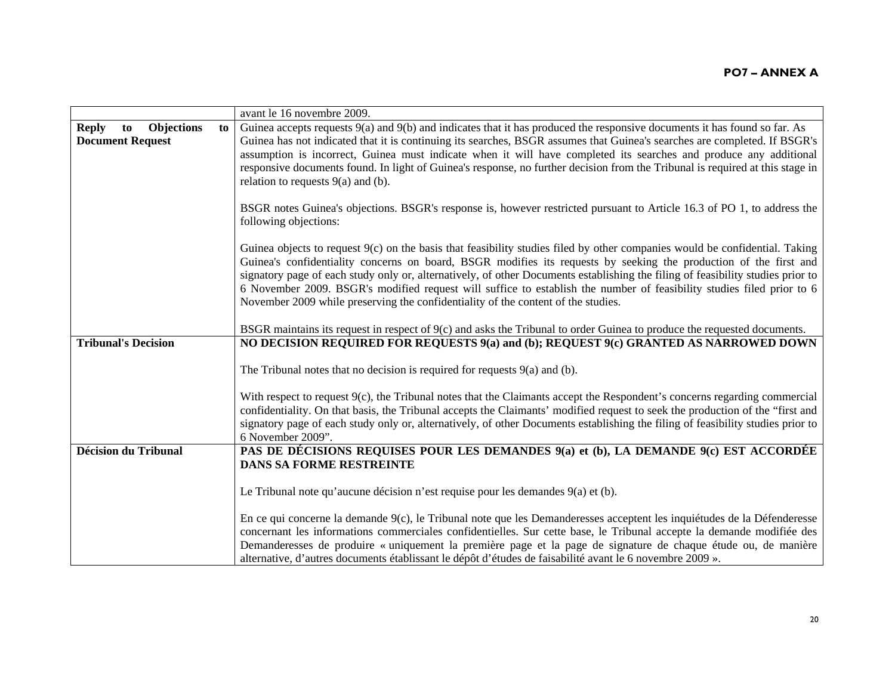|                                                                    | avant le 16 novembre 2009.                                                                                                                                                                                                                                                                                                                                                                                                                                                                                                                                                                          |
|--------------------------------------------------------------------|-----------------------------------------------------------------------------------------------------------------------------------------------------------------------------------------------------------------------------------------------------------------------------------------------------------------------------------------------------------------------------------------------------------------------------------------------------------------------------------------------------------------------------------------------------------------------------------------------------|
| <b>Objections</b><br><b>Reply</b><br>to<br><b>Document Request</b> | Guinea accepts requests $9(a)$ and $9(b)$ and indicates that it has produced the responsive documents it has found so far. As<br>to<br>Guinea has not indicated that it is continuing its searches, BSGR assumes that Guinea's searches are completed. If BSGR's<br>assumption is incorrect, Guinea must indicate when it will have completed its searches and produce any additional<br>responsive documents found. In light of Guinea's response, no further decision from the Tribunal is required at this stage in<br>relation to requests $9(a)$ and (b).                                      |
|                                                                    | BSGR notes Guinea's objections. BSGR's response is, however restricted pursuant to Article 16.3 of PO 1, to address the<br>following objections:                                                                                                                                                                                                                                                                                                                                                                                                                                                    |
|                                                                    | Guinea objects to request $9(c)$ on the basis that feasibility studies filed by other companies would be confidential. Taking<br>Guinea's confidentiality concerns on board, BSGR modifies its requests by seeking the production of the first and<br>signatory page of each study only or, alternatively, of other Documents establishing the filing of feasibility studies prior to<br>6 November 2009. BSGR's modified request will suffice to establish the number of feasibility studies filed prior to 6<br>November 2009 while preserving the confidentiality of the content of the studies. |
|                                                                    | BSGR maintains its request in respect of 9(c) and asks the Tribunal to order Guinea to produce the requested documents.                                                                                                                                                                                                                                                                                                                                                                                                                                                                             |
| <b>Tribunal's Decision</b>                                         | NO DECISION REQUIRED FOR REQUESTS 9(a) and (b); REQUEST 9(c) GRANTED AS NARROWED DOWN                                                                                                                                                                                                                                                                                                                                                                                                                                                                                                               |
|                                                                    | The Tribunal notes that no decision is required for requests $9(a)$ and (b).                                                                                                                                                                                                                                                                                                                                                                                                                                                                                                                        |
|                                                                    | With respect to request 9(c), the Tribunal notes that the Claimants accept the Respondent's concerns regarding commercial<br>confidentiality. On that basis, the Tribunal accepts the Claimants' modified request to seek the production of the "first and<br>signatory page of each study only or, alternatively, of other Documents establishing the filing of feasibility studies prior to<br>6 November 2009".                                                                                                                                                                                  |
| <b>Décision du Tribunal</b>                                        | PAS DE DÉCISIONS REQUISES POUR LES DEMANDES 9(a) et (b), LA DEMANDE 9(c) EST ACCORDÉE                                                                                                                                                                                                                                                                                                                                                                                                                                                                                                               |
|                                                                    | <b>DANS SA FORME RESTREINTE</b>                                                                                                                                                                                                                                                                                                                                                                                                                                                                                                                                                                     |
|                                                                    | Le Tribunal note qu'aucune décision n'est requise pour les demandes 9(a) et (b).                                                                                                                                                                                                                                                                                                                                                                                                                                                                                                                    |
|                                                                    | En ce qui concerne la demande 9(c), le Tribunal note que les Demanderesses acceptent les inquiétudes de la Défenderesse<br>concernant les informations commerciales confidentielles. Sur cette base, le Tribunal accepte la demande modifiée des<br>Demanderesses de produire « uniquement la première page et la page de signature de chaque étude ou, de manière<br>alternative, d'autres documents établissant le dépôt d'études de faisabilité avant le 6 novembre 2009 ».                                                                                                                      |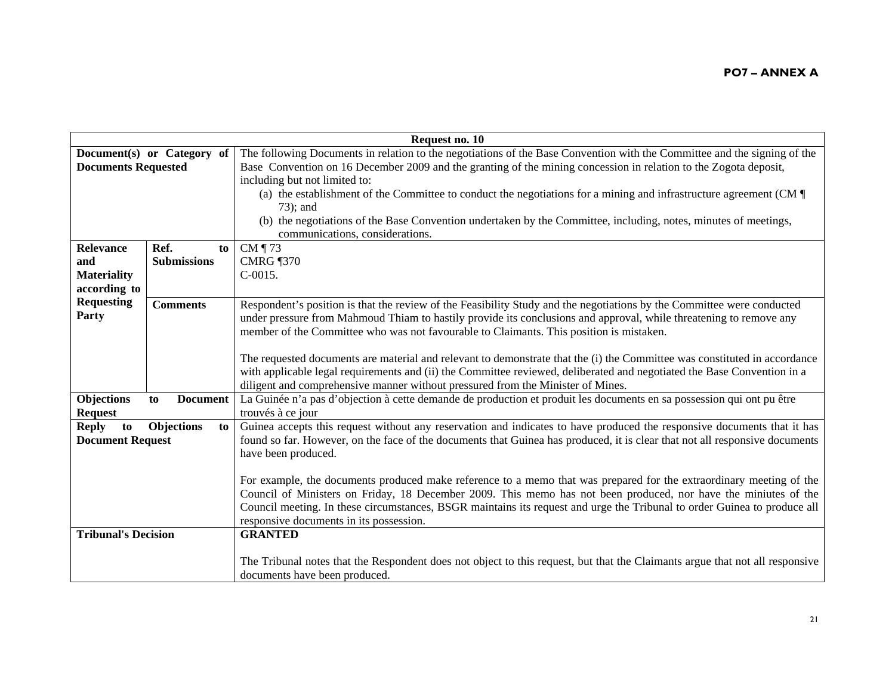| Request no. 10             |                       |                                                                                                                              |
|----------------------------|-----------------------|------------------------------------------------------------------------------------------------------------------------------|
| Document(s) or Category of |                       | The following Documents in relation to the negotiations of the Base Convention with the Committee and the signing of the     |
| <b>Documents Requested</b> |                       | Base Convention on 16 December 2009 and the granting of the mining concession in relation to the Zogota deposit,             |
|                            |                       | including but not limited to:                                                                                                |
|                            |                       | (a) the establishment of the Committee to conduct the negotiations for a mining and infrastructure agreement (CM $\parallel$ |
|                            |                       | 73); and                                                                                                                     |
|                            |                       | (b) the negotiations of the Base Convention undertaken by the Committee, including, notes, minutes of meetings,              |
|                            |                       | communications, considerations.                                                                                              |
| Relevance                  | Ref.<br>to            | CM $\P$ 73                                                                                                                   |
| and                        | <b>Submissions</b>    | <b>CMRG</b> 1370                                                                                                             |
| <b>Materiality</b>         |                       | $C-0015.$                                                                                                                    |
| according to               |                       |                                                                                                                              |
| <b>Requesting</b>          | <b>Comments</b>       | Respondent's position is that the review of the Feasibility Study and the negotiations by the Committee were conducted       |
| Party                      |                       | under pressure from Mahmoud Thiam to hastily provide its conclusions and approval, while threatening to remove any           |
|                            |                       | member of the Committee who was not favourable to Claimants. This position is mistaken.                                      |
|                            |                       |                                                                                                                              |
|                            |                       | The requested documents are material and relevant to demonstrate that the (i) the Committee was constituted in accordance    |
|                            |                       | with applicable legal requirements and (ii) the Committee reviewed, deliberated and negotiated the Base Convention in a      |
|                            |                       | diligent and comprehensive manner without pressured from the Minister of Mines.                                              |
| Objections                 | <b>Document</b><br>to | La Guinée n'a pas d'objection à cette demande de production et produit les documents en sa possession qui ont pu être        |
| <b>Request</b>             |                       | trouvés à ce jour                                                                                                            |
| <b>Reply</b><br>to         | Objections<br>to      | Guinea accepts this request without any reservation and indicates to have produced the responsive documents that it has      |
| <b>Document Request</b>    |                       | found so far. However, on the face of the documents that Guinea has produced, it is clear that not all responsive documents  |
|                            |                       | have been produced.                                                                                                          |
|                            |                       |                                                                                                                              |
|                            |                       | For example, the documents produced make reference to a memo that was prepared for the extraordinary meeting of the          |
|                            |                       | Council of Ministers on Friday, 18 December 2009. This memo has not been produced, nor have the miniutes of the              |
|                            |                       | Council meeting. In these circumstances, BSGR maintains its request and urge the Tribunal to order Guinea to produce all     |
|                            |                       | responsive documents in its possession.                                                                                      |
| <b>Tribunal's Decision</b> |                       | <b>GRANTED</b>                                                                                                               |
|                            |                       |                                                                                                                              |
|                            |                       | The Tribunal notes that the Respondent does not object to this request, but that the Claimants argue that not all responsive |
|                            |                       | documents have been produced.                                                                                                |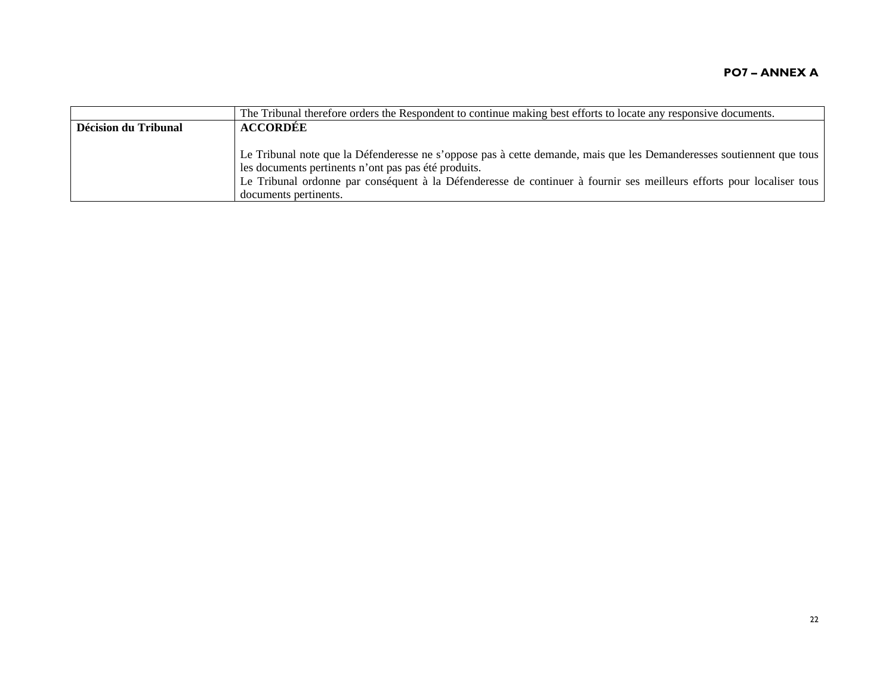|                      | The Tribunal therefore orders the Respondent to continue making best efforts to locate any responsive documents.      |
|----------------------|-----------------------------------------------------------------------------------------------------------------------|
| Décision du Tribunal | <b>ACCORDÉE</b>                                                                                                       |
|                      |                                                                                                                       |
|                      | Le Tribunal note que la Défenderesse ne s'oppose pas à cette demande, mais que les Demanderesses soutiennent que tous |
|                      | les documents pertinents n'ont pas pas été produits.                                                                  |
|                      | Le Tribunal ordonne par conséquent à la Défenderesse de continuer à fournir ses meilleurs efforts pour localiser tous |
|                      | documents pertinents.                                                                                                 |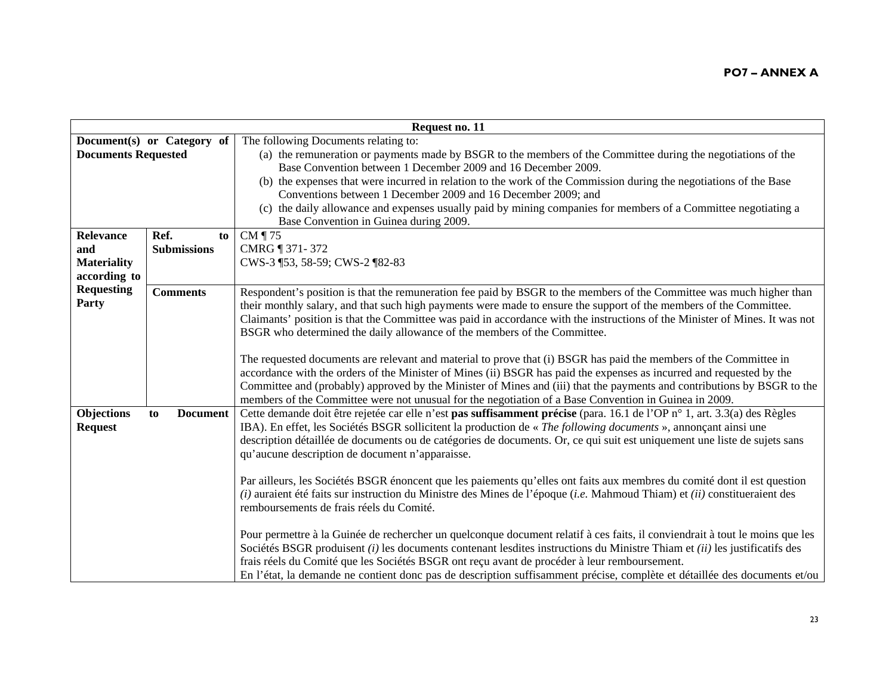|                            | Request no. 11             |                                                                                                                              |  |
|----------------------------|----------------------------|------------------------------------------------------------------------------------------------------------------------------|--|
|                            | Document(s) or Category of | The following Documents relating to:                                                                                         |  |
| <b>Documents Requested</b> |                            | (a) the remuneration or payments made by BSGR to the members of the Committee during the negotiations of the                 |  |
|                            |                            | Base Convention between 1 December 2009 and 16 December 2009.                                                                |  |
|                            |                            | (b) the expenses that were incurred in relation to the work of the Commission during the negotiations of the Base            |  |
|                            |                            | Conventions between 1 December 2009 and 16 December 2009; and                                                                |  |
|                            |                            | (c) the daily allowance and expenses usually paid by mining companies for members of a Committee negotiating a               |  |
|                            |                            | Base Convention in Guinea during 2009.                                                                                       |  |
| Relevance                  | Ref.<br>to                 | CM ¶ 75                                                                                                                      |  |
| and                        | <b>Submissions</b>         | CMRG ¶ 371-372                                                                                                               |  |
| <b>Materiality</b>         |                            | CWS-3 ¶53, 58-59; CWS-2 ¶82-83                                                                                               |  |
| according to               |                            |                                                                                                                              |  |
| <b>Requesting</b>          | <b>Comments</b>            | Respondent's position is that the remuneration fee paid by BSGR to the members of the Committee was much higher than         |  |
| Party                      |                            | their monthly salary, and that such high payments were made to ensure the support of the members of the Committee.           |  |
|                            |                            | Claimants' position is that the Committee was paid in accordance with the instructions of the Minister of Mines. It was not  |  |
|                            |                            | BSGR who determined the daily allowance of the members of the Committee.                                                     |  |
|                            |                            |                                                                                                                              |  |
|                            |                            | The requested documents are relevant and material to prove that (i) BSGR has paid the members of the Committee in            |  |
|                            |                            | accordance with the orders of the Minister of Mines (ii) BSGR has paid the expenses as incurred and requested by the         |  |
|                            |                            | Committee and (probably) approved by the Minister of Mines and (iii) that the payments and contributions by BSGR to the      |  |
|                            |                            | members of the Committee were not unusual for the negotiation of a Base Convention in Guinea in 2009.                        |  |
| Objections                 | <b>Document</b><br>to      | Cette demande doit être rejetée car elle n'est pas suffisamment précise (para. 16.1 de l'OP n° 1, art. 3.3(a) des Règles     |  |
| <b>Request</b>             |                            | IBA). En effet, les Sociétés BSGR sollicitent la production de « The following documents », annonçant ainsi une              |  |
|                            |                            | description détaillée de documents ou de catégories de documents. Or, ce qui suit est uniquement une liste de sujets sans    |  |
|                            |                            | qu'aucune description de document n'apparaisse.                                                                              |  |
|                            |                            |                                                                                                                              |  |
|                            |                            | Par ailleurs, les Sociétés BSGR énoncent que les paiements qu'elles ont faits aux membres du comité dont il est question     |  |
|                            |                            | (i) auraient été faits sur instruction du Ministre des Mines de l'époque (i.e. Mahmoud Thiam) et (ii) constitueraient des    |  |
|                            |                            | remboursements de frais réels du Comité.                                                                                     |  |
|                            |                            |                                                                                                                              |  |
|                            |                            | Pour permettre à la Guinée de rechercher un quelconque document relatif à ces faits, il conviendrait à tout le moins que les |  |
|                            |                            | Sociétés BSGR produisent (i) les documents contenant lesdites instructions du Ministre Thiam et (ii) les justificatifs des   |  |
|                            |                            | frais réels du Comité que les Sociétés BSGR ont reçu avant de procéder à leur remboursement.                                 |  |
|                            |                            | En l'état, la demande ne contient donc pas de description suffisamment précise, complète et détaillée des documents et/ou    |  |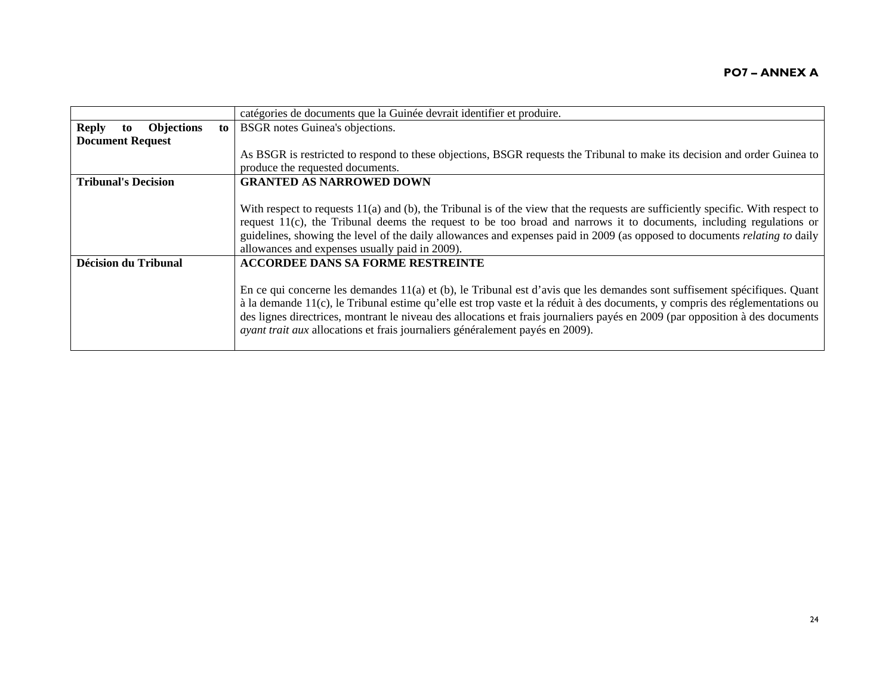|                                         |       | catégories de documents que la Guinée devrait identifier et produire.                                                              |
|-----------------------------------------|-------|------------------------------------------------------------------------------------------------------------------------------------|
| <b>Reply</b><br><b>Objections</b><br>to | to to | BSGR notes Guinea's objections.                                                                                                    |
| <b>Document Request</b>                 |       |                                                                                                                                    |
|                                         |       | As BSGR is restricted to respond to these objections, BSGR requests the Tribunal to make its decision and order Guinea to          |
|                                         |       | produce the requested documents.                                                                                                   |
| <b>Tribunal's Decision</b>              |       | <b>GRANTED AS NARROWED DOWN</b>                                                                                                    |
|                                         |       |                                                                                                                                    |
|                                         |       | With respect to requests $11(a)$ and (b), the Tribunal is of the view that the requests are sufficiently specific. With respect to |
|                                         |       | request $11(c)$ , the Tribunal deems the request to be too broad and narrows it to documents, including regulations or             |
|                                         |       | guidelines, showing the level of the daily allowances and expenses paid in 2009 (as opposed to documents <i>relating to</i> daily  |
|                                         |       | allowances and expenses usually paid in 2009).                                                                                     |
| Décision du Tribunal                    |       | <b>ACCORDEE DANS SA FORME RESTREINTE</b>                                                                                           |
|                                         |       |                                                                                                                                    |
|                                         |       | En ce qui concerne les demandes 11(a) et (b), le Tribunal est d'avis que les demandes sont suffisement spécifiques. Quant          |
|                                         |       | à la demande 11(c), le Tribunal estime qu'elle est trop vaste et la réduit à des documents, y compris des réglementations ou       |
|                                         |       | des lignes directrices, montrant le niveau des allocations et frais journaliers payés en 2009 (par opposition à des documents      |
|                                         |       | <i>ayant trait aux allocations et frais journaliers généralement payés en 2009).</i>                                               |
|                                         |       |                                                                                                                                    |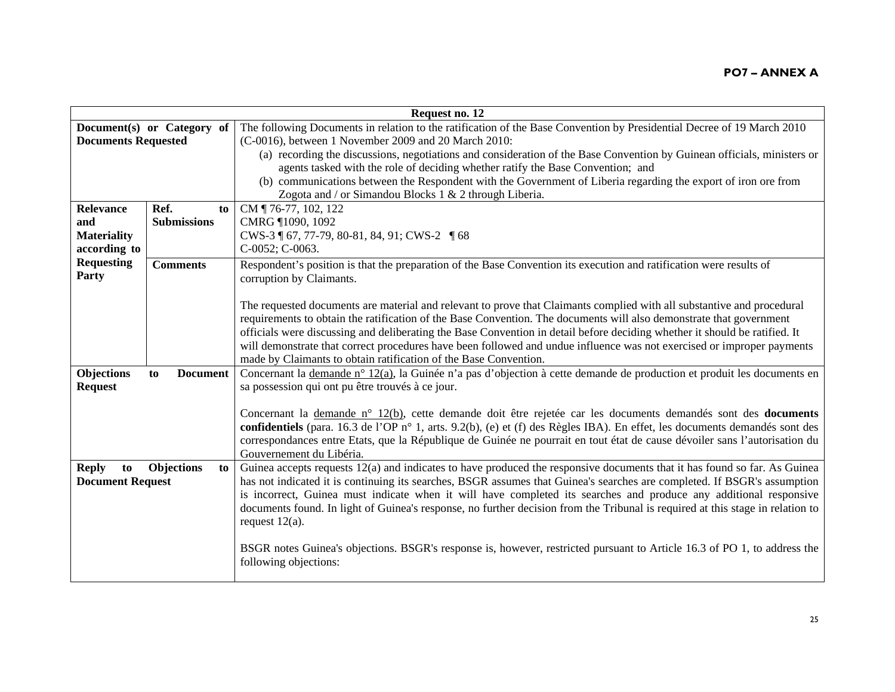|                            |                            | Request no. 12                                                                                                                                  |
|----------------------------|----------------------------|-------------------------------------------------------------------------------------------------------------------------------------------------|
|                            | Document(s) or Category of | The following Documents in relation to the ratification of the Base Convention by Presidential Decree of 19 March 2010                          |
| <b>Documents Requested</b> |                            | (C-0016), between 1 November 2009 and 20 March 2010:                                                                                            |
|                            |                            | (a) recording the discussions, negotiations and consideration of the Base Convention by Guinean officials, ministers or                         |
|                            |                            | agents tasked with the role of deciding whether ratify the Base Convention; and                                                                 |
|                            |                            | (b) communications between the Respondent with the Government of Liberia regarding the export of iron ore from                                  |
|                            |                            | Zogota and / or Simandou Blocks 1 & 2 through Liberia.                                                                                          |
| <b>Relevance</b>           | Ref.<br>to                 | CM ¶ 76-77, 102, 122                                                                                                                            |
| and                        | <b>Submissions</b>         | CMRG ¶1090, 1092                                                                                                                                |
| <b>Materiality</b>         |                            | CWS-3 ¶ 67, 77-79, 80-81, 84, 91; CWS-2 ¶ 68                                                                                                    |
| according to               |                            | C-0052; C-0063.                                                                                                                                 |
| <b>Requesting</b><br>Party | <b>Comments</b>            | Respondent's position is that the preparation of the Base Convention its execution and ratification were results of<br>corruption by Claimants. |
|                            |                            |                                                                                                                                                 |
|                            |                            | The requested documents are material and relevant to prove that Claimants complied with all substantive and procedural                          |
|                            |                            | requirements to obtain the ratification of the Base Convention. The documents will also demonstrate that government                             |
|                            |                            | officials were discussing and deliberating the Base Convention in detail before deciding whether it should be ratified. It                      |
|                            |                            | will demonstrate that correct procedures have been followed and undue influence was not exercised or improper payments                          |
|                            |                            | made by Claimants to obtain ratification of the Base Convention.                                                                                |
| Objections                 | <b>Document</b><br>to      | Concernant la demande n° 12(a), la Guinée n'a pas d'objection à cette demande de production et produit les documents en                         |
| <b>Request</b>             |                            | sa possession qui ont pu être trouvés à ce jour.                                                                                                |
|                            |                            |                                                                                                                                                 |
|                            |                            | Concernant la demande n° 12(b), cette demande doit être rejetée car les documents demandés sont des documents                                   |
|                            |                            | confidentiels (para. 16.3 de l'OP n° 1, arts. 9.2(b), (e) et (f) des Règles IBA). En effet, les documents demandés sont des                     |
|                            |                            | correspondances entre Etats, que la République de Guinée ne pourrait en tout état de cause dévoiler sans l'autorisation du                      |
|                            |                            | Gouvernement du Libéria.                                                                                                                        |
| <b>Reply</b><br>to         | Objections<br>to           | Guinea accepts requests 12(a) and indicates to have produced the responsive documents that it has found so far. As Guinea                       |
| <b>Document Request</b>    |                            | has not indicated it is continuing its searches, BSGR assumes that Guinea's searches are completed. If BSGR's assumption                        |
|                            |                            | is incorrect, Guinea must indicate when it will have completed its searches and produce any additional responsive                               |
|                            |                            | documents found. In light of Guinea's response, no further decision from the Tribunal is required at this stage in relation to                  |
|                            |                            | request $12(a)$ .                                                                                                                               |
|                            |                            |                                                                                                                                                 |
|                            |                            | BSGR notes Guinea's objections. BSGR's response is, however, restricted pursuant to Article 16.3 of PO 1, to address the                        |
|                            |                            | following objections:                                                                                                                           |
|                            |                            |                                                                                                                                                 |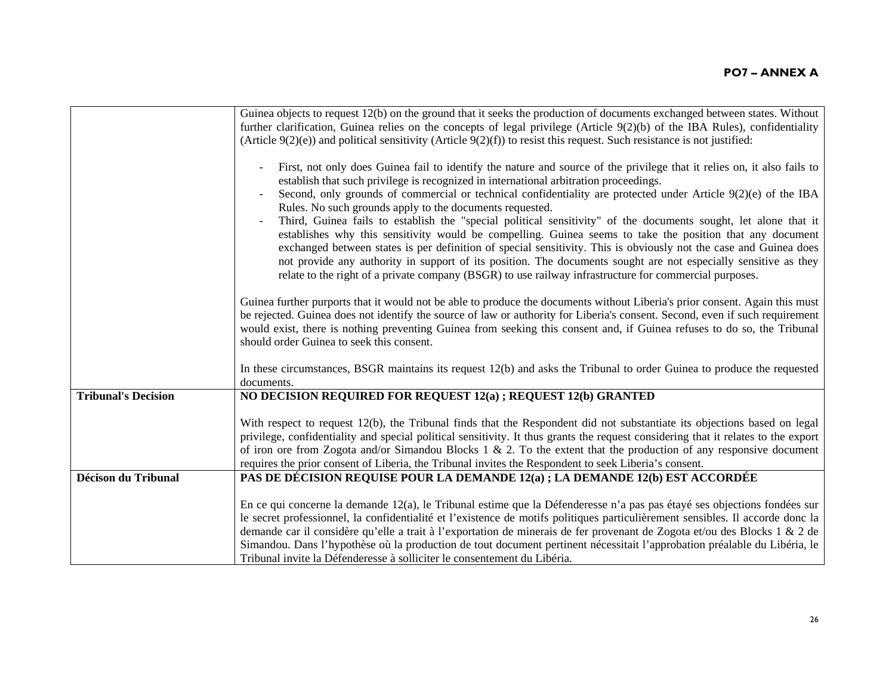|                            | Guinea objects to request 12(b) on the ground that it seeks the production of documents exchanged between states. Without<br>further clarification, Guinea relies on the concepts of legal privilege (Article 9(2)(b) of the IBA Rules), confidentiality                                                                                                                                                                                                                                                                                                                                                                         |
|----------------------------|----------------------------------------------------------------------------------------------------------------------------------------------------------------------------------------------------------------------------------------------------------------------------------------------------------------------------------------------------------------------------------------------------------------------------------------------------------------------------------------------------------------------------------------------------------------------------------------------------------------------------------|
|                            | (Article $9(2)(e)$ ) and political sensitivity (Article $9(2)(f)$ ) to resist this request. Such resistance is not justified:                                                                                                                                                                                                                                                                                                                                                                                                                                                                                                    |
|                            | First, not only does Guinea fail to identify the nature and source of the privilege that it relies on, it also fails to<br>establish that such privilege is recognized in international arbitration proceedings.<br>Second, only grounds of commercial or technical confidentiality are protected under Article $9(2)(e)$ of the IBA<br>Rules. No such grounds apply to the documents requested.<br>Third, Guinea fails to establish the "special political sensitivity" of the documents sought, let alone that it<br>establishes why this sensitivity would be compelling. Guinea seems to take the position that any document |
|                            | exchanged between states is per definition of special sensitivity. This is obviously not the case and Guinea does<br>not provide any authority in support of its position. The documents sought are not especially sensitive as they<br>relate to the right of a private company (BSGR) to use railway infrastructure for commercial purposes.                                                                                                                                                                                                                                                                                   |
|                            | Guinea further purports that it would not be able to produce the documents without Liberia's prior consent. Again this must<br>be rejected. Guinea does not identify the source of law or authority for Liberia's consent. Second, even if such requirement<br>would exist, there is nothing preventing Guinea from seeking this consent and, if Guinea refuses to do so, the Tribunal<br>should order Guinea to seek this consent.                                                                                                                                                                                              |
|                            | In these circumstances, BSGR maintains its request 12(b) and asks the Tribunal to order Guinea to produce the requested<br>documents.                                                                                                                                                                                                                                                                                                                                                                                                                                                                                            |
| <b>Tribunal's Decision</b> | NO DECISION REQUIRED FOR REQUEST 12(a); REQUEST 12(b) GRANTED                                                                                                                                                                                                                                                                                                                                                                                                                                                                                                                                                                    |
|                            | With respect to request 12(b), the Tribunal finds that the Respondent did not substantiate its objections based on legal<br>privilege, confidentiality and special political sensitivity. It thus grants the request considering that it relates to the export<br>of iron ore from Zogota and/or Simandou Blocks $1 \& 2$ . To the extent that the production of any responsive document<br>requires the prior consent of Liberia, the Tribunal invites the Respondent to seek Liberia's consent.                                                                                                                                |
| Décison du Tribunal        | PAS DE DÉCISION REQUISE POUR LA DEMANDE 12(a); LA DEMANDE 12(b) EST ACCORDÉE                                                                                                                                                                                                                                                                                                                                                                                                                                                                                                                                                     |
|                            | En ce qui concerne la demande 12(a), le Tribunal estime que la Défenderesse n'a pas pas étayé ses objections fondées sur<br>le secret professionnel, la confidentialité et l'existence de motifs politiques particulièrement sensibles. Il accorde donc la<br>demande car il considère qu'elle a trait à l'exportation de minerais de fer provenant de Zogota et/ou des Blocks 1 & 2 de<br>Simandou. Dans l'hypothèse où la production de tout document pertinent nécessitait l'approbation préalable du Libéria, le<br>Tribunal invite la Défenderesse à solliciter le consentement du Libéria.                                 |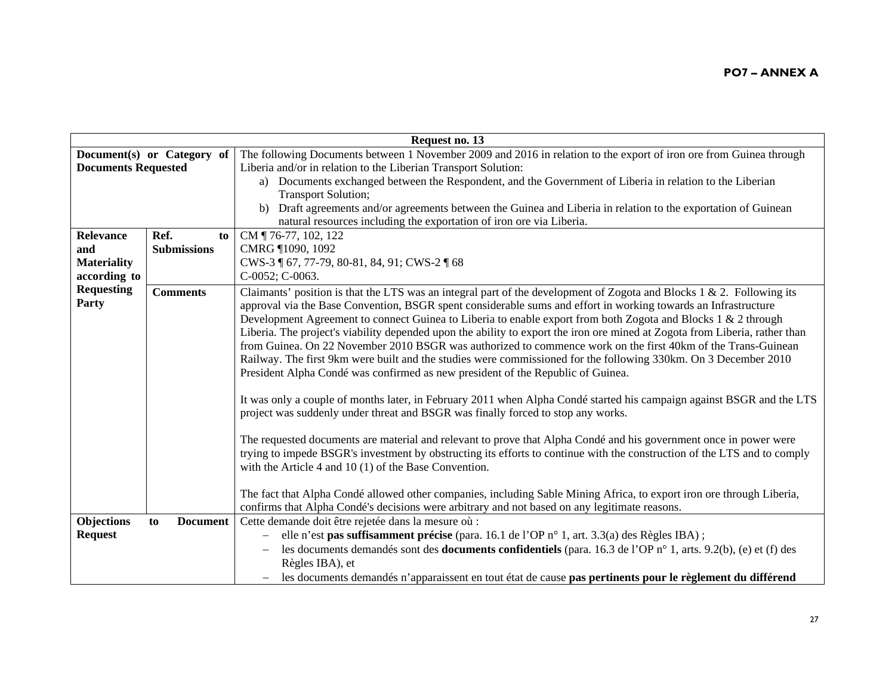| Request no. 13             |                       |                                                                                                                             |
|----------------------------|-----------------------|-----------------------------------------------------------------------------------------------------------------------------|
| Document(s) or Category of |                       | The following Documents between 1 November 2009 and 2016 in relation to the export of iron ore from Guinea through          |
| <b>Documents Requested</b> |                       | Liberia and/or in relation to the Liberian Transport Solution:                                                              |
|                            |                       | a) Documents exchanged between the Respondent, and the Government of Liberia in relation to the Liberian                    |
|                            |                       | <b>Transport Solution;</b>                                                                                                  |
|                            |                       | Draft agreements and/or agreements between the Guinea and Liberia in relation to the exportation of Guinean<br>b)           |
|                            |                       | natural resources including the exportation of iron ore via Liberia.                                                        |
| <b>Relevance</b>           | Ref.                  | CM ¶ 76-77, 102, 122<br>to                                                                                                  |
| and                        | <b>Submissions</b>    | CMRG ¶1090, 1092                                                                                                            |
| <b>Materiality</b>         |                       | CWS-3 ¶ 67, 77-79, 80-81, 84, 91; CWS-2 ¶ 68                                                                                |
| according to               |                       | C-0052; C-0063.                                                                                                             |
| <b>Requesting</b>          | <b>Comments</b>       | Claimants' position is that the LTS was an integral part of the development of Zogota and Blocks 1 & 2. Following its       |
| Party                      |                       | approval via the Base Convention, BSGR spent considerable sums and effort in working towards an Infrastructure              |
|                            |                       | Development Agreement to connect Guinea to Liberia to enable export from both Zogota and Blocks 1 & 2 through               |
|                            |                       | Liberia. The project's viability depended upon the ability to export the iron ore mined at Zogota from Liberia, rather than |
|                            |                       | from Guinea. On 22 November 2010 BSGR was authorized to commence work on the first 40km of the Trans-Guinean                |
|                            |                       | Railway. The first 9km were built and the studies were commissioned for the following 330km. On 3 December 2010             |
|                            |                       | President Alpha Condé was confirmed as new president of the Republic of Guinea.                                             |
|                            |                       |                                                                                                                             |
|                            |                       | It was only a couple of months later, in February 2011 when Alpha Condé started his campaign against BSGR and the LTS       |
|                            |                       | project was suddenly under threat and BSGR was finally forced to stop any works.                                            |
|                            |                       |                                                                                                                             |
|                            |                       | The requested documents are material and relevant to prove that Alpha Condé and his government once in power were           |
|                            |                       | trying to impede BSGR's investment by obstructing its efforts to continue with the construction of the LTS and to comply    |
|                            |                       | with the Article 4 and $10(1)$ of the Base Convention.                                                                      |
|                            |                       |                                                                                                                             |
|                            |                       | The fact that Alpha Condé allowed other companies, including Sable Mining Africa, to export iron ore through Liberia,       |
|                            |                       | confirms that Alpha Condé's decisions were arbitrary and not based on any legitimate reasons.                               |
| Objections                 | <b>Document</b><br>to | Cette demande doit être rejetée dans la mesure où :                                                                         |
| <b>Request</b>             |                       | elle n'est pas suffisamment précise (para. 16.1 de l'OP n° 1, art. 3.3(a) des Règles IBA);                                  |
|                            |                       | les documents demandés sont des <b>documents confidentiels</b> (para. 16.3 de l'OP n° 1, arts. 9.2(b), (e) et (f) des       |
|                            |                       | Règles IBA), et                                                                                                             |
|                            |                       | les documents demandés n'apparaissent en tout état de cause pas pertinents pour le règlement du différend                   |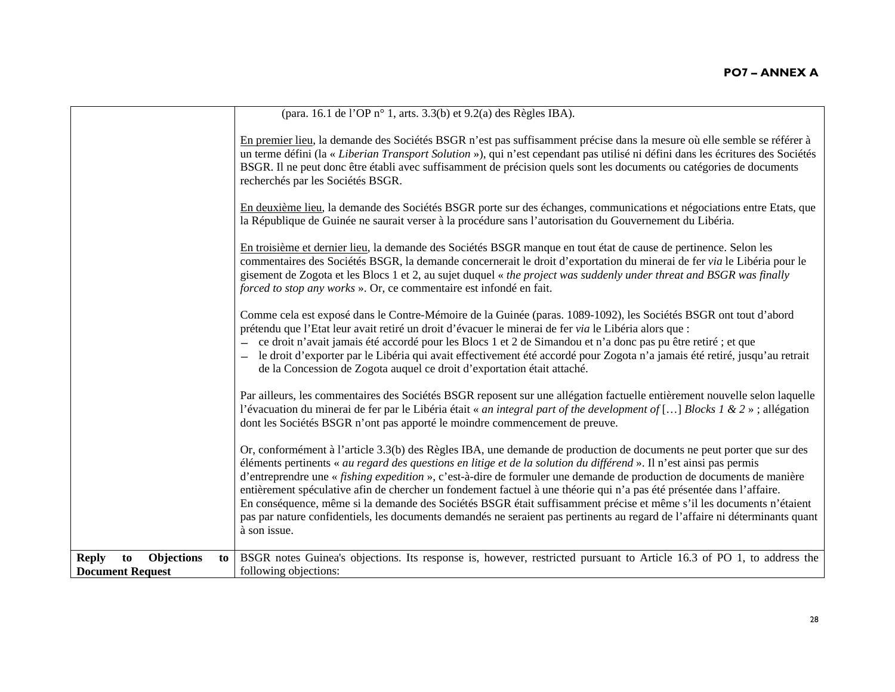| (para. 16.1 de l'OP n° 1, arts. 3.3(b) et 9.2(a) des Règles IBA).                                                                                                                                                                                                                                                                                                                                                                                                                                                                                                                                                                                                                                                                                                      |
|------------------------------------------------------------------------------------------------------------------------------------------------------------------------------------------------------------------------------------------------------------------------------------------------------------------------------------------------------------------------------------------------------------------------------------------------------------------------------------------------------------------------------------------------------------------------------------------------------------------------------------------------------------------------------------------------------------------------------------------------------------------------|
|                                                                                                                                                                                                                                                                                                                                                                                                                                                                                                                                                                                                                                                                                                                                                                        |
| En premier lieu, la demande des Sociétés BSGR n'est pas suffisamment précise dans la mesure où elle semble se référer à<br>un terme défini (la « Liberian Transport Solution »), qui n'est cependant pas utilisé ni défini dans les écritures des Sociétés<br>BSGR. Il ne peut donc être établi avec suffisamment de précision quels sont les documents ou catégories de documents<br>recherchés par les Sociétés BSGR.                                                                                                                                                                                                                                                                                                                                                |
| En deuxième lieu, la demande des Sociétés BSGR porte sur des échanges, communications et négociations entre Etats, que<br>la République de Guinée ne saurait verser à la procédure sans l'autorisation du Gouvernement du Libéria.                                                                                                                                                                                                                                                                                                                                                                                                                                                                                                                                     |
| En troisième et dernier lieu, la demande des Sociétés BSGR manque en tout état de cause de pertinence. Selon les<br>commentaires des Sociétés BSGR, la demande concernerait le droit d'exportation du minerai de fer via le Libéria pour le<br>gisement de Zogota et les Blocs 1 et 2, au sujet duquel « the project was suddenly under threat and BSGR was finally<br>forced to stop any works ». Or, ce commentaire est infondé en fait.                                                                                                                                                                                                                                                                                                                             |
| Comme cela est exposé dans le Contre-Mémoire de la Guinée (paras. 1089-1092), les Sociétés BSGR ont tout d'abord<br>prétendu que l'Etat leur avait retiré un droit d'évacuer le minerai de fer via le Libéria alors que :<br>ce droit n'avait jamais été accordé pour les Blocs 1 et 2 de Simandou et n'a donc pas pu être retiré ; et que<br>le droit d'exporter par le Libéria qui avait effectivement été accordé pour Zogota n'a jamais été retiré, jusqu'au retrait<br>de la Concession de Zogota auquel ce droit d'exportation était attaché.                                                                                                                                                                                                                    |
| Par ailleurs, les commentaires des Sociétés BSGR reposent sur une allégation factuelle entièrement nouvelle selon laquelle<br>l'évacuation du minerai de fer par le Libéria était « an integral part of the development of [] Blocks 1 & 2 »; allégation<br>dont les Sociétés BSGR n'ont pas apporté le moindre commencement de preuve.                                                                                                                                                                                                                                                                                                                                                                                                                                |
| Or, conformément à l'article 3.3(b) des Règles IBA, une demande de production de documents ne peut porter que sur des<br>éléments pertinents « au regard des questions en litige et de la solution du différend ». Il n'est ainsi pas permis<br>d'entreprendre une « fishing expedition », c'est-à-dire de formuler une demande de production de documents de manière<br>entièrement spéculative afin de chercher un fondement factuel à une théorie qui n'a pas été présentée dans l'affaire.<br>En conséquence, même si la demande des Sociétés BSGR était suffisamment précise et même s'il les documents n'étaient<br>pas par nature confidentiels, les documents demandés ne seraient pas pertinents au regard de l'affaire ni déterminants quant<br>à son issue. |
| BSGR notes Guinea's objections. Its response is, however, restricted pursuant to Article 16.3 of PO 1, to address the<br><b>Objections</b><br><b>Reply</b><br>to<br>to                                                                                                                                                                                                                                                                                                                                                                                                                                                                                                                                                                                                 |
| following objections:<br><b>Document Request</b>                                                                                                                                                                                                                                                                                                                                                                                                                                                                                                                                                                                                                                                                                                                       |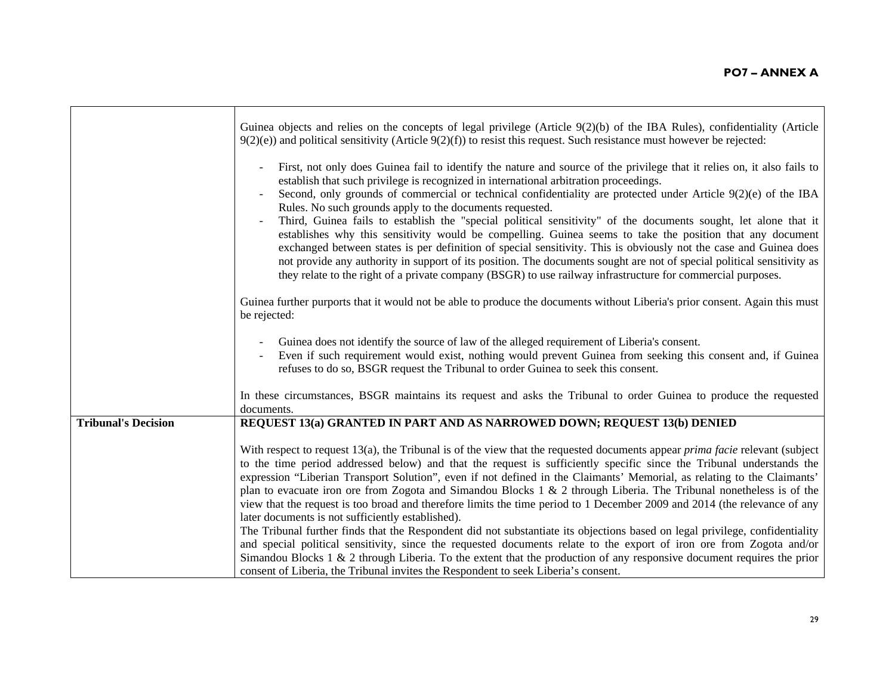|                            | Guinea objects and relies on the concepts of legal privilege (Article $9(2)(b)$ ) of the IBA Rules), confidentiality (Article<br>$9(2)(e)$ and political sensitivity (Article $9(2)(f)$ ) to resist this request. Such resistance must however be rejected:                                                                                                                                                                                                                                                                                                                                                                                                                                                                                                                                                                                                                                                                                                                                  |
|----------------------------|----------------------------------------------------------------------------------------------------------------------------------------------------------------------------------------------------------------------------------------------------------------------------------------------------------------------------------------------------------------------------------------------------------------------------------------------------------------------------------------------------------------------------------------------------------------------------------------------------------------------------------------------------------------------------------------------------------------------------------------------------------------------------------------------------------------------------------------------------------------------------------------------------------------------------------------------------------------------------------------------|
|                            | First, not only does Guinea fail to identify the nature and source of the privilege that it relies on, it also fails to<br>establish that such privilege is recognized in international arbitration proceedings.<br>Second, only grounds of commercial or technical confidentiality are protected under Article 9(2)(e) of the IBA<br>Rules. No such grounds apply to the documents requested.<br>Third, Guinea fails to establish the "special political sensitivity" of the documents sought, let alone that it<br>establishes why this sensitivity would be compelling. Guinea seems to take the position that any document<br>exchanged between states is per definition of special sensitivity. This is obviously not the case and Guinea does<br>not provide any authority in support of its position. The documents sought are not of special political sensitivity as<br>they relate to the right of a private company (BSGR) to use railway infrastructure for commercial purposes. |
|                            | Guinea further purports that it would not be able to produce the documents without Liberia's prior consent. Again this must<br>be rejected:                                                                                                                                                                                                                                                                                                                                                                                                                                                                                                                                                                                                                                                                                                                                                                                                                                                  |
|                            | Guinea does not identify the source of law of the alleged requirement of Liberia's consent.<br>Even if such requirement would exist, nothing would prevent Guinea from seeking this consent and, if Guinea<br>refuses to do so, BSGR request the Tribunal to order Guinea to seek this consent.                                                                                                                                                                                                                                                                                                                                                                                                                                                                                                                                                                                                                                                                                              |
|                            | In these circumstances, BSGR maintains its request and asks the Tribunal to order Guinea to produce the requested<br>documents.                                                                                                                                                                                                                                                                                                                                                                                                                                                                                                                                                                                                                                                                                                                                                                                                                                                              |
| <b>Tribunal's Decision</b> | REQUEST 13(a) GRANTED IN PART AND AS NARROWED DOWN; REQUEST 13(b) DENIED                                                                                                                                                                                                                                                                                                                                                                                                                                                                                                                                                                                                                                                                                                                                                                                                                                                                                                                     |
|                            | With respect to request 13(a), the Tribunal is of the view that the requested documents appear <i>prima facie</i> relevant (subject<br>to the time period addressed below) and that the request is sufficiently specific since the Tribunal understands the<br>expression "Liberian Transport Solution", even if not defined in the Claimants' Memorial, as relating to the Claimants'<br>plan to evacuate iron ore from Zogota and Simandou Blocks $1 \& 2$ through Liberia. The Tribunal nonetheless is of the<br>view that the request is too broad and therefore limits the time period to 1 December 2009 and 2014 (the relevance of any<br>later documents is not sufficiently established).                                                                                                                                                                                                                                                                                           |
|                            | The Tribunal further finds that the Respondent did not substantiate its objections based on legal privilege, confidentiality<br>and special political sensitivity, since the requested documents relate to the export of iron ore from Zogota and/or<br>Simandou Blocks $1 \& 2$ through Liberia. To the extent that the production of any responsive document requires the prior<br>consent of Liberia, the Tribunal invites the Respondent to seek Liberia's consent.                                                                                                                                                                                                                                                                                                                                                                                                                                                                                                                      |

 $\blacksquare$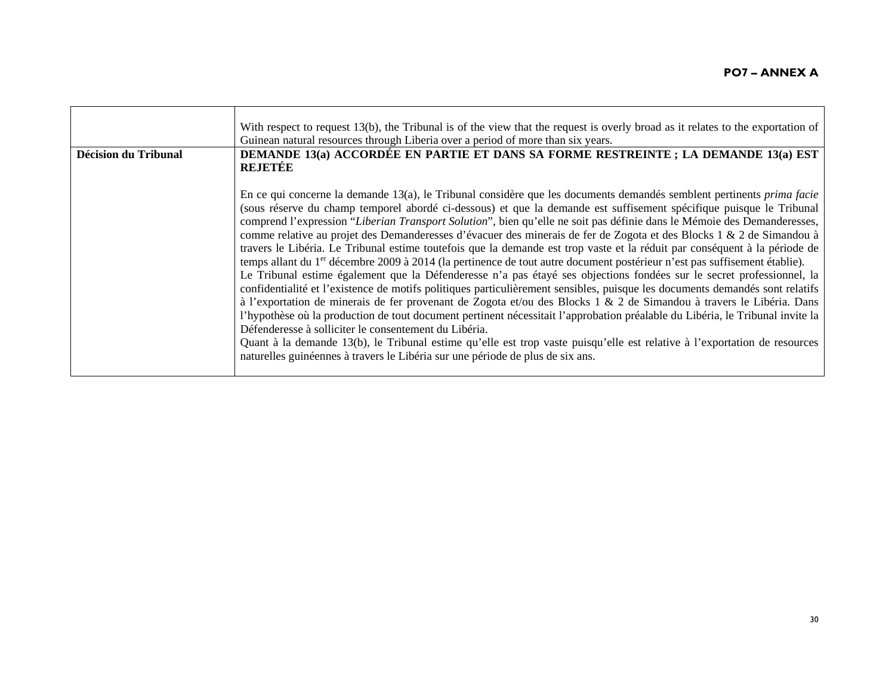| Décision du Tribunal | With respect to request 13(b), the Tribunal is of the view that the request is overly broad as it relates to the exportation of<br>Guinean natural resources through Liberia over a period of more than six years.<br>DEMANDE 13(a) ACCORDÉE EN PARTIE ET DANS SA FORME RESTREINTE; LA DEMANDE 13(a) EST<br><b>REJETÉE</b>                                                                                                                                                                                                                                                                                                                                                                                                                                                                                                                                                                                                                                                                                                                                                                                                                                                                                                                                                                                                                                                                                                                                                                                                                                                 |
|----------------------|----------------------------------------------------------------------------------------------------------------------------------------------------------------------------------------------------------------------------------------------------------------------------------------------------------------------------------------------------------------------------------------------------------------------------------------------------------------------------------------------------------------------------------------------------------------------------------------------------------------------------------------------------------------------------------------------------------------------------------------------------------------------------------------------------------------------------------------------------------------------------------------------------------------------------------------------------------------------------------------------------------------------------------------------------------------------------------------------------------------------------------------------------------------------------------------------------------------------------------------------------------------------------------------------------------------------------------------------------------------------------------------------------------------------------------------------------------------------------------------------------------------------------------------------------------------------------|
|                      | En ce qui concerne la demande $13(a)$ , le Tribunal considère que les documents demandés semblent pertinents <i>prima facie</i><br>(sous réserve du champ temporel abordé ci-dessous) et que la demande est suffisement spécifique puisque le Tribunal<br>comprend l'expression "Liberian Transport Solution", bien qu'elle ne soit pas définie dans le Mémoie des Demanderesses,<br>comme relative au projet des Demanderesses d'évacuer des minerais de fer de Zogota et des Blocks 1 & 2 de Simandou à<br>travers le Libéria. Le Tribunal estime toutefois que la demande est trop vaste et la réduit par conséquent à la période de<br>temps allant du 1 <sup>er</sup> décembre 2009 à 2014 (la pertinence de tout autre document postérieur n'est pas suffisement établie).<br>Le Tribunal estime également que la Défenderesse n'a pas étayé ses objections fondées sur le secret professionnel, la<br>confidentialité et l'existence de motifs politiques particulièrement sensibles, puisque les documents demandés sont relatifs<br>à l'exportation de minerais de fer provenant de Zogota et/ou des Blocks 1 & 2 de Simandou à travers le Libéria. Dans<br>l'hypothèse où la production de tout document pertinent nécessitait l'approbation préalable du Libéria, le Tribunal invite la<br>Défenderesse à solliciter le consentement du Libéria.<br>Quant à la demande 13(b), le Tribunal estime qu'elle est trop vaste puisqu'elle est relative à l'exportation de resources<br>naturelles guinéennes à travers le Libéria sur une période de plus de six ans. |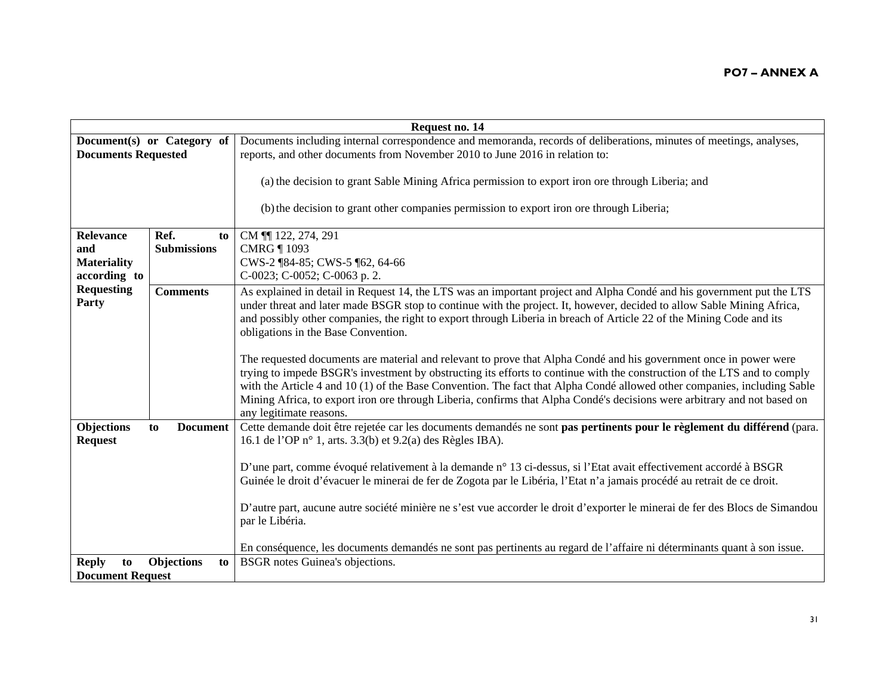| Request no. 14                                |                            |                                                                                                                                                                                                                                                                                                                                                                                                                                                                                                                                  |
|-----------------------------------------------|----------------------------|----------------------------------------------------------------------------------------------------------------------------------------------------------------------------------------------------------------------------------------------------------------------------------------------------------------------------------------------------------------------------------------------------------------------------------------------------------------------------------------------------------------------------------|
| <b>Documents Requested</b>                    | Document(s) or Category of | Documents including internal correspondence and memoranda, records of deliberations, minutes of meetings, analyses,<br>reports, and other documents from November 2010 to June 2016 in relation to:                                                                                                                                                                                                                                                                                                                              |
|                                               |                            | (a) the decision to grant Sable Mining Africa permission to export iron ore through Liberia; and                                                                                                                                                                                                                                                                                                                                                                                                                                 |
|                                               |                            | (b) the decision to grant other companies permission to export iron ore through Liberia;                                                                                                                                                                                                                                                                                                                                                                                                                                         |
| <b>Relevance</b>                              | Ref.<br>to                 | CM 11 122, 274, 291                                                                                                                                                                                                                                                                                                                                                                                                                                                                                                              |
| and                                           | <b>Submissions</b>         | <b>CMRG ¶ 1093</b>                                                                                                                                                                                                                                                                                                                                                                                                                                                                                                               |
| <b>Materiality</b>                            |                            | CWS-2 ¶84-85; CWS-5 ¶62, 64-66                                                                                                                                                                                                                                                                                                                                                                                                                                                                                                   |
| according to                                  |                            | C-0023; C-0052; C-0063 p. 2.                                                                                                                                                                                                                                                                                                                                                                                                                                                                                                     |
| <b>Requesting</b><br>Party                    | <b>Comments</b>            | As explained in detail in Request 14, the LTS was an important project and Alpha Condé and his government put the LTS<br>under threat and later made BSGR stop to continue with the project. It, however, decided to allow Sable Mining Africa,<br>and possibly other companies, the right to export through Liberia in breach of Article 22 of the Mining Code and its<br>obligations in the Base Convention.                                                                                                                   |
|                                               |                            | The requested documents are material and relevant to prove that Alpha Condé and his government once in power were<br>trying to impede BSGR's investment by obstructing its efforts to continue with the construction of the LTS and to comply<br>with the Article 4 and 10 (1) of the Base Convention. The fact that Alpha Condé allowed other companies, including Sable<br>Mining Africa, to export iron ore through Liberia, confirms that Alpha Condé's decisions were arbitrary and not based on<br>any legitimate reasons. |
| Objections<br><b>Request</b>                  | <b>Document</b><br>to      | Cette demande doit être rejetée car les documents demandés ne sont pas pertinents pour le règlement du différend (para.<br>16.1 de l'OP n° 1, arts. 3.3(b) et 9.2(a) des Règles IBA).                                                                                                                                                                                                                                                                                                                                            |
|                                               |                            | D'une part, comme évoqué relativement à la demande n° 13 ci-dessus, si l'Etat avait effectivement accordé à BSGR<br>Guinée le droit d'évacuer le minerai de fer de Zogota par le Libéria, l'Etat n'a jamais procédé au retrait de ce droit.                                                                                                                                                                                                                                                                                      |
|                                               |                            | D'autre part, aucune autre société minière ne s'est vue accorder le droit d'exporter le minerai de fer des Blocs de Simandou<br>par le Libéria.                                                                                                                                                                                                                                                                                                                                                                                  |
|                                               |                            | En conséquence, les documents demandés ne sont pas pertinents au regard de l'affaire ni déterminants quant à son issue.                                                                                                                                                                                                                                                                                                                                                                                                          |
| <b>Reply</b><br>to<br><b>Document Request</b> | <b>Objections</b><br>to    | <b>BSGR</b> notes Guinea's objections.                                                                                                                                                                                                                                                                                                                                                                                                                                                                                           |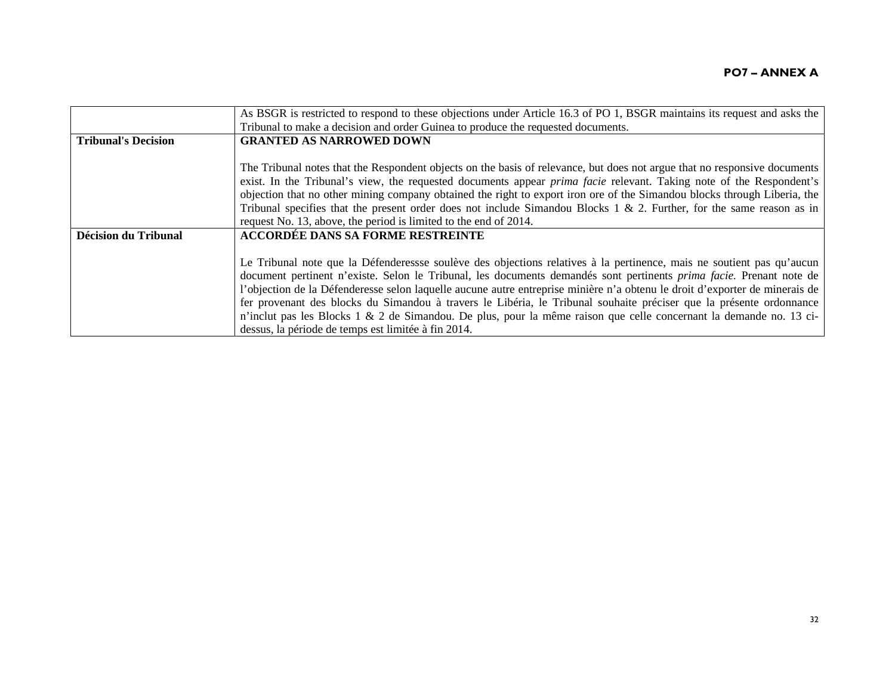|                            | As BSGR is restricted to respond to these objections under Article 16.3 of PO 1, BSGR maintains its request and asks the    |
|----------------------------|-----------------------------------------------------------------------------------------------------------------------------|
|                            | Tribunal to make a decision and order Guinea to produce the requested documents.                                            |
| <b>Tribunal's Decision</b> | <b>GRANTED AS NARROWED DOWN</b>                                                                                             |
|                            |                                                                                                                             |
|                            | The Tribunal notes that the Respondent objects on the basis of relevance, but does not argue that no responsive documents   |
|                            | exist. In the Tribunal's view, the requested documents appear <i>prima facie</i> relevant. Taking note of the Respondent's  |
|                            | objection that no other mining company obtained the right to export iron ore of the Simandou blocks through Liberia, the    |
|                            | Tribunal specifies that the present order does not include Simandou Blocks 1 & 2. Further, for the same reason as in        |
|                            | request No. 13, above, the period is limited to the end of 2014.                                                            |
| Décision du Tribunal       | <b>ACCORDÉE DANS SA FORME RESTREINTE</b>                                                                                    |
|                            |                                                                                                                             |
|                            | Le Tribunal note que la Défenderessse soulève des objections relatives à la pertinence, mais ne soutient pas qu'aucun       |
|                            | document pertinent n'existe. Selon le Tribunal, les documents demandés sont pertinents prima facie. Prenant note de         |
|                            | l'objection de la Défenderesse selon laquelle aucune autre entreprise minière n'a obtenu le droit d'exporter de minerais de |
|                            | fer provenant des blocks du Simandou à travers le Libéria, le Tribunal souhaite préciser que la présente ordonnance         |
|                            | n'inclut pas les Blocks 1 & 2 de Simandou. De plus, pour la même raison que celle concernant la demande no. 13 ci-          |
|                            | dessus, la période de temps est limitée à fin 2014.                                                                         |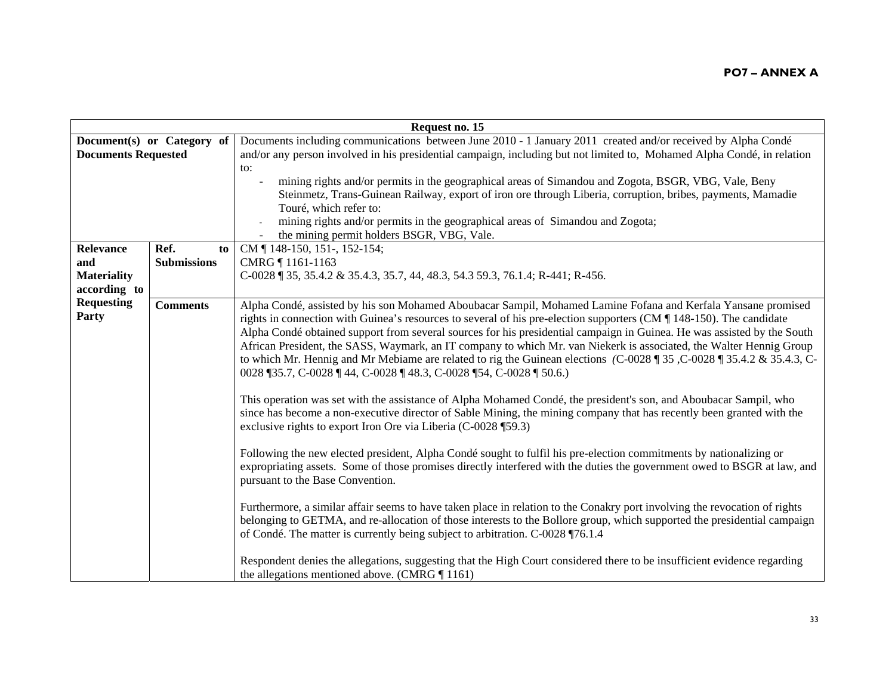|                            | Request no. 15             |                                                                                                                                            |  |
|----------------------------|----------------------------|--------------------------------------------------------------------------------------------------------------------------------------------|--|
|                            | Document(s) or Category of | Documents including communications between June 2010 - 1 January 2011 created and/or received by Alpha Condé                               |  |
| <b>Documents Requested</b> |                            | and/or any person involved in his presidential campaign, including but not limited to, Mohamed Alpha Condé, in relation                    |  |
|                            |                            | to:                                                                                                                                        |  |
|                            |                            | mining rights and/or permits in the geographical areas of Simandou and Zogota, BSGR, VBG, Vale, Beny                                       |  |
|                            |                            | Steinmetz, Trans-Guinean Railway, export of iron ore through Liberia, corruption, bribes, payments, Mamadie                                |  |
|                            |                            | Touré, which refer to:                                                                                                                     |  |
|                            |                            | mining rights and/or permits in the geographical areas of Simandou and Zogota;                                                             |  |
|                            |                            | the mining permit holders BSGR, VBG, Vale.                                                                                                 |  |
| <b>Relevance</b>           | Ref.<br>to                 | CM   148-150, 151-, 152-154;                                                                                                               |  |
| and                        | <b>Submissions</b>         | CMRG 1161-1163                                                                                                                             |  |
| <b>Materiality</b>         |                            | $C$ -0028 $\parallel$ 35, 35.4.2 & 35.4.3, 35.7, 44, 48.3, 54.3 59.3, 76.1.4; R-441; R-456.                                                |  |
| according to               |                            |                                                                                                                                            |  |
| <b>Requesting</b>          | <b>Comments</b>            | Alpha Condé, assisted by his son Mohamed Aboubacar Sampil, Mohamed Lamine Fofana and Kerfala Yansane promised                              |  |
| Party                      |                            | rights in connection with Guinea's resources to several of his pre-election supporters ( $CM \parallel 148-150$ ). The candidate           |  |
|                            |                            | Alpha Condé obtained support from several sources for his presidential campaign in Guinea. He was assisted by the South                    |  |
|                            |                            | African President, the SASS, Waymark, an IT company to which Mr. van Niekerk is associated, the Walter Hennig Group                        |  |
|                            |                            | to which Mr. Hennig and Mr Mebiame are related to rig the Guinean elections (C-0028 $\parallel$ 35, C-0028 $\parallel$ 35.4.2 & 35.4.3, C- |  |
|                            |                            | 0028 ¶35.7, C-0028 ¶ 44, C-0028 ¶ 48.3, C-0028 ¶ 54, C-0028 ¶ 50.6.)                                                                       |  |
|                            |                            |                                                                                                                                            |  |
|                            |                            | This operation was set with the assistance of Alpha Mohamed Condé, the president's son, and Aboubacar Sampil, who                          |  |
|                            |                            | since has become a non-executive director of Sable Mining, the mining company that has recently been granted with the                      |  |
|                            |                            | exclusive rights to export Iron Ore via Liberia (C-0028 ¶59.3)                                                                             |  |
|                            |                            | Following the new elected president, Alpha Condé sought to fulfil his pre-election commitments by nationalizing or                         |  |
|                            |                            | expropriating assets. Some of those promises directly interfered with the duties the government owed to BSGR at law, and                   |  |
|                            |                            | pursuant to the Base Convention.                                                                                                           |  |
|                            |                            |                                                                                                                                            |  |
|                            |                            | Furthermore, a similar affair seems to have taken place in relation to the Conakry port involving the revocation of rights                 |  |
|                            |                            | belonging to GETMA, and re-allocation of those interests to the Bollore group, which supported the presidential campaign                   |  |
|                            |                            | of Condé. The matter is currently being subject to arbitration. C-0028 ¶76.1.4                                                             |  |
|                            |                            | Respondent denies the allegations, suggesting that the High Court considered there to be insufficient evidence regarding                   |  |
|                            |                            | the allegations mentioned above. (CMRG $\P$ 1161)                                                                                          |  |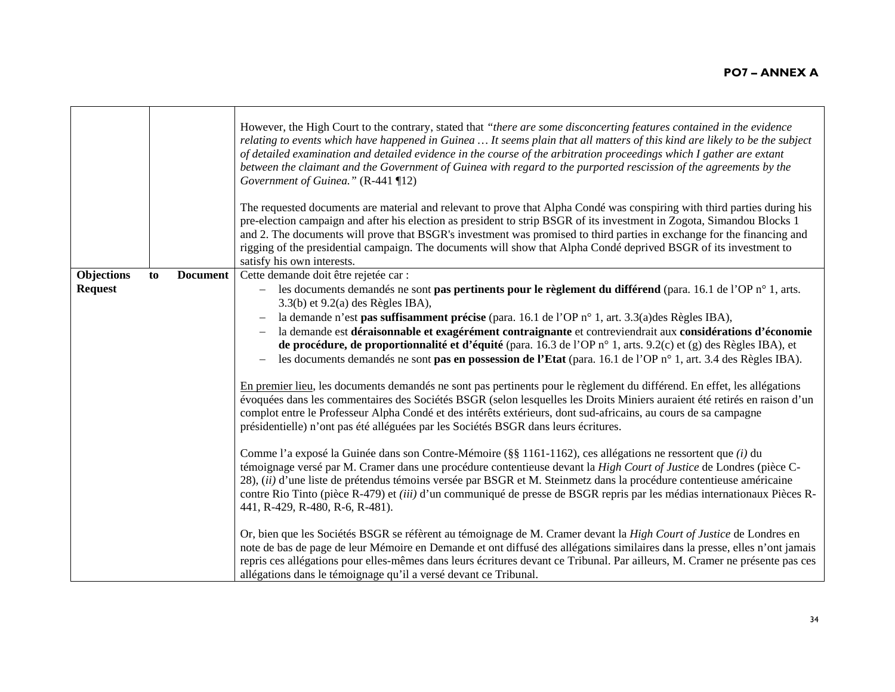|                |    |                 | However, the High Court to the contrary, stated that "there are some disconcerting features contained in the evidence<br>relating to events which have happened in Guinea  It seems plain that all matters of this kind are likely to be the subject<br>of detailed examination and detailed evidence in the course of the arbitration proceedings which I gather are extant<br>between the claimant and the Government of Guinea with regard to the purported rescission of the agreements by the<br>Government of Guinea." (R-441 ¶12)<br>The requested documents are material and relevant to prove that Alpha Condé was conspiring with third parties during his<br>pre-election campaign and after his election as president to strip BSGR of its investment in Zogota, Simandou Blocks 1<br>and 2. The documents will prove that BSGR's investment was promised to third parties in exchange for the financing and<br>rigging of the presidential campaign. The documents will show that Alpha Condé deprived BSGR of its investment to<br>satisfy his own interests. |
|----------------|----|-----------------|-----------------------------------------------------------------------------------------------------------------------------------------------------------------------------------------------------------------------------------------------------------------------------------------------------------------------------------------------------------------------------------------------------------------------------------------------------------------------------------------------------------------------------------------------------------------------------------------------------------------------------------------------------------------------------------------------------------------------------------------------------------------------------------------------------------------------------------------------------------------------------------------------------------------------------------------------------------------------------------------------------------------------------------------------------------------------------|
| Objections     | to | <b>Document</b> | Cette demande doit être rejetée car :                                                                                                                                                                                                                                                                                                                                                                                                                                                                                                                                                                                                                                                                                                                                                                                                                                                                                                                                                                                                                                       |
| <b>Request</b> |    |                 | les documents demandés ne sont pas pertinents pour le règlement du différend (para. 16.1 de l'OP n° 1, arts.                                                                                                                                                                                                                                                                                                                                                                                                                                                                                                                                                                                                                                                                                                                                                                                                                                                                                                                                                                |
|                |    |                 | 3.3(b) et 9.2(a) des Règles IBA),                                                                                                                                                                                                                                                                                                                                                                                                                                                                                                                                                                                                                                                                                                                                                                                                                                                                                                                                                                                                                                           |
|                |    |                 | la demande n'est pas suffisamment précise (para. 16.1 de l'OP n° 1, art. 3.3(a) des Règles IBA),<br>la demande est déraisonnable et exagérément contraignante et contreviendrait aux considérations d'économie                                                                                                                                                                                                                                                                                                                                                                                                                                                                                                                                                                                                                                                                                                                                                                                                                                                              |
|                |    |                 | de procédure, de proportionnalité et d'équité (para. 16.3 de l'OP n° 1, arts. 9.2(c) et (g) des Règles IBA), et                                                                                                                                                                                                                                                                                                                                                                                                                                                                                                                                                                                                                                                                                                                                                                                                                                                                                                                                                             |
|                |    |                 | les documents demandés ne sont pas en possession de l'Etat (para. 16.1 de l'OP n° 1, art. 3.4 des Règles IBA).                                                                                                                                                                                                                                                                                                                                                                                                                                                                                                                                                                                                                                                                                                                                                                                                                                                                                                                                                              |
|                |    |                 | En premier lieu, les documents demandés ne sont pas pertinents pour le règlement du différend. En effet, les allégations<br>évoquées dans les commentaires des Sociétés BSGR (selon lesquelles les Droits Miniers auraient été retirés en raison d'un<br>complot entre le Professeur Alpha Condé et des intérêts extérieurs, dont sud-africains, au cours de sa campagne<br>présidentielle) n'ont pas été alléguées par les Sociétés BSGR dans leurs écritures.                                                                                                                                                                                                                                                                                                                                                                                                                                                                                                                                                                                                             |
|                |    |                 | Comme l'a exposé la Guinée dans son Contre-Mémoire (§§ 1161-1162), ces allégations ne ressortent que <i>(i)</i> du<br>témoignage versé par M. Cramer dans une procédure contentieuse devant la High Court of Justice de Londres (pièce C-<br>28), (ii) d'une liste de prétendus témoins versée par BSGR et M. Steinmetz dans la procédure contentieuse américaine<br>contre Rio Tinto (pièce R-479) et <i>(iii)</i> d'un communiqué de presse de BSGR repris par les médias internationaux Pièces R-<br>441, R-429, R-480, R-6, R-481).                                                                                                                                                                                                                                                                                                                                                                                                                                                                                                                                     |
|                |    |                 | Or, bien que les Sociétés BSGR se réfèrent au témoignage de M. Cramer devant la High Court of Justice de Londres en<br>note de bas de page de leur Mémoire en Demande et ont diffusé des allégations similaires dans la presse, elles n'ont jamais<br>repris ces allégations pour elles-mêmes dans leurs écritures devant ce Tribunal. Par ailleurs, M. Cramer ne présente pas ces<br>allégations dans le témoignage qu'il a versé devant ce Tribunal.                                                                                                                                                                                                                                                                                                                                                                                                                                                                                                                                                                                                                      |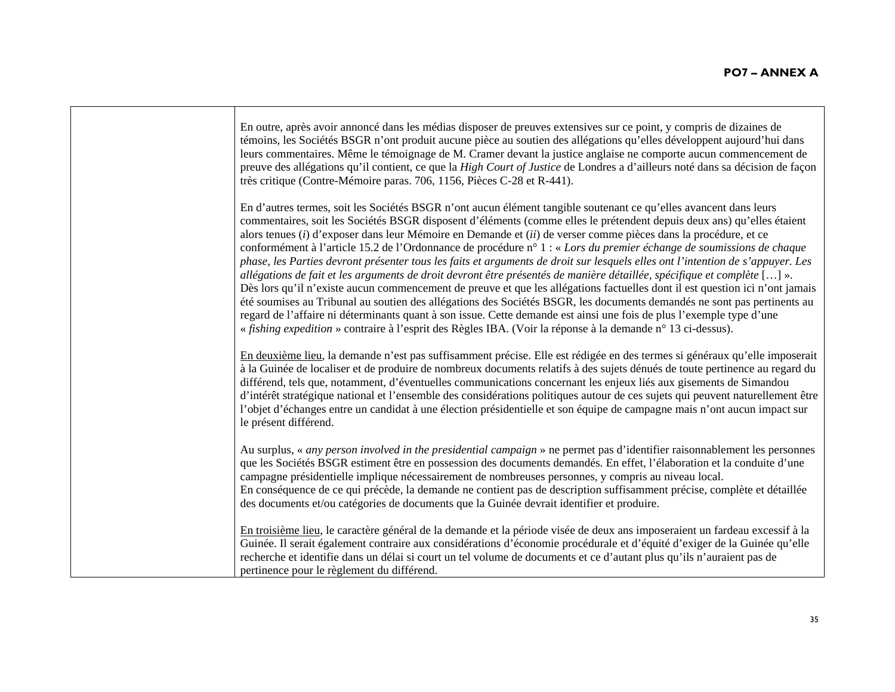| En outre, après avoir annoncé dans les médias disposer de preuves extensives sur ce point, y compris de dizaines de<br>témoins, les Sociétés BSGR n'ont produit aucune pièce au soutien des allégations qu'elles développent aujourd'hui dans<br>leurs commentaires. Même le témoignage de M. Cramer devant la justice anglaise ne comporte aucun commencement de<br>preuve des allégations qu'il contient, ce que la High Court of Justice de Londres a d'ailleurs noté dans sa décision de façon<br>très critique (Contre-Mémoire paras. 706, 1156, Pièces C-28 et R-441).                                                                                                                                                                                                                                                                                                                                                                                                                                                                                                                                                                                                                                                                          |
|-------------------------------------------------------------------------------------------------------------------------------------------------------------------------------------------------------------------------------------------------------------------------------------------------------------------------------------------------------------------------------------------------------------------------------------------------------------------------------------------------------------------------------------------------------------------------------------------------------------------------------------------------------------------------------------------------------------------------------------------------------------------------------------------------------------------------------------------------------------------------------------------------------------------------------------------------------------------------------------------------------------------------------------------------------------------------------------------------------------------------------------------------------------------------------------------------------------------------------------------------------|
| En d'autres termes, soit les Sociétés BSGR n'ont aucun élément tangible soutenant ce qu'elles avancent dans leurs<br>commentaires, soit les Sociétés BSGR disposent d'éléments (comme elles le prétendent depuis deux ans) qu'elles étaient<br>alors tenues (i) d'exposer dans leur Mémoire en Demande et (ii) de verser comme pièces dans la procédure, et ce<br>conformément à l'article 15.2 de l'Ordonnance de procédure n° 1 : « Lors du premier échange de soumissions de chaque<br>phase, les Parties devront présenter tous les faits et arguments de droit sur lesquels elles ont l'intention de s'appuyer. Les<br>allégations de fait et les arguments de droit devront être présentés de manière détaillée, spécifique et complète [] ».<br>Dès lors qu'il n'existe aucun commencement de preuve et que les allégations factuelles dont il est question ici n'ont jamais<br>été soumises au Tribunal au soutien des allégations des Sociétés BSGR, les documents demandés ne sont pas pertinents au<br>regard de l'affaire ni déterminants quant à son issue. Cette demande est ainsi une fois de plus l'exemple type d'une<br>« fishing expedition » contraire à l'esprit des Règles IBA. (Voir la réponse à la demande n° 13 ci-dessus). |
| En deuxième lieu, la demande n'est pas suffisamment précise. Elle est rédigée en des termes si généraux qu'elle imposerait<br>à la Guinée de localiser et de produire de nombreux documents relatifs à des sujets dénués de toute pertinence au regard du<br>différend, tels que, notamment, d'éventuelles communications concernant les enjeux liés aux gisements de Simandou<br>d'intérêt stratégique national et l'ensemble des considérations politiques autour de ces sujets qui peuvent naturellement être<br>l'objet d'échanges entre un candidat à une élection présidentielle et son équipe de campagne mais n'ont aucun impact sur<br>le présent différend.                                                                                                                                                                                                                                                                                                                                                                                                                                                                                                                                                                                 |
| Au surplus, « any person involved in the presidential campaign » ne permet pas d'identifier raisonnablement les personnes<br>que les Sociétés BSGR estiment être en possession des documents demandés. En effet, l'élaboration et la conduite d'une<br>campagne présidentielle implique nécessairement de nombreuses personnes, y compris au niveau local.<br>En conséquence de ce qui précède, la demande ne contient pas de description suffisamment précise, complète et détaillée<br>des documents et/ou catégories de documents que la Guinée devrait identifier et produire.                                                                                                                                                                                                                                                                                                                                                                                                                                                                                                                                                                                                                                                                    |
| En troisième lieu, le caractère général de la demande et la période visée de deux ans imposeraient un fardeau excessif à la<br>Guinée. Il serait également contraire aux considérations d'économie procédurale et d'équité d'exiger de la Guinée qu'elle<br>recherche et identifie dans un délai si court un tel volume de documents et ce d'autant plus qu'ils n'auraient pas de<br>pertinence pour le règlement du différend.                                                                                                                                                                                                                                                                                                                                                                                                                                                                                                                                                                                                                                                                                                                                                                                                                       |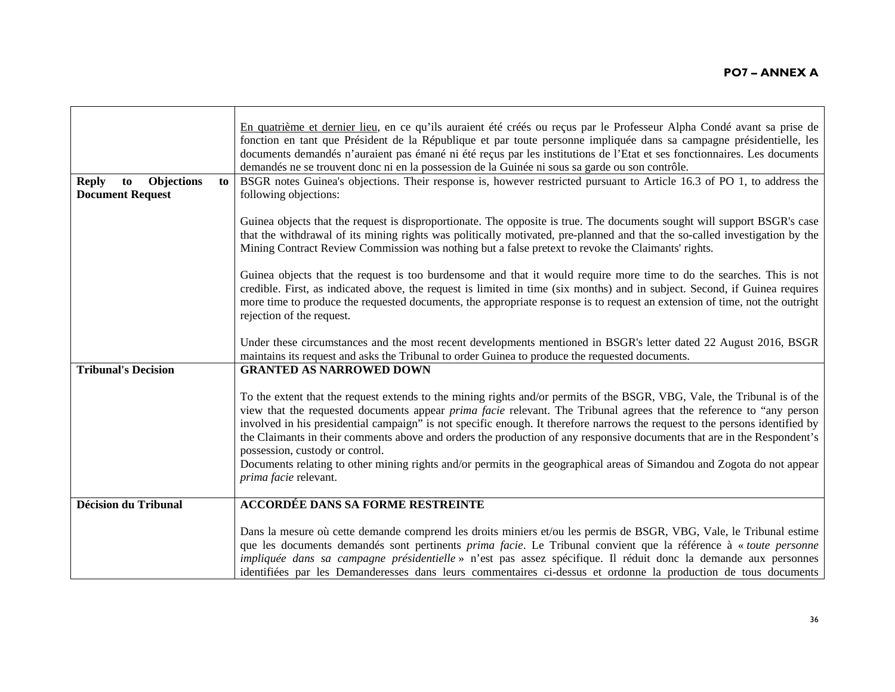|                                                                          | En quatrième et dernier lieu, en ce qu'ils auraient été créés ou reçus par le Professeur Alpha Condé avant sa prise de<br>fonction en tant que Président de la République et par toute personne impliquée dans sa campagne présidentielle, les<br>documents demandés n'auraient pas émané ni été reçus par les institutions de l'Etat et ses fonctionnaires. Les documents<br>demandés ne se trouvent donc ni en la possession de la Guinée ni sous sa garde ou son contrôle.                                                                                                                                                                                                      |
|--------------------------------------------------------------------------|------------------------------------------------------------------------------------------------------------------------------------------------------------------------------------------------------------------------------------------------------------------------------------------------------------------------------------------------------------------------------------------------------------------------------------------------------------------------------------------------------------------------------------------------------------------------------------------------------------------------------------------------------------------------------------|
| <b>Objections</b><br><b>Reply</b><br>to<br>to<br><b>Document Request</b> | BSGR notes Guinea's objections. Their response is, however restricted pursuant to Article 16.3 of PO 1, to address the<br>following objections:                                                                                                                                                                                                                                                                                                                                                                                                                                                                                                                                    |
|                                                                          | Guinea objects that the request is disproportionate. The opposite is true. The documents sought will support BSGR's case<br>that the withdrawal of its mining rights was politically motivated, pre-planned and that the so-called investigation by the<br>Mining Contract Review Commission was nothing but a false pretext to revoke the Claimants' rights.                                                                                                                                                                                                                                                                                                                      |
|                                                                          | Guinea objects that the request is too burdensome and that it would require more time to do the searches. This is not<br>credible. First, as indicated above, the request is limited in time (six months) and in subject. Second, if Guinea requires<br>more time to produce the requested documents, the appropriate response is to request an extension of time, not the outright<br>rejection of the request.                                                                                                                                                                                                                                                                   |
|                                                                          | Under these circumstances and the most recent developments mentioned in BSGR's letter dated 22 August 2016, BSGR<br>maintains its request and asks the Tribunal to order Guinea to produce the requested documents.                                                                                                                                                                                                                                                                                                                                                                                                                                                                |
| <b>Tribunal's Decision</b>                                               | <b>GRANTED AS NARROWED DOWN</b>                                                                                                                                                                                                                                                                                                                                                                                                                                                                                                                                                                                                                                                    |
|                                                                          | To the extent that the request extends to the mining rights and/or permits of the BSGR, VBG, Vale, the Tribunal is of the<br>view that the requested documents appear <i>prima facie</i> relevant. The Tribunal agrees that the reference to "any person<br>involved in his presidential campaign" is not specific enough. It therefore narrows the request to the persons identified by<br>the Claimants in their comments above and orders the production of any responsive documents that are in the Respondent's<br>possession, custody or control.<br>Documents relating to other mining rights and/or permits in the geographical areas of Simandou and Zogota do not appear |
|                                                                          | prima facie relevant.                                                                                                                                                                                                                                                                                                                                                                                                                                                                                                                                                                                                                                                              |
| Décision du Tribunal                                                     | <b>ACCORDÉE DANS SA FORME RESTREINTE</b>                                                                                                                                                                                                                                                                                                                                                                                                                                                                                                                                                                                                                                           |
|                                                                          | Dans la mesure où cette demande comprend les droits miniers et/ou les permis de BSGR, VBG, Vale, le Tribunal estime<br>que les documents demandés sont pertinents <i>prima facie</i> . Le Tribunal convient que la référence à « toute personne<br>impliquée dans sa campagne présidentielle » n'est pas assez spécifique. Il réduit donc la demande aux personnes<br>identifiées par les Demanderesses dans leurs commentaires ci-dessus et ordonne la production de tous documents                                                                                                                                                                                               |

 $\blacksquare$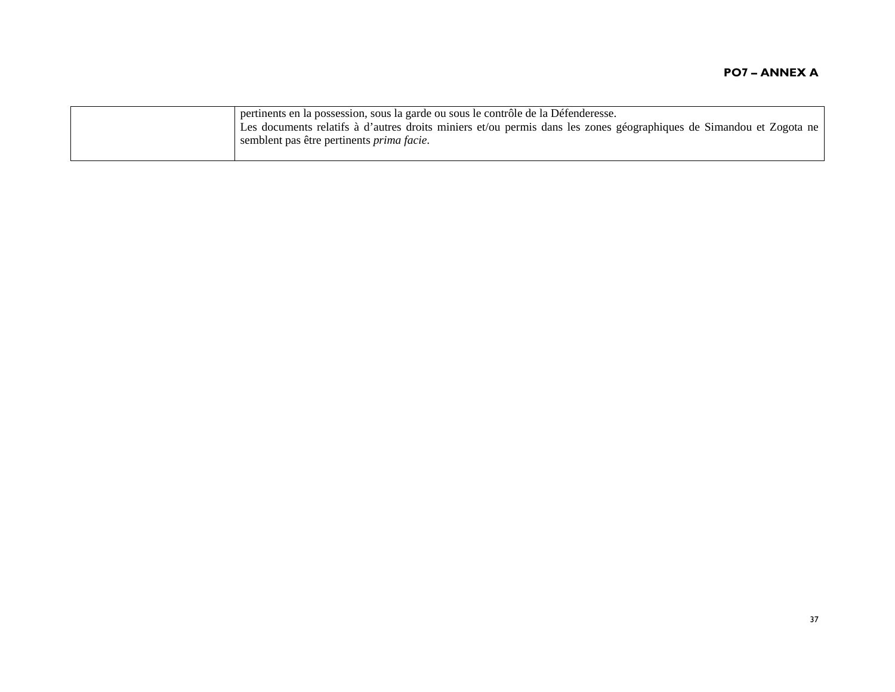| I pertinents en la possession, sous la garde ou sous le contrôle de la Défenderesse.<br>Les documents relatifs à d'autres droits miniers et/ou permis dans les zones géographiques de Simandou et Zogota ne<br>semblent pas être pertinents <i>prima facie</i> . |
|------------------------------------------------------------------------------------------------------------------------------------------------------------------------------------------------------------------------------------------------------------------|
|                                                                                                                                                                                                                                                                  |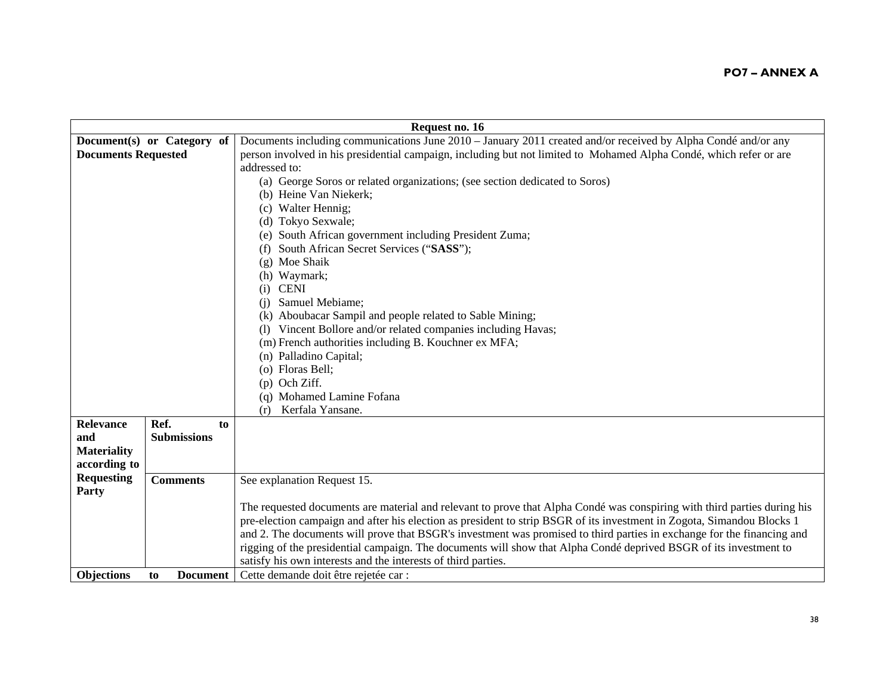|                            | Request no. 16             |                                                                                                                          |  |
|----------------------------|----------------------------|--------------------------------------------------------------------------------------------------------------------------|--|
|                            | Document(s) or Category of | Documents including communications June 2010 – January 2011 created and/or received by Alpha Condé and/or any            |  |
| <b>Documents Requested</b> |                            | person involved in his presidential campaign, including but not limited to Mohamed Alpha Condé, which refer or are       |  |
|                            |                            | addressed to:                                                                                                            |  |
|                            |                            | (a) George Soros or related organizations; (see section dedicated to Soros)                                              |  |
|                            |                            | (b) Heine Van Niekerk;                                                                                                   |  |
|                            |                            | (c) Walter Hennig;                                                                                                       |  |
|                            |                            | (d) Tokyo Sexwale;                                                                                                       |  |
|                            |                            | (e) South African government including President Zuma;                                                                   |  |
|                            |                            | (f) South African Secret Services ("SASS");                                                                              |  |
|                            |                            | (g) Moe Shaik                                                                                                            |  |
|                            |                            | (h) Waymark;                                                                                                             |  |
|                            |                            | <b>CENI</b><br>(i)                                                                                                       |  |
|                            |                            | Samuel Mebiame;<br>(i)                                                                                                   |  |
|                            |                            | (k) Aboubacar Sampil and people related to Sable Mining;                                                                 |  |
|                            |                            | Vincent Bollore and/or related companies including Havas;                                                                |  |
|                            |                            | (m) French authorities including B. Kouchner ex MFA;                                                                     |  |
|                            |                            | (n) Palladino Capital;                                                                                                   |  |
|                            |                            | (o) Floras Bell;                                                                                                         |  |
|                            |                            | $(p)$ Och Ziff.                                                                                                          |  |
|                            |                            | (q) Mohamed Lamine Fofana                                                                                                |  |
|                            |                            | Kerfala Yansane.<br>(r)                                                                                                  |  |
| Relevance                  | Ref.<br>to                 |                                                                                                                          |  |
| and                        | <b>Submissions</b>         |                                                                                                                          |  |
| <b>Materiality</b>         |                            |                                                                                                                          |  |
| according to               |                            |                                                                                                                          |  |
| <b>Requesting</b>          | <b>Comments</b>            | See explanation Request 15.                                                                                              |  |
| Party                      |                            |                                                                                                                          |  |
|                            |                            | The requested documents are material and relevant to prove that Alpha Condé was conspiring with third parties during his |  |
|                            |                            | pre-election campaign and after his election as president to strip BSGR of its investment in Zogota, Simandou Blocks 1   |  |
|                            |                            | and 2. The documents will prove that BSGR's investment was promised to third parties in exchange for the financing and   |  |
|                            |                            | rigging of the presidential campaign. The documents will show that Alpha Condé deprived BSGR of its investment to        |  |
|                            |                            | satisfy his own interests and the interests of third parties.                                                            |  |
| <b>Objections</b>          | <b>Document</b><br>to      | Cette demande doit être rejetée car :                                                                                    |  |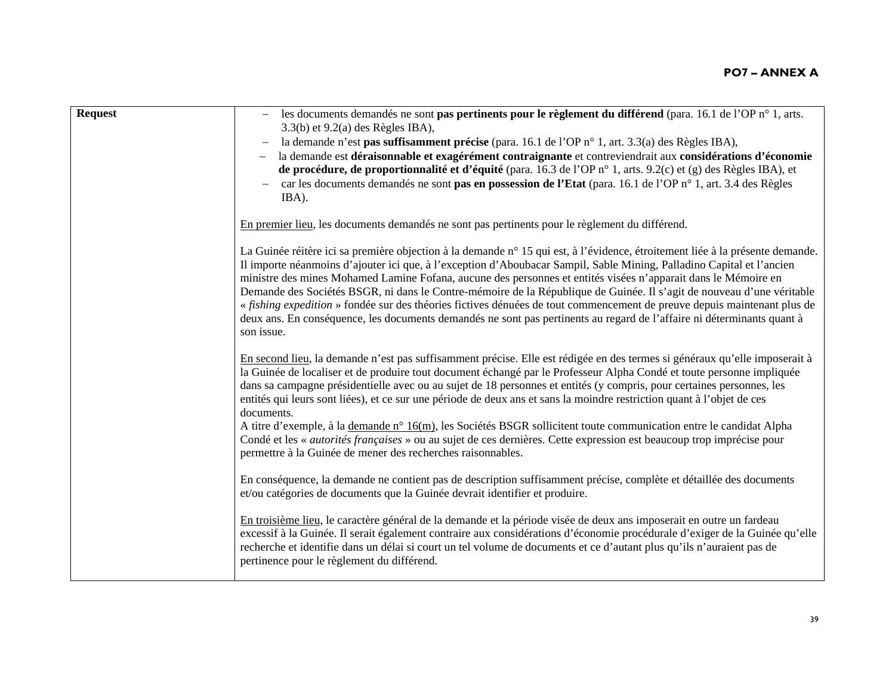| <b>Request</b> | les documents demandés ne sont <b>pas pertinents pour le règlement du différend</b> (para. 16.1 de l'OP $n^{\circ}$ 1, arts.<br>$3.3(b)$ et $9.2(a)$ des Règles IBA),                                                                                                                                                                                                                                                                                                                                                                                                                                                                                                                                                                                                                                                                      |
|----------------|--------------------------------------------------------------------------------------------------------------------------------------------------------------------------------------------------------------------------------------------------------------------------------------------------------------------------------------------------------------------------------------------------------------------------------------------------------------------------------------------------------------------------------------------------------------------------------------------------------------------------------------------------------------------------------------------------------------------------------------------------------------------------------------------------------------------------------------------|
|                | la demande n'est pas suffisamment précise (para. 16.1 de l'OP n° 1, art. 3.3(a) des Règles IBA),                                                                                                                                                                                                                                                                                                                                                                                                                                                                                                                                                                                                                                                                                                                                           |
|                | la demande est déraisonnable et exagérément contraignante et contreviendrait aux considérations d'économie<br>$\overline{\phantom{0}}$                                                                                                                                                                                                                                                                                                                                                                                                                                                                                                                                                                                                                                                                                                     |
|                | de procédure, de proportionnalité et d'équité (para. 16.3 de l'OP n° 1, arts. 9.2(c) et (g) des Règles IBA), et                                                                                                                                                                                                                                                                                                                                                                                                                                                                                                                                                                                                                                                                                                                            |
|                | car les documents demandés ne sont pas en possession de l'Etat (para. 16.1 de l'OP n° 1, art. 3.4 des Règles<br>IBA).                                                                                                                                                                                                                                                                                                                                                                                                                                                                                                                                                                                                                                                                                                                      |
|                | En premier lieu, les documents demandés ne sont pas pertinents pour le règlement du différend.                                                                                                                                                                                                                                                                                                                                                                                                                                                                                                                                                                                                                                                                                                                                             |
|                | La Guinée réitère ici sa première objection à la demande n° 15 qui est, à l'évidence, étroitement liée à la présente demande.<br>Il importe néanmoins d'ajouter ici que, à l'exception d'Aboubacar Sampil, Sable Mining, Palladino Capital et l'ancien<br>ministre des mines Mohamed Lamine Fofana, aucune des personnes et entités visées n'apparait dans le Mémoire en<br>Demande des Sociétés BSGR, ni dans le Contre-mémoire de la République de Guinée. Il s'agit de nouveau d'une véritable<br>« fishing expedition » fondée sur des théories fictives dénuées de tout commencement de preuve depuis maintenant plus de<br>deux ans. En conséquence, les documents demandés ne sont pas pertinents au regard de l'affaire ni déterminants quant à<br>son issue.                                                                      |
|                | En second lieu, la demande n'est pas suffisamment précise. Elle est rédigée en des termes si généraux qu'elle imposerait à<br>la Guinée de localiser et de produire tout document échangé par le Professeur Alpha Condé et toute personne impliquée<br>dans sa campagne présidentielle avec ou au sujet de 18 personnes et entités (y compris, pour certaines personnes, les<br>entités qui leurs sont liées), et ce sur une période de deux ans et sans la moindre restriction quant à l'objet de ces<br>documents.<br>A titre d'exemple, à la demande n° 16(m), les Sociétés BSGR sollicitent toute communication entre le candidat Alpha<br>Condé et les « <i>autorités françaises</i> » ou au sujet de ces dernières. Cette expression est beaucoup trop imprécise pour<br>permettre à la Guinée de mener des recherches raisonnables. |
|                | En conséquence, la demande ne contient pas de description suffisamment précise, complète et détaillée des documents<br>et/ou catégories de documents que la Guinée devrait identifier et produire.                                                                                                                                                                                                                                                                                                                                                                                                                                                                                                                                                                                                                                         |
|                | En troisième lieu, le caractère général de la demande et la période visée de deux ans imposerait en outre un fardeau<br>excessif à la Guinée. Il serait également contraire aux considérations d'économie procédurale d'exiger de la Guinée qu'elle<br>recherche et identifie dans un délai si court un tel volume de documents et ce d'autant plus qu'ils n'auraient pas de<br>pertinence pour le règlement du différend.                                                                                                                                                                                                                                                                                                                                                                                                                 |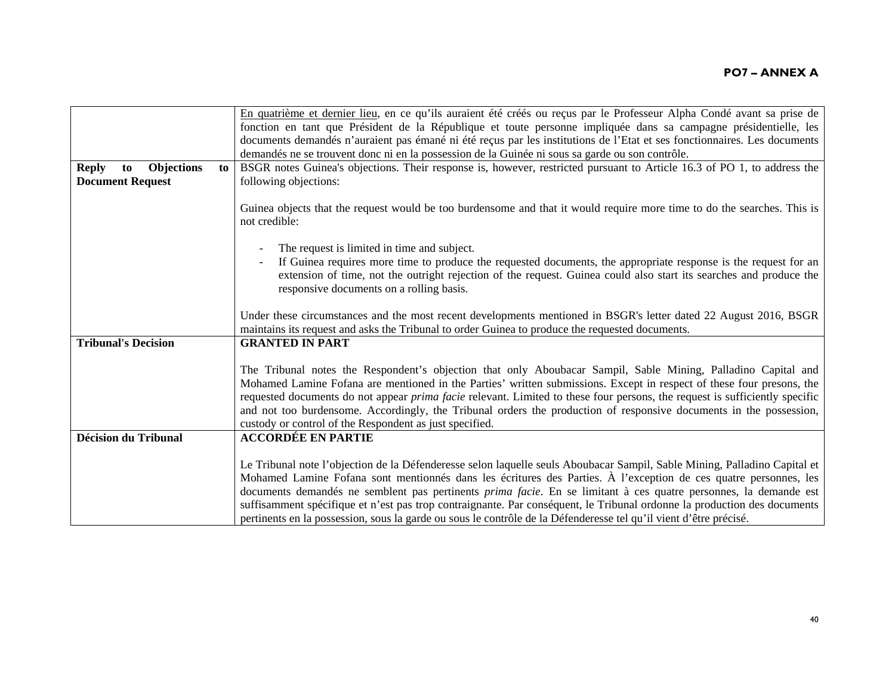| En quatrième et dernier lieu, en ce qu'ils auraient été créés ou reçus par le Professeur Alpha Condé avant sa prise de                                                                                                                        |
|-----------------------------------------------------------------------------------------------------------------------------------------------------------------------------------------------------------------------------------------------|
| fonction en tant que Président de la République et toute personne impliquée dans sa campagne présidentielle, les                                                                                                                              |
| documents demandés n'auraient pas émané ni été reçus par les institutions de l'Etat et ses fonctionnaires. Les documents                                                                                                                      |
|                                                                                                                                                                                                                                               |
| BSGR notes Guinea's objections. Their response is, however, restricted pursuant to Article 16.3 of PO 1, to address the                                                                                                                       |
|                                                                                                                                                                                                                                               |
| Guinea objects that the request would be too burdensome and that it would require more time to do the searches. This is                                                                                                                       |
|                                                                                                                                                                                                                                               |
|                                                                                                                                                                                                                                               |
|                                                                                                                                                                                                                                               |
| If Guinea requires more time to produce the requested documents, the appropriate response is the request for an                                                                                                                               |
| extension of time, not the outright rejection of the request. Guinea could also start its searches and produce the                                                                                                                            |
|                                                                                                                                                                                                                                               |
|                                                                                                                                                                                                                                               |
| Under these circumstances and the most recent developments mentioned in BSGR's letter dated 22 August 2016, BSGR                                                                                                                              |
|                                                                                                                                                                                                                                               |
|                                                                                                                                                                                                                                               |
|                                                                                                                                                                                                                                               |
| The Tribunal notes the Respondent's objection that only Aboubacar Sampil, Sable Mining, Palladino Capital and                                                                                                                                 |
| Mohamed Lamine Fofana are mentioned in the Parties' written submissions. Except in respect of these four presons, the                                                                                                                         |
| requested documents do not appear <i>prima facie</i> relevant. Limited to these four persons, the request is sufficiently specific                                                                                                            |
| and not too burdensome. Accordingly, the Tribunal orders the production of responsive documents in the possession,                                                                                                                            |
|                                                                                                                                                                                                                                               |
|                                                                                                                                                                                                                                               |
|                                                                                                                                                                                                                                               |
| Le Tribunal note l'objection de la Défenderesse selon laquelle seuls Aboubacar Sampil, Sable Mining, Palladino Capital et<br>Mohamed Lamine Fofana sont mentionnés dans les écritures des Parties. À l'exception de ces quatre personnes, les |
| documents demandés ne semblent pas pertinents <i>prima facie</i> . En se limitant à ces quatre personnes, la demande est                                                                                                                      |
| suffisamment spécifique et n'est pas trop contraignante. Par conséquent, le Tribunal ordonne la production des documents                                                                                                                      |
|                                                                                                                                                                                                                                               |
|                                                                                                                                                                                                                                               |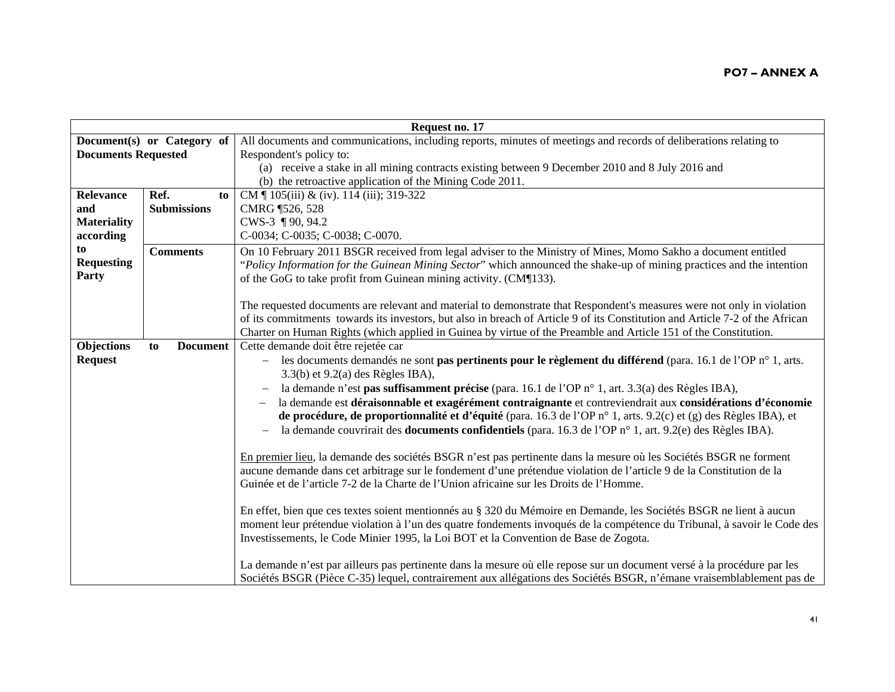| Request no. 17             |                            |                                                                                                                              |
|----------------------------|----------------------------|------------------------------------------------------------------------------------------------------------------------------|
|                            | Document(s) or Category of | All documents and communications, including reports, minutes of meetings and records of deliberations relating to            |
| <b>Documents Requested</b> |                            | Respondent's policy to:                                                                                                      |
|                            |                            | (a) receive a stake in all mining contracts existing between 9 December 2010 and 8 July 2016 and                             |
|                            |                            | (b) the retroactive application of the Mining Code 2011.                                                                     |
| Relevance                  | Ref.<br>to                 | CM $\parallel$ 105(iii) & (iv). 114 (iii); 319-322                                                                           |
| and                        | <b>Submissions</b>         | CMRG 1526, 528                                                                                                               |
| <b>Materiality</b>         |                            | CWS-3 ¶ 90, 94.2                                                                                                             |
| according                  |                            | C-0034; C-0035; C-0038; C-0070.                                                                                              |
| to                         | <b>Comments</b>            | On 10 February 2011 BSGR received from legal adviser to the Ministry of Mines, Momo Sakho a document entitled                |
| <b>Requesting</b>          |                            | "Policy Information for the Guinean Mining Sector" which announced the shake-up of mining practices and the intention        |
| Party                      |                            | of the GoG to take profit from Guinean mining activity. (CM¶133).                                                            |
|                            |                            |                                                                                                                              |
|                            |                            | The requested documents are relevant and material to demonstrate that Respondent's measures were not only in violation       |
|                            |                            | of its commitments towards its investors, but also in breach of Article 9 of its Constitution and Article 7-2 of the African |
|                            |                            | Charter on Human Rights (which applied in Guinea by virtue of the Preamble and Article 151 of the Constitution.              |
| Objections                 | <b>Document</b><br>to      | Cette demande doit être rejetée car                                                                                          |
| <b>Request</b>             |                            | les documents demandés ne sont pas pertinents pour le règlement du différend (para. 16.1 de l'OP n° 1, arts.                 |
|                            |                            | $3.3(b)$ et $9.2(a)$ des Règles IBA),                                                                                        |
|                            |                            | la demande n'est pas suffisamment précise (para. 16.1 de l'OP n° 1, art. 3.3(a) des Règles IBA),                             |
|                            |                            | la demande est déraisonnable et exagérément contraignante et contreviendrait aux considérations d'économie                   |
|                            |                            | de procédure, de proportionnalité et d'équité (para. 16.3 de l'OP n° 1, arts. 9.2(c) et (g) des Règles IBA), et              |
|                            |                            | la demande couvrirait des <b>documents confidentiels</b> (para. 16.3 de l'OP $n^{\circ}$ 1, art. 9.2(e) des Règles IBA).     |
|                            |                            |                                                                                                                              |
|                            |                            | En premier lieu, la demande des sociétés BSGR n'est pas pertinente dans la mesure où les Sociétés BSGR ne forment            |
|                            |                            | aucune demande dans cet arbitrage sur le fondement d'une prétendue violation de l'article 9 de la Constitution de la         |
|                            |                            | Guinée et de l'article 7-2 de la Charte de l'Union africaine sur les Droits de l'Homme.                                      |
|                            |                            |                                                                                                                              |
|                            |                            | En effet, bien que ces textes soient mentionnés au § 320 du Mémoire en Demande, les Sociétés BSGR ne lient à aucun           |
|                            |                            | moment leur prétendue violation à l'un des quatre fondements invoqués de la compétence du Tribunal, à savoir le Code des     |
|                            |                            | Investissements, le Code Minier 1995, la Loi BOT et la Convention de Base de Zogota.                                         |
|                            |                            |                                                                                                                              |
|                            |                            | La demande n'est par ailleurs pas pertinente dans la mesure où elle repose sur un document versé à la procédure par les      |
|                            |                            | Sociétés BSGR (Pièce C-35) lequel, contrairement aux allégations des Sociétés BSGR, n'émane vraisemblablement pas de         |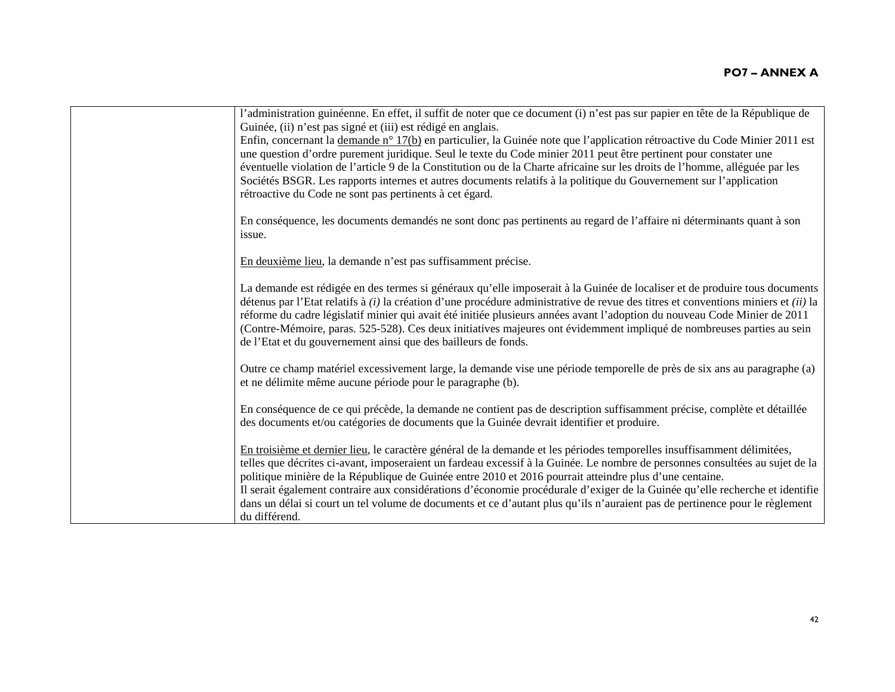| l'administration guinéenne. En effet, il suffit de noter que ce document (i) n'est pas sur papier en tête de la République de<br>Guinée, (ii) n'est pas signé et (iii) est rédigé en anglais.                                                                                                                                                                                                                                                                                                                                                                                                                                                      |
|----------------------------------------------------------------------------------------------------------------------------------------------------------------------------------------------------------------------------------------------------------------------------------------------------------------------------------------------------------------------------------------------------------------------------------------------------------------------------------------------------------------------------------------------------------------------------------------------------------------------------------------------------|
| Enfin, concernant la demande n° 17(b) en particulier, la Guinée note que l'application rétroactive du Code Minier 2011 est<br>une question d'ordre purement juridique. Seul le texte du Code minier 2011 peut être pertinent pour constater une                                                                                                                                                                                                                                                                                                                                                                                                    |
| éventuelle violation de l'article 9 de la Constitution ou de la Charte africaine sur les droits de l'homme, alléguée par les<br>Sociétés BSGR. Les rapports internes et autres documents relatifs à la politique du Gouvernement sur l'application<br>rétroactive du Code ne sont pas pertinents à cet égard.                                                                                                                                                                                                                                                                                                                                      |
| En conséquence, les documents demandés ne sont donc pas pertinents au regard de l'affaire ni déterminants quant à son<br>issue.                                                                                                                                                                                                                                                                                                                                                                                                                                                                                                                    |
| En deuxième lieu, la demande n'est pas suffisamment précise.                                                                                                                                                                                                                                                                                                                                                                                                                                                                                                                                                                                       |
| La demande est rédigée en des termes si généraux qu'elle imposerait à la Guinée de localiser et de produire tous documents<br>détenus par l'Etat relatifs à $(i)$ la création d'une procédure administrative de revue des titres et conventions miniers et $(ii)$ la<br>réforme du cadre législatif minier qui avait été initiée plusieurs années avant l'adoption du nouveau Code Minier de 2011<br>(Contre-Mémoire, paras. 525-528). Ces deux initiatives majeures ont évidemment impliqué de nombreuses parties au sein<br>de l'Etat et du gouvernement ainsi que des bailleurs de fonds.                                                       |
| Outre ce champ matériel excessivement large, la demande vise une période temporelle de près de six ans au paragraphe (a)<br>et ne délimite même aucune période pour le paragraphe (b).                                                                                                                                                                                                                                                                                                                                                                                                                                                             |
| En conséquence de ce qui précède, la demande ne contient pas de description suffisamment précise, complète et détaillée<br>des documents et/ou catégories de documents que la Guinée devrait identifier et produire.                                                                                                                                                                                                                                                                                                                                                                                                                               |
| En troisième et dernier lieu, le caractère général de la demande et les périodes temporelles insuffisamment délimitées,<br>telles que décrites ci-avant, imposeraient un fardeau excessif à la Guinée. Le nombre de personnes consultées au sujet de la<br>politique minière de la République de Guinée entre 2010 et 2016 pourrait atteindre plus d'une centaine.<br>Il serait également contraire aux considérations d'économie procédurale d'exiger de la Guinée qu'elle recherche et identifie<br>dans un délai si court un tel volume de documents et ce d'autant plus qu'ils n'auraient pas de pertinence pour le règlement<br>du différend. |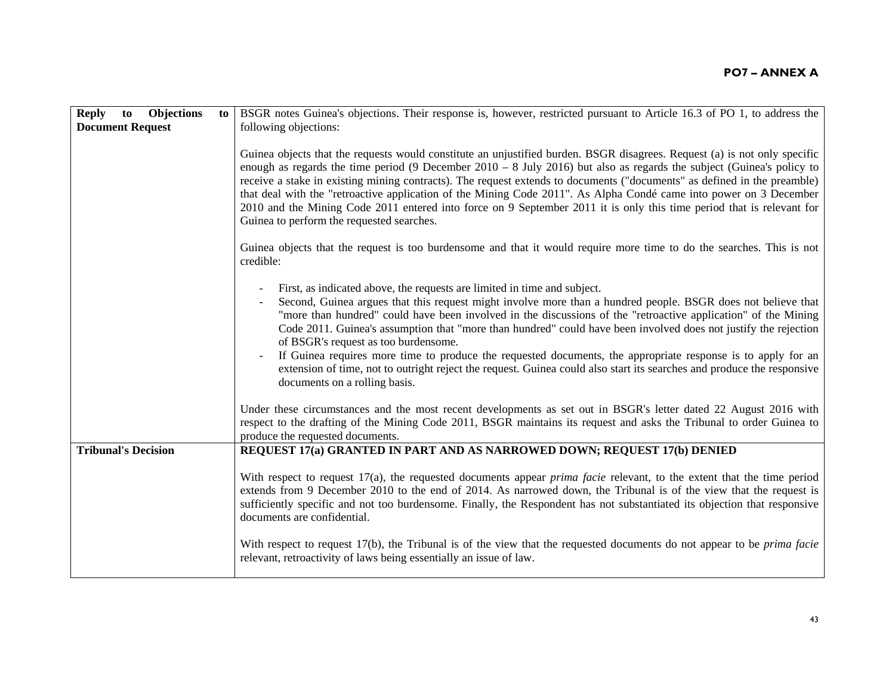| <b>Objections</b><br><b>Reply</b><br>to | BSGR notes Guinea's objections. Their response is, however, restricted pursuant to Article 16.3 of PO 1, to address the<br>to                                                                                                                                                                                                                                                                                                                                                                                                                                                                                                                                                                                                                                                                                                                                                                                                                                                                                                    |
|-----------------------------------------|----------------------------------------------------------------------------------------------------------------------------------------------------------------------------------------------------------------------------------------------------------------------------------------------------------------------------------------------------------------------------------------------------------------------------------------------------------------------------------------------------------------------------------------------------------------------------------------------------------------------------------------------------------------------------------------------------------------------------------------------------------------------------------------------------------------------------------------------------------------------------------------------------------------------------------------------------------------------------------------------------------------------------------|
| <b>Document Request</b>                 | following objections:                                                                                                                                                                                                                                                                                                                                                                                                                                                                                                                                                                                                                                                                                                                                                                                                                                                                                                                                                                                                            |
|                                         | Guinea objects that the requests would constitute an unjustified burden. BSGR disagrees. Request (a) is not only specific<br>enough as regards the time period (9 December $2010 - 8$ July 2016) but also as regards the subject (Guinea's policy to<br>receive a stake in existing mining contracts). The request extends to documents ("documents" as defined in the preamble)<br>that deal with the "retroactive application of the Mining Code 2011". As Alpha Condé came into power on 3 December<br>2010 and the Mining Code 2011 entered into force on 9 September 2011 it is only this time period that is relevant for<br>Guinea to perform the requested searches.                                                                                                                                                                                                                                                                                                                                                     |
|                                         | Guinea objects that the request is too burdensome and that it would require more time to do the searches. This is not<br>credible:                                                                                                                                                                                                                                                                                                                                                                                                                                                                                                                                                                                                                                                                                                                                                                                                                                                                                               |
|                                         | First, as indicated above, the requests are limited in time and subject.<br>Second, Guinea argues that this request might involve more than a hundred people. BSGR does not believe that<br>"more than hundred" could have been involved in the discussions of the "retroactive application" of the Mining<br>Code 2011. Guinea's assumption that "more than hundred" could have been involved does not justify the rejection<br>of BSGR's request as too burdensome.<br>If Guinea requires more time to produce the requested documents, the appropriate response is to apply for an<br>extension of time, not to outright reject the request. Guinea could also start its searches and produce the responsive<br>documents on a rolling basis.<br>Under these circumstances and the most recent developments as set out in BSGR's letter dated 22 August 2016 with<br>respect to the drafting of the Mining Code 2011, BSGR maintains its request and asks the Tribunal to order Guinea to<br>produce the requested documents. |
| <b>Tribunal's Decision</b>              | REQUEST 17(a) GRANTED IN PART AND AS NARROWED DOWN; REQUEST 17(b) DENIED                                                                                                                                                                                                                                                                                                                                                                                                                                                                                                                                                                                                                                                                                                                                                                                                                                                                                                                                                         |
|                                         | With respect to request $17(a)$ , the requested documents appear <i>prima facie</i> relevant, to the extent that the time period<br>extends from 9 December 2010 to the end of 2014. As narrowed down, the Tribunal is of the view that the request is<br>sufficiently specific and not too burdensome. Finally, the Respondent has not substantiated its objection that responsive<br>documents are confidential.<br>With respect to request 17(b), the Tribunal is of the view that the requested documents do not appear to be prima facie<br>relevant, retroactivity of laws being essentially an issue of law.                                                                                                                                                                                                                                                                                                                                                                                                              |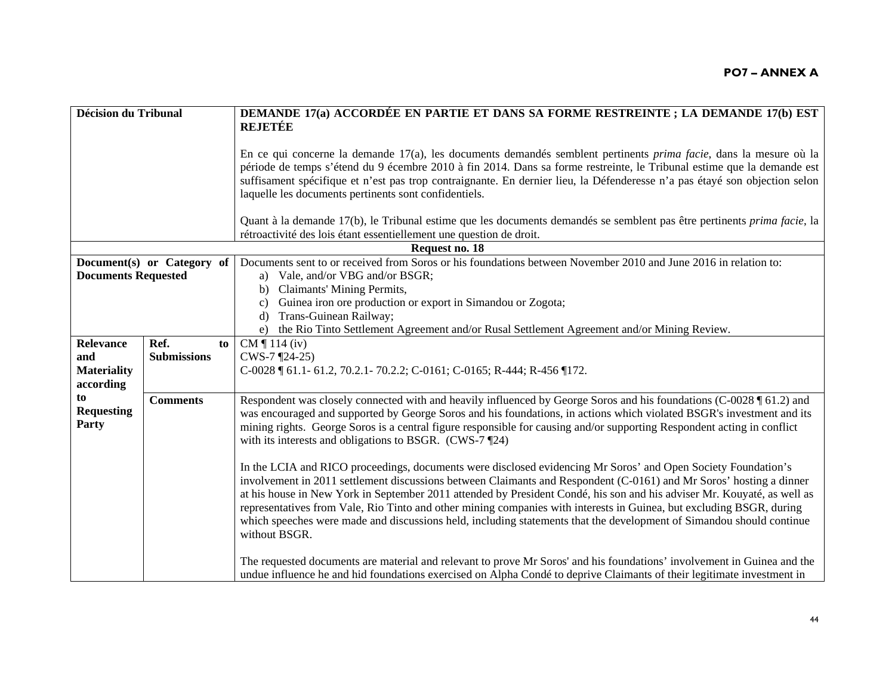| <b>Décision du Tribunal</b> |                            | DEMANDE 17(a) ACCORDÉE EN PARTIE ET DANS SA FORME RESTREINTE ; LA DEMANDE 17(b) EST                                                                                                                                                                                                                                                                                                                                                                                                                                                                                                                                              |
|-----------------------------|----------------------------|----------------------------------------------------------------------------------------------------------------------------------------------------------------------------------------------------------------------------------------------------------------------------------------------------------------------------------------------------------------------------------------------------------------------------------------------------------------------------------------------------------------------------------------------------------------------------------------------------------------------------------|
|                             |                            | <b>REJETÉE</b>                                                                                                                                                                                                                                                                                                                                                                                                                                                                                                                                                                                                                   |
|                             |                            | En ce qui concerne la demande 17(a), les documents demandés semblent pertinents <i>prima facie</i> , dans la mesure où la<br>période de temps s'étend du 9 écembre 2010 à fin 2014. Dans sa forme restreinte, le Tribunal estime que la demande est<br>suffisament spécifique et n'est pas trop contraignante. En dernier lieu, la Défenderesse n'a pas étayé son objection selon<br>laquelle les documents pertinents sont confidentiels.                                                                                                                                                                                       |
|                             |                            | Quant à la demande 17(b), le Tribunal estime que les documents demandés se semblent pas être pertinents <i>prima facie</i> , la                                                                                                                                                                                                                                                                                                                                                                                                                                                                                                  |
|                             |                            | rétroactivité des lois étant essentiellement une question de droit.                                                                                                                                                                                                                                                                                                                                                                                                                                                                                                                                                              |
|                             |                            | Request no. 18                                                                                                                                                                                                                                                                                                                                                                                                                                                                                                                                                                                                                   |
|                             | Document(s) or Category of | Documents sent to or received from Soros or his foundations between November 2010 and June 2016 in relation to:                                                                                                                                                                                                                                                                                                                                                                                                                                                                                                                  |
| <b>Documents Requested</b>  |                            | a) Vale, and/or VBG and/or BSGR;                                                                                                                                                                                                                                                                                                                                                                                                                                                                                                                                                                                                 |
|                             |                            | b) Claimants' Mining Permits,                                                                                                                                                                                                                                                                                                                                                                                                                                                                                                                                                                                                    |
|                             |                            | Guinea iron ore production or export in Simandou or Zogota;<br>c)<br>Trans-Guinean Railway;<br>d)                                                                                                                                                                                                                                                                                                                                                                                                                                                                                                                                |
|                             |                            | the Rio Tinto Settlement Agreement and/or Rusal Settlement Agreement and/or Mining Review.<br>e)                                                                                                                                                                                                                                                                                                                                                                                                                                                                                                                                 |
| <b>Relevance</b>            | Ref.<br>to                 | CM $\P$ 114 (iv)                                                                                                                                                                                                                                                                                                                                                                                                                                                                                                                                                                                                                 |
| and                         | <b>Submissions</b>         | $CWS-7$ [24-25)                                                                                                                                                                                                                                                                                                                                                                                                                                                                                                                                                                                                                  |
| <b>Materiality</b>          |                            | C-0028   61.1-61.2, 70.2.1-70.2.2; C-0161; C-0165; R-444; R-456   172.                                                                                                                                                                                                                                                                                                                                                                                                                                                                                                                                                           |
| according                   |                            |                                                                                                                                                                                                                                                                                                                                                                                                                                                                                                                                                                                                                                  |
| to                          | <b>Comments</b>            | Respondent was closely connected with and heavily influenced by George Soros and his foundations (C-0028 \ \ 61.2) and                                                                                                                                                                                                                                                                                                                                                                                                                                                                                                           |
| <b>Requesting</b>           |                            | was encouraged and supported by George Soros and his foundations, in actions which violated BSGR's investment and its                                                                                                                                                                                                                                                                                                                                                                                                                                                                                                            |
| Party                       |                            | mining rights. George Soros is a central figure responsible for causing and/or supporting Respondent acting in conflict                                                                                                                                                                                                                                                                                                                                                                                                                                                                                                          |
|                             |                            | with its interests and obligations to BSGR. (CWS-7 ¶24)                                                                                                                                                                                                                                                                                                                                                                                                                                                                                                                                                                          |
|                             |                            |                                                                                                                                                                                                                                                                                                                                                                                                                                                                                                                                                                                                                                  |
|                             |                            | In the LCIA and RICO proceedings, documents were disclosed evidencing Mr Soros' and Open Society Foundation's<br>involvement in 2011 settlement discussions between Claimants and Respondent (C-0161) and Mr Soros' hosting a dinner<br>at his house in New York in September 2011 attended by President Condé, his son and his adviser Mr. Kouyaté, as well as<br>representatives from Vale, Rio Tinto and other mining companies with interests in Guinea, but excluding BSGR, during<br>which speeches were made and discussions held, including statements that the development of Simandou should continue<br>without BSGR. |
|                             |                            | The requested documents are material and relevant to prove Mr Soros' and his foundations' involvement in Guinea and the<br>undue influence he and hid foundations exercised on Alpha Condé to deprive Claimants of their legitimate investment in                                                                                                                                                                                                                                                                                                                                                                                |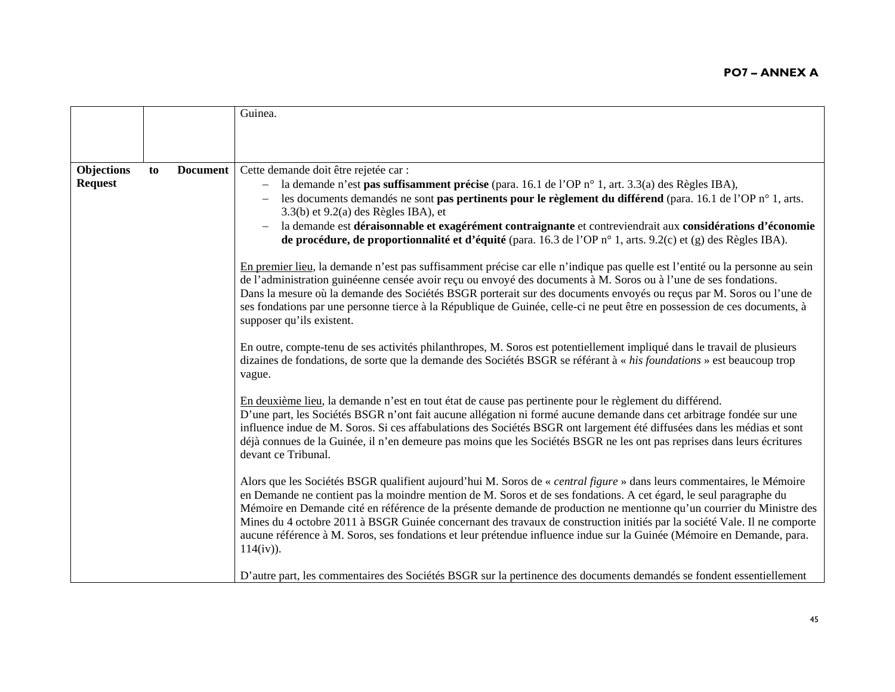|                   |    |                 | Guinea.                                                                                                                                                                                                                                                                                                                                                                                                                                                                                                                                                                                                                                    |
|-------------------|----|-----------------|--------------------------------------------------------------------------------------------------------------------------------------------------------------------------------------------------------------------------------------------------------------------------------------------------------------------------------------------------------------------------------------------------------------------------------------------------------------------------------------------------------------------------------------------------------------------------------------------------------------------------------------------|
|                   |    |                 |                                                                                                                                                                                                                                                                                                                                                                                                                                                                                                                                                                                                                                            |
|                   |    |                 |                                                                                                                                                                                                                                                                                                                                                                                                                                                                                                                                                                                                                                            |
| <b>Objections</b> | to | <b>Document</b> | Cette demande doit être rejetée car :                                                                                                                                                                                                                                                                                                                                                                                                                                                                                                                                                                                                      |
| <b>Request</b>    |    |                 | la demande n'est pas suffisamment précise (para. 16.1 de l'OP n° 1, art. 3.3(a) des Règles IBA),<br>les documents demandés ne sont <b>pas pertinents pour le règlement du différend</b> (para. 16.1 de l'OP n° 1, arts.<br>3.3(b) et 9.2(a) des Règles IBA), et<br>la demande est déraisonnable et exagérément contraignante et contreviendrait aux considérations d'économie<br>$\qquad \qquad -$<br>de procédure, de proportionnalité et d'équité (para. 16.3 de l'OP n° 1, arts. 9.2(c) et (g) des Règles IBA).                                                                                                                         |
|                   |    |                 | En premier lieu, la demande n'est pas suffisamment précise car elle n'indique pas quelle est l'entité ou la personne au sein<br>de l'administration guinéenne censée avoir reçu ou envoyé des documents à M. Soros ou à l'une de ses fondations.<br>Dans la mesure où la demande des Sociétés BSGR porterait sur des documents envoyés ou reçus par M. Soros ou l'une de<br>ses fondations par une personne tierce à la République de Guinée, celle-ci ne peut être en possession de ces documents, à<br>supposer qu'ils existent.                                                                                                         |
|                   |    |                 | En outre, compte-tenu de ses activités philanthropes, M. Soros est potentiellement impliqué dans le travail de plusieurs<br>dizaines de fondations, de sorte que la demande des Sociétés BSGR se référant à « his foundations » est beaucoup trop<br>vague.                                                                                                                                                                                                                                                                                                                                                                                |
|                   |    |                 | En deuxième lieu, la demande n'est en tout état de cause pas pertinente pour le règlement du différend.<br>D'une part, les Sociétés BSGR n'ont fait aucune allégation ni formé aucune demande dans cet arbitrage fondée sur une<br>influence indue de M. Soros. Si ces affabulations des Sociétés BSGR ont largement été diffusées dans les médias et sont<br>déjà connues de la Guinée, il n'en demeure pas moins que les Sociétés BSGR ne les ont pas reprises dans leurs écritures<br>devant ce Tribunal.                                                                                                                               |
|                   |    |                 | Alors que les Sociétés BSGR qualifient aujourd'hui M. Soros de « central figure » dans leurs commentaires, le Mémoire<br>en Demande ne contient pas la moindre mention de M. Soros et de ses fondations. A cet égard, le seul paragraphe du<br>Mémoire en Demande cité en référence de la présente demande de production ne mentionne qu'un courrier du Ministre des<br>Mines du 4 octobre 2011 à BSGR Guinée concernant des travaux de construction initiés par la société Vale. Il ne comporte<br>aucune référence à M. Soros, ses fondations et leur prétendue influence indue sur la Guinée (Mémoire en Demande, para.<br>$114(iv)$ ). |
|                   |    |                 | D'autre part, les commentaires des Sociétés BSGR sur la pertinence des documents demandés se fondent essentiellement                                                                                                                                                                                                                                                                                                                                                                                                                                                                                                                       |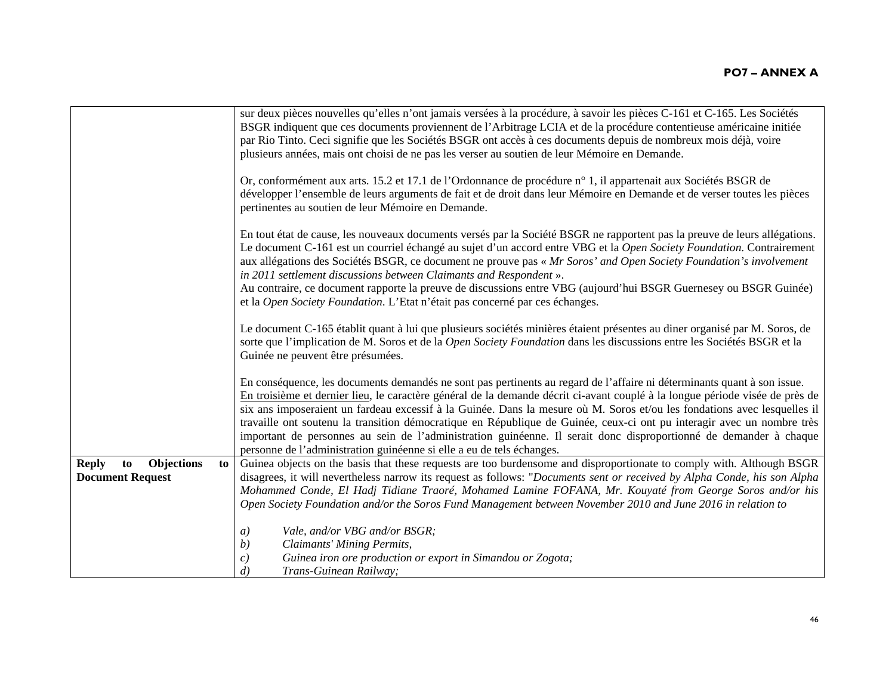|                                                                   | sur deux pièces nouvelles qu'elles n'ont jamais versées à la procédure, à savoir les pièces C-161 et C-165. Les Sociétés<br>BSGR indiquent que ces documents proviennent de l'Arbitrage LCIA et de la procédure contentieuse américaine initiée<br>par Rio Tinto. Ceci signifie que les Sociétés BSGR ont accès à ces documents depuis de nombreux mois déjà, voire<br>plusieurs années, mais ont choisi de ne pas les verser au soutien de leur Mémoire en Demande.                                                                                                                                                                                                                                        |
|-------------------------------------------------------------------|-------------------------------------------------------------------------------------------------------------------------------------------------------------------------------------------------------------------------------------------------------------------------------------------------------------------------------------------------------------------------------------------------------------------------------------------------------------------------------------------------------------------------------------------------------------------------------------------------------------------------------------------------------------------------------------------------------------|
|                                                                   | Or, conformément aux arts. 15.2 et 17.1 de l'Ordonnance de procédure n° 1, il appartenait aux Sociétés BSGR de<br>développer l'ensemble de leurs arguments de fait et de droit dans leur Mémoire en Demande et de verser toutes les pièces<br>pertinentes au soutien de leur Mémoire en Demande.                                                                                                                                                                                                                                                                                                                                                                                                            |
|                                                                   | En tout état de cause, les nouveaux documents versés par la Société BSGR ne rapportent pas la preuve de leurs allégations.<br>Le document C-161 est un courriel échangé au sujet d'un accord entre VBG et la Open Society Foundation. Contrairement<br>aux allégations des Sociétés BSGR, ce document ne prouve pas « Mr Soros' and Open Society Foundation's involvement<br>in 2011 settlement discussions between Claimants and Respondent ».<br>Au contraire, ce document rapporte la preuve de discussions entre VBG (aujourd'hui BSGR Guernesey ou BSGR Guinée)<br>et la Open Society Foundation. L'Etat n'était pas concerné par ces échanges.                                                        |
|                                                                   | Le document C-165 établit quant à lui que plusieurs sociétés minières étaient présentes au diner organisé par M. Soros, de<br>sorte que l'implication de M. Soros et de la Open Society Foundation dans les discussions entre les Sociétés BSGR et la<br>Guinée ne peuvent être présumées.                                                                                                                                                                                                                                                                                                                                                                                                                  |
|                                                                   | En conséquence, les documents demandés ne sont pas pertinents au regard de l'affaire ni déterminants quant à son issue.<br>En troisième et dernier lieu, le caractère général de la demande décrit ci-avant couplé à la longue période visée de près de<br>six ans imposeraient un fardeau excessif à la Guinée. Dans la mesure où M. Soros et/ou les fondations avec lesquelles il<br>travaille ont soutenu la transition démocratique en République de Guinée, ceux-ci ont pu interagir avec un nombre très<br>important de personnes au sein de l'administration guinéenne. Il serait donc disproportionné de demander à chaque<br>personne de l'administration guinéenne si elle a eu de tels échanges. |
| <b>Reply</b><br>Objections<br>to<br>to<br><b>Document Request</b> | Guinea objects on the basis that these requests are too burdensome and disproportionate to comply with. Although BSGR<br>disagrees, it will nevertheless narrow its request as follows: "Documents sent or received by Alpha Conde, his son Alpha<br>Mohammed Conde, El Hadj Tidiane Traoré, Mohamed Lamine FOFANA, Mr. Kouyaté from George Soros and/or his<br>Open Society Foundation and/or the Soros Fund Management between November 2010 and June 2016 in relation to                                                                                                                                                                                                                                 |
|                                                                   | Vale, and/or VBG and/or BSGR;<br>a)<br>Claimants' Mining Permits,<br>(b)<br>Guinea iron ore production or export in Simandou or Zogota;<br>$\mathcal{C}$<br>$\left( d\right)$<br>Trans-Guinean Railway;                                                                                                                                                                                                                                                                                                                                                                                                                                                                                                     |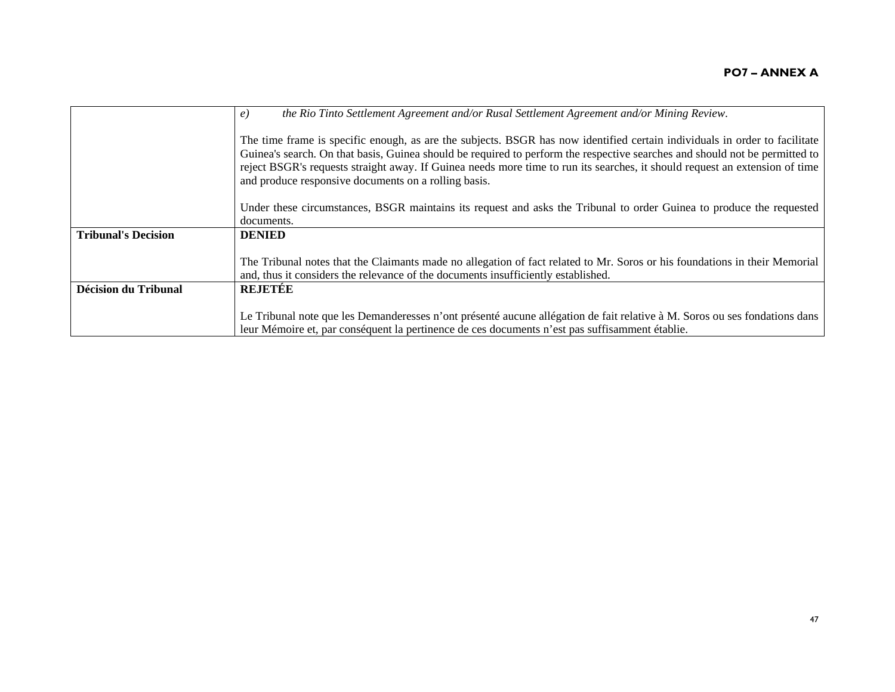|                             | the Rio Tinto Settlement Agreement and/or Rusal Settlement Agreement and/or Mining Review.<br>$\epsilon$ )                                                                                                                                                                                                                                                                                                                                       |
|-----------------------------|--------------------------------------------------------------------------------------------------------------------------------------------------------------------------------------------------------------------------------------------------------------------------------------------------------------------------------------------------------------------------------------------------------------------------------------------------|
|                             | The time frame is specific enough, as are the subjects. BSGR has now identified certain individuals in order to facilitate<br>Guinea's search. On that basis, Guinea should be required to perform the respective searches and should not be permitted to<br>reject BSGR's requests straight away. If Guinea needs more time to run its searches, it should request an extension of time<br>and produce responsive documents on a rolling basis. |
|                             | Under these circumstances, BSGR maintains its request and asks the Tribunal to order Guinea to produce the requested<br>documents.                                                                                                                                                                                                                                                                                                               |
| <b>Tribunal's Decision</b>  | <b>DENIED</b>                                                                                                                                                                                                                                                                                                                                                                                                                                    |
|                             | The Tribunal notes that the Claimants made no allegation of fact related to Mr. Soros or his foundations in their Memorial<br>and, thus it considers the relevance of the documents insufficiently established.                                                                                                                                                                                                                                  |
| <b>Décision du Tribunal</b> | <b>REJETÉE</b>                                                                                                                                                                                                                                                                                                                                                                                                                                   |
|                             | Le Tribunal note que les Demanderesses n'ont présenté aucune allégation de fait relative à M. Soros ou ses fondations dans<br>leur Mémoire et, par conséquent la pertinence de ces documents n'est pas suffisamment établie.                                                                                                                                                                                                                     |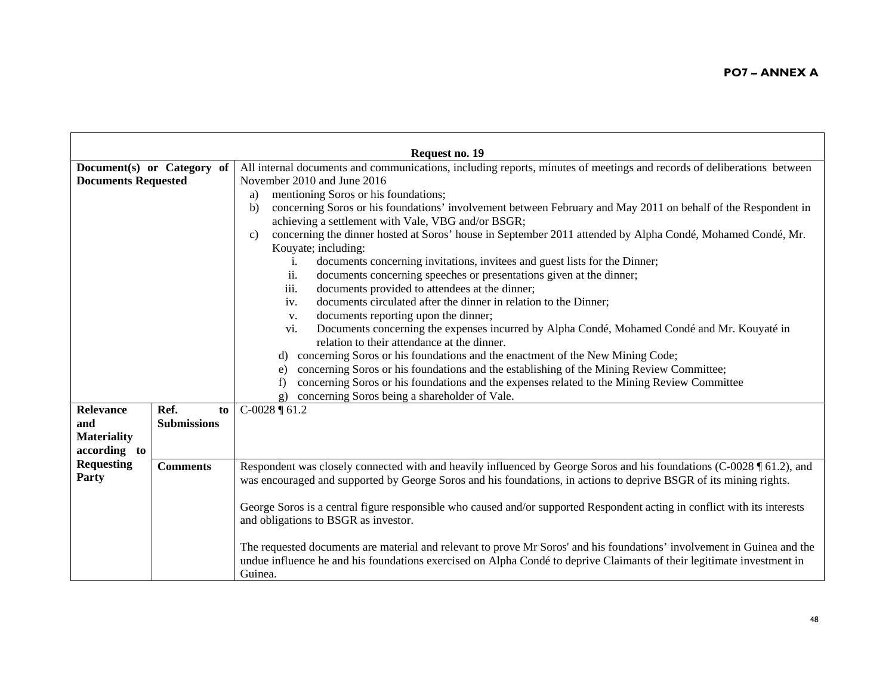|                            |                            | Request no. 19                                                                                                             |
|----------------------------|----------------------------|----------------------------------------------------------------------------------------------------------------------------|
|                            | Document(s) or Category of | All internal documents and communications, including reports, minutes of meetings and records of deliberations between     |
| <b>Documents Requested</b> |                            | November 2010 and June 2016                                                                                                |
|                            |                            | mentioning Soros or his foundations;<br>a)                                                                                 |
|                            |                            | concerning Soros or his foundations' involvement between February and May 2011 on behalf of the Respondent in<br>b)        |
|                            |                            | achieving a settlement with Vale, VBG and/or BSGR;                                                                         |
|                            |                            | concerning the dinner hosted at Soros' house in September 2011 attended by Alpha Condé, Mohamed Condé, Mr.<br>$\mathbf{c}$ |
|                            |                            | Kouyate; including:                                                                                                        |
|                            |                            | documents concerning invitations, invitees and guest lists for the Dinner;<br>i.                                           |
|                            |                            | documents concerning speeches or presentations given at the dinner;<br>ii.                                                 |
|                            |                            | iii.<br>documents provided to attendees at the dinner;                                                                     |
|                            |                            | documents circulated after the dinner in relation to the Dinner;<br>iv.                                                    |
|                            |                            | documents reporting upon the dinner;<br>V.                                                                                 |
|                            |                            | Documents concerning the expenses incurred by Alpha Condé, Mohamed Condé and Mr. Kouyaté in<br>vi.                         |
|                            |                            | relation to their attendance at the dinner.                                                                                |
|                            |                            | concerning Soros or his foundations and the enactment of the New Mining Code;                                              |
|                            |                            | concerning Soros or his foundations and the establishing of the Mining Review Committee;<br>e)                             |
|                            |                            | concerning Soros or his foundations and the expenses related to the Mining Review Committee                                |
|                            |                            | concerning Soros being a shareholder of Vale.<br>$\sigma$ )                                                                |
| <b>Relevance</b>           | Ref.<br>to                 | $C-0028 \text{ } \text{\textsterling} 61.2$                                                                                |
| and                        | <b>Submissions</b>         |                                                                                                                            |
| <b>Materiality</b>         |                            |                                                                                                                            |
| according to               |                            |                                                                                                                            |
| <b>Requesting</b>          | <b>Comments</b>            | Respondent was closely connected with and heavily influenced by George Soros and his foundations (C-0028 ¶ 61.2), and      |
| Party                      |                            | was encouraged and supported by George Soros and his foundations, in actions to deprive BSGR of its mining rights.         |
|                            |                            |                                                                                                                            |
|                            |                            | George Soros is a central figure responsible who caused and/or supported Respondent acting in conflict with its interests  |
|                            |                            | and obligations to BSGR as investor.                                                                                       |
|                            |                            |                                                                                                                            |
|                            |                            | The requested documents are material and relevant to prove Mr Soros' and his foundations' involvement in Guinea and the    |
|                            |                            | undue influence he and his foundations exercised on Alpha Condé to deprive Claimants of their legitimate investment in     |
|                            |                            | Guinea.                                                                                                                    |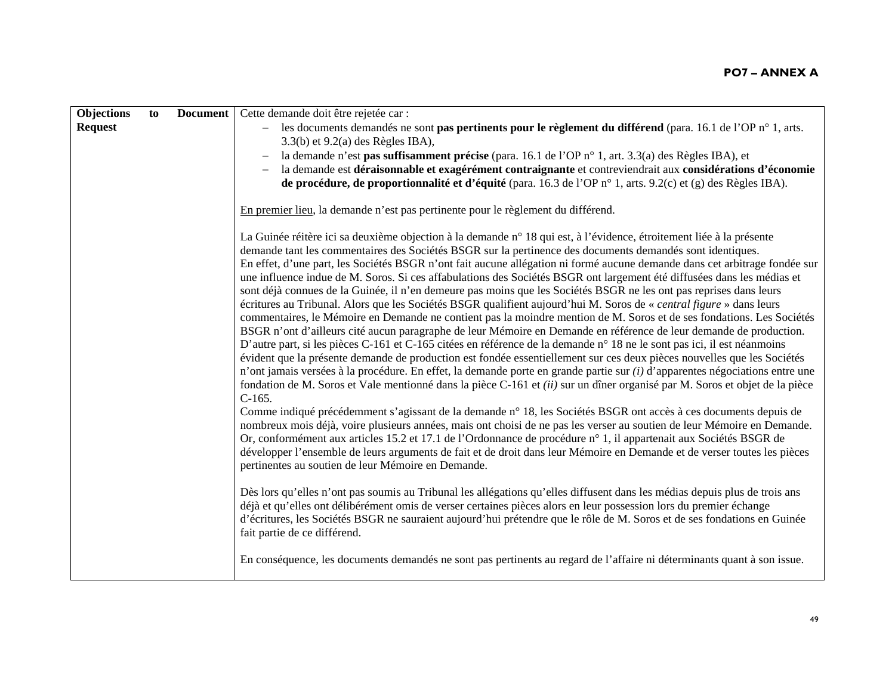| Objections     | to | <b>Document</b> | Cette demande doit être rejetée car :                                                                                                                                                                                                        |
|----------------|----|-----------------|----------------------------------------------------------------------------------------------------------------------------------------------------------------------------------------------------------------------------------------------|
| <b>Request</b> |    |                 | les documents demandés ne sont pas pertinents pour le règlement du différend (para. 16.1 de l'OP n° 1, arts.                                                                                                                                 |
|                |    |                 | $3.3(b)$ et $9.2(a)$ des Règles IBA),                                                                                                                                                                                                        |
|                |    |                 | la demande n'est pas suffisamment précise (para. 16.1 de l'OP n° 1, art. 3.3(a) des Règles IBA), et                                                                                                                                          |
|                |    |                 | la demande est déraisonnable et exagérément contraignante et contreviendrait aux considérations d'économie                                                                                                                                   |
|                |    |                 | de procédure, de proportionnalité et d'équité (para. 16.3 de l'OP n° 1, arts. 9.2(c) et (g) des Règles IBA).                                                                                                                                 |
|                |    |                 | En premier lieu, la demande n'est pas pertinente pour le règlement du différend.                                                                                                                                                             |
|                |    |                 | La Guinée réitère ici sa deuxième objection à la demande n° 18 qui est, à l'évidence, étroitement liée à la présente                                                                                                                         |
|                |    |                 | demande tant les commentaires des Sociétés BSGR sur la pertinence des documents demandés sont identiques.                                                                                                                                    |
|                |    |                 | En effet, d'une part, les Sociétés BSGR n'ont fait aucune allégation ni formé aucune demande dans cet arbitrage fondée sur                                                                                                                   |
|                |    |                 | une influence indue de M. Soros. Si ces affabulations des Sociétés BSGR ont largement été diffusées dans les médias et                                                                                                                       |
|                |    |                 | sont déjà connues de la Guinée, il n'en demeure pas moins que les Sociétés BSGR ne les ont pas reprises dans leurs                                                                                                                           |
|                |    |                 | écritures au Tribunal. Alors que les Sociétés BSGR qualifient aujourd'hui M. Soros de « central figure » dans leurs<br>commentaires, le Mémoire en Demande ne contient pas la moindre mention de M. Soros et de ses fondations. Les Sociétés |
|                |    |                 | BSGR n'ont d'ailleurs cité aucun paragraphe de leur Mémoire en Demande en référence de leur demande de production.                                                                                                                           |
|                |    |                 | D'autre part, si les pièces C-161 et C-165 citées en référence de la demande n° 18 ne le sont pas ici, il est néanmoins                                                                                                                      |
|                |    |                 | évident que la présente demande de production est fondée essentiellement sur ces deux pièces nouvelles que les Sociétés                                                                                                                      |
|                |    |                 | n'ont jamais versées à la procédure. En effet, la demande porte en grande partie sur <i>(i)</i> d'apparentes négociations entre une                                                                                                          |
|                |    |                 | fondation de M. Soros et Vale mentionné dans la pièce C-161 et <i>(ii)</i> sur un dîner organisé par M. Soros et objet de la pièce                                                                                                           |
|                |    |                 | $C-165.$                                                                                                                                                                                                                                     |
|                |    |                 | Comme indiqué précédemment s'agissant de la demande n° 18, les Sociétés BSGR ont accès à ces documents depuis de                                                                                                                             |
|                |    |                 | nombreux mois déjà, voire plusieurs années, mais ont choisi de ne pas les verser au soutien de leur Mémoire en Demande.                                                                                                                      |
|                |    |                 | Or, conformément aux articles 15.2 et 17.1 de l'Ordonnance de procédure n° 1, il appartenait aux Sociétés BSGR de                                                                                                                            |
|                |    |                 | développer l'ensemble de leurs arguments de fait et de droit dans leur Mémoire en Demande et de verser toutes les pièces                                                                                                                     |
|                |    |                 | pertinentes au soutien de leur Mémoire en Demande.                                                                                                                                                                                           |
|                |    |                 | Dès lors qu'elles n'ont pas soumis au Tribunal les allégations qu'elles diffusent dans les médias depuis plus de trois ans                                                                                                                   |
|                |    |                 | déjà et qu'elles ont délibérément omis de verser certaines pièces alors en leur possession lors du premier échange                                                                                                                           |
|                |    |                 | d'écritures, les Sociétés BSGR ne sauraient aujourd'hui prétendre que le rôle de M. Soros et de ses fondations en Guinée                                                                                                                     |
|                |    |                 | fait partie de ce différend.                                                                                                                                                                                                                 |
|                |    |                 | En conséquence, les documents demandés ne sont pas pertinents au regard de l'affaire ni déterminants quant à son issue.                                                                                                                      |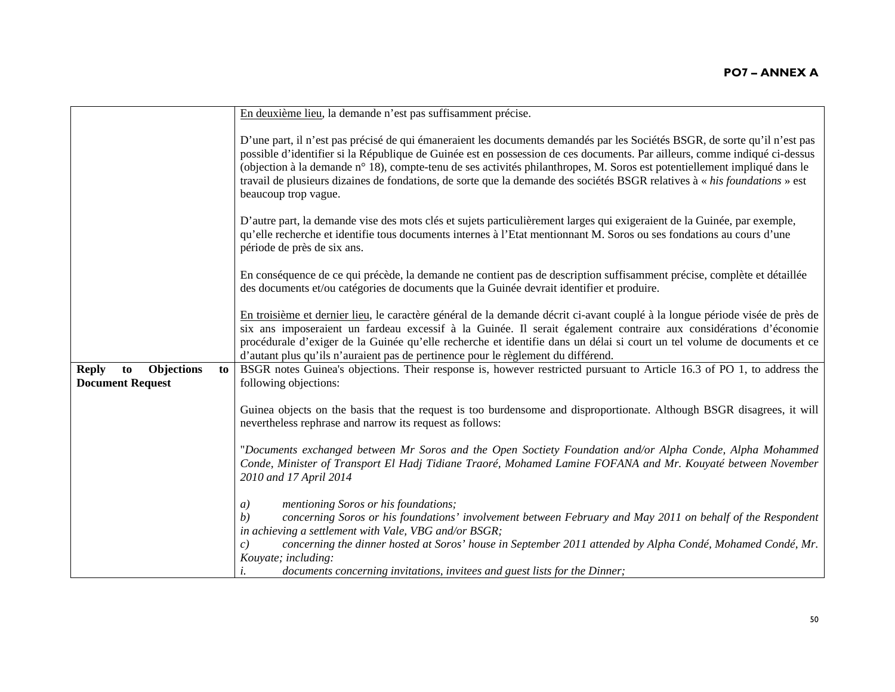|                                                                   | En deuxième lieu, la demande n'est pas suffisamment précise.                                                                                                                                                                                                                                                                                                                                                                                                                                                                                |
|-------------------------------------------------------------------|---------------------------------------------------------------------------------------------------------------------------------------------------------------------------------------------------------------------------------------------------------------------------------------------------------------------------------------------------------------------------------------------------------------------------------------------------------------------------------------------------------------------------------------------|
|                                                                   | D'une part, il n'est pas précisé de qui émaneraient les documents demandés par les Sociétés BSGR, de sorte qu'il n'est pas<br>possible d'identifier si la République de Guinée est en possession de ces documents. Par ailleurs, comme indiqué ci-dessus<br>(objection à la demande n° 18), compte-tenu de ses activités philanthropes, M. Soros est potentiellement impliqué dans le<br>travail de plusieurs dizaines de fondations, de sorte que la demande des sociétés BSGR relatives à « his foundations » est<br>beaucoup trop vague. |
|                                                                   | D'autre part, la demande vise des mots clés et sujets particulièrement larges qui exigeraient de la Guinée, par exemple,<br>qu'elle recherche et identifie tous documents internes à l'Etat mentionnant M. Soros ou ses fondations au cours d'une<br>période de près de six ans.                                                                                                                                                                                                                                                            |
|                                                                   | En conséquence de ce qui précède, la demande ne contient pas de description suffisamment précise, complète et détaillée<br>des documents et/ou catégories de documents que la Guinée devrait identifier et produire.                                                                                                                                                                                                                                                                                                                        |
|                                                                   | En troisième et dernier lieu, le caractère général de la demande décrit ci-avant couplé à la longue période visée de près de<br>six ans imposeraient un fardeau excessif à la Guinée. Il serait également contraire aux considérations d'économie<br>procédurale d'exiger de la Guinée qu'elle recherche et identifie dans un délai si court un tel volume de documents et ce<br>d'autant plus qu'ils n'auraient pas de pertinence pour le règlement du différend.                                                                          |
| <b>Reply</b><br>Objections<br>to<br>to<br><b>Document Request</b> | BSGR notes Guinea's objections. Their response is, however restricted pursuant to Article 16.3 of PO 1, to address the<br>following objections:                                                                                                                                                                                                                                                                                                                                                                                             |
|                                                                   | Guinea objects on the basis that the request is too burdensome and disproportionate. Although BSGR disagrees, it will<br>nevertheless rephrase and narrow its request as follows:                                                                                                                                                                                                                                                                                                                                                           |
|                                                                   | "Documents exchanged between Mr Soros and the Open Soctiety Foundation and/or Alpha Conde, Alpha Mohammed<br>Conde, Minister of Transport El Hadj Tidiane Traoré, Mohamed Lamine FOFANA and Mr. Kouyaté between November<br>2010 and 17 April 2014                                                                                                                                                                                                                                                                                          |
|                                                                   | mentioning Soros or his foundations;<br>a)<br>concerning Soros or his foundations' involvement between February and May 2011 on behalf of the Respondent<br>b)<br>in achieving a settlement with Vale, VBG and/or BSGR;                                                                                                                                                                                                                                                                                                                     |
|                                                                   | concerning the dinner hosted at Soros' house in September 2011 attended by Alpha Condé, Mohamed Condé, Mr.<br>c)<br>Kouyate; including:<br>documents concerning invitations, invitees and guest lists for the Dinner;                                                                                                                                                                                                                                                                                                                       |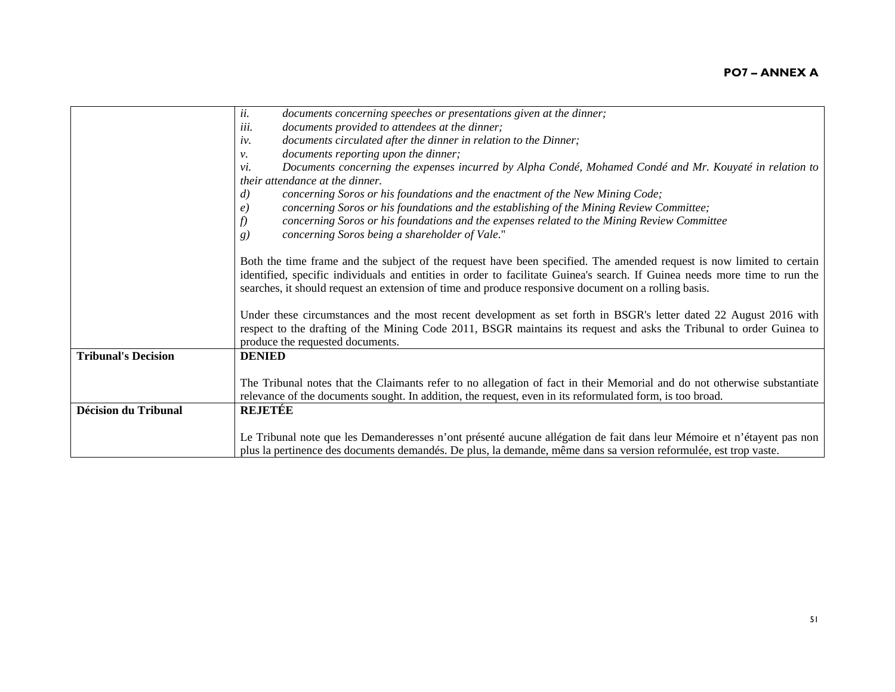|                             | ii.<br>documents concerning speeches or presentations given at the dinner;                                                 |
|-----------------------------|----------------------------------------------------------------------------------------------------------------------------|
|                             | documents provided to attendees at the dinner;<br>iii.                                                                     |
|                             | documents circulated after the dinner in relation to the Dinner;<br>iv.                                                    |
|                             | documents reporting upon the dinner;<br>ν.                                                                                 |
|                             | Documents concerning the expenses incurred by Alpha Condé, Mohamed Condé and Mr. Kouyaté in relation to<br>vi.             |
|                             | their attendance at the dinner.                                                                                            |
|                             | concerning Soros or his foundations and the enactment of the New Mining Code;<br>$\left( d\right)$                         |
|                             | concerning Soros or his foundations and the establishing of the Mining Review Committee;<br>$\epsilon$                     |
|                             | concerning Soros or his foundations and the expenses related to the Mining Review Committee                                |
|                             | concerning Soros being a shareholder of Vale."<br>g)                                                                       |
|                             |                                                                                                                            |
|                             | Both the time frame and the subject of the request have been specified. The amended request is now limited to certain      |
|                             | identified, specific individuals and entities in order to facilitate Guinea's search. If Guinea needs more time to run the |
|                             | searches, it should request an extension of time and produce responsive document on a rolling basis.                       |
|                             |                                                                                                                            |
|                             | Under these circumstances and the most recent development as set forth in BSGR's letter dated 22 August 2016 with          |
|                             | respect to the drafting of the Mining Code 2011, BSGR maintains its request and asks the Tribunal to order Guinea to       |
|                             | produce the requested documents.                                                                                           |
| <b>Tribunal's Decision</b>  | <b>DENIED</b>                                                                                                              |
|                             |                                                                                                                            |
|                             | The Tribunal notes that the Claimants refer to no allegation of fact in their Memorial and do not otherwise substantiate   |
|                             | relevance of the documents sought. In addition, the request, even in its reformulated form, is too broad.                  |
| <b>Décision du Tribunal</b> | <b>REJETÉE</b>                                                                                                             |
|                             | Le Tribunal note que les Demanderesses n'ont présenté aucune allégation de fait dans leur Mémoire et n'étayent pas non     |
|                             | plus la pertinence des documents demandés. De plus, la demande, même dans sa version reformulée, est trop vaste.           |
|                             |                                                                                                                            |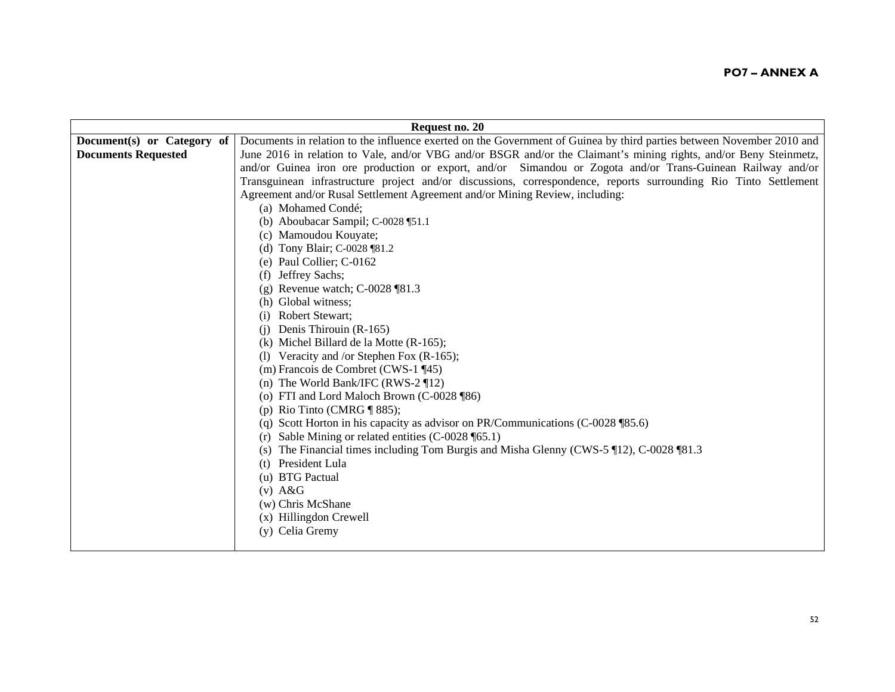|                            | Request no. 20                                                                                                        |
|----------------------------|-----------------------------------------------------------------------------------------------------------------------|
| Document(s) or Category of | Documents in relation to the influence exerted on the Government of Guinea by third parties between November 2010 and |
| <b>Documents Requested</b> | June 2016 in relation to Vale, and/or VBG and/or BSGR and/or the Claimant's mining rights, and/or Beny Steinmetz,     |
|                            | and/or Guinea iron ore production or export, and/or Simandou or Zogota and/or Trans-Guinean Railway and/or            |
|                            | Transguinean infrastructure project and/or discussions, correspondence, reports surrounding Rio Tinto Settlement      |
|                            | Agreement and/or Rusal Settlement Agreement and/or Mining Review, including:                                          |
|                            | (a) Mohamed Condé;                                                                                                    |
|                            | (b) Aboubacar Sampil; C-0028 [51.1]                                                                                   |
|                            | (c) Mamoudou Kouyate;                                                                                                 |
|                            | (d) Tony Blair; C-0028 [81.2]                                                                                         |
|                            | (e) Paul Collier; C-0162                                                                                              |
|                            | (f) Jeffrey Sachs;                                                                                                    |
|                            | (g) Revenue watch; $C$ -0028 [81.3]                                                                                   |
|                            | (h) Global witness;                                                                                                   |
|                            | <b>Robert Stewart;</b>                                                                                                |
|                            | Denis Thirouin (R-165)<br>(i)                                                                                         |
|                            | $(k)$ Michel Billard de la Motte $(R-165)$ ;                                                                          |
|                            | (1) Veracity and /or Stephen Fox $(R-165)$ ;                                                                          |
|                            | (m) Francois de Combret (CWS-1 ¶45)                                                                                   |
|                            | (n) The World Bank/IFC (RWS-2 $\P$ 12)                                                                                |
|                            | (o) FTI and Lord Maloch Brown (C-0028 ¶86)                                                                            |
|                            | (p) Rio Tinto (CMRG $\P$ 885);                                                                                        |
|                            | (q) Scott Horton in his capacity as advisor on PR/Communications (C-0028 $$85.6$ )                                    |
|                            | (r) Sable Mining or related entities $(C$ -0028 [65.1]                                                                |
|                            | The Financial times including Tom Burgis and Misha Glenny (CWS-5 \[12), C-0028 \[81.3]                                |
|                            | President Lula<br>(t)                                                                                                 |
|                            | (u) BTG Pactual                                                                                                       |
|                            | $(v)$ A&G                                                                                                             |
|                            | (w) Chris McShane                                                                                                     |
|                            | (x) Hillingdon Crewell                                                                                                |
|                            | (y) Celia Gremy                                                                                                       |
|                            |                                                                                                                       |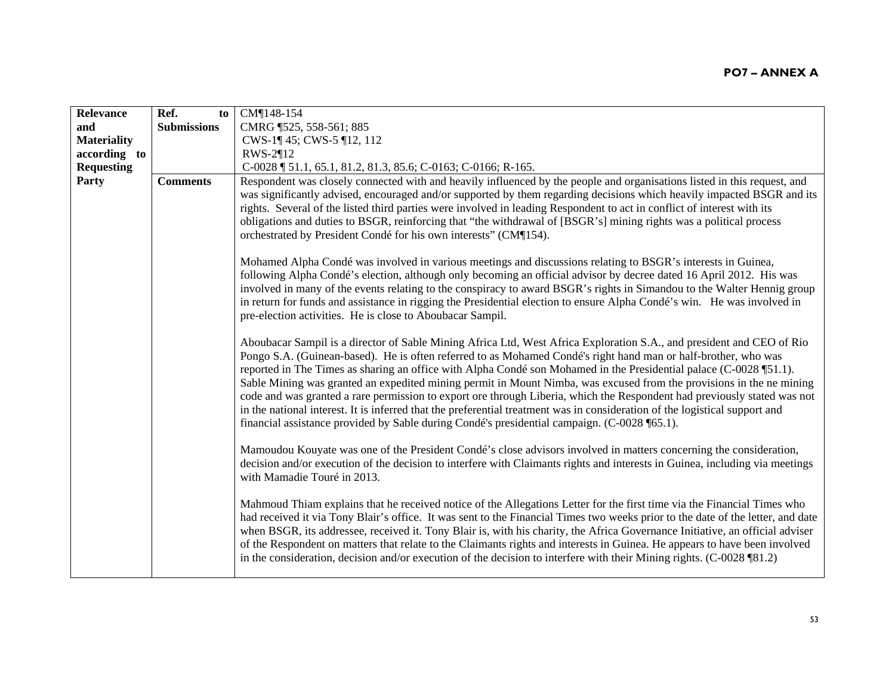| Relevance          | Ref.<br>to         | CM¶148-154                                                                                                                                                                                                                                                                                                                                                                                                                                                                                                                                                                                                                                                                                                                                                                                                                                            |
|--------------------|--------------------|-------------------------------------------------------------------------------------------------------------------------------------------------------------------------------------------------------------------------------------------------------------------------------------------------------------------------------------------------------------------------------------------------------------------------------------------------------------------------------------------------------------------------------------------------------------------------------------------------------------------------------------------------------------------------------------------------------------------------------------------------------------------------------------------------------------------------------------------------------|
| and                | <b>Submissions</b> | CMRG 1525, 558-561; 885                                                                                                                                                                                                                                                                                                                                                                                                                                                                                                                                                                                                                                                                                                                                                                                                                               |
| <b>Materiality</b> |                    | CWS-1¶ 45; CWS-5 ¶12, 112                                                                                                                                                                                                                                                                                                                                                                                                                                                                                                                                                                                                                                                                                                                                                                                                                             |
| according to       |                    | RWS-2¶12                                                                                                                                                                                                                                                                                                                                                                                                                                                                                                                                                                                                                                                                                                                                                                                                                                              |
| <b>Requesting</b>  |                    | C-0028   51.1, 65.1, 81.2, 81.3, 85.6; C-0163; C-0166; R-165.                                                                                                                                                                                                                                                                                                                                                                                                                                                                                                                                                                                                                                                                                                                                                                                         |
| Party              | <b>Comments</b>    | Respondent was closely connected with and heavily influenced by the people and organisations listed in this request, and<br>was significantly advised, encouraged and/or supported by them regarding decisions which heavily impacted BSGR and its<br>rights. Several of the listed third parties were involved in leading Respondent to act in conflict of interest with its<br>obligations and duties to BSGR, reinforcing that "the withdrawal of [BSGR's] mining rights was a political process<br>orchestrated by President Condé for his own interests" (CM¶154).                                                                                                                                                                                                                                                                               |
|                    |                    | Mohamed Alpha Condé was involved in various meetings and discussions relating to BSGR's interests in Guinea,<br>following Alpha Condé's election, although only becoming an official advisor by decree dated 16 April 2012. His was<br>involved in many of the events relating to the conspiracy to award BSGR's rights in Simandou to the Walter Hennig group<br>in return for funds and assistance in rigging the Presidential election to ensure Alpha Condé's win. He was involved in<br>pre-election activities. He is close to Aboubacar Sampil.                                                                                                                                                                                                                                                                                                |
|                    |                    | Aboubacar Sampil is a director of Sable Mining Africa Ltd, West Africa Exploration S.A., and president and CEO of Rio<br>Pongo S.A. (Guinean-based). He is often referred to as Mohamed Condé's right hand man or half-brother, who was<br>reported in The Times as sharing an office with Alpha Condé son Mohamed in the Presidential palace (C-0028 ¶51.1).<br>Sable Mining was granted an expedited mining permit in Mount Nimba, was excused from the provisions in the ne mining<br>code and was granted a rare permission to export ore through Liberia, which the Respondent had previously stated was not<br>in the national interest. It is inferred that the preferential treatment was in consideration of the logistical support and<br>financial assistance provided by Sable during Condé's presidential campaign. (C-0028 \left 65.1). |
|                    |                    | Mamoudou Kouyate was one of the President Condé's close advisors involved in matters concerning the consideration,<br>decision and/or execution of the decision to interfere with Claimants rights and interests in Guinea, including via meetings<br>with Mamadie Touré in 2013.                                                                                                                                                                                                                                                                                                                                                                                                                                                                                                                                                                     |
|                    |                    | Mahmoud Thiam explains that he received notice of the Allegations Letter for the first time via the Financial Times who<br>had received it via Tony Blair's office. It was sent to the Financial Times two weeks prior to the date of the letter, and date<br>when BSGR, its addressee, received it. Tony Blair is, with his charity, the Africa Governance Initiative, an official adviser<br>of the Respondent on matters that relate to the Claimants rights and interests in Guinea. He appears to have been involved<br>in the consideration, decision and/or execution of the decision to interfere with their Mining rights. $(C$ -0028 [81.2]                                                                                                                                                                                                 |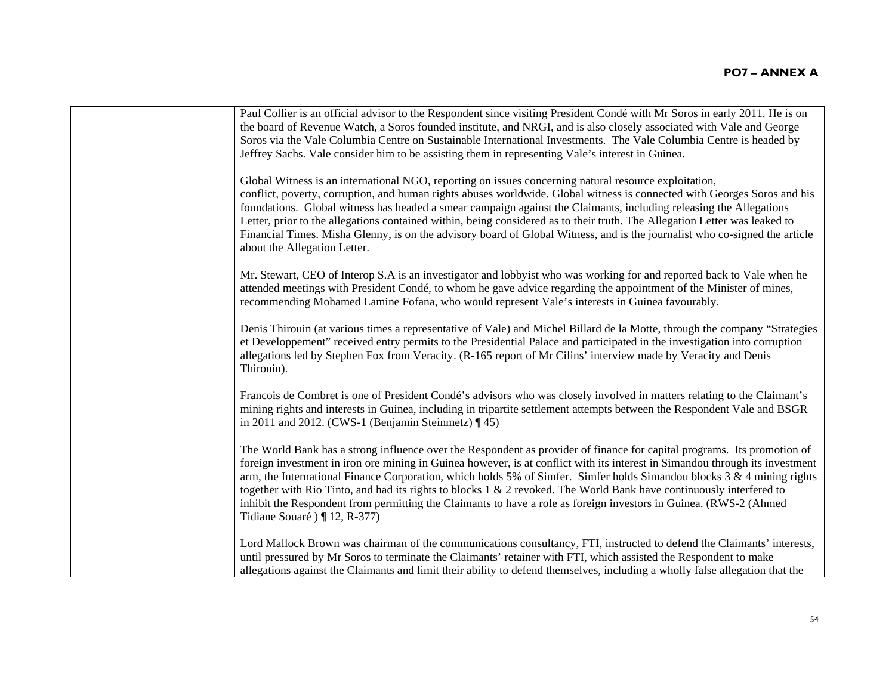| Paul Collier is an official advisor to the Respondent since visiting President Condé with Mr Soros in early 2011. He is on<br>the board of Revenue Watch, a Soros founded institute, and NRGI, and is also closely associated with Vale and George<br>Soros via the Vale Columbia Centre on Sustainable International Investments. The Vale Columbia Centre is headed by<br>Jeffrey Sachs. Vale consider him to be assisting them in representing Vale's interest in Guinea.                                                                                                                                                                                             |
|--------------------------------------------------------------------------------------------------------------------------------------------------------------------------------------------------------------------------------------------------------------------------------------------------------------------------------------------------------------------------------------------------------------------------------------------------------------------------------------------------------------------------------------------------------------------------------------------------------------------------------------------------------------------------|
| Global Witness is an international NGO, reporting on issues concerning natural resource exploitation,<br>conflict, poverty, corruption, and human rights abuses worldwide. Global witness is connected with Georges Soros and his<br>foundations. Global witness has headed a smear campaign against the Claimants, including releasing the Allegations<br>Letter, prior to the allegations contained within, being considered as to their truth. The Allegation Letter was leaked to<br>Financial Times. Misha Glenny, is on the advisory board of Global Witness, and is the journalist who co-signed the article<br>about the Allegation Letter.                      |
| Mr. Stewart, CEO of Interop S.A is an investigator and lobbyist who was working for and reported back to Vale when he<br>attended meetings with President Condé, to whom he gave advice regarding the appointment of the Minister of mines,<br>recommending Mohamed Lamine Fofana, who would represent Vale's interests in Guinea favourably.                                                                                                                                                                                                                                                                                                                            |
| Denis Thirouin (at various times a representative of Vale) and Michel Billard de la Motte, through the company "Strategies<br>et Developpement" received entry permits to the Presidential Palace and participated in the investigation into corruption<br>allegations led by Stephen Fox from Veracity. (R-165 report of Mr Cilins' interview made by Veracity and Denis<br>Thirouin).                                                                                                                                                                                                                                                                                  |
| Francois de Combret is one of President Condé's advisors who was closely involved in matters relating to the Claimant's<br>mining rights and interests in Guinea, including in tripartite settlement attempts between the Respondent Vale and BSGR<br>in 2011 and 2012. (CWS-1 (Benjamin Steinmetz) $\P$ 45)                                                                                                                                                                                                                                                                                                                                                             |
| The World Bank has a strong influence over the Respondent as provider of finance for capital programs. Its promotion of<br>foreign investment in iron ore mining in Guinea however, is at conflict with its interest in Simandou through its investment<br>arm, the International Finance Corporation, which holds 5% of Simfer. Simfer holds Simandou blocks 3 & 4 mining rights<br>together with Rio Tinto, and had its rights to blocks $1 \& 2$ revoked. The World Bank have continuously interfered to<br>inhibit the Respondent from permitting the Claimants to have a role as foreign investors in Guinea. (RWS-2 (Ahmed<br>Tidiane Souaré $\sqrt{q}$ 12, R-377) |
| Lord Mallock Brown was chairman of the communications consultancy, FTI, instructed to defend the Claimants' interests,<br>until pressured by Mr Soros to terminate the Claimants' retainer with FTI, which assisted the Respondent to make<br>allegations against the Claimants and limit their ability to defend themselves, including a wholly false allegation that the                                                                                                                                                                                                                                                                                               |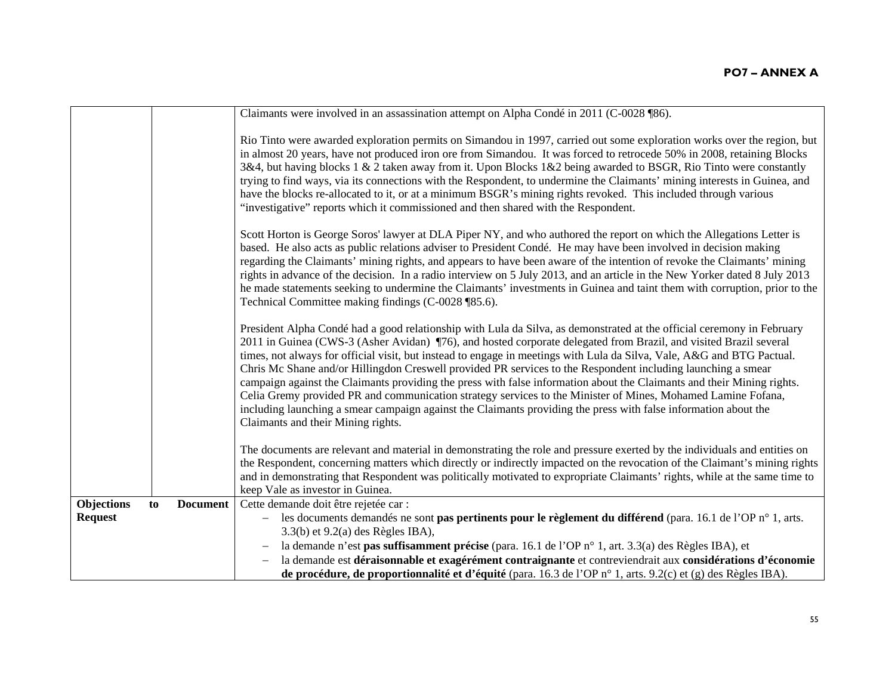|                |    |                 | Claimants were involved in an assassination attempt on Alpha Condé in 2011 (C-0028 ¶86).                                                                                                                                                                                                                                                                                                                                                                                                                                                                                                                                                                                                                                                                                                                                                                                                 |
|----------------|----|-----------------|------------------------------------------------------------------------------------------------------------------------------------------------------------------------------------------------------------------------------------------------------------------------------------------------------------------------------------------------------------------------------------------------------------------------------------------------------------------------------------------------------------------------------------------------------------------------------------------------------------------------------------------------------------------------------------------------------------------------------------------------------------------------------------------------------------------------------------------------------------------------------------------|
|                |    |                 | Rio Tinto were awarded exploration permits on Simandou in 1997, carried out some exploration works over the region, but<br>in almost 20 years, have not produced iron ore from Simandou. It was forced to retrocede 50% in 2008, retaining Blocks<br>3&4, but having blocks 1 & 2 taken away from it. Upon Blocks 1&2 being awarded to BSGR, Rio Tinto were constantly<br>trying to find ways, via its connections with the Respondent, to undermine the Claimants' mining interests in Guinea, and<br>have the blocks re-allocated to it, or at a minimum BSGR's mining rights revoked. This included through various<br>"investigative" reports which it commissioned and then shared with the Respondent.                                                                                                                                                                             |
|                |    |                 | Scott Horton is George Soros' lawyer at DLA Piper NY, and who authored the report on which the Allegations Letter is<br>based. He also acts as public relations adviser to President Condé. He may have been involved in decision making<br>regarding the Claimants' mining rights, and appears to have been aware of the intention of revoke the Claimants' mining<br>rights in advance of the decision. In a radio interview on 5 July 2013, and an article in the New Yorker dated 8 July 2013<br>he made statements seeking to undermine the Claimants' investments in Guinea and taint them with corruption, prior to the<br>Technical Committee making findings (C-0028 ¶85.6).                                                                                                                                                                                                    |
|                |    |                 | President Alpha Condé had a good relationship with Lula da Silva, as demonstrated at the official ceremony in February<br>2011 in Guinea (CWS-3 (Asher Avidan) ¶76), and hosted corporate delegated from Brazil, and visited Brazil several<br>times, not always for official visit, but instead to engage in meetings with Lula da Silva, Vale, A&G and BTG Pactual.<br>Chris Mc Shane and/or Hillingdon Creswell provided PR services to the Respondent including launching a smear<br>campaign against the Claimants providing the press with false information about the Claimants and their Mining rights.<br>Celia Gremy provided PR and communication strategy services to the Minister of Mines, Mohamed Lamine Fofana,<br>including launching a smear campaign against the Claimants providing the press with false information about the<br>Claimants and their Mining rights. |
|                |    |                 | The documents are relevant and material in demonstrating the role and pressure exerted by the individuals and entities on<br>the Respondent, concerning matters which directly or indirectly impacted on the revocation of the Claimant's mining rights<br>and in demonstrating that Respondent was politically motivated to expropriate Claimants' rights, while at the same time to<br>keep Vale as investor in Guinea.                                                                                                                                                                                                                                                                                                                                                                                                                                                                |
| Objections     | to | <b>Document</b> | Cette demande doit être rejetée car :                                                                                                                                                                                                                                                                                                                                                                                                                                                                                                                                                                                                                                                                                                                                                                                                                                                    |
| <b>Request</b> |    |                 | les documents demandés ne sont <b>pas pertinents pour le règlement du différend</b> (para. 16.1 de l'OP n° 1, arts.                                                                                                                                                                                                                                                                                                                                                                                                                                                                                                                                                                                                                                                                                                                                                                      |
|                |    |                 | $3.3(b)$ et $9.2(a)$ des Règles IBA),                                                                                                                                                                                                                                                                                                                                                                                                                                                                                                                                                                                                                                                                                                                                                                                                                                                    |
|                |    |                 | la demande n'est pas suffisamment précise (para. 16.1 de l'OP n° 1, art. 3.3(a) des Règles IBA), et                                                                                                                                                                                                                                                                                                                                                                                                                                                                                                                                                                                                                                                                                                                                                                                      |
|                |    |                 | la demande est déraisonnable et exagérément contraignante et contreviendrait aux considérations d'économie                                                                                                                                                                                                                                                                                                                                                                                                                                                                                                                                                                                                                                                                                                                                                                               |
|                |    |                 | de procédure, de proportionnalité et d'équité (para. 16.3 de l'OP n° 1, arts. 9.2(c) et (g) des Règles IBA).                                                                                                                                                                                                                                                                                                                                                                                                                                                                                                                                                                                                                                                                                                                                                                             |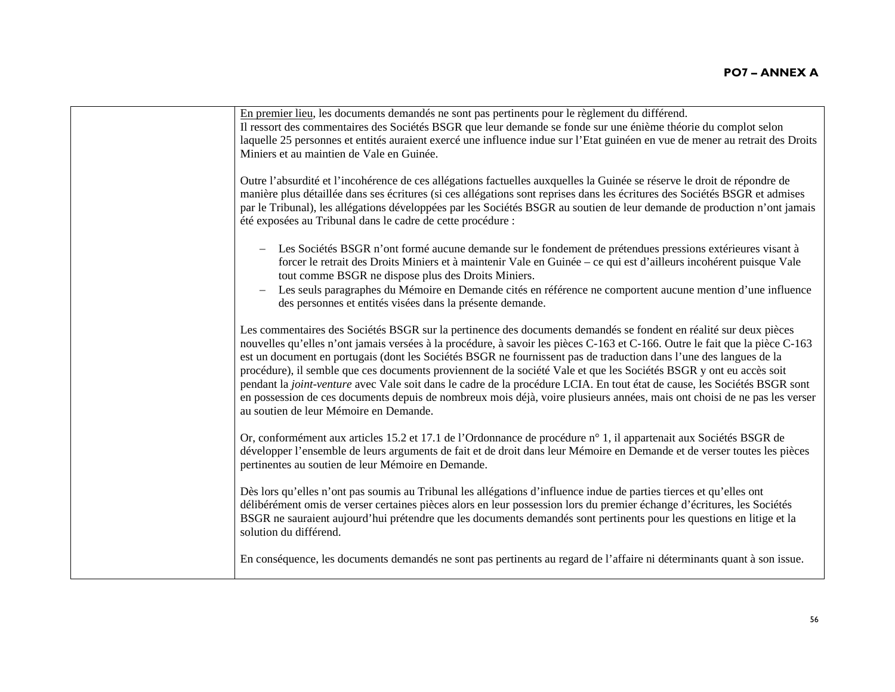| En premier lieu, les documents demandés ne sont pas pertinents pour le règlement du différend.<br>Il ressort des commentaires des Sociétés BSGR que leur demande se fonde sur une énième théorie du complot selon<br>laquelle 25 personnes et entités auraient exercé une influence indue sur l'Etat guinéen en vue de mener au retrait des Droits<br>Miniers et au maintien de Vale en Guinée.                                                                                                                                                                                                                                                                                                                                                                                                    |
|----------------------------------------------------------------------------------------------------------------------------------------------------------------------------------------------------------------------------------------------------------------------------------------------------------------------------------------------------------------------------------------------------------------------------------------------------------------------------------------------------------------------------------------------------------------------------------------------------------------------------------------------------------------------------------------------------------------------------------------------------------------------------------------------------|
| Outre l'absurdité et l'incohérence de ces allégations factuelles auxquelles la Guinée se réserve le droit de répondre de<br>manière plus détaillée dans ses écritures (si ces allégations sont reprises dans les écritures des Sociétés BSGR et admises<br>par le Tribunal), les allégations développées par les Sociétés BSGR au soutien de leur demande de production n'ont jamais<br>été exposées au Tribunal dans le cadre de cette procédure :                                                                                                                                                                                                                                                                                                                                                |
| Les Sociétés BSGR n'ont formé aucune demande sur le fondement de prétendues pressions extérieures visant à<br>$\qquad \qquad -$<br>forcer le retrait des Droits Miniers et à maintenir Vale en Guinée – ce qui est d'ailleurs incohérent puisque Vale<br>tout comme BSGR ne dispose plus des Droits Miniers.<br>Les seuls paragraphes du Mémoire en Demande cités en référence ne comportent aucune mention d'une influence<br>$\qquad \qquad -$<br>des personnes et entités visées dans la présente demande.                                                                                                                                                                                                                                                                                      |
| Les commentaires des Sociétés BSGR sur la pertinence des documents demandés se fondent en réalité sur deux pièces<br>nouvelles qu'elles n'ont jamais versées à la procédure, à savoir les pièces C-163 et C-166. Outre le fait que la pièce C-163<br>est un document en portugais (dont les Sociétés BSGR ne fournissent pas de traduction dans l'une des langues de la<br>procédure), il semble que ces documents proviennent de la société Vale et que les Sociétés BSGR y ont eu accès soit<br>pendant la joint-venture avec Vale soit dans le cadre de la procédure LCIA. En tout état de cause, les Sociétés BSGR sont<br>en possession de ces documents depuis de nombreux mois déjà, voire plusieurs années, mais ont choisi de ne pas les verser<br>au soutien de leur Mémoire en Demande. |
| Or, conformément aux articles 15.2 et 17.1 de l'Ordonnance de procédure n° 1, il appartenait aux Sociétés BSGR de<br>développer l'ensemble de leurs arguments de fait et de droit dans leur Mémoire en Demande et de verser toutes les pièces<br>pertinentes au soutien de leur Mémoire en Demande.                                                                                                                                                                                                                                                                                                                                                                                                                                                                                                |
| Dès lors qu'elles n'ont pas soumis au Tribunal les allégations d'influence indue de parties tierces et qu'elles ont<br>délibérément omis de verser certaines pièces alors en leur possession lors du premier échange d'écritures, les Sociétés<br>BSGR ne sauraient aujourd'hui prétendre que les documents demandés sont pertinents pour les questions en litige et la<br>solution du différend.                                                                                                                                                                                                                                                                                                                                                                                                  |
| En conséquence, les documents demandés ne sont pas pertinents au regard de l'affaire ni déterminants quant à son issue.                                                                                                                                                                                                                                                                                                                                                                                                                                                                                                                                                                                                                                                                            |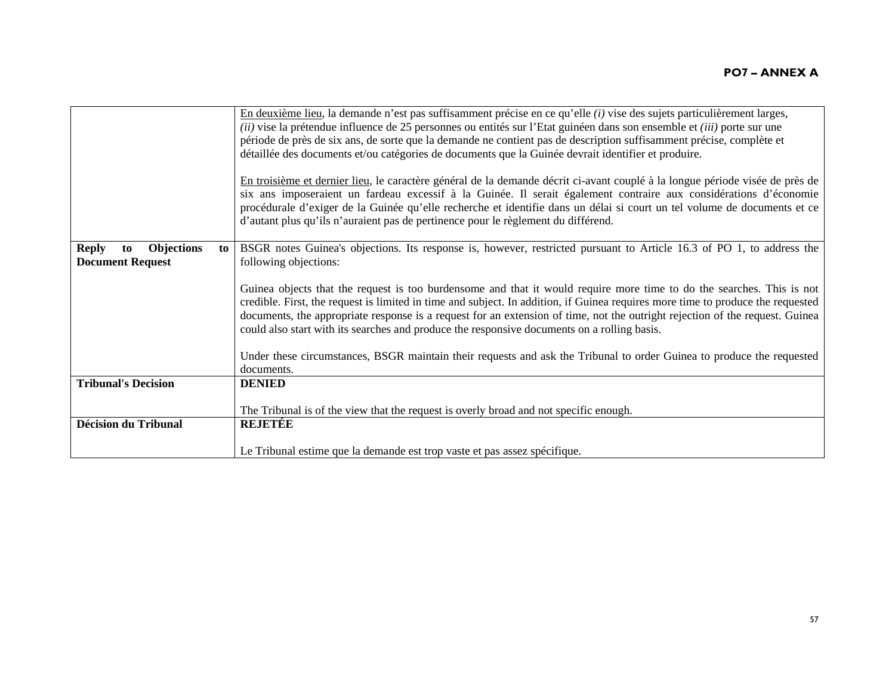|                                                                          | En deuxième lieu, la demande n'est pas suffisamment précise en ce qu'elle (i) vise des sujets particulièrement larges,<br>(ii) vise la prétendue influence de 25 personnes ou entités sur l'Etat guinéen dans son ensemble et (iii) porte sur une<br>période de près de six ans, de sorte que la demande ne contient pas de description suffisamment précise, complète et<br>détaillée des documents et/ou catégories de documents que la Guinée devrait identifier et produire.<br>En troisième et dernier lieu, le caractère général de la demande décrit ci-avant couplé à la longue période visée de près de<br>six ans imposeraient un fardeau excessif à la Guinée. Il serait également contraire aux considérations d'économie<br>procédurale d'exiger de la Guinée qu'elle recherche et identifie dans un délai si court un tel volume de documents et ce<br>d'autant plus qu'ils n'auraient pas de pertinence pour le règlement du différend. |
|--------------------------------------------------------------------------|--------------------------------------------------------------------------------------------------------------------------------------------------------------------------------------------------------------------------------------------------------------------------------------------------------------------------------------------------------------------------------------------------------------------------------------------------------------------------------------------------------------------------------------------------------------------------------------------------------------------------------------------------------------------------------------------------------------------------------------------------------------------------------------------------------------------------------------------------------------------------------------------------------------------------------------------------------|
| <b>Objections</b><br><b>Reply</b><br>to<br>to<br><b>Document Request</b> | BSGR notes Guinea's objections. Its response is, however, restricted pursuant to Article 16.3 of PO 1, to address the<br>following objections:<br>Guinea objects that the request is too burdensome and that it would require more time to do the searches. This is not<br>credible. First, the request is limited in time and subject. In addition, if Guinea requires more time to produce the requested<br>documents, the appropriate response is a request for an extension of time, not the outright rejection of the request. Guinea<br>could also start with its searches and produce the responsive documents on a rolling basis.<br>Under these circumstances, BSGR maintain their requests and ask the Tribunal to order Guinea to produce the requested                                                                                                                                                                                     |
|                                                                          | documents.                                                                                                                                                                                                                                                                                                                                                                                                                                                                                                                                                                                                                                                                                                                                                                                                                                                                                                                                             |
| <b>Tribunal's Decision</b>                                               | <b>DENIED</b>                                                                                                                                                                                                                                                                                                                                                                                                                                                                                                                                                                                                                                                                                                                                                                                                                                                                                                                                          |
|                                                                          | The Tribunal is of the view that the request is overly broad and not specific enough.                                                                                                                                                                                                                                                                                                                                                                                                                                                                                                                                                                                                                                                                                                                                                                                                                                                                  |
| <b>Décision du Tribunal</b>                                              | <b>REJETÉE</b>                                                                                                                                                                                                                                                                                                                                                                                                                                                                                                                                                                                                                                                                                                                                                                                                                                                                                                                                         |
|                                                                          | Le Tribunal estime que la demande est trop vaste et pas assez spécifique.                                                                                                                                                                                                                                                                                                                                                                                                                                                                                                                                                                                                                                                                                                                                                                                                                                                                              |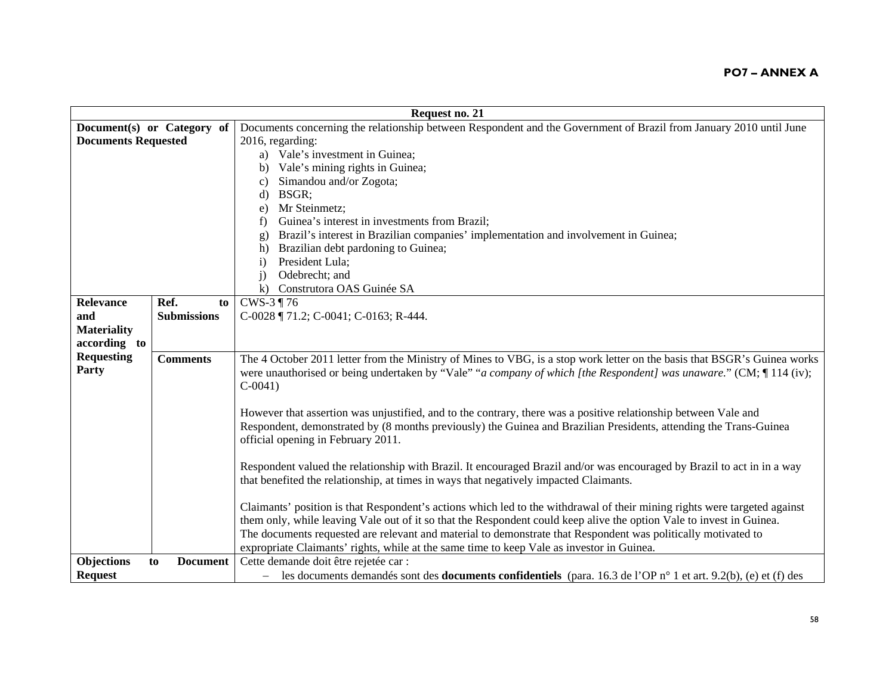|                            |                            | Request no. 21                                                                                                                    |
|----------------------------|----------------------------|-----------------------------------------------------------------------------------------------------------------------------------|
|                            | Document(s) or Category of | Documents concerning the relationship between Respondent and the Government of Brazil from January 2010 until June                |
| <b>Documents Requested</b> |                            | 2016, regarding:                                                                                                                  |
|                            |                            | a) Vale's investment in Guinea;                                                                                                   |
|                            |                            | Vale's mining rights in Guinea;<br>b)                                                                                             |
|                            |                            | Simandou and/or Zogota;<br>C)                                                                                                     |
|                            |                            | BSGR;<br>d)                                                                                                                       |
|                            |                            | Mr Steinmetz;<br>e)                                                                                                               |
|                            |                            | Guinea's interest in investments from Brazil;<br>f)                                                                               |
|                            |                            | Brazil's interest in Brazilian companies' implementation and involvement in Guinea;<br>g)                                         |
|                            |                            | Brazilian debt pardoning to Guinea;<br>h)                                                                                         |
|                            |                            | President Lula;<br>$\mathbf{i}$                                                                                                   |
|                            |                            | Odebrecht; and<br>$\mathbf{i}$                                                                                                    |
|                            |                            | $\bf k$ )<br>Construtora OAS Guinée SA                                                                                            |
| <b>Relevance</b>           | Ref.<br>to                 | CWS-3 ¶ 76                                                                                                                        |
| and                        | <b>Submissions</b>         | C-0028 ¶ 71.2; C-0041; C-0163; R-444.                                                                                             |
| <b>Materiality</b>         |                            |                                                                                                                                   |
| according to               |                            |                                                                                                                                   |
| <b>Requesting</b>          | <b>Comments</b>            | The 4 October 2011 letter from the Ministry of Mines to VBG, is a stop work letter on the basis that BSGR's Guinea works          |
| Party                      |                            | were unauthorised or being undertaken by "Vale" "a company of which [the Respondent] was unaware." (CM; [114 (iv);                |
|                            |                            | $C-0041$                                                                                                                          |
|                            |                            |                                                                                                                                   |
|                            |                            | However that assertion was unjustified, and to the contrary, there was a positive relationship between Vale and                   |
|                            |                            | Respondent, demonstrated by (8 months previously) the Guinea and Brazilian Presidents, attending the Trans-Guinea                 |
|                            |                            | official opening in February 2011.                                                                                                |
|                            |                            |                                                                                                                                   |
|                            |                            | Respondent valued the relationship with Brazil. It encouraged Brazil and/or was encouraged by Brazil to act in in a way           |
|                            |                            | that benefited the relationship, at times in ways that negatively impacted Claimants.                                             |
|                            |                            |                                                                                                                                   |
|                            |                            | Claimants' position is that Respondent's actions which led to the withdrawal of their mining rights were targeted against         |
|                            |                            | them only, while leaving Vale out of it so that the Respondent could keep alive the option Vale to invest in Guinea.              |
|                            |                            | The documents requested are relevant and material to demonstrate that Respondent was politically motivated to                     |
|                            |                            | expropriate Claimants' rights, while at the same time to keep Vale as investor in Guinea.                                         |
| Objections                 | <b>Document</b><br>to      | Cette demande doit être rejetée car :                                                                                             |
| <b>Request</b>             |                            | - les documents demandés sont des <b>documents confidentiels</b> (para. 16.3 de l'OP $n^{\circ}$ 1 et art. 9.2(b), (e) et (f) des |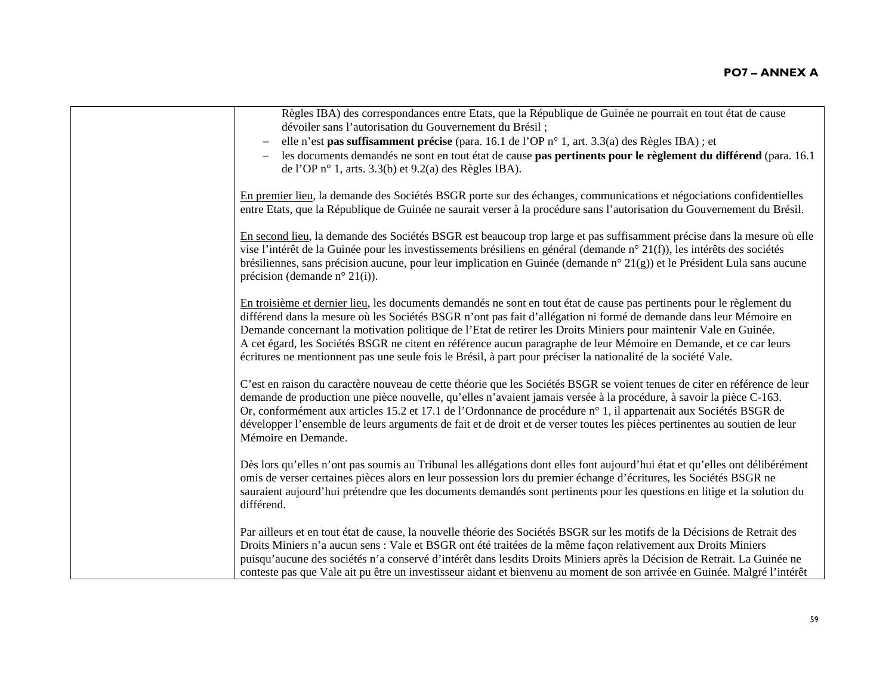| Règles IBA) des correspondances entre Etats, que la République de Guinée ne pourrait en tout état de cause<br>dévoiler sans l'autorisation du Gouvernement du Brésil;                                                                                                                                                                                                                                                                                                                                                                                                                                     |
|-----------------------------------------------------------------------------------------------------------------------------------------------------------------------------------------------------------------------------------------------------------------------------------------------------------------------------------------------------------------------------------------------------------------------------------------------------------------------------------------------------------------------------------------------------------------------------------------------------------|
| elle n'est pas suffisamment précise (para. 16.1 de l'OP n° 1, art. 3.3(a) des Règles IBA) ; et                                                                                                                                                                                                                                                                                                                                                                                                                                                                                                            |
| les documents demandés ne sont en tout état de cause pas pertinents pour le règlement du différend (para. 16.1<br>de l'OP $n^{\circ}$ 1, arts. 3.3(b) et 9.2(a) des Règles IBA).                                                                                                                                                                                                                                                                                                                                                                                                                          |
| En premier lieu, la demande des Sociétés BSGR porte sur des échanges, communications et négociations confidentielles<br>entre Etats, que la République de Guinée ne saurait verser à la procédure sans l'autorisation du Gouvernement du Brésil.                                                                                                                                                                                                                                                                                                                                                          |
| En second lieu, la demande des Sociétés BSGR est beaucoup trop large et pas suffisamment précise dans la mesure où elle<br>vise l'intérêt de la Guinée pour les investissements brésiliens en général (demande n° 21(f)), les intérêts des sociétés<br>brésiliennes, sans précision aucune, pour leur implication en Guinée (demande n° 21(g)) et le Président Lula sans aucune<br>précision (demande n° 21(i)).                                                                                                                                                                                          |
| En troisième et dernier lieu, les documents demandés ne sont en tout état de cause pas pertinents pour le règlement du<br>différend dans la mesure où les Sociétés BSGR n'ont pas fait d'allégation ni formé de demande dans leur Mémoire en<br>Demande concernant la motivation politique de l'Etat de retirer les Droits Miniers pour maintenir Vale en Guinée.<br>A cet égard, les Sociétés BSGR ne citent en référence aucun paragraphe de leur Mémoire en Demande, et ce car leurs<br>écritures ne mentionnent pas une seule fois le Brésil, à part pour préciser la nationalité de la société Vale. |
| C'est en raison du caractère nouveau de cette théorie que les Sociétés BSGR se voient tenues de citer en référence de leur<br>demande de production une pièce nouvelle, qu'elles n'avaient jamais versée à la procédure, à savoir la pièce C-163.<br>Or, conformément aux articles 15.2 et 17.1 de l'Ordonnance de procédure n° 1, il appartenait aux Sociétés BSGR de<br>développer l'ensemble de leurs arguments de fait et de droit et de verser toutes les pièces pertinentes au soutien de leur<br>Mémoire en Demande.                                                                               |
| Dès lors qu'elles n'ont pas soumis au Tribunal les allégations dont elles font aujourd'hui état et qu'elles ont délibérément<br>omis de verser certaines pièces alors en leur possession lors du premier échange d'écritures, les Sociétés BSGR ne<br>sauraient aujourd'hui prétendre que les documents demandés sont pertinents pour les questions en litige et la solution du<br>différend.                                                                                                                                                                                                             |
| Par ailleurs et en tout état de cause, la nouvelle théorie des Sociétés BSGR sur les motifs de la Décisions de Retrait des<br>Droits Miniers n'a aucun sens : Vale et BSGR ont été traitées de la même façon relativement aux Droits Miniers<br>puisqu'aucune des sociétés n'a conservé d'intérêt dans lesdits Droits Miniers après la Décision de Retrait. La Guinée ne<br>conteste pas que Vale ait pu être un investisseur aidant et bienvenu au moment de son arrivée en Guinée. Malgré l'intérêt                                                                                                     |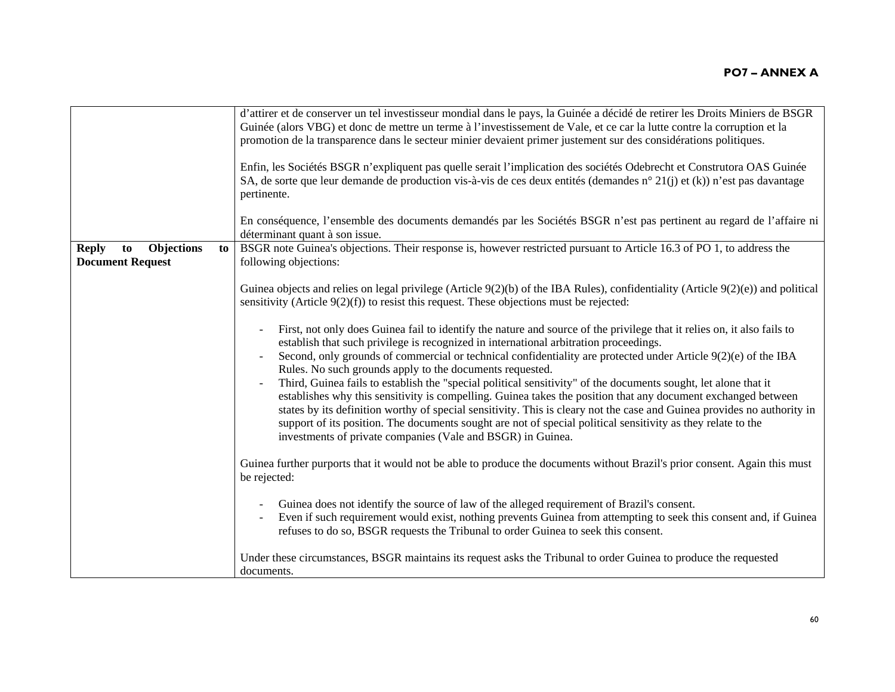| d'attirer et de conserver un tel investisseur mondial dans le pays, la Guinée a décidé de retirer les Droits Miniers de BSGR<br>Guinée (alors VBG) et donc de mettre un terme à l'investissement de Vale, et ce car la lutte contre la corruption et la<br>promotion de la transparence dans le secteur minier devaient primer justement sur des considérations politiques.<br>Enfin, les Sociétés BSGR n'expliquent pas quelle serait l'implication des sociétés Odebrecht et Construtora OAS Guinée<br>SA, de sorte que leur demande de production vis-à-vis de ces deux entités (demandes n° 21(j) et (k)) n'est pas davantage<br>pertinente.<br>En conséquence, l'ensemble des documents demandés par les Sociétés BSGR n'est pas pertinent au regard de l'affaire ni                                                                                                                                                                    |
|----------------------------------------------------------------------------------------------------------------------------------------------------------------------------------------------------------------------------------------------------------------------------------------------------------------------------------------------------------------------------------------------------------------------------------------------------------------------------------------------------------------------------------------------------------------------------------------------------------------------------------------------------------------------------------------------------------------------------------------------------------------------------------------------------------------------------------------------------------------------------------------------------------------------------------------------|
| déterminant quant à son issue.                                                                                                                                                                                                                                                                                                                                                                                                                                                                                                                                                                                                                                                                                                                                                                                                                                                                                                               |
| BSGR note Guinea's objections. Their response is, however restricted pursuant to Article 16.3 of PO 1, to address the<br>following objections:                                                                                                                                                                                                                                                                                                                                                                                                                                                                                                                                                                                                                                                                                                                                                                                               |
| Guinea objects and relies on legal privilege (Article $9(2)(b)$ of the IBA Rules), confidentiality (Article $9(2)(e)$ ) and political<br>sensitivity (Article $9(2)(f)$ ) to resist this request. These objections must be rejected:                                                                                                                                                                                                                                                                                                                                                                                                                                                                                                                                                                                                                                                                                                         |
| First, not only does Guinea fail to identify the nature and source of the privilege that it relies on, it also fails to<br>establish that such privilege is recognized in international arbitration proceedings.<br>Second, only grounds of commercial or technical confidentiality are protected under Article 9(2)(e) of the IBA<br>Rules. No such grounds apply to the documents requested.<br>Third, Guinea fails to establish the "special political sensitivity" of the documents sought, let alone that it<br>establishes why this sensitivity is compelling. Guinea takes the position that any document exchanged between<br>states by its definition worthy of special sensitivity. This is cleary not the case and Guinea provides no authority in<br>support of its position. The documents sought are not of special political sensitivity as they relate to the<br>investments of private companies (Vale and BSGR) in Guinea. |
| Guinea further purports that it would not be able to produce the documents without Brazil's prior consent. Again this must<br>be rejected:                                                                                                                                                                                                                                                                                                                                                                                                                                                                                                                                                                                                                                                                                                                                                                                                   |
| Guinea does not identify the source of law of the alleged requirement of Brazil's consent.<br>Even if such requirement would exist, nothing prevents Guinea from attempting to seek this consent and, if Guinea<br>refuses to do so, BSGR requests the Tribunal to order Guinea to seek this consent.<br>Under these circumstances, BSGR maintains its request asks the Tribunal to order Guinea to produce the requested<br>documents.                                                                                                                                                                                                                                                                                                                                                                                                                                                                                                      |
|                                                                                                                                                                                                                                                                                                                                                                                                                                                                                                                                                                                                                                                                                                                                                                                                                                                                                                                                              |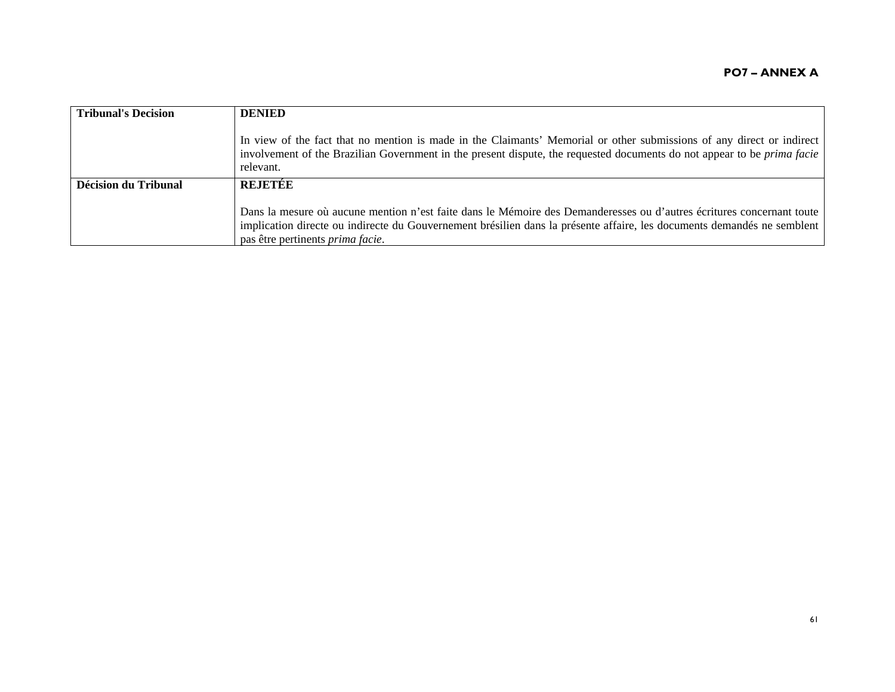| <b>Tribunal's Decision</b> | <b>DENIED</b>                                                                                                                                                                                                                                                                                |
|----------------------------|----------------------------------------------------------------------------------------------------------------------------------------------------------------------------------------------------------------------------------------------------------------------------------------------|
|                            | In view of the fact that no mention is made in the Claimants' Memorial or other submissions of any direct or indirect<br>involvement of the Brazilian Government in the present dispute, the requested documents do not appear to be <i>prima facie</i><br>relevant.                         |
| Décision du Tribunal       | <b>REJETÉE</b>                                                                                                                                                                                                                                                                               |
|                            | Dans la mesure où aucune mention n'est faite dans le Mémoire des Demanderesses ou d'autres écritures concernant toute<br>implication directe ou indirecte du Gouvernement brésilien dans la présente affaire, les documents demandés ne semblent<br>pas être pertinents <i>prima facie</i> . |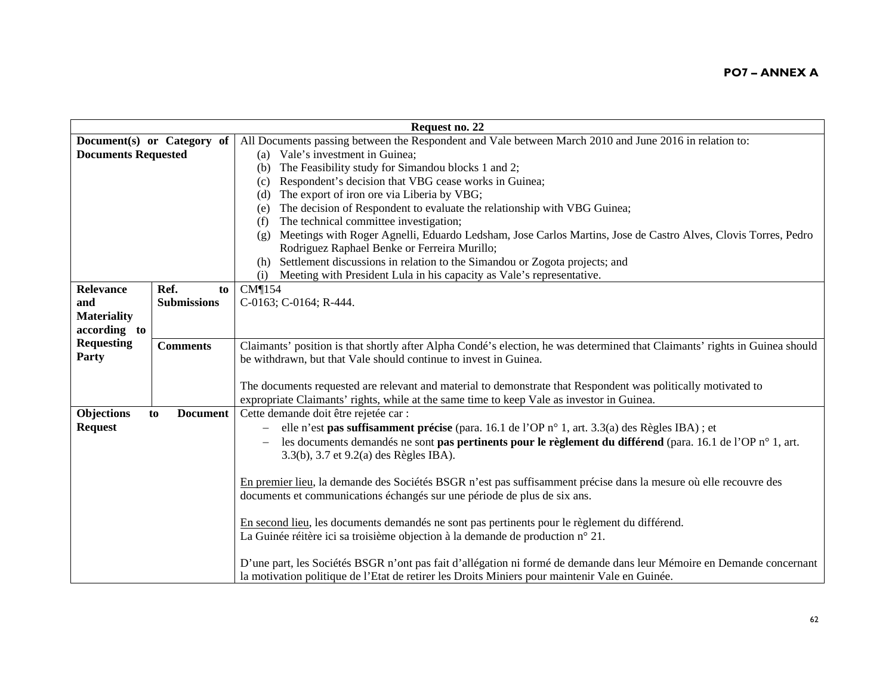|                            |                            | Request no. 22                                                                                                                          |
|----------------------------|----------------------------|-----------------------------------------------------------------------------------------------------------------------------------------|
|                            | Document(s) or Category of | All Documents passing between the Respondent and Vale between March 2010 and June 2016 in relation to:                                  |
| <b>Documents Requested</b> |                            | (a) Vale's investment in Guinea;                                                                                                        |
|                            |                            | The Feasibility study for Simandou blocks 1 and 2;<br>(b)                                                                               |
|                            |                            | Respondent's decision that VBG cease works in Guinea;<br>(c)                                                                            |
|                            |                            | The export of iron ore via Liberia by VBG;<br>(d)                                                                                       |
|                            |                            | The decision of Respondent to evaluate the relationship with VBG Guinea;<br>(e)                                                         |
|                            |                            | The technical committee investigation;<br>(f)                                                                                           |
|                            |                            | Meetings with Roger Agnelli, Eduardo Ledsham, Jose Carlos Martins, Jose de Castro Alves, Clovis Torres, Pedro<br>(g)                    |
|                            |                            | Rodriguez Raphael Benke or Ferreira Murillo;                                                                                            |
|                            |                            | Settlement discussions in relation to the Simandou or Zogota projects; and<br>(h)                                                       |
|                            |                            | Meeting with President Lula in his capacity as Vale's representative.<br>(i)                                                            |
| Relevance                  | Ref.<br>to                 | CM¶154                                                                                                                                  |
| and                        | <b>Submissions</b>         | C-0163; C-0164; R-444.                                                                                                                  |
| <b>Materiality</b>         |                            |                                                                                                                                         |
| according to               |                            |                                                                                                                                         |
| <b>Requesting</b>          | <b>Comments</b>            | Claimants' position is that shortly after Alpha Condé's election, he was determined that Claimants' rights in Guinea should             |
| Party                      |                            | be withdrawn, but that Vale should continue to invest in Guinea.                                                                        |
|                            |                            |                                                                                                                                         |
|                            |                            | The documents requested are relevant and material to demonstrate that Respondent was politically motivated to                           |
|                            |                            | expropriate Claimants' rights, while at the same time to keep Vale as investor in Guinea.                                               |
| Objections                 | <b>Document</b><br>to      | Cette demande doit être rejetée car :                                                                                                   |
| <b>Request</b>             |                            | elle n'est pas suffisamment précise (para. 16.1 de l'OP n° 1, art. 3.3(a) des Règles IBA) ; et                                          |
|                            |                            | les documents demandés ne sont <b>pas pertinents pour le règlement du différend</b> (para. 16.1 de l'OP n° 1, art.<br>$\qquad \qquad -$ |
|                            |                            | 3.3(b), 3.7 et 9.2(a) des Règles IBA).                                                                                                  |
|                            |                            |                                                                                                                                         |
|                            |                            | En premier lieu, la demande des Sociétés BSGR n'est pas suffisamment précise dans la mesure où elle recouvre des                        |
|                            |                            | documents et communications échangés sur une période de plus de six ans.                                                                |
|                            |                            |                                                                                                                                         |
|                            |                            | En second lieu, les documents demandés ne sont pas pertinents pour le règlement du différend.                                           |
|                            |                            | La Guinée réitère ici sa troisième objection à la demande de production n° 21.                                                          |
|                            |                            |                                                                                                                                         |
|                            |                            | D'une part, les Sociétés BSGR n'ont pas fait d'allégation ni formé de demande dans leur Mémoire en Demande concernant                   |
|                            |                            | la motivation politique de l'Etat de retirer les Droits Miniers pour maintenir Vale en Guinée.                                          |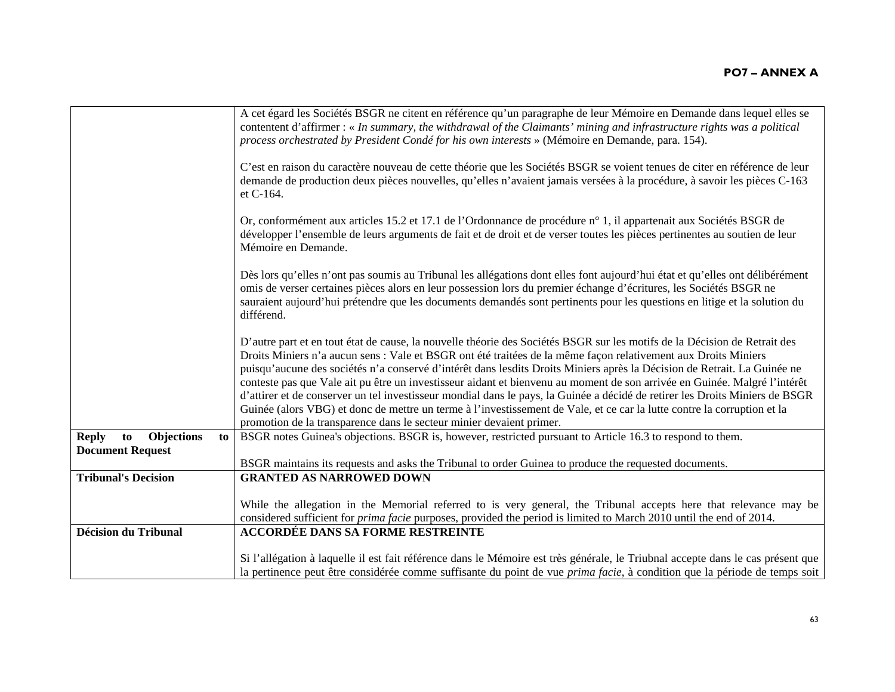| contentent d'affirmer : « In summary, the withdrawal of the Claimants' mining and infrastructure rights was a political                                                                                                                                                                                                                                                                                                                                                                                            |
|--------------------------------------------------------------------------------------------------------------------------------------------------------------------------------------------------------------------------------------------------------------------------------------------------------------------------------------------------------------------------------------------------------------------------------------------------------------------------------------------------------------------|
| C'est en raison du caractère nouveau de cette théorie que les Sociétés BSGR se voient tenues de citer en référence de leur<br>demande de production deux pièces nouvelles, qu'elles n'avaient jamais versées à la procédure, à savoir les pièces C-163                                                                                                                                                                                                                                                             |
| développer l'ensemble de leurs arguments de fait et de droit et de verser toutes les pièces pertinentes au soutien de leur                                                                                                                                                                                                                                                                                                                                                                                         |
| Dès lors qu'elles n'ont pas soumis au Tribunal les allégations dont elles font aujourd'hui état et qu'elles ont délibérément<br>sauraient aujourd'hui prétendre que les documents demandés sont pertinents pour les questions en litige et la solution du                                                                                                                                                                                                                                                          |
| D'autre part et en tout état de cause, la nouvelle théorie des Sociétés BSGR sur les motifs de la Décision de Retrait des<br>puisqu'aucune des sociétés n'a conservé d'intérêt dans lesdits Droits Miniers après la Décision de Retrait. La Guinée ne<br>conteste pas que Vale ait pu être un investisseur aidant et bienvenu au moment de son arrivée en Guinée. Malgré l'intérêt<br>d'attirer et de conserver un tel investisseur mondial dans le pays, la Guinée a décidé de retirer les Droits Miniers de BSGR |
|                                                                                                                                                                                                                                                                                                                                                                                                                                                                                                                    |
|                                                                                                                                                                                                                                                                                                                                                                                                                                                                                                                    |
|                                                                                                                                                                                                                                                                                                                                                                                                                                                                                                                    |
|                                                                                                                                                                                                                                                                                                                                                                                                                                                                                                                    |
| While the allegation in the Memorial referred to is very general, the Tribunal accepts here that relevance may be                                                                                                                                                                                                                                                                                                                                                                                                  |
|                                                                                                                                                                                                                                                                                                                                                                                                                                                                                                                    |
| Si l'allégation à laquelle il est fait référence dans le Mémoire est très générale, le Triubnal accepte dans le cas présent que                                                                                                                                                                                                                                                                                                                                                                                    |
| la pertinence peut être considérée comme suffisante du point de vue prima facie, à condition que la période de temps soit                                                                                                                                                                                                                                                                                                                                                                                          |
| Or, conformément aux articles 15.2 et 17.1 de l'Ordonnance de procédure n° 1, il appartenait aux Sociétés BSGR de<br>Guinée (alors VBG) et donc de mettre un terme à l'investissement de Vale, et ce car la lutte contre la corruption et la                                                                                                                                                                                                                                                                       |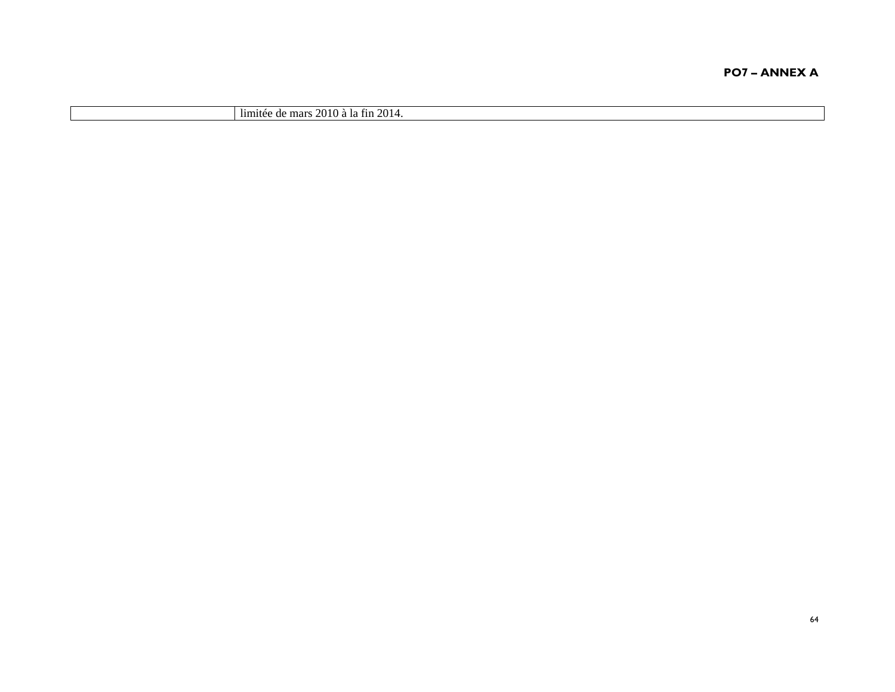| $\cdot$<br>2014.<br>$\overline{\phantom{a}}$<br>or<br>limitée<br>mar:<br>. †1n<br>- 1 CL<br>.v.v<br>$\mathbf{u}$ |
|------------------------------------------------------------------------------------------------------------------|
|------------------------------------------------------------------------------------------------------------------|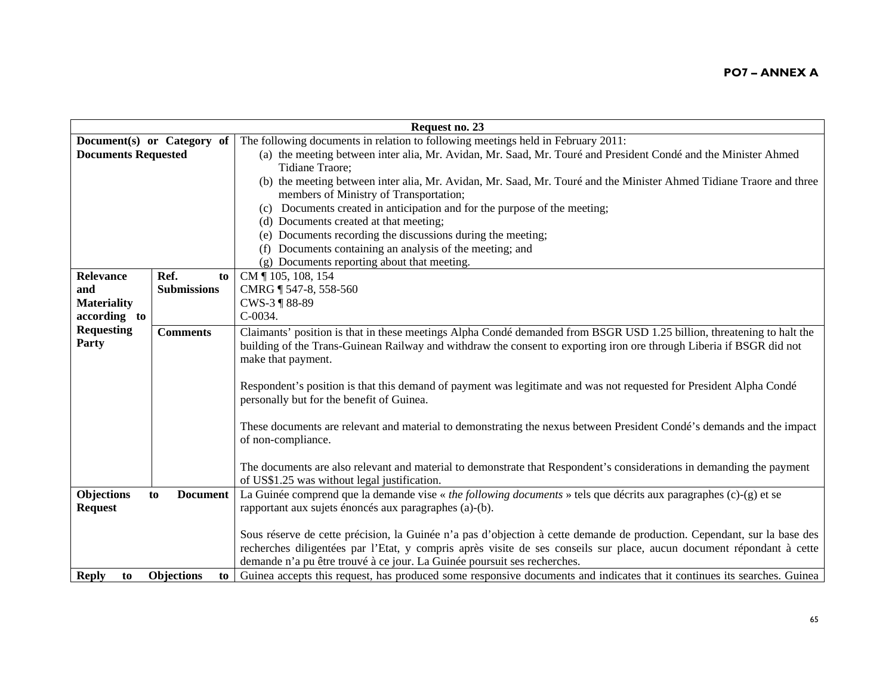| Request no. 23             |                         |                                                                                                                          |
|----------------------------|-------------------------|--------------------------------------------------------------------------------------------------------------------------|
| Document(s) or Category of |                         | The following documents in relation to following meetings held in February 2011:                                         |
| <b>Documents Requested</b> |                         | (a) the meeting between inter alia, Mr. Avidan, Mr. Saad, Mr. Touré and President Condé and the Minister Ahmed           |
|                            |                         | Tidiane Traore;                                                                                                          |
|                            |                         | (b) the meeting between inter alia, Mr. Avidan, Mr. Saad, Mr. Touré and the Minister Ahmed Tidiane Traore and three      |
|                            |                         | members of Ministry of Transportation;                                                                                   |
|                            |                         | Documents created in anticipation and for the purpose of the meeting;<br>(c)                                             |
|                            |                         | (d) Documents created at that meeting;                                                                                   |
|                            |                         | (e) Documents recording the discussions during the meeting;                                                              |
|                            |                         | (f) Documents containing an analysis of the meeting; and                                                                 |
|                            |                         | (g) Documents reporting about that meeting.                                                                              |
| <b>Relevance</b>           | Ref.<br>to              | CM 105, 108, 154                                                                                                         |
| and                        | <b>Submissions</b>      | CMRG ¶ 547-8, 558-560                                                                                                    |
| <b>Materiality</b>         |                         | CWS-3 ¶ 88-89                                                                                                            |
| according to               |                         | C-0034.                                                                                                                  |
| <b>Requesting</b>          | <b>Comments</b>         | Claimants' position is that in these meetings Alpha Condé demanded from BSGR USD 1.25 billion, threatening to halt the   |
| Party                      |                         | building of the Trans-Guinean Railway and withdraw the consent to exporting iron ore through Liberia if BSGR did not     |
|                            |                         | make that payment.                                                                                                       |
|                            |                         |                                                                                                                          |
|                            |                         | Respondent's position is that this demand of payment was legitimate and was not requested for President Alpha Condé      |
|                            |                         | personally but for the benefit of Guinea.                                                                                |
|                            |                         |                                                                                                                          |
|                            |                         | These documents are relevant and material to demonstrating the nexus between President Condé's demands and the impact    |
|                            |                         | of non-compliance.                                                                                                       |
|                            |                         | The documents are also relevant and material to demonstrate that Respondent's considerations in demanding the payment    |
|                            |                         | of US\$1.25 was without legal justification.                                                                             |
| Objections                 | <b>Document</b><br>to   | La Guinée comprend que la demande vise « the following documents » tels que décrits aux paragraphes (c)-(g) et se        |
| <b>Request</b>             |                         | rapportant aux sujets énoncés aux paragraphes (a)-(b).                                                                   |
|                            |                         |                                                                                                                          |
|                            |                         | Sous réserve de cette précision, la Guinée n'a pas d'objection à cette demande de production. Cependant, sur la base des |
|                            |                         | recherches diligentées par l'Etat, y compris après visite de ses conseils sur place, aucun document répondant à cette    |
|                            |                         | demande n'a pu être trouvé à ce jour. La Guinée poursuit ses recherches.                                                 |
| <b>Reply</b><br>to         | <b>Objections</b><br>to | Guinea accepts this request, has produced some responsive documents and indicates that it continues its searches. Guinea |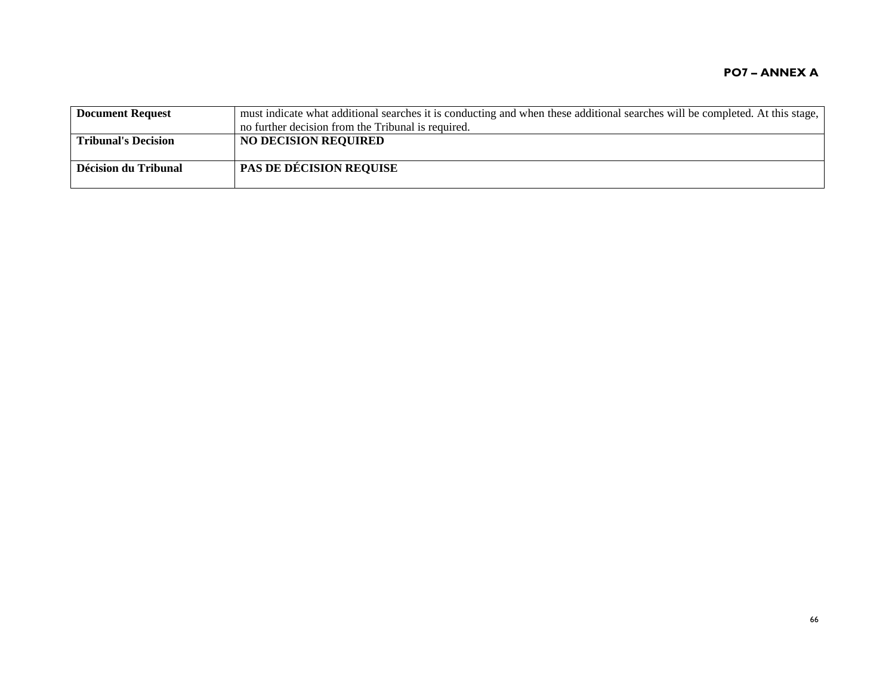| <b>Document Request</b>    | must indicate what additional searches it is conducting and when these additional searches will be completed. At this stage,<br>no further decision from the Tribunal is required. |
|----------------------------|------------------------------------------------------------------------------------------------------------------------------------------------------------------------------------|
| <b>Tribunal's Decision</b> | <b>NO DECISION REQUIRED</b>                                                                                                                                                        |
| Décision du Tribunal       | <b>PAS DE DÉCISION REQUISE</b>                                                                                                                                                     |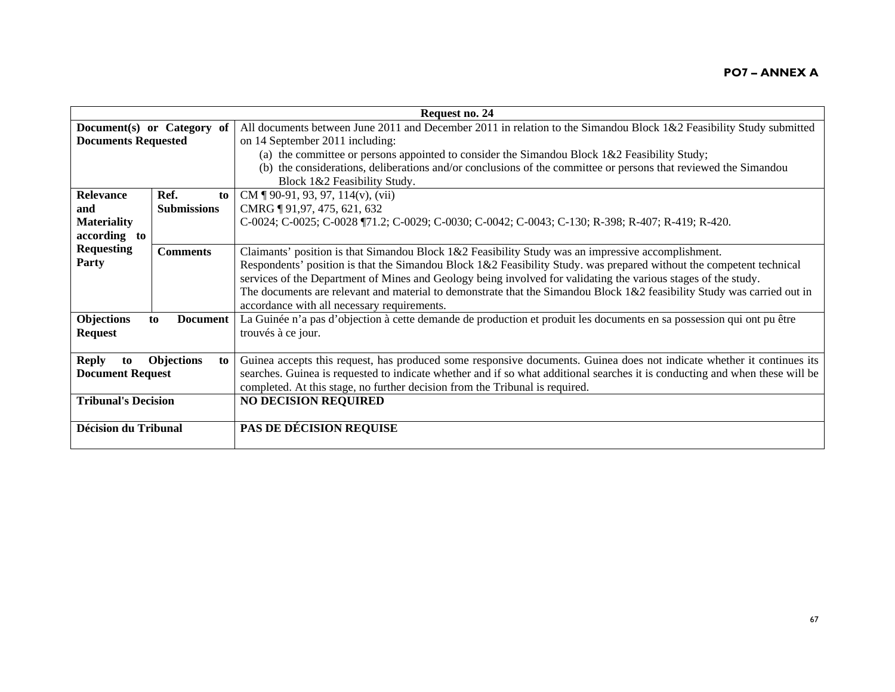|                                            | Request no. 24          |                                                                                                                              |  |
|--------------------------------------------|-------------------------|------------------------------------------------------------------------------------------------------------------------------|--|
| Document(s) or Category of                 |                         | All documents between June 2011 and December 2011 in relation to the Simandou Block 1&2 Feasibility Study submitted          |  |
| <b>Documents Requested</b>                 |                         | on 14 September 2011 including:                                                                                              |  |
|                                            |                         | (a) the committee or persons appointed to consider the Simandou Block $1&2$ Feasibility Study;                               |  |
|                                            |                         | (b) the considerations, deliberations and/or conclusions of the committee or persons that reviewed the Simandou              |  |
|                                            |                         | Block 1&2 Feasibility Study.                                                                                                 |  |
| <b>Relevance</b>                           | Ref.<br>to              | CM $\P$ 90-91, 93, 97, 114(v), (vii)                                                                                         |  |
| and                                        | <b>Submissions</b>      | CMRG 191,97, 475, 621, 632                                                                                                   |  |
| <b>Materiality</b>                         |                         | C-0024; C-0025; C-0028 ¶71.2; C-0029; C-0030; C-0042; C-0043; C-130; R-398; R-407; R-419; R-420.                             |  |
| according to                               |                         |                                                                                                                              |  |
| <b>Requesting</b>                          | <b>Comments</b>         | Claimants' position is that Simandou Block 1&2 Feasibility Study was an impressive accomplishment.                           |  |
| Party                                      |                         | Respondents' position is that the Simandou Block 1&2 Feasibility Study. was prepared without the competent technical         |  |
|                                            |                         | services of the Department of Mines and Geology being involved for validating the various stages of the study.               |  |
|                                            |                         | The documents are relevant and material to demonstrate that the Simandou Block $1\&2$ feasibility Study was carried out in   |  |
|                                            |                         | accordance with all necessary requirements.                                                                                  |  |
| <b>Objections</b><br><b>Document</b><br>to |                         | La Guinée n'a pas d'objection à cette demande de production et produit les documents en sa possession qui ont pu être        |  |
| <b>Request</b>                             |                         | trouvés à ce jour.                                                                                                           |  |
|                                            |                         |                                                                                                                              |  |
| <b>Reply</b><br>to                         | <b>Objections</b><br>to | Guinea accepts this request, has produced some responsive documents. Guinea does not indicate whether it continues its       |  |
| <b>Document Request</b>                    |                         | searches. Guinea is requested to indicate whether and if so what additional searches it is conducting and when these will be |  |
|                                            |                         | completed. At this stage, no further decision from the Tribunal is required.                                                 |  |
| <b>Tribunal's Decision</b>                 |                         | <b>NO DECISION REQUIRED</b>                                                                                                  |  |
|                                            |                         |                                                                                                                              |  |
| <b>Décision du Tribunal</b>                |                         | <b>PAS DE DÉCISION REQUISE</b>                                                                                               |  |
|                                            |                         |                                                                                                                              |  |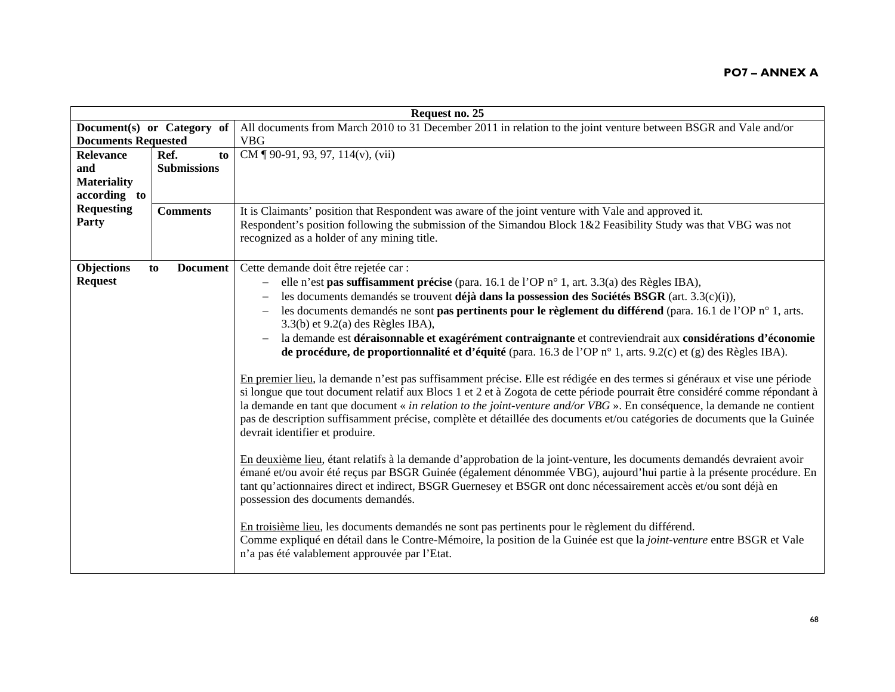| Request no. 25             |                       |                                                                                                                                        |
|----------------------------|-----------------------|----------------------------------------------------------------------------------------------------------------------------------------|
| Document(s) or Category of |                       | All documents from March 2010 to 31 December 2011 in relation to the joint venture between BSGR and Vale and/or                        |
| <b>Documents Requested</b> |                       | <b>VBG</b>                                                                                                                             |
| <b>Relevance</b>           | Ref.<br>to            | CM $\P$ 90-91, 93, 97, 114(v), (vii)                                                                                                   |
| and                        | <b>Submissions</b>    |                                                                                                                                        |
| <b>Materiality</b>         |                       |                                                                                                                                        |
| according to               |                       |                                                                                                                                        |
| <b>Requesting</b>          | <b>Comments</b>       | It is Claimants' position that Respondent was aware of the joint venture with Vale and approved it.                                    |
| Party                      |                       | Respondent's position following the submission of the Simandou Block 1&2 Feasibility Study was that VBG was not                        |
|                            |                       | recognized as a holder of any mining title.                                                                                            |
|                            |                       |                                                                                                                                        |
| <b>Objections</b>          | <b>Document</b><br>to | Cette demande doit être rejetée car :                                                                                                  |
| <b>Request</b>             |                       | elle n'est pas suffisamment précise (para. 16.1 de l'OP n° 1, art. 3.3(a) des Règles IBA),<br>$\qquad \qquad -$                        |
|                            |                       | les documents demandés se trouvent déjà dans la possession des Sociétés BSGR (art. 3.3(c)(i)),                                         |
|                            |                       | les documents demandés ne sont <b>pas pertinents pour le règlement du différend</b> (para. 16.1 de l'OP n° 1, arts.                    |
|                            |                       | $3.3(b)$ et $9.2(a)$ des Règles IBA),                                                                                                  |
|                            |                       | la demande est déraisonnable et exagérément contraignante et contreviendrait aux considérations d'économie<br>$\overline{\phantom{m}}$ |
|                            |                       | de procédure, de proportionnalité et d'équité (para. 16.3 de l'OP n° 1, arts. 9.2(c) et (g) des Règles IBA).                           |
|                            |                       | En premier lieu, la demande n'est pas suffisamment précise. Elle est rédigée en des termes si généraux et vise une période             |
|                            |                       | si longue que tout document relatif aux Blocs 1 et 2 et à Zogota de cette période pourrait être considéré comme répondant à            |
|                            |                       | la demande en tant que document « in relation to the joint-venture and/or VBG ». En conséquence, la demande ne contient                |
|                            |                       | pas de description suffisamment précise, complète et détaillée des documents et/ou catégories de documents que la Guinée               |
|                            |                       | devrait identifier et produire.                                                                                                        |
|                            |                       |                                                                                                                                        |
|                            |                       | En deuxième lieu, étant relatifs à la demande d'approbation de la joint-venture, les documents demandés devraient avoir                |
|                            |                       | émané et/ou avoir été reçus par BSGR Guinée (également dénommée VBG), aujourd'hui partie à la présente procédure. En                   |
|                            |                       | tant qu'actionnaires direct et indirect, BSGR Guernesey et BSGR ont donc nécessairement accès et/ou sont déjà en                       |
|                            |                       | possession des documents demandés.                                                                                                     |
|                            |                       |                                                                                                                                        |
|                            |                       | En troisième lieu, les documents demandés ne sont pas pertinents pour le règlement du différend.                                       |
|                            |                       | Comme expliqué en détail dans le Contre-Mémoire, la position de la Guinée est que la joint-venture entre BSGR et Vale                  |
|                            |                       | n'a pas été valablement approuvée par l'Etat.                                                                                          |
|                            |                       |                                                                                                                                        |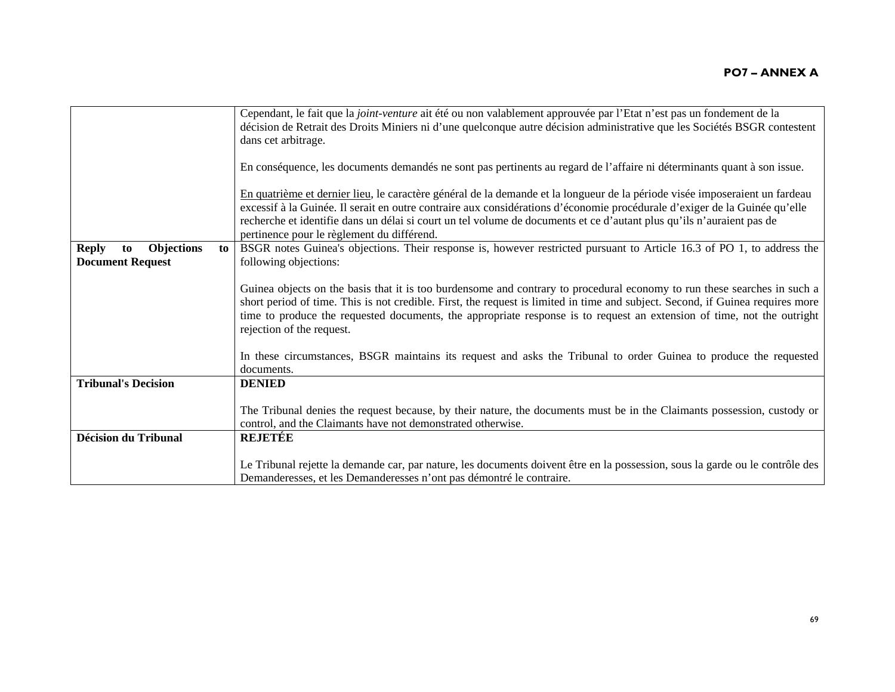|                                                                          | Cependant, le fait que la joint-venture ait été ou non valablement approuvée par l'Etat n'est pas un fondement de la<br>décision de Retrait des Droits Miniers ni d'une quelconque autre décision administrative que les Sociétés BSGR contestent<br>dans cet arbitrage.<br>En conséquence, les documents demandés ne sont pas pertinents au regard de l'affaire ni déterminants quant à son issue.                                                                                                                                                                  |
|--------------------------------------------------------------------------|----------------------------------------------------------------------------------------------------------------------------------------------------------------------------------------------------------------------------------------------------------------------------------------------------------------------------------------------------------------------------------------------------------------------------------------------------------------------------------------------------------------------------------------------------------------------|
|                                                                          | En quatrième et dernier lieu, le caractère général de la demande et la longueur de la période visée imposeraient un fardeau<br>excessif à la Guinée. Il serait en outre contraire aux considérations d'économie procédurale d'exiger de la Guinée qu'elle<br>recherche et identifie dans un délai si court un tel volume de documents et ce d'autant plus qu'ils n'auraient pas de<br>pertinence pour le règlement du différend.                                                                                                                                     |
| <b>Objections</b><br><b>Reply</b><br>to<br>to<br><b>Document Request</b> | BSGR notes Guinea's objections. Their response is, however restricted pursuant to Article 16.3 of PO 1, to address the<br>following objections:<br>Guinea objects on the basis that it is too burdensome and contrary to procedural economy to run these searches in such a<br>short period of time. This is not credible. First, the request is limited in time and subject. Second, if Guinea requires more<br>time to produce the requested documents, the appropriate response is to request an extension of time, not the outright<br>rejection of the request. |
|                                                                          | In these circumstances, BSGR maintains its request and asks the Tribunal to order Guinea to produce the requested<br>documents.                                                                                                                                                                                                                                                                                                                                                                                                                                      |
| <b>Tribunal's Decision</b>                                               | <b>DENIED</b><br>The Tribunal denies the request because, by their nature, the documents must be in the Claimants possession, custody or<br>control, and the Claimants have not demonstrated otherwise.                                                                                                                                                                                                                                                                                                                                                              |
| <b>Décision du Tribunal</b>                                              | REJETÉE<br>Le Tribunal rejette la demande car, par nature, les documents doivent être en la possession, sous la garde ou le contrôle des                                                                                                                                                                                                                                                                                                                                                                                                                             |
|                                                                          | Demanderesses, et les Demanderesses n'ont pas démontré le contraire.                                                                                                                                                                                                                                                                                                                                                                                                                                                                                                 |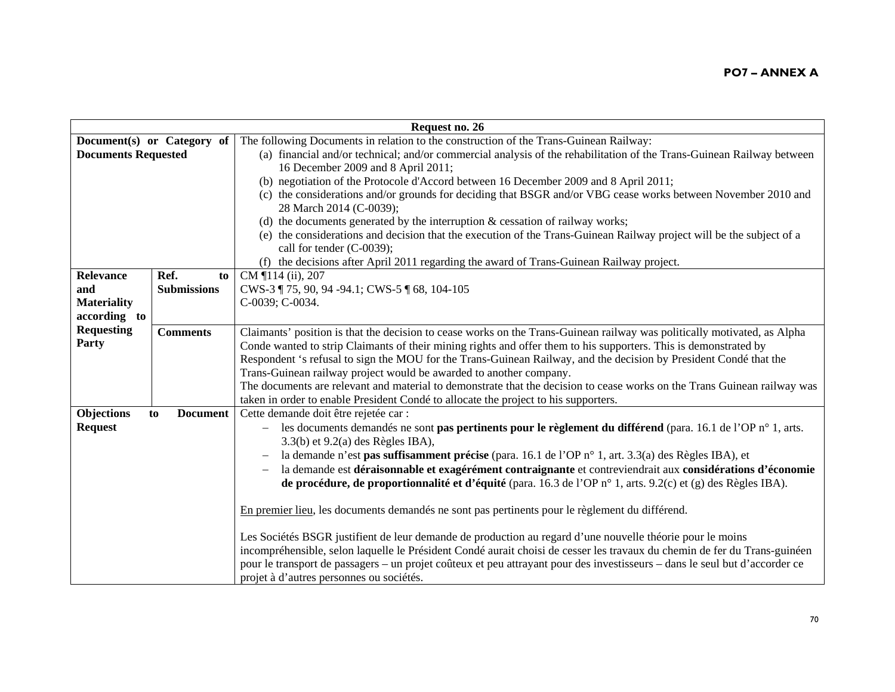|                            | Request no. 26        |                                                                                                                                        |  |
|----------------------------|-----------------------|----------------------------------------------------------------------------------------------------------------------------------------|--|
| Document(s) or Category of |                       | The following Documents in relation to the construction of the Trans-Guinean Railway:                                                  |  |
| <b>Documents Requested</b> |                       | (a) financial and/or technical; and/or commercial analysis of the rehabilitation of the Trans-Guinean Railway between                  |  |
|                            |                       | 16 December 2009 and 8 April 2011;                                                                                                     |  |
|                            |                       | (b) negotiation of the Protocole d'Accord between 16 December 2009 and 8 April 2011;                                                   |  |
|                            |                       | (c) the considerations and/or grounds for deciding that BSGR and/or VBG cease works between November 2010 and                          |  |
|                            |                       | 28 March 2014 (C-0039);                                                                                                                |  |
|                            |                       | (d) the documents generated by the interruption $\&$ cessation of railway works;                                                       |  |
|                            |                       | (e) the considerations and decision that the execution of the Trans-Guinean Railway project will be the subject of a                   |  |
|                            |                       | call for tender (C-0039);                                                                                                              |  |
|                            |                       | (f) the decisions after April 2011 regarding the award of Trans-Guinean Railway project.                                               |  |
| Relevance                  | Ref.<br>to            | CM ¶114 (ii), 207                                                                                                                      |  |
| and                        | <b>Submissions</b>    | CWS-3 ¶ 75, 90, 94 -94.1; CWS-5 ¶ 68, 104-105                                                                                          |  |
| <b>Materiality</b>         |                       | C-0039; C-0034.                                                                                                                        |  |
| according to               |                       |                                                                                                                                        |  |
| <b>Requesting</b>          | <b>Comments</b>       | Claimants' position is that the decision to cease works on the Trans-Guinean railway was politically motivated, as Alpha               |  |
| Party                      |                       | Conde wanted to strip Claimants of their mining rights and offer them to his supporters. This is demonstrated by                       |  |
|                            |                       | Respondent 's refusal to sign the MOU for the Trans-Guinean Railway, and the decision by President Condé that the                      |  |
|                            |                       | Trans-Guinean railway project would be awarded to another company.                                                                     |  |
|                            |                       | The documents are relevant and material to demonstrate that the decision to cease works on the Trans Guinean railway was               |  |
|                            |                       | taken in order to enable President Condé to allocate the project to his supporters.                                                    |  |
| Objections                 | <b>Document</b><br>to | Cette demande doit être rejetée car :                                                                                                  |  |
| <b>Request</b>             |                       | les documents demandés ne sont pas pertinents pour le règlement du différend (para. 16.1 de l'OP n° 1, arts.                           |  |
|                            |                       | $3.3(b)$ et $9.2(a)$ des Règles IBA),                                                                                                  |  |
|                            |                       | la demande n'est pas suffisamment précise (para. 16.1 de l'OP n° 1, art. 3.3(a) des Règles IBA), et<br>$\overline{\phantom{m}}$        |  |
|                            |                       | la demande est déraisonnable et exagérément contraignante et contreviendrait aux considérations d'économie<br>$\overline{\phantom{m}}$ |  |
|                            |                       | de procédure, de proportionnalité et d'équité (para. 16.3 de l'OP n° 1, arts. 9.2(c) et (g) des Règles IBA).                           |  |
|                            |                       |                                                                                                                                        |  |
|                            |                       | En premier lieu, les documents demandés ne sont pas pertinents pour le règlement du différend.                                         |  |
|                            |                       |                                                                                                                                        |  |
|                            |                       | Les Sociétés BSGR justifient de leur demande de production au regard d'une nouvelle théorie pour le moins                              |  |
|                            |                       | incompréhensible, selon laquelle le Président Condé aurait choisi de cesser les travaux du chemin de fer du Trans-guinéen              |  |
|                            |                       | pour le transport de passagers – un projet coûteux et peu attrayant pour des investisseurs – dans le seul but d'accorder ce            |  |
|                            |                       | projet à d'autres personnes ou sociétés.                                                                                               |  |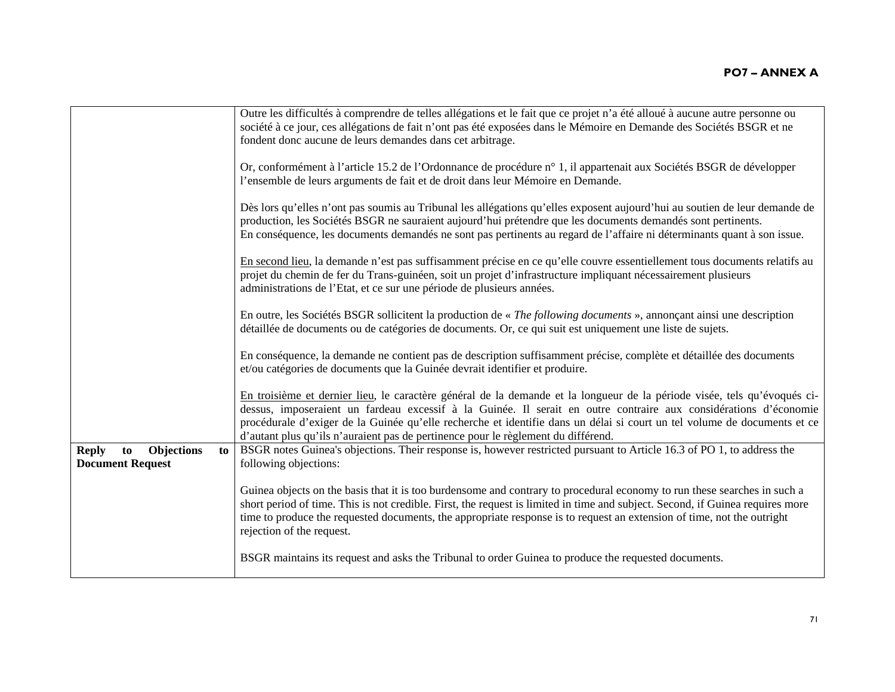|                                                                          | Outre les difficultés à comprendre de telles allégations et le fait que ce projet n'a été alloué à aucune autre personne ou<br>société à ce jour, ces allégations de fait n'ont pas été exposées dans le Mémoire en Demande des Sociétés BSGR et ne<br>fondent donc aucune de leurs demandes dans cet arbitrage.                                                                                                                                              |
|--------------------------------------------------------------------------|---------------------------------------------------------------------------------------------------------------------------------------------------------------------------------------------------------------------------------------------------------------------------------------------------------------------------------------------------------------------------------------------------------------------------------------------------------------|
|                                                                          | Or, conformément à l'article 15.2 de l'Ordonnance de procédure n° 1, il appartenait aux Sociétés BSGR de développer<br>l'ensemble de leurs arguments de fait et de droit dans leur Mémoire en Demande.                                                                                                                                                                                                                                                        |
|                                                                          | Dès lors qu'elles n'ont pas soumis au Tribunal les allégations qu'elles exposent aujourd'hui au soutien de leur demande de<br>production, les Sociétés BSGR ne sauraient aujourd'hui prétendre que les documents demandés sont pertinents.<br>En conséquence, les documents demandés ne sont pas pertinents au regard de l'affaire ni déterminants quant à son issue.                                                                                         |
|                                                                          | En second lieu, la demande n'est pas suffisamment précise en ce qu'elle couvre essentiellement tous documents relatifs au<br>projet du chemin de fer du Trans-guinéen, soit un projet d'infrastructure impliquant nécessairement plusieurs<br>administrations de l'Etat, et ce sur une période de plusieurs années.                                                                                                                                           |
|                                                                          | En outre, les Sociétés BSGR sollicitent la production de « The following documents », annonçant ainsi une description<br>détaillée de documents ou de catégories de documents. Or, ce qui suit est uniquement une liste de sujets.                                                                                                                                                                                                                            |
|                                                                          | En conséquence, la demande ne contient pas de description suffisamment précise, complète et détaillée des documents<br>et/ou catégories de documents que la Guinée devrait identifier et produire.                                                                                                                                                                                                                                                            |
|                                                                          | En troisième et dernier lieu, le caractère général de la demande et la longueur de la période visée, tels qu'évoqués ci-<br>dessus, imposeraient un fardeau excessif à la Guinée. Il serait en outre contraire aux considérations d'économie<br>procédurale d'exiger de la Guinée qu'elle recherche et identifie dans un délai si court un tel volume de documents et ce<br>d'autant plus qu'ils n'auraient pas de pertinence pour le règlement du différend. |
| <b>Objections</b><br><b>Reply</b><br>to<br>to<br><b>Document Request</b> | BSGR notes Guinea's objections. Their response is, however restricted pursuant to Article 16.3 of PO 1, to address the<br>following objections:                                                                                                                                                                                                                                                                                                               |
|                                                                          | Guinea objects on the basis that it is too burdensome and contrary to procedural economy to run these searches in such a<br>short period of time. This is not credible. First, the request is limited in time and subject. Second, if Guinea requires more<br>time to produce the requested documents, the appropriate response is to request an extension of time, not the outright<br>rejection of the request.                                             |
|                                                                          | BSGR maintains its request and asks the Tribunal to order Guinea to produce the requested documents.                                                                                                                                                                                                                                                                                                                                                          |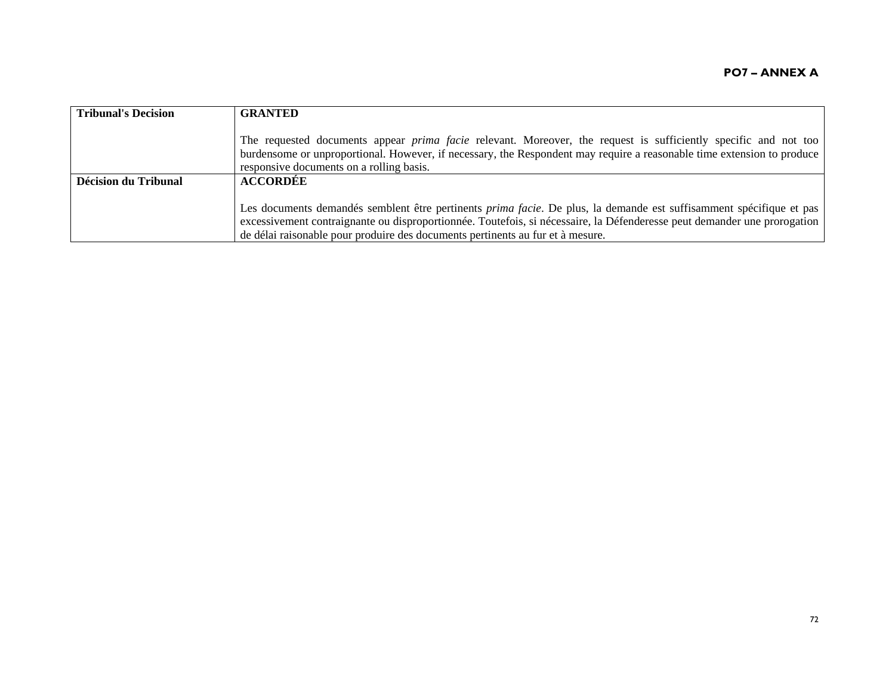| <b>Tribunal's Decision</b> | <b>GRANTED</b>                                                                                                                                                                                                                                                                                                                            |
|----------------------------|-------------------------------------------------------------------------------------------------------------------------------------------------------------------------------------------------------------------------------------------------------------------------------------------------------------------------------------------|
|                            | The requested documents appear <i>prima facie</i> relevant. Moreover, the request is sufficiently specific and not too<br>burdensome or unproportional. However, if necessary, the Respondent may require a reasonable time extension to produce<br>responsive documents on a rolling basis.                                              |
| Décision du Tribunal       | <b>ACCORDÉE</b>                                                                                                                                                                                                                                                                                                                           |
|                            | Les documents demandés semblent être pertinents <i>prima facie</i> . De plus, la demande est suffisamment spécifique et pas<br>excessivement contraignante ou disproportionnée. Toutefois, si nécessaire, la Défenderesse peut demander une prorogation<br>de délai raisonable pour produire des documents pertinents au fur et à mesure. |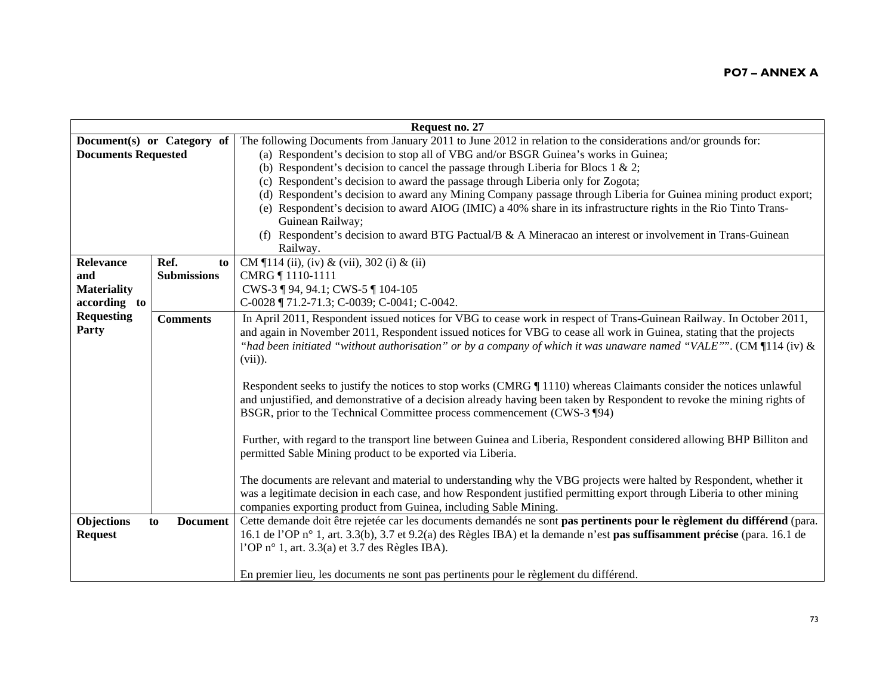| Request no. 27             |                       |                                                                                                                           |
|----------------------------|-----------------------|---------------------------------------------------------------------------------------------------------------------------|
| Document(s) or Category of |                       | The following Documents from January 2011 to June 2012 in relation to the considerations and/or grounds for:              |
| <b>Documents Requested</b> |                       | (a) Respondent's decision to stop all of VBG and/or BSGR Guinea's works in Guinea;                                        |
|                            |                       | (b) Respondent's decision to cancel the passage through Liberia for Blocs 1 & 2;                                          |
|                            |                       | (c) Respondent's decision to award the passage through Liberia only for Zogota;                                           |
|                            |                       | (d) Respondent's decision to award any Mining Company passage through Liberia for Guinea mining product export;           |
|                            |                       | (e) Respondent's decision to award AIOG (IMIC) a 40% share in its infrastructure rights in the Rio Tinto Trans-           |
|                            |                       | Guinean Railway;                                                                                                          |
|                            |                       | (f) Respondent's decision to award BTG Pactual/B $\&$ A Mineracao an interest or involvement in Trans-Guinean             |
|                            |                       | Railway.                                                                                                                  |
| Relevance                  | Ref.<br>to            | CM $\P$ 114 (ii), (iv) & (vii), 302 (i) & (ii)                                                                            |
| and                        | <b>Submissions</b>    | CMRG 1110-1111                                                                                                            |
| <b>Materiality</b>         |                       | CWS-3 ¶ 94, 94.1; CWS-5 ¶ 104-105                                                                                         |
| according to               |                       | C-0028 ¶ 71.2-71.3; C-0039; C-0041; C-0042.                                                                               |
| <b>Requesting</b>          | <b>Comments</b>       | In April 2011, Respondent issued notices for VBG to cease work in respect of Trans-Guinean Railway. In October 2011,      |
| Party                      |                       | and again in November 2011, Respondent issued notices for VBG to cease all work in Guinea, stating that the projects      |
|                            |                       | "had been initiated "without authorisation" or by a company of which it was unaware named "VALE"". (CM $\P$ 114 (iv) &    |
|                            |                       | $(vii)$ ).                                                                                                                |
|                            |                       |                                                                                                                           |
|                            |                       | Respondent seeks to justify the notices to stop works (CMRG   1110) whereas Claimants consider the notices unlawful       |
|                            |                       | and unjustified, and demonstrative of a decision already having been taken by Respondent to revoke the mining rights of   |
|                            |                       | BSGR, prior to the Technical Committee process commencement (CWS-3 ¶94)                                                   |
|                            |                       |                                                                                                                           |
|                            |                       | Further, with regard to the transport line between Guinea and Liberia, Respondent considered allowing BHP Billiton and    |
|                            |                       | permitted Sable Mining product to be exported via Liberia.                                                                |
|                            |                       |                                                                                                                           |
|                            |                       | The documents are relevant and material to understanding why the VBG projects were halted by Respondent, whether it       |
|                            |                       | was a legitimate decision in each case, and how Respondent justified permitting export through Liberia to other mining    |
|                            |                       | companies exporting product from Guinea, including Sable Mining.                                                          |
| Objections                 | <b>Document</b><br>to | Cette demande doit être rejetée car les documents demandés ne sont pas pertinents pour le règlement du différend (para.   |
| <b>Request</b>             |                       | 16.1 de l'OP n° 1, art. 3.3(b), 3.7 et 9.2(a) des Règles IBA) et la demande n'est pas suffisamment précise (para. 16.1 de |
|                            |                       | l'OP n° 1, art. $3.3(a)$ et $3.7$ des Règles IBA).                                                                        |
|                            |                       |                                                                                                                           |
|                            |                       | En premier lieu, les documents ne sont pas pertinents pour le règlement du différend.                                     |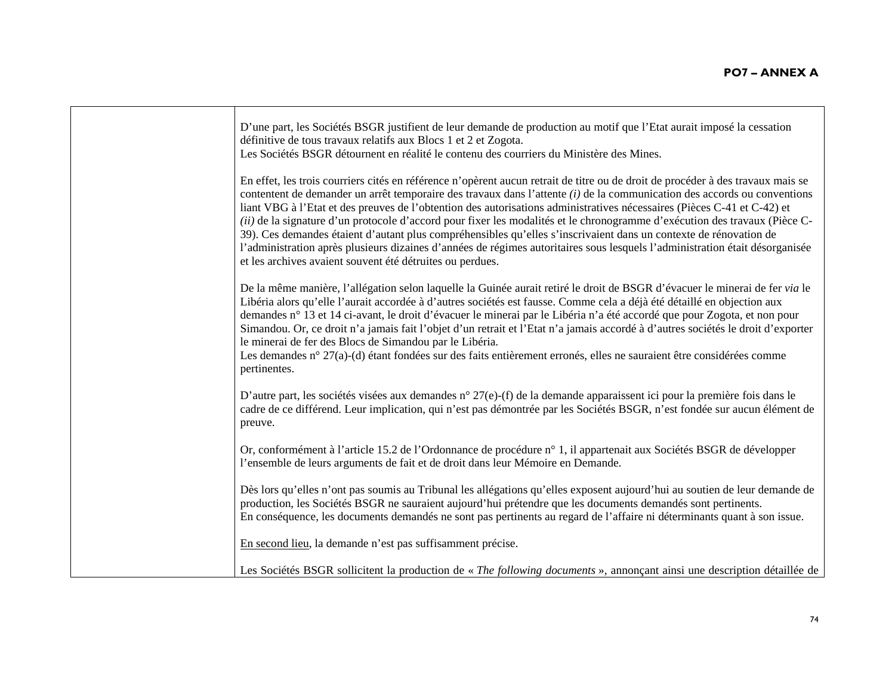| D'une part, les Sociétés BSGR justifient de leur demande de production au motif que l'Etat aurait imposé la cessation<br>définitive de tous travaux relatifs aux Blocs 1 et 2 et Zogota.<br>Les Sociétés BSGR détournent en réalité le contenu des courriers du Ministère des Mines.                                                                                                                                                                                                                                                                                                                                                                                                                                                                                                                                                     |
|------------------------------------------------------------------------------------------------------------------------------------------------------------------------------------------------------------------------------------------------------------------------------------------------------------------------------------------------------------------------------------------------------------------------------------------------------------------------------------------------------------------------------------------------------------------------------------------------------------------------------------------------------------------------------------------------------------------------------------------------------------------------------------------------------------------------------------------|
| En effet, les trois courriers cités en référence n'opèrent aucun retrait de titre ou de droit de procéder à des travaux mais se<br>contentent de demander un arrêt temporaire des travaux dans l'attente $(i)$ de la communication des accords ou conventions<br>liant VBG à l'Etat et des preuves de l'obtention des autorisations administratives nécessaires (Pièces C-41 et C-42) et<br>(ii) de la signature d'un protocole d'accord pour fixer les modalités et le chronogramme d'exécution des travaux (Pièce C-<br>39). Ces demandes étaient d'autant plus compréhensibles qu'elles s'inscrivaient dans un contexte de rénovation de<br>l'administration après plusieurs dizaines d'années de régimes autoritaires sous lesquels l'administration était désorganisée<br>et les archives avaient souvent été détruites ou perdues. |
| De la même manière, l'allégation selon laquelle la Guinée aurait retiré le droit de BSGR d'évacuer le minerai de fer via le<br>Libéria alors qu'elle l'aurait accordée à d'autres sociétés est fausse. Comme cela a déjà été détaillé en objection aux<br>demandes n° 13 et 14 ci-avant, le droit d'évacuer le minerai par le Libéria n'a été accordé que pour Zogota, et non pour<br>Simandou. Or, ce droit n'a jamais fait l'objet d'un retrait et l'Etat n'a jamais accordé à d'autres sociétés le droit d'exporter<br>le minerai de fer des Blocs de Simandou par le Libéria.<br>Les demandes n° 27(a)-(d) étant fondées sur des faits entièrement erronés, elles ne sauraient être considérées comme<br>pertinentes.                                                                                                                |
| D'autre part, les sociétés visées aux demandes n° 27(e)-(f) de la demande apparaissent ici pour la première fois dans le<br>cadre de ce différend. Leur implication, qui n'est pas démontrée par les Sociétés BSGR, n'est fondée sur aucun élément de<br>preuve.                                                                                                                                                                                                                                                                                                                                                                                                                                                                                                                                                                         |
| Or, conformément à l'article 15.2 de l'Ordonnance de procédure n° 1, il appartenait aux Sociétés BSGR de développer<br>l'ensemble de leurs arguments de fait et de droit dans leur Mémoire en Demande.                                                                                                                                                                                                                                                                                                                                                                                                                                                                                                                                                                                                                                   |
| Dès lors qu'elles n'ont pas soumis au Tribunal les allégations qu'elles exposent aujourd'hui au soutien de leur demande de<br>production, les Sociétés BSGR ne sauraient aujourd'hui prétendre que les documents demandés sont pertinents.<br>En conséquence, les documents demandés ne sont pas pertinents au regard de l'affaire ni déterminants quant à son issue.                                                                                                                                                                                                                                                                                                                                                                                                                                                                    |
| En second lieu, la demande n'est pas suffisamment précise.                                                                                                                                                                                                                                                                                                                                                                                                                                                                                                                                                                                                                                                                                                                                                                               |
| Les Sociétés BSGR sollicitent la production de « The following documents », annonçant ainsi une description détaillée de                                                                                                                                                                                                                                                                                                                                                                                                                                                                                                                                                                                                                                                                                                                 |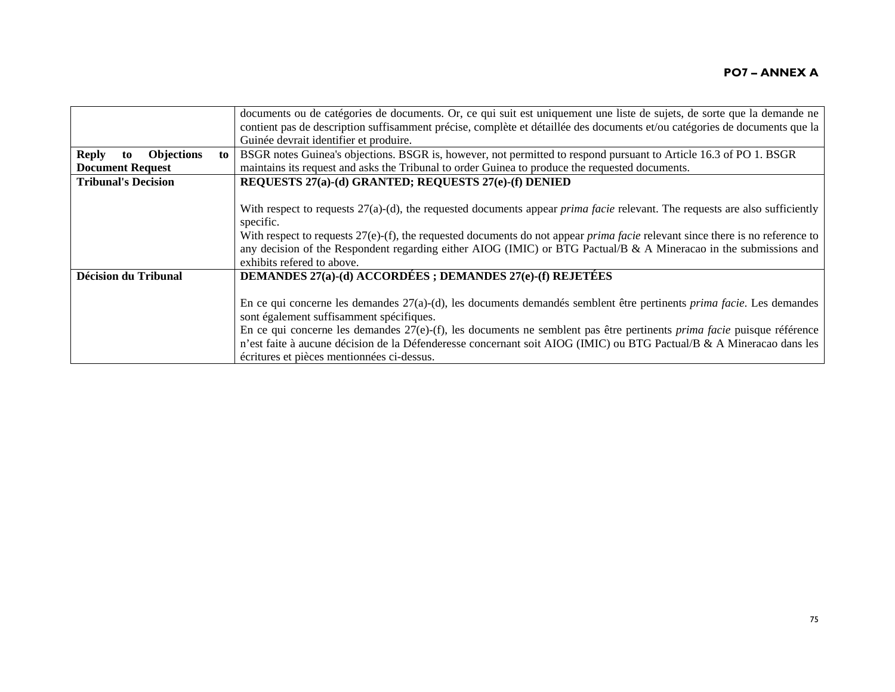|                                         |    | documents ou de catégories de documents. Or, ce qui suit est uniquement une liste de sujets, de sorte que la demande ne                 |
|-----------------------------------------|----|-----------------------------------------------------------------------------------------------------------------------------------------|
|                                         |    | contient pas de description suffisamment précise, complète et détaillée des documents et/ou catégories de documents que la              |
|                                         |    | Guinée devrait identifier et produire.                                                                                                  |
| <b>Reply</b><br><b>Objections</b><br>to | to | BSGR notes Guinea's objections. BSGR is, however, not permitted to respond pursuant to Article 16.3 of PO 1. BSGR                       |
| <b>Document Request</b>                 |    | maintains its request and asks the Tribunal to order Guinea to produce the requested documents.                                         |
| <b>Tribunal's Decision</b>              |    | REQUESTS 27(a)-(d) GRANTED; REQUESTS 27(e)-(f) DENIED                                                                                   |
|                                         |    |                                                                                                                                         |
|                                         |    | With respect to requests $27(a)-(d)$ , the requested documents appear <i>prima facie</i> relevant. The requests are also sufficiently   |
|                                         |    | specific.                                                                                                                               |
|                                         |    | With respect to requests $27(e)$ -(f), the requested documents do not appear <i>prima facie</i> relevant since there is no reference to |
|                                         |    | any decision of the Respondent regarding either AIOG (IMIC) or BTG Pactual/B & A Mineracao in the submissions and                       |
|                                         |    | exhibits refered to above.                                                                                                              |
| <b>Décision du Tribunal</b>             |    | <b>DEMANDES 27(a)-(d) ACCORDÉES; DEMANDES 27(e)-(f) REJETÉES</b>                                                                        |
|                                         |    |                                                                                                                                         |
|                                         |    | En ce qui concerne les demandes $27(a)$ -(d), les documents demandés semblent être pertinents <i>prima facie</i> . Les demandes         |
|                                         |    | sont également suffisamment spécifiques.                                                                                                |
|                                         |    | En ce qui concerne les demandes $27(e)$ -(f), les documents ne semblent pas être pertinents <i>prima facie</i> puisque référence        |
|                                         |    | n'est faite à aucune décision de la Défenderesse concernant soit AIOG (IMIC) ou BTG Pactual/B & A Mineracao dans les                    |
|                                         |    | écritures et pièces mentionnées ci-dessus.                                                                                              |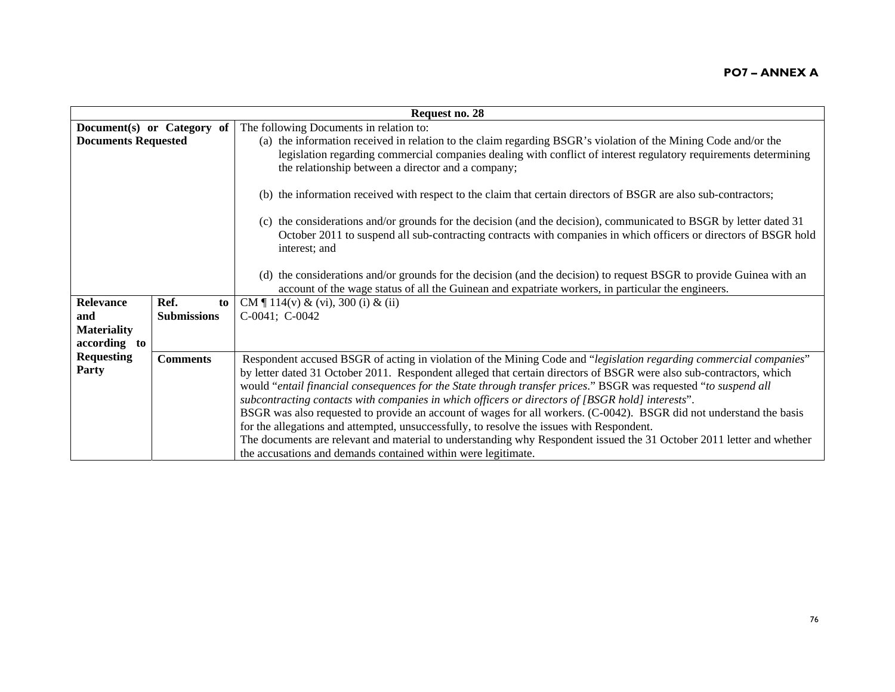|                            | Request no. 28             |                                                                                                                                                                                                                                                                                                                                                                                                                                                                                                                                                                                                                                                                                                                                                                                                                                                                                |  |
|----------------------------|----------------------------|--------------------------------------------------------------------------------------------------------------------------------------------------------------------------------------------------------------------------------------------------------------------------------------------------------------------------------------------------------------------------------------------------------------------------------------------------------------------------------------------------------------------------------------------------------------------------------------------------------------------------------------------------------------------------------------------------------------------------------------------------------------------------------------------------------------------------------------------------------------------------------|--|
|                            | Document(s) or Category of | The following Documents in relation to:                                                                                                                                                                                                                                                                                                                                                                                                                                                                                                                                                                                                                                                                                                                                                                                                                                        |  |
| <b>Documents Requested</b> |                            | (a) the information received in relation to the claim regarding BSGR's violation of the Mining Code and/or the<br>legislation regarding commercial companies dealing with conflict of interest regulatory requirements determining<br>the relationship between a director and a company;                                                                                                                                                                                                                                                                                                                                                                                                                                                                                                                                                                                       |  |
|                            |                            | (b) the information received with respect to the claim that certain directors of BSGR are also sub-contractors;                                                                                                                                                                                                                                                                                                                                                                                                                                                                                                                                                                                                                                                                                                                                                                |  |
|                            |                            | (c) the considerations and/or grounds for the decision (and the decision), communicated to BSGR by letter dated 31<br>October 2011 to suspend all sub-contracting contracts with companies in which officers or directors of BSGR hold<br>interest; and                                                                                                                                                                                                                                                                                                                                                                                                                                                                                                                                                                                                                        |  |
|                            |                            | (d) the considerations and/or grounds for the decision (and the decision) to request BSGR to provide Guinea with an<br>account of the wage status of all the Guinean and expatriate workers, in particular the engineers.                                                                                                                                                                                                                                                                                                                                                                                                                                                                                                                                                                                                                                                      |  |
| <b>Relevance</b>           | Ref.<br>to                 | CM $\P$ 114(v) & (vi), 300 (i) & (ii)                                                                                                                                                                                                                                                                                                                                                                                                                                                                                                                                                                                                                                                                                                                                                                                                                                          |  |
| and                        | <b>Submissions</b>         | C-0041; C-0042                                                                                                                                                                                                                                                                                                                                                                                                                                                                                                                                                                                                                                                                                                                                                                                                                                                                 |  |
| <b>Materiality</b>         |                            |                                                                                                                                                                                                                                                                                                                                                                                                                                                                                                                                                                                                                                                                                                                                                                                                                                                                                |  |
| according to               |                            |                                                                                                                                                                                                                                                                                                                                                                                                                                                                                                                                                                                                                                                                                                                                                                                                                                                                                |  |
| <b>Requesting</b><br>Party | <b>Comments</b>            | Respondent accused BSGR of acting in violation of the Mining Code and "legislation regarding commercial companies"<br>by letter dated 31 October 2011. Respondent alleged that certain directors of BSGR were also sub-contractors, which<br>would "entail financial consequences for the State through transfer prices." BSGR was requested "to suspend all<br>subcontracting contacts with companies in which officers or directors of [BSGR hold] interests".<br>BSGR was also requested to provide an account of wages for all workers. (C-0042). BSGR did not understand the basis<br>for the allegations and attempted, unsuccessfully, to resolve the issues with Respondent.<br>The documents are relevant and material to understanding why Respondent issued the 31 October 2011 letter and whether<br>the accusations and demands contained within were legitimate. |  |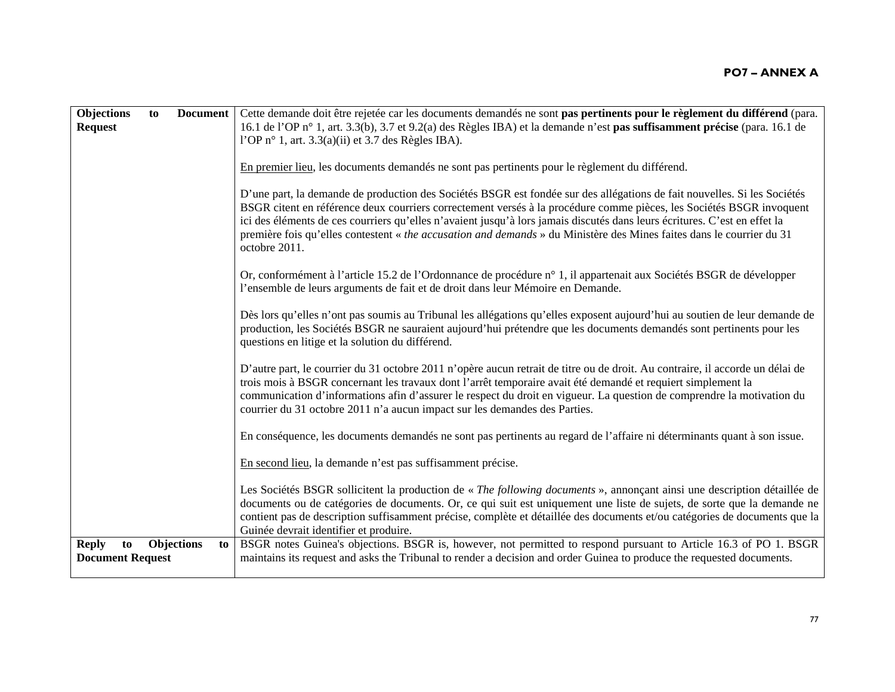| Objections                                    | to | <b>Document</b>         | Cette demande doit être rejetée car les documents demandés ne sont pas pertinents pour le règlement du différend (para.                                                                                                                                                                                                                                                                                                                                                                                                 |
|-----------------------------------------------|----|-------------------------|-------------------------------------------------------------------------------------------------------------------------------------------------------------------------------------------------------------------------------------------------------------------------------------------------------------------------------------------------------------------------------------------------------------------------------------------------------------------------------------------------------------------------|
| <b>Request</b>                                |    |                         | 16.1 de l'OP n° 1, art. 3.3(b), 3.7 et 9.2(a) des Règles IBA) et la demande n'est pas suffisamment précise (para. 16.1 de<br>l'OP n° 1, art. $3.3(a)(ii)$ et 3.7 des Règles IBA).                                                                                                                                                                                                                                                                                                                                       |
|                                               |    |                         |                                                                                                                                                                                                                                                                                                                                                                                                                                                                                                                         |
|                                               |    |                         | En premier lieu, les documents demandés ne sont pas pertinents pour le règlement du différend.                                                                                                                                                                                                                                                                                                                                                                                                                          |
|                                               |    |                         | D'une part, la demande de production des Sociétés BSGR est fondée sur des allégations de fait nouvelles. Si les Sociétés<br>BSGR citent en référence deux courriers correctement versés à la procédure comme pièces, les Sociétés BSGR invoquent<br>ici des éléments de ces courriers qu'elles n'avaient jusqu'à lors jamais discutés dans leurs écritures. C'est en effet la<br>première fois qu'elles contestent « the accusation and demands » du Ministère des Mines faites dans le courrier du 31<br>octobre 2011. |
|                                               |    |                         | Or, conformément à l'article 15.2 de l'Ordonnance de procédure n° 1, il appartenait aux Sociétés BSGR de développer<br>l'ensemble de leurs arguments de fait et de droit dans leur Mémoire en Demande.                                                                                                                                                                                                                                                                                                                  |
|                                               |    |                         | Dès lors qu'elles n'ont pas soumis au Tribunal les allégations qu'elles exposent aujourd'hui au soutien de leur demande de<br>production, les Sociétés BSGR ne sauraient aujourd'hui prétendre que les documents demandés sont pertinents pour les<br>questions en litige et la solution du différend.                                                                                                                                                                                                                  |
|                                               |    |                         | D'autre part, le courrier du 31 octobre 2011 n'opère aucun retrait de titre ou de droit. Au contraire, il accorde un délai de<br>trois mois à BSGR concernant les travaux dont l'arrêt temporaire avait été demandé et requiert simplement la<br>communication d'informations afin d'assurer le respect du droit en vigueur. La question de comprendre la motivation du<br>courrier du 31 octobre 2011 n'a aucun impact sur les demandes des Parties.                                                                   |
|                                               |    |                         | En conséquence, les documents demandés ne sont pas pertinents au regard de l'affaire ni déterminants quant à son issue.                                                                                                                                                                                                                                                                                                                                                                                                 |
|                                               |    |                         | En second lieu, la demande n'est pas suffisamment précise.                                                                                                                                                                                                                                                                                                                                                                                                                                                              |
|                                               |    |                         | Les Sociétés BSGR sollicitent la production de « The following documents », annonçant ainsi une description détaillée de<br>documents ou de catégories de documents. Or, ce qui suit est uniquement une liste de sujets, de sorte que la demande ne<br>contient pas de description suffisamment précise, complète et détaillée des documents et/ou catégories de documents que la<br>Guinée devrait identifier et produire.                                                                                             |
| <b>Reply</b><br>to<br><b>Document Request</b> |    | <b>Objections</b><br>to | BSGR notes Guinea's objections. BSGR is, however, not permitted to respond pursuant to Article 16.3 of PO 1. BSGR<br>maintains its request and asks the Tribunal to render a decision and order Guinea to produce the requested documents.                                                                                                                                                                                                                                                                              |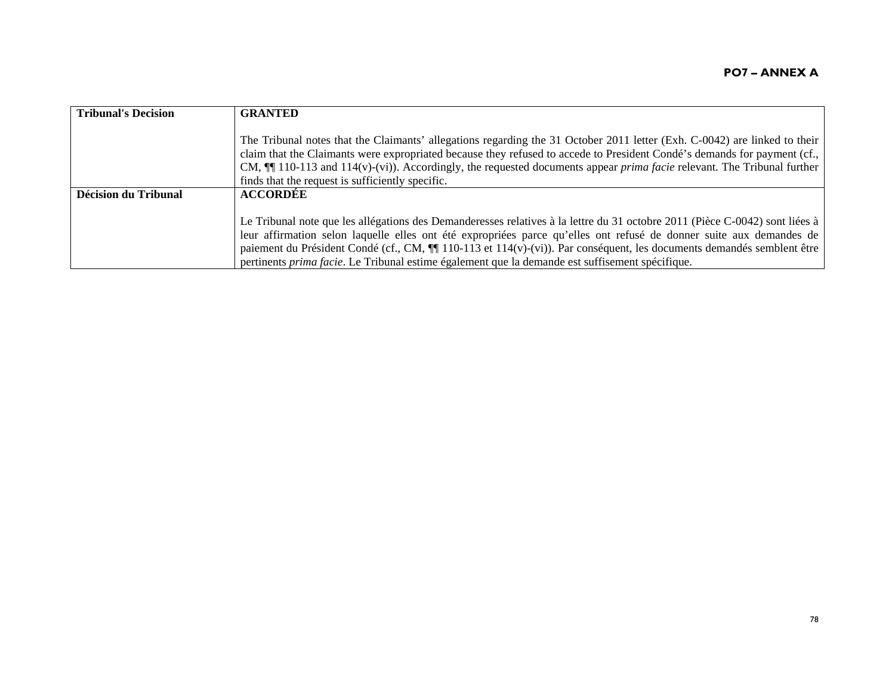| <b>Tribunal's Decision</b> | <b>GRANTED</b>                                                                                                                                                                                                                                        |
|----------------------------|-------------------------------------------------------------------------------------------------------------------------------------------------------------------------------------------------------------------------------------------------------|
|                            | The Tribunal notes that the Claimants' allegations regarding the 31 October 2011 letter (Exh. C-0042) are linked to their<br>claim that the Claimants were expropriated because they refused to accede to President Condé's demands for payment (cf., |
|                            | CM, $\P$ [[ 110-113 and 114(v)-(vi)). Accordingly, the requested documents appear <i>prima facie</i> relevant. The Tribunal further<br>finds that the request is sufficiently specific.                                                               |
| Décision du Tribunal       | <b>ACCORDÉE</b>                                                                                                                                                                                                                                       |
|                            | Le Tribunal note que les allégations des Demanderesses relatives à la lettre du 31 octobre 2011 (Pièce C-0042) sont liées à<br>leur affirmation selon laquelle elles ont été expropriées parce qu'elles ont refusé de donner suite aux demandes de    |
|                            | paiement du Président Condé (cf., CM, ¶¶ 110-113 et 114(v)-(vi)). Par conséquent, les documents demandés semblent être<br>pertinents <i>prima facie</i> . Le Tribunal estime également que la demande est suffisement spécifique.                     |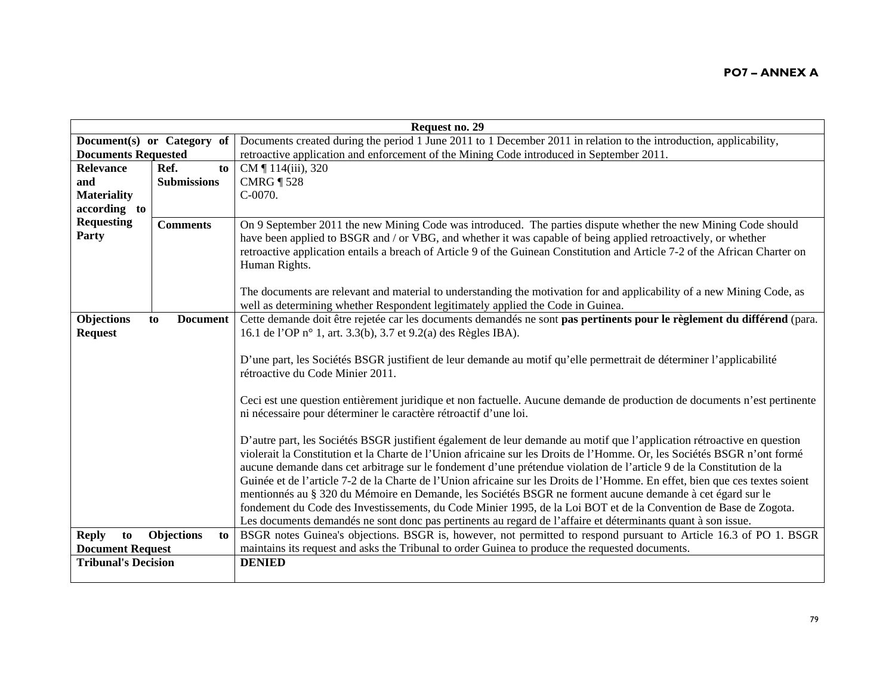| Request no. 29             |                         |                                                                                                                              |
|----------------------------|-------------------------|------------------------------------------------------------------------------------------------------------------------------|
| Document(s) or Category of |                         | Documents created during the period 1 June 2011 to 1 December 2011 in relation to the introduction, applicability,           |
| <b>Documents Requested</b> |                         | retroactive application and enforcement of the Mining Code introduced in September 2011.                                     |
| <b>Relevance</b>           | Ref.<br>to              | CM ¶ 114(iii), 320                                                                                                           |
| and                        | <b>Submissions</b>      | <b>CMRG</b> 1528                                                                                                             |
| <b>Materiality</b>         |                         | C-0070.                                                                                                                      |
| according to               |                         |                                                                                                                              |
| <b>Requesting</b>          | <b>Comments</b>         | On 9 September 2011 the new Mining Code was introduced. The parties dispute whether the new Mining Code should               |
| Party                      |                         | have been applied to BSGR and / or VBG, and whether it was capable of being applied retroactively, or whether                |
|                            |                         | retroactive application entails a breach of Article 9 of the Guinean Constitution and Article 7-2 of the African Charter on  |
|                            |                         | Human Rights.                                                                                                                |
|                            |                         |                                                                                                                              |
|                            |                         | The documents are relevant and material to understanding the motivation for and applicability of a new Mining Code, as       |
|                            |                         | well as determining whether Respondent legitimately applied the Code in Guinea.                                              |
| Objections                 | <b>Document</b><br>to   | Cette demande doit être rejetée car les documents demandés ne sont pas pertinents pour le règlement du différend (para.      |
| <b>Request</b>             |                         | 16.1 de l'OP n° 1, art. 3.3(b), 3.7 et 9.2(a) des Règles IBA).                                                               |
|                            |                         |                                                                                                                              |
|                            |                         | D'une part, les Sociétés BSGR justifient de leur demande au motif qu'elle permettrait de déterminer l'applicabilité          |
|                            |                         | rétroactive du Code Minier 2011.                                                                                             |
|                            |                         |                                                                                                                              |
|                            |                         | Ceci est une question entièrement juridique et non factuelle. Aucune demande de production de documents n'est pertinente     |
|                            |                         | ni nécessaire pour déterminer le caractère rétroactif d'une loi.                                                             |
|                            |                         |                                                                                                                              |
|                            |                         | D'autre part, les Sociétés BSGR justifient également de leur demande au motif que l'application rétroactive en question      |
|                            |                         | violerait la Constitution et la Charte de l'Union africaine sur les Droits de l'Homme. Or, les Sociétés BSGR n'ont formé     |
|                            |                         | aucune demande dans cet arbitrage sur le fondement d'une prétendue violation de l'article 9 de la Constitution de la         |
|                            |                         | Guinée et de l'article 7-2 de la Charte de l'Union africaine sur les Droits de l'Homme. En effet, bien que ces textes soient |
|                            |                         | mentionnés au § 320 du Mémoire en Demande, les Sociétés BSGR ne forment aucune demande à cet égard sur le                    |
|                            |                         | fondement du Code des Investissements, du Code Minier 1995, de la Loi BOT et de la Convention de Base de Zogota.             |
|                            |                         | Les documents demandés ne sont donc pas pertinents au regard de l'affaire et déterminants quant à son issue.                 |
| <b>Reply</b><br>to         | <b>Objections</b><br>to | BSGR notes Guinea's objections. BSGR is, however, not permitted to respond pursuant to Article 16.3 of PO 1. BSGR            |
| <b>Document Request</b>    |                         | maintains its request and asks the Tribunal to order Guinea to produce the requested documents.                              |
| <b>Tribunal's Decision</b> |                         | <b>DENIED</b>                                                                                                                |
|                            |                         |                                                                                                                              |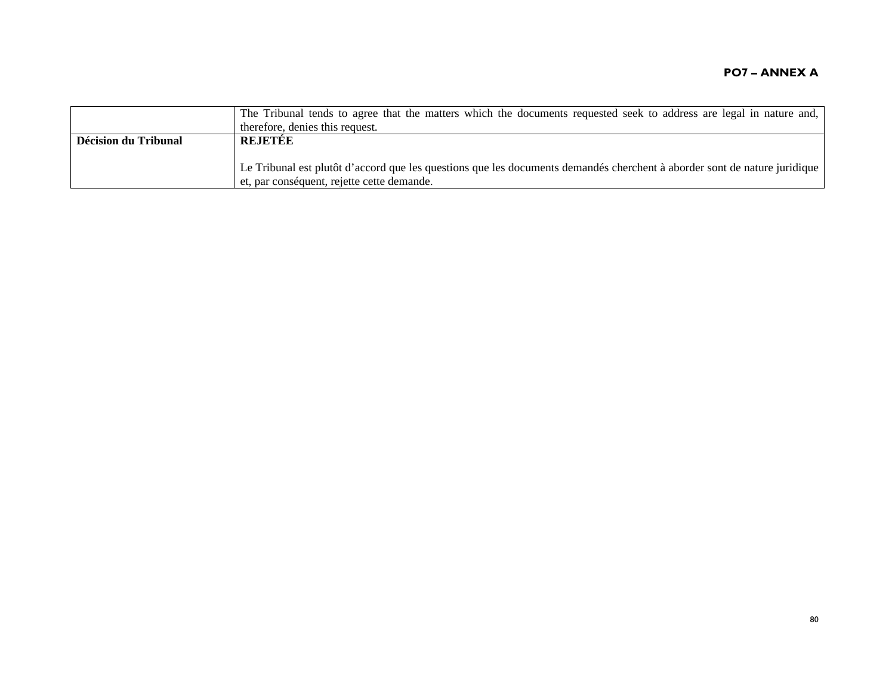|                      | The Tribunal tends to agree that the matters which the documents requested seek to address are legal in nature and,       |
|----------------------|---------------------------------------------------------------------------------------------------------------------------|
|                      | therefore, denies this request.                                                                                           |
| Décision du Tribunal | <b>REJETEE</b>                                                                                                            |
|                      |                                                                                                                           |
|                      | Le Tribunal est plutôt d'accord que les questions que les documents demandés cherchent à aborder sont de nature juridique |
|                      | et, par conséquent, rejette cette demande.                                                                                |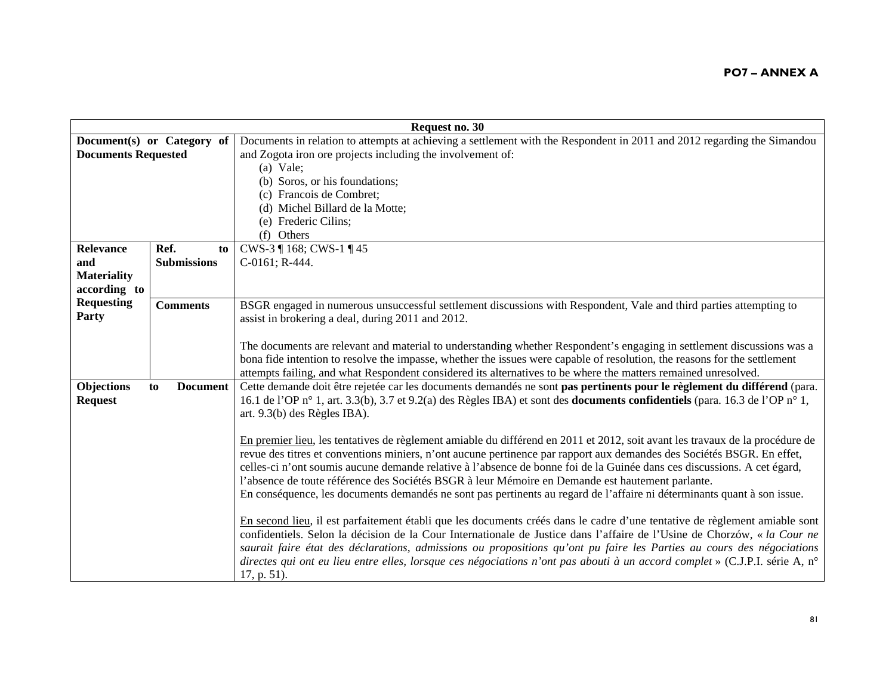| Request no. 30             |                            |                                                                                                                                                                                                                                             |
|----------------------------|----------------------------|---------------------------------------------------------------------------------------------------------------------------------------------------------------------------------------------------------------------------------------------|
|                            | Document(s) or Category of | Documents in relation to attempts at achieving a settlement with the Respondent in 2011 and 2012 regarding the Simandou                                                                                                                     |
| <b>Documents Requested</b> |                            | and Zogota iron ore projects including the involvement of:                                                                                                                                                                                  |
|                            |                            | $(a)$ Vale;                                                                                                                                                                                                                                 |
|                            |                            | (b) Soros, or his foundations;                                                                                                                                                                                                              |
|                            |                            | (c) Francois de Combret;                                                                                                                                                                                                                    |
|                            |                            | (d) Michel Billard de la Motte;                                                                                                                                                                                                             |
|                            |                            | (e) Frederic Cilins;                                                                                                                                                                                                                        |
|                            |                            | (f) Others                                                                                                                                                                                                                                  |
| Relevance                  | Ref.<br>to                 | CWS-3 ¶ 168; CWS-1 ¶ 45                                                                                                                                                                                                                     |
| and                        | <b>Submissions</b>         | C-0161; R-444.                                                                                                                                                                                                                              |
| <b>Materiality</b>         |                            |                                                                                                                                                                                                                                             |
| according to               |                            |                                                                                                                                                                                                                                             |
| <b>Requesting</b>          | <b>Comments</b>            | BSGR engaged in numerous unsuccessful settlement discussions with Respondent, Vale and third parties attempting to                                                                                                                          |
| Party                      |                            | assist in brokering a deal, during 2011 and 2012.                                                                                                                                                                                           |
|                            |                            |                                                                                                                                                                                                                                             |
|                            |                            | The documents are relevant and material to understanding whether Respondent's engaging in settlement discussions was a                                                                                                                      |
|                            |                            | bona fide intention to resolve the impasse, whether the issues were capable of resolution, the reasons for the settlement<br>attempts failing, and what Respondent considered its alternatives to be where the matters remained unresolved. |
| <b>Objections</b>          | <b>Document</b><br>to      | Cette demande doit être rejetée car les documents demandés ne sont pas pertinents pour le règlement du différend (para.                                                                                                                     |
| <b>Request</b>             |                            | 16.1 de l'OP n° 1, art. 3.3(b), 3.7 et 9.2(a) des Règles IBA) et sont des <b>documents confidentiels</b> (para. 16.3 de l'OP n° 1,                                                                                                          |
|                            |                            | art. 9.3(b) des Règles IBA).                                                                                                                                                                                                                |
|                            |                            |                                                                                                                                                                                                                                             |
|                            |                            | En premier lieu, les tentatives de règlement amiable du différend en 2011 et 2012, soit avant les travaux de la procédure de                                                                                                                |
|                            |                            | revue des titres et conventions miniers, n'ont aucune pertinence par rapport aux demandes des Sociétés BSGR. En effet,                                                                                                                      |
|                            |                            | celles-ci n'ont soumis aucune demande relative à l'absence de bonne foi de la Guinée dans ces discussions. A cet égard,                                                                                                                     |
|                            |                            | l'absence de toute référence des Sociétés BSGR à leur Mémoire en Demande est hautement parlante.                                                                                                                                            |
|                            |                            | En conséquence, les documents demandés ne sont pas pertinents au regard de l'affaire ni déterminants quant à son issue.                                                                                                                     |
|                            |                            |                                                                                                                                                                                                                                             |
|                            |                            | En second lieu, il est parfaitement établi que les documents créés dans le cadre d'une tentative de règlement amiable sont                                                                                                                  |
|                            |                            | confidentiels. Selon la décision de la Cour Internationale de Justice dans l'affaire de l'Usine de Chorzów, « la Cour ne                                                                                                                    |
|                            |                            | saurait faire état des déclarations, admissions ou propositions qu'ont pu faire les Parties au cours des négociations                                                                                                                       |
|                            |                            | directes qui ont eu lieu entre elles, lorsque ces négociations n'ont pas abouti à un accord complet » (C.J.P.I. série A, n°                                                                                                                 |
|                            |                            | $17, p. 51$ ).                                                                                                                                                                                                                              |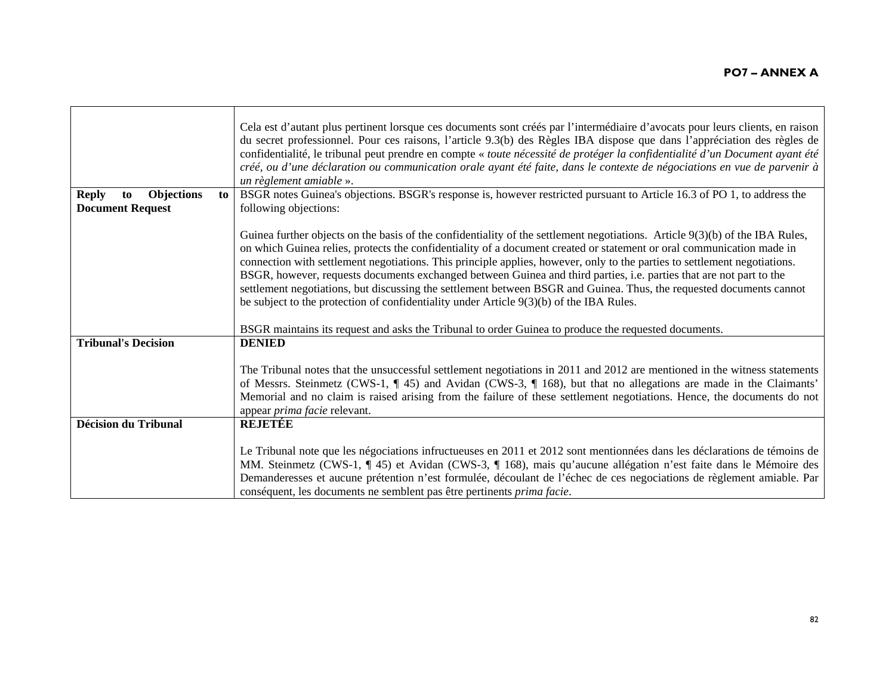|                                         | Cela est d'autant plus pertinent lorsque ces documents sont créés par l'intermédiaire d'avocats pour leurs clients, en raison<br>du secret professionnel. Pour ces raisons, l'article 9.3(b) des Règles IBA dispose que dans l'appréciation des règles de<br>confidentialité, le tribunal peut prendre en compte « toute nécessité de protéger la confidentialité d'un Document ayant été<br>créé, ou d'une déclaration ou communication orale ayant été faite, dans le contexte de négociations en vue de parvenir à<br>un règlement amiable ».                                                                                                                                                                                                                                                                                         |
|-----------------------------------------|------------------------------------------------------------------------------------------------------------------------------------------------------------------------------------------------------------------------------------------------------------------------------------------------------------------------------------------------------------------------------------------------------------------------------------------------------------------------------------------------------------------------------------------------------------------------------------------------------------------------------------------------------------------------------------------------------------------------------------------------------------------------------------------------------------------------------------------|
| <b>Objections</b><br><b>Reply</b><br>to | BSGR notes Guinea's objections. BSGR's response is, however restricted pursuant to Article 16.3 of PO 1, to address the<br>to                                                                                                                                                                                                                                                                                                                                                                                                                                                                                                                                                                                                                                                                                                            |
| <b>Document Request</b>                 | following objections:                                                                                                                                                                                                                                                                                                                                                                                                                                                                                                                                                                                                                                                                                                                                                                                                                    |
|                                         | Guinea further objects on the basis of the confidentiality of the settlement negotiations. Article $9(3)(b)$ of the IBA Rules,<br>on which Guinea relies, protects the confidentiality of a document created or statement or oral communication made in<br>connection with settlement negotiations. This principle applies, however, only to the parties to settlement negotiations.<br>BSGR, however, requests documents exchanged between Guinea and third parties, i.e. parties that are not part to the<br>settlement negotiations, but discussing the settlement between BSGR and Guinea. Thus, the requested documents cannot<br>be subject to the protection of confidentiality under Article $9(3)(b)$ of the IBA Rules.<br>BSGR maintains its request and asks the Tribunal to order Guinea to produce the requested documents. |
| <b>Tribunal's Decision</b>              | <b>DENIED</b>                                                                                                                                                                                                                                                                                                                                                                                                                                                                                                                                                                                                                                                                                                                                                                                                                            |
|                                         | The Tribunal notes that the unsuccessful settlement negotiations in 2011 and 2012 are mentioned in the witness statements<br>of Messrs. Steinmetz (CWS-1, $\P$ 45) and Avidan (CWS-3, $\P$ 168), but that no allegations are made in the Claimants'<br>Memorial and no claim is raised arising from the failure of these settlement negotiations. Hence, the documents do not<br>appear <i>prima facie</i> relevant.                                                                                                                                                                                                                                                                                                                                                                                                                     |
| <b>Décision du Tribunal</b>             | <b>REJETÉE</b>                                                                                                                                                                                                                                                                                                                                                                                                                                                                                                                                                                                                                                                                                                                                                                                                                           |
|                                         | Le Tribunal note que les négociations infructueuses en 2011 et 2012 sont mentionnées dans les déclarations de témoins de<br>MM. Steinmetz (CWS-1, ¶ 45) et Avidan (CWS-3, ¶ 168), mais qu'aucune allégation n'est faite dans le Mémoire des<br>Demanderesses et aucune prétention n'est formulée, découlant de l'échec de ces negociations de règlement amiable. Par<br>conséquent, les documents ne semblent pas être pertinents prima facie.                                                                                                                                                                                                                                                                                                                                                                                           |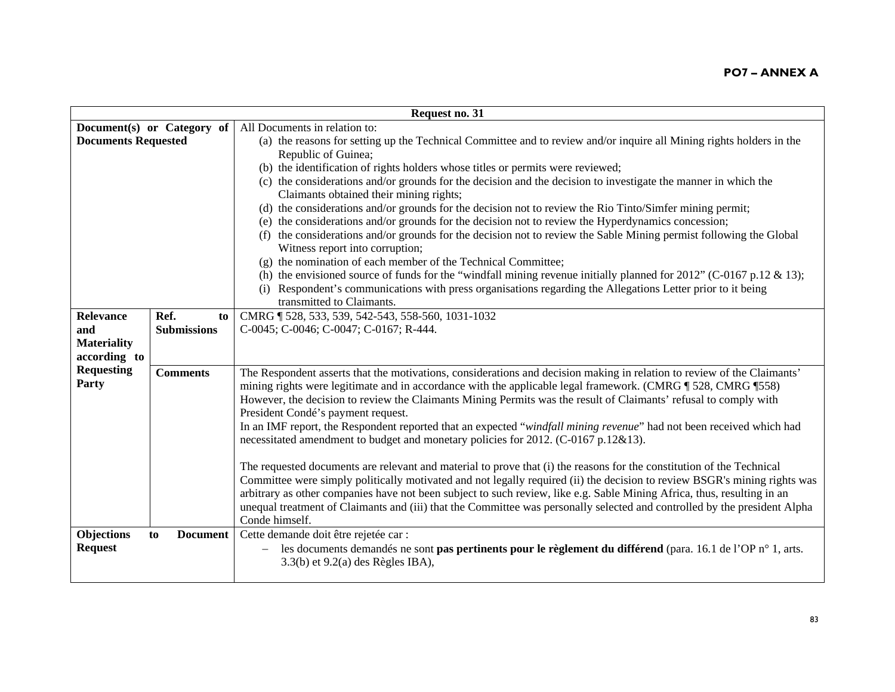| Request no. 31             |                            |                                                                                                                                                       |  |
|----------------------------|----------------------------|-------------------------------------------------------------------------------------------------------------------------------------------------------|--|
|                            | Document(s) or Category of | All Documents in relation to:                                                                                                                         |  |
| <b>Documents Requested</b> |                            | (a) the reasons for setting up the Technical Committee and to review and/or inquire all Mining rights holders in the                                  |  |
|                            |                            | Republic of Guinea;                                                                                                                                   |  |
|                            |                            | (b) the identification of rights holders whose titles or permits were reviewed;                                                                       |  |
|                            |                            | (c) the considerations and/or grounds for the decision and the decision to investigate the manner in which the                                        |  |
|                            |                            | Claimants obtained their mining rights;                                                                                                               |  |
|                            |                            | (d) the considerations and/or grounds for the decision not to review the Rio Tinto/Simfer mining permit;                                              |  |
|                            |                            | (e) the considerations and/or grounds for the decision not to review the Hyperdynamics concession;                                                    |  |
|                            |                            | (f) the considerations and/or grounds for the decision not to review the Sable Mining permist following the Global<br>Witness report into corruption; |  |
|                            |                            | (g) the nomination of each member of the Technical Committee;                                                                                         |  |
|                            |                            | (h) the envisioned source of funds for the "windfall mining revenue initially planned for 2012" (C-0167 p.12 & 13);                                   |  |
|                            |                            | (i) Respondent's communications with press organisations regarding the Allegations Letter prior to it being                                           |  |
|                            |                            | transmitted to Claimants.                                                                                                                             |  |
| <b>Relevance</b>           | Ref.<br>to                 | CMRG   528, 533, 539, 542-543, 558-560, 1031-1032                                                                                                     |  |
| and                        | <b>Submissions</b>         | C-0045; C-0046; C-0047; C-0167; R-444.                                                                                                                |  |
| <b>Materiality</b>         |                            |                                                                                                                                                       |  |
| according to               |                            |                                                                                                                                                       |  |
| <b>Requesting</b>          | <b>Comments</b>            | The Respondent asserts that the motivations, considerations and decision making in relation to review of the Claimants'                               |  |
| Party                      |                            | mining rights were legitimate and in accordance with the applicable legal framework. (CMRG ¶ 528, CMRG ¶ 558)                                         |  |
|                            |                            | However, the decision to review the Claimants Mining Permits was the result of Claimants' refusal to comply with                                      |  |
|                            |                            | President Condé's payment request.                                                                                                                    |  |
|                            |                            | In an IMF report, the Respondent reported that an expected "windfall mining revenue" had not been received which had                                  |  |
|                            |                            | necessitated amendment to budget and monetary policies for 2012. (C-0167 p.12&13).                                                                    |  |
|                            |                            |                                                                                                                                                       |  |
|                            |                            | The requested documents are relevant and material to prove that (i) the reasons for the constitution of the Technical                                 |  |
|                            |                            | Committee were simply politically motivated and not legally required (ii) the decision to review BSGR's mining rights was                             |  |
|                            |                            | arbitrary as other companies have not been subject to such review, like e.g. Sable Mining Africa, thus, resulting in an                               |  |
|                            |                            | unequal treatment of Claimants and (iii) that the Committee was personally selected and controlled by the president Alpha                             |  |
|                            |                            | Conde himself.                                                                                                                                        |  |
| Objections                 | <b>Document</b><br>to      | Cette demande doit être rejetée car :                                                                                                                 |  |
| <b>Request</b>             |                            | les documents demandés ne sont pas pertinents pour le règlement du différend (para. 16.1 de l'OP n° 1, arts.                                          |  |
|                            |                            | $3.3(b)$ et $9.2(a)$ des Règles IBA),                                                                                                                 |  |
|                            |                            |                                                                                                                                                       |  |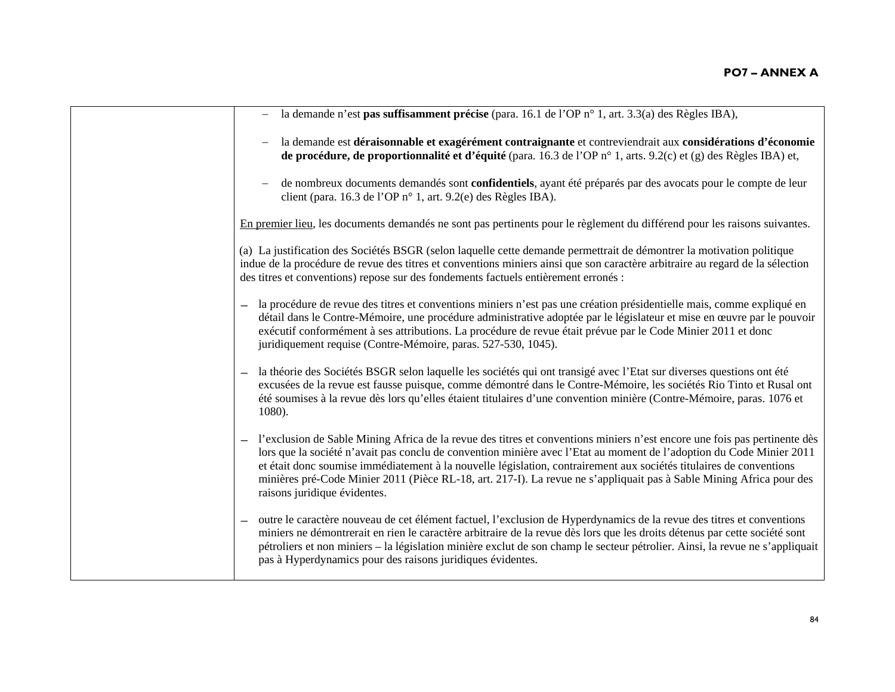| - la demande n'est pas suffisamment précise (para. 16.1 de l'OP n° 1, art. 3.3(a) des Règles IBA),                                                                                                                                                                                                                                                                                                                                                                                                                                 |
|------------------------------------------------------------------------------------------------------------------------------------------------------------------------------------------------------------------------------------------------------------------------------------------------------------------------------------------------------------------------------------------------------------------------------------------------------------------------------------------------------------------------------------|
| la demande est déraisonnable et exagérément contraignante et contreviendrait aux considérations d'économie<br>de procédure, de proportionnalité et d'équité (para. 16.3 de l'OP n° 1, arts. 9.2(c) et (g) des Règles IBA) et,                                                                                                                                                                                                                                                                                                      |
| de nombreux documents demandés sont confidentiels, ayant été préparés par des avocats pour le compte de leur<br>client (para. 16.3 de l'OP n° 1, art. 9.2(e) des Règles IBA).                                                                                                                                                                                                                                                                                                                                                      |
| En premier lieu, les documents demandés ne sont pas pertinents pour le règlement du différend pour les raisons suivantes.                                                                                                                                                                                                                                                                                                                                                                                                          |
| (a) La justification des Sociétés BSGR (selon laquelle cette demande permettrait de démontrer la motivation politique<br>indue de la procédure de revue des titres et conventions miniers ainsi que son caractère arbitraire au regard de la sélection<br>des titres et conventions) repose sur des fondements factuels entièrement erronés :                                                                                                                                                                                      |
| la procédure de revue des titres et conventions miniers n'est pas une création présidentielle mais, comme expliqué en<br>détail dans le Contre-Mémoire, une procédure administrative adoptée par le législateur et mise en œuvre par le pouvoir<br>exécutif conformément à ses attributions. La procédure de revue était prévue par le Code Minier 2011 et donc<br>juridiquement requise (Contre-Mémoire, paras. 527-530, 1045).                                                                                                   |
| la théorie des Sociétés BSGR selon laquelle les sociétés qui ont transigé avec l'Etat sur diverses questions ont été<br>excusées de la revue est fausse puisque, comme démontré dans le Contre-Mémoire, les sociétés Rio Tinto et Rusal ont<br>été soumises à la revue dès lors qu'elles étaient titulaires d'une convention minière (Contre-Mémoire, paras. 1076 et<br>$1080$ ).                                                                                                                                                  |
| - l'exclusion de Sable Mining Africa de la revue des titres et conventions miniers n'est encore une fois pas pertinente dès<br>lors que la société n'avait pas conclu de convention minière avec l'Etat au moment de l'adoption du Code Minier 2011<br>et était donc soumise immédiatement à la nouvelle législation, contrairement aux sociétés titulaires de conventions<br>minières pré-Code Minier 2011 (Pièce RL-18, art. 217-I). La revue ne s'appliquait pas à Sable Mining Africa pour des<br>raisons juridique évidentes. |
| - outre le caractère nouveau de cet élément factuel, l'exclusion de Hyperdynamics de la revue des titres et conventions<br>miniers ne démontrerait en rien le caractère arbitraire de la revue dès lors que les droits détenus par cette société sont<br>pétroliers et non miniers – la législation minière exclut de son champ le secteur pétrolier. Ainsi, la revue ne s'appliquait<br>pas à Hyperdynamics pour des raisons juridiques évidentes.                                                                                |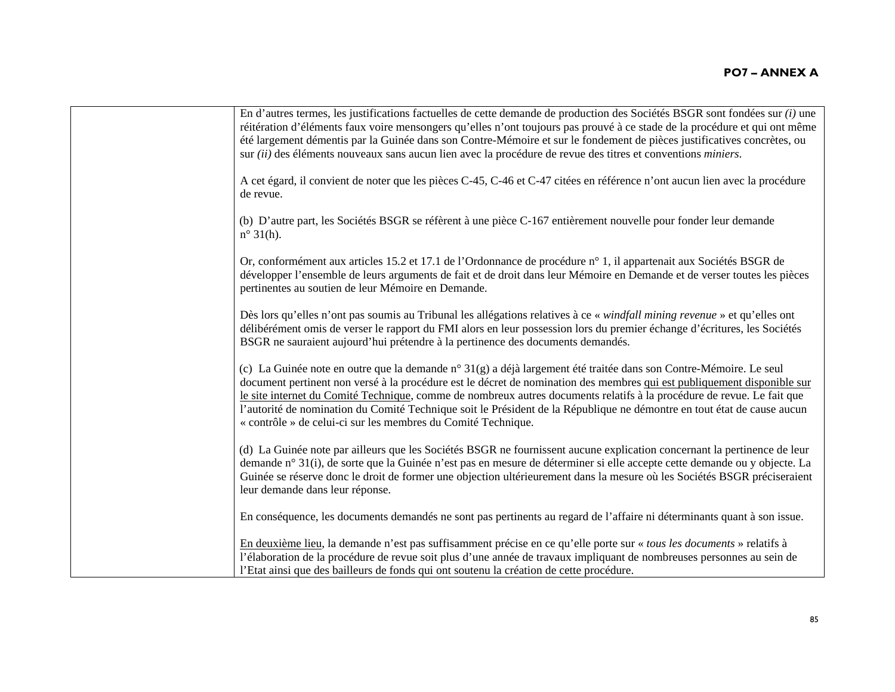| En d'autres termes, les justifications factuelles de cette demande de production des Sociétés BSGR sont fondées sur $(i)$ une<br>réitération d'éléments faux voire mensongers qu'elles n'ont toujours pas prouvé à ce stade de la procédure et qui ont même<br>été largement démentis par la Guinée dans son Contre-Mémoire et sur le fondement de pièces justificatives concrètes, ou<br>sur <i>(ii)</i> des éléments nouveaux sans aucun lien avec la procédure de revue des titres et conventions <i>miniers</i> .                                                |
|----------------------------------------------------------------------------------------------------------------------------------------------------------------------------------------------------------------------------------------------------------------------------------------------------------------------------------------------------------------------------------------------------------------------------------------------------------------------------------------------------------------------------------------------------------------------|
| A cet égard, il convient de noter que les pièces C-45, C-46 et C-47 citées en référence n'ont aucun lien avec la procédure<br>de revue.                                                                                                                                                                                                                                                                                                                                                                                                                              |
| (b) D'autre part, les Sociétés BSGR se réfèrent à une pièce C-167 entièrement nouvelle pour fonder leur demande<br>$n^{\circ}$ 31(h).                                                                                                                                                                                                                                                                                                                                                                                                                                |
| Or, conformément aux articles 15.2 et 17.1 de l'Ordonnance de procédure n° 1, il appartenait aux Sociétés BSGR de<br>développer l'ensemble de leurs arguments de fait et de droit dans leur Mémoire en Demande et de verser toutes les pièces<br>pertinentes au soutien de leur Mémoire en Demande.                                                                                                                                                                                                                                                                  |
| Dès lors qu'elles n'ont pas soumis au Tribunal les allégations relatives à ce « windfall mining revenue » et qu'elles ont<br>délibérément omis de verser le rapport du FMI alors en leur possession lors du premier échange d'écritures, les Sociétés<br>BSGR ne sauraient aujourd'hui prétendre à la pertinence des documents demandés.                                                                                                                                                                                                                             |
| (c) La Guinée note en outre que la demande n° $31(g)$ a déjà largement été traitée dans son Contre-Mémoire. Le seul<br>document pertinent non versé à la procédure est le décret de nomination des membres qui est publiquement disponible sur<br>le site internet du Comité Technique, comme de nombreux autres documents relatifs à la procédure de revue. Le fait que<br>l'autorité de nomination du Comité Technique soit le Président de la République ne démontre en tout état de cause aucun<br>« contrôle » de celui-ci sur les membres du Comité Technique. |
| (d) La Guinée note par ailleurs que les Sociétés BSGR ne fournissent aucune explication concernant la pertinence de leur<br>demande n° 31(i), de sorte que la Guinée n'est pas en mesure de déterminer si elle accepte cette demande ou y objecte. La<br>Guinée se réserve donc le droit de former une objection ultérieurement dans la mesure où les Sociétés BSGR préciseraient<br>leur demande dans leur réponse.                                                                                                                                                 |
| En conséquence, les documents demandés ne sont pas pertinents au regard de l'affaire ni déterminants quant à son issue.                                                                                                                                                                                                                                                                                                                                                                                                                                              |
| En deuxième lieu, la demande n'est pas suffisamment précise en ce qu'elle porte sur « tous les documents » relatifs à<br>l'élaboration de la procédure de revue soit plus d'une année de travaux impliquant de nombreuses personnes au sein de<br>l'Etat ainsi que des bailleurs de fonds qui ont soutenu la création de cette procédure.                                                                                                                                                                                                                            |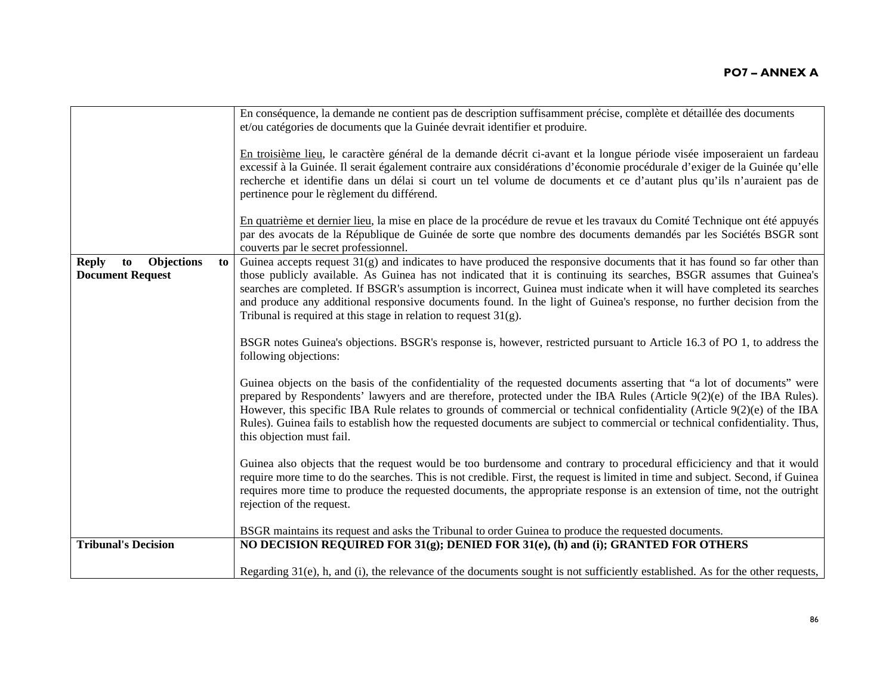|                                                                   | En conséquence, la demande ne contient pas de description suffisamment précise, complète et détaillée des documents<br>et/ou catégories de documents que la Guinée devrait identifier et produire.                                                                                                                                                                                                                                                                                                                                                                              |
|-------------------------------------------------------------------|---------------------------------------------------------------------------------------------------------------------------------------------------------------------------------------------------------------------------------------------------------------------------------------------------------------------------------------------------------------------------------------------------------------------------------------------------------------------------------------------------------------------------------------------------------------------------------|
|                                                                   | En troisième lieu, le caractère général de la demande décrit ci-avant et la longue période visée imposeraient un fardeau<br>excessif à la Guinée. Il serait également contraire aux considérations d'économie procédurale d'exiger de la Guinée qu'elle<br>recherche et identifie dans un délai si court un tel volume de documents et ce d'autant plus qu'ils n'auraient pas de<br>pertinence pour le règlement du différend.                                                                                                                                                  |
|                                                                   | En quatrième et dernier lieu, la mise en place de la procédure de revue et les travaux du Comité Technique ont été appuyés<br>par des avocats de la République de Guinée de sorte que nombre des documents demandés par les Sociétés BSGR sont<br>couverts par le secret professionnel.                                                                                                                                                                                                                                                                                         |
| Objections<br><b>Reply</b><br>to<br>to<br><b>Document Request</b> | Guinea accepts request $31(g)$ and indicates to have produced the responsive documents that it has found so far other than<br>those publicly available. As Guinea has not indicated that it is continuing its searches, BSGR assumes that Guinea's<br>searches are completed. If BSGR's assumption is incorrect, Guinea must indicate when it will have completed its searches<br>and produce any additional responsive documents found. In the light of Guinea's response, no further decision from the<br>Tribunal is required at this stage in relation to request $31(g)$ . |
|                                                                   | BSGR notes Guinea's objections. BSGR's response is, however, restricted pursuant to Article 16.3 of PO 1, to address the<br>following objections:                                                                                                                                                                                                                                                                                                                                                                                                                               |
|                                                                   | Guinea objects on the basis of the confidentiality of the requested documents asserting that "a lot of documents" were<br>prepared by Respondents' lawyers and are therefore, protected under the IBA Rules (Article 9(2)(e) of the IBA Rules).<br>However, this specific IBA Rule relates to grounds of commercial or technical confidentiality (Article 9(2)(e) of the IBA<br>Rules). Guinea fails to establish how the requested documents are subject to commercial or technical confidentiality. Thus,<br>this objection must fail.                                        |
|                                                                   | Guinea also objects that the request would be too burdensome and contrary to procedural efficiciency and that it would<br>require more time to do the searches. This is not credible. First, the request is limited in time and subject. Second, if Guinea<br>requires more time to produce the requested documents, the appropriate response is an extension of time, not the outright<br>rejection of the request.                                                                                                                                                            |
|                                                                   | BSGR maintains its request and asks the Tribunal to order Guinea to produce the requested documents.                                                                                                                                                                                                                                                                                                                                                                                                                                                                            |
| <b>Tribunal's Decision</b>                                        | NO DECISION REQUIRED FOR $31(g)$ ; DENIED FOR $31(e)$ , (h) and (i); GRANTED FOR OTHERS                                                                                                                                                                                                                                                                                                                                                                                                                                                                                         |
|                                                                   | Regarding $31(e)$ , h, and (i), the relevance of the documents sought is not sufficiently established. As for the other requests,                                                                                                                                                                                                                                                                                                                                                                                                                                               |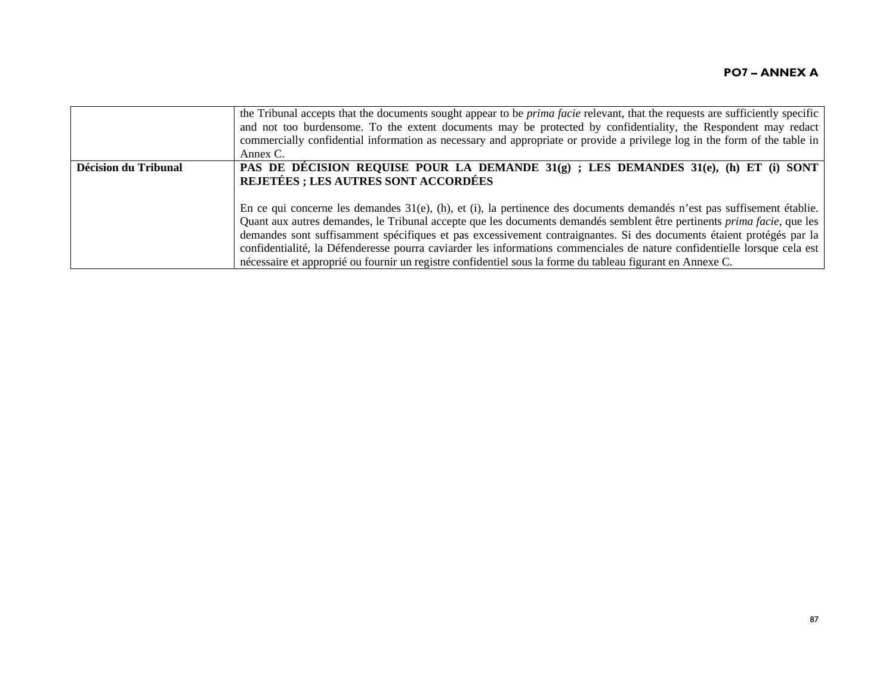|                      | the Tribunal accepts that the documents sought appear to be <i>prima facie</i> relevant, that the requests are sufficiently specific<br>and not too burdensome. To the extent documents may be protected by confidentiality, the Respondent may redact<br>commercially confidential information as necessary and appropriate or provide a privilege log in the form of the table in<br>Annex C.                                                                                                                                                                                                                                  |
|----------------------|----------------------------------------------------------------------------------------------------------------------------------------------------------------------------------------------------------------------------------------------------------------------------------------------------------------------------------------------------------------------------------------------------------------------------------------------------------------------------------------------------------------------------------------------------------------------------------------------------------------------------------|
| Décision du Tribunal | PAS DE DÉCISION REQUISE POUR LA DEMANDE $31(q)$ ; LES DEMANDES $31(e)$ , (h) ET (i) SONT<br><b>REJETÉES ; LES AUTRES SONT ACCORDÉES</b>                                                                                                                                                                                                                                                                                                                                                                                                                                                                                          |
|                      | En ce qui concerne les demandes $31(e)$ , (h), et (i), la pertinence des documents demandés n'est pas suffisement établie.<br>Quant aux autres demandes, le Tribunal accepte que les documents demandés semblent être pertinents <i>prima facie</i> , que les<br>demandes sont suffisamment spécifiques et pas excessivement contraignantes. Si des documents étaient protégés par la<br>confidentialité, la Défenderesse pourra caviarder les informations commenciales de nature confidentielle lorsque cela est<br>nécessaire et approprié ou fournir un registre confidentiel sous la forme du tableau figurant en Annexe C. |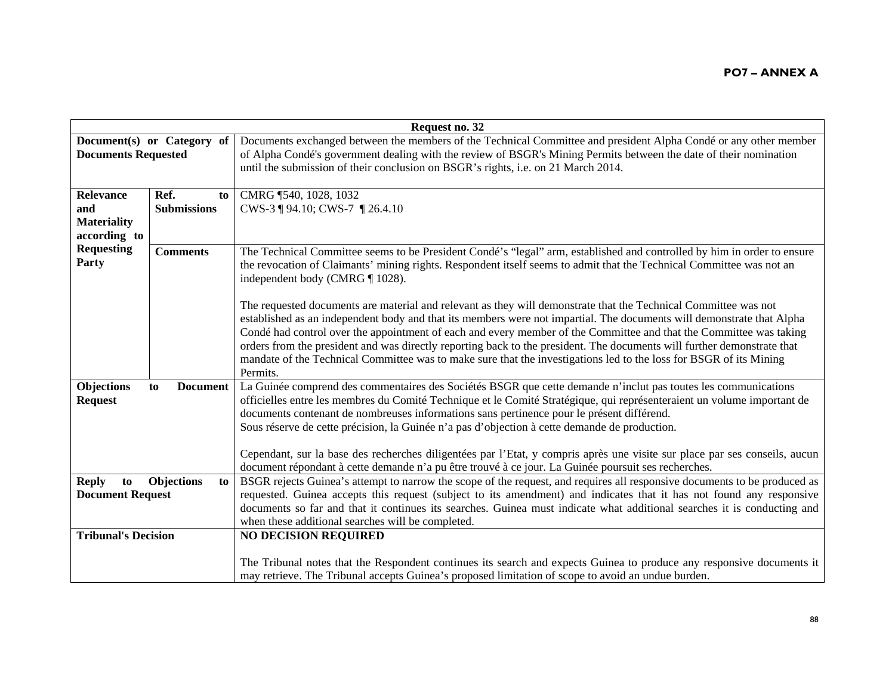| Request no. 32             |                            |                                                                                                                                                                                                                                           |
|----------------------------|----------------------------|-------------------------------------------------------------------------------------------------------------------------------------------------------------------------------------------------------------------------------------------|
|                            | Document(s) or Category of | Documents exchanged between the members of the Technical Committee and president Alpha Condé or any other member                                                                                                                          |
| <b>Documents Requested</b> |                            | of Alpha Condé's government dealing with the review of BSGR's Mining Permits between the date of their nomination                                                                                                                         |
|                            |                            | until the submission of their conclusion on BSGR's rights, i.e. on 21 March 2014.                                                                                                                                                         |
|                            |                            |                                                                                                                                                                                                                                           |
| <b>Relevance</b>           | Ref.<br>to                 | CMRG 1540, 1028, 1032                                                                                                                                                                                                                     |
| and                        | <b>Submissions</b>         | CWS-3 ¶ 94.10; CWS-7 ¶ 26.4.10                                                                                                                                                                                                            |
| <b>Materiality</b>         |                            |                                                                                                                                                                                                                                           |
| according to               |                            |                                                                                                                                                                                                                                           |
| <b>Requesting</b>          | <b>Comments</b>            | The Technical Committee seems to be President Condé's "legal" arm, established and controlled by him in order to ensure                                                                                                                   |
| Party                      |                            | the revocation of Claimants' mining rights. Respondent itself seems to admit that the Technical Committee was not an                                                                                                                      |
|                            |                            | independent body (CMRG ¶ 1028).                                                                                                                                                                                                           |
|                            |                            |                                                                                                                                                                                                                                           |
|                            |                            | The requested documents are material and relevant as they will demonstrate that the Technical Committee was not                                                                                                                           |
|                            |                            | established as an independent body and that its members were not impartial. The documents will demonstrate that Alpha                                                                                                                     |
|                            |                            | Condé had control over the appointment of each and every member of the Committee and that the Committee was taking                                                                                                                        |
|                            |                            | orders from the president and was directly reporting back to the president. The documents will further demonstrate that                                                                                                                   |
|                            |                            | mandate of the Technical Committee was to make sure that the investigations led to the loss for BSGR of its Mining                                                                                                                        |
|                            |                            | Permits.                                                                                                                                                                                                                                  |
| Objections                 | <b>Document</b><br>to      | La Guinée comprend des commentaires des Sociétés BSGR que cette demande n'inclut pas toutes les communications<br>officielles entre les membres du Comité Technique et le Comité Stratégique, qui représenteraient un volume important de |
| <b>Request</b>             |                            | documents contenant de nombreuses informations sans pertinence pour le présent différend.                                                                                                                                                 |
|                            |                            | Sous réserve de cette précision, la Guinée n'a pas d'objection à cette demande de production.                                                                                                                                             |
|                            |                            |                                                                                                                                                                                                                                           |
|                            |                            | Cependant, sur la base des recherches diligentées par l'Etat, y compris après une visite sur place par ses conseils, aucun                                                                                                                |
|                            |                            | document répondant à cette demande n'a pu être trouvé à ce jour. La Guinée poursuit ses recherches.                                                                                                                                       |
| <b>Reply</b><br>to         | <b>Objections</b><br>to    | BSGR rejects Guinea's attempt to narrow the scope of the request, and requires all responsive documents to be produced as                                                                                                                 |
| <b>Document Request</b>    |                            | requested. Guinea accepts this request (subject to its amendment) and indicates that it has not found any responsive                                                                                                                      |
|                            |                            | documents so far and that it continues its searches. Guinea must indicate what additional searches it is conducting and                                                                                                                   |
|                            |                            | when these additional searches will be completed.                                                                                                                                                                                         |
| <b>Tribunal's Decision</b> |                            | <b>NO DECISION REQUIRED</b>                                                                                                                                                                                                               |
|                            |                            |                                                                                                                                                                                                                                           |
|                            |                            | The Tribunal notes that the Respondent continues its search and expects Guinea to produce any responsive documents it                                                                                                                     |
|                            |                            | may retrieve. The Tribunal accepts Guinea's proposed limitation of scope to avoid an undue burden.                                                                                                                                        |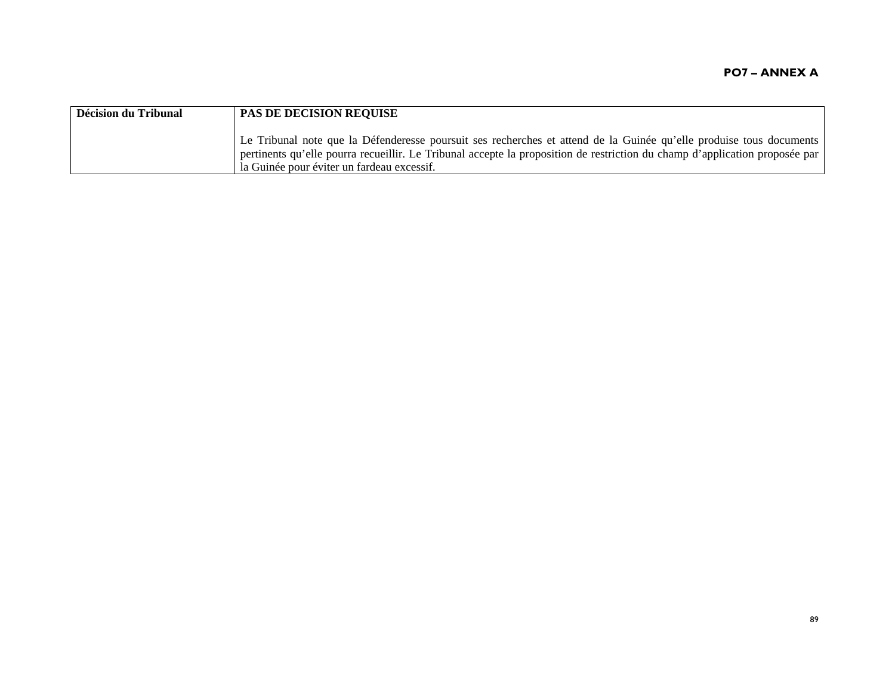| Décision du Tribunal | <b>PAS DE DECISION REQUISE</b>                                                                                                                                                                                                                                                                   |
|----------------------|--------------------------------------------------------------------------------------------------------------------------------------------------------------------------------------------------------------------------------------------------------------------------------------------------|
|                      | Le Tribunal note que la Défenderesse poursuit ses recherches et attend de la Guinée qu'elle produise tous documents<br>pertinents qu'elle pourra recueillir. Le Tribunal accepte la proposition de restriction du champ d'application proposée par<br>la Guinée pour éviter un fardeau excessif. |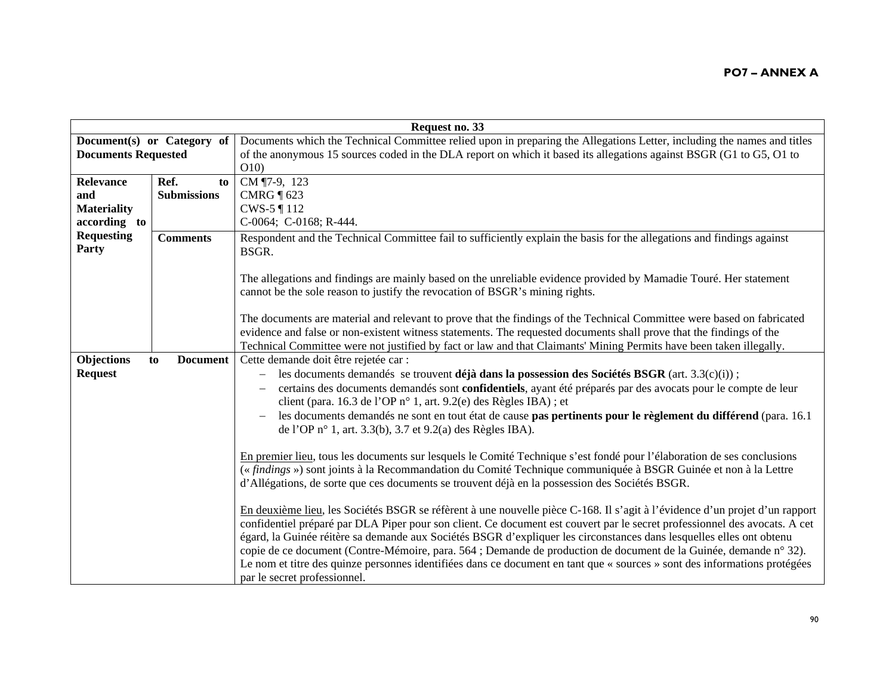| Request no. 33             |                       |                                                                                                                                                                                                                                                                                                                                                                                                                                                                                                                                                                                                                                                                     |
|----------------------------|-----------------------|---------------------------------------------------------------------------------------------------------------------------------------------------------------------------------------------------------------------------------------------------------------------------------------------------------------------------------------------------------------------------------------------------------------------------------------------------------------------------------------------------------------------------------------------------------------------------------------------------------------------------------------------------------------------|
| Document(s) or Category of |                       | Documents which the Technical Committee relied upon in preparing the Allegations Letter, including the names and titles                                                                                                                                                                                                                                                                                                                                                                                                                                                                                                                                             |
| <b>Documents Requested</b> |                       | of the anonymous 15 sources coded in the DLA report on which it based its allegations against BSGR (G1 to G5, O1 to                                                                                                                                                                                                                                                                                                                                                                                                                                                                                                                                                 |
|                            |                       | O(10)                                                                                                                                                                                                                                                                                                                                                                                                                                                                                                                                                                                                                                                               |
| Relevance                  | Ref.<br>to            | CM ¶7-9, 123                                                                                                                                                                                                                                                                                                                                                                                                                                                                                                                                                                                                                                                        |
| and                        | <b>Submissions</b>    | CMRG $\P$ 623                                                                                                                                                                                                                                                                                                                                                                                                                                                                                                                                                                                                                                                       |
| <b>Materiality</b>         |                       | CWS-5 ¶ 112                                                                                                                                                                                                                                                                                                                                                                                                                                                                                                                                                                                                                                                         |
| according to               |                       | C-0064; C-0168; R-444.                                                                                                                                                                                                                                                                                                                                                                                                                                                                                                                                                                                                                                              |
| <b>Requesting</b><br>Party | <b>Comments</b>       | Respondent and the Technical Committee fail to sufficiently explain the basis for the allegations and findings against<br>BSGR.                                                                                                                                                                                                                                                                                                                                                                                                                                                                                                                                     |
|                            |                       | The allegations and findings are mainly based on the unreliable evidence provided by Mamadie Touré. Her statement<br>cannot be the sole reason to justify the revocation of BSGR's mining rights.                                                                                                                                                                                                                                                                                                                                                                                                                                                                   |
|                            |                       | The documents are material and relevant to prove that the findings of the Technical Committee were based on fabricated<br>evidence and false or non-existent witness statements. The requested documents shall prove that the findings of the<br>Technical Committee were not justified by fact or law and that Claimants' Mining Permits have been taken illegally.                                                                                                                                                                                                                                                                                                |
| Objections                 | <b>Document</b><br>to | Cette demande doit être rejetée car :                                                                                                                                                                                                                                                                                                                                                                                                                                                                                                                                                                                                                               |
| <b>Request</b>             |                       | les documents demandés se trouvent déjà dans la possession des Sociétés BSGR (art. $3.3(c)(i))$ ;                                                                                                                                                                                                                                                                                                                                                                                                                                                                                                                                                                   |
|                            |                       | certains des documents demandés sont confidentiels, ayant été préparés par des avocats pour le compte de leur                                                                                                                                                                                                                                                                                                                                                                                                                                                                                                                                                       |
|                            |                       | client (para. 16.3 de l'OP n° 1, art. 9.2(e) des Règles IBA) ; et                                                                                                                                                                                                                                                                                                                                                                                                                                                                                                                                                                                                   |
|                            |                       | les documents demandés ne sont en tout état de cause pas pertinents pour le règlement du différend (para. 16.1<br>de l'OP n° 1, art. 3.3(b), 3.7 et 9.2(a) des Règles IBA).                                                                                                                                                                                                                                                                                                                                                                                                                                                                                         |
|                            |                       | En premier lieu, tous les documents sur lesquels le Comité Technique s'est fondé pour l'élaboration de ses conclusions<br>(« findings ») sont joints à la Recommandation du Comité Technique communiquée à BSGR Guinée et non à la Lettre<br>d'Allégations, de sorte que ces documents se trouvent déjà en la possession des Sociétés BSGR.                                                                                                                                                                                                                                                                                                                         |
|                            |                       | En deuxième lieu, les Sociétés BSGR se réfèrent à une nouvelle pièce C-168. Il s'agit à l'évidence d'un projet d'un rapport<br>confidentiel préparé par DLA Piper pour son client. Ce document est couvert par le secret professionnel des avocats. A cet<br>égard, la Guinée réitère sa demande aux Sociétés BSGR d'expliquer les circonstances dans lesquelles elles ont obtenu<br>copie de ce document (Contre-Mémoire, para. 564 ; Demande de production de document de la Guinée, demande n° 32).<br>Le nom et titre des quinze personnes identifiées dans ce document en tant que « sources » sont des informations protégées<br>par le secret professionnel. |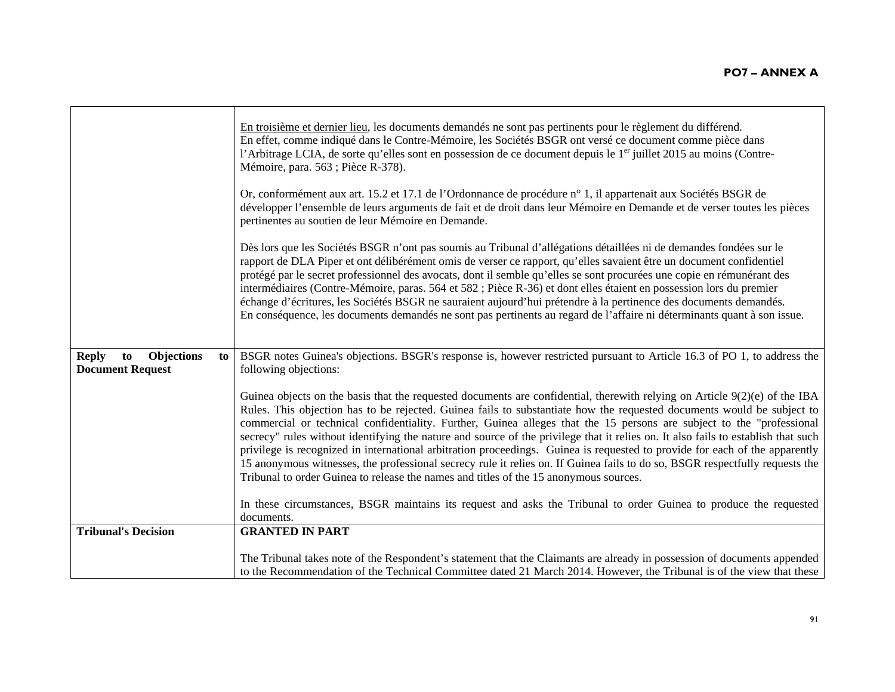|                                                                   | En troisième et dernier lieu, les documents demandés ne sont pas pertinents pour le règlement du différend.<br>En effet, comme indiqué dans le Contre-Mémoire, les Sociétés BSGR ont versé ce document comme pièce dans<br>l'Arbitrage LCIA, de sorte qu'elles sont en possession de ce document depuis le 1 <sup>er</sup> juillet 2015 au moins (Contre-<br>Mémoire, para. 563 ; Pièce R-378).                                                                                                                                                                                                                                                                                                                                                                                                                                                                               |
|-------------------------------------------------------------------|-------------------------------------------------------------------------------------------------------------------------------------------------------------------------------------------------------------------------------------------------------------------------------------------------------------------------------------------------------------------------------------------------------------------------------------------------------------------------------------------------------------------------------------------------------------------------------------------------------------------------------------------------------------------------------------------------------------------------------------------------------------------------------------------------------------------------------------------------------------------------------|
|                                                                   | Or, conformément aux art. 15.2 et 17.1 de l'Ordonnance de procédure n° 1, il appartenait aux Sociétés BSGR de<br>développer l'ensemble de leurs arguments de fait et de droit dans leur Mémoire en Demande et de verser toutes les pièces<br>pertinentes au soutien de leur Mémoire en Demande.                                                                                                                                                                                                                                                                                                                                                                                                                                                                                                                                                                               |
|                                                                   | Dès lors que les Sociétés BSGR n'ont pas soumis au Tribunal d'allégations détaillées ni de demandes fondées sur le<br>rapport de DLA Piper et ont délibérément omis de verser ce rapport, qu'elles savaient être un document confidentiel<br>protégé par le secret professionnel des avocats, dont il semble qu'elles se sont procurées une copie en rémunérant des<br>intermédiaires (Contre-Mémoire, paras. 564 et 582 ; Pièce R-36) et dont elles étaient en possession lors du premier<br>échange d'écritures, les Sociétés BSGR ne sauraient aujourd'hui prétendre à la pertinence des documents demandés.<br>En conséquence, les documents demandés ne sont pas pertinents au regard de l'affaire ni déterminants quant à son issue.                                                                                                                                    |
| Objections<br><b>Reply</b><br>to<br>to<br><b>Document Request</b> | BSGR notes Guinea's objections. BSGR's response is, however restricted pursuant to Article 16.3 of PO 1, to address the<br>following objections:                                                                                                                                                                                                                                                                                                                                                                                                                                                                                                                                                                                                                                                                                                                              |
|                                                                   | Guinea objects on the basis that the requested documents are confidential, therewith relying on Article $9(2)(e)$ of the IBA<br>Rules. This objection has to be rejected. Guinea fails to substantiate how the requested documents would be subject to<br>commercial or technical confidentiality. Further, Guinea alleges that the 15 persons are subject to the "professional"<br>secrecy" rules without identifying the nature and source of the privilege that it relies on. It also fails to establish that such<br>privilege is recognized in international arbitration proceedings. Guinea is requested to provide for each of the apparently<br>15 anonymous witnesses, the professional secrecy rule it relies on. If Guinea fails to do so, BSGR respectfully requests the<br>Tribunal to order Guinea to release the names and titles of the 15 anonymous sources. |
|                                                                   | In these circumstances, BSGR maintains its request and asks the Tribunal to order Guinea to produce the requested<br>documents.                                                                                                                                                                                                                                                                                                                                                                                                                                                                                                                                                                                                                                                                                                                                               |
| <b>Tribunal's Decision</b>                                        | <b>GRANTED IN PART</b>                                                                                                                                                                                                                                                                                                                                                                                                                                                                                                                                                                                                                                                                                                                                                                                                                                                        |
|                                                                   | The Tribunal takes note of the Respondent's statement that the Claimants are already in possession of documents appended<br>to the Recommendation of the Technical Committee dated 21 March 2014. However, the Tribunal is of the view that these                                                                                                                                                                                                                                                                                                                                                                                                                                                                                                                                                                                                                             |

 $\blacksquare$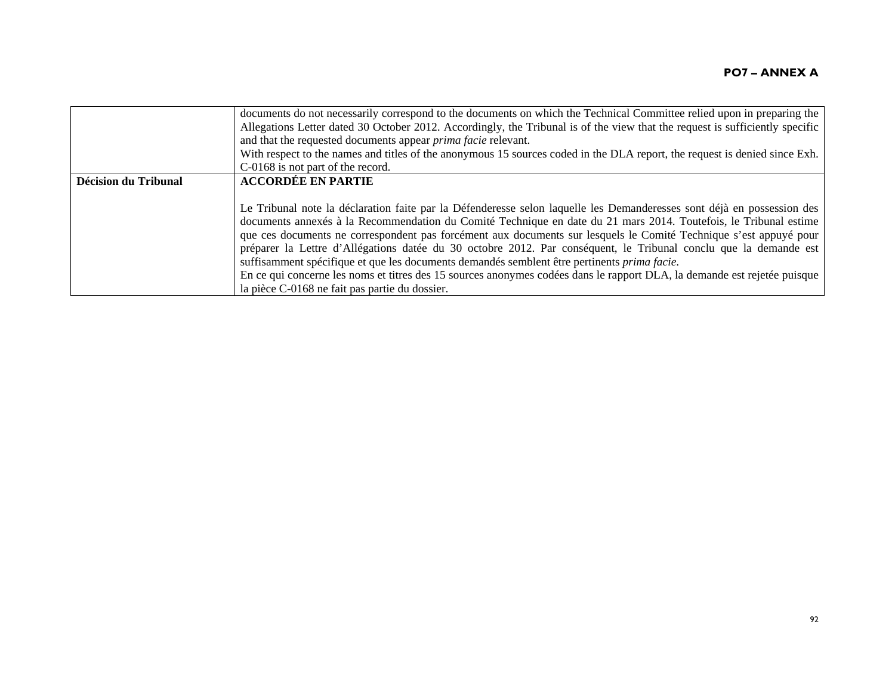|                      | documents do not necessarily correspond to the documents on which the Technical Committee relied upon in preparing the<br>Allegations Letter dated 30 October 2012. Accordingly, the Tribunal is of the view that the request is sufficiently specific<br>and that the requested documents appear <i>prima facie</i> relevant.<br>With respect to the names and titles of the anonymous 15 sources coded in the DLA report, the request is denied since Exh.                                                                                                                                                                                                                                                                                                             |
|----------------------|--------------------------------------------------------------------------------------------------------------------------------------------------------------------------------------------------------------------------------------------------------------------------------------------------------------------------------------------------------------------------------------------------------------------------------------------------------------------------------------------------------------------------------------------------------------------------------------------------------------------------------------------------------------------------------------------------------------------------------------------------------------------------|
|                      | C-0168 is not part of the record.                                                                                                                                                                                                                                                                                                                                                                                                                                                                                                                                                                                                                                                                                                                                        |
| Décision du Tribunal | <b>ACCORDÉE EN PARTIE</b>                                                                                                                                                                                                                                                                                                                                                                                                                                                                                                                                                                                                                                                                                                                                                |
|                      | Le Tribunal note la déclaration faite par la Défenderesse selon laquelle les Demanderesses sont déjà en possession des<br>documents annexés à la Recommendation du Comité Technique en date du 21 mars 2014. Toutefois, le Tribunal estime<br>que ces documents ne correspondent pas forcément aux documents sur lesquels le Comité Technique s'est appuyé pour<br>préparer la Lettre d'Allégations datée du 30 octobre 2012. Par conséquent, le Tribunal conclu que la demande est<br>suffisamment spécifique et que les documents demandés semblent être pertinents <i>prima facie</i> .<br>En ce qui concerne les noms et titres des 15 sources anonymes codées dans le rapport DLA, la demande est rejetée puisque<br>la pièce C-0168 ne fait pas partie du dossier. |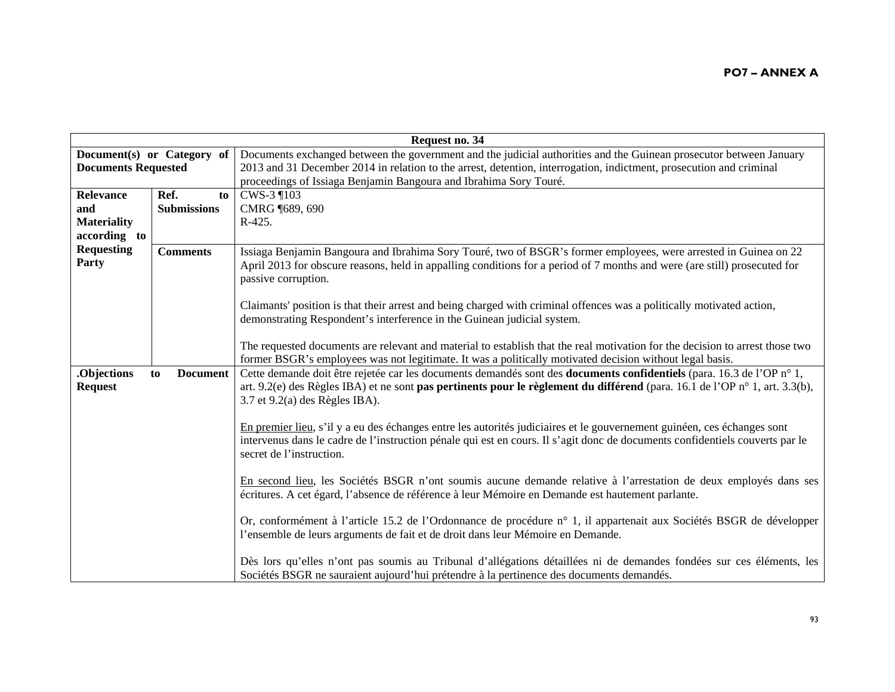| Request no. 34             |                            |                                                                                                                              |
|----------------------------|----------------------------|------------------------------------------------------------------------------------------------------------------------------|
|                            | Document(s) or Category of | Documents exchanged between the government and the judicial authorities and the Guinean prosecutor between January           |
| <b>Documents Requested</b> |                            | 2013 and 31 December 2014 in relation to the arrest, detention, interrogation, indictment, prosecution and criminal          |
|                            |                            | proceedings of Issiaga Benjamin Bangoura and Ibrahima Sory Touré.                                                            |
| Relevance                  | Ref.<br>to                 | CWS-3 ¶103                                                                                                                   |
| and                        | <b>Submissions</b>         | CMRG (689, 690)                                                                                                              |
| <b>Materiality</b>         |                            | $R-425.$                                                                                                                     |
| according to               |                            |                                                                                                                              |
| <b>Requesting</b>          | <b>Comments</b>            | Issiaga Benjamin Bangoura and Ibrahima Sory Touré, two of BSGR's former employees, were arrested in Guinea on 22             |
| Party                      |                            | April 2013 for obscure reasons, held in appalling conditions for a period of 7 months and were (are still) prosecuted for    |
|                            |                            | passive corruption.                                                                                                          |
|                            |                            |                                                                                                                              |
|                            |                            | Claimants' position is that their arrest and being charged with criminal offences was a politically motivated action,        |
|                            |                            | demonstrating Respondent's interference in the Guinean judicial system.                                                      |
|                            |                            |                                                                                                                              |
|                            |                            | The requested documents are relevant and material to establish that the real motivation for the decision to arrest those two |
|                            |                            | former BSGR's employees was not legitimate. It was a politically motivated decision without legal basis.                     |
| .Objections                | <b>Document</b><br>to      | Cette demande doit être rejetée car les documents demandés sont des <b>documents confidentiels</b> (para. 16.3 de l'OP n° 1, |
| <b>Request</b>             |                            | art. 9.2(e) des Règles IBA) et ne sont pas pertinents pour le règlement du différend (para. 16.1 de l'OP n° 1, art. 3.3(b),  |
|                            |                            | $3.7$ et $9.2(a)$ des Règles IBA).                                                                                           |
|                            |                            |                                                                                                                              |
|                            |                            | En premier lieu, s'il y a eu des échanges entre les autorités judiciaires et le gouvernement guinéen, ces échanges sont      |
|                            |                            | intervenus dans le cadre de l'instruction pénale qui est en cours. Il s'agit donc de documents confidentiels couverts par le |
|                            |                            | secret de l'instruction.                                                                                                     |
|                            |                            |                                                                                                                              |
|                            |                            | En second lieu, les Sociétés BSGR n'ont soumis aucune demande relative à l'arrestation de deux employés dans ses             |
|                            |                            | écritures. A cet égard, l'absence de référence à leur Mémoire en Demande est hautement parlante.                             |
|                            |                            |                                                                                                                              |
|                            |                            | Or, conformément à l'article 15.2 de l'Ordonnance de procédure n° 1, il appartenait aux Sociétés BSGR de développer          |
|                            |                            | l'ensemble de leurs arguments de fait et de droit dans leur Mémoire en Demande.                                              |
|                            |                            |                                                                                                                              |
|                            |                            | Dès lors qu'elles n'ont pas soumis au Tribunal d'allégations détaillées ni de demandes fondées sur ces éléments, les         |
|                            |                            | Sociétés BSGR ne sauraient aujourd'hui prétendre à la pertinence des documents demandés.                                     |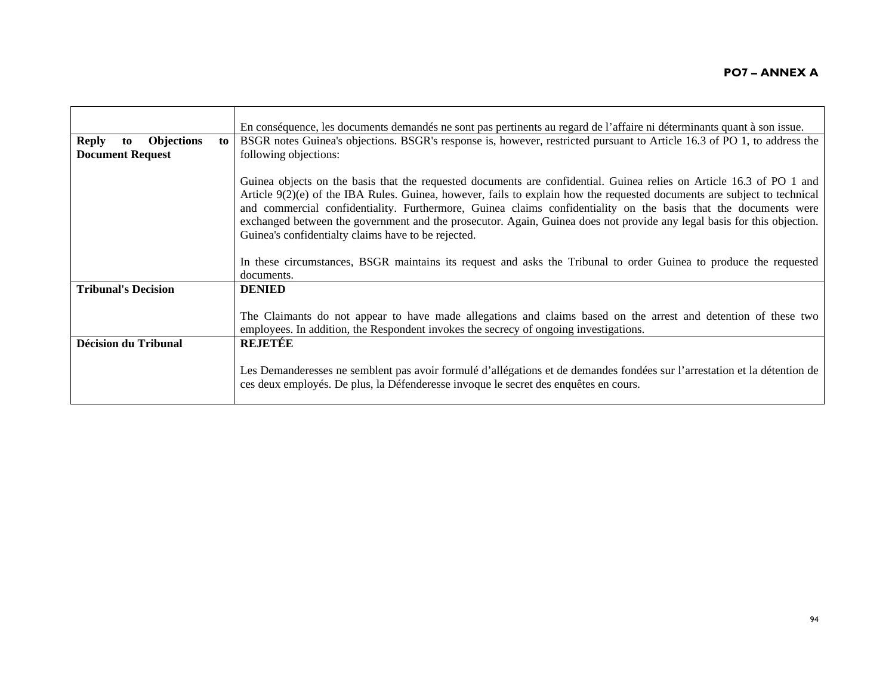|                                               | En conséquence, les documents demandés ne sont pas pertinents au regard de l'affaire ni déterminants quant à son issue.                                                                                                                                                                                                                                                                                                                                                                                                                                 |
|-----------------------------------------------|---------------------------------------------------------------------------------------------------------------------------------------------------------------------------------------------------------------------------------------------------------------------------------------------------------------------------------------------------------------------------------------------------------------------------------------------------------------------------------------------------------------------------------------------------------|
| <b>Reply</b><br><b>Objections</b><br>to<br>to | BSGR notes Guinea's objections. BSGR's response is, however, restricted pursuant to Article 16.3 of PO 1, to address the                                                                                                                                                                                                                                                                                                                                                                                                                                |
| <b>Document Request</b>                       | following objections:                                                                                                                                                                                                                                                                                                                                                                                                                                                                                                                                   |
|                                               |                                                                                                                                                                                                                                                                                                                                                                                                                                                                                                                                                         |
|                                               | Guinea objects on the basis that the requested documents are confidential. Guinea relies on Article 16.3 of PO 1 and<br>Article $9(2)(e)$ of the IBA Rules. Guinea, however, fails to explain how the requested documents are subject to technical<br>and commercial confidentiality. Furthermore, Guinea claims confidentiality on the basis that the documents were<br>exchanged between the government and the prosecutor. Again, Guinea does not provide any legal basis for this objection.<br>Guinea's confidentialty claims have to be rejected. |
|                                               | In these circumstances, BSGR maintains its request and asks the Tribunal to order Guinea to produce the requested                                                                                                                                                                                                                                                                                                                                                                                                                                       |
|                                               | documents.                                                                                                                                                                                                                                                                                                                                                                                                                                                                                                                                              |
| <b>Tribunal's Decision</b>                    | <b>DENIED</b>                                                                                                                                                                                                                                                                                                                                                                                                                                                                                                                                           |
|                                               |                                                                                                                                                                                                                                                                                                                                                                                                                                                                                                                                                         |
|                                               | The Claimants do not appear to have made allegations and claims based on the arrest and detention of these two<br>employees. In addition, the Respondent invokes the secrecy of ongoing investigations.                                                                                                                                                                                                                                                                                                                                                 |
| <b>Décision du Tribunal</b>                   | <b>REJETEE</b>                                                                                                                                                                                                                                                                                                                                                                                                                                                                                                                                          |
|                                               | Les Demanderesses ne semblent pas avoir formulé d'allégations et de demandes fondées sur l'arrestation et la détention de<br>ces deux employés. De plus, la Défenderesse invoque le secret des enquêtes en cours.                                                                                                                                                                                                                                                                                                                                       |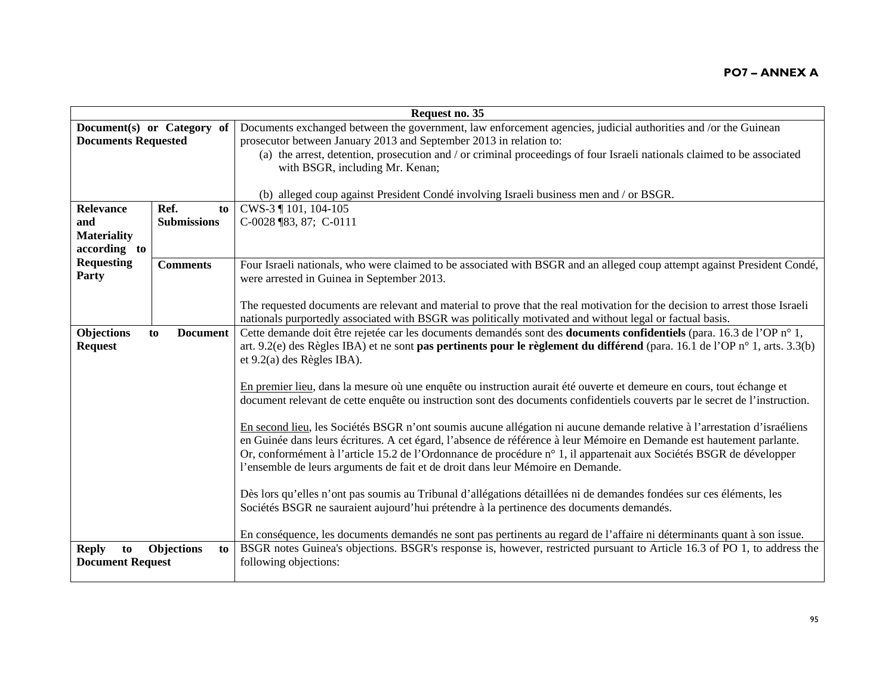|                                               |                            | Request no. 35                                                                                                                                                                                                                                                                                                                                                                                                                                              |
|-----------------------------------------------|----------------------------|-------------------------------------------------------------------------------------------------------------------------------------------------------------------------------------------------------------------------------------------------------------------------------------------------------------------------------------------------------------------------------------------------------------------------------------------------------------|
| <b>Documents Requested</b>                    | Document(s) or Category of | Documents exchanged between the government, law enforcement agencies, judicial authorities and /or the Guinean<br>prosecutor between January 2013 and September 2013 in relation to:<br>(a) the arrest, detention, prosecution and / or criminal proceedings of four Israeli nationals claimed to be associated                                                                                                                                             |
| <b>Relevance</b>                              | Ref.<br>to                 | with BSGR, including Mr. Kenan;<br>(b) alleged coup against President Condé involving Israeli business men and / or BSGR.<br>CWS-3 ¶ 101, 104-105                                                                                                                                                                                                                                                                                                           |
| and<br><b>Materiality</b><br>according to     | <b>Submissions</b>         | C-0028 ¶83, 87; C-0111                                                                                                                                                                                                                                                                                                                                                                                                                                      |
| <b>Requesting</b><br>Party                    | <b>Comments</b>            | Four Israeli nationals, who were claimed to be associated with BSGR and an alleged coup attempt against President Condé,<br>were arrested in Guinea in September 2013.                                                                                                                                                                                                                                                                                      |
|                                               |                            | The requested documents are relevant and material to prove that the real motivation for the decision to arrest those Israeli<br>nationals purportedly associated with BSGR was politically motivated and without legal or factual basis.                                                                                                                                                                                                                    |
| <b>Objections</b><br><b>Request</b>           | <b>Document</b><br>to      | Cette demande doit être rejetée car les documents demandés sont des <b>documents confidentiels</b> (para. 16.3 de l'OP n° 1,<br>art. 9.2(e) des Règles IBA) et ne sont pas pertinents pour le règlement du différend (para. 16.1 de l'OP n° 1, arts. 3.3(b)<br>et $9.2(a)$ des Règles IBA).                                                                                                                                                                 |
|                                               |                            | En premier lieu, dans la mesure où une enquête ou instruction aurait été ouverte et demeure en cours, tout échange et<br>document relevant de cette enquête ou instruction sont des documents confidentiels couverts par le secret de l'instruction.                                                                                                                                                                                                        |
|                                               |                            | En second lieu, les Sociétés BSGR n'ont soumis aucune allégation ni aucune demande relative à l'arrestation d'israéliens<br>en Guinée dans leurs écritures. A cet égard, l'absence de référence à leur Mémoire en Demande est hautement parlante.<br>Or, conformément à l'article 15.2 de l'Ordonnance de procédure n° 1, il appartenait aux Sociétés BSGR de développer<br>l'ensemble de leurs arguments de fait et de droit dans leur Mémoire en Demande. |
|                                               |                            | Dès lors qu'elles n'ont pas soumis au Tribunal d'allégations détaillées ni de demandes fondées sur ces éléments, les<br>Sociétés BSGR ne sauraient aujourd'hui prétendre à la pertinence des documents demandés.                                                                                                                                                                                                                                            |
| <b>Reply</b><br>to<br><b>Document Request</b> | Objections<br>to           | En conséquence, les documents demandés ne sont pas pertinents au regard de l'affaire ni déterminants quant à son issue.<br>BSGR notes Guinea's objections. BSGR's response is, however, restricted pursuant to Article 16.3 of PO 1, to address the<br>following objections:                                                                                                                                                                                |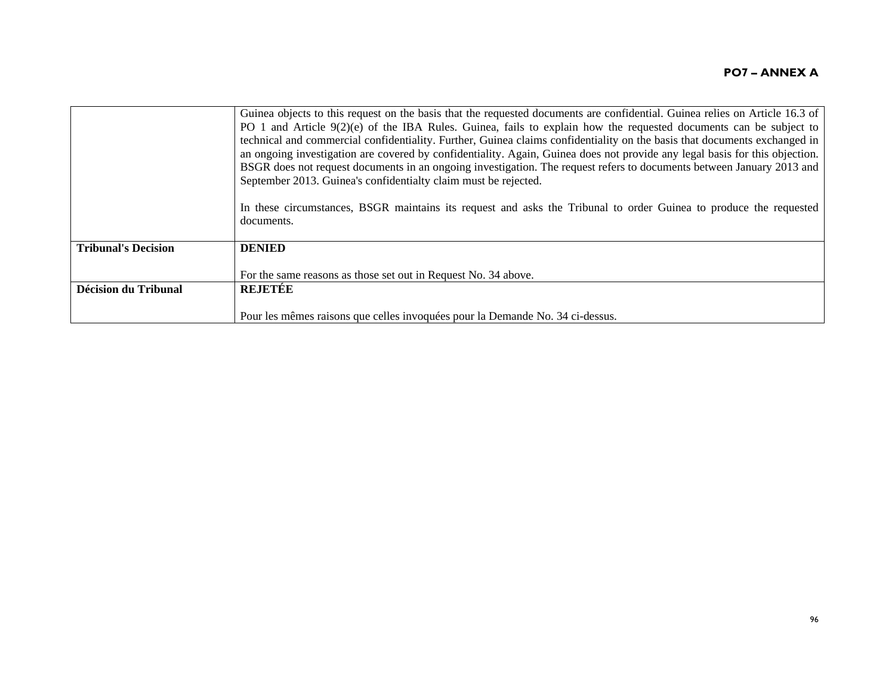|                             | Guinea objects to this request on the basis that the requested documents are confidential. Guinea relies on Article 16.3 of<br>PO 1 and Article 9(2)(e) of the IBA Rules. Guinea, fails to explain how the requested documents can be subject to<br>technical and commercial confidentiality. Further, Guinea claims confidentiality on the basis that documents exchanged in<br>an ongoing investigation are covered by confidentiality. Again, Guinea does not provide any legal basis for this objection.<br>BSGR does not request documents in an ongoing investigation. The request refers to documents between January 2013 and<br>September 2013. Guinea's confidentialty claim must be rejected. |
|-----------------------------|----------------------------------------------------------------------------------------------------------------------------------------------------------------------------------------------------------------------------------------------------------------------------------------------------------------------------------------------------------------------------------------------------------------------------------------------------------------------------------------------------------------------------------------------------------------------------------------------------------------------------------------------------------------------------------------------------------|
|                             | In these circumstances, BSGR maintains its request and asks the Tribunal to order Guinea to produce the requested<br>documents.                                                                                                                                                                                                                                                                                                                                                                                                                                                                                                                                                                          |
| <b>Tribunal's Decision</b>  | <b>DENIED</b>                                                                                                                                                                                                                                                                                                                                                                                                                                                                                                                                                                                                                                                                                            |
|                             | For the same reasons as those set out in Request No. 34 above.                                                                                                                                                                                                                                                                                                                                                                                                                                                                                                                                                                                                                                           |
| <b>Décision du Tribunal</b> | <b>REJETÉE</b>                                                                                                                                                                                                                                                                                                                                                                                                                                                                                                                                                                                                                                                                                           |
|                             | Pour les mêmes raisons que celles invoquées pour la Demande No. 34 ci-dessus.                                                                                                                                                                                                                                                                                                                                                                                                                                                                                                                                                                                                                            |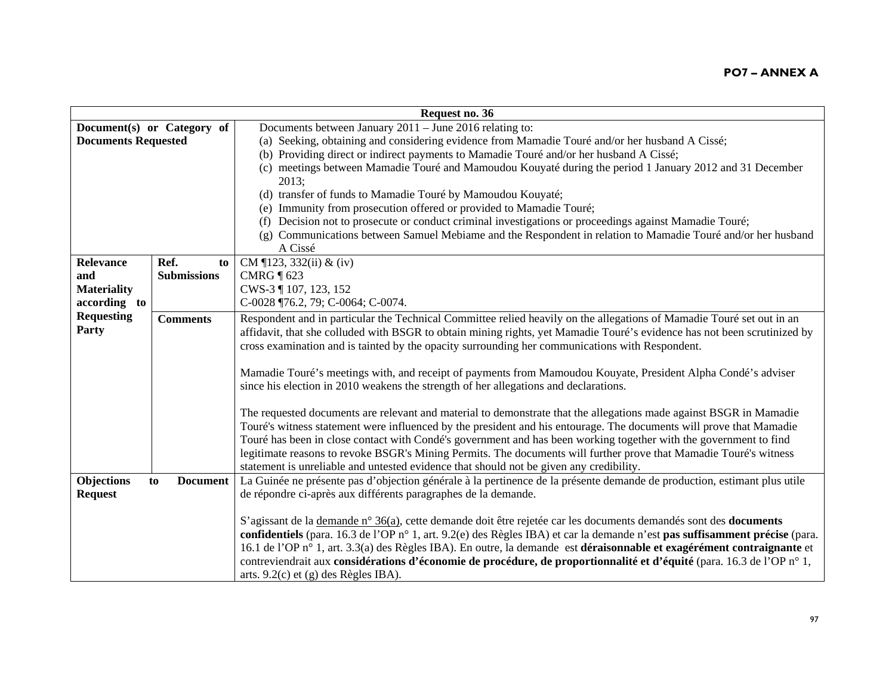| Request no. 36             |                            |                                                                                                                                 |
|----------------------------|----------------------------|---------------------------------------------------------------------------------------------------------------------------------|
|                            | Document(s) or Category of | Documents between January $2011 -$ June 2016 relating to:                                                                       |
| <b>Documents Requested</b> |                            | (a) Seeking, obtaining and considering evidence from Mamadie Touré and/or her husband A Cissé;                                  |
|                            |                            | (b) Providing direct or indirect payments to Mamadie Touré and/or her husband A Cissé;                                          |
|                            |                            | (c) meetings between Mamadie Touré and Mamoudou Kouyaté during the period 1 January 2012 and 31 December                        |
|                            |                            | 2013;                                                                                                                           |
|                            |                            | (d) transfer of funds to Mamadie Touré by Mamoudou Kouyaté;                                                                     |
|                            |                            | (e) Immunity from prosecution offered or provided to Mamadie Touré;                                                             |
|                            |                            | Decision not to prosecute or conduct criminal investigations or proceedings against Mamadie Touré;<br>(t)                       |
|                            |                            | Communications between Samuel Mebiame and the Respondent in relation to Mamadie Touré and/or her husband<br>(g)                 |
|                            |                            | A Cissé                                                                                                                         |
| <b>Relevance</b>           | Ref.<br>to                 | CM ¶123, 332(ii) & (iv)                                                                                                         |
| and                        | <b>Submissions</b>         | CMRG $\P$ 623                                                                                                                   |
| <b>Materiality</b>         |                            | CWS-3 ¶ 107, 123, 152                                                                                                           |
| according to               |                            | C-0028 ¶76.2, 79; C-0064; C-0074.                                                                                               |
| <b>Requesting</b>          | <b>Comments</b>            | Respondent and in particular the Technical Committee relied heavily on the allegations of Mamadie Touré set out in an           |
| Party                      |                            | affidavit, that she colluded with BSGR to obtain mining rights, yet Mamadie Touré's evidence has not been scrutinized by        |
|                            |                            | cross examination and is tainted by the opacity surrounding her communications with Respondent.                                 |
|                            |                            |                                                                                                                                 |
|                            |                            | Mamadie Touré's meetings with, and receipt of payments from Mamoudou Kouyate, President Alpha Condé's adviser                   |
|                            |                            | since his election in 2010 weakens the strength of her allegations and declarations.                                            |
|                            |                            |                                                                                                                                 |
|                            |                            | The requested documents are relevant and material to demonstrate that the allegations made against BSGR in Mamadie              |
|                            |                            | Touré's witness statement were influenced by the president and his entourage. The documents will prove that Mamadie             |
|                            |                            | Touré has been in close contact with Condé's government and has been working together with the government to find               |
|                            |                            | legitimate reasons to revoke BSGR's Mining Permits. The documents will further prove that Mamadie Touré's witness               |
|                            |                            | statement is unreliable and untested evidence that should not be given any credibility.                                         |
| <b>Objections</b>          | <b>Document</b><br>to      | La Guinée ne présente pas d'objection générale à la pertinence de la présente demande de production, estimant plus utile        |
| <b>Request</b>             |                            | de répondre ci-après aux différents paragraphes de la demande.                                                                  |
|                            |                            |                                                                                                                                 |
|                            |                            | S'agissant de la <u>demande n° 36(a)</u> , cette demande doit être rejetée car les documents demandés sont des <b>documents</b> |
|                            |                            | confidentiels (para. 16.3 de l'OP n° 1, art. 9.2(e) des Règles IBA) et car la demande n'est pas suffisamment précise (para.     |
|                            |                            | 16.1 de l'OP n° 1, art. 3.3(a) des Règles IBA). En outre, la demande est déraisonnable et exagérément contraignante et          |
|                            |                            | contreviendrait aux considérations d'économie de procédure, de proportionnalité et d'équité (para. 16.3 de l'OP n° 1,           |
|                            |                            | arts. 9.2(c) et (g) des Règles IBA).                                                                                            |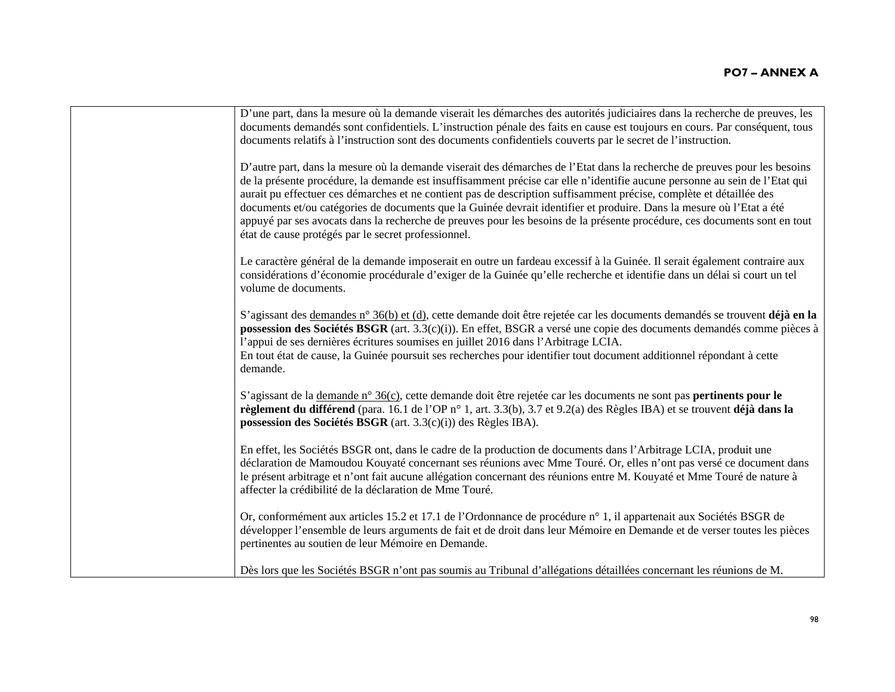| D'une part, dans la mesure où la demande viserait les démarches des autorités judiciaires dans la recherche de preuves, les<br>documents demandés sont confidentiels. L'instruction pénale des faits en cause est toujours en cours. Par conséquent, tous<br>documents relatifs à l'instruction sont des documents confidentiels couverts par le secret de l'instruction.                                                                                                                                                                                                                                                                                                                  |
|--------------------------------------------------------------------------------------------------------------------------------------------------------------------------------------------------------------------------------------------------------------------------------------------------------------------------------------------------------------------------------------------------------------------------------------------------------------------------------------------------------------------------------------------------------------------------------------------------------------------------------------------------------------------------------------------|
| D'autre part, dans la mesure où la demande viserait des démarches de l'Etat dans la recherche de preuves pour les besoins<br>de la présente procédure, la demande est insuffisamment précise car elle n'identifie aucune personne au sein de l'Etat qui<br>aurait pu effectuer ces démarches et ne contient pas de description suffisamment précise, complète et détaillée des<br>documents et/ou catégories de documents que la Guinée devrait identifier et produire. Dans la mesure où l'Etat a été<br>appuyé par ses avocats dans la recherche de preuves pour les besoins de la présente procédure, ces documents sont en tout<br>état de cause protégés par le secret professionnel. |
| Le caractère général de la demande imposerait en outre un fardeau excessif à la Guinée. Il serait également contraire aux<br>considérations d'économie procédurale d'exiger de la Guinée qu'elle recherche et identifie dans un délai si court un tel<br>volume de documents.                                                                                                                                                                                                                                                                                                                                                                                                              |
| S'agissant des demandes n° 36(b) et (d), cette demande doit être rejetée car les documents demandés se trouvent déjà en la<br>possession des Sociétés BSGR (art. 3.3(c)(i)). En effet, BSGR a versé une copie des documents demandés comme pièces à<br>l'appui de ses dernières écritures soumises en juillet 2016 dans l'Arbitrage LCIA.<br>En tout état de cause, la Guinée poursuit ses recherches pour identifier tout document additionnel répondant à cette<br>demande.                                                                                                                                                                                                              |
| S'agissant de la demande n° 36(c), cette demande doit être rejetée car les documents ne sont pas <b>pertinents pour le</b><br>règlement du différend (para. 16.1 de l'OP n° 1, art. 3.3(b), 3.7 et 9.2(a) des Règles IBA) et se trouvent déjà dans la<br>possession des Sociétés BSGR (art. 3.3(c)(i)) des Règles IBA).                                                                                                                                                                                                                                                                                                                                                                    |
| En effet, les Sociétés BSGR ont, dans le cadre de la production de documents dans l'Arbitrage LCIA, produit une<br>déclaration de Mamoudou Kouyaté concernant ses réunions avec Mme Touré. Or, elles n'ont pas versé ce document dans<br>le présent arbitrage et n'ont fait aucune allégation concernant des réunions entre M. Kouyaté et Mme Touré de nature à<br>affecter la crédibilité de la déclaration de Mme Touré.                                                                                                                                                                                                                                                                 |
| Or, conformément aux articles 15.2 et 17.1 de l'Ordonnance de procédure n° 1, il appartenait aux Sociétés BSGR de<br>développer l'ensemble de leurs arguments de fait et de droit dans leur Mémoire en Demande et de verser toutes les pièces<br>pertinentes au soutien de leur Mémoire en Demande.                                                                                                                                                                                                                                                                                                                                                                                        |
| Dès lors que les Sociétés BSGR n'ont pas soumis au Tribunal d'allégations détaillées concernant les réunions de M.                                                                                                                                                                                                                                                                                                                                                                                                                                                                                                                                                                         |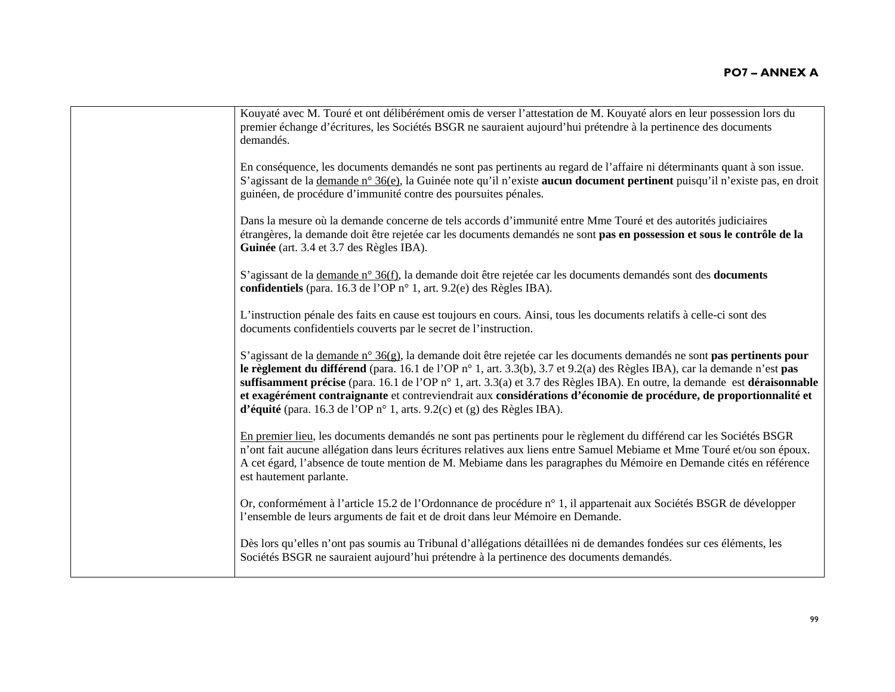| Kouyaté avec M. Touré et ont délibérément omis de verser l'attestation de M. Kouyaté alors en leur possession lors du<br>premier échange d'écritures, les Sociétés BSGR ne sauraient aujourd'hui prétendre à la pertinence des documents<br>demandés.                                                                                                                                                                                                                                                                                                                               |
|-------------------------------------------------------------------------------------------------------------------------------------------------------------------------------------------------------------------------------------------------------------------------------------------------------------------------------------------------------------------------------------------------------------------------------------------------------------------------------------------------------------------------------------------------------------------------------------|
| En conséquence, les documents demandés ne sont pas pertinents au regard de l'affaire ni déterminants quant à son issue.<br>S'agissant de la demande n° 36(e), la Guinée note qu'il n'existe aucun document pertinent puisqu'il n'existe pas, en droit<br>guinéen, de procédure d'immunité contre des poursuites pénales.                                                                                                                                                                                                                                                            |
| Dans la mesure où la demande concerne de tels accords d'immunité entre Mme Touré et des autorités judiciaires<br>étrangères, la demande doit être rejetée car les documents demandés ne sont pas en possession et sous le contrôle de la<br>Guinée (art. 3.4 et 3.7 des Règles IBA).                                                                                                                                                                                                                                                                                                |
| S'agissant de la <u>demande n° 36(f)</u> , la demande doit être rejetée car les documents demandés sont des <b>documents</b><br>confidentiels (para. 16.3 de l'OP n° 1, art. 9.2(e) des Règles IBA).                                                                                                                                                                                                                                                                                                                                                                                |
| L'instruction pénale des faits en cause est toujours en cours. Ainsi, tous les documents relatifs à celle-ci sont des<br>documents confidentiels couverts par le secret de l'instruction.                                                                                                                                                                                                                                                                                                                                                                                           |
| S'agissant de la demande n° $36(g)$ , la demande doit être rejetée car les documents demandés ne sont pas pertinents pour<br>le règlement du différend (para. 16.1 de l'OP n° 1, art. 3.3(b), 3.7 et 9.2(a) des Règles IBA), car la demande n'est pas<br>suffisamment précise (para. 16.1 de l'OP n° 1, art. 3.3(a) et 3.7 des Règles IBA). En outre, la demande est déraisonnable<br>et exagérément contraignante et contreviendrait aux considérations d'économie de procédure, de proportionnalité et<br>d'équité (para. 16.3 de l'OP n° 1, arts. 9.2(c) et (g) des Règles IBA). |
| En premier lieu, les documents demandés ne sont pas pertinents pour le règlement du différend car les Sociétés BSGR<br>n'ont fait aucune allégation dans leurs écritures relatives aux liens entre Samuel Mebiame et Mme Touré et/ou son époux.<br>A cet égard, l'absence de toute mention de M. Mebiame dans les paragraphes du Mémoire en Demande cités en référence<br>est hautement parlante.                                                                                                                                                                                   |
| Or, conformément à l'article 15.2 de l'Ordonnance de procédure n° 1, il appartenait aux Sociétés BSGR de développer<br>l'ensemble de leurs arguments de fait et de droit dans leur Mémoire en Demande.                                                                                                                                                                                                                                                                                                                                                                              |
| Dès lors qu'elles n'ont pas soumis au Tribunal d'allégations détaillées ni de demandes fondées sur ces éléments, les<br>Sociétés BSGR ne sauraient aujourd'hui prétendre à la pertinence des documents demandés.                                                                                                                                                                                                                                                                                                                                                                    |
|                                                                                                                                                                                                                                                                                                                                                                                                                                                                                                                                                                                     |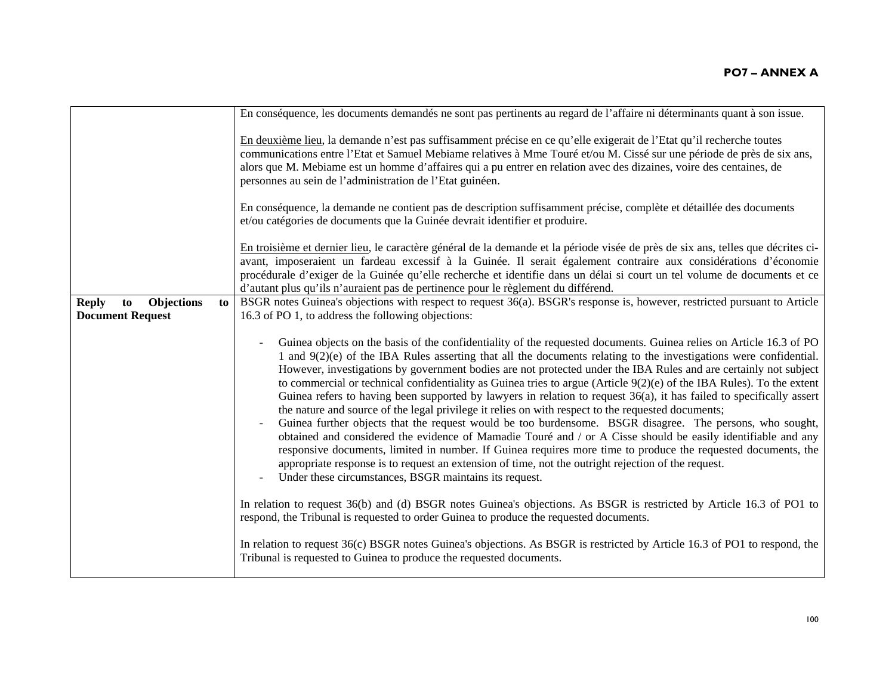|                                                                          | En conséquence, les documents demandés ne sont pas pertinents au regard de l'affaire ni déterminants quant à son issue.                                                                                                                                                                                                                                                                                                                                                                                                                                                                                                                                                                                                                                                                                                                                                                                                                                                                                                                                                                                                                                                                                                               |
|--------------------------------------------------------------------------|---------------------------------------------------------------------------------------------------------------------------------------------------------------------------------------------------------------------------------------------------------------------------------------------------------------------------------------------------------------------------------------------------------------------------------------------------------------------------------------------------------------------------------------------------------------------------------------------------------------------------------------------------------------------------------------------------------------------------------------------------------------------------------------------------------------------------------------------------------------------------------------------------------------------------------------------------------------------------------------------------------------------------------------------------------------------------------------------------------------------------------------------------------------------------------------------------------------------------------------|
|                                                                          |                                                                                                                                                                                                                                                                                                                                                                                                                                                                                                                                                                                                                                                                                                                                                                                                                                                                                                                                                                                                                                                                                                                                                                                                                                       |
|                                                                          | En deuxième lieu, la demande n'est pas suffisamment précise en ce qu'elle exigerait de l'Etat qu'il recherche toutes<br>communications entre l'Etat et Samuel Mebiame relatives à Mme Touré et/ou M. Cissé sur une période de près de six ans,<br>alors que M. Mebiame est un homme d'affaires qui a pu entrer en relation avec des dizaines, voire des centaines, de<br>personnes au sein de l'administration de l'Etat guinéen.                                                                                                                                                                                                                                                                                                                                                                                                                                                                                                                                                                                                                                                                                                                                                                                                     |
|                                                                          | En conséquence, la demande ne contient pas de description suffisamment précise, complète et détaillée des documents<br>et/ou catégories de documents que la Guinée devrait identifier et produire.                                                                                                                                                                                                                                                                                                                                                                                                                                                                                                                                                                                                                                                                                                                                                                                                                                                                                                                                                                                                                                    |
|                                                                          | En troisième et dernier lieu, le caractère général de la demande et la période visée de près de six ans, telles que décrites ci-<br>avant, imposeraient un fardeau excessif à la Guinée. Il serait également contraire aux considérations d'économie<br>procédurale d'exiger de la Guinée qu'elle recherche et identifie dans un délai si court un tel volume de documents et ce<br>d'autant plus qu'ils n'auraient pas de pertinence pour le règlement du différend.                                                                                                                                                                                                                                                                                                                                                                                                                                                                                                                                                                                                                                                                                                                                                                 |
| <b>Objections</b><br><b>Reply</b><br>to<br>to<br><b>Document Request</b> | BSGR notes Guinea's objections with respect to request 36(a). BSGR's response is, however, restricted pursuant to Article<br>16.3 of PO 1, to address the following objections:                                                                                                                                                                                                                                                                                                                                                                                                                                                                                                                                                                                                                                                                                                                                                                                                                                                                                                                                                                                                                                                       |
|                                                                          | Guinea objects on the basis of the confidentiality of the requested documents. Guinea relies on Article 16.3 of PO<br>1 and 9(2)(e) of the IBA Rules asserting that all the documents relating to the investigations were confidential.<br>However, investigations by government bodies are not protected under the IBA Rules and are certainly not subject<br>to commercial or technical confidentiality as Guinea tries to argue (Article $9(2)(e)$ of the IBA Rules). To the extent<br>Guinea refers to having been supported by lawyers in relation to request $36(a)$ , it has failed to specifically assert<br>the nature and source of the legal privilege it relies on with respect to the requested documents;<br>Guinea further objects that the request would be too burdensome. BSGR disagree. The persons, who sought,<br>obtained and considered the evidence of Mamadie Touré and / or A Cisse should be easily identifiable and any<br>responsive documents, limited in number. If Guinea requires more time to produce the requested documents, the<br>appropriate response is to request an extension of time, not the outright rejection of the request.<br>Under these circumstances, BSGR maintains its request. |
|                                                                          | In relation to request 36(b) and (d) BSGR notes Guinea's objections. As BSGR is restricted by Article 16.3 of PO1 to<br>respond, the Tribunal is requested to order Guinea to produce the requested documents.                                                                                                                                                                                                                                                                                                                                                                                                                                                                                                                                                                                                                                                                                                                                                                                                                                                                                                                                                                                                                        |
|                                                                          | In relation to request 36(c) BSGR notes Guinea's objections. As BSGR is restricted by Article 16.3 of PO1 to respond, the<br>Tribunal is requested to Guinea to produce the requested documents.                                                                                                                                                                                                                                                                                                                                                                                                                                                                                                                                                                                                                                                                                                                                                                                                                                                                                                                                                                                                                                      |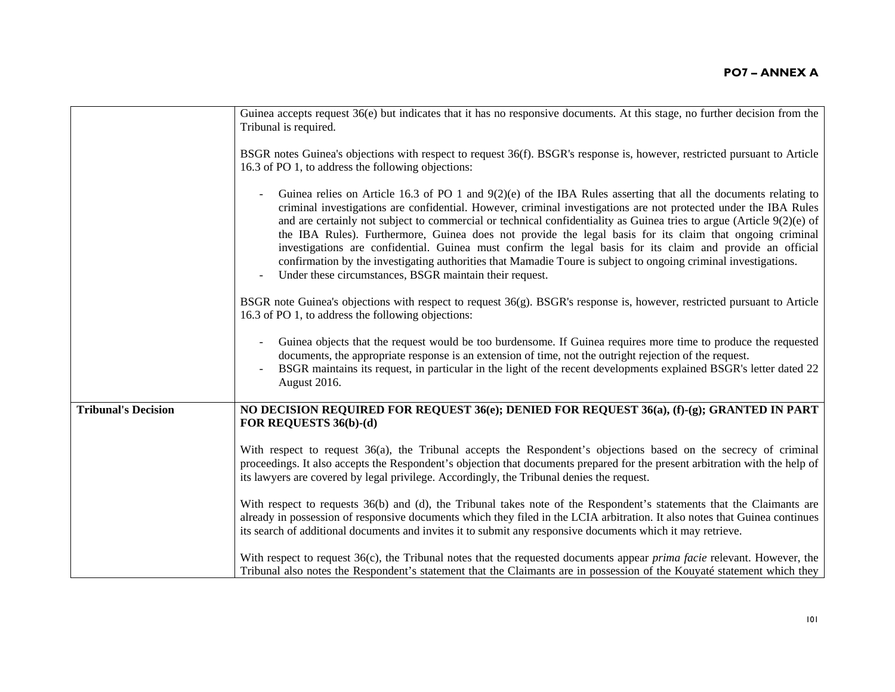|                            | Guinea accepts request 36(e) but indicates that it has no responsive documents. At this stage, no further decision from the<br>Tribunal is required.                                                                                                                                                                                                                                                                                                                                                                                                                                                                                                                                                                                                                     |
|----------------------------|--------------------------------------------------------------------------------------------------------------------------------------------------------------------------------------------------------------------------------------------------------------------------------------------------------------------------------------------------------------------------------------------------------------------------------------------------------------------------------------------------------------------------------------------------------------------------------------------------------------------------------------------------------------------------------------------------------------------------------------------------------------------------|
|                            | BSGR notes Guinea's objections with respect to request 36(f). BSGR's response is, however, restricted pursuant to Article<br>16.3 of PO 1, to address the following objections:                                                                                                                                                                                                                                                                                                                                                                                                                                                                                                                                                                                          |
|                            | Guinea relies on Article 16.3 of PO 1 and $9(2)(e)$ of the IBA Rules asserting that all the documents relating to<br>criminal investigations are confidential. However, criminal investigations are not protected under the IBA Rules<br>and are certainly not subject to commercial or technical confidentiality as Guinea tries to argue (Article $9(2)(e)$ of<br>the IBA Rules). Furthermore, Guinea does not provide the legal basis for its claim that ongoing criminal<br>investigations are confidential. Guinea must confirm the legal basis for its claim and provide an official<br>confirmation by the investigating authorities that Mamadie Toure is subject to ongoing criminal investigations.<br>Under these circumstances, BSGR maintain their request. |
|                            | BSGR note Guinea's objections with respect to request 36(g). BSGR's response is, however, restricted pursuant to Article<br>16.3 of PO 1, to address the following objections:                                                                                                                                                                                                                                                                                                                                                                                                                                                                                                                                                                                           |
|                            | Guinea objects that the request would be too burdensome. If Guinea requires more time to produce the requested<br>documents, the appropriate response is an extension of time, not the outright rejection of the request.<br>BSGR maintains its request, in particular in the light of the recent developments explained BSGR's letter dated 22<br>August 2016.                                                                                                                                                                                                                                                                                                                                                                                                          |
| <b>Tribunal's Decision</b> | NO DECISION REQUIRED FOR REQUEST 36(e); DENIED FOR REQUEST 36(a), (f)-(g); GRANTED IN PART<br>FOR REQUESTS 36(b)-(d)                                                                                                                                                                                                                                                                                                                                                                                                                                                                                                                                                                                                                                                     |
|                            | With respect to request 36(a), the Tribunal accepts the Respondent's objections based on the secrecy of criminal<br>proceedings. It also accepts the Respondent's objection that documents prepared for the present arbitration with the help of<br>its lawyers are covered by legal privilege. Accordingly, the Tribunal denies the request.                                                                                                                                                                                                                                                                                                                                                                                                                            |
|                            | With respect to requests 36(b) and (d), the Tribunal takes note of the Respondent's statements that the Claimants are<br>already in possession of responsive documents which they filed in the LCIA arbitration. It also notes that Guinea continues<br>its search of additional documents and invites it to submit any responsive documents which it may retrieve.                                                                                                                                                                                                                                                                                                                                                                                                      |
|                            | With respect to request 36(c), the Tribunal notes that the requested documents appear <i>prima facie</i> relevant. However, the<br>Tribunal also notes the Respondent's statement that the Claimants are in possession of the Kouyaté statement which they                                                                                                                                                                                                                                                                                                                                                                                                                                                                                                               |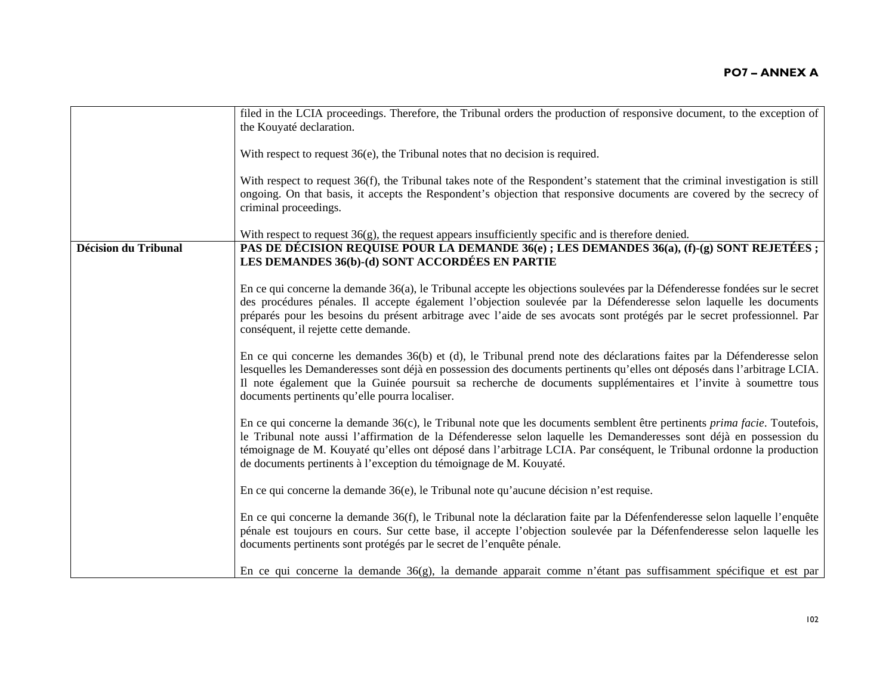|                             | filed in the LCIA proceedings. Therefore, the Tribunal orders the production of responsive document, to the exception of         |
|-----------------------------|----------------------------------------------------------------------------------------------------------------------------------|
|                             | the Kouyaté declaration.                                                                                                         |
|                             |                                                                                                                                  |
|                             | With respect to request $36(e)$ , the Tribunal notes that no decision is required.                                               |
|                             |                                                                                                                                  |
|                             | With respect to request 36(f), the Tribunal takes note of the Respondent's statement that the criminal investigation is still    |
|                             | ongoing. On that basis, it accepts the Respondent's objection that responsive documents are covered by the secrecy of            |
|                             | criminal proceedings.                                                                                                            |
|                             |                                                                                                                                  |
|                             | With respect to request $36(g)$ , the request appears insufficiently specific and is therefore denied.                           |
| <b>Décision du Tribunal</b> | PAS DE DÉCISION REQUISE POUR LA DEMANDE 36(e); LES DEMANDES 36(a), (f)-(g) SONT REJETÉES;                                        |
|                             | LES DEMANDES 36(b)-(d) SONT ACCORDÉES EN PARTIE                                                                                  |
|                             |                                                                                                                                  |
|                             | En ce qui concerne la demande 36(a), le Tribunal accepte les objections soulevées par la Défenderesse fondées sur le secret      |
|                             | des procédures pénales. Il accepte également l'objection soulevée par la Défenderesse selon laquelle les documents               |
|                             | préparés pour les besoins du présent arbitrage avec l'aide de ses avocats sont protégés par le secret professionnel. Par         |
|                             | conséquent, il rejette cette demande.                                                                                            |
|                             |                                                                                                                                  |
|                             | En ce qui concerne les demandes 36(b) et (d), le Tribunal prend note des déclarations faites par la Défenderesse selon           |
|                             | lesquelles les Demanderesses sont déjà en possession des documents pertinents qu'elles ont déposés dans l'arbitrage LCIA.        |
|                             | Il note également que la Guinée poursuit sa recherche de documents supplémentaires et l'invite à soumettre tous                  |
|                             | documents pertinents qu'elle pourra localiser.                                                                                   |
|                             |                                                                                                                                  |
|                             | En ce qui concerne la demande 36(c), le Tribunal note que les documents semblent être pertinents <i>prima facie</i> . Toutefois, |
|                             | le Tribunal note aussi l'affirmation de la Défenderesse selon laquelle les Demanderesses sont déjà en possession du              |
|                             | témoignage de M. Kouyaté qu'elles ont déposé dans l'arbitrage LCIA. Par conséquent, le Tribunal ordonne la production            |
|                             | de documents pertinents à l'exception du témoignage de M. Kouyaté.                                                               |
|                             |                                                                                                                                  |
|                             | En ce qui concerne la demande $36(e)$ , le Tribunal note qu'aucune décision n'est requise.                                       |
|                             |                                                                                                                                  |
|                             | En ce qui concerne la demande 36(f), le Tribunal note la déclaration faite par la Défenfenderesse selon laquelle l'enquête       |
|                             | pénale est toujours en cours. Sur cette base, il accepte l'objection soulevée par la Défenfenderesse selon laquelle les          |
|                             | documents pertinents sont protégés par le secret de l'enquête pénale.                                                            |
|                             |                                                                                                                                  |
|                             | En ce qui concerne la demande 36(g), la demande apparait comme n'étant pas suffisamment spécifique et est par                    |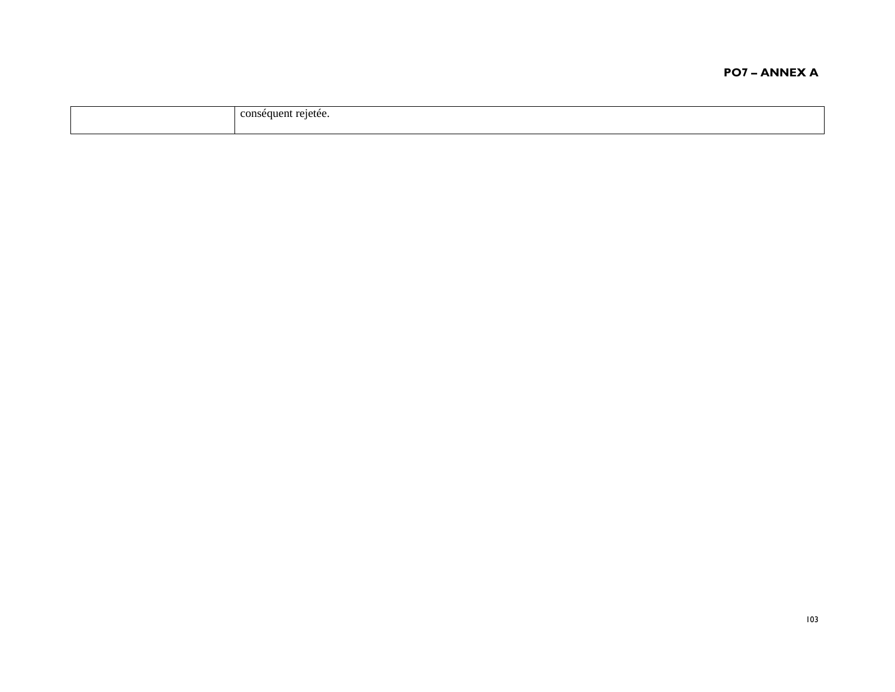| $\sim$ $\sim$ |
|---------------|
|---------------|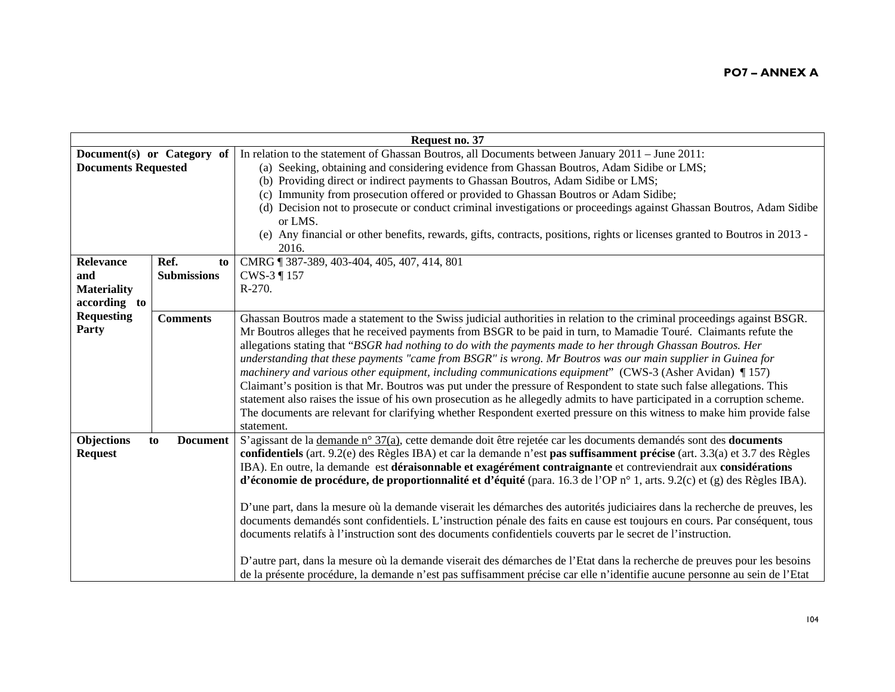| Request no. 37             |                            |                                                                                                                                     |
|----------------------------|----------------------------|-------------------------------------------------------------------------------------------------------------------------------------|
|                            | Document(s) or Category of | In relation to the statement of Ghassan Boutros, all Documents between January 2011 – June 2011:                                    |
| <b>Documents Requested</b> |                            | (a) Seeking, obtaining and considering evidence from Ghassan Boutros, Adam Sidibe or LMS;                                           |
|                            |                            | (b) Providing direct or indirect payments to Ghassan Boutros, Adam Sidibe or LMS;                                                   |
|                            |                            | Immunity from prosecution offered or provided to Ghassan Boutros or Adam Sidibe;<br>(c)                                             |
|                            |                            | (d) Decision not to prosecute or conduct criminal investigations or proceedings against Ghassan Boutros, Adam Sidibe<br>or LMS.     |
|                            |                            | (e) Any financial or other benefits, rewards, gifts, contracts, positions, rights or licenses granted to Boutros in 2013 -<br>2016. |
| Relevance                  | Ref.<br>to                 | CMRG   387-389, 403-404, 405, 407, 414, 801                                                                                         |
| and                        | <b>Submissions</b>         | CWS-3 ¶ 157                                                                                                                         |
| <b>Materiality</b>         |                            | $R-270.$                                                                                                                            |
| according to               |                            |                                                                                                                                     |
| <b>Requesting</b>          | <b>Comments</b>            | Ghassan Boutros made a statement to the Swiss judicial authorities in relation to the criminal proceedings against BSGR.            |
| Party                      |                            | Mr Boutros alleges that he received payments from BSGR to be paid in turn, to Mamadie Touré. Claimants refute the                   |
|                            |                            | allegations stating that "BSGR had nothing to do with the payments made to her through Ghassan Boutros. Her                         |
|                            |                            | understanding that these payments "came from BSGR" is wrong. Mr Boutros was our main supplier in Guinea for                         |
|                            |                            | machinery and various other equipment, including communications equipment" (CWS-3 (Asher Avidan) $\P$ 157)                          |
|                            |                            | Claimant's position is that Mr. Boutros was put under the pressure of Respondent to state such false allegations. This              |
|                            |                            | statement also raises the issue of his own prosecution as he allegedly admits to have participated in a corruption scheme.          |
|                            |                            | The documents are relevant for clarifying whether Respondent exerted pressure on this witness to make him provide false             |
|                            |                            | statement.                                                                                                                          |
| Objections                 | <b>Document</b><br>to      | S'agissant de la demande n° 37(a), cette demande doit être rejetée car les documents demandés sont des <b>documents</b>             |
| <b>Request</b>             |                            | confidentiels (art. 9.2(e) des Règles IBA) et car la demande n'est pas suffisamment précise (art. 3.3(a) et 3.7 des Règles          |
|                            |                            | IBA). En outre, la demande est déraisonnable et exagérément contraignante et contreviendrait aux considérations                     |
|                            |                            | d'économie de procédure, de proportionnalité et d'équité (para. 16.3 de l'OP $n^{\circ}$ 1, arts. 9.2(c) et (g) des Règles IBA).    |
|                            |                            |                                                                                                                                     |
|                            |                            | D'une part, dans la mesure où la demande viserait les démarches des autorités judiciaires dans la recherche de preuves, les         |
|                            |                            | documents demandés sont confidentiels. L'instruction pénale des faits en cause est toujours en cours. Par conséquent, tous          |
|                            |                            | documents relatifs à l'instruction sont des documents confidentiels couverts par le secret de l'instruction.                        |
|                            |                            |                                                                                                                                     |
|                            |                            | D'autre part, dans la mesure où la demande viserait des démarches de l'Etat dans la recherche de preuves pour les besoins           |
|                            |                            | de la présente procédure, la demande n'est pas suffisamment précise car elle n'identifie aucune personne au sein de l'Etat          |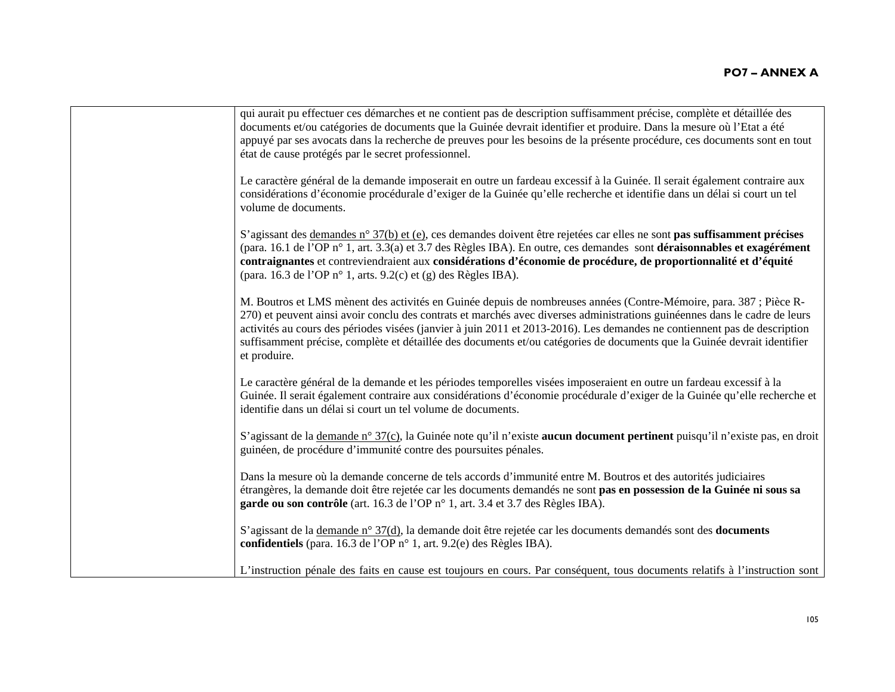| qui aurait pu effectuer ces démarches et ne contient pas de description suffisamment précise, complète et détaillée des<br>documents et/ou catégories de documents que la Guinée devrait identifier et produire. Dans la mesure où l'Etat a été<br>appuyé par ses avocats dans la recherche de preuves pour les besoins de la présente procédure, ces documents sont en tout<br>état de cause protégés par le secret professionnel.                                                                                       |
|---------------------------------------------------------------------------------------------------------------------------------------------------------------------------------------------------------------------------------------------------------------------------------------------------------------------------------------------------------------------------------------------------------------------------------------------------------------------------------------------------------------------------|
| Le caractère général de la demande imposerait en outre un fardeau excessif à la Guinée. Il serait également contraire aux<br>considérations d'économie procédurale d'exiger de la Guinée qu'elle recherche et identifie dans un délai si court un tel<br>volume de documents.                                                                                                                                                                                                                                             |
| S'agissant des demandes n° 37(b) et (e), ces demandes doivent être rejetées car elles ne sont pas suffisamment précises<br>(para. 16.1 de l'OP n° 1, art. 3.3(a) et 3.7 des Règles IBA). En outre, ces demandes sont déraisonnables et exagérément<br>contraignantes et contreviendraient aux considérations d'économie de procédure, de proportionnalité et d'équité<br>(para. 16.3 de l'OP n° 1, arts. 9.2(c) et (g) des Règles IBA).                                                                                   |
| M. Boutros et LMS mènent des activités en Guinée depuis de nombreuses années (Contre-Mémoire, para. 387 ; Pièce R-<br>270) et peuvent ainsi avoir conclu des contrats et marchés avec diverses administrations guinéennes dans le cadre de leurs<br>activités au cours des périodes visées (janvier à juin 2011 et 2013-2016). Les demandes ne contiennent pas de description<br>suffisamment précise, complète et détaillée des documents et/ou catégories de documents que la Guinée devrait identifier<br>et produire. |
| Le caractère général de la demande et les périodes temporelles visées imposeraient en outre un fardeau excessif à la<br>Guinée. Il serait également contraire aux considérations d'économie procédurale d'exiger de la Guinée qu'elle recherche et<br>identifie dans un délai si court un tel volume de documents.                                                                                                                                                                                                        |
| S'agissant de la demande n° 37(c), la Guinée note qu'il n'existe aucun document pertinent puisqu'il n'existe pas, en droit<br>guinéen, de procédure d'immunité contre des poursuites pénales.                                                                                                                                                                                                                                                                                                                             |
| Dans la mesure où la demande concerne de tels accords d'immunité entre M. Boutros et des autorités judiciaires<br>étrangères, la demande doit être rejetée car les documents demandés ne sont pas en possession de la Guinée ni sous sa<br>garde ou son contrôle (art. 16.3 de l'OP n° 1, art. 3.4 et 3.7 des Règles IBA).                                                                                                                                                                                                |
| S'agissant de la demande n° 37(d), la demande doit être rejetée car les documents demandés sont des documents<br>confidentiels (para. 16.3 de l'OP n° 1, art. 9.2(e) des Règles IBA).                                                                                                                                                                                                                                                                                                                                     |
| L'instruction pénale des faits en cause est toujours en cours. Par conséquent, tous documents relatifs à l'instruction sont                                                                                                                                                                                                                                                                                                                                                                                               |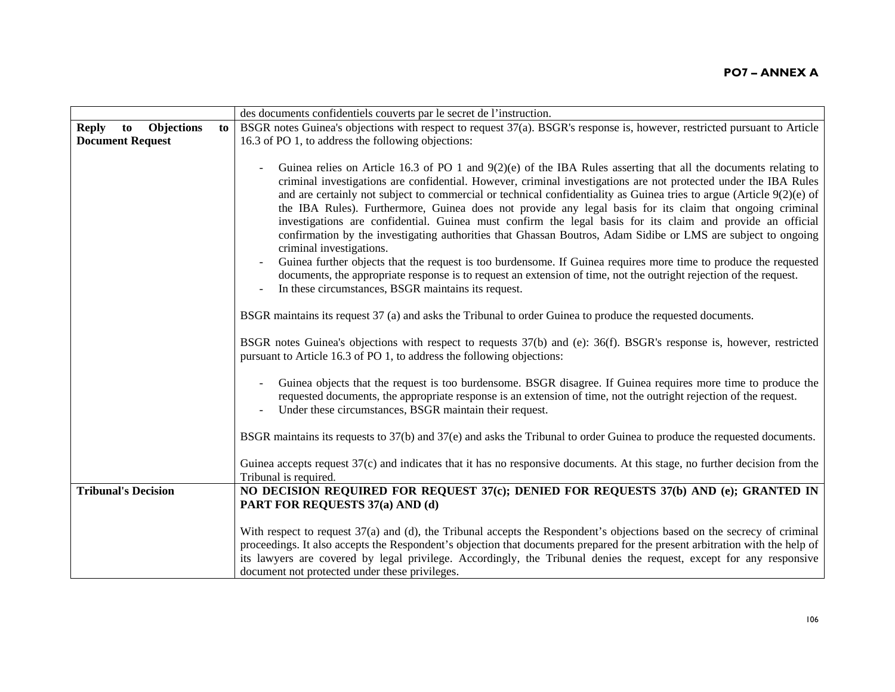|                                         |    | des documents confidentiels couverts par le secret de l'instruction.                                                                                                                                                                                                                                                                                                                                                                                                                                                                                                                                                                                                                                                                                                                                                                                                                                                                                                                                                                     |
|-----------------------------------------|----|------------------------------------------------------------------------------------------------------------------------------------------------------------------------------------------------------------------------------------------------------------------------------------------------------------------------------------------------------------------------------------------------------------------------------------------------------------------------------------------------------------------------------------------------------------------------------------------------------------------------------------------------------------------------------------------------------------------------------------------------------------------------------------------------------------------------------------------------------------------------------------------------------------------------------------------------------------------------------------------------------------------------------------------|
| <b>Objections</b><br><b>Reply</b><br>to | to | BSGR notes Guinea's objections with respect to request 37(a). BSGR's response is, however, restricted pursuant to Article                                                                                                                                                                                                                                                                                                                                                                                                                                                                                                                                                                                                                                                                                                                                                                                                                                                                                                                |
| <b>Document Request</b>                 |    | 16.3 of PO 1, to address the following objections:                                                                                                                                                                                                                                                                                                                                                                                                                                                                                                                                                                                                                                                                                                                                                                                                                                                                                                                                                                                       |
|                                         |    |                                                                                                                                                                                                                                                                                                                                                                                                                                                                                                                                                                                                                                                                                                                                                                                                                                                                                                                                                                                                                                          |
|                                         |    | Guinea relies on Article 16.3 of PO 1 and $9(2)(e)$ of the IBA Rules asserting that all the documents relating to<br>criminal investigations are confidential. However, criminal investigations are not protected under the IBA Rules<br>and are certainly not subject to commercial or technical confidentiality as Guinea tries to argue (Article $9(2)(e)$ of<br>the IBA Rules). Furthermore, Guinea does not provide any legal basis for its claim that ongoing criminal<br>investigations are confidential. Guinea must confirm the legal basis for its claim and provide an official<br>confirmation by the investigating authorities that Ghassan Boutros, Adam Sidibe or LMS are subject to ongoing<br>criminal investigations.<br>Guinea further objects that the request is too burdensome. If Guinea requires more time to produce the requested<br>documents, the appropriate response is to request an extension of time, not the outright rejection of the request.<br>In these circumstances, BSGR maintains its request. |
|                                         |    | BSGR maintains its request 37 (a) and asks the Tribunal to order Guinea to produce the requested documents.                                                                                                                                                                                                                                                                                                                                                                                                                                                                                                                                                                                                                                                                                                                                                                                                                                                                                                                              |
|                                         |    | BSGR notes Guinea's objections with respect to requests 37(b) and (e): 36(f). BSGR's response is, however, restricted<br>pursuant to Article 16.3 of PO 1, to address the following objections:                                                                                                                                                                                                                                                                                                                                                                                                                                                                                                                                                                                                                                                                                                                                                                                                                                          |
|                                         |    | Guinea objects that the request is too burdensome. BSGR disagree. If Guinea requires more time to produce the<br>requested documents, the appropriate response is an extension of time, not the outright rejection of the request.<br>Under these circumstances, BSGR maintain their request.                                                                                                                                                                                                                                                                                                                                                                                                                                                                                                                                                                                                                                                                                                                                            |
|                                         |    | BSGR maintains its requests to 37(b) and 37(e) and asks the Tribunal to order Guinea to produce the requested documents.                                                                                                                                                                                                                                                                                                                                                                                                                                                                                                                                                                                                                                                                                                                                                                                                                                                                                                                 |
|                                         |    | Guinea accepts request 37(c) and indicates that it has no responsive documents. At this stage, no further decision from the<br>Tribunal is required.                                                                                                                                                                                                                                                                                                                                                                                                                                                                                                                                                                                                                                                                                                                                                                                                                                                                                     |
| <b>Tribunal's Decision</b>              |    | NO DECISION REQUIRED FOR REQUEST 37(c); DENIED FOR REQUESTS 37(b) AND (e); GRANTED IN                                                                                                                                                                                                                                                                                                                                                                                                                                                                                                                                                                                                                                                                                                                                                                                                                                                                                                                                                    |
|                                         |    | PART FOR REQUESTS 37(a) AND (d)                                                                                                                                                                                                                                                                                                                                                                                                                                                                                                                                                                                                                                                                                                                                                                                                                                                                                                                                                                                                          |
|                                         |    |                                                                                                                                                                                                                                                                                                                                                                                                                                                                                                                                                                                                                                                                                                                                                                                                                                                                                                                                                                                                                                          |
|                                         |    | With respect to request 37(a) and (d), the Tribunal accepts the Respondent's objections based on the secrecy of criminal<br>proceedings. It also accepts the Respondent's objection that documents prepared for the present arbitration with the help of<br>its lawyers are covered by legal privilege. Accordingly, the Tribunal denies the request, except for any responsive<br>document not protected under these privileges.                                                                                                                                                                                                                                                                                                                                                                                                                                                                                                                                                                                                        |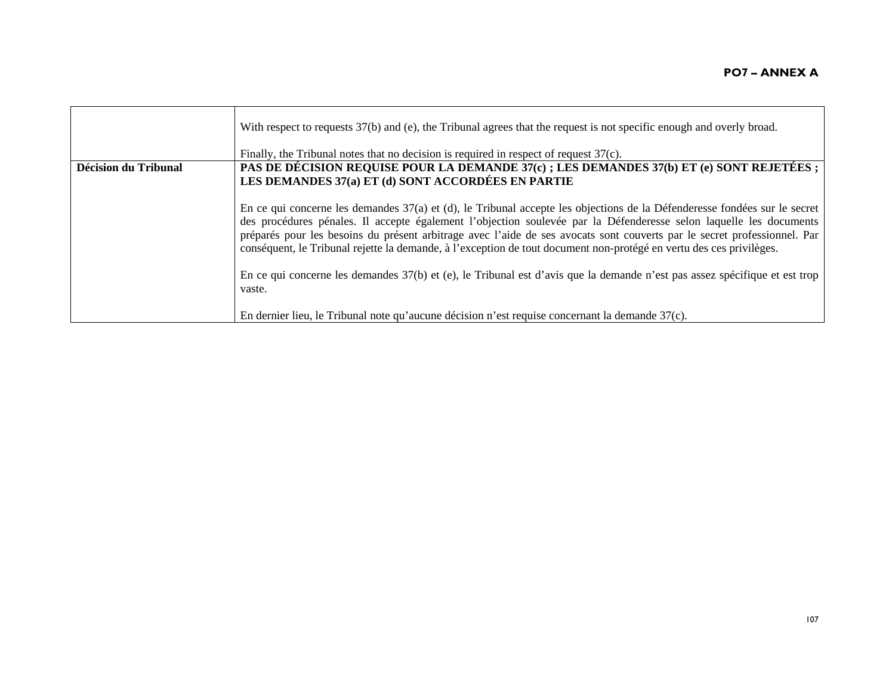|                      | With respect to requests 37(b) and (e), the Tribunal agrees that the request is not specific enough and overly broad.<br>Finally, the Tribunal notes that no decision is required in respect of request 37(c).                                                                                                                                                                                                                                                                                     |
|----------------------|----------------------------------------------------------------------------------------------------------------------------------------------------------------------------------------------------------------------------------------------------------------------------------------------------------------------------------------------------------------------------------------------------------------------------------------------------------------------------------------------------|
| Décision du Tribunal | PAS DE DÉCISION REQUISE POUR LA DEMANDE 37(c); LES DEMANDES 37(b) ET (e) SONT REJETÉES;<br>LES DEMANDES 37(a) ET (d) SONT ACCORDÉES EN PARTIE                                                                                                                                                                                                                                                                                                                                                      |
|                      |                                                                                                                                                                                                                                                                                                                                                                                                                                                                                                    |
|                      | En ce qui concerne les demandes 37(a) et (d), le Tribunal accepte les objections de la Défenderesse fondées sur le secret<br>des procédures pénales. Il accepte également l'objection soulevée par la Défenderesse selon laquelle les documents<br>préparés pour les besoins du présent arbitrage avec l'aide de ses avocats sont couverts par le secret professionnel. Par<br>conséquent, le Tribunal rejette la demande, à l'exception de tout document non-protégé en vertu des ces privilèges. |
|                      | En ce qui concerne les demandes 37(b) et (e), le Tribunal est d'avis que la demande n'est pas assez spécifique et est trop<br>vaste.                                                                                                                                                                                                                                                                                                                                                               |
|                      | En dernier lieu, le Tribunal note qu'aucune décision n'est requise concernant la demande 37(c).                                                                                                                                                                                                                                                                                                                                                                                                    |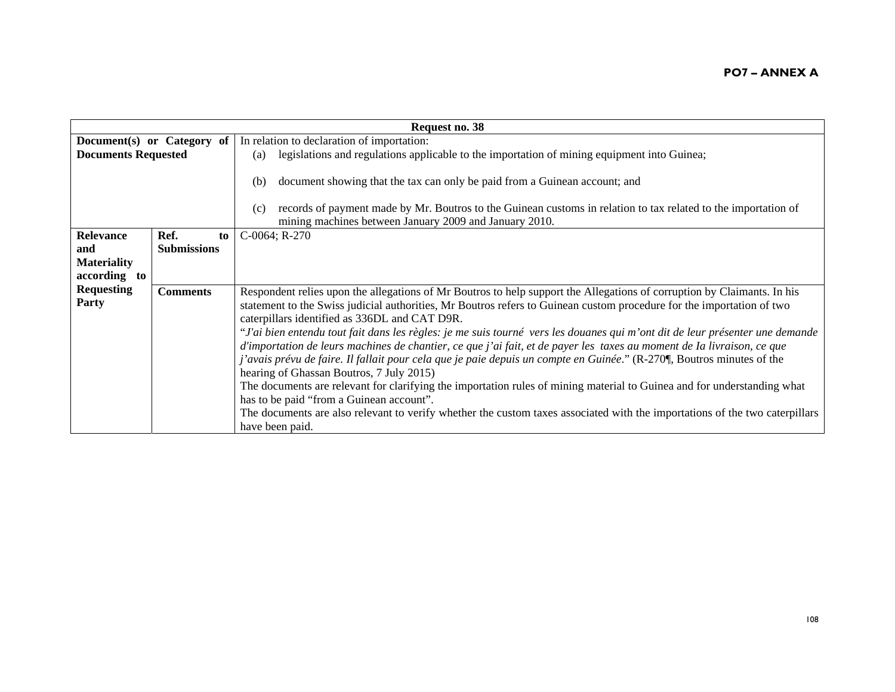| Request no. 38             |                    |    |                                                                                                                                                                                                                                                                      |
|----------------------------|--------------------|----|----------------------------------------------------------------------------------------------------------------------------------------------------------------------------------------------------------------------------------------------------------------------|
| Document(s) or Category of |                    |    | In relation to declaration of importation:                                                                                                                                                                                                                           |
| <b>Documents Requested</b> |                    |    | legislations and regulations applicable to the importation of mining equipment into Guinea;<br>(a)                                                                                                                                                                   |
|                            |                    |    | document showing that the tax can only be paid from a Guinean account; and<br>(b)<br>records of payment made by Mr. Boutros to the Guinean customs in relation to tax related to the importation of<br>(c)<br>mining machines between January 2009 and January 2010. |
| <b>Relevance</b>           | Ref.               | to | $C-0064$ ; R-270                                                                                                                                                                                                                                                     |
| and                        | <b>Submissions</b> |    |                                                                                                                                                                                                                                                                      |
| <b>Materiality</b>         |                    |    |                                                                                                                                                                                                                                                                      |
| according to               |                    |    |                                                                                                                                                                                                                                                                      |
| <b>Requesting</b>          | <b>Comments</b>    |    | Respondent relies upon the allegations of Mr Boutros to help support the Allegations of corruption by Claimants. In his                                                                                                                                              |
| Party                      |                    |    | statement to the Swiss judicial authorities, Mr Boutros refers to Guinean custom procedure for the importation of two                                                                                                                                                |
|                            |                    |    | caterpillars identified as 336DL and CAT D9R.                                                                                                                                                                                                                        |
|                            |                    |    | "J'ai bien entendu tout fait dans les règles: je me suis tourné vers les douanes qui m'ont dit de leur présenter une demande                                                                                                                                         |
|                            |                    |    | d'importation de leurs machines de chantier, ce que j'ai fait, et de payer les taxes au moment de Ia livraison, ce que                                                                                                                                               |
|                            |                    |    | j'avais prévu de faire. Il fallait pour cela que je paie depuis un compte en Guinée." (R-270¶, Boutros minutes of the<br>hearing of Ghassan Boutros, 7 July 2015)                                                                                                    |
|                            |                    |    | The documents are relevant for clarifying the importation rules of mining material to Guinea and for understanding what                                                                                                                                              |
|                            |                    |    | has to be paid "from a Guinean account".                                                                                                                                                                                                                             |
|                            |                    |    | The documents are also relevant to verify whether the custom taxes associated with the importations of the two caterpillars<br>have been paid.                                                                                                                       |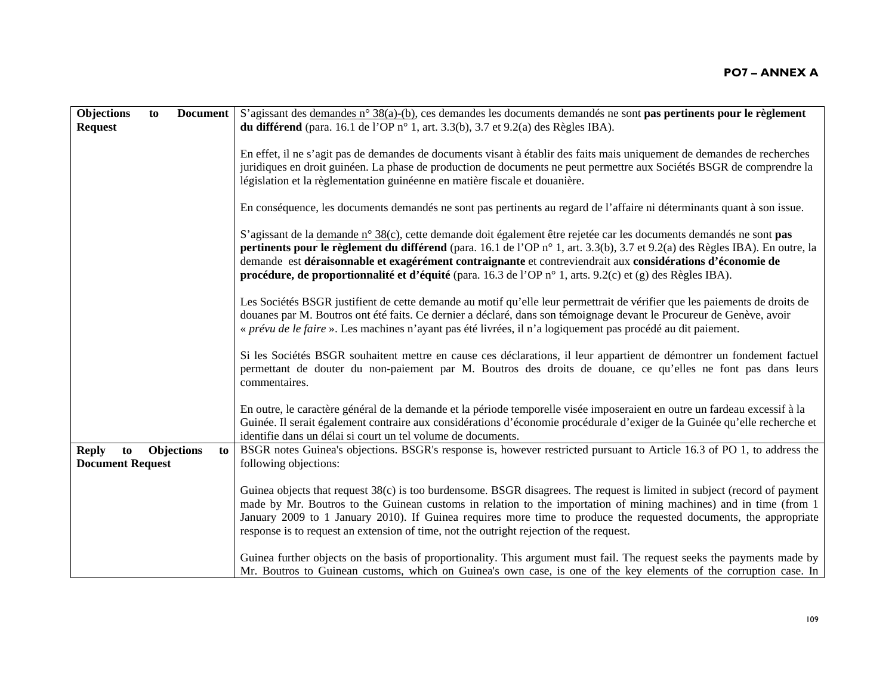| <b>Objections</b>                             | to |                         | <b>Document</b> S'agissant des demandes n° 38(a)-(b), ces demandes les documents demandés ne sont pas pertinents pour le règlement                                                                                                                                                                                                                                                                                                                                             |
|-----------------------------------------------|----|-------------------------|--------------------------------------------------------------------------------------------------------------------------------------------------------------------------------------------------------------------------------------------------------------------------------------------------------------------------------------------------------------------------------------------------------------------------------------------------------------------------------|
| <b>Request</b>                                |    |                         | <b>du différend</b> (para. 16.1 de l'OP n° 1, art. 3.3(b), 3.7 et 9.2(a) des Règles IBA).                                                                                                                                                                                                                                                                                                                                                                                      |
|                                               |    |                         | En effet, il ne s'agit pas de demandes de documents visant à établir des faits mais uniquement de demandes de recherches                                                                                                                                                                                                                                                                                                                                                       |
|                                               |    |                         | juridiques en droit guinéen. La phase de production de documents ne peut permettre aux Sociétés BSGR de comprendre la                                                                                                                                                                                                                                                                                                                                                          |
|                                               |    |                         | législation et la règlementation guinéenne en matière fiscale et douanière.                                                                                                                                                                                                                                                                                                                                                                                                    |
|                                               |    |                         | En conséquence, les documents demandés ne sont pas pertinents au regard de l'affaire ni déterminants quant à son issue.                                                                                                                                                                                                                                                                                                                                                        |
|                                               |    |                         | S'agissant de la demande n° 38(c), cette demande doit également être rejetée car les documents demandés ne sont pas<br>pertinents pour le règlement du différend (para. 16.1 de l'OP n° 1, art. 3.3(b), 3.7 et 9.2(a) des Règles IBA). En outre, la<br>demande est déraisonnable et exagérément contraignante et contreviendrait aux considérations d'économie de<br>procédure, de proportionnalité et d'équité (para. 16.3 de l'OP n° 1, arts. 9.2(c) et (g) des Règles IBA). |
|                                               |    |                         | Les Sociétés BSGR justifient de cette demande au motif qu'elle leur permettrait de vérifier que les paiements de droits de<br>douanes par M. Boutros ont été faits. Ce dernier a déclaré, dans son témoignage devant le Procureur de Genève, avoir<br>« prévu de le faire ». Les machines n'ayant pas été livrées, il n'a logiquement pas procédé au dit paiement.                                                                                                             |
|                                               |    |                         | Si les Sociétés BSGR souhaitent mettre en cause ces déclarations, il leur appartient de démontrer un fondement factuel<br>permettant de douter du non-paiement par M. Boutros des droits de douane, ce qu'elles ne font pas dans leurs<br>commentaires.                                                                                                                                                                                                                        |
|                                               |    |                         | En outre, le caractère général de la demande et la période temporelle visée imposeraient en outre un fardeau excessif à la<br>Guinée. Il serait également contraire aux considérations d'économie procédurale d'exiger de la Guinée qu'elle recherche et<br>identifie dans un délai si court un tel volume de documents.                                                                                                                                                       |
| <b>Reply</b><br>to<br><b>Document Request</b> |    | <b>Objections</b><br>to | BSGR notes Guinea's objections. BSGR's response is, however restricted pursuant to Article 16.3 of PO 1, to address the<br>following objections:                                                                                                                                                                                                                                                                                                                               |
|                                               |    |                         | Guinea objects that request 38(c) is too burdensome. BSGR disagrees. The request is limited in subject (record of payment<br>made by Mr. Boutros to the Guinean customs in relation to the importation of mining machines) and in time (from 1<br>January 2009 to 1 January 2010). If Guinea requires more time to produce the requested documents, the appropriate<br>response is to request an extension of time, not the outright rejection of the request.                 |
|                                               |    |                         | Guinea further objects on the basis of proportionality. This argument must fail. The request seeks the payments made by<br>Mr. Boutros to Guinean customs, which on Guinea's own case, is one of the key elements of the corruption case. In                                                                                                                                                                                                                                   |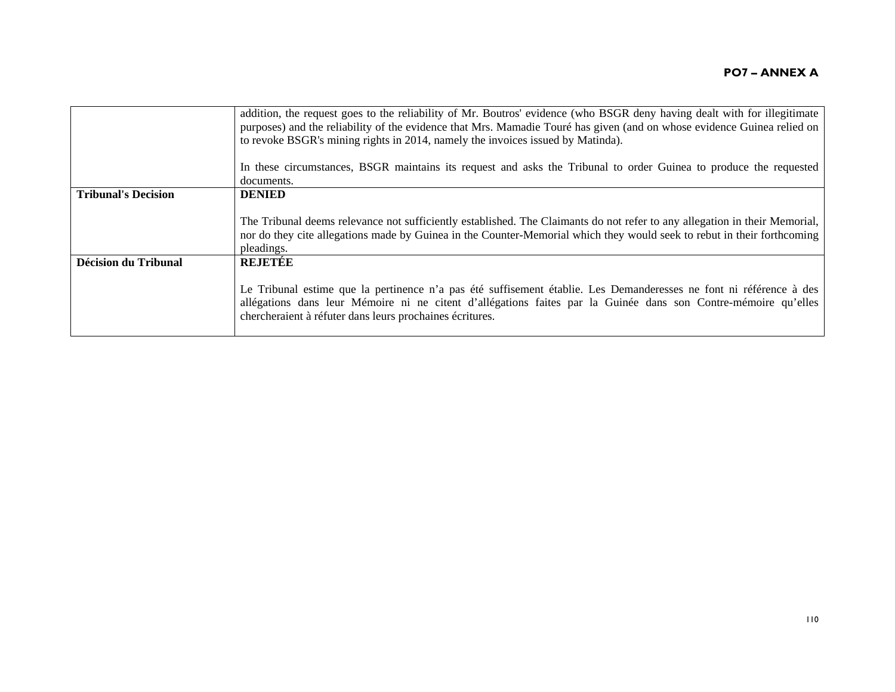|                             | addition, the request goes to the reliability of Mr. Boutros' evidence (who BSGR deny having dealt with for illegitimate<br>purposes) and the reliability of the evidence that Mrs. Mamadie Touré has given (and on whose evidence Guinea relied on<br>to revoke BSGR's mining rights in 2014, namely the invoices issued by Matinda). |
|-----------------------------|----------------------------------------------------------------------------------------------------------------------------------------------------------------------------------------------------------------------------------------------------------------------------------------------------------------------------------------|
|                             | In these circumstances, BSGR maintains its request and asks the Tribunal to order Guinea to produce the requested<br>documents.                                                                                                                                                                                                        |
| <b>Tribunal's Decision</b>  | <b>DENIED</b>                                                                                                                                                                                                                                                                                                                          |
|                             | The Tribunal deems relevance not sufficiently established. The Claimants do not refer to any allegation in their Memorial,<br>nor do they cite allegations made by Guinea in the Counter-Memorial which they would seek to rebut in their forthcoming<br>pleadings.                                                                    |
| <b>Décision du Tribunal</b> | <b>REJETEE</b>                                                                                                                                                                                                                                                                                                                         |
|                             | Le Tribunal estime que la pertinence n'a pas été suffisement établie. Les Demanderesses ne font ni référence à des<br>allégations dans leur Mémoire ni ne citent d'allégations faites par la Guinée dans son Contre-mémoire qu'elles<br>chercheraient à réfuter dans leurs prochaines écritures.                                       |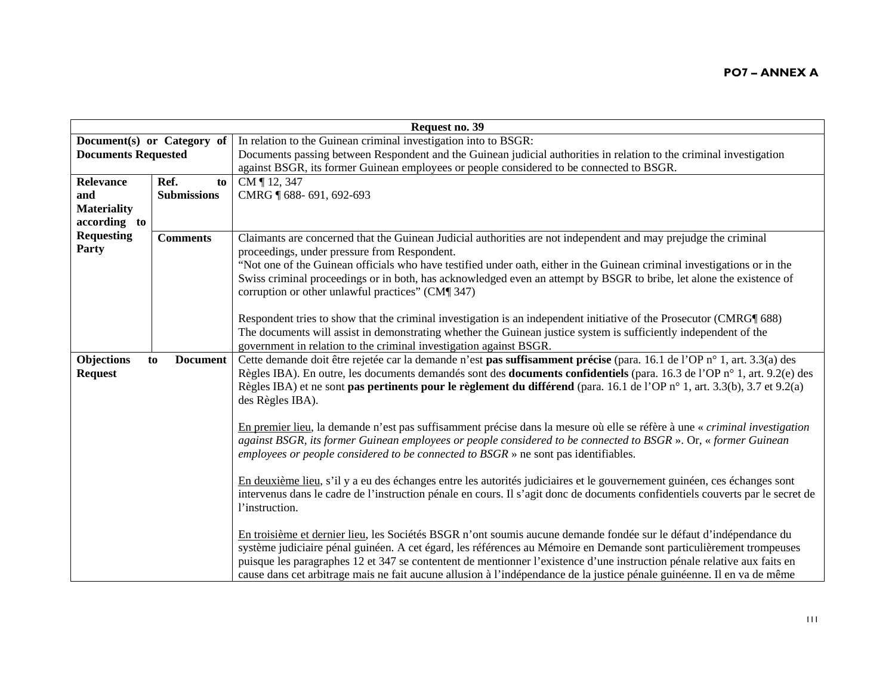|                            | Request no. 39        |                                                                                                                                 |  |  |
|----------------------------|-----------------------|---------------------------------------------------------------------------------------------------------------------------------|--|--|
| Document(s) or Category of |                       | In relation to the Guinean criminal investigation into to BSGR:                                                                 |  |  |
| <b>Documents Requested</b> |                       | Documents passing between Respondent and the Guinean judicial authorities in relation to the criminal investigation             |  |  |
|                            |                       | against BSGR, its former Guinean employees or people considered to be connected to BSGR.                                        |  |  |
| <b>Relevance</b>           | Ref.<br>to            | CM ¶ 12, 347                                                                                                                    |  |  |
| and                        | <b>Submissions</b>    | CMRG ¶ 688-691, 692-693                                                                                                         |  |  |
| <b>Materiality</b>         |                       |                                                                                                                                 |  |  |
| according to               |                       |                                                                                                                                 |  |  |
| <b>Requesting</b>          | <b>Comments</b>       | Claimants are concerned that the Guinean Judicial authorities are not independent and may prejudge the criminal                 |  |  |
| Party                      |                       | proceedings, under pressure from Respondent.                                                                                    |  |  |
|                            |                       | "Not one of the Guinean officials who have testified under oath, either in the Guinean criminal investigations or in the        |  |  |
|                            |                       | Swiss criminal proceedings or in both, has acknowledged even an attempt by BSGR to bribe, let alone the existence of            |  |  |
|                            |                       | corruption or other unlawful practices" (CM¶ 347)                                                                               |  |  |
|                            |                       |                                                                                                                                 |  |  |
|                            |                       | Respondent tries to show that the criminal investigation is an independent initiative of the Prosecutor (CMRG¶ 688)             |  |  |
|                            |                       | The documents will assist in demonstrating whether the Guinean justice system is sufficiently independent of the                |  |  |
|                            |                       | government in relation to the criminal investigation against BSGR.                                                              |  |  |
| <b>Objections</b>          | <b>Document</b><br>to | Cette demande doit être rejetée car la demande n'est pas suffisamment précise (para. 16.1 de l'OP n° 1, art. 3.3(a) des         |  |  |
| <b>Request</b>             |                       | Règles IBA). En outre, les documents demandés sont des <b>documents confidentiels</b> (para. 16.3 de l'OP n° 1, art. 9.2(e) des |  |  |
|                            |                       | Règles IBA) et ne sont pas pertinents pour le règlement du différend (para. 16.1 de l'OP n° 1, art. 3.3(b), 3.7 et 9.2(a)       |  |  |
|                            |                       | des Règles IBA).                                                                                                                |  |  |
|                            |                       |                                                                                                                                 |  |  |
|                            |                       | En premier lieu, la demande n'est pas suffisamment précise dans la mesure où elle se réfère à une « criminal investigation      |  |  |
|                            |                       | against BSGR, its former Guinean employees or people considered to be connected to BSGR ». Or, « former Guinean                 |  |  |
|                            |                       | employees or people considered to be connected to $BSGR \times$ ne sont pas identifiables.                                      |  |  |
|                            |                       | En deuxième lieu, s'il y a eu des échanges entre les autorités judiciaires et le gouvernement guinéen, ces échanges sont        |  |  |
|                            |                       | intervenus dans le cadre de l'instruction pénale en cours. Il s'agit donc de documents confidentiels couverts par le secret de  |  |  |
|                            |                       | l'instruction.                                                                                                                  |  |  |
|                            |                       |                                                                                                                                 |  |  |
|                            |                       | En troisième et dernier lieu, les Sociétés BSGR n'ont soumis aucune demande fondée sur le défaut d'indépendance du              |  |  |
|                            |                       | système judiciaire pénal guinéen. A cet égard, les références au Mémoire en Demande sont particulièrement trompeuses            |  |  |
|                            |                       | puisque les paragraphes 12 et 347 se contentent de mentionner l'existence d'une instruction pénale relative aux faits en        |  |  |
|                            |                       | cause dans cet arbitrage mais ne fait aucune allusion à l'indépendance de la justice pénale guinéenne. Il en va de même         |  |  |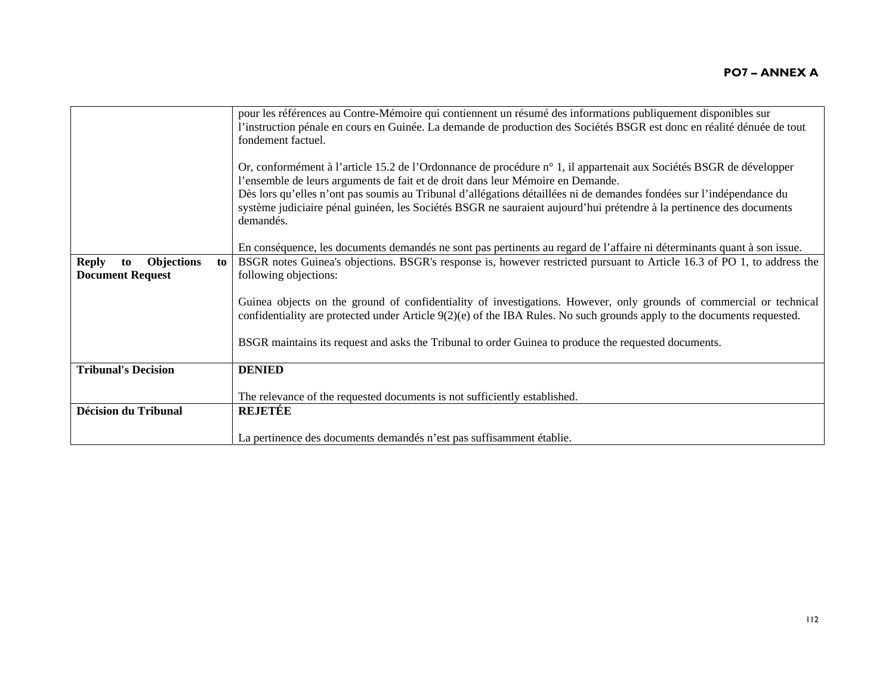|                                               | pour les références au Contre-Mémoire qui contiennent un résumé des informations publiquement disponibles sur                                                                                                                                                                                                                                                                                                                                                       |
|-----------------------------------------------|---------------------------------------------------------------------------------------------------------------------------------------------------------------------------------------------------------------------------------------------------------------------------------------------------------------------------------------------------------------------------------------------------------------------------------------------------------------------|
|                                               | l'instruction pénale en cours en Guinée. La demande de production des Sociétés BSGR est donc en réalité dénuée de tout                                                                                                                                                                                                                                                                                                                                              |
|                                               | fondement factuel.                                                                                                                                                                                                                                                                                                                                                                                                                                                  |
|                                               | Or, conformément à l'article 15.2 de l'Ordonnance de procédure n° 1, il appartenait aux Sociétés BSGR de développer<br>l'ensemble de leurs arguments de fait et de droit dans leur Mémoire en Demande.<br>Dès lors qu'elles n'ont pas soumis au Tribunal d'allégations détaillées ni de demandes fondées sur l'indépendance du<br>système judiciaire pénal guinéen, les Sociétés BSGR ne sauraient aujourd'hui prétendre à la pertinence des documents<br>demandés. |
|                                               | En conséquence, les documents demandés ne sont pas pertinents au regard de l'affaire ni déterminants quant à son issue.                                                                                                                                                                                                                                                                                                                                             |
| <b>Objections</b><br><b>Reply</b><br>to<br>to | BSGR notes Guinea's objections. BSGR's response is, however restricted pursuant to Article 16.3 of PO 1, to address the                                                                                                                                                                                                                                                                                                                                             |
| <b>Document Request</b>                       | following objections:                                                                                                                                                                                                                                                                                                                                                                                                                                               |
|                                               |                                                                                                                                                                                                                                                                                                                                                                                                                                                                     |
|                                               | Guinea objects on the ground of confidentiality of investigations. However, only grounds of commercial or technical                                                                                                                                                                                                                                                                                                                                                 |
|                                               | confidentiality are protected under Article $9(2)(e)$ of the IBA Rules. No such grounds apply to the documents requested.                                                                                                                                                                                                                                                                                                                                           |
|                                               |                                                                                                                                                                                                                                                                                                                                                                                                                                                                     |
|                                               | BSGR maintains its request and asks the Tribunal to order Guinea to produce the requested documents.                                                                                                                                                                                                                                                                                                                                                                |
| <b>Tribunal's Decision</b>                    | <b>DENIED</b>                                                                                                                                                                                                                                                                                                                                                                                                                                                       |
|                                               |                                                                                                                                                                                                                                                                                                                                                                                                                                                                     |
|                                               | The relevance of the requested documents is not sufficiently established.                                                                                                                                                                                                                                                                                                                                                                                           |
| <b>Décision du Tribunal</b>                   | <b>REJETÉE</b>                                                                                                                                                                                                                                                                                                                                                                                                                                                      |
|                                               |                                                                                                                                                                                                                                                                                                                                                                                                                                                                     |
|                                               | La pertinence des documents demandés n'est pas suffisamment établie.                                                                                                                                                                                                                                                                                                                                                                                                |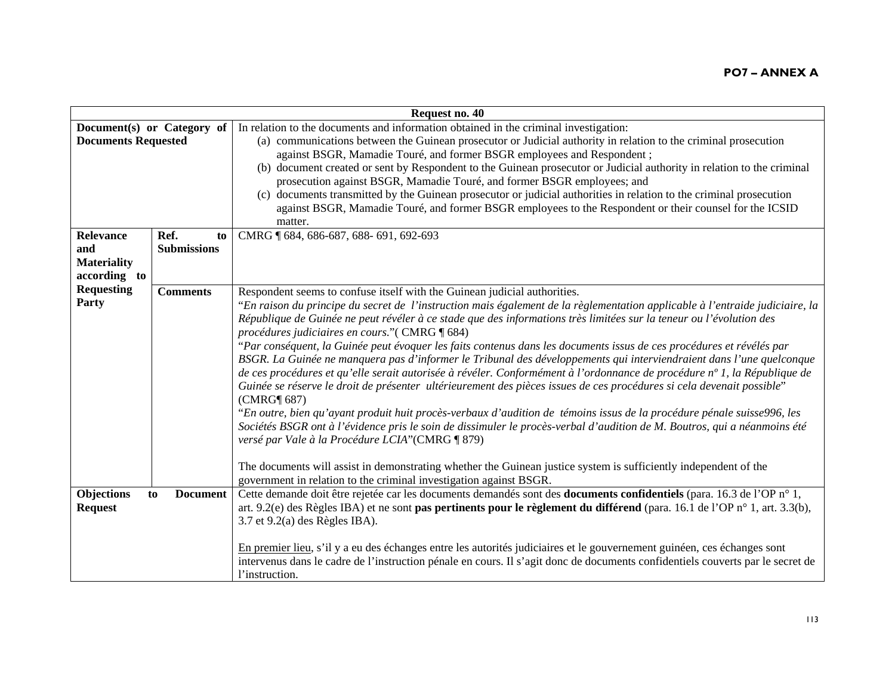| Request no. 40                                                |                                  |                                                                                                                                                                                                                                                                                                                                                                                                                                                                                                                                                                                                                                                                                                                                                                                                                                                                                                                                                                                                                                                                                                                                                                                                                                                                                                                                                                                                           |
|---------------------------------------------------------------|----------------------------------|-----------------------------------------------------------------------------------------------------------------------------------------------------------------------------------------------------------------------------------------------------------------------------------------------------------------------------------------------------------------------------------------------------------------------------------------------------------------------------------------------------------------------------------------------------------------------------------------------------------------------------------------------------------------------------------------------------------------------------------------------------------------------------------------------------------------------------------------------------------------------------------------------------------------------------------------------------------------------------------------------------------------------------------------------------------------------------------------------------------------------------------------------------------------------------------------------------------------------------------------------------------------------------------------------------------------------------------------------------------------------------------------------------------|
| Document(s) or Category of<br><b>Documents Requested</b>      |                                  | In relation to the documents and information obtained in the criminal investigation:<br>(a) communications between the Guinean prosecutor or Judicial authority in relation to the criminal prosecution<br>against BSGR, Mamadie Touré, and former BSGR employees and Respondent;<br>(b) document created or sent by Respondent to the Guinean prosecutor or Judicial authority in relation to the criminal<br>prosecution against BSGR, Mamadie Touré, and former BSGR employees; and<br>(c) documents transmitted by the Guinean prosecutor or judicial authorities in relation to the criminal prosecution<br>against BSGR, Mamadie Touré, and former BSGR employees to the Respondent or their counsel for the ICSID<br>matter.                                                                                                                                                                                                                                                                                                                                                                                                                                                                                                                                                                                                                                                                       |
| <b>Relevance</b><br>and<br><b>Materiality</b><br>according to | Ref.<br>to<br><b>Submissions</b> | CMRG 1 684, 686-687, 688-691, 692-693                                                                                                                                                                                                                                                                                                                                                                                                                                                                                                                                                                                                                                                                                                                                                                                                                                                                                                                                                                                                                                                                                                                                                                                                                                                                                                                                                                     |
| <b>Requesting</b><br>Party                                    | <b>Comments</b>                  | Respondent seems to confuse itself with the Guinean judicial authorities.<br>"En raison du principe du secret de l'instruction mais également de la règlementation applicable à l'entraide judiciaire, la<br>République de Guinée ne peut révéler à ce stade que des informations très limitées sur la teneur ou l'évolution des<br>procédures judiciaires en cours." (CMRG ¶ 684)<br>"Par conséquent, la Guinée peut évoquer les faits contenus dans les documents issus de ces procédures et révélés par<br>BSGR. La Guinée ne manquera pas d'informer le Tribunal des développements qui interviendraient dans l'une quelconque<br>de ces procédures et qu'elle serait autorisée à révéler. Conformément à l'ordonnance de procédure n° 1, la République de<br>Guinée se réserve le droit de présenter ultérieurement des pièces issues de ces procédures si cela devenait possible"<br>(CMRG¶ 687)<br>"En outre, bien qu'ayant produit huit procès-verbaux d'audition de témoins issus de la procédure pénale suisse996, les<br>Sociétés BSGR ont à l'évidence pris le soin de dissimuler le procès-verbal d'audition de M. Boutros, qui a néanmoins été<br>versé par Vale à la Procédure LCIA"(CMRG ¶ 879)<br>The documents will assist in demonstrating whether the Guinean justice system is sufficiently independent of the<br>government in relation to the criminal investigation against BSGR. |
| Objections<br><b>Request</b>                                  | <b>Document</b><br>to            | Cette demande doit être rejetée car les documents demandés sont des documents confidentiels (para. 16.3 de l'OP n° 1,<br>art. 9.2(e) des Règles IBA) et ne sont pas pertinents pour le règlement du différend (para. 16.1 de l'OP n° 1, art. 3.3(b),<br>$3.7$ et $9.2(a)$ des Règles IBA).<br>En premier lieu, s'il y a eu des échanges entre les autorités judiciaires et le gouvernement guinéen, ces échanges sont<br>intervenus dans le cadre de l'instruction pénale en cours. Il s'agit donc de documents confidentiels couverts par le secret de<br>l'instruction.                                                                                                                                                                                                                                                                                                                                                                                                                                                                                                                                                                                                                                                                                                                                                                                                                                 |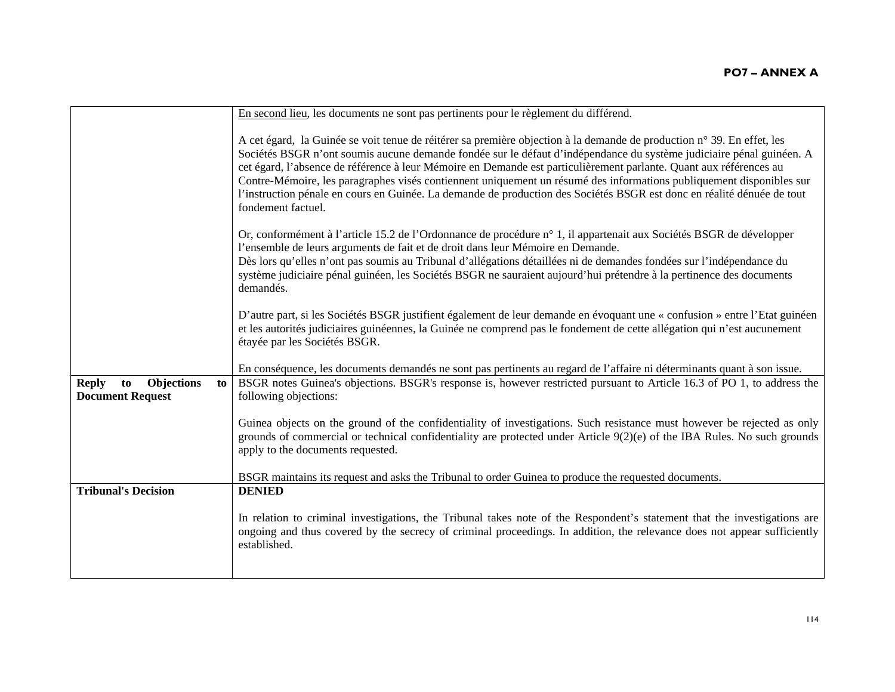|                                                                          | En second lieu, les documents ne sont pas pertinents pour le règlement du différend.                                                                                                                                                                                                                                                                                                                                                                                                                                                                                                                                                         |
|--------------------------------------------------------------------------|----------------------------------------------------------------------------------------------------------------------------------------------------------------------------------------------------------------------------------------------------------------------------------------------------------------------------------------------------------------------------------------------------------------------------------------------------------------------------------------------------------------------------------------------------------------------------------------------------------------------------------------------|
|                                                                          | A cet égard, la Guinée se voit tenue de réitérer sa première objection à la demande de production n° 39. En effet, les<br>Sociétés BSGR n'ont soumis aucune demande fondée sur le défaut d'indépendance du système judiciaire pénal guinéen. A<br>cet égard, l'absence de référence à leur Mémoire en Demande est particulièrement parlante. Quant aux références au<br>Contre-Mémoire, les paragraphes visés contiennent uniquement un résumé des informations publiquement disponibles sur<br>l'instruction pénale en cours en Guinée. La demande de production des Sociétés BSGR est donc en réalité dénuée de tout<br>fondement factuel. |
|                                                                          | Or, conformément à l'article 15.2 de l'Ordonnance de procédure n° 1, il appartenait aux Sociétés BSGR de développer<br>l'ensemble de leurs arguments de fait et de droit dans leur Mémoire en Demande.<br>Dès lors qu'elles n'ont pas soumis au Tribunal d'allégations détaillées ni de demandes fondées sur l'indépendance du<br>système judiciaire pénal guinéen, les Sociétés BSGR ne sauraient aujourd'hui prétendre à la pertinence des documents<br>demandés.                                                                                                                                                                          |
|                                                                          | D'autre part, si les Sociétés BSGR justifient également de leur demande en évoquant une « confusion » entre l'Etat guinéen<br>et les autorités judiciaires guinéennes, la Guinée ne comprend pas le fondement de cette allégation qui n'est aucunement<br>étayée par les Sociétés BSGR.                                                                                                                                                                                                                                                                                                                                                      |
|                                                                          | En conséquence, les documents demandés ne sont pas pertinents au regard de l'affaire ni déterminants quant à son issue.                                                                                                                                                                                                                                                                                                                                                                                                                                                                                                                      |
| <b>Reply</b><br><b>Objections</b><br>to<br>to<br><b>Document Request</b> | BSGR notes Guinea's objections. BSGR's response is, however restricted pursuant to Article 16.3 of PO 1, to address the<br>following objections:                                                                                                                                                                                                                                                                                                                                                                                                                                                                                             |
|                                                                          | Guinea objects on the ground of the confidentiality of investigations. Such resistance must however be rejected as only<br>grounds of commercial or technical confidentiality are protected under Article $9(2)(e)$ of the IBA Rules. No such grounds<br>apply to the documents requested.                                                                                                                                                                                                                                                                                                                                                   |
|                                                                          | BSGR maintains its request and asks the Tribunal to order Guinea to produce the requested documents.                                                                                                                                                                                                                                                                                                                                                                                                                                                                                                                                         |
| <b>Tribunal's Decision</b>                                               | <b>DENIED</b>                                                                                                                                                                                                                                                                                                                                                                                                                                                                                                                                                                                                                                |
|                                                                          | In relation to criminal investigations, the Tribunal takes note of the Respondent's statement that the investigations are<br>ongoing and thus covered by the secrecy of criminal proceedings. In addition, the relevance does not appear sufficiently<br>established.                                                                                                                                                                                                                                                                                                                                                                        |
|                                                                          |                                                                                                                                                                                                                                                                                                                                                                                                                                                                                                                                                                                                                                              |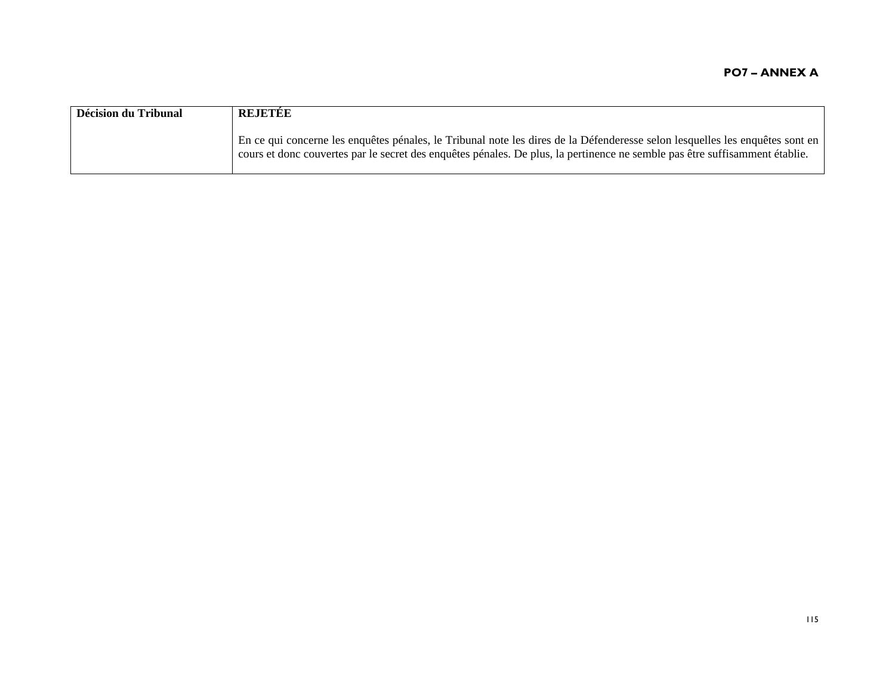| Décision du Tribunal | REJETEE                                                                                                                                                                                                                                                     |
|----------------------|-------------------------------------------------------------------------------------------------------------------------------------------------------------------------------------------------------------------------------------------------------------|
|                      | En ce qui concerne les enquêtes pénales, le Tribunal note les dires de la Défenderesse selon lesquelles les enquêtes sont en<br>cours et donc couvertes par le secret des enquêtes pénales. De plus, la pertinence ne semble pas être suffisamment établie. |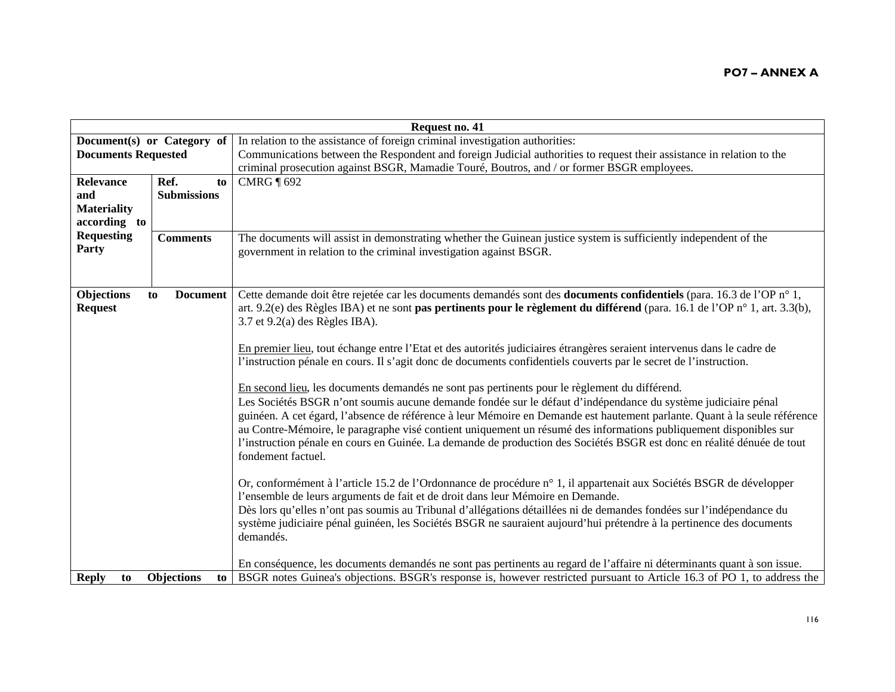| Request no. 41               |                         |                                                                                                                                                                                                                                                                                                                                                                                                                                                                                                                                                                                                                  |
|------------------------------|-------------------------|------------------------------------------------------------------------------------------------------------------------------------------------------------------------------------------------------------------------------------------------------------------------------------------------------------------------------------------------------------------------------------------------------------------------------------------------------------------------------------------------------------------------------------------------------------------------------------------------------------------|
| Document(s) or Category of   |                         | In relation to the assistance of foreign criminal investigation authorities:                                                                                                                                                                                                                                                                                                                                                                                                                                                                                                                                     |
| <b>Documents Requested</b>   |                         | Communications between the Respondent and foreign Judicial authorities to request their assistance in relation to the                                                                                                                                                                                                                                                                                                                                                                                                                                                                                            |
|                              |                         | criminal prosecution against BSGR, Mamadie Touré, Boutros, and / or former BSGR employees.                                                                                                                                                                                                                                                                                                                                                                                                                                                                                                                       |
| <b>Relevance</b>             | Ref.<br>to              | <b>CMRG</b> 1692                                                                                                                                                                                                                                                                                                                                                                                                                                                                                                                                                                                                 |
| and                          | <b>Submissions</b>      |                                                                                                                                                                                                                                                                                                                                                                                                                                                                                                                                                                                                                  |
| <b>Materiality</b>           |                         |                                                                                                                                                                                                                                                                                                                                                                                                                                                                                                                                                                                                                  |
| according to                 |                         |                                                                                                                                                                                                                                                                                                                                                                                                                                                                                                                                                                                                                  |
| <b>Requesting</b><br>Party   | <b>Comments</b>         | The documents will assist in demonstrating whether the Guinean justice system is sufficiently independent of the<br>government in relation to the criminal investigation against BSGR.                                                                                                                                                                                                                                                                                                                                                                                                                           |
| Objections<br><b>Request</b> | <b>Document</b><br>to   | Cette demande doit être rejetée car les documents demandés sont des <b>documents confidentiels</b> (para. 16.3 de l'OP n° 1,<br>art. 9.2(e) des Règles IBA) et ne sont pas pertinents pour le règlement du différend (para. 16.1 de l'OP n° 1, art. 3.3(b),<br>$3.7$ et $9.2(a)$ des Règles IBA).                                                                                                                                                                                                                                                                                                                |
|                              |                         | En premier lieu, tout échange entre l'Etat et des autorités judiciaires étrangères seraient intervenus dans le cadre de<br>l'instruction pénale en cours. Il s'agit donc de documents confidentiels couverts par le secret de l'instruction.                                                                                                                                                                                                                                                                                                                                                                     |
|                              |                         | En second lieu, les documents demandés ne sont pas pertinents pour le règlement du différend.<br>Les Sociétés BSGR n'ont soumis aucune demande fondée sur le défaut d'indépendance du système judiciaire pénal<br>guinéen. A cet égard, l'absence de référence à leur Mémoire en Demande est hautement parlante. Quant à la seule référence<br>au Contre-Mémoire, le paragraphe visé contient uniquement un résumé des informations publiquement disponibles sur<br>l'instruction pénale en cours en Guinée. La demande de production des Sociétés BSGR est donc en réalité dénuée de tout<br>fondement factuel. |
|                              |                         | Or, conformément à l'article 15.2 de l'Ordonnance de procédure n° 1, il appartenait aux Sociétés BSGR de développer<br>l'ensemble de leurs arguments de fait et de droit dans leur Mémoire en Demande.<br>Dès lors qu'elles n'ont pas soumis au Tribunal d'allégations détaillées ni de demandes fondées sur l'indépendance du<br>système judiciaire pénal guinéen, les Sociétés BSGR ne sauraient aujourd'hui prétendre à la pertinence des documents<br>demandés.                                                                                                                                              |
| <b>Reply</b><br>to           | <b>Objections</b><br>to | En conséquence, les documents demandés ne sont pas pertinents au regard de l'affaire ni déterminants quant à son issue.<br>BSGR notes Guinea's objections. BSGR's response is, however restricted pursuant to Article 16.3 of PO 1, to address the                                                                                                                                                                                                                                                                                                                                                               |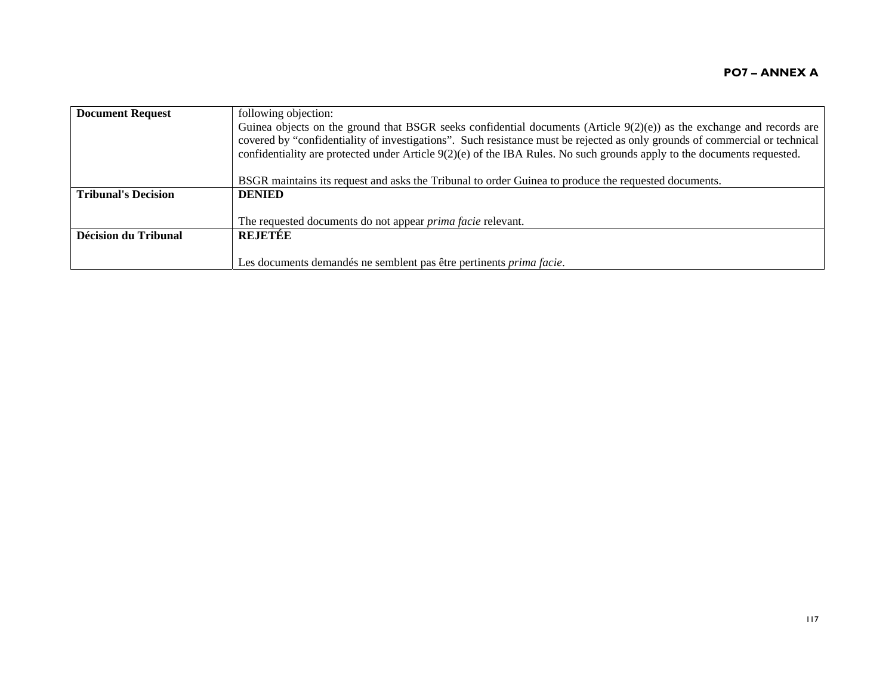| <b>Document Request</b>    | following objection:<br>Guinea objects on the ground that BSGR seeks confidential documents (Article $9(2)(e)$ ) as the exchange and records are<br>covered by "confidentiality of investigations". Such resistance must be rejected as only grounds of commercial or technical<br>confidentiality are protected under Article $9(2)(e)$ of the IBA Rules. No such grounds apply to the documents requested. |
|----------------------------|--------------------------------------------------------------------------------------------------------------------------------------------------------------------------------------------------------------------------------------------------------------------------------------------------------------------------------------------------------------------------------------------------------------|
|                            | BSGR maintains its request and asks the Tribunal to order Guinea to produce the requested documents.                                                                                                                                                                                                                                                                                                         |
| <b>Tribunal's Decision</b> | <b>DENIED</b>                                                                                                                                                                                                                                                                                                                                                                                                |
|                            | The requested documents do not appear <i>prima facie</i> relevant.                                                                                                                                                                                                                                                                                                                                           |
| Décision du Tribunal       | <b>REJETEE</b>                                                                                                                                                                                                                                                                                                                                                                                               |
|                            | Les documents demandés ne semblent pas être pertinents <i>prima facie</i> .                                                                                                                                                                                                                                                                                                                                  |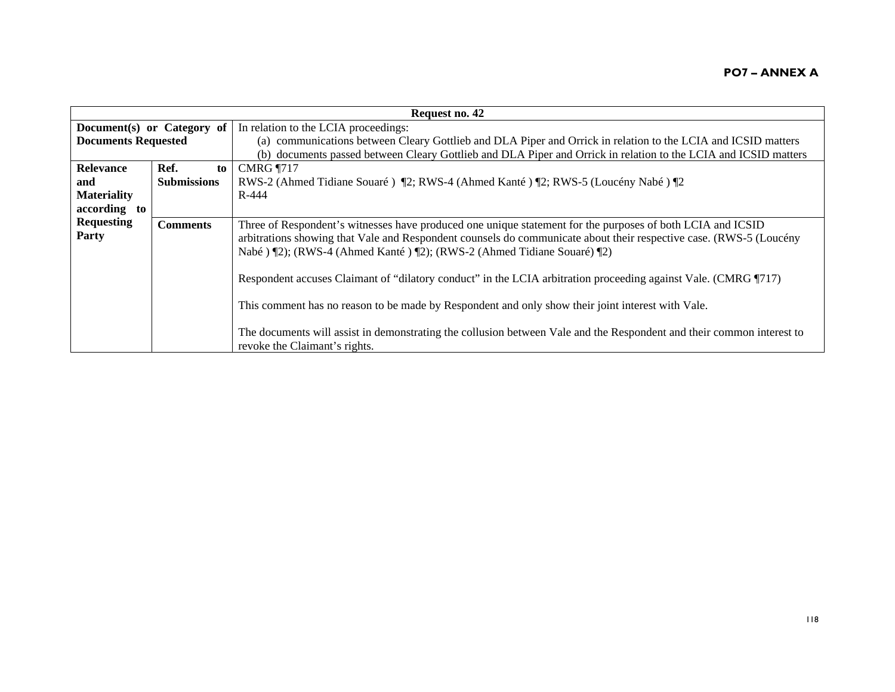| Request no. 42             |                    |                                                                                                                                                                                                                                                                                                               |
|----------------------------|--------------------|---------------------------------------------------------------------------------------------------------------------------------------------------------------------------------------------------------------------------------------------------------------------------------------------------------------|
| Document(s) or Category of |                    | In relation to the LCIA proceedings:                                                                                                                                                                                                                                                                          |
| <b>Documents Requested</b> |                    | (a) communications between Cleary Gottlieb and DLA Piper and Orrick in relation to the LCIA and ICSID matters                                                                                                                                                                                                 |
|                            |                    | (b) documents passed between Cleary Gottlieb and DLA Piper and Orrick in relation to the LCIA and ICSID matters                                                                                                                                                                                               |
| Relevance                  | Ref.<br>to         | <b>CMRG</b> 1717                                                                                                                                                                                                                                                                                              |
| and                        | <b>Submissions</b> | RWS-2 (Ahmed Tidiane Souaré) ¶2; RWS-4 (Ahmed Kanté) ¶2; RWS-5 (Loucény Nabé) ¶2                                                                                                                                                                                                                              |
| <b>Materiality</b>         |                    | R-444                                                                                                                                                                                                                                                                                                         |
| according to               |                    |                                                                                                                                                                                                                                                                                                               |
| <b>Requesting</b><br>Party | <b>Comments</b>    | Three of Respondent's witnesses have produced one unique statement for the purposes of both LCIA and ICSID<br>arbitrations showing that Vale and Respondent counsels do communicate about their respective case. (RWS-5 (Loucény<br>Nabé ) [2]; (RWS-4 (Ahmed Kanté ) [2]; (RWS-2 (Ahmed Tidiane Souaré) [2]) |
|                            |                    | Respondent accuses Claimant of "dilatory conduct" in the LCIA arbitration proceeding against Vale. (CMRG 1717)                                                                                                                                                                                                |
|                            |                    | This comment has no reason to be made by Respondent and only show their joint interest with Vale.                                                                                                                                                                                                             |
|                            |                    | The documents will assist in demonstrating the collusion between Vale and the Respondent and their common interest to<br>revoke the Claimant's rights.                                                                                                                                                        |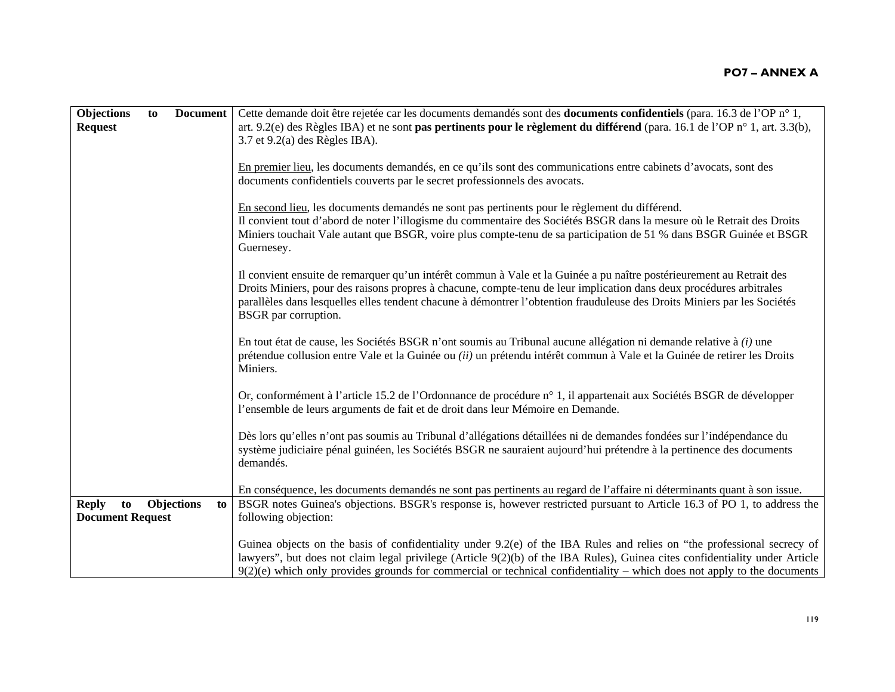| Objections                                    | to | <b>Document</b>   |    | Cette demande doit être rejetée car les documents demandés sont des <b>documents confidentiels</b> (para. 16.3 de l'OP n° 1,                                                                                                                                                                                                                                                                    |
|-----------------------------------------------|----|-------------------|----|-------------------------------------------------------------------------------------------------------------------------------------------------------------------------------------------------------------------------------------------------------------------------------------------------------------------------------------------------------------------------------------------------|
| <b>Request</b>                                |    |                   |    | art. 9.2(e) des Règles IBA) et ne sont pas pertinents pour le règlement du différend (para. 16.1 de l'OP n° 1, art. 3.3(b),<br>$3.7$ et $9.2(a)$ des Règles IBA).                                                                                                                                                                                                                               |
|                                               |    |                   |    | En premier lieu, les documents demandés, en ce qu'ils sont des communications entre cabinets d'avocats, sont des<br>documents confidentiels couverts par le secret professionnels des avocats.                                                                                                                                                                                                  |
|                                               |    |                   |    | En second lieu, les documents demandés ne sont pas pertinents pour le règlement du différend.<br>Il convient tout d'abord de noter l'illogisme du commentaire des Sociétés BSGR dans la mesure où le Retrait des Droits<br>Miniers touchait Vale autant que BSGR, voire plus compte-tenu de sa participation de 51 % dans BSGR Guinée et BSGR<br>Guernesey.                                     |
|                                               |    |                   |    | Il convient ensuite de remarquer qu'un intérêt commun à Vale et la Guinée a pu naître postérieurement au Retrait des<br>Droits Miniers, pour des raisons propres à chacune, compte-tenu de leur implication dans deux procédures arbitrales<br>parallèles dans lesquelles elles tendent chacune à démontrer l'obtention frauduleuse des Droits Miniers par les Sociétés<br>BSGR par corruption. |
|                                               |    |                   |    | En tout état de cause, les Sociétés BSGR n'ont soumis au Tribunal aucune allégation ni demande relative à $(i)$ une<br>prétendue collusion entre Vale et la Guinée ou (ii) un prétendu intérêt commun à Vale et la Guinée de retirer les Droits<br>Miniers.                                                                                                                                     |
|                                               |    |                   |    | Or, conformément à l'article 15.2 de l'Ordonnance de procédure n° 1, il appartenait aux Sociétés BSGR de développer<br>l'ensemble de leurs arguments de fait et de droit dans leur Mémoire en Demande.                                                                                                                                                                                          |
|                                               |    |                   |    | Dès lors qu'elles n'ont pas soumis au Tribunal d'allégations détaillées ni de demandes fondées sur l'indépendance du<br>système judiciaire pénal guinéen, les Sociétés BSGR ne sauraient aujourd'hui prétendre à la pertinence des documents<br>demandés.                                                                                                                                       |
|                                               |    |                   |    | En conséquence, les documents demandés ne sont pas pertinents au regard de l'affaire ni déterminants quant à son issue.                                                                                                                                                                                                                                                                         |
| <b>Reply</b><br>to<br><b>Document Request</b> |    | <b>Objections</b> | to | BSGR notes Guinea's objections. BSGR's response is, however restricted pursuant to Article 16.3 of PO 1, to address the<br>following objection:                                                                                                                                                                                                                                                 |
|                                               |    |                   |    | Guinea objects on the basis of confidentiality under $9.2(e)$ of the IBA Rules and relies on "the professional secrecy of<br>lawyers", but does not claim legal privilege (Article 9(2)(b) of the IBA Rules), Guinea cites confidentiality under Article<br>$9(2)(e)$ which only provides grounds for commercial or technical confidentiality – which does not apply to the documents           |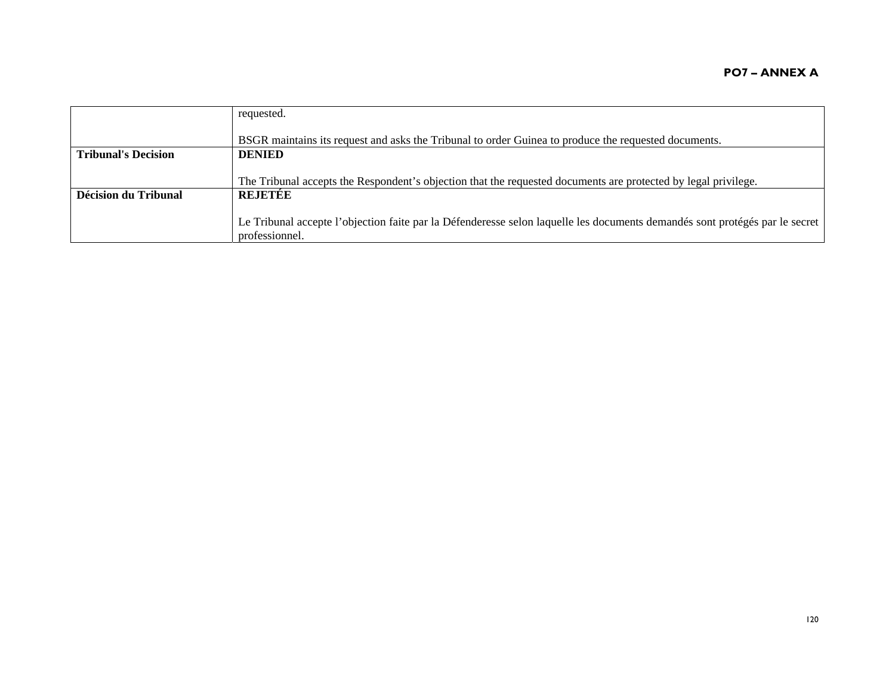|                            | requested.                                                                                                                  |
|----------------------------|-----------------------------------------------------------------------------------------------------------------------------|
|                            |                                                                                                                             |
|                            |                                                                                                                             |
|                            | BSGR maintains its request and asks the Tribunal to order Guinea to produce the requested documents.                        |
| <b>Tribunal's Decision</b> | <b>DENIED</b>                                                                                                               |
|                            |                                                                                                                             |
|                            |                                                                                                                             |
|                            | The Tribunal accepts the Respondent's objection that the requested documents are protected by legal privilege.              |
| Décision du Tribunal       | <b>REJETÉE</b>                                                                                                              |
|                            |                                                                                                                             |
|                            |                                                                                                                             |
|                            | Le Tribunal accepte l'objection faite par la Défenderesse selon laquelle les documents demandés sont protégés par le secret |
|                            | professionnel.                                                                                                              |
|                            |                                                                                                                             |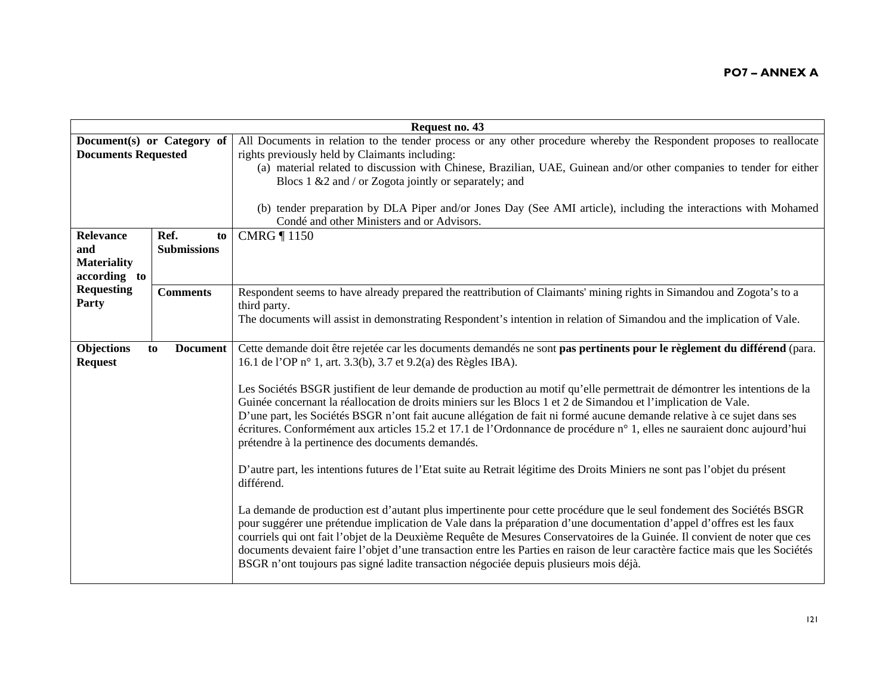| All Documents in relation to the tender process or any other procedure whereby the Respondent proposes to reallocate<br>Document(s) or Category of<br>rights previously held by Claimants including:<br>(a) material related to discussion with Chinese, Brazilian, UAE, Guinean and/or other companies to tender for either<br>Blocs 1 &2 and / or Zogota jointly or separately; and                                                                                                                                                                                                                                                                                                                                                                                                                                                                                                                                                                                                                                                                                                                                                                                                                                                                                           |
|---------------------------------------------------------------------------------------------------------------------------------------------------------------------------------------------------------------------------------------------------------------------------------------------------------------------------------------------------------------------------------------------------------------------------------------------------------------------------------------------------------------------------------------------------------------------------------------------------------------------------------------------------------------------------------------------------------------------------------------------------------------------------------------------------------------------------------------------------------------------------------------------------------------------------------------------------------------------------------------------------------------------------------------------------------------------------------------------------------------------------------------------------------------------------------------------------------------------------------------------------------------------------------|
| (b) tender preparation by DLA Piper and/or Jones Day (See AMI article), including the interactions with Mohamed<br>Condé and other Ministers and or Advisors.                                                                                                                                                                                                                                                                                                                                                                                                                                                                                                                                                                                                                                                                                                                                                                                                                                                                                                                                                                                                                                                                                                                   |
| <b>CMRG</b> 1150<br>to                                                                                                                                                                                                                                                                                                                                                                                                                                                                                                                                                                                                                                                                                                                                                                                                                                                                                                                                                                                                                                                                                                                                                                                                                                                          |
| Respondent seems to have already prepared the reattribution of Claimants' mining rights in Simandou and Zogota's to a<br>third party.<br>The documents will assist in demonstrating Respondent's intention in relation of Simandou and the implication of Vale.                                                                                                                                                                                                                                                                                                                                                                                                                                                                                                                                                                                                                                                                                                                                                                                                                                                                                                                                                                                                                 |
| Cette demande doit être rejetée car les documents demandés ne sont pas pertinents pour le règlement du différend (para.<br>16.1 de l'OP n° 1, art. 3.3(b), 3.7 et 9.2(a) des Règles IBA).<br>Les Sociétés BSGR justifient de leur demande de production au motif qu'elle permettrait de démontrer les intentions de la<br>Guinée concernant la réallocation de droits miniers sur les Blocs 1 et 2 de Simandou et l'implication de Vale.<br>D'une part, les Sociétés BSGR n'ont fait aucune allégation de fait ni formé aucune demande relative à ce sujet dans ses<br>écritures. Conformément aux articles 15.2 et 17.1 de l'Ordonnance de procédure n° 1, elles ne sauraient donc aujourd'hui<br>prétendre à la pertinence des documents demandés.<br>D'autre part, les intentions futures de l'Etat suite au Retrait légitime des Droits Miniers ne sont pas l'objet du présent<br>différend.<br>La demande de production est d'autant plus impertinente pour cette procédure que le seul fondement des Sociétés BSGR<br>pour suggérer une prétendue implication de Vale dans la préparation d'une documentation d'appel d'offres est les faux<br>courriels qui ont fait l'objet de la Deuxième Requête de Mesures Conservatoires de la Guinée. Il convient de noter que ces |
| <b>Submissions</b><br><b>Comments</b><br><b>Document</b>                                                                                                                                                                                                                                                                                                                                                                                                                                                                                                                                                                                                                                                                                                                                                                                                                                                                                                                                                                                                                                                                                                                                                                                                                        |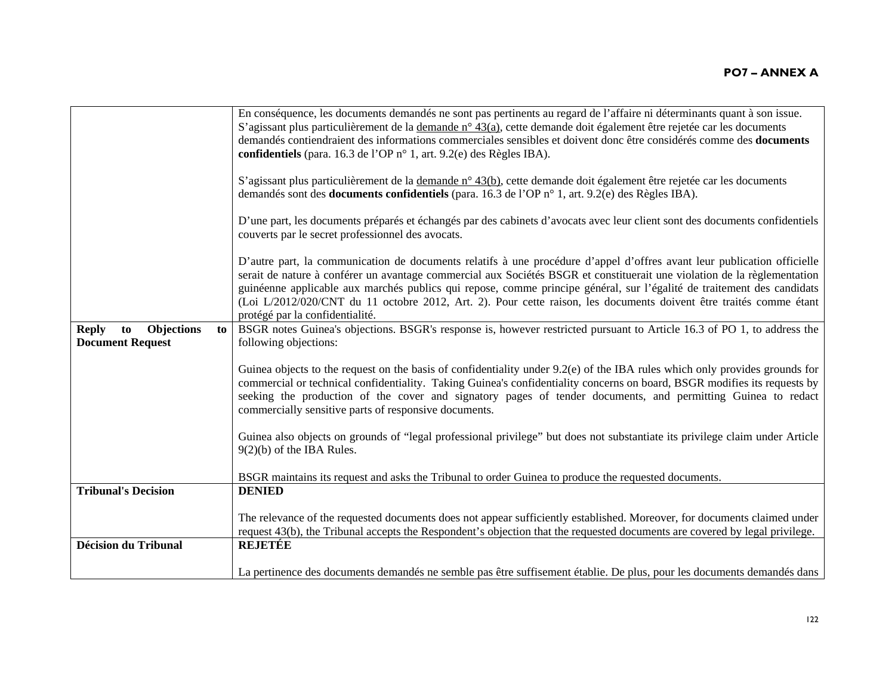|                                                                          | En conséquence, les documents demandés ne sont pas pertinents au regard de l'affaire ni déterminants quant à son issue.<br>S'agissant plus particulièrement de la demande n° 43(a), cette demande doit également être rejetée car les documents                                                                                                                                                                                                                                                                                        |
|--------------------------------------------------------------------------|----------------------------------------------------------------------------------------------------------------------------------------------------------------------------------------------------------------------------------------------------------------------------------------------------------------------------------------------------------------------------------------------------------------------------------------------------------------------------------------------------------------------------------------|
|                                                                          | demandés contiendraient des informations commerciales sensibles et doivent donc être considérés comme des documents                                                                                                                                                                                                                                                                                                                                                                                                                    |
|                                                                          | confidentiels (para. 16.3 de l'OP n° 1, art. 9.2(e) des Règles IBA).                                                                                                                                                                                                                                                                                                                                                                                                                                                                   |
|                                                                          | S'agissant plus particulièrement de la demande n° 43(b), cette demande doit également être rejetée car les documents<br>demandés sont des <b>documents confidentiels</b> (para. 16.3 de l'OP n° 1, art. 9.2(e) des Règles IBA).                                                                                                                                                                                                                                                                                                        |
|                                                                          | D'une part, les documents préparés et échangés par des cabinets d'avocats avec leur client sont des documents confidentiels<br>couverts par le secret professionnel des avocats.                                                                                                                                                                                                                                                                                                                                                       |
|                                                                          | D'autre part, la communication de documents relatifs à une procédure d'appel d'offres avant leur publication officielle<br>serait de nature à conférer un avantage commercial aux Sociétés BSGR et constituerait une violation de la règlementation<br>guinéenne applicable aux marchés publics qui repose, comme principe général, sur l'égalité de traitement des candidats<br>(Loi L/2012/020/CNT du 11 octobre 2012, Art. 2). Pour cette raison, les documents doivent être traités comme étant<br>protégé par la confidentialité. |
| <b>Objections</b><br><b>Reply</b><br>to<br>to<br><b>Document Request</b> | BSGR notes Guinea's objections. BSGR's response is, however restricted pursuant to Article 16.3 of PO 1, to address the<br>following objections:                                                                                                                                                                                                                                                                                                                                                                                       |
|                                                                          | Guinea objects to the request on the basis of confidentiality under $9.2(e)$ of the IBA rules which only provides grounds for<br>commercial or technical confidentiality. Taking Guinea's confidentiality concerns on board, BSGR modifies its requests by<br>seeking the production of the cover and signatory pages of tender documents, and permitting Guinea to redact<br>commercially sensitive parts of responsive documents.                                                                                                    |
|                                                                          | Guinea also objects on grounds of "legal professional privilege" but does not substantiate its privilege claim under Article<br>$9(2)(b)$ of the IBA Rules.                                                                                                                                                                                                                                                                                                                                                                            |
|                                                                          | BSGR maintains its request and asks the Tribunal to order Guinea to produce the requested documents.                                                                                                                                                                                                                                                                                                                                                                                                                                   |
| <b>Tribunal's Decision</b>                                               | <b>DENIED</b>                                                                                                                                                                                                                                                                                                                                                                                                                                                                                                                          |
|                                                                          | The relevance of the requested documents does not appear sufficiently established. Moreover, for documents claimed under<br>request 43(b), the Tribunal accepts the Respondent's objection that the requested documents are covered by legal privilege.                                                                                                                                                                                                                                                                                |
| <b>Décision du Tribunal</b>                                              | <b>REJETÉE</b>                                                                                                                                                                                                                                                                                                                                                                                                                                                                                                                         |
|                                                                          | La pertinence des documents demandés ne semble pas être suffisement établie. De plus, pour les documents demandés dans                                                                                                                                                                                                                                                                                                                                                                                                                 |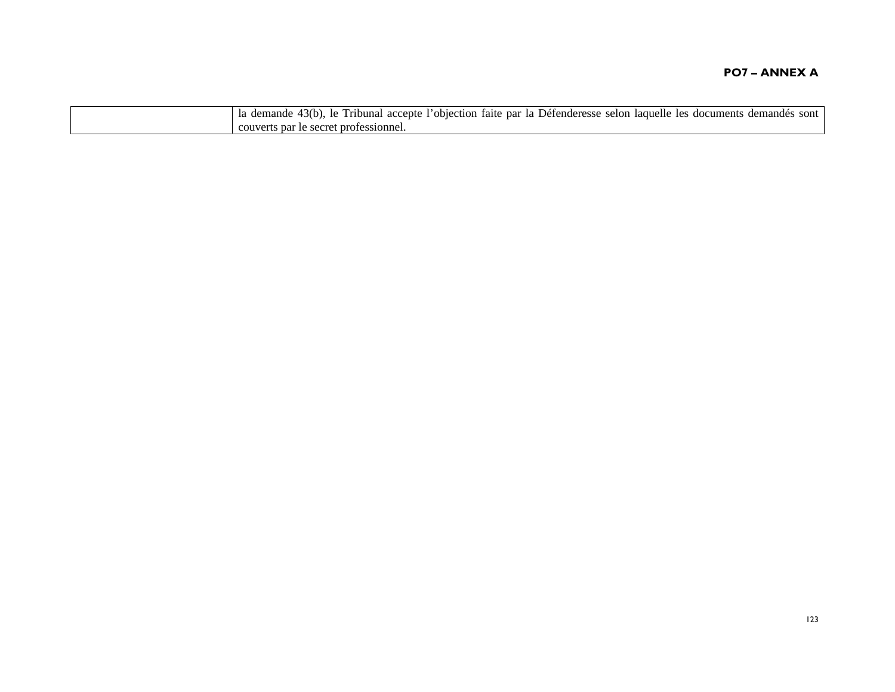| l'objection faite par la Défenderesse selon laquelle les documents de<br>43(b).<br>demandés<br>sont<br>le Tribunal accepte<br>demande<br>1a |
|---------------------------------------------------------------------------------------------------------------------------------------------|
| couverts par le secret professionnel.                                                                                                       |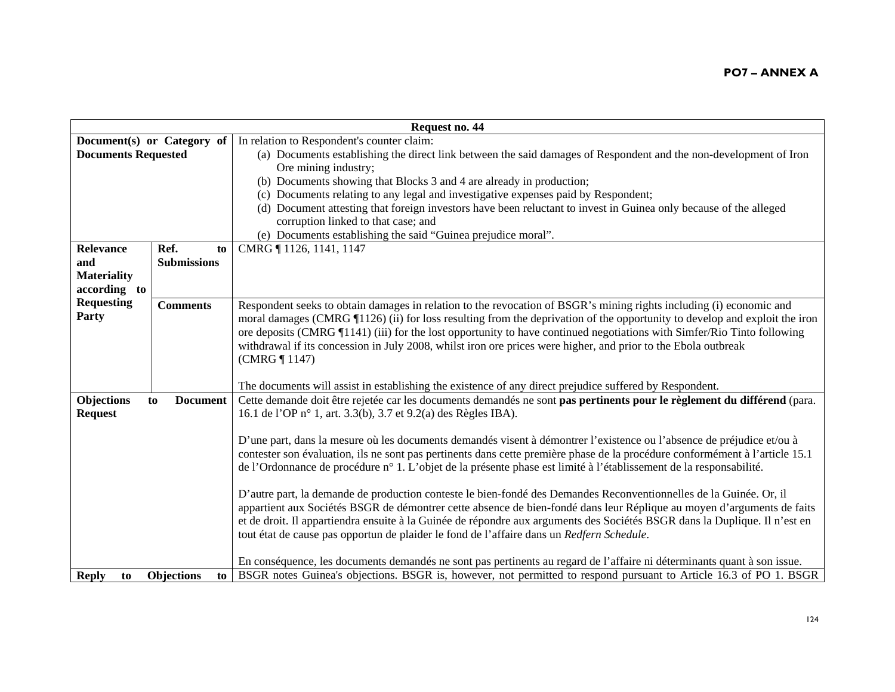|                            | Request no. 44          |                                                                                                                              |  |
|----------------------------|-------------------------|------------------------------------------------------------------------------------------------------------------------------|--|
| Document(s) or Category of |                         | In relation to Respondent's counter claim:                                                                                   |  |
| <b>Documents Requested</b> |                         | (a) Documents establishing the direct link between the said damages of Respondent and the non-development of Iron            |  |
|                            |                         | Ore mining industry;                                                                                                         |  |
|                            |                         | (b) Documents showing that Blocks 3 and 4 are already in production;                                                         |  |
|                            |                         | (c) Documents relating to any legal and investigative expenses paid by Respondent;                                           |  |
|                            |                         | (d) Document attesting that foreign investors have been reluctant to invest in Guinea only because of the alleged            |  |
|                            |                         | corruption linked to that case; and                                                                                          |  |
|                            |                         | (e) Documents establishing the said "Guinea prejudice moral".                                                                |  |
| Relevance                  | Ref.<br>to              | CMRG ¶ 1126, 1141, 1147                                                                                                      |  |
| and                        | <b>Submissions</b>      |                                                                                                                              |  |
| <b>Materiality</b>         |                         |                                                                                                                              |  |
| according to               |                         |                                                                                                                              |  |
| <b>Requesting</b>          | <b>Comments</b>         | Respondent seeks to obtain damages in relation to the revocation of BSGR's mining rights including (i) economic and          |  |
| Party                      |                         | moral damages (CMRG 1126) (ii) for loss resulting from the deprivation of the opportunity to develop and exploit the iron    |  |
|                            |                         | ore deposits (CMRG ¶1141) (iii) for the lost opportunity to have continued negotiations with Simfer/Rio Tinto following      |  |
|                            |                         | withdrawal if its concession in July 2008, whilst iron ore prices were higher, and prior to the Ebola outbreak               |  |
|                            |                         | (CMRG ¶ 1147)                                                                                                                |  |
|                            |                         |                                                                                                                              |  |
|                            |                         | The documents will assist in establishing the existence of any direct prejudice suffered by Respondent.                      |  |
| Objections                 | <b>Document</b><br>to   | Cette demande doit être rejetée car les documents demandés ne sont pas pertinents pour le règlement du différend (para.      |  |
| <b>Request</b>             |                         | 16.1 de l'OP n° 1, art. 3.3(b), 3.7 et 9.2(a) des Règles IBA).                                                               |  |
|                            |                         |                                                                                                                              |  |
|                            |                         | D'une part, dans la mesure où les documents demandés visent à démontrer l'existence ou l'absence de préjudice et/ou à        |  |
|                            |                         | contester son évaluation, ils ne sont pas pertinents dans cette première phase de la procédure conformément à l'article 15.1 |  |
|                            |                         | de l'Ordonnance de procédure n° 1. L'objet de la présente phase est limité à l'établissement de la responsabilité.           |  |
|                            |                         |                                                                                                                              |  |
|                            |                         | D'autre part, la demande de production conteste le bien-fondé des Demandes Reconventionnelles de la Guinée. Or, il           |  |
|                            |                         | appartient aux Sociétés BSGR de démontrer cette absence de bien-fondé dans leur Réplique au moyen d'arguments de faits       |  |
|                            |                         | et de droit. Il appartiendra ensuite à la Guinée de répondre aux arguments des Sociétés BSGR dans la Duplique. Il n'est en   |  |
|                            |                         | tout état de cause pas opportun de plaider le fond de l'affaire dans un Redfern Schedule.                                    |  |
|                            |                         |                                                                                                                              |  |
|                            |                         | En conséquence, les documents demandés ne sont pas pertinents au regard de l'affaire ni déterminants quant à son issue.      |  |
| <b>Reply</b><br>to         | <b>Objections</b><br>to | BSGR notes Guinea's objections. BSGR is, however, not permitted to respond pursuant to Article 16.3 of PO 1. BSGR            |  |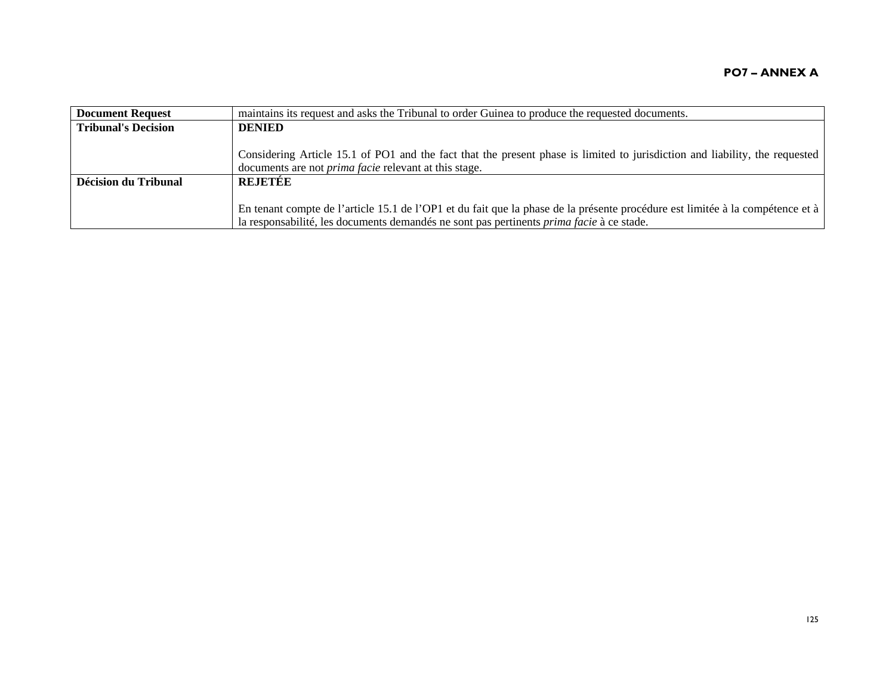| <b>Document Request</b>    | maintains its request and asks the Tribunal to order Guinea to produce the requested documents.                                                                                                                                                    |
|----------------------------|----------------------------------------------------------------------------------------------------------------------------------------------------------------------------------------------------------------------------------------------------|
| <b>Tribunal's Decision</b> | <b>DENIED</b>                                                                                                                                                                                                                                      |
|                            | Considering Article 15.1 of PO1 and the fact that the present phase is limited to jurisdiction and liability, the requested<br>documents are not <i>prima facie</i> relevant at this stage.                                                        |
| Décision du Tribunal       | <b>REJETÉE</b><br>En tenant compte de l'article 15.1 de l'OP1 et du fait que la phase de la présente procédure est limitée à la compétence et à<br>la responsabilité, les documents demandés ne sont pas pertinents <i>prima facie</i> à ce stade. |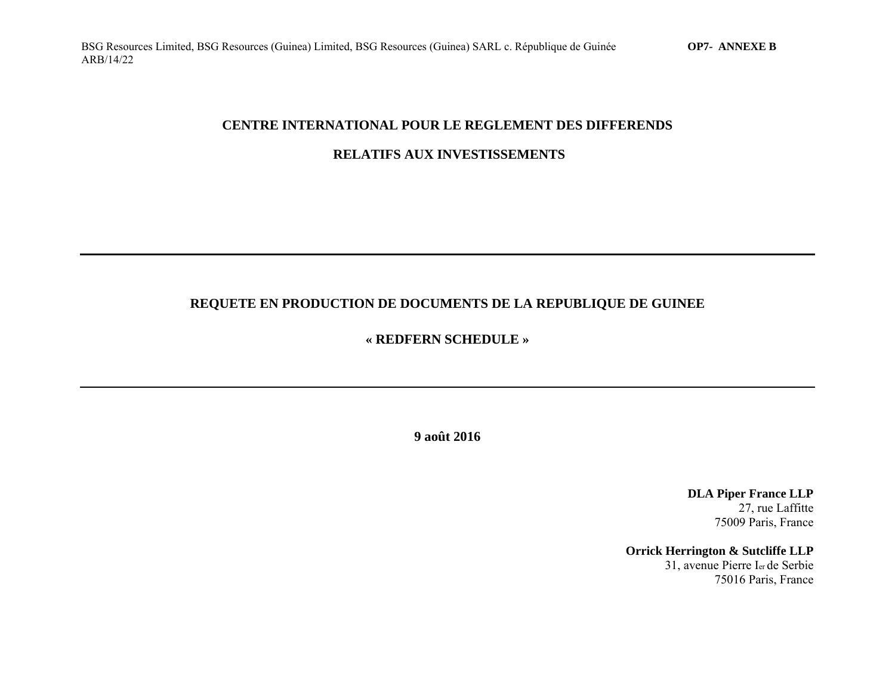### **CENTRE INTERNATIONAL POUR LE REGLEMENT DES DIFFERENDS**

## **RELATIFS AUX INVESTISSEMENTS**

# **REQUETE EN PRODUCTION DE DOCUMENTS DE LA REPUBLIQUE DE GUINEE**

## **« REDFERN SCHEDULE »**

**9 août 2016** 

**DLA Piper France LLP**  27, rue Laffitte 75009 Paris, France

**Orrick Herrington & Sutcliffe LLP**  31, avenue Pierre Ier de Serbie 75016 Paris, France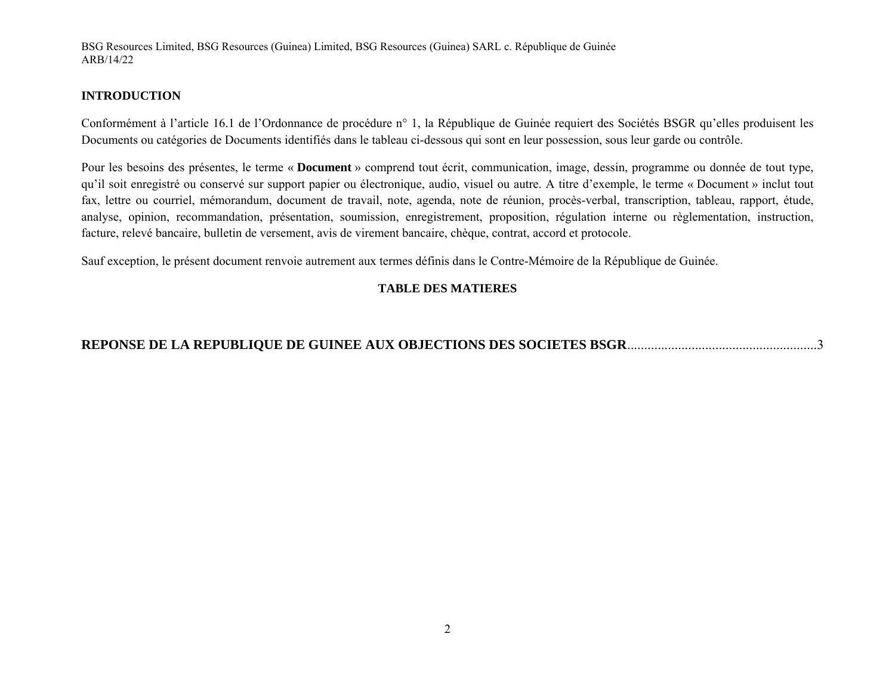#### **INTRODUCTION**

Conformément à l'article 16.1 de l'Ordonnance de procédure n° 1, la République de Guinée requiert des Sociétés BSGR qu'elles produisent les Documents ou catégories de Documents identifiés dans le tableau ci-dessous qui sont en leur possession, sous leur garde ou contrôle.

Pour les besoins des présentes, le terme « **Document** » comprend tout écrit, communication, image, dessin, programme ou donnée de tout type, qu'il soit enregistré ou conservé sur support papier ou électronique, audio, visuel ou autre. A titre d'exemple, le terme « Document » inclut tout fax, lettre ou courriel, mémorandum, document de travail, note, agenda, note de réunion, procès-verbal, transcription, tableau, rapport, étude, analyse, opinion, recommandation, présentation, soumission, enregistrement, proposition, régulation interne ou règlementation, instruction, facture, relevé bancaire, bulletin de versement, avis de virement bancaire, chèque, contrat, accord et protocole.

Sauf exception, le présent document renvoie autrement aux termes définis dans le Contre-Mémoire de la République de Guinée.

## **TABLE DES MATIERES**

# **REPONSE DE LA REPUBLIQUE DE GUINEE AUX OBJECTIONS DES SOCIETES BSGR** ........................................................3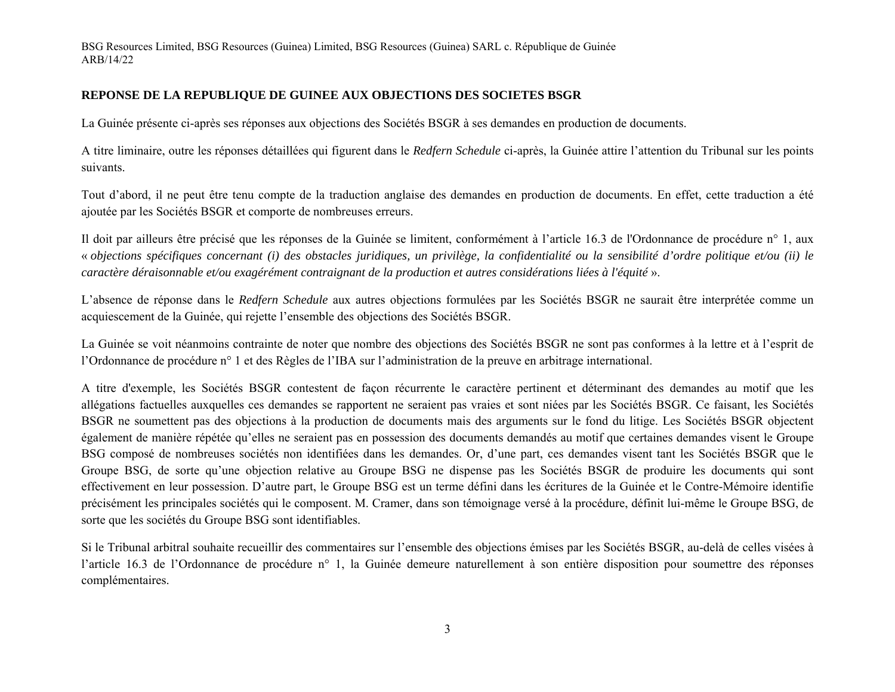#### **REPONSE DE LA REPUBLIQUE DE GUINEE AUX OBJECTIONS DES SOCIETES BSGR**

La Guinée présente ci-après ses réponses aux objections des Sociétés BSGR à ses demandes en production de documents.

A titre liminaire, outre les réponses détaillées qui figurent dans le *Redfern Schedule* ci-après, la Guinée attire l'attention du Tribunal sur les points suivants.

Tout d'abord, il ne peut être tenu compte de la traduction anglaise des demandes en production de documents. En effet, cette traduction a été ajoutée par les Sociétés BSGR et comporte de nombreuses erreurs.

Il doit par ailleurs être précisé que les réponses de la Guinée se limitent, conformément à l'article 16.3 de l'Ordonnance de procédure n° 1, aux « *objections spécifiques concernant (i) des obstacles juridiques, un privilège, la confidentialité ou la sensibilité d'ordre politique et/ou (ii) le caractère déraisonnable et/ou exagérément contraignant de la production et autres considérations liées à l'équité* ».

L'absence de réponse dans le *Redfern Schedule* aux autres objections formulées par les Sociétés BSGR ne saurait être interprétée comme un acquiescement de la Guinée, qui rejette l'ensemble des objections des Sociétés BSGR.

La Guinée se voit néanmoins contrainte de noter que nombre des objections des Sociétés BSGR ne sont pas conformes à la lettre et à l'esprit de l'Ordonnance de procédure n° 1 et des Règles de l'IBA sur l'administration de la preuve en arbitrage international.

A titre d'exemple, les Sociétés BSGR contestent de façon récurrente le caractère pertinent et déterminant des demandes au motif que les allégations factuelles auxquelles ces demandes se rapportent ne seraient pas vraies et sont niées par les Sociétés BSGR. Ce faisant, les Sociétés BSGR ne soumettent pas des objections à la production de documents mais des arguments sur le fond du litige. Les Sociétés BSGR objectent également de manière répétée qu'elles ne seraient pas en possession des documents demandés au motif que certaines demandes visent le Groupe BSG composé de nombreuses sociétés non identifiées dans les demandes. Or, d'une part, ces demandes visent tant les Sociétés BSGR que le Groupe BSG, de sorte qu'une objection relative au Groupe BSG ne dispense pas les Sociétés BSGR de produire les documents qui sont effectivement en leur possession. D'autre part, le Groupe BSG est un terme défini dans les écritures de la Guinée et le Contre-Mémoire identifie précisément les principales sociétés qui le composent. M. Cramer, dans son témoignage versé à la procédure, définit lui-même le Groupe BSG, de sorte que les sociétés du Groupe BSG sont identifiables.

Si le Tribunal arbitral souhaite recueillir des commentaires sur l'ensemble des objections émises par les Sociétés BSGR, au-delà de celles visées à l'article 16.3 de l'Ordonnance de procédure n° 1, la Guinée demeure naturellement à son entière disposition pour soumettre des réponses complémentaires.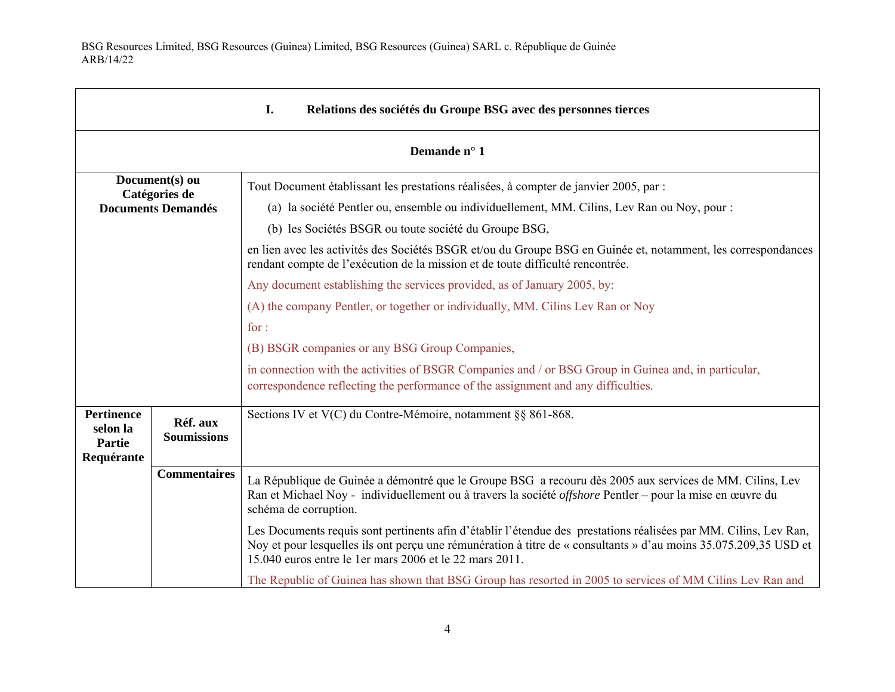г

| I.<br>Relations des sociétés du Groupe BSG avec des personnes tierces |                                |                                                                                                                                                                                                                                                                                                                                                                                                                                                                                                                                                                                                                                                                                                                                                                                                                                                                        |
|-----------------------------------------------------------------------|--------------------------------|------------------------------------------------------------------------------------------------------------------------------------------------------------------------------------------------------------------------------------------------------------------------------------------------------------------------------------------------------------------------------------------------------------------------------------------------------------------------------------------------------------------------------------------------------------------------------------------------------------------------------------------------------------------------------------------------------------------------------------------------------------------------------------------------------------------------------------------------------------------------|
| Demande n° 1                                                          |                                |                                                                                                                                                                                                                                                                                                                                                                                                                                                                                                                                                                                                                                                                                                                                                                                                                                                                        |
| Document(s) ou<br>Catégories de<br><b>Documents Demandés</b>          |                                | Tout Document établissant les prestations réalisées, à compter de janvier 2005, par :<br>(a) la société Pentler ou, ensemble ou individuellement, MM. Cilins, Lev Ran ou Noy, pour :<br>(b) les Sociétés BSGR ou toute société du Groupe BSG,<br>en lien avec les activités des Sociétés BSGR et/ou du Groupe BSG en Guinée et, notamment, les correspondances<br>rendant compte de l'exécution de la mission et de toute difficulté rencontrée.<br>Any document establishing the services provided, as of January 2005, by:<br>(A) the company Pentler, or together or individually, MM. Cilins Lev Ran or Noy<br>for:<br>(B) BSGR companies or any BSG Group Companies,<br>in connection with the activities of BSGR Companies and / or BSG Group in Guinea and, in particular,<br>correspondence reflecting the performance of the assignment and any difficulties. |
| <b>Pertinence</b><br>selon la<br>Partie<br>Requérante                 | Réf. aux<br><b>Soumissions</b> | Sections IV et V(C) du Contre-Mémoire, notamment §§ 861-868.                                                                                                                                                                                                                                                                                                                                                                                                                                                                                                                                                                                                                                                                                                                                                                                                           |
|                                                                       | <b>Commentaires</b>            | La République de Guinée a démontré que le Groupe BSG a recouru dès 2005 aux services de MM. Cilins, Lev<br>Ran et Michael Noy - individuellement ou à travers la société <i>offshore</i> Pentler – pour la mise en œuvre du<br>schéma de corruption.                                                                                                                                                                                                                                                                                                                                                                                                                                                                                                                                                                                                                   |
|                                                                       |                                | Les Documents requis sont pertinents afin d'établir l'étendue des prestations réalisées par MM. Cilins, Lev Ran,<br>Noy et pour lesquelles ils ont perçu une rémunération à titre de « consultants » d'au moins 35.075.209,35 USD et<br>15.040 euros entre le 1 er mars 2006 et le 22 mars 2011.                                                                                                                                                                                                                                                                                                                                                                                                                                                                                                                                                                       |
|                                                                       |                                | The Republic of Guinea has shown that BSG Group has resorted in 2005 to services of MM Cilins Lev Ran and                                                                                                                                                                                                                                                                                                                                                                                                                                                                                                                                                                                                                                                                                                                                                              |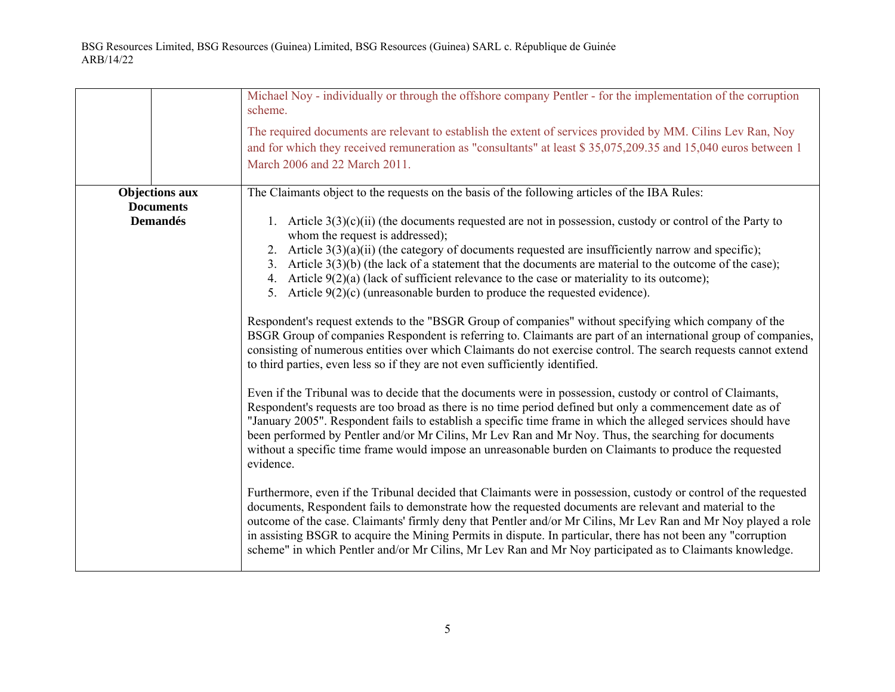|                                                              | Michael Noy - individually or through the offshore company Pentler - for the implementation of the corruption<br>scheme.<br>The required documents are relevant to establish the extent of services provided by MM. Cilins Lev Ran, Noy<br>and for which they received remuneration as "consultants" at least \$35,075,209.35 and 15,040 euros between 1<br>March 2006 and 22 March 2011.                                                                                                                                                                                                                                                                                                                                                                                                                                                                                                                                                                                                                                                                                                                                                                                                                                                                                                                                                                                                                                                                                                                                                                                                                                                                                                                                                                                                                                                                                                                                                                                                                                                                                                                                                                                                                                                          |
|--------------------------------------------------------------|----------------------------------------------------------------------------------------------------------------------------------------------------------------------------------------------------------------------------------------------------------------------------------------------------------------------------------------------------------------------------------------------------------------------------------------------------------------------------------------------------------------------------------------------------------------------------------------------------------------------------------------------------------------------------------------------------------------------------------------------------------------------------------------------------------------------------------------------------------------------------------------------------------------------------------------------------------------------------------------------------------------------------------------------------------------------------------------------------------------------------------------------------------------------------------------------------------------------------------------------------------------------------------------------------------------------------------------------------------------------------------------------------------------------------------------------------------------------------------------------------------------------------------------------------------------------------------------------------------------------------------------------------------------------------------------------------------------------------------------------------------------------------------------------------------------------------------------------------------------------------------------------------------------------------------------------------------------------------------------------------------------------------------------------------------------------------------------------------------------------------------------------------------------------------------------------------------------------------------------------------|
| <b>Objections aux</b><br><b>Documents</b><br><b>Demandés</b> | The Claimants object to the requests on the basis of the following articles of the IBA Rules:<br>1. Article $3(3)(c)(ii)$ (the documents requested are not in possession, custody or control of the Party to<br>whom the request is addressed);<br>2. Article $3(3)(a)(ii)$ (the category of documents requested are insufficiently narrow and specific);<br>3. Article $3(3)(b)$ (the lack of a statement that the documents are material to the outcome of the case);<br>4. Article $9(2)(a)$ (lack of sufficient relevance to the case or materiality to its outcome);<br>5. Article $9(2)(c)$ (unreasonable burden to produce the requested evidence).<br>Respondent's request extends to the "BSGR Group of companies" without specifying which company of the<br>BSGR Group of companies Respondent is referring to. Claimants are part of an international group of companies,<br>consisting of numerous entities over which Claimants do not exercise control. The search requests cannot extend<br>to third parties, even less so if they are not even sufficiently identified.<br>Even if the Tribunal was to decide that the documents were in possession, custody or control of Claimants,<br>Respondent's requests are too broad as there is no time period defined but only a commencement date as of<br>"January 2005". Respondent fails to establish a specific time frame in which the alleged services should have<br>been performed by Pentler and/or Mr Cilins, Mr Lev Ran and Mr Noy. Thus, the searching for documents<br>without a specific time frame would impose an unreasonable burden on Claimants to produce the requested<br>evidence.<br>Furthermore, even if the Tribunal decided that Claimants were in possession, custody or control of the requested<br>documents, Respondent fails to demonstrate how the requested documents are relevant and material to the<br>outcome of the case. Claimants' firmly deny that Pentler and/or Mr Cilins, Mr Lev Ran and Mr Noy played a role<br>in assisting BSGR to acquire the Mining Permits in dispute. In particular, there has not been any "corruption<br>scheme" in which Pentler and/or Mr Cilins, Mr Lev Ran and Mr Noy participated as to Claimants knowledge. |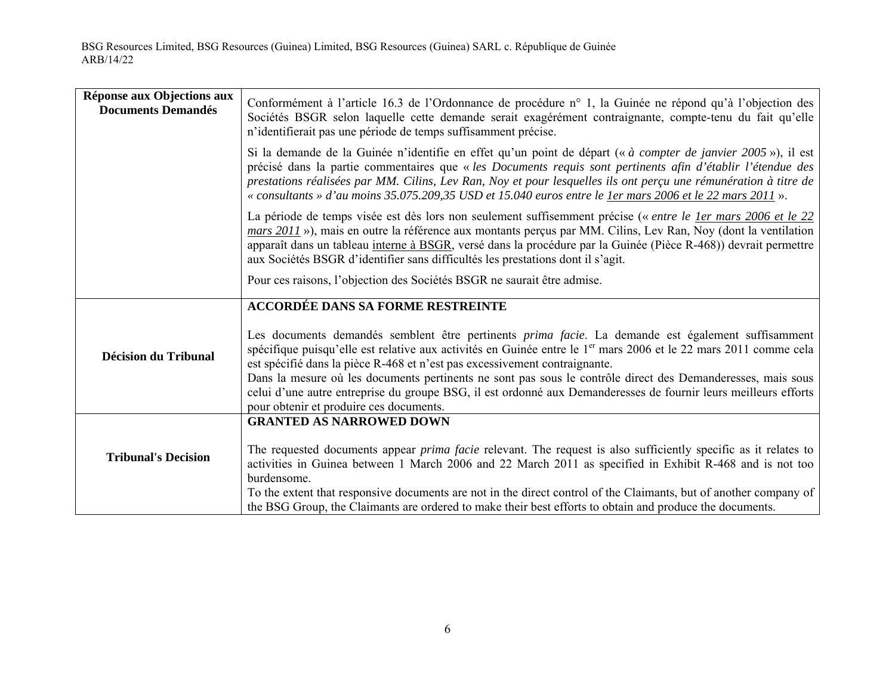| Réponse aux Objections aux<br><b>Documents Demandés</b> | Conformément à l'article 16.3 de l'Ordonnance de procédure n° 1, la Guinée ne répond qu'à l'objection des<br>Sociétés BSGR selon laquelle cette demande serait exagérément contraignante, compte-tenu du fait qu'elle<br>n'identifierait pas une période de temps suffisamment précise.                                                                                                                                                                      |
|---------------------------------------------------------|--------------------------------------------------------------------------------------------------------------------------------------------------------------------------------------------------------------------------------------------------------------------------------------------------------------------------------------------------------------------------------------------------------------------------------------------------------------|
|                                                         | Si la demande de la Guinée n'identifie en effet qu'un point de départ (« à compter de janvier 2005 »), il est<br>précisé dans la partie commentaires que « les Documents requis sont pertinents afin d'établir l'étendue des<br>prestations réalisées par MM. Cilins, Lev Ran, Noy et pour lesquelles ils ont perçu une rémunération à titre de<br>« consultants » d'au moins 35.075.209,35 USD et 15.040 euros entre le ler mars 2006 et le 22 mars 2011 ». |
|                                                         | La période de temps visée est dès lors non seulement suffisemment précise (« entre le ler mars 2006 et le 22<br>mars 2011 »), mais en outre la référence aux montants perçus par MM. Cilins, Lev Ran, Noy (dont la ventilation<br>apparaît dans un tableau interne à BSGR, versé dans la procédure par la Guinée (Pièce R-468)) devrait permettre<br>aux Sociétés BSGR d'identifier sans difficultés les prestations dont il s'agit.                         |
|                                                         | Pour ces raisons, l'objection des Sociétés BSGR ne saurait être admise.                                                                                                                                                                                                                                                                                                                                                                                      |
|                                                         | <b>ACCORDÉE DANS SA FORME RESTREINTE</b>                                                                                                                                                                                                                                                                                                                                                                                                                     |
| <b>Décision du Tribunal</b>                             | Les documents demandés semblent être pertinents <i>prima facie</i> . La demande est également suffisamment<br>spécifique puisqu'elle est relative aux activités en Guinée entre le 1 <sup>er</sup> mars 2006 et le 22 mars 2011 comme cela<br>est spécifié dans la pièce R-468 et n'est pas excessivement contraignante.<br>Dans la mesure où les documents pertinents ne sont pas sous le contrôle direct des Demanderesses, mais sous                      |
|                                                         | celui d'une autre entreprise du groupe BSG, il est ordonné aux Demanderesses de fournir leurs meilleurs efforts<br>pour obtenir et produire ces documents.                                                                                                                                                                                                                                                                                                   |
|                                                         | <b>GRANTED AS NARROWED DOWN</b>                                                                                                                                                                                                                                                                                                                                                                                                                              |
| <b>Tribunal's Decision</b>                              | The requested documents appear <i>prima facie</i> relevant. The request is also sufficiently specific as it relates to<br>activities in Guinea between 1 March 2006 and 22 March 2011 as specified in Exhibit R-468 and is not too<br>burdensome.                                                                                                                                                                                                            |
|                                                         | To the extent that responsive documents are not in the direct control of the Claimants, but of another company of<br>the BSG Group, the Claimants are ordered to make their best efforts to obtain and produce the documents.                                                                                                                                                                                                                                |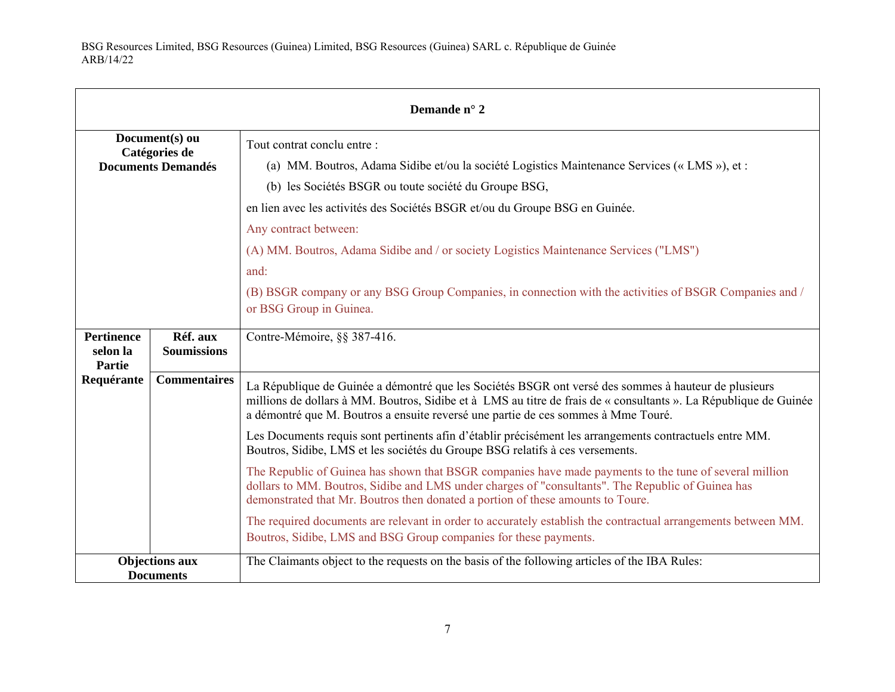| Demande n° 2                                                 |                                |                                                                                                                                                                                                                                                                                                                                                                                                                                                                                                                                                                                                                                                                                                                                                                                                                                                                                                                                                                                                  |
|--------------------------------------------------------------|--------------------------------|--------------------------------------------------------------------------------------------------------------------------------------------------------------------------------------------------------------------------------------------------------------------------------------------------------------------------------------------------------------------------------------------------------------------------------------------------------------------------------------------------------------------------------------------------------------------------------------------------------------------------------------------------------------------------------------------------------------------------------------------------------------------------------------------------------------------------------------------------------------------------------------------------------------------------------------------------------------------------------------------------|
| Document(s) ou<br>Catégories de<br><b>Documents Demandés</b> |                                | Tout contrat conclu entre:<br>(a) MM. Boutros, Adama Sidibe et/ou la société Logistics Maintenance Services (« LMS »), et :<br>(b) les Sociétés BSGR ou toute société du Groupe BSG,<br>en lien avec les activités des Sociétés BSGR et/ou du Groupe BSG en Guinée.<br>Any contract between:<br>(A) MM. Boutros, Adama Sidibe and / or society Logistics Maintenance Services ("LMS")<br>and:<br>(B) BSGR company or any BSG Group Companies, in connection with the activities of BSGR Companies and /<br>or BSG Group in Guinea.                                                                                                                                                                                                                                                                                                                                                                                                                                                               |
| <b>Pertinence</b><br>selon la<br><b>Partie</b>               | Réf. aux<br><b>Soumissions</b> | Contre-Mémoire, §§ 387-416.                                                                                                                                                                                                                                                                                                                                                                                                                                                                                                                                                                                                                                                                                                                                                                                                                                                                                                                                                                      |
| Requérante                                                   | <b>Commentaires</b>            | La République de Guinée a démontré que les Sociétés BSGR ont versé des sommes à hauteur de plusieurs<br>millions de dollars à MM. Boutros, Sidibe et à LMS au titre de frais de « consultants ». La République de Guinée<br>a démontré que M. Boutros a ensuite reversé une partie de ces sommes à Mme Touré.<br>Les Documents requis sont pertinents afin d'établir précisément les arrangements contractuels entre MM.<br>Boutros, Sidibe, LMS et les sociétés du Groupe BSG relatifs à ces versements.<br>The Republic of Guinea has shown that BSGR companies have made payments to the tune of several million<br>dollars to MM. Boutros, Sidibe and LMS under charges of "consultants". The Republic of Guinea has<br>demonstrated that Mr. Boutros then donated a portion of these amounts to Toure.<br>The required documents are relevant in order to accurately establish the contractual arrangements between MM.<br>Boutros, Sidibe, LMS and BSG Group companies for these payments. |
| <b>Objections aux</b><br><b>Documents</b>                    |                                | The Claimants object to the requests on the basis of the following articles of the IBA Rules:                                                                                                                                                                                                                                                                                                                                                                                                                                                                                                                                                                                                                                                                                                                                                                                                                                                                                                    |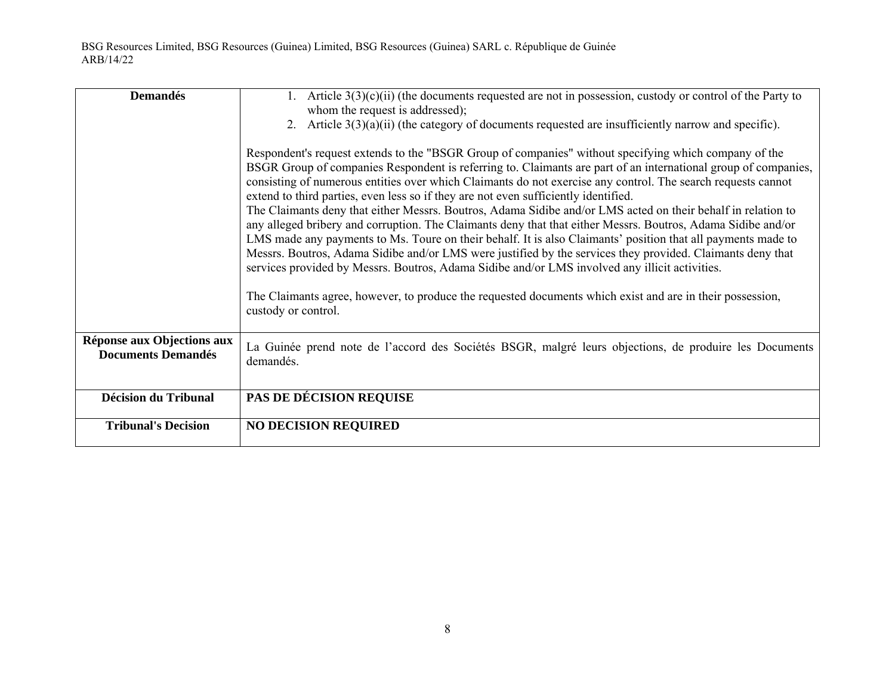| <b>Demandés</b>                                         | 1. Article $3(3)(c)(ii)$ (the documents requested are not in possession, custody or control of the Party to                                                                                                                                                                                                                                                                                                                                                                                                                                                                                                                                                                                                                                                                                                                                                                                                                                                                                    |
|---------------------------------------------------------|------------------------------------------------------------------------------------------------------------------------------------------------------------------------------------------------------------------------------------------------------------------------------------------------------------------------------------------------------------------------------------------------------------------------------------------------------------------------------------------------------------------------------------------------------------------------------------------------------------------------------------------------------------------------------------------------------------------------------------------------------------------------------------------------------------------------------------------------------------------------------------------------------------------------------------------------------------------------------------------------|
|                                                         | whom the request is addressed);<br>2. Article $3(3)(a)(ii)$ (the category of documents requested are insufficiently narrow and specific).                                                                                                                                                                                                                                                                                                                                                                                                                                                                                                                                                                                                                                                                                                                                                                                                                                                      |
|                                                         |                                                                                                                                                                                                                                                                                                                                                                                                                                                                                                                                                                                                                                                                                                                                                                                                                                                                                                                                                                                                |
|                                                         | Respondent's request extends to the "BSGR Group of companies" without specifying which company of the<br>BSGR Group of companies Respondent is referring to. Claimants are part of an international group of companies,<br>consisting of numerous entities over which Claimants do not exercise any control. The search requests cannot<br>extend to third parties, even less so if they are not even sufficiently identified.<br>The Claimants deny that either Messrs. Boutros, Adama Sidibe and/or LMS acted on their behalf in relation to<br>any alleged bribery and corruption. The Claimants deny that that either Messrs. Boutros, Adama Sidibe and/or<br>LMS made any payments to Ms. Toure on their behalf. It is also Claimants' position that all payments made to<br>Messrs. Boutros, Adama Sidibe and/or LMS were justified by the services they provided. Claimants deny that<br>services provided by Messrs. Boutros, Adama Sidibe and/or LMS involved any illicit activities. |
|                                                         | The Claimants agree, however, to produce the requested documents which exist and are in their possession,<br>custody or control.                                                                                                                                                                                                                                                                                                                                                                                                                                                                                                                                                                                                                                                                                                                                                                                                                                                               |
| Réponse aux Objections aux<br><b>Documents Demandés</b> | La Guinée prend note de l'accord des Sociétés BSGR, malgré leurs objections, de produire les Documents<br>demandés.                                                                                                                                                                                                                                                                                                                                                                                                                                                                                                                                                                                                                                                                                                                                                                                                                                                                            |
| <b>Décision du Tribunal</b>                             | PAS DE DÉCISION REQUISE                                                                                                                                                                                                                                                                                                                                                                                                                                                                                                                                                                                                                                                                                                                                                                                                                                                                                                                                                                        |
|                                                         |                                                                                                                                                                                                                                                                                                                                                                                                                                                                                                                                                                                                                                                                                                                                                                                                                                                                                                                                                                                                |
| <b>Tribunal's Decision</b>                              | <b>NO DECISION REQUIRED</b>                                                                                                                                                                                                                                                                                                                                                                                                                                                                                                                                                                                                                                                                                                                                                                                                                                                                                                                                                                    |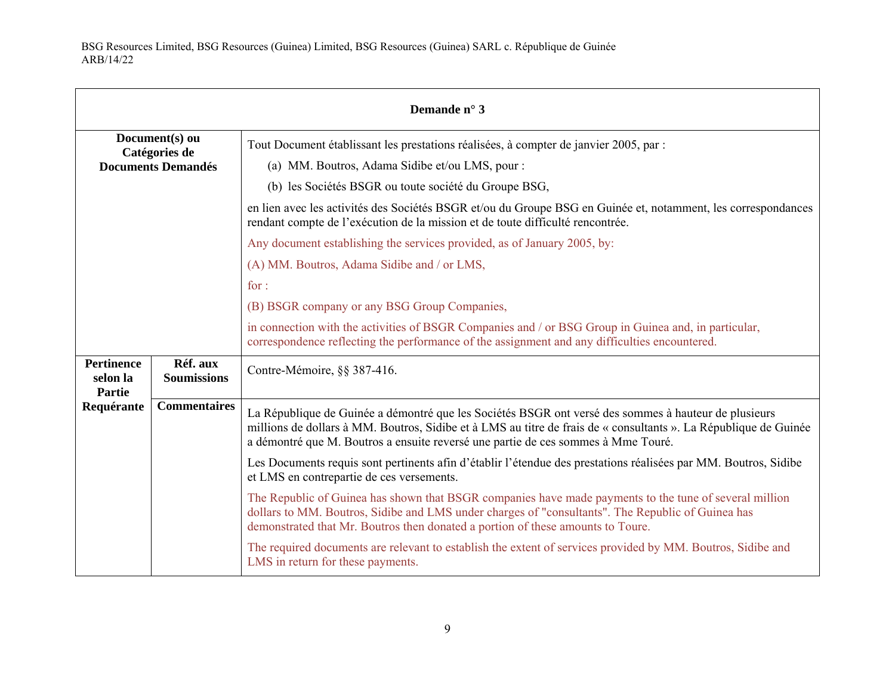| Demande n° 3                                                 |                                |                                                                                                                                                                                                                                                                                                               |
|--------------------------------------------------------------|--------------------------------|---------------------------------------------------------------------------------------------------------------------------------------------------------------------------------------------------------------------------------------------------------------------------------------------------------------|
| Document(s) ou<br>Catégories de<br><b>Documents Demandés</b> |                                | Tout Document établissant les prestations réalisées, à compter de janvier 2005, par :<br>(a) MM. Boutros, Adama Sidibe et/ou LMS, pour :                                                                                                                                                                      |
|                                                              |                                | (b) les Sociétés BSGR ou toute société du Groupe BSG,                                                                                                                                                                                                                                                         |
|                                                              |                                | en lien avec les activités des Sociétés BSGR et/ou du Groupe BSG en Guinée et, notamment, les correspondances<br>rendant compte de l'exécution de la mission et de toute difficulté rencontrée.                                                                                                               |
|                                                              |                                | Any document establishing the services provided, as of January 2005, by:                                                                                                                                                                                                                                      |
|                                                              |                                | (A) MM. Boutros, Adama Sidibe and / or LMS,                                                                                                                                                                                                                                                                   |
|                                                              |                                | for:                                                                                                                                                                                                                                                                                                          |
|                                                              |                                | (B) BSGR company or any BSG Group Companies,                                                                                                                                                                                                                                                                  |
|                                                              |                                | in connection with the activities of BSGR Companies and / or BSG Group in Guinea and, in particular,<br>correspondence reflecting the performance of the assignment and any difficulties encountered.                                                                                                         |
| <b>Pertinence</b><br>selon la<br><b>Partie</b>               | Réf. aux<br><b>Soumissions</b> | Contre-Mémoire, §§ 387-416.                                                                                                                                                                                                                                                                                   |
| Requérante                                                   | <b>Commentaires</b>            | La République de Guinée a démontré que les Sociétés BSGR ont versé des sommes à hauteur de plusieurs<br>millions de dollars à MM. Boutros, Sidibe et à LMS au titre de frais de « consultants ». La République de Guinée<br>a démontré que M. Boutros a ensuite reversé une partie de ces sommes à Mme Touré. |
|                                                              |                                | Les Documents requis sont pertinents afin d'établir l'étendue des prestations réalisées par MM. Boutros, Sidibe<br>et LMS en contrepartie de ces versements.                                                                                                                                                  |
|                                                              |                                | The Republic of Guinea has shown that BSGR companies have made payments to the tune of several million<br>dollars to MM. Boutros, Sidibe and LMS under charges of "consultants". The Republic of Guinea has<br>demonstrated that Mr. Boutros then donated a portion of these amounts to Toure.                |
|                                                              |                                | The required documents are relevant to establish the extent of services provided by MM. Boutros, Sidibe and<br>LMS in return for these payments.                                                                                                                                                              |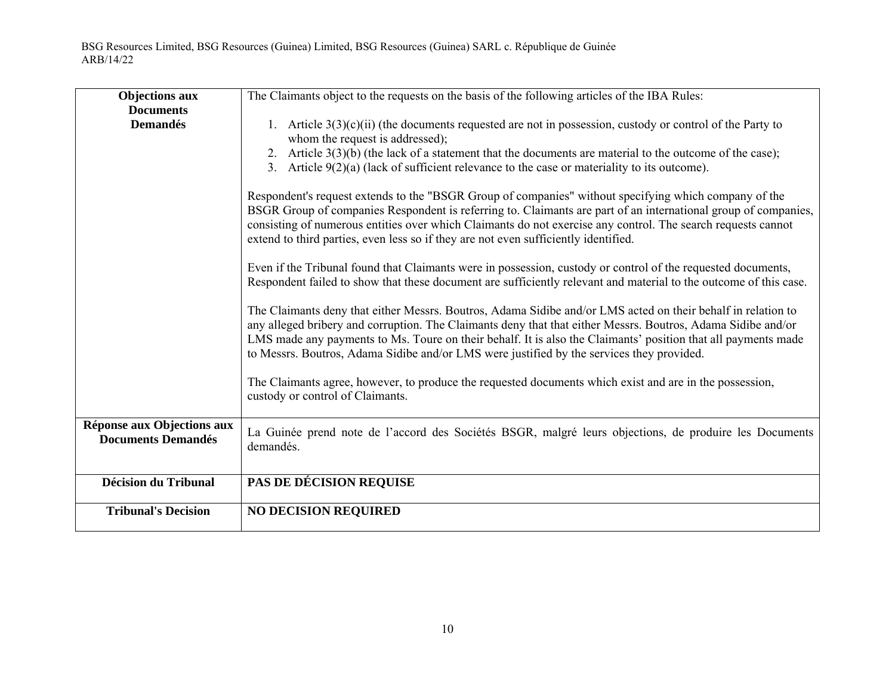| <b>Objections aux</b>                                   | The Claimants object to the requests on the basis of the following articles of the IBA Rules:                                                                                                                                                                                                                                                                                                                                              |
|---------------------------------------------------------|--------------------------------------------------------------------------------------------------------------------------------------------------------------------------------------------------------------------------------------------------------------------------------------------------------------------------------------------------------------------------------------------------------------------------------------------|
| <b>Documents</b>                                        |                                                                                                                                                                                                                                                                                                                                                                                                                                            |
| <b>Demandés</b>                                         | 1. Article $3(3)(c)(ii)$ (the documents requested are not in possession, custody or control of the Party to<br>whom the request is addressed);                                                                                                                                                                                                                                                                                             |
|                                                         | 2. Article $3(3)(b)$ (the lack of a statement that the documents are material to the outcome of the case);                                                                                                                                                                                                                                                                                                                                 |
|                                                         | 3. Article $9(2)(a)$ (lack of sufficient relevance to the case or materiality to its outcome).                                                                                                                                                                                                                                                                                                                                             |
|                                                         | Respondent's request extends to the "BSGR Group of companies" without specifying which company of the<br>BSGR Group of companies Respondent is referring to. Claimants are part of an international group of companies,<br>consisting of numerous entities over which Claimants do not exercise any control. The search requests cannot<br>extend to third parties, even less so if they are not even sufficiently identified.             |
|                                                         | Even if the Tribunal found that Claimants were in possession, custody or control of the requested documents,<br>Respondent failed to show that these document are sufficiently relevant and material to the outcome of this case.                                                                                                                                                                                                          |
|                                                         | The Claimants deny that either Messrs. Boutros, Adama Sidibe and/or LMS acted on their behalf in relation to<br>any alleged bribery and corruption. The Claimants deny that that either Messrs. Boutros, Adama Sidibe and/or<br>LMS made any payments to Ms. Toure on their behalf. It is also the Claimants' position that all payments made<br>to Messrs. Boutros, Adama Sidibe and/or LMS were justified by the services they provided. |
|                                                         | The Claimants agree, however, to produce the requested documents which exist and are in the possession,<br>custody or control of Claimants.                                                                                                                                                                                                                                                                                                |
| Réponse aux Objections aux<br><b>Documents Demandés</b> | La Guinée prend note de l'accord des Sociétés BSGR, malgré leurs objections, de produire les Documents<br>demandés.                                                                                                                                                                                                                                                                                                                        |
| <b>Décision du Tribunal</b>                             | PAS DE DÉCISION REQUISE                                                                                                                                                                                                                                                                                                                                                                                                                    |
| <b>Tribunal's Decision</b>                              | <b>NO DECISION REQUIRED</b>                                                                                                                                                                                                                                                                                                                                                                                                                |
|                                                         |                                                                                                                                                                                                                                                                                                                                                                                                                                            |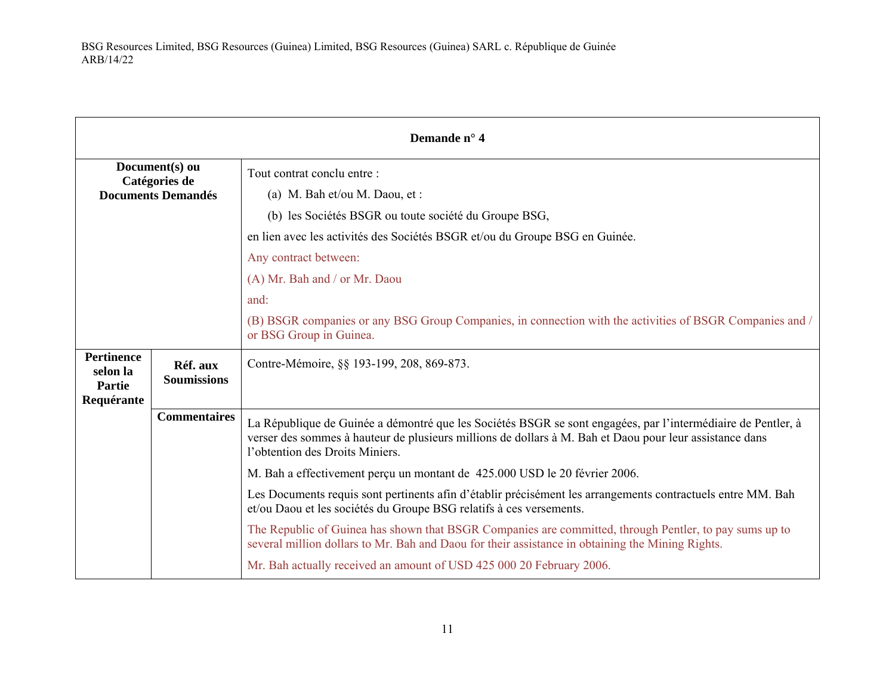| Demande n° 4                                   |                                |                                                                                                                                                                                                                                                            |
|------------------------------------------------|--------------------------------|------------------------------------------------------------------------------------------------------------------------------------------------------------------------------------------------------------------------------------------------------------|
| Document(s) ou<br>Catégories de                |                                | Tout contrat conclu entre :                                                                                                                                                                                                                                |
| <b>Documents Demandés</b>                      |                                | (a) M. Bah et/ou M. Daou, et:                                                                                                                                                                                                                              |
|                                                |                                | (b) les Sociétés BSGR ou toute société du Groupe BSG,                                                                                                                                                                                                      |
|                                                |                                | en lien avec les activités des Sociétés BSGR et/ou du Groupe BSG en Guinée.                                                                                                                                                                                |
|                                                |                                | Any contract between:                                                                                                                                                                                                                                      |
|                                                |                                | (A) Mr. Bah and / or Mr. Daou                                                                                                                                                                                                                              |
|                                                |                                | and:                                                                                                                                                                                                                                                       |
|                                                |                                | (B) BSGR companies or any BSG Group Companies, in connection with the activities of BSGR Companies and /<br>or BSG Group in Guinea.                                                                                                                        |
| <b>Pertinence</b><br>selon la<br><b>Partie</b> | Réf. aux<br><b>Soumissions</b> | Contre-Mémoire, §§ 193-199, 208, 869-873.                                                                                                                                                                                                                  |
| Requérante                                     | <b>Commentaires</b>            |                                                                                                                                                                                                                                                            |
|                                                |                                | La République de Guinée a démontré que les Sociétés BSGR se sont engagées, par l'intermédiaire de Pentler, à<br>verser des sommes à hauteur de plusieurs millions de dollars à M. Bah et Daou pour leur assistance dans<br>l'obtention des Droits Miniers. |
|                                                |                                | M. Bah a effectivement perçu un montant de 425.000 USD le 20 février 2006.                                                                                                                                                                                 |
|                                                |                                | Les Documents requis sont pertinents afin d'établir précisément les arrangements contractuels entre MM. Bah<br>et/ou Daou et les sociétés du Groupe BSG relatifs à ces versements.                                                                         |
|                                                |                                | The Republic of Guinea has shown that BSGR Companies are committed, through Pentler, to pay sums up to<br>several million dollars to Mr. Bah and Daou for their assistance in obtaining the Mining Rights.                                                 |
|                                                |                                | Mr. Bah actually received an amount of USD 425 000 20 February 2006.                                                                                                                                                                                       |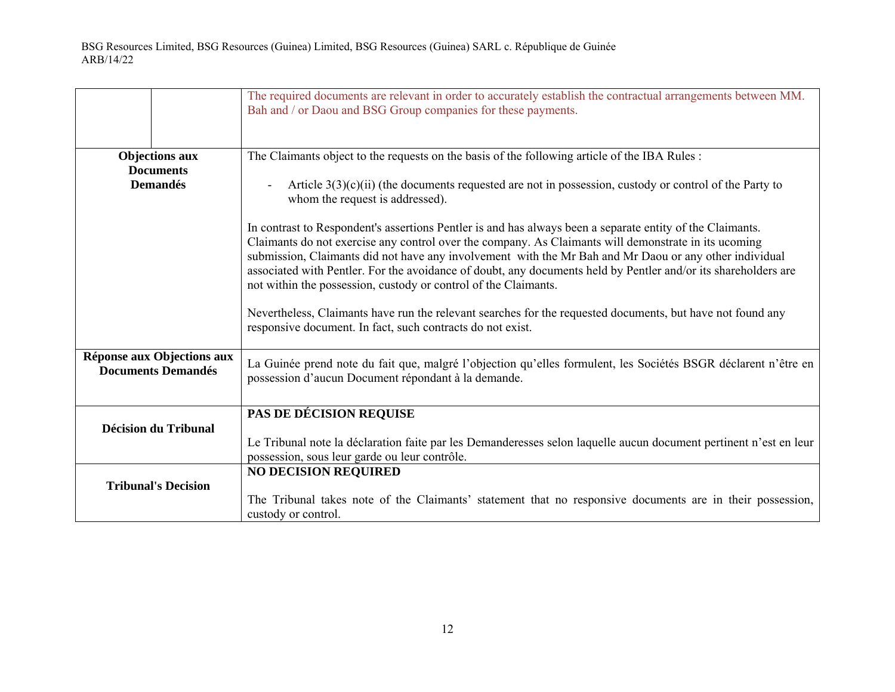|                                                         | The required documents are relevant in order to accurately establish the contractual arrangements between MM.<br>Bah and / or Daou and BSG Group companies for these payments.                                                                                                                                                                                                                                                                                                                                   |
|---------------------------------------------------------|------------------------------------------------------------------------------------------------------------------------------------------------------------------------------------------------------------------------------------------------------------------------------------------------------------------------------------------------------------------------------------------------------------------------------------------------------------------------------------------------------------------|
| <b>Objections aux</b>                                   | The Claimants object to the requests on the basis of the following article of the IBA Rules:                                                                                                                                                                                                                                                                                                                                                                                                                     |
| <b>Documents</b><br><b>Demandés</b>                     | Article $3(3)(c)(ii)$ (the documents requested are not in possession, custody or control of the Party to<br>$\overline{a}$<br>whom the request is addressed).                                                                                                                                                                                                                                                                                                                                                    |
|                                                         | In contrast to Respondent's assertions Pentler is and has always been a separate entity of the Claimants.<br>Claimants do not exercise any control over the company. As Claimants will demonstrate in its ucoming<br>submission, Claimants did not have any involvement with the Mr Bah and Mr Daou or any other individual<br>associated with Pentler. For the avoidance of doubt, any documents held by Pentler and/or its shareholders are<br>not within the possession, custody or control of the Claimants. |
|                                                         | Nevertheless, Claimants have run the relevant searches for the requested documents, but have not found any<br>responsive document. In fact, such contracts do not exist.                                                                                                                                                                                                                                                                                                                                         |
| Réponse aux Objections aux<br><b>Documents Demandés</b> | La Guinée prend note du fait que, malgré l'objection qu'elles formulent, les Sociétés BSGR déclarent n'être en<br>possession d'aucun Document répondant à la demande.                                                                                                                                                                                                                                                                                                                                            |
|                                                         | PAS DE DÉCISION REQUISE                                                                                                                                                                                                                                                                                                                                                                                                                                                                                          |
| <b>Décision du Tribunal</b>                             | Le Tribunal note la déclaration faite par les Demanderesses selon laquelle aucun document pertinent n'est en leur                                                                                                                                                                                                                                                                                                                                                                                                |
|                                                         | possession, sous leur garde ou leur contrôle.                                                                                                                                                                                                                                                                                                                                                                                                                                                                    |
|                                                         | <b>NO DECISION REQUIRED</b>                                                                                                                                                                                                                                                                                                                                                                                                                                                                                      |
| <b>Tribunal's Decision</b>                              |                                                                                                                                                                                                                                                                                                                                                                                                                                                                                                                  |
|                                                         | The Tribunal takes note of the Claimants' statement that no responsive documents are in their possession,<br>custody or control.                                                                                                                                                                                                                                                                                                                                                                                 |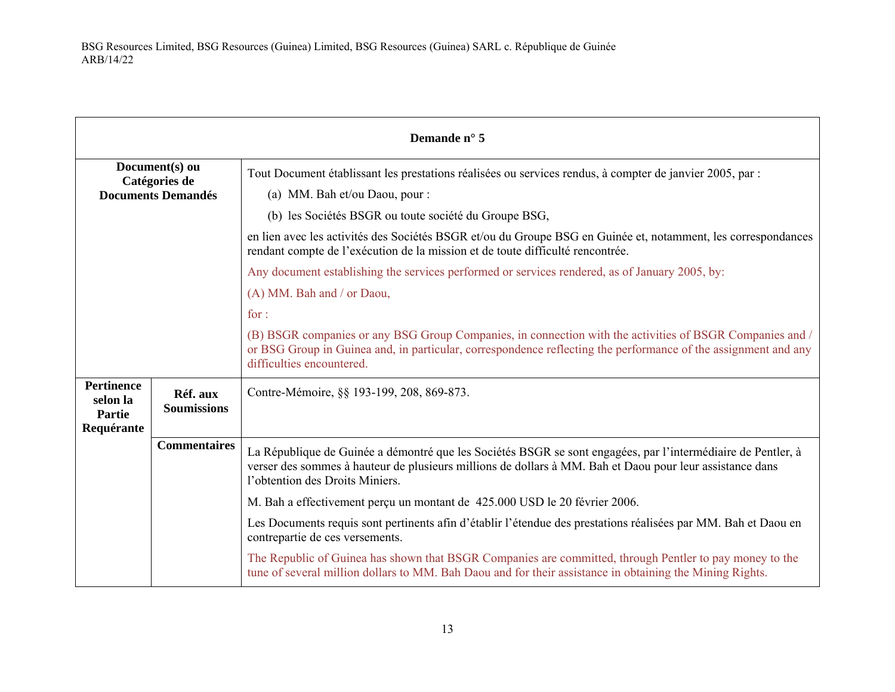| Demande n° 5                                                 |                                |                                                                                                                                                                                                                                                             |
|--------------------------------------------------------------|--------------------------------|-------------------------------------------------------------------------------------------------------------------------------------------------------------------------------------------------------------------------------------------------------------|
| Document(s) ou<br>Catégories de<br><b>Documents Demandés</b> |                                | Tout Document établissant les prestations réalisées ou services rendus, à compter de janvier 2005, par :<br>(a) MM. Bah et/ou Daou, pour :                                                                                                                  |
|                                                              |                                | (b) les Sociétés BSGR ou toute société du Groupe BSG,                                                                                                                                                                                                       |
|                                                              |                                | en lien avec les activités des Sociétés BSGR et/ou du Groupe BSG en Guinée et, notamment, les correspondances<br>rendant compte de l'exécution de la mission et de toute difficulté rencontrée.                                                             |
|                                                              |                                | Any document establishing the services performed or services rendered, as of January 2005, by:                                                                                                                                                              |
|                                                              |                                | (A) MM. Bah and / or Daou,                                                                                                                                                                                                                                  |
|                                                              |                                | for:                                                                                                                                                                                                                                                        |
|                                                              |                                | (B) BSGR companies or any BSG Group Companies, in connection with the activities of BSGR Companies and /<br>or BSG Group in Guinea and, in particular, correspondence reflecting the performance of the assignment and any<br>difficulties encountered.     |
| <b>Pertinence</b><br>selon la<br><b>Partie</b><br>Requérante | Réf. aux<br><b>Soumissions</b> | Contre-Mémoire, §§ 193-199, 208, 869-873.                                                                                                                                                                                                                   |
|                                                              | <b>Commentaires</b>            | La République de Guinée a démontré que les Sociétés BSGR se sont engagées, par l'intermédiaire de Pentler, à<br>verser des sommes à hauteur de plusieurs millions de dollars à MM. Bah et Daou pour leur assistance dans<br>l'obtention des Droits Miniers. |
|                                                              |                                | M. Bah a effectivement perçu un montant de 425.000 USD le 20 février 2006.                                                                                                                                                                                  |
|                                                              |                                | Les Documents requis sont pertinents afin d'établir l'étendue des prestations réalisées par MM. Bah et Daou en<br>contrepartie de ces versements.                                                                                                           |
|                                                              |                                | The Republic of Guinea has shown that BSGR Companies are committed, through Pentler to pay money to the<br>tune of several million dollars to MM. Bah Daou and for their assistance in obtaining the Mining Rights.                                         |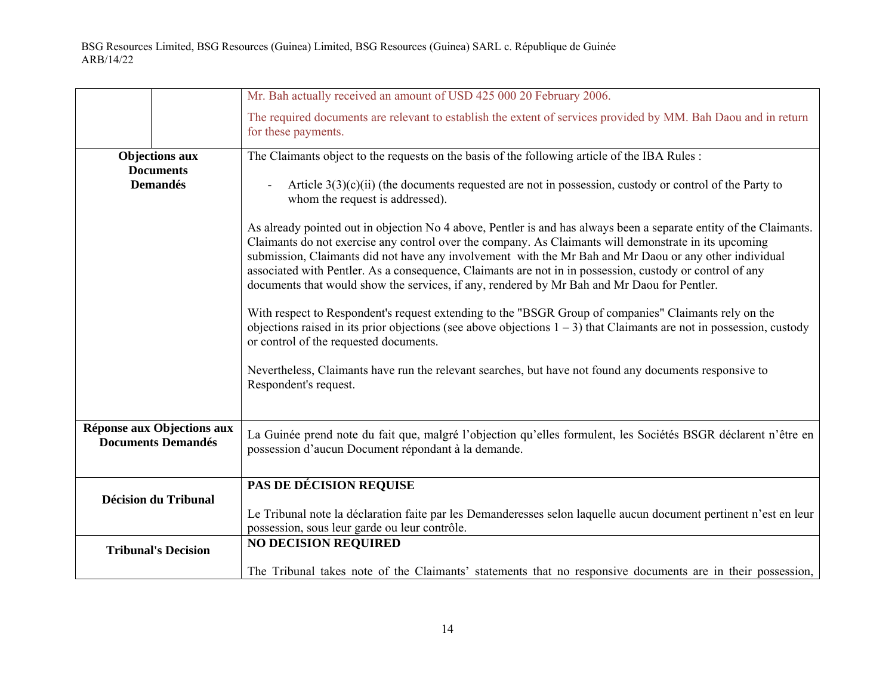|                                                         | Mr. Bah actually received an amount of USD 425 000 20 February 2006.                                                                                                                                                                                                                                                                                                                                                                                                                                                                             |
|---------------------------------------------------------|--------------------------------------------------------------------------------------------------------------------------------------------------------------------------------------------------------------------------------------------------------------------------------------------------------------------------------------------------------------------------------------------------------------------------------------------------------------------------------------------------------------------------------------------------|
|                                                         | The required documents are relevant to establish the extent of services provided by MM. Bah Daou and in return<br>for these payments.                                                                                                                                                                                                                                                                                                                                                                                                            |
| <b>Objections aux</b>                                   | The Claimants object to the requests on the basis of the following article of the IBA Rules:                                                                                                                                                                                                                                                                                                                                                                                                                                                     |
| <b>Documents</b>                                        |                                                                                                                                                                                                                                                                                                                                                                                                                                                                                                                                                  |
| <b>Demandés</b>                                         | Article $3(3)(c)(ii)$ (the documents requested are not in possession, custody or control of the Party to<br>whom the request is addressed).                                                                                                                                                                                                                                                                                                                                                                                                      |
|                                                         | As already pointed out in objection No 4 above, Pentler is and has always been a separate entity of the Claimants.<br>Claimants do not exercise any control over the company. As Claimants will demonstrate in its upcoming<br>submission, Claimants did not have any involvement with the Mr Bah and Mr Daou or any other individual<br>associated with Pentler. As a consequence, Claimants are not in in possession, custody or control of any<br>documents that would show the services, if any, rendered by Mr Bah and Mr Daou for Pentler. |
|                                                         | With respect to Respondent's request extending to the "BSGR Group of companies" Claimants rely on the<br>objections raised in its prior objections (see above objections $1 - 3$ ) that Claimants are not in possession, custody<br>or control of the requested documents.                                                                                                                                                                                                                                                                       |
|                                                         | Nevertheless, Claimants have run the relevant searches, but have not found any documents responsive to<br>Respondent's request.                                                                                                                                                                                                                                                                                                                                                                                                                  |
| Réponse aux Objections aux<br><b>Documents Demandés</b> | La Guinée prend note du fait que, malgré l'objection qu'elles formulent, les Sociétés BSGR déclarent n'être en<br>possession d'aucun Document répondant à la demande.                                                                                                                                                                                                                                                                                                                                                                            |
| <b>Décision du Tribunal</b>                             | PAS DE DÉCISION REQUISE<br>Le Tribunal note la déclaration faite par les Demanderesses selon laquelle aucun document pertinent n'est en leur                                                                                                                                                                                                                                                                                                                                                                                                     |
|                                                         | possession, sous leur garde ou leur contrôle.                                                                                                                                                                                                                                                                                                                                                                                                                                                                                                    |
| <b>Tribunal's Decision</b>                              | <b>NO DECISION REQUIRED</b>                                                                                                                                                                                                                                                                                                                                                                                                                                                                                                                      |
|                                                         | The Tribunal takes note of the Claimants' statements that no responsive documents are in their possession,                                                                                                                                                                                                                                                                                                                                                                                                                                       |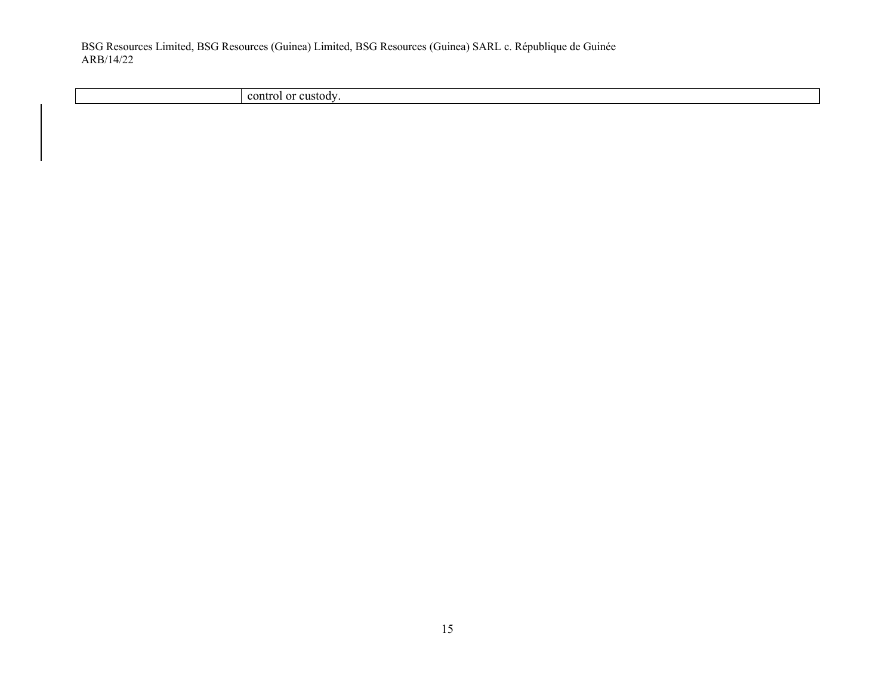control or custody.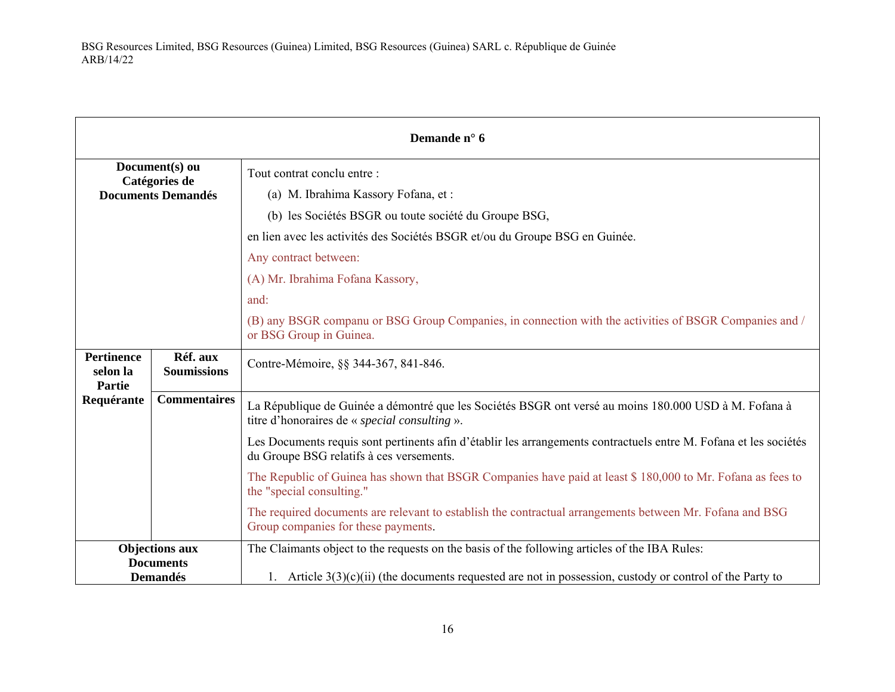|                                                |                                 | Demande n° 6                                                                                                                                                  |
|------------------------------------------------|---------------------------------|---------------------------------------------------------------------------------------------------------------------------------------------------------------|
|                                                | Document(s) ou<br>Catégories de | Tout contrat conclu entre :                                                                                                                                   |
|                                                | <b>Documents Demandés</b>       | (a) M. Ibrahima Kassory Fofana, et:                                                                                                                           |
|                                                |                                 | (b) les Sociétés BSGR ou toute société du Groupe BSG,                                                                                                         |
|                                                |                                 | en lien avec les activités des Sociétés BSGR et/ou du Groupe BSG en Guinée.                                                                                   |
|                                                |                                 | Any contract between:                                                                                                                                         |
|                                                |                                 | (A) Mr. Ibrahima Fofana Kassory,                                                                                                                              |
|                                                |                                 | and:                                                                                                                                                          |
|                                                |                                 | (B) any BSGR companu or BSG Group Companies, in connection with the activities of BSGR Companies and /<br>or BSG Group in Guinea.                             |
| <b>Pertinence</b><br>selon la<br><b>Partie</b> | Réf. aux<br><b>Soumissions</b>  | Contre-Mémoire, §§ 344-367, 841-846.                                                                                                                          |
| Requérante                                     | <b>Commentaires</b>             | La République de Guinée a démontré que les Sociétés BSGR ont versé au moins 180.000 USD à M. Fofana à<br>titre d'honoraires de « <i>special consulting</i> ». |
|                                                |                                 | Les Documents requis sont pertinents afin d'établir les arrangements contractuels entre M. Fofana et les sociétés<br>du Groupe BSG relatifs à ces versements. |
|                                                |                                 | The Republic of Guinea has shown that BSGR Companies have paid at least \$180,000 to Mr. Fofana as fees to<br>the "special consulting."                       |
|                                                |                                 | The required documents are relevant to establish the contractual arrangements between Mr. Fofana and BSG<br>Group companies for these payments.               |
|                                                | <b>Objections aux</b>           | The Claimants object to the requests on the basis of the following articles of the IBA Rules:                                                                 |
| <b>Documents</b><br><b>Demandés</b>            |                                 | 1. Article $3(3)(c)(ii)$ (the documents requested are not in possession, custody or control of the Party to                                                   |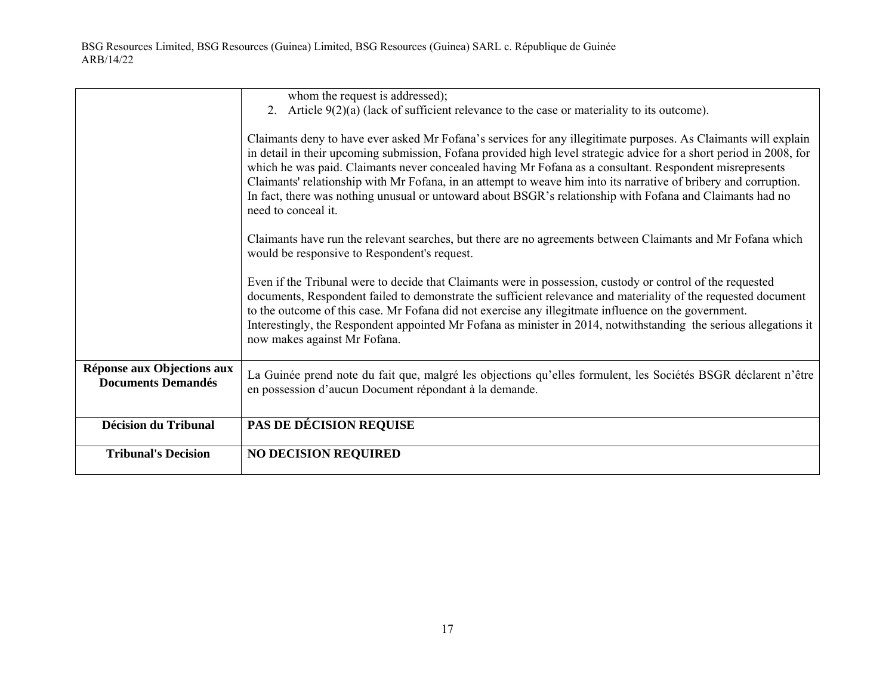|                                                         | whom the request is addressed);                                                                                                                                                                                                                                                                                                                                                                                                                                                                                                                                                                           |
|---------------------------------------------------------|-----------------------------------------------------------------------------------------------------------------------------------------------------------------------------------------------------------------------------------------------------------------------------------------------------------------------------------------------------------------------------------------------------------------------------------------------------------------------------------------------------------------------------------------------------------------------------------------------------------|
|                                                         | 2. Article $9(2)(a)$ (lack of sufficient relevance to the case or materiality to its outcome).                                                                                                                                                                                                                                                                                                                                                                                                                                                                                                            |
|                                                         | Claimants deny to have ever asked Mr Fofana's services for any illegitimate purposes. As Claimants will explain<br>in detail in their upcoming submission, Fofana provided high level strategic advice for a short period in 2008, for<br>which he was paid. Claimants never concealed having Mr Fofana as a consultant. Respondent misrepresents<br>Claimants' relationship with Mr Fofana, in an attempt to weave him into its narrative of bribery and corruption.<br>In fact, there was nothing unusual or untoward about BSGR's relationship with Fofana and Claimants had no<br>need to conceal it. |
|                                                         | Claimants have run the relevant searches, but there are no agreements between Claimants and Mr Fofana which<br>would be responsive to Respondent's request.                                                                                                                                                                                                                                                                                                                                                                                                                                               |
|                                                         | Even if the Tribunal were to decide that Claimants were in possession, custody or control of the requested<br>documents, Respondent failed to demonstrate the sufficient relevance and materiality of the requested document<br>to the outcome of this case. Mr Fofana did not exercise any illegitmate influence on the government.<br>Interestingly, the Respondent appointed Mr Fofana as minister in 2014, notwithstanding the serious allegations it<br>now makes against Mr Fofana.                                                                                                                 |
| Réponse aux Objections aux<br><b>Documents Demandés</b> | La Guinée prend note du fait que, malgré les objections qu'elles formulent, les Sociétés BSGR déclarent n'être<br>en possession d'aucun Document répondant à la demande.                                                                                                                                                                                                                                                                                                                                                                                                                                  |
| <b>Décision du Tribunal</b>                             | <b>PAS DE DÉCISION REQUISE</b>                                                                                                                                                                                                                                                                                                                                                                                                                                                                                                                                                                            |
| <b>Tribunal's Decision</b>                              | <b>NO DECISION REQUIRED</b>                                                                                                                                                                                                                                                                                                                                                                                                                                                                                                                                                                               |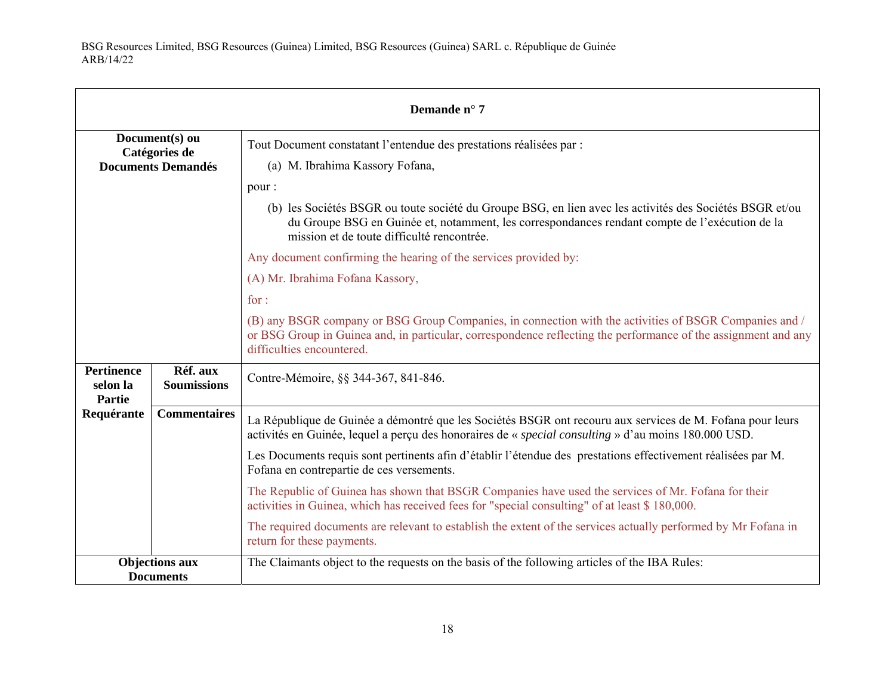| Demande n° 7                                                 |                                |                                                                                                                                                                                                                                                                                                                                                                                                                                                                                             |
|--------------------------------------------------------------|--------------------------------|---------------------------------------------------------------------------------------------------------------------------------------------------------------------------------------------------------------------------------------------------------------------------------------------------------------------------------------------------------------------------------------------------------------------------------------------------------------------------------------------|
| Document(s) ou<br>Catégories de<br><b>Documents Demandés</b> |                                | Tout Document constatant l'entendue des prestations réalisées par :<br>(a) M. Ibrahima Kassory Fofana,                                                                                                                                                                                                                                                                                                                                                                                      |
|                                                              |                                | pour:<br>(b) les Sociétés BSGR ou toute société du Groupe BSG, en lien avec les activités des Sociétés BSGR et/ou<br>du Groupe BSG en Guinée et, notamment, les correspondances rendant compte de l'exécution de la<br>mission et de toute difficulté rencontrée.<br>Any document confirming the hearing of the services provided by:<br>(A) Mr. Ibrahima Fofana Kassory,<br>for:<br>(B) any BSGR company or BSG Group Companies, in connection with the activities of BSGR Companies and / |
|                                                              |                                | or BSG Group in Guinea and, in particular, correspondence reflecting the performance of the assignment and any<br>difficulties encountered.                                                                                                                                                                                                                                                                                                                                                 |
| <b>Pertinence</b><br>selon la<br>Partie                      | Réf. aux<br><b>Soumissions</b> | Contre-Mémoire, §§ 344-367, 841-846.                                                                                                                                                                                                                                                                                                                                                                                                                                                        |
| Requérante                                                   | <b>Commentaires</b>            | La République de Guinée a démontré que les Sociétés BSGR ont recouru aux services de M. Fofana pour leurs<br>activités en Guinée, lequel a perçu des honoraires de « <i>special consulting</i> » d'au moins 180.000 USD.                                                                                                                                                                                                                                                                    |
|                                                              |                                | Les Documents requis sont pertinents afin d'établir l'étendue des prestations effectivement réalisées par M.<br>Fofana en contrepartie de ces versements.                                                                                                                                                                                                                                                                                                                                   |
|                                                              |                                | The Republic of Guinea has shown that BSGR Companies have used the services of Mr. Fofana for their<br>activities in Guinea, which has received fees for "special consulting" of at least \$180,000.                                                                                                                                                                                                                                                                                        |
|                                                              |                                | The required documents are relevant to establish the extent of the services actually performed by Mr Fofana in<br>return for these payments.                                                                                                                                                                                                                                                                                                                                                |
| <b>Objections aux</b><br><b>Documents</b>                    |                                | The Claimants object to the requests on the basis of the following articles of the IBA Rules:                                                                                                                                                                                                                                                                                                                                                                                               |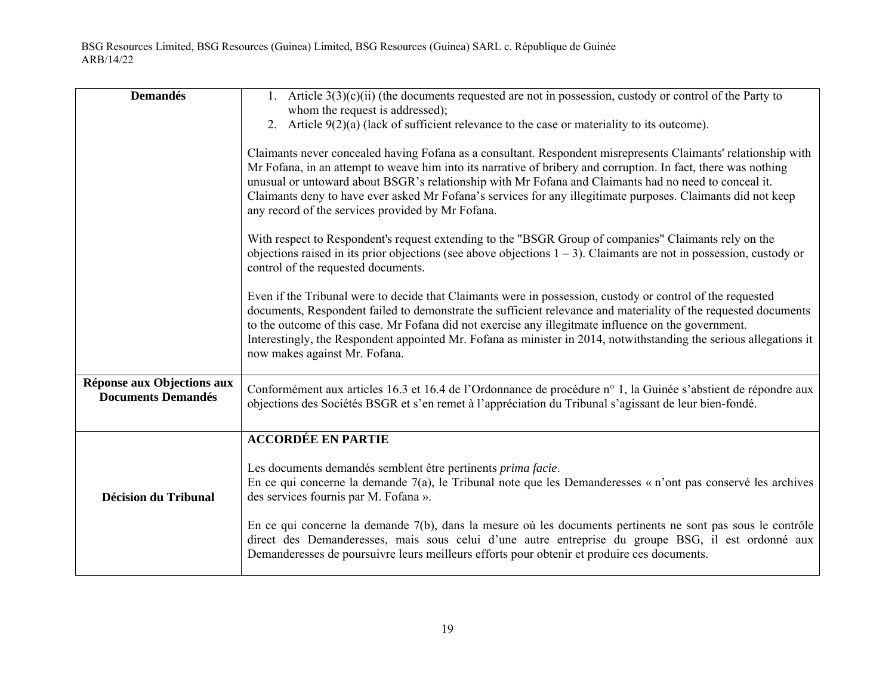| <b>Demandés</b>                                         | 1. Article $3(3)(c)(ii)$ (the documents requested are not in possession, custody or control of the Party to<br>whom the request is addressed);                                                                                                                                                                                                                                                                                                                                                                 |
|---------------------------------------------------------|----------------------------------------------------------------------------------------------------------------------------------------------------------------------------------------------------------------------------------------------------------------------------------------------------------------------------------------------------------------------------------------------------------------------------------------------------------------------------------------------------------------|
|                                                         | 2. Article $9(2)(a)$ (lack of sufficient relevance to the case or materiality to its outcome).                                                                                                                                                                                                                                                                                                                                                                                                                 |
|                                                         | Claimants never concealed having Fofana as a consultant. Respondent misrepresents Claimants' relationship with<br>Mr Fofana, in an attempt to weave him into its narrative of bribery and corruption. In fact, there was nothing<br>unusual or untoward about BSGR's relationship with Mr Fofana and Claimants had no need to conceal it.<br>Claimants deny to have ever asked Mr Fofana's services for any illegitimate purposes. Claimants did not keep<br>any record of the services provided by Mr Fofana. |
|                                                         | With respect to Respondent's request extending to the "BSGR Group of companies" Claimants rely on the<br>objections raised in its prior objections (see above objections $1 - 3$ ). Claimants are not in possession, custody or<br>control of the requested documents.                                                                                                                                                                                                                                         |
|                                                         | Even if the Tribunal were to decide that Claimants were in possession, custody or control of the requested<br>documents, Respondent failed to demonstrate the sufficient relevance and materiality of the requested documents<br>to the outcome of this case. Mr Fofana did not exercise any illegitmate influence on the government.<br>Interestingly, the Respondent appointed Mr. Fofana as minister in 2014, notwithstanding the serious allegations it<br>now makes against Mr. Fofana.                   |
| Réponse aux Objections aux<br><b>Documents Demandés</b> | Conformément aux articles 16.3 et 16.4 de l'Ordonnance de procédure n° 1, la Guinée s'abstient de répondre aux<br>objections des Sociétés BSGR et s'en remet à l'appréciation du Tribunal s'agissant de leur bien-fondé.                                                                                                                                                                                                                                                                                       |
|                                                         | <b>ACCORDÉE EN PARTIE</b>                                                                                                                                                                                                                                                                                                                                                                                                                                                                                      |
| <b>Décision du Tribunal</b>                             | Les documents demandés semblent être pertinents prima facie.<br>En ce qui concerne la demande 7(a), le Tribunal note que les Demanderesses « n'ont pas conservé les archives<br>des services fournis par M. Fofana ».                                                                                                                                                                                                                                                                                          |
|                                                         | En ce qui concerne la demande 7(b), dans la mesure où les documents pertinents ne sont pas sous le contrôle<br>direct des Demanderesses, mais sous celui d'une autre entreprise du groupe BSG, il est ordonné aux<br>Demanderesses de poursuivre leurs meilleurs efforts pour obtenir et produire ces documents.                                                                                                                                                                                               |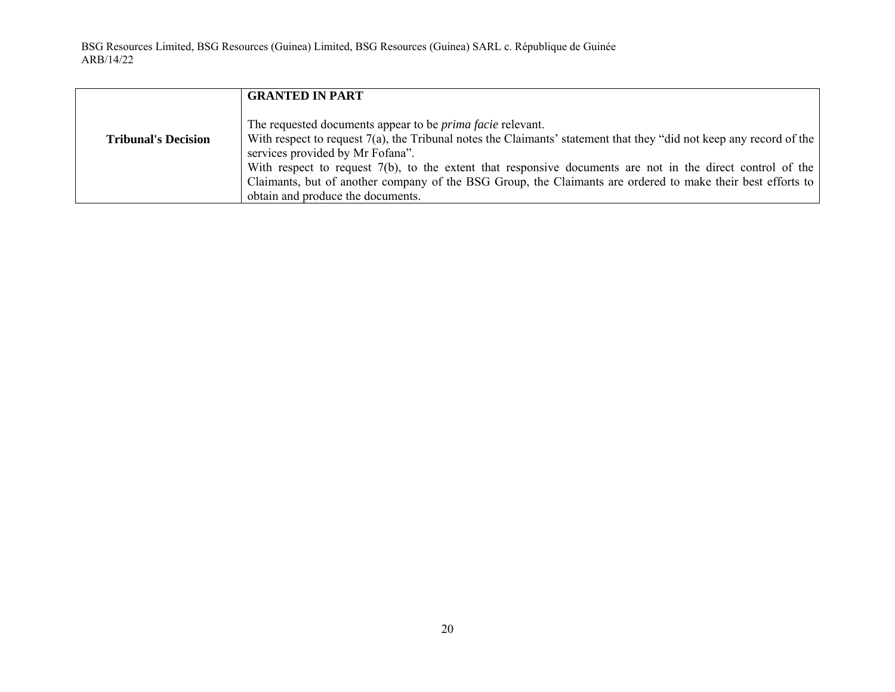|                            | <b>GRANTED IN PART</b>                                                                                                                                                                                                                                                                                                                                                                                                                                                                            |
|----------------------------|---------------------------------------------------------------------------------------------------------------------------------------------------------------------------------------------------------------------------------------------------------------------------------------------------------------------------------------------------------------------------------------------------------------------------------------------------------------------------------------------------|
| <b>Tribunal's Decision</b> | The requested documents appear to be <i>prima facie</i> relevant.<br>With respect to request 7(a), the Tribunal notes the Claimants' statement that they "did not keep any record of the<br>services provided by Mr Fofana".<br>With respect to request $7(b)$ , to the extent that responsive documents are not in the direct control of the<br>Claimants, but of another company of the BSG Group, the Claimants are ordered to make their best efforts to<br>obtain and produce the documents. |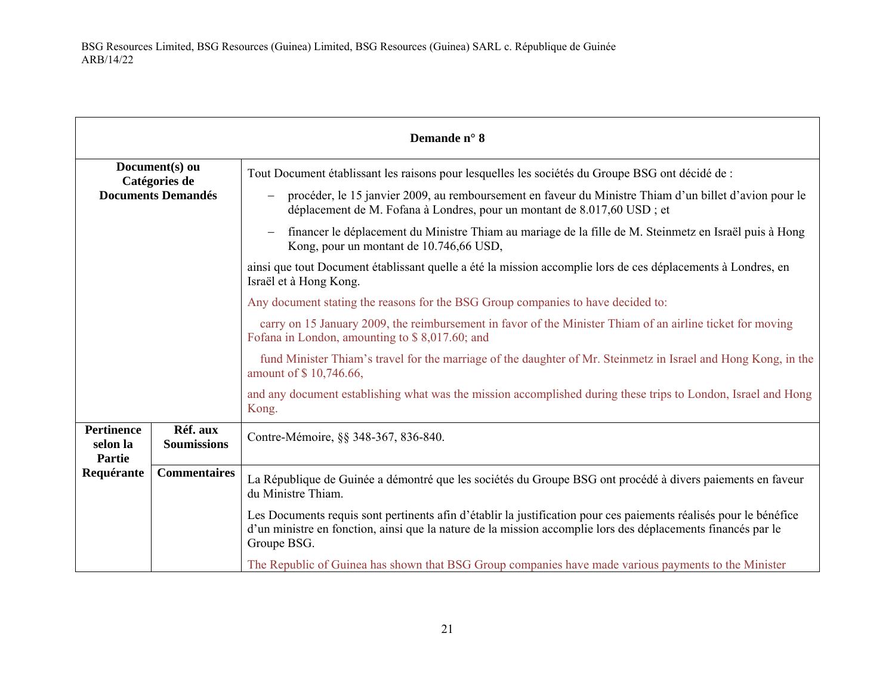|                                                |                                 | Demande n° 8                                                                                                                                                                                                                                     |
|------------------------------------------------|---------------------------------|--------------------------------------------------------------------------------------------------------------------------------------------------------------------------------------------------------------------------------------------------|
|                                                | Document(s) ou<br>Catégories de | Tout Document établissant les raisons pour lesquelles les sociétés du Groupe BSG ont décidé de :                                                                                                                                                 |
| <b>Documents Demandés</b>                      |                                 | procéder, le 15 janvier 2009, au remboursement en faveur du Ministre Thiam d'un billet d'avion pour le<br>déplacement de M. Fofana à Londres, pour un montant de 8.017,60 USD; et                                                                |
|                                                |                                 | financer le déplacement du Ministre Thiam au mariage de la fille de M. Steinmetz en Israël puis à Hong<br>Kong, pour un montant de 10.746,66 USD,                                                                                                |
|                                                |                                 | ainsi que tout Document établissant quelle a été la mission accomplie lors de ces déplacements à Londres, en<br>Israël et à Hong Kong.                                                                                                           |
|                                                |                                 | Any document stating the reasons for the BSG Group companies to have decided to:                                                                                                                                                                 |
|                                                |                                 | carry on 15 January 2009, the reimbursement in favor of the Minister Thiam of an airline ticket for moving<br>Fofana in London, amounting to \$8,017.60; and                                                                                     |
|                                                |                                 | fund Minister Thiam's travel for the marriage of the daughter of Mr. Steinmetz in Israel and Hong Kong, in the<br>amount of \$10,746.66,                                                                                                         |
|                                                |                                 | and any document establishing what was the mission accomplished during these trips to London, Israel and Hong<br>Kong.                                                                                                                           |
| <b>Pertinence</b><br>selon la<br><b>Partie</b> | Réf. aux<br><b>Soumissions</b>  | Contre-Mémoire, §§ 348-367, 836-840.                                                                                                                                                                                                             |
| Requérante                                     | <b>Commentaires</b>             | La République de Guinée a démontré que les sociétés du Groupe BSG ont procédé à divers paiements en faveur<br>du Ministre Thiam.                                                                                                                 |
|                                                |                                 | Les Documents requis sont pertinents afin d'établir la justification pour ces paiements réalisés pour le bénéfice<br>d'un ministre en fonction, ainsi que la nature de la mission accomplie lors des déplacements financés par le<br>Groupe BSG. |
|                                                |                                 | The Republic of Guinea has shown that BSG Group companies have made various payments to the Minister                                                                                                                                             |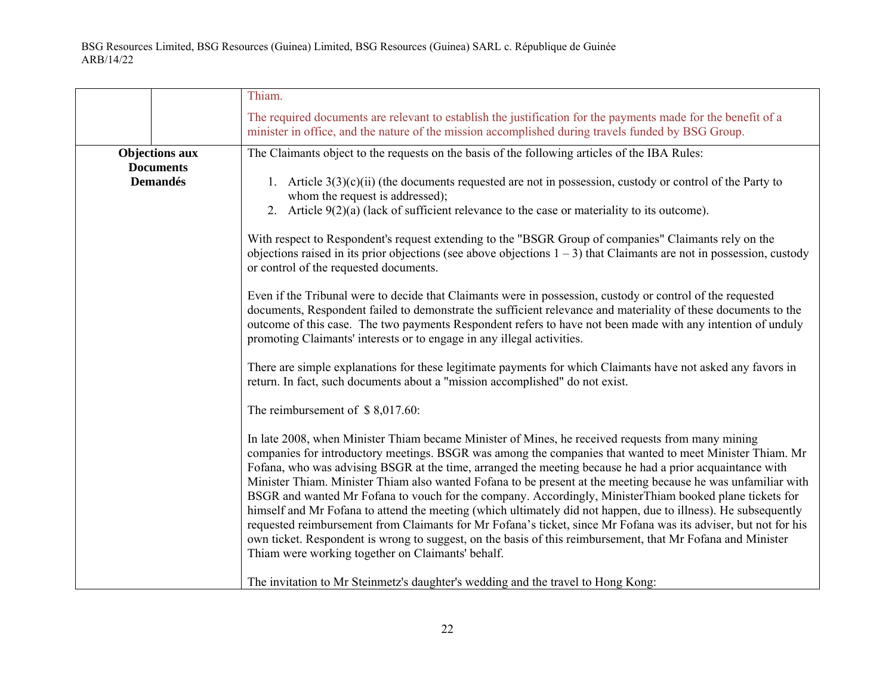|                                                              | Thiam.                                                                                                                                                                                                                                                                                                                                                                                                                                                                                                                                                                                                                                                                                                                                                                                                                                                                                                                                                                                                                                                                                                                                                                                                                                                                                                                                                                                                                                                                                                                                                                                                                                                                                                                                                                                                                                                                                                                                                                                                                                                                                                                                                                                                                                                                                                                                               |
|--------------------------------------------------------------|------------------------------------------------------------------------------------------------------------------------------------------------------------------------------------------------------------------------------------------------------------------------------------------------------------------------------------------------------------------------------------------------------------------------------------------------------------------------------------------------------------------------------------------------------------------------------------------------------------------------------------------------------------------------------------------------------------------------------------------------------------------------------------------------------------------------------------------------------------------------------------------------------------------------------------------------------------------------------------------------------------------------------------------------------------------------------------------------------------------------------------------------------------------------------------------------------------------------------------------------------------------------------------------------------------------------------------------------------------------------------------------------------------------------------------------------------------------------------------------------------------------------------------------------------------------------------------------------------------------------------------------------------------------------------------------------------------------------------------------------------------------------------------------------------------------------------------------------------------------------------------------------------------------------------------------------------------------------------------------------------------------------------------------------------------------------------------------------------------------------------------------------------------------------------------------------------------------------------------------------------------------------------------------------------------------------------------------------------|
|                                                              | The required documents are relevant to establish the justification for the payments made for the benefit of a<br>minister in office, and the nature of the mission accomplished during travels funded by BSG Group.                                                                                                                                                                                                                                                                                                                                                                                                                                                                                                                                                                                                                                                                                                                                                                                                                                                                                                                                                                                                                                                                                                                                                                                                                                                                                                                                                                                                                                                                                                                                                                                                                                                                                                                                                                                                                                                                                                                                                                                                                                                                                                                                  |
| <b>Objections aux</b><br><b>Documents</b><br><b>Demandés</b> | The Claimants object to the requests on the basis of the following articles of the IBA Rules:<br>1. Article $3(3)(c)(ii)$ (the documents requested are not in possession, custody or control of the Party to<br>whom the request is addressed);<br>2. Article $9(2)(a)$ (lack of sufficient relevance to the case or materiality to its outcome).<br>With respect to Respondent's request extending to the "BSGR Group of companies" Claimants rely on the<br>objections raised in its prior objections (see above objections $1 - 3$ ) that Claimants are not in possession, custody<br>or control of the requested documents.<br>Even if the Tribunal were to decide that Claimants were in possession, custody or control of the requested<br>documents, Respondent failed to demonstrate the sufficient relevance and materiality of these documents to the<br>outcome of this case. The two payments Respondent refers to have not been made with any intention of unduly<br>promoting Claimants' interests or to engage in any illegal activities.<br>There are simple explanations for these legitimate payments for which Claimants have not asked any favors in<br>return. In fact, such documents about a "mission accomplished" do not exist.<br>The reimbursement of $$8,017.60$ :<br>In late 2008, when Minister Thiam became Minister of Mines, he received requests from many mining<br>companies for introductory meetings. BSGR was among the companies that wanted to meet Minister Thiam. Mr<br>Fofana, who was advising BSGR at the time, arranged the meeting because he had a prior acquaintance with<br>Minister Thiam. Minister Thiam also wanted Fofana to be present at the meeting because he was unfamiliar with<br>BSGR and wanted Mr Fofana to vouch for the company. Accordingly, MinisterThiam booked plane tickets for<br>himself and Mr Fofana to attend the meeting (which ultimately did not happen, due to illness). He subsequently<br>requested reimbursement from Claimants for Mr Fofana's ticket, since Mr Fofana was its adviser, but not for his<br>own ticket. Respondent is wrong to suggest, on the basis of this reimbursement, that Mr Fofana and Minister<br>Thiam were working together on Claimants' behalf.<br>The invitation to Mr Steinmetz's daughter's wedding and the travel to Hong Kong: |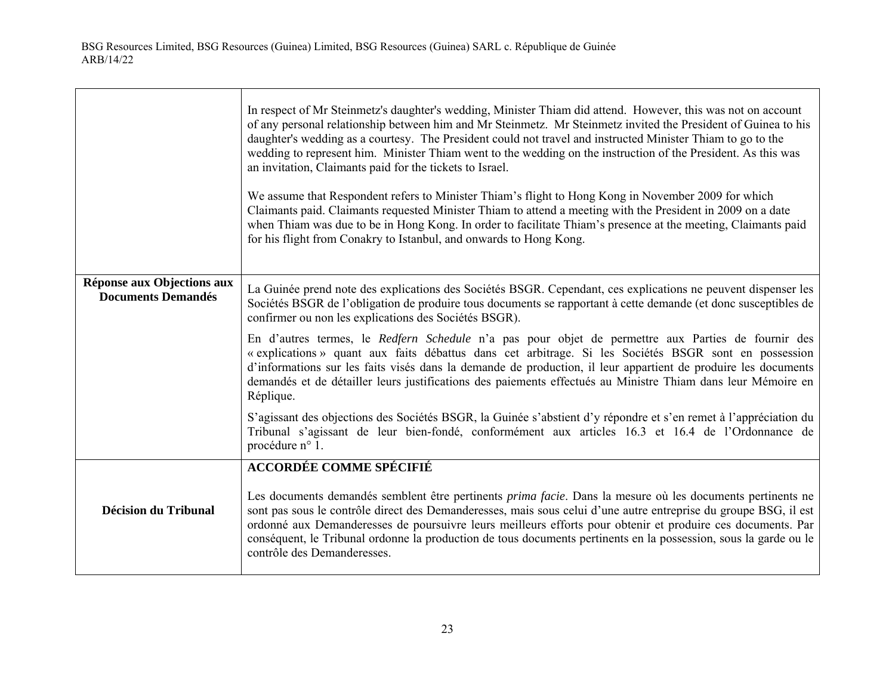$\Gamma$ 

|                                                         | In respect of Mr Steinmetz's daughter's wedding, Minister Thiam did attend. However, this was not on account<br>of any personal relationship between him and Mr Steinmetz. Mr Steinmetz invited the President of Guinea to his<br>daughter's wedding as a courtesy. The President could not travel and instructed Minister Thiam to go to the<br>wedding to represent him. Minister Thiam went to the wedding on the instruction of the President. As this was<br>an invitation, Claimants paid for the tickets to Israel.<br>We assume that Respondent refers to Minister Thiam's flight to Hong Kong in November 2009 for which<br>Claimants paid. Claimants requested Minister Thiam to attend a meeting with the President in 2009 on a date<br>when Thiam was due to be in Hong Kong. In order to facilitate Thiam's presence at the meeting, Claimants paid<br>for his flight from Conakry to Istanbul, and onwards to Hong Kong. |
|---------------------------------------------------------|-----------------------------------------------------------------------------------------------------------------------------------------------------------------------------------------------------------------------------------------------------------------------------------------------------------------------------------------------------------------------------------------------------------------------------------------------------------------------------------------------------------------------------------------------------------------------------------------------------------------------------------------------------------------------------------------------------------------------------------------------------------------------------------------------------------------------------------------------------------------------------------------------------------------------------------------|
| Réponse aux Objections aux<br><b>Documents Demandés</b> | La Guinée prend note des explications des Sociétés BSGR. Cependant, ces explications ne peuvent dispenser les<br>Sociétés BSGR de l'obligation de produire tous documents se rapportant à cette demande (et donc susceptibles de<br>confirmer ou non les explications des Sociétés BSGR).                                                                                                                                                                                                                                                                                                                                                                                                                                                                                                                                                                                                                                               |
|                                                         | En d'autres termes, le Redfern Schedule n'a pas pour objet de permettre aux Parties de fournir des<br>« explications » quant aux faits débattus dans cet arbitrage. Si les Sociétés BSGR sont en possession<br>d'informations sur les faits visés dans la demande de production, il leur appartient de produire les documents<br>demandés et de détailler leurs justifications des paiements effectués au Ministre Thiam dans leur Mémoire en<br>Réplique.                                                                                                                                                                                                                                                                                                                                                                                                                                                                              |
|                                                         | S'agissant des objections des Sociétés BSGR, la Guinée s'abstient d'y répondre et s'en remet à l'appréciation du<br>Tribunal s'agissant de leur bien-fondé, conformément aux articles 16.3 et 16.4 de l'Ordonnance de<br>procédure n° 1.                                                                                                                                                                                                                                                                                                                                                                                                                                                                                                                                                                                                                                                                                                |
|                                                         | <b>ACCORDÉE COMME SPÉCIFIÉ</b>                                                                                                                                                                                                                                                                                                                                                                                                                                                                                                                                                                                                                                                                                                                                                                                                                                                                                                          |
| <b>Décision du Tribunal</b>                             | Les documents demandés semblent être pertinents <i>prima facie</i> . Dans la mesure où les documents pertinents ne<br>sont pas sous le contrôle direct des Demanderesses, mais sous celui d'une autre entreprise du groupe BSG, il est<br>ordonné aux Demanderesses de poursuivre leurs meilleurs efforts pour obtenir et produire ces documents. Par<br>conséquent, le Tribunal ordonne la production de tous documents pertinents en la possession, sous la garde ou le<br>contrôle des Demanderesses.                                                                                                                                                                                                                                                                                                                                                                                                                                |

┑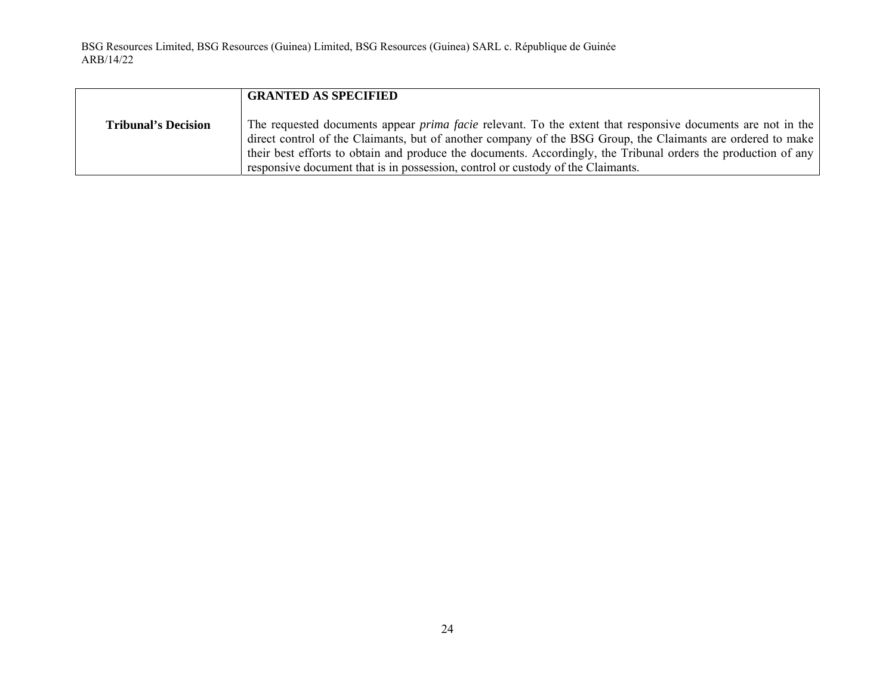|                            | <b>GRANTED AS SPECIFIED</b>                                                                                                                                                                                                                                                                                                                                                                                                            |
|----------------------------|----------------------------------------------------------------------------------------------------------------------------------------------------------------------------------------------------------------------------------------------------------------------------------------------------------------------------------------------------------------------------------------------------------------------------------------|
| <b>Tribunal's Decision</b> | The requested documents appear <i>prima facie</i> relevant. To the extent that responsive documents are not in the<br>direct control of the Claimants, but of another company of the BSG Group, the Claimants are ordered to make<br>their best efforts to obtain and produce the documents. Accordingly, the Tribunal orders the production of any<br>responsive document that is in possession, control or custody of the Claimants. |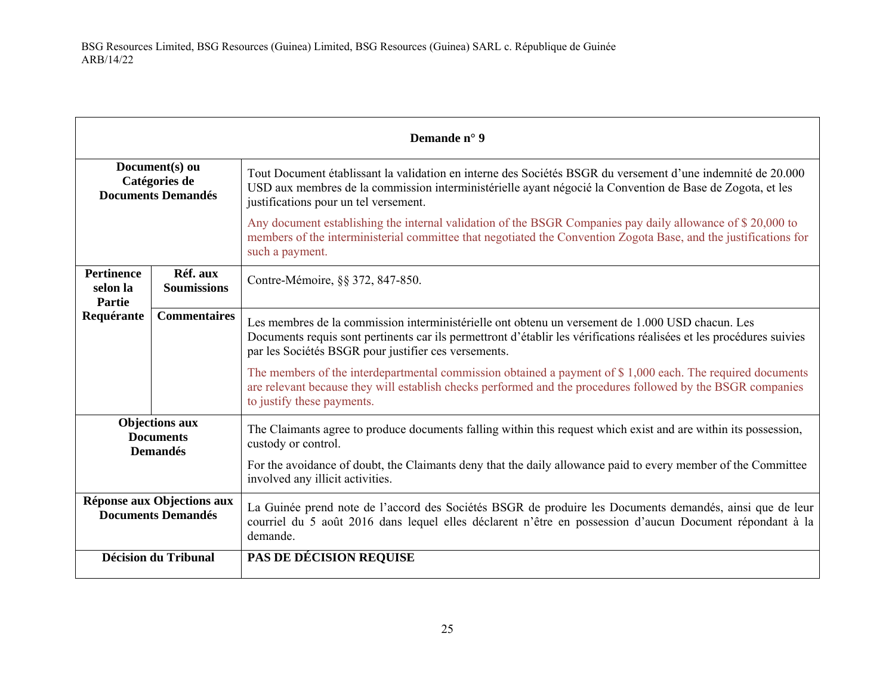| Demande n° 9                                                 |                                |                                                                                                                                                                                                                                                                                  |
|--------------------------------------------------------------|--------------------------------|----------------------------------------------------------------------------------------------------------------------------------------------------------------------------------------------------------------------------------------------------------------------------------|
| Document(s) ou<br>Catégories de<br><b>Documents Demandés</b> |                                | Tout Document établissant la validation en interne des Sociétés BSGR du versement d'une indemnité de 20.000<br>USD aux membres de la commission interministérielle ayant négocié la Convention de Base de Zogota, et les<br>justifications pour un tel versement.                |
|                                                              |                                | Any document establishing the internal validation of the BSGR Companies pay daily allowance of \$20,000 to<br>members of the interministerial committee that negotiated the Convention Zogota Base, and the justifications for<br>such a payment.                                |
| <b>Pertinence</b><br>selon la<br>Partie                      | Réf. aux<br><b>Soumissions</b> | Contre-Mémoire, §§ 372, 847-850.                                                                                                                                                                                                                                                 |
| Requérante                                                   | <b>Commentaires</b>            | Les membres de la commission interministérielle ont obtenu un versement de 1.000 USD chacun. Les<br>Documents requis sont pertinents car ils permettront d'établir les vérifications réalisées et les procédures suivies<br>par les Sociétés BSGR pour justifier ces versements. |
|                                                              |                                | The members of the interdepartmental commission obtained a payment of \$1,000 each. The required documents<br>are relevant because they will establish checks performed and the procedures followed by the BSGR companies<br>to justify these payments.                          |
| <b>Objections aux</b><br><b>Documents</b><br><b>Demandés</b> |                                | The Claimants agree to produce documents falling within this request which exist and are within its possession,<br>custody or control.                                                                                                                                           |
|                                                              |                                | For the avoidance of doubt, the Claimants deny that the daily allowance paid to every member of the Committee<br>involved any illicit activities.                                                                                                                                |
| Réponse aux Objections aux<br><b>Documents Demandés</b>      |                                | La Guinée prend note de l'accord des Sociétés BSGR de produire les Documents demandés, ainsi que de leur<br>courriel du 5 août 2016 dans lequel elles déclarent n'être en possession d'aucun Document répondant à la<br>demande.                                                 |
| <b>Décision du Tribunal</b>                                  |                                | <b>PAS DE DÉCISION REQUISE</b>                                                                                                                                                                                                                                                   |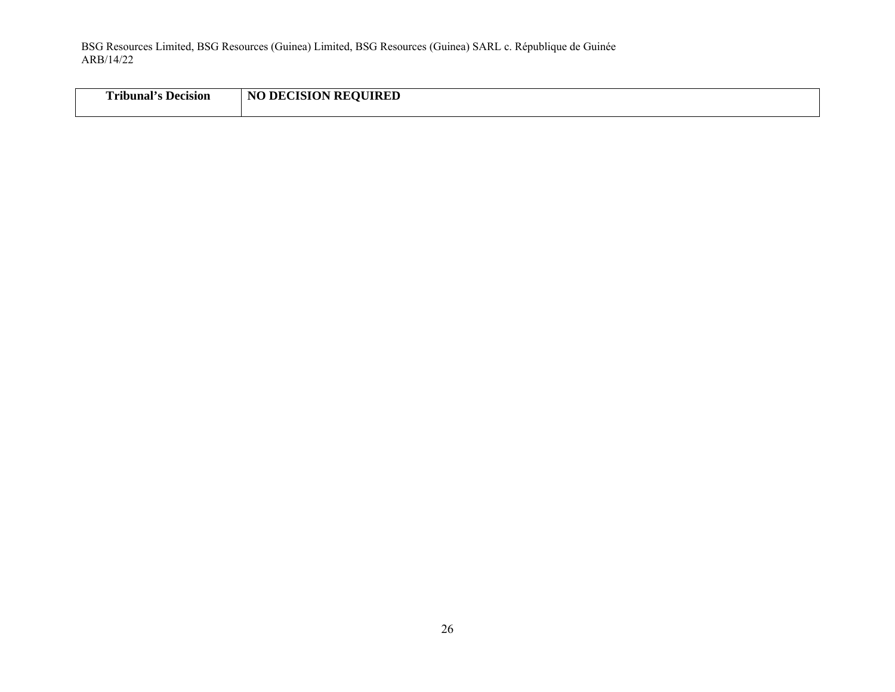| Uribunal's Decision | <b>DECISION REQUIRED</b><br>NO |
|---------------------|--------------------------------|
|                     |                                |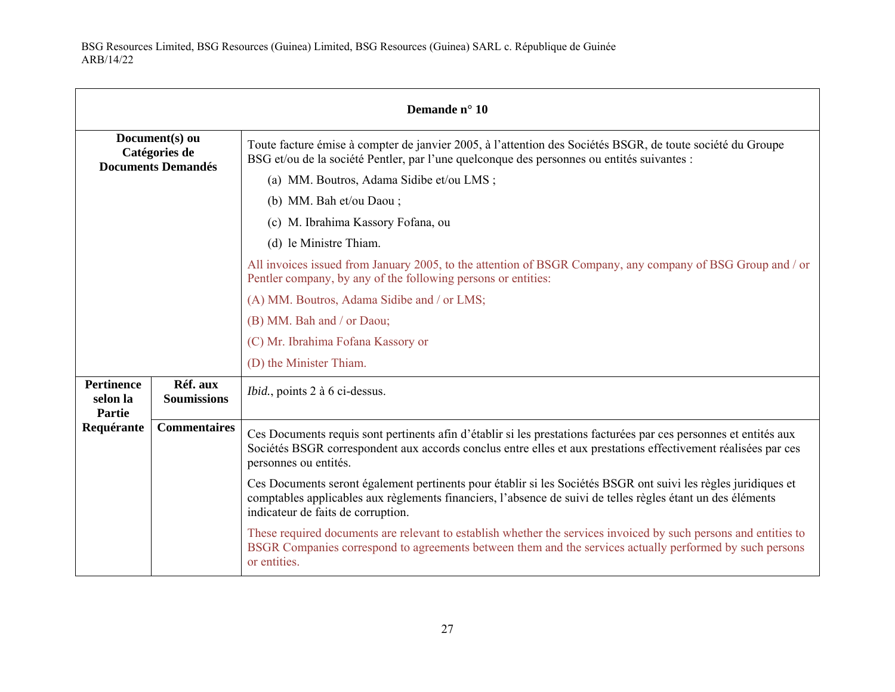| Demande n° 10                                                |                                |                                                                                                                                                                                                                                                                     |
|--------------------------------------------------------------|--------------------------------|---------------------------------------------------------------------------------------------------------------------------------------------------------------------------------------------------------------------------------------------------------------------|
| Document(s) ou<br>Catégories de<br><b>Documents Demandés</b> |                                | Toute facture émise à compter de janvier 2005, à l'attention des Sociétés BSGR, de toute société du Groupe<br>BSG et/ou de la société Pentler, par l'une quelconque des personnes ou entités suivantes :                                                            |
|                                                              |                                | (a) MM. Boutros, Adama Sidibe et/ou LMS;                                                                                                                                                                                                                            |
|                                                              |                                | (b) MM. Bah et/ou Daou;                                                                                                                                                                                                                                             |
|                                                              |                                | (c) M. Ibrahima Kassory Fofana, ou                                                                                                                                                                                                                                  |
|                                                              |                                | (d) le Ministre Thiam.                                                                                                                                                                                                                                              |
|                                                              |                                | All invoices issued from January 2005, to the attention of BSGR Company, any company of BSG Group and / or<br>Pentler company, by any of the following persons or entities:                                                                                         |
|                                                              |                                | (A) MM. Boutros, Adama Sidibe and / or LMS;                                                                                                                                                                                                                         |
|                                                              |                                | (B) MM. Bah and / or Daou;                                                                                                                                                                                                                                          |
|                                                              |                                | (C) Mr. Ibrahima Fofana Kassory or                                                                                                                                                                                                                                  |
|                                                              |                                | (D) the Minister Thiam.                                                                                                                                                                                                                                             |
| <b>Pertinence</b><br>selon la<br>Partie                      | Réf. aux<br><b>Soumissions</b> | <i>Ibid.</i> , points 2 à 6 ci-dessus.                                                                                                                                                                                                                              |
| Requérante                                                   | <b>Commentaires</b>            | Ces Documents requis sont pertinents afin d'établir si les prestations facturées par ces personnes et entités aux<br>Sociétés BSGR correspondent aux accords conclus entre elles et aux prestations effectivement réalisées par ces<br>personnes ou entités.        |
|                                                              |                                | Ces Documents seront également pertinents pour établir si les Sociétés BSGR ont suivi les règles juridiques et<br>comptables applicables aux règlements financiers, l'absence de suivi de telles règles étant un des éléments<br>indicateur de faits de corruption. |
|                                                              |                                | These required documents are relevant to establish whether the services invoiced by such persons and entities to<br>BSGR Companies correspond to agreements between them and the services actually performed by such persons<br>or entities.                        |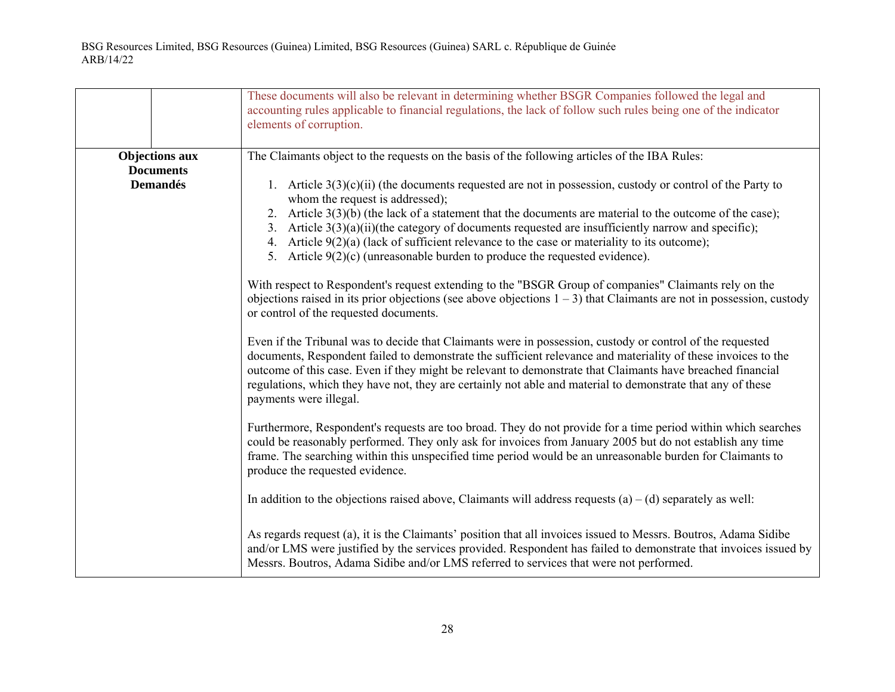|                                           | These documents will also be relevant in determining whether BSGR Companies followed the legal and<br>accounting rules applicable to financial regulations, the lack of follow such rules being one of the indicator<br>elements of corruption.                                                                                                                                                                                                                                                                                                          |
|-------------------------------------------|----------------------------------------------------------------------------------------------------------------------------------------------------------------------------------------------------------------------------------------------------------------------------------------------------------------------------------------------------------------------------------------------------------------------------------------------------------------------------------------------------------------------------------------------------------|
| <b>Objections aux</b><br><b>Documents</b> | The Claimants object to the requests on the basis of the following articles of the IBA Rules:                                                                                                                                                                                                                                                                                                                                                                                                                                                            |
| <b>Demandés</b>                           | 1. Article $3(3)(c)(ii)$ (the documents requested are not in possession, custody or control of the Party to<br>whom the request is addressed);<br>2. Article $3(3)(b)$ (the lack of a statement that the documents are material to the outcome of the case);<br>3. Article $3(3)(a)(ii)(the category of documents requested are insufficiently narrow and specific);$<br>4. Article $9(2)(a)$ (lack of sufficient relevance to the case or materiality to its outcome);<br>5. Article $9(2)(c)$ (unreasonable burden to produce the requested evidence). |
|                                           | With respect to Respondent's request extending to the "BSGR Group of companies" Claimants rely on the<br>objections raised in its prior objections (see above objections $1 - 3$ ) that Claimants are not in possession, custody<br>or control of the requested documents.                                                                                                                                                                                                                                                                               |
|                                           | Even if the Tribunal was to decide that Claimants were in possession, custody or control of the requested<br>documents, Respondent failed to demonstrate the sufficient relevance and materiality of these invoices to the<br>outcome of this case. Even if they might be relevant to demonstrate that Claimants have breached financial<br>regulations, which they have not, they are certainly not able and material to demonstrate that any of these<br>payments were illegal.                                                                        |
|                                           | Furthermore, Respondent's requests are too broad. They do not provide for a time period within which searches<br>could be reasonably performed. They only ask for invoices from January 2005 but do not establish any time<br>frame. The searching within this unspecified time period would be an unreasonable burden for Claimants to<br>produce the requested evidence.                                                                                                                                                                               |
|                                           | In addition to the objections raised above, Claimants will address requests $(a) - (d)$ separately as well:                                                                                                                                                                                                                                                                                                                                                                                                                                              |
|                                           | As regards request (a), it is the Claimants' position that all invoices issued to Messrs. Boutros, Adama Sidibe<br>and/or LMS were justified by the services provided. Respondent has failed to demonstrate that invoices issued by<br>Messrs. Boutros, Adama Sidibe and/or LMS referred to services that were not performed.                                                                                                                                                                                                                            |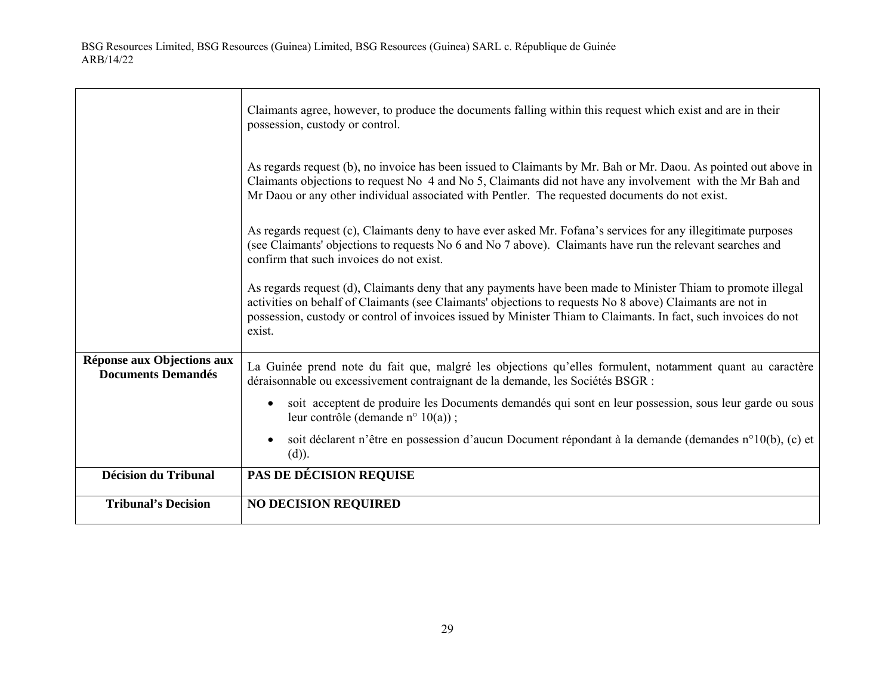$\Gamma$ 

|                                                         | Claimants agree, however, to produce the documents falling within this request which exist and are in their<br>possession, custody or control.                                                                                                                                                                                                         |
|---------------------------------------------------------|--------------------------------------------------------------------------------------------------------------------------------------------------------------------------------------------------------------------------------------------------------------------------------------------------------------------------------------------------------|
|                                                         | As regards request (b), no invoice has been issued to Claimants by Mr. Bah or Mr. Daou. As pointed out above in<br>Claimants objections to request No 4 and No 5, Claimants did not have any involvement with the Mr Bah and<br>Mr Daou or any other individual associated with Pentler. The requested documents do not exist.                         |
|                                                         | As regards request (c), Claimants deny to have ever asked Mr. Fofana's services for any illegitimate purposes<br>(see Claimants' objections to requests No 6 and No 7 above). Claimants have run the relevant searches and<br>confirm that such invoices do not exist.                                                                                 |
|                                                         | As regards request (d), Claimants deny that any payments have been made to Minister Thiam to promote illegal<br>activities on behalf of Claimants (see Claimants' objections to requests No 8 above) Claimants are not in<br>possession, custody or control of invoices issued by Minister Thiam to Claimants. In fact, such invoices do not<br>exist. |
| Réponse aux Objections aux<br><b>Documents Demandés</b> | La Guinée prend note du fait que, malgré les objections qu'elles formulent, notamment quant au caractère<br>déraisonnable ou excessivement contraignant de la demande, les Sociétés BSGR :                                                                                                                                                             |
|                                                         | soit acceptent de produire les Documents demandés qui sont en leur possession, sous leur garde ou sous<br>$\bullet$<br>leur contrôle (demande n° 10(a));                                                                                                                                                                                               |
|                                                         | soit déclarent n'être en possession d'aucun Document répondant à la demande (demandes n°10(b), (c) et<br>$\bullet$<br>$(d)$ ).                                                                                                                                                                                                                         |
| <b>Décision du Tribunal</b>                             | <b>PAS DE DÉCISION REQUISE</b>                                                                                                                                                                                                                                                                                                                         |
| <b>Tribunal's Decision</b>                              | <b>NO DECISION REQUIRED</b>                                                                                                                                                                                                                                                                                                                            |

┑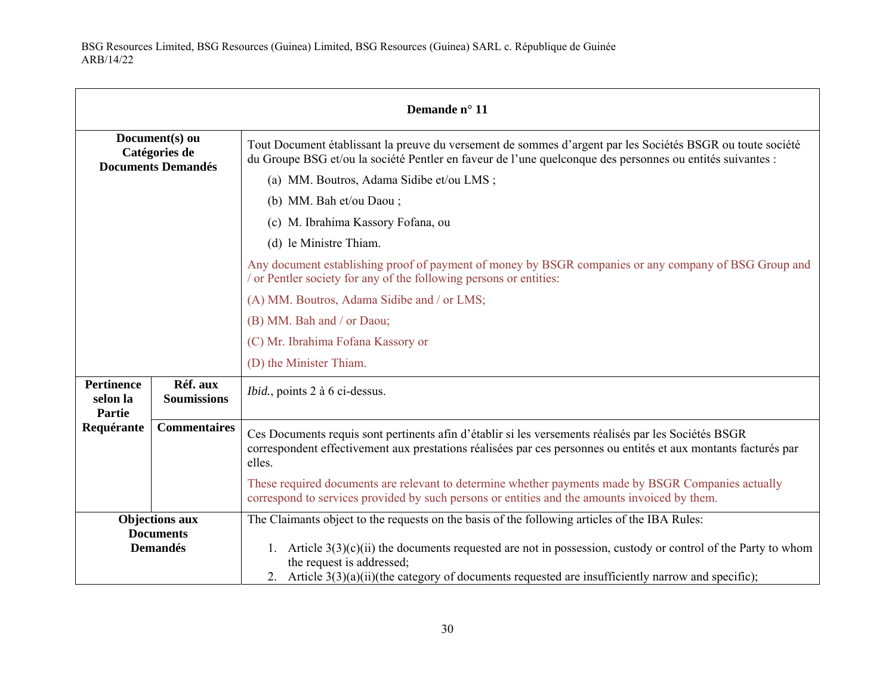| Demande n° 11                                                |                                |                                                                                                                                                                                                                                                       |
|--------------------------------------------------------------|--------------------------------|-------------------------------------------------------------------------------------------------------------------------------------------------------------------------------------------------------------------------------------------------------|
| Document(s) ou<br>Catégories de<br><b>Documents Demandés</b> |                                | Tout Document établissant la preuve du versement de sommes d'argent par les Sociétés BSGR ou toute société<br>du Groupe BSG et/ou la société Pentler en faveur de l'une quelconque des personnes ou entités suivantes :                               |
|                                                              |                                | (a) MM. Boutros, Adama Sidibe et/ou LMS;                                                                                                                                                                                                              |
|                                                              |                                | (b) MM. Bah et/ou Daou;                                                                                                                                                                                                                               |
|                                                              |                                | (c) M. Ibrahima Kassory Fofana, ou                                                                                                                                                                                                                    |
|                                                              |                                | (d) le Ministre Thiam.                                                                                                                                                                                                                                |
|                                                              |                                | Any document establishing proof of payment of money by BSGR companies or any company of BSG Group and<br>or Pentler society for any of the following persons or entities:                                                                             |
|                                                              |                                | (A) MM. Boutros, Adama Sidibe and / or LMS;                                                                                                                                                                                                           |
|                                                              |                                | (B) MM. Bah and / or Daou;                                                                                                                                                                                                                            |
|                                                              |                                | (C) Mr. Ibrahima Fofana Kassory or                                                                                                                                                                                                                    |
|                                                              |                                | (D) the Minister Thiam.                                                                                                                                                                                                                               |
| <b>Pertinence</b><br>selon la<br><b>Partie</b>               | Réf. aux<br><b>Soumissions</b> | <i>Ibid.</i> , points 2 à 6 ci-dessus.                                                                                                                                                                                                                |
| Requérante                                                   | <b>Commentaires</b>            | Ces Documents requis sont pertinents afin d'établir si les versements réalisés par les Sociétés BSGR<br>correspondent effectivement aux prestations réalisées par ces personnes ou entités et aux montants facturés par<br>elles.                     |
|                                                              |                                | These required documents are relevant to determine whether payments made by BSGR Companies actually<br>correspond to services provided by such persons or entities and the amounts invoiced by them.                                                  |
| <b>Objections aux</b>                                        |                                | The Claimants object to the requests on the basis of the following articles of the IBA Rules:                                                                                                                                                         |
| <b>Documents</b><br><b>Demandés</b>                          |                                | 1. Article $3(3)(c)(ii)$ the documents requested are not in possession, custody or control of the Party to whom<br>the request is addressed;<br>2. Article $3(3)(a)(ii)(the category of documents requested are insufficiently narrow and specific);$ |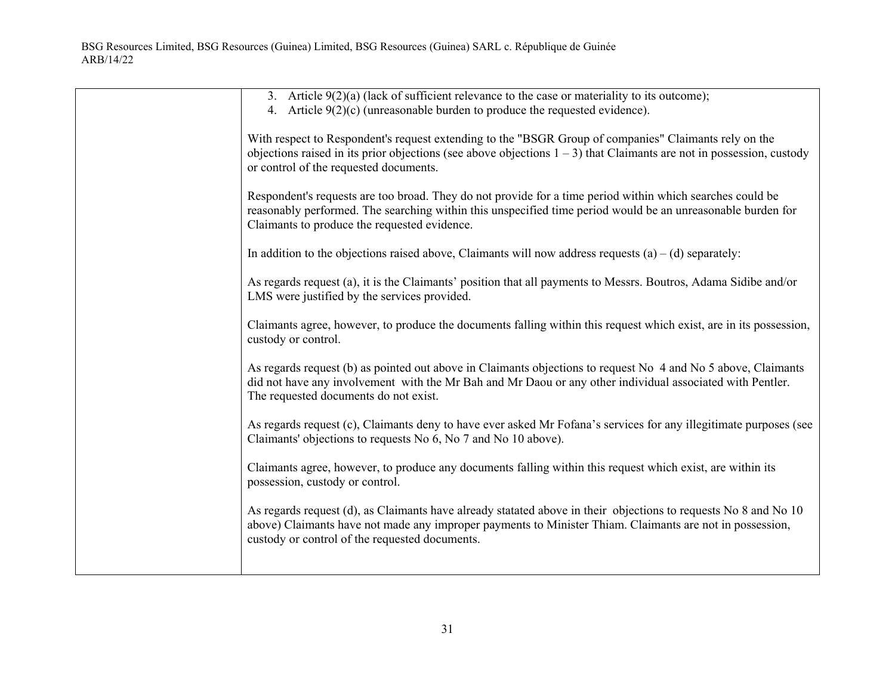| 3. Article $9(2)(a)$ (lack of sufficient relevance to the case or materiality to its outcome);<br>4. Article $9(2)(c)$ (unreasonable burden to produce the requested evidence).                                                                                               |
|-------------------------------------------------------------------------------------------------------------------------------------------------------------------------------------------------------------------------------------------------------------------------------|
| With respect to Respondent's request extending to the "BSGR Group of companies" Claimants rely on the<br>objections raised in its prior objections (see above objections $1 - 3$ ) that Claimants are not in possession, custody<br>or control of the requested documents.    |
| Respondent's requests are too broad. They do not provide for a time period within which searches could be<br>reasonably performed. The searching within this unspecified time period would be an unreasonable burden for<br>Claimants to produce the requested evidence.      |
| In addition to the objections raised above, Claimants will now address requests $(a) - (d)$ separately:                                                                                                                                                                       |
| As regards request (a), it is the Claimants' position that all payments to Messrs. Boutros, Adama Sidibe and/or<br>LMS were justified by the services provided.                                                                                                               |
| Claimants agree, however, to produce the documents falling within this request which exist, are in its possession,<br>custody or control.                                                                                                                                     |
| As regards request (b) as pointed out above in Claimants objections to request No 4 and No 5 above, Claimants<br>did not have any involvement with the Mr Bah and Mr Daou or any other individual associated with Pentler.<br>The requested documents do not exist.           |
| As regards request (c), Claimants deny to have ever asked Mr Fofana's services for any illegitimate purposes (see<br>Claimants' objections to requests No 6, No 7 and No 10 above).                                                                                           |
| Claimants agree, however, to produce any documents falling within this request which exist, are within its<br>possession, custody or control.                                                                                                                                 |
| As regards request (d), as Claimants have already statated above in their objections to requests No 8 and No 10<br>above) Claimants have not made any improper payments to Minister Thiam. Claimants are not in possession,<br>custody or control of the requested documents. |
|                                                                                                                                                                                                                                                                               |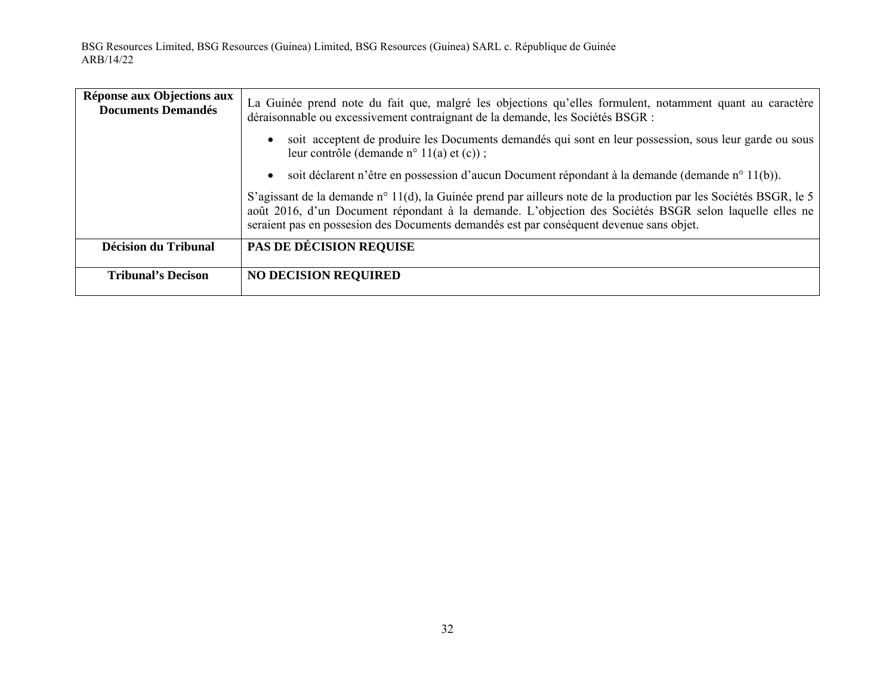| Réponse aux Objections aux<br><b>Documents Demandés</b> | La Guinée prend note du fait que, malgré les objections qu'elles formulent, notamment quant au caractère<br>déraisonnable ou excessivement contraignant de la demande, les Sociétés BSGR :                                                                                                                             |
|---------------------------------------------------------|------------------------------------------------------------------------------------------------------------------------------------------------------------------------------------------------------------------------------------------------------------------------------------------------------------------------|
|                                                         | soit acceptent de produire les Documents demandés qui sont en leur possession, sous leur garde ou sous<br>$\bullet$<br>leur contrôle (demande n° 11(a) et $(c)$ );                                                                                                                                                     |
|                                                         | soit déclarent n'être en possession d'aucun Document répondant à la demande (demande n° 11(b)).<br>$\bullet$                                                                                                                                                                                                           |
|                                                         | S'agissant de la demande n° 11(d), la Guinée prend par ailleurs note de la production par les Sociétés BSGR, le 5<br>août 2016, d'un Document répondant à la demande. L'objection des Sociétés BSGR selon laquelle elles ne<br>seraient pas en possesion des Documents demandés est par conséquent devenue sans objet. |
| <b>Décision du Tribunal</b>                             | PAS DE DÉCISION REQUISE                                                                                                                                                                                                                                                                                                |
| <b>Tribunal's Decison</b>                               | <b>NO DECISION REQUIRED</b>                                                                                                                                                                                                                                                                                            |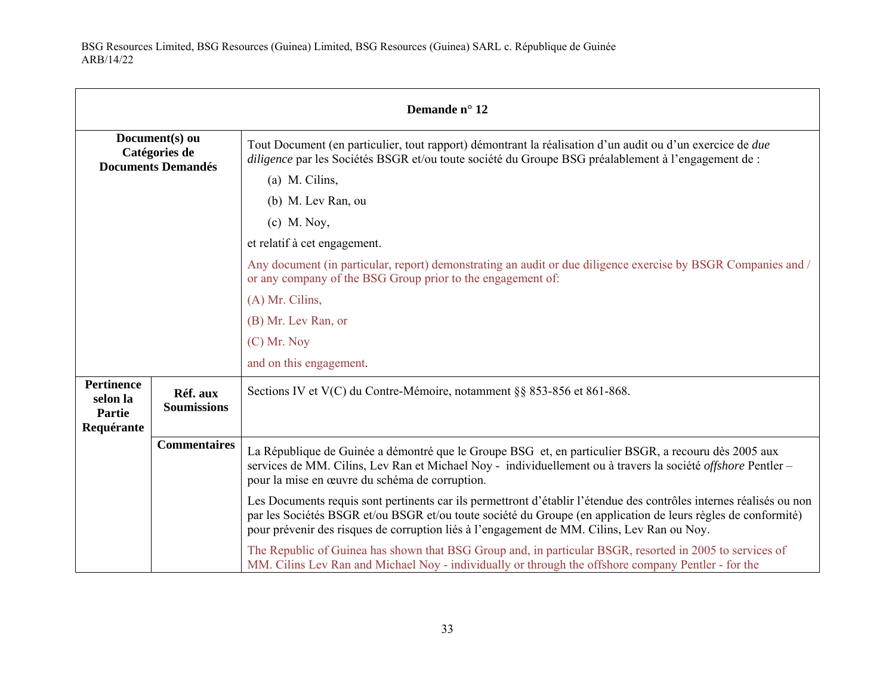| Demande n° 12                                                |                                |                                                                                                                                                                                                                                                                                                                                    |
|--------------------------------------------------------------|--------------------------------|------------------------------------------------------------------------------------------------------------------------------------------------------------------------------------------------------------------------------------------------------------------------------------------------------------------------------------|
| Document(s) ou<br>Catégories de<br><b>Documents Demandés</b> |                                | Tout Document (en particulier, tout rapport) démontrant la réalisation d'un audit ou d'un exercice de <i>due</i><br><i>diligence</i> par les Sociétés BSGR et/ou toute société du Groupe BSG préalablement à l'engagement de :                                                                                                     |
|                                                              |                                | $(a)$ M. Cilins,                                                                                                                                                                                                                                                                                                                   |
|                                                              |                                | (b) M. Lev Ran, ou                                                                                                                                                                                                                                                                                                                 |
|                                                              |                                | $(c)$ M. Noy,                                                                                                                                                                                                                                                                                                                      |
|                                                              |                                | et relatif à cet engagement.                                                                                                                                                                                                                                                                                                       |
|                                                              |                                | Any document (in particular, report) demonstrating an audit or due diligence exercise by BSGR Companies and /<br>or any company of the BSG Group prior to the engagement of:                                                                                                                                                       |
|                                                              |                                | (A) Mr. Cilins,                                                                                                                                                                                                                                                                                                                    |
|                                                              |                                | (B) Mr. Lev Ran, or                                                                                                                                                                                                                                                                                                                |
|                                                              |                                | $(C)$ Mr. Nov                                                                                                                                                                                                                                                                                                                      |
|                                                              |                                | and on this engagement.                                                                                                                                                                                                                                                                                                            |
| <b>Pertinence</b><br>selon la<br><b>Partie</b><br>Requérante | Réf. aux<br><b>Soumissions</b> | Sections IV et V(C) du Contre-Mémoire, notamment §§ 853-856 et 861-868.                                                                                                                                                                                                                                                            |
|                                                              | <b>Commentaires</b>            | La République de Guinée a démontré que le Groupe BSG et, en particulier BSGR, a recouru dès 2005 aux<br>services de MM. Cilins, Lev Ran et Michael Noy - individuellement ou à travers la société offshore Pentler -<br>pour la mise en œuvre du schéma de corruption.                                                             |
|                                                              |                                | Les Documents requis sont pertinents car ils permettront d'établir l'étendue des contrôles internes réalisés ou non<br>par les Sociétés BSGR et/ou BSGR et/ou toute société du Groupe (en application de leurs règles de conformité)<br>pour prévenir des risques de corruption liés à l'engagement de MM. Cilins, Lev Ran ou Noy. |
|                                                              |                                | The Republic of Guinea has shown that BSG Group and, in particular BSGR, resorted in 2005 to services of<br>MM. Cilins Lev Ran and Michael Noy - individually or through the offshore company Pentler - for the                                                                                                                    |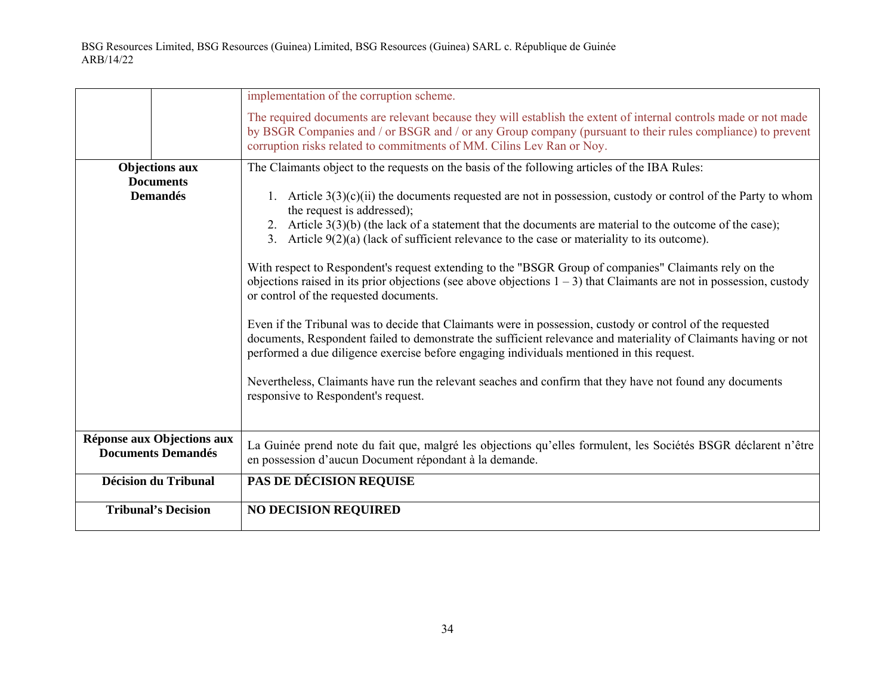|                                                         | implementation of the corruption scheme.                                                                                                                                                                                                                                                                                                                      |
|---------------------------------------------------------|---------------------------------------------------------------------------------------------------------------------------------------------------------------------------------------------------------------------------------------------------------------------------------------------------------------------------------------------------------------|
|                                                         | The required documents are relevant because they will establish the extent of internal controls made or not made<br>by BSGR Companies and / or BSGR and / or any Group company (pursuant to their rules compliance) to prevent<br>corruption risks related to commitments of MM. Cilins Lev Ran or Noy.                                                       |
| <b>Objections aux</b>                                   | The Claimants object to the requests on the basis of the following articles of the IBA Rules:                                                                                                                                                                                                                                                                 |
| <b>Documents</b><br><b>Demandés</b>                     | 1. Article $3(3)(c)(ii)$ the documents requested are not in possession, custody or control of the Party to whom<br>the request is addressed);<br>2. Article $3(3)(b)$ (the lack of a statement that the documents are material to the outcome of the case);<br>3. Article $9(2)(a)$ (lack of sufficient relevance to the case or materiality to its outcome). |
|                                                         | With respect to Respondent's request extending to the "BSGR Group of companies" Claimants rely on the<br>objections raised in its prior objections (see above objections $1 - 3$ ) that Claimants are not in possession, custody<br>or control of the requested documents.                                                                                    |
|                                                         | Even if the Tribunal was to decide that Claimants were in possession, custody or control of the requested<br>documents, Respondent failed to demonstrate the sufficient relevance and materiality of Claimants having or not<br>performed a due diligence exercise before engaging individuals mentioned in this request.                                     |
|                                                         | Nevertheless, Claimants have run the relevant seaches and confirm that they have not found any documents<br>responsive to Respondent's request.                                                                                                                                                                                                               |
| Réponse aux Objections aux<br><b>Documents Demandés</b> | La Guinée prend note du fait que, malgré les objections qu'elles formulent, les Sociétés BSGR déclarent n'être<br>en possession d'aucun Document répondant à la demande.                                                                                                                                                                                      |
| <b>Décision du Tribunal</b>                             | <b>PAS DE DÉCISION REQUISE</b>                                                                                                                                                                                                                                                                                                                                |
| <b>Tribunal's Decision</b>                              | <b>NO DECISION REQUIRED</b>                                                                                                                                                                                                                                                                                                                                   |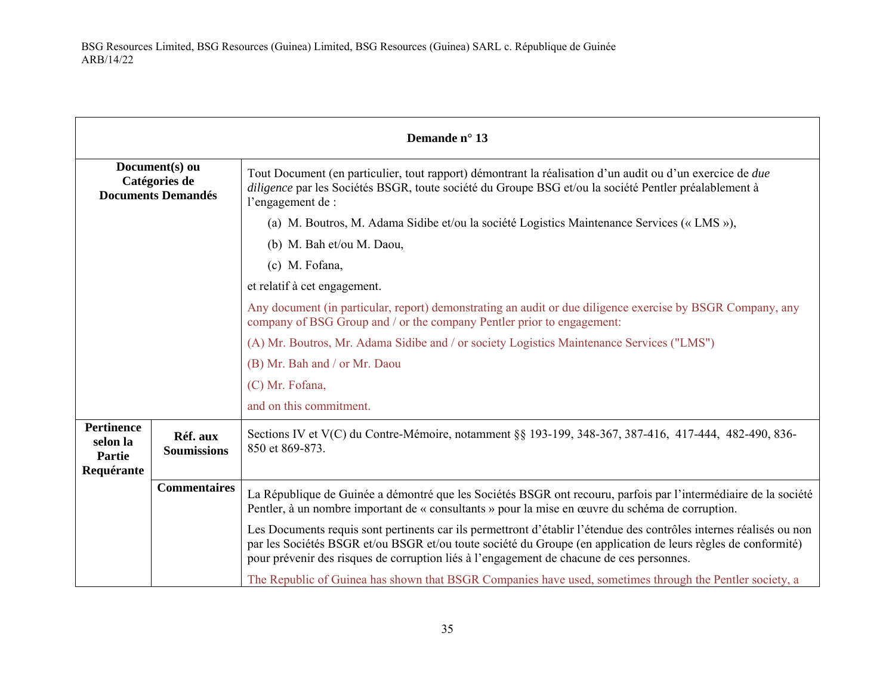| Demande n° 13                                                |                                |                                                                                                                                                                                                                                                                                                                                  |
|--------------------------------------------------------------|--------------------------------|----------------------------------------------------------------------------------------------------------------------------------------------------------------------------------------------------------------------------------------------------------------------------------------------------------------------------------|
| Document(s) ou<br>Catégories de<br><b>Documents Demandés</b> |                                | Tout Document (en particulier, tout rapport) démontrant la réalisation d'un audit ou d'un exercice de <i>due</i><br>diligence par les Sociétés BSGR, toute société du Groupe BSG et/ou la société Pentler préalablement à<br>l'engagement de :                                                                                   |
|                                                              |                                | (a) M. Boutros, M. Adama Sidibe et/ou la société Logistics Maintenance Services (« LMS »),                                                                                                                                                                                                                                       |
|                                                              |                                | (b) M. Bah et/ou M. Daou,                                                                                                                                                                                                                                                                                                        |
|                                                              |                                | (c) M. Fofana,                                                                                                                                                                                                                                                                                                                   |
|                                                              |                                | et relatif à cet engagement.                                                                                                                                                                                                                                                                                                     |
|                                                              |                                | Any document (in particular, report) demonstrating an audit or due diligence exercise by BSGR Company, any<br>company of BSG Group and / or the company Pentler prior to engagement:                                                                                                                                             |
|                                                              |                                | (A) Mr. Boutros, Mr. Adama Sidibe and / or society Logistics Maintenance Services ("LMS")                                                                                                                                                                                                                                        |
|                                                              |                                | (B) Mr. Bah and / or Mr. Daou                                                                                                                                                                                                                                                                                                    |
|                                                              |                                | (C) Mr. Fofana,                                                                                                                                                                                                                                                                                                                  |
|                                                              |                                | and on this commitment.                                                                                                                                                                                                                                                                                                          |
| <b>Pertinence</b><br>selon la<br><b>Partie</b><br>Requérante | Réf. aux<br><b>Soumissions</b> | Sections IV et V(C) du Contre-Mémoire, notamment §§ 193-199, 348-367, 387-416, 417-444, 482-490, 836-<br>850 et 869-873.                                                                                                                                                                                                         |
|                                                              | <b>Commentaires</b>            | La République de Guinée a démontré que les Sociétés BSGR ont recouru, parfois par l'intermédiaire de la société<br>Pentler, à un nombre important de « consultants » pour la mise en œuvre du schéma de corruption.                                                                                                              |
|                                                              |                                | Les Documents requis sont pertinents car ils permettront d'établir l'étendue des contrôles internes réalisés ou non<br>par les Sociétés BSGR et/ou BSGR et/ou toute société du Groupe (en application de leurs règles de conformité)<br>pour prévenir des risques de corruption liés à l'engagement de chacune de ces personnes. |
|                                                              |                                | The Republic of Guinea has shown that BSGR Companies have used, sometimes through the Pentler society, a                                                                                                                                                                                                                         |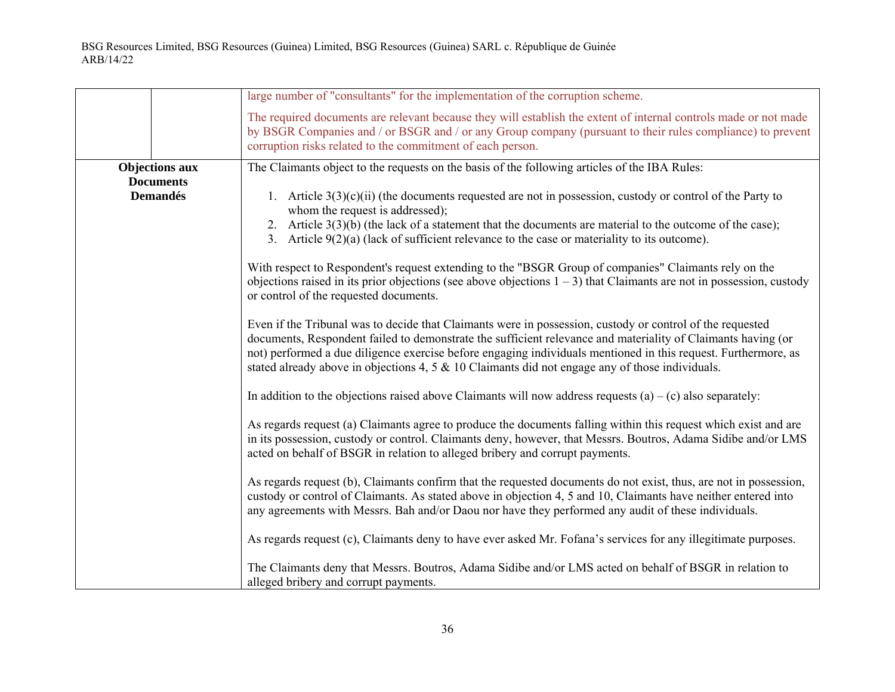|                                           | large number of "consultants" for the implementation of the corruption scheme.                                                                                                                                                                                                                                                                                                                                                                    |
|-------------------------------------------|---------------------------------------------------------------------------------------------------------------------------------------------------------------------------------------------------------------------------------------------------------------------------------------------------------------------------------------------------------------------------------------------------------------------------------------------------|
|                                           | The required documents are relevant because they will establish the extent of internal controls made or not made<br>by BSGR Companies and / or BSGR and / or any Group company (pursuant to their rules compliance) to prevent<br>corruption risks related to the commitment of each person.                                                                                                                                                      |
| <b>Objections aux</b><br><b>Documents</b> | The Claimants object to the requests on the basis of the following articles of the IBA Rules:                                                                                                                                                                                                                                                                                                                                                     |
| <b>Demandés</b>                           | 1. Article $3(3)(c)(ii)$ (the documents requested are not in possession, custody or control of the Party to<br>whom the request is addressed);                                                                                                                                                                                                                                                                                                    |
|                                           | 2. Article $3(3)(b)$ (the lack of a statement that the documents are material to the outcome of the case);<br>3. Article $9(2)(a)$ (lack of sufficient relevance to the case or materiality to its outcome).                                                                                                                                                                                                                                      |
|                                           | With respect to Respondent's request extending to the "BSGR Group of companies" Claimants rely on the<br>objections raised in its prior objections (see above objections $1 - 3$ ) that Claimants are not in possession, custody<br>or control of the requested documents.                                                                                                                                                                        |
|                                           | Even if the Tribunal was to decide that Claimants were in possession, custody or control of the requested<br>documents, Respondent failed to demonstrate the sufficient relevance and materiality of Claimants having (or<br>not) performed a due diligence exercise before engaging individuals mentioned in this request. Furthermore, as<br>stated already above in objections 4, 5 $\&$ 10 Claimants did not engage any of those individuals. |
|                                           | In addition to the objections raised above Claimants will now address requests $(a) - (c)$ also separately:                                                                                                                                                                                                                                                                                                                                       |
|                                           | As regards request (a) Claimants agree to produce the documents falling within this request which exist and are<br>in its possession, custody or control. Claimants deny, however, that Messrs. Boutros, Adama Sidibe and/or LMS<br>acted on behalf of BSGR in relation to alleged bribery and corrupt payments.                                                                                                                                  |
|                                           | As regards request (b), Claimants confirm that the requested documents do not exist, thus, are not in possession,<br>custody or control of Claimants. As stated above in objection 4, 5 and 10, Claimants have neither entered into<br>any agreements with Messrs. Bah and/or Daou nor have they performed any audit of these individuals.                                                                                                        |
|                                           | As regards request (c), Claimants deny to have ever asked Mr. Fofana's services for any illegitimate purposes.                                                                                                                                                                                                                                                                                                                                    |
|                                           | The Claimants deny that Messrs. Boutros, Adama Sidibe and/or LMS acted on behalf of BSGR in relation to<br>alleged bribery and corrupt payments.                                                                                                                                                                                                                                                                                                  |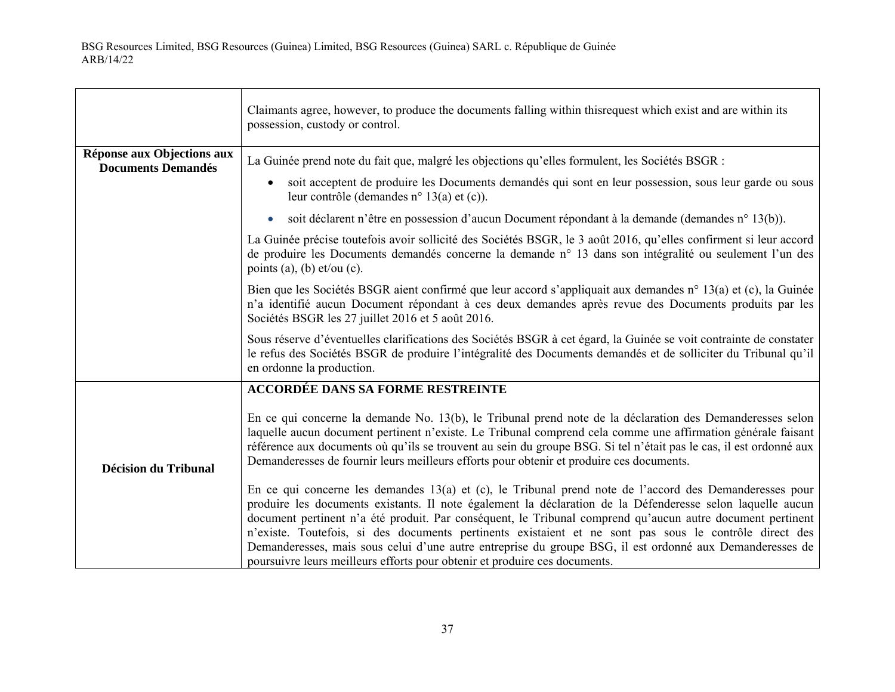$\Gamma$ 

|                                                         | Claimants agree, however, to produce the documents falling within this request which exist and are within its<br>possession, custody or control.                                                                                                                                                                                                                                                                                                                                                                                                                                                                                                                                                                                                                                                                                                                                                                                                                                                                                                                                                                                     |
|---------------------------------------------------------|--------------------------------------------------------------------------------------------------------------------------------------------------------------------------------------------------------------------------------------------------------------------------------------------------------------------------------------------------------------------------------------------------------------------------------------------------------------------------------------------------------------------------------------------------------------------------------------------------------------------------------------------------------------------------------------------------------------------------------------------------------------------------------------------------------------------------------------------------------------------------------------------------------------------------------------------------------------------------------------------------------------------------------------------------------------------------------------------------------------------------------------|
| Réponse aux Objections aux<br><b>Documents Demandés</b> | La Guinée prend note du fait que, malgré les objections qu'elles formulent, les Sociétés BSGR :<br>soit acceptent de produire les Documents demandés qui sont en leur possession, sous leur garde ou sous<br>$\bullet$<br>leur contrôle (demandes n° 13(a) et $(c)$ ).<br>soit déclarent n'être en possession d'aucun Document répondant à la demande (demandes n° 13(b)).<br>$\bullet$<br>La Guinée précise toutefois avoir sollicité des Sociétés BSGR, le 3 août 2016, qu'elles confirment si leur accord<br>de produire les Documents demandés concerne la demande n° 13 dans son intégralité ou seulement l'un des<br>points (a), (b) $et/ou$ (c).<br>Bien que les Sociétés BSGR aient confirmé que leur accord s'appliquait aux demandes n° 13(a) et (c), la Guinée<br>n'a identifié aucun Document répondant à ces deux demandes après revue des Documents produits par les<br>Sociétés BSGR les 27 juillet 2016 et 5 août 2016.                                                                                                                                                                                              |
|                                                         | Sous réserve d'éventuelles clarifications des Sociétés BSGR à cet égard, la Guinée se voit contrainte de constater<br>le refus des Sociétés BSGR de produire l'intégralité des Documents demandés et de solliciter du Tribunal qu'il<br>en ordonne la production.                                                                                                                                                                                                                                                                                                                                                                                                                                                                                                                                                                                                                                                                                                                                                                                                                                                                    |
| <b>Décision du Tribunal</b>                             | <b>ACCORDÉE DANS SA FORME RESTREINTE</b><br>En ce qui concerne la demande No. 13(b), le Tribunal prend note de la déclaration des Demanderesses selon<br>laquelle aucun document pertinent n'existe. Le Tribunal comprend cela comme une affirmation générale faisant<br>référence aux documents où qu'ils se trouvent au sein du groupe BSG. Si tel n'était pas le cas, il est ordonné aux<br>Demanderesses de fournir leurs meilleurs efforts pour obtenir et produire ces documents.<br>En ce qui concerne les demandes $13(a)$ et (c), le Tribunal prend note de l'accord des Demanderesses pour<br>produire les documents existants. Il note également la déclaration de la Défenderesse selon laquelle aucun<br>document pertinent n'a été produit. Par conséquent, le Tribunal comprend qu'aucun autre document pertinent<br>n'existe. Toutefois, si des documents pertinents existaient et ne sont pas sous le contrôle direct des<br>Demanderesses, mais sous celui d'une autre entreprise du groupe BSG, il est ordonné aux Demanderesses de<br>poursuivre leurs meilleurs efforts pour obtenir et produire ces documents. |

┑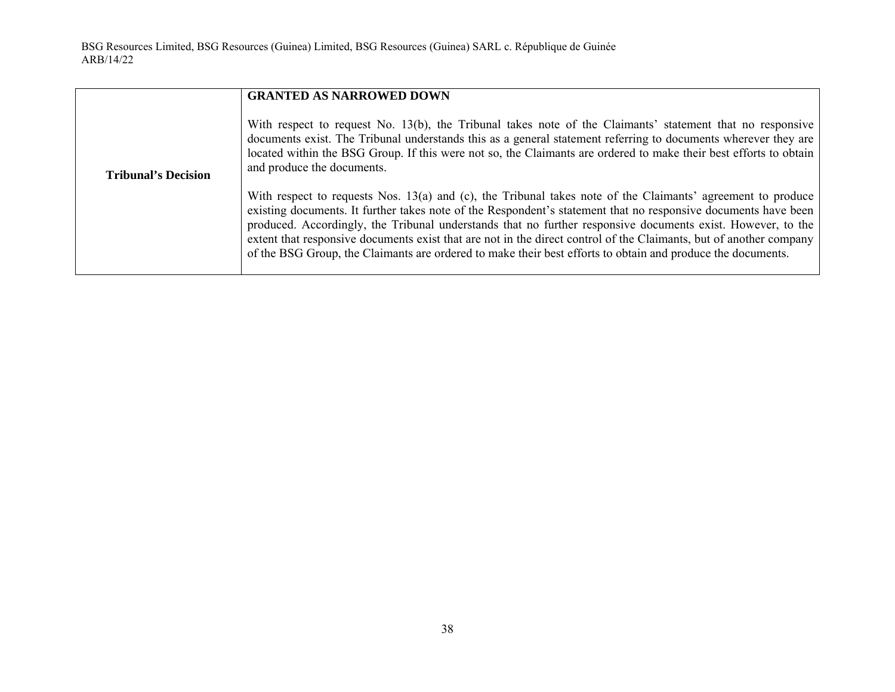|                            | <b>GRANTED AS NARROWED DOWN</b>                                                                                                                                                                                                                                                                                                                                                                                                                                                                                                                                                   |
|----------------------------|-----------------------------------------------------------------------------------------------------------------------------------------------------------------------------------------------------------------------------------------------------------------------------------------------------------------------------------------------------------------------------------------------------------------------------------------------------------------------------------------------------------------------------------------------------------------------------------|
| <b>Tribunal's Decision</b> | With respect to request No. 13(b), the Tribunal takes note of the Claimants' statement that no responsive<br>documents exist. The Tribunal understands this as a general statement referring to documents wherever they are<br>located within the BSG Group. If this were not so, the Claimants are ordered to make their best efforts to obtain<br>and produce the documents.                                                                                                                                                                                                    |
|                            | With respect to requests Nos. 13(a) and (c), the Tribunal takes note of the Claimants' agreement to produce<br>existing documents. It further takes note of the Respondent's statement that no responsive documents have been<br>produced. Accordingly, the Tribunal understands that no further responsive documents exist. However, to the<br>extent that responsive documents exist that are not in the direct control of the Claimants, but of another company<br>of the BSG Group, the Claimants are ordered to make their best efforts to obtain and produce the documents. |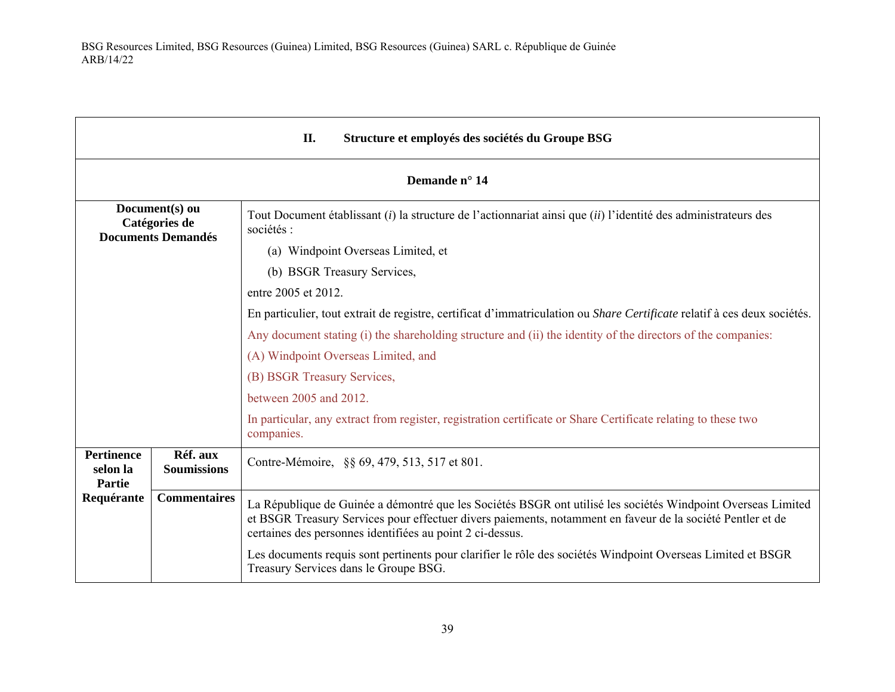| II.<br>Structure et employés des sociétés du Groupe BSG      |                                |                                                                                                                                                                                                                                                                                         |  |
|--------------------------------------------------------------|--------------------------------|-----------------------------------------------------------------------------------------------------------------------------------------------------------------------------------------------------------------------------------------------------------------------------------------|--|
|                                                              | Demande n° 14                  |                                                                                                                                                                                                                                                                                         |  |
| Document(s) ou<br>Catégories de<br><b>Documents Demandés</b> |                                | Tout Document établissant (i) la structure de l'actionnariat ainsi que (ii) l'identité des administrateurs des<br>sociétés :                                                                                                                                                            |  |
|                                                              |                                | (a) Windpoint Overseas Limited, et                                                                                                                                                                                                                                                      |  |
|                                                              |                                | (b) BSGR Treasury Services,                                                                                                                                                                                                                                                             |  |
|                                                              |                                | entre 2005 et 2012.                                                                                                                                                                                                                                                                     |  |
|                                                              |                                | En particulier, tout extrait de registre, certificat d'immatriculation ou Share Certificate relatif à ces deux sociétés.                                                                                                                                                                |  |
|                                                              |                                | Any document stating (i) the shareholding structure and (ii) the identity of the directors of the companies:                                                                                                                                                                            |  |
|                                                              |                                | (A) Windpoint Overseas Limited, and                                                                                                                                                                                                                                                     |  |
|                                                              |                                | (B) BSGR Treasury Services,                                                                                                                                                                                                                                                             |  |
|                                                              |                                | between 2005 and 2012.                                                                                                                                                                                                                                                                  |  |
|                                                              |                                | In particular, any extract from register, registration certificate or Share Certificate relating to these two<br>companies.                                                                                                                                                             |  |
| <b>Pertinence</b><br>selon la<br>Partie                      | Réf. aux<br><b>Soumissions</b> | Contre-Mémoire, §§ 69, 479, 513, 517 et 801.                                                                                                                                                                                                                                            |  |
| Requérante                                                   | <b>Commentaires</b>            | La République de Guinée a démontré que les Sociétés BSGR ont utilisé les sociétés Windpoint Overseas Limited<br>et BSGR Treasury Services pour effectuer divers paiements, notamment en faveur de la société Pentler et de<br>certaines des personnes identifiées au point 2 ci-dessus. |  |
|                                                              |                                | Les documents requis sont pertinents pour clarifier le rôle des sociétés Windpoint Overseas Limited et BSGR<br>Treasury Services dans le Groupe BSG.                                                                                                                                    |  |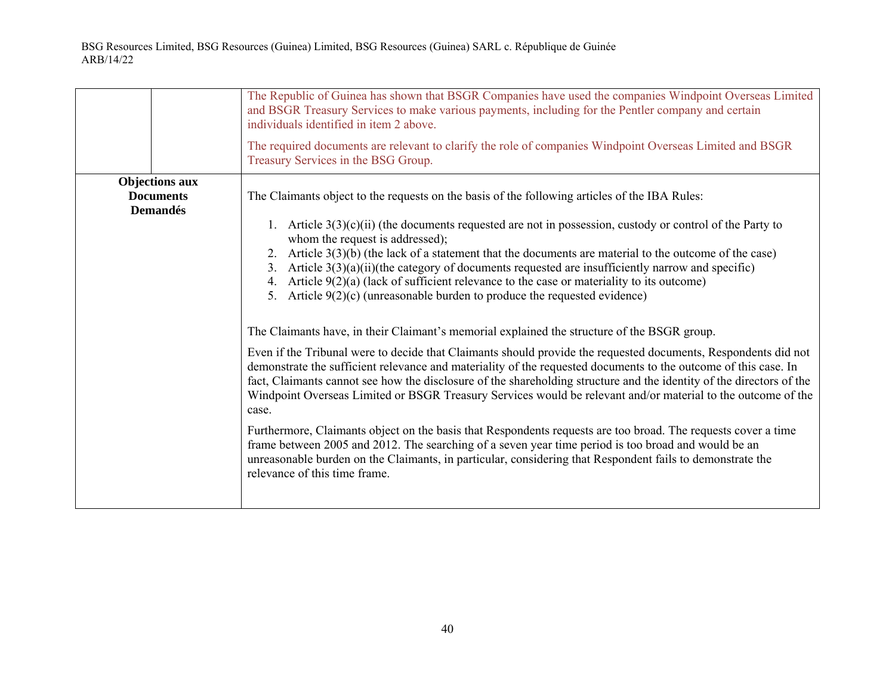|                                                              | The Republic of Guinea has shown that BSGR Companies have used the companies Windpoint Overseas Limited<br>and BSGR Treasury Services to make various payments, including for the Pentler company and certain<br>individuals identified in item 2 above.<br>The required documents are relevant to clarify the role of companies Windpoint Overseas Limited and BSGR<br>Treasury Services in the BSG Group.                                                                                                                                                                                                                                                                                                                                                                                                                                                                                                                                                                                                                                                                                                                                                                                                                                                                                                                                                                                                                                                                                                                                                                                                       |
|--------------------------------------------------------------|-------------------------------------------------------------------------------------------------------------------------------------------------------------------------------------------------------------------------------------------------------------------------------------------------------------------------------------------------------------------------------------------------------------------------------------------------------------------------------------------------------------------------------------------------------------------------------------------------------------------------------------------------------------------------------------------------------------------------------------------------------------------------------------------------------------------------------------------------------------------------------------------------------------------------------------------------------------------------------------------------------------------------------------------------------------------------------------------------------------------------------------------------------------------------------------------------------------------------------------------------------------------------------------------------------------------------------------------------------------------------------------------------------------------------------------------------------------------------------------------------------------------------------------------------------------------------------------------------------------------|
| <b>Objections aux</b><br><b>Documents</b><br><b>Demandés</b> | The Claimants object to the requests on the basis of the following articles of the IBA Rules:<br>1. Article $3(3)(c)(ii)$ (the documents requested are not in possession, custody or control of the Party to<br>whom the request is addressed);<br>2. Article $3(3)(b)$ (the lack of a statement that the documents are material to the outcome of the case)<br>3. Article $3(3)(a)(ii)$ (the category of documents requested are insufficiently narrow and specific)<br>4. Article $9(2)(a)$ (lack of sufficient relevance to the case or materiality to its outcome)<br>5. Article $9(2)(c)$ (unreasonable burden to produce the requested evidence)<br>The Claimants have, in their Claimant's memorial explained the structure of the BSGR group.<br>Even if the Tribunal were to decide that Claimants should provide the requested documents, Respondents did not<br>demonstrate the sufficient relevance and materiality of the requested documents to the outcome of this case. In<br>fact, Claimants cannot see how the disclosure of the shareholding structure and the identity of the directors of the<br>Windpoint Overseas Limited or BSGR Treasury Services would be relevant and/or material to the outcome of the<br>case.<br>Furthermore, Claimants object on the basis that Respondents requests are too broad. The requests cover a time<br>frame between 2005 and 2012. The searching of a seven year time period is too broad and would be an<br>unreasonable burden on the Claimants, in particular, considering that Respondent fails to demonstrate the<br>relevance of this time frame. |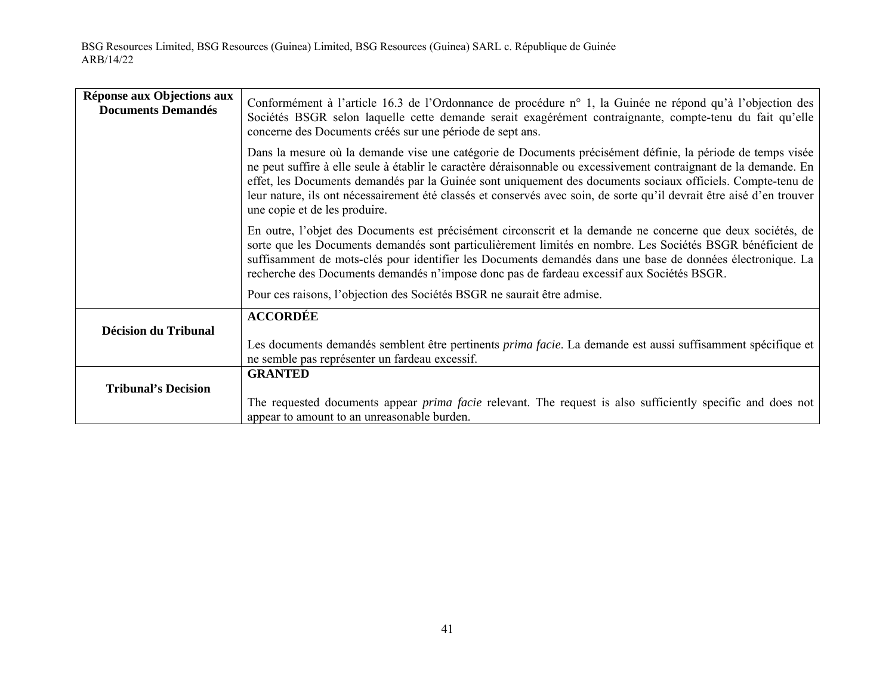| Réponse aux Objections aux<br><b>Documents Demandés</b> | Conformément à l'article 16.3 de l'Ordonnance de procédure n° 1, la Guinée ne répond qu'à l'objection des<br>Sociétés BSGR selon laquelle cette demande serait exagérément contraignante, compte-tenu du fait qu'elle<br>concerne des Documents créés sur une période de sept ans.                                                                                                                                                                                                                        |
|---------------------------------------------------------|-----------------------------------------------------------------------------------------------------------------------------------------------------------------------------------------------------------------------------------------------------------------------------------------------------------------------------------------------------------------------------------------------------------------------------------------------------------------------------------------------------------|
|                                                         | Dans la mesure où la demande vise une catégorie de Documents précisément définie, la période de temps visée<br>ne peut suffire à elle seule à établir le caractère déraisonnable ou excessivement contraignant de la demande. En<br>effet, les Documents demandés par la Guinée sont uniquement des documents sociaux officiels. Compte-tenu de<br>leur nature, ils ont nécessairement été classés et conservés avec soin, de sorte qu'il devrait être aisé d'en trouver<br>une copie et de les produire. |
|                                                         | En outre, l'objet des Documents est précisément circonscrit et la demande ne concerne que deux sociétés, de<br>sorte que les Documents demandés sont particulièrement limités en nombre. Les Sociétés BSGR bénéficient de<br>suffisamment de mots-clés pour identifier les Documents demandés dans une base de données électronique. La<br>recherche des Documents demandés n'impose donc pas de fardeau excessif aux Sociétés BSGR.                                                                      |
|                                                         | Pour ces raisons, l'objection des Sociétés BSGR ne saurait être admise.                                                                                                                                                                                                                                                                                                                                                                                                                                   |
| Décision du Tribunal                                    | <b>ACCORDÉE</b><br>Les documents demandés semblent être pertinents prima facie. La demande est aussi suffisamment spécifique et<br>ne semble pas représenter un fardeau excessif.                                                                                                                                                                                                                                                                                                                         |
| <b>Tribunal's Decision</b>                              | <b>GRANTED</b><br>The requested documents appear <i>prima facie</i> relevant. The request is also sufficiently specific and does not<br>appear to amount to an unreasonable burden.                                                                                                                                                                                                                                                                                                                       |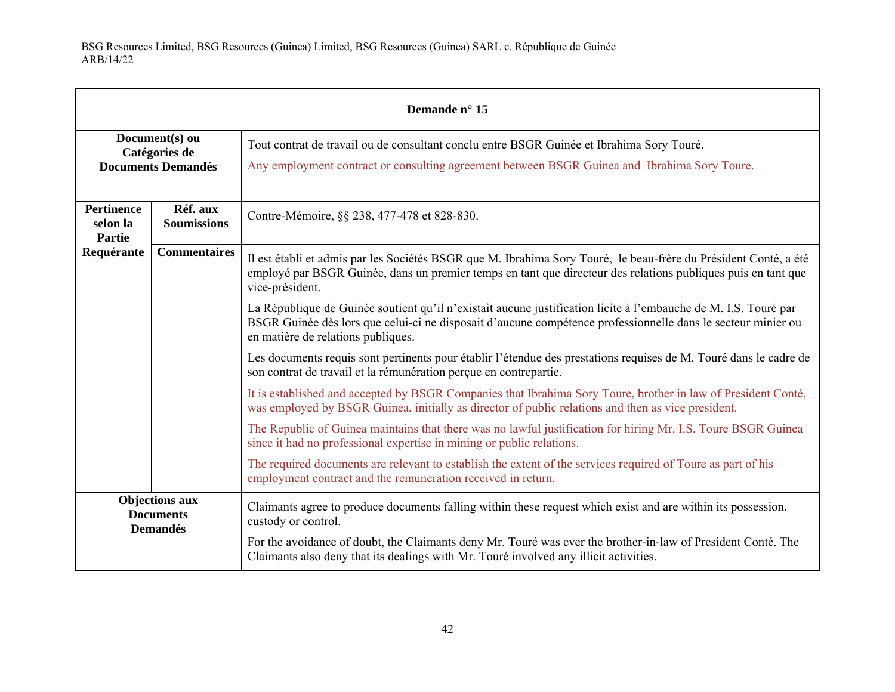| Demande n° 15                                                |                                                              |                                                                                                                                                                                                                                                                       |
|--------------------------------------------------------------|--------------------------------------------------------------|-----------------------------------------------------------------------------------------------------------------------------------------------------------------------------------------------------------------------------------------------------------------------|
|                                                              | Document(s) ou<br>Catégories de<br><b>Documents Demandés</b> | Tout contrat de travail ou de consultant conclu entre BSGR Guinée et Ibrahima Sory Touré.<br>Any employment contract or consulting agreement between BSGR Guinea and Ibrahima Sory Toure.                                                                             |
| <b>Pertinence</b><br>selon la<br><b>Partie</b>               | Réf. aux<br><b>Soumissions</b>                               | Contre-Mémoire, §§ 238, 477-478 et 828-830.                                                                                                                                                                                                                           |
| Requérante                                                   | <b>Commentaires</b>                                          | Il est établi et admis par les Sociétés BSGR que M. Ibrahima Sory Touré, le beau-frère du Président Conté, a été<br>employé par BSGR Guinée, dans un premier temps en tant que directeur des relations publiques puis en tant que<br>vice-président.                  |
|                                                              |                                                              | La République de Guinée soutient qu'il n'existait aucune justification licite à l'embauche de M. I.S. Touré par<br>BSGR Guinée dès lors que celui-ci ne disposait d'aucune compétence professionnelle dans le secteur minier ou<br>en matière de relations publiques. |
|                                                              |                                                              | Les documents requis sont pertinents pour établir l'étendue des prestations requises de M. Touré dans le cadre de<br>son contrat de travail et la rémunération perçue en contrepartie.                                                                                |
|                                                              |                                                              | It is established and accepted by BSGR Companies that Ibrahima Sory Toure, brother in law of President Conté,<br>was employed by BSGR Guinea, initially as director of public relations and then as vice president.                                                   |
|                                                              |                                                              | The Republic of Guinea maintains that there was no lawful justification for hiring Mr. I.S. Toure BSGR Guinea<br>since it had no professional expertise in mining or public relations.                                                                                |
|                                                              |                                                              | The required documents are relevant to establish the extent of the services required of Toure as part of his<br>employment contract and the remuneration received in return.                                                                                          |
| <b>Objections aux</b><br><b>Documents</b><br><b>Demandés</b> |                                                              | Claimants agree to produce documents falling within these request which exist and are within its possession,<br>custody or control.                                                                                                                                   |
|                                                              |                                                              | For the avoidance of doubt, the Claimants deny Mr. Touré was ever the brother-in-law of President Conté. The<br>Claimants also deny that its dealings with Mr. Touré involved any illicit activities.                                                                 |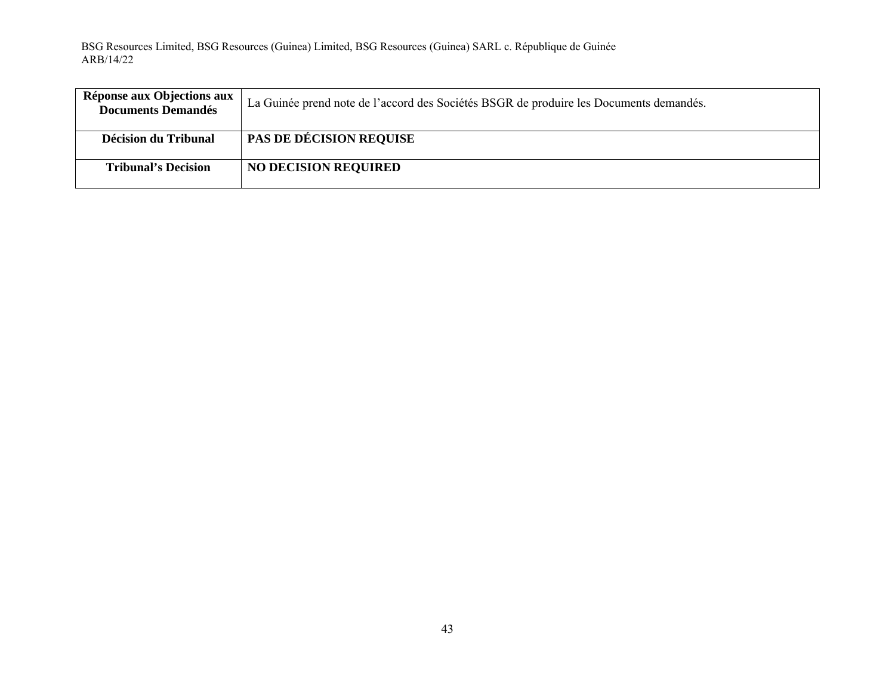| Réponse aux Objections aux<br><b>Documents Demandés</b> | La Guinée prend note de l'accord des Sociétés BSGR de produire les Documents demandés. |
|---------------------------------------------------------|----------------------------------------------------------------------------------------|
| Décision du Tribunal                                    | <b>PAS DE DÉCISION REQUISE</b>                                                         |
|                                                         |                                                                                        |
| <b>Tribunal's Decision</b>                              | <b>NO DECISION REQUIRED</b>                                                            |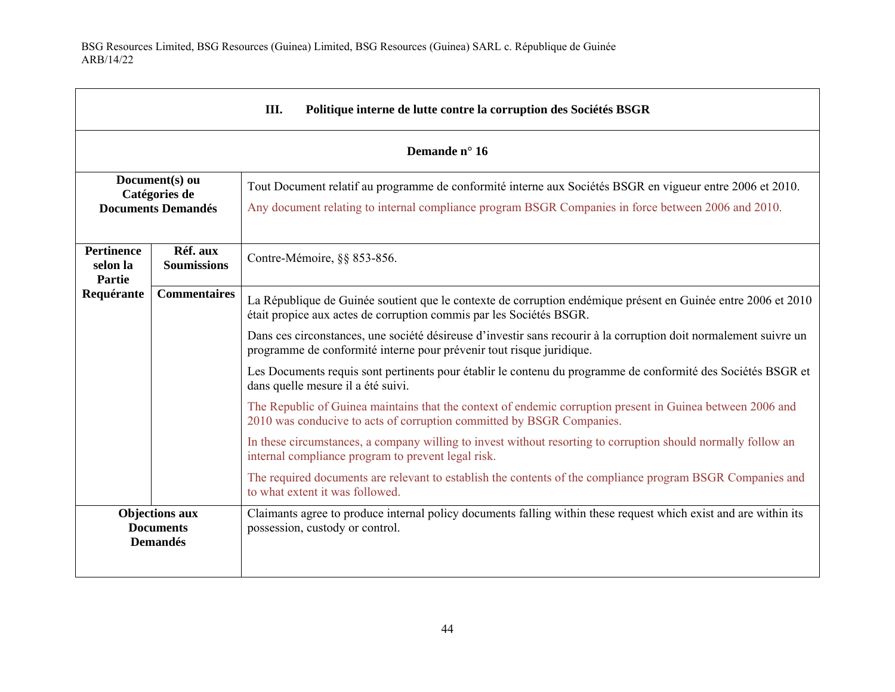$\blacksquare$ 

| Ш.<br>Politique interne de lutte contre la corruption des Sociétés BSGR |                                                              |                                                                                                                                                                                                                  |  |
|-------------------------------------------------------------------------|--------------------------------------------------------------|------------------------------------------------------------------------------------------------------------------------------------------------------------------------------------------------------------------|--|
|                                                                         | Demande n° 16                                                |                                                                                                                                                                                                                  |  |
|                                                                         | Document(s) ou<br>Catégories de<br><b>Documents Demandés</b> | Tout Document relatif au programme de conformité interne aux Sociétés BSGR en vigueur entre 2006 et 2010.<br>Any document relating to internal compliance program BSGR Companies in force between 2006 and 2010. |  |
| <b>Pertinence</b><br>selon la<br><b>Partie</b>                          | Réf. aux<br><b>Soumissions</b>                               | Contre-Mémoire, §§ 853-856.                                                                                                                                                                                      |  |
| Requérante                                                              | <b>Commentaires</b>                                          | La République de Guinée soutient que le contexte de corruption endémique présent en Guinée entre 2006 et 2010<br>était propice aux actes de corruption commis par les Sociétés BSGR.                             |  |
|                                                                         |                                                              | Dans ces circonstances, une société désireuse d'investir sans recourir à la corruption doit normalement suivre un<br>programme de conformité interne pour prévenir tout risque juridique.                        |  |
|                                                                         |                                                              | Les Documents requis sont pertinents pour établir le contenu du programme de conformité des Sociétés BSGR et<br>dans quelle mesure il a été suivi.                                                               |  |
|                                                                         |                                                              | The Republic of Guinea maintains that the context of endemic corruption present in Guinea between 2006 and<br>2010 was conducive to acts of corruption committed by BSGR Companies.                              |  |
|                                                                         |                                                              | In these circumstances, a company willing to invest without resorting to corruption should normally follow an<br>internal compliance program to prevent legal risk.                                              |  |
|                                                                         |                                                              | The required documents are relevant to establish the contents of the compliance program BSGR Companies and<br>to what extent it was followed.                                                                    |  |
|                                                                         | <b>Objections aux</b><br><b>Documents</b><br><b>Demandés</b> | Claimants agree to produce internal policy documents falling within these request which exist and are within its<br>possession, custody or control.                                                              |  |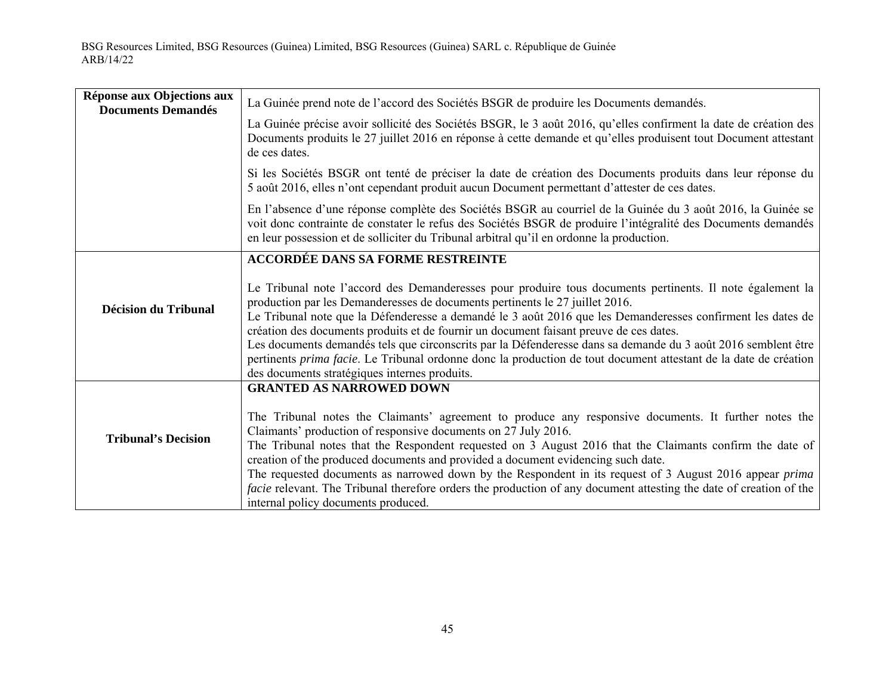| La Guinée précise avoir sollicité des Sociétés BSGR, le 3 août 2016, qu'elles confirment la date de création des<br>Documents produits le 27 juillet 2016 en réponse à cette demande et qu'elles produisent tout Document attestant                                                                                                                                                                                                                           |
|---------------------------------------------------------------------------------------------------------------------------------------------------------------------------------------------------------------------------------------------------------------------------------------------------------------------------------------------------------------------------------------------------------------------------------------------------------------|
|                                                                                                                                                                                                                                                                                                                                                                                                                                                               |
|                                                                                                                                                                                                                                                                                                                                                                                                                                                               |
| Si les Sociétés BSGR ont tenté de préciser la date de création des Documents produits dans leur réponse du                                                                                                                                                                                                                                                                                                                                                    |
| En l'absence d'une réponse complète des Sociétés BSGR au courriel de la Guinée du 3 août 2016, la Guinée se<br>voit donc contrainte de constater le refus des Sociétés BSGR de produire l'intégralité des Documents demandés                                                                                                                                                                                                                                  |
|                                                                                                                                                                                                                                                                                                                                                                                                                                                               |
| Le Tribunal note l'accord des Demanderesses pour produire tous documents pertinents. Il note également la<br>Le Tribunal note que la Défenderesse a demandé le 3 août 2016 que les Demanderesses confirment les dates de<br>Les documents demandés tels que circonscrits par la Défenderesse dans sa demande du 3 août 2016 semblent être<br>pertinents prima facie. Le Tribunal ordonne donc la production de tout document attestant de la date de création |
|                                                                                                                                                                                                                                                                                                                                                                                                                                                               |
| The Tribunal notes the Claimants' agreement to produce any responsive documents. It further notes the<br>The Tribunal notes that the Respondent requested on 3 August 2016 that the Claimants confirm the date of<br>The requested documents as narrowed down by the Respondent in its request of 3 August 2016 appear <i>prima</i><br>facie relevant. The Tribunal therefore orders the production of any document attesting the date of creation of the     |
|                                                                                                                                                                                                                                                                                                                                                                                                                                                               |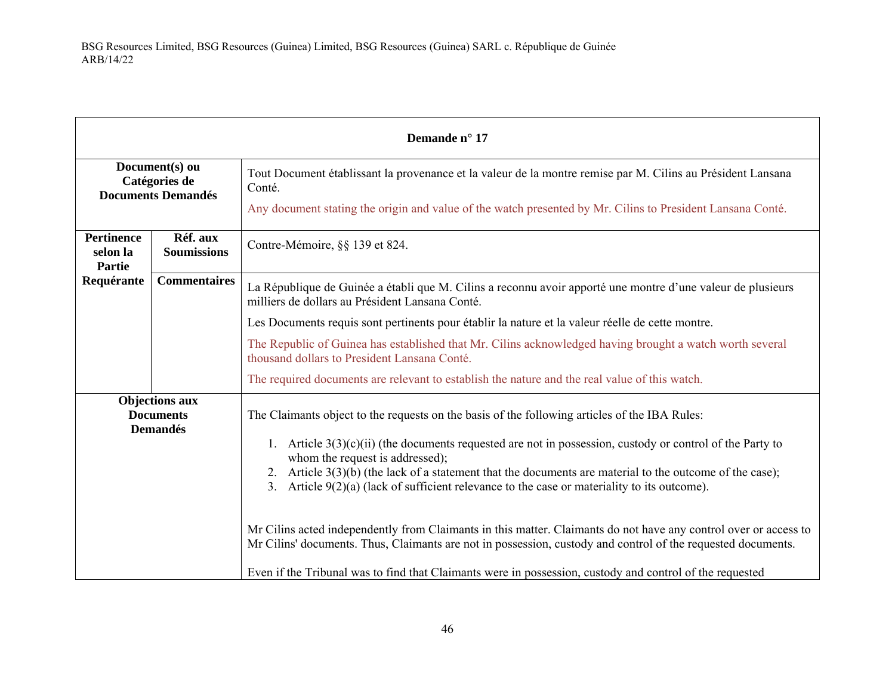| Demande n° 17                                                |                                |                                                                                                                                                                                                                                                                                                                                                                |
|--------------------------------------------------------------|--------------------------------|----------------------------------------------------------------------------------------------------------------------------------------------------------------------------------------------------------------------------------------------------------------------------------------------------------------------------------------------------------------|
| Document(s) ou<br>Catégories de<br><b>Documents Demandés</b> |                                | Tout Document établissant la provenance et la valeur de la montre remise par M. Cilins au Président Lansana<br>Conté.                                                                                                                                                                                                                                          |
|                                                              |                                | Any document stating the origin and value of the watch presented by Mr. Cilins to President Lansana Conté.                                                                                                                                                                                                                                                     |
| <b>Pertinence</b><br>selon la<br><b>Partie</b>               | Réf. aux<br><b>Soumissions</b> | Contre-Mémoire, §§ 139 et 824.                                                                                                                                                                                                                                                                                                                                 |
| Requérante                                                   | <b>Commentaires</b>            | La République de Guinée a établi que M. Cilins a reconnu avoir apporté une montre d'une valeur de plusieurs<br>milliers de dollars au Président Lansana Conté.                                                                                                                                                                                                 |
|                                                              |                                | Les Documents requis sont pertinents pour établir la nature et la valeur réelle de cette montre.                                                                                                                                                                                                                                                               |
|                                                              |                                | The Republic of Guinea has established that Mr. Cilins acknowledged having brought a watch worth several<br>thousand dollars to President Lansana Conté.                                                                                                                                                                                                       |
|                                                              |                                | The required documents are relevant to establish the nature and the real value of this watch.                                                                                                                                                                                                                                                                  |
| <b>Objections aux</b><br><b>Documents</b><br><b>Demandés</b> |                                | The Claimants object to the requests on the basis of the following articles of the IBA Rules:                                                                                                                                                                                                                                                                  |
|                                                              |                                | 1. Article $3(3)(c)(ii)$ (the documents requested are not in possession, custody or control of the Party to<br>whom the request is addressed);<br>2. Article $3(3)(b)$ (the lack of a statement that the documents are material to the outcome of the case);<br>3. Article $9(2)(a)$ (lack of sufficient relevance to the case or materiality to its outcome). |
|                                                              |                                | Mr Cilins acted independently from Claimants in this matter. Claimants do not have any control over or access to<br>Mr Cilins' documents. Thus, Claimants are not in possession, custody and control of the requested documents.<br>Even if the Tribunal was to find that Claimants were in possession, custody and control of the requested                   |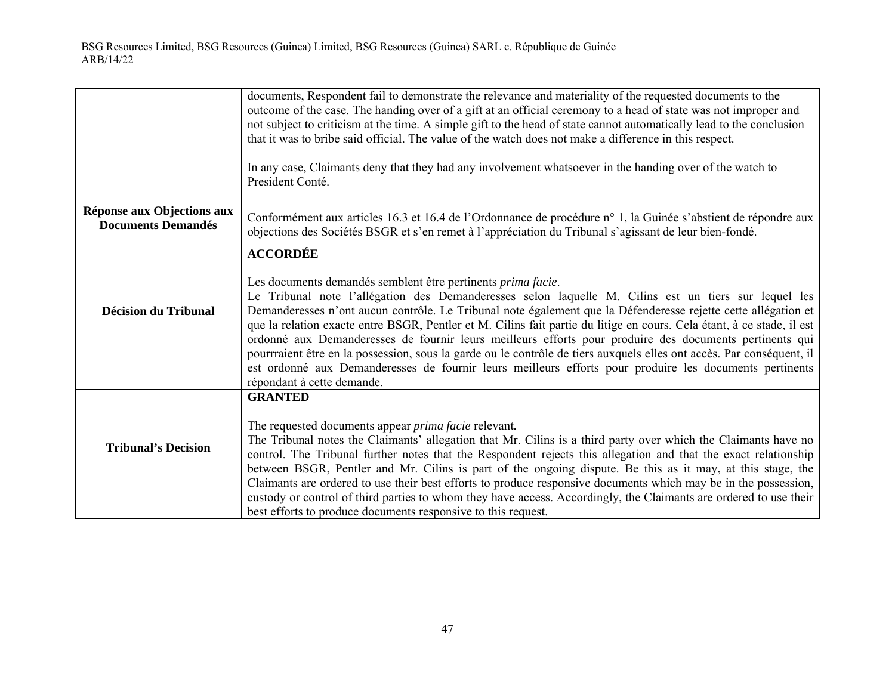|                                                         | documents, Respondent fail to demonstrate the relevance and materiality of the requested documents to the<br>outcome of the case. The handing over of a gift at an official ceremony to a head of state was not improper and<br>not subject to criticism at the time. A simple gift to the head of state cannot automatically lead to the conclusion<br>that it was to bribe said official. The value of the watch does not make a difference in this respect.<br>In any case, Claimants deny that they had any involvement whatsoever in the handing over of the watch to<br>President Conté.                                                                                                                                                                                                                   |
|---------------------------------------------------------|------------------------------------------------------------------------------------------------------------------------------------------------------------------------------------------------------------------------------------------------------------------------------------------------------------------------------------------------------------------------------------------------------------------------------------------------------------------------------------------------------------------------------------------------------------------------------------------------------------------------------------------------------------------------------------------------------------------------------------------------------------------------------------------------------------------|
| Réponse aux Objections aux<br><b>Documents Demandés</b> | Conformément aux articles 16.3 et 16.4 de l'Ordonnance de procédure n° 1, la Guinée s'abstient de répondre aux<br>objections des Sociétés BSGR et s'en remet à l'appréciation du Tribunal s'agissant de leur bien-fondé.                                                                                                                                                                                                                                                                                                                                                                                                                                                                                                                                                                                         |
| <b>Décision du Tribunal</b>                             | <b>ACCORDÉE</b><br>Les documents demandés semblent être pertinents prima facie.<br>Le Tribunal note l'allégation des Demanderesses selon laquelle M. Cilins est un tiers sur lequel les<br>Demanderesses n'ont aucun contrôle. Le Tribunal note également que la Défenderesse rejette cette allégation et<br>que la relation exacte entre BSGR, Pentler et M. Cilins fait partie du litige en cours. Cela étant, à ce stade, il est<br>ordonné aux Demanderesses de fournir leurs meilleurs efforts pour produire des documents pertinents qui<br>pourrraient être en la possession, sous la garde ou le contrôle de tiers auxquels elles ont accès. Par conséquent, il<br>est ordonné aux Demanderesses de fournir leurs meilleurs efforts pour produire les documents pertinents<br>répondant à cette demande. |
| <b>Tribunal's Decision</b>                              | <b>GRANTED</b><br>The requested documents appear <i>prima facie</i> relevant.<br>The Tribunal notes the Claimants' allegation that Mr. Cilins is a third party over which the Claimants have no<br>control. The Tribunal further notes that the Respondent rejects this allegation and that the exact relationship<br>between BSGR, Pentler and Mr. Cilins is part of the ongoing dispute. Be this as it may, at this stage, the<br>Claimants are ordered to use their best efforts to produce responsive documents which may be in the possession,<br>custody or control of third parties to whom they have access. Accordingly, the Claimants are ordered to use their<br>best efforts to produce documents responsive to this request.                                                                        |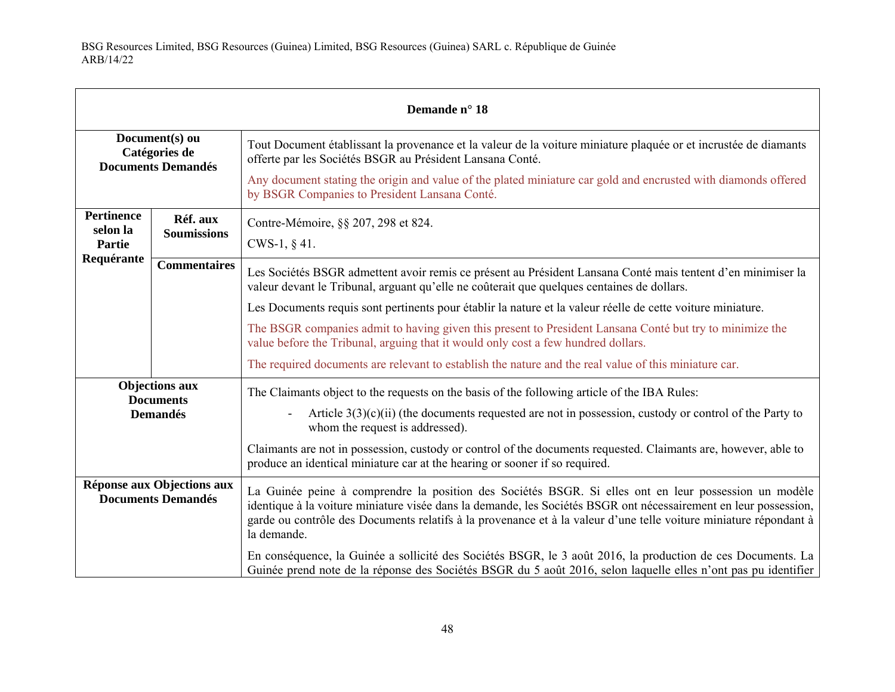| Demande n° 18                                                |                                |                                                                                                                                                                                                                                                                                                                                                               |
|--------------------------------------------------------------|--------------------------------|---------------------------------------------------------------------------------------------------------------------------------------------------------------------------------------------------------------------------------------------------------------------------------------------------------------------------------------------------------------|
| Document(s) ou<br>Catégories de<br><b>Documents Demandés</b> |                                | Tout Document établissant la provenance et la valeur de la voiture miniature plaquée or et incrustée de diamants<br>offerte par les Sociétés BSGR au Président Lansana Conté.                                                                                                                                                                                 |
|                                                              |                                | Any document stating the origin and value of the plated miniature car gold and encrusted with diamonds offered<br>by BSGR Companies to President Lansana Conté.                                                                                                                                                                                               |
| <b>Pertinence</b><br>selon la                                | Réf. aux<br><b>Soumissions</b> | Contre-Mémoire, §§ 207, 298 et 824.                                                                                                                                                                                                                                                                                                                           |
| Partie                                                       |                                | CWS-1, $§$ 41.                                                                                                                                                                                                                                                                                                                                                |
| Requérante                                                   | <b>Commentaires</b>            | Les Sociétés BSGR admettent avoir remis ce présent au Président Lansana Conté mais tentent d'en minimiser la<br>valeur devant le Tribunal, arguant qu'elle ne coûterait que quelques centaines de dollars.                                                                                                                                                    |
|                                                              |                                | Les Documents requis sont pertinents pour établir la nature et la valeur réelle de cette voiture miniature.                                                                                                                                                                                                                                                   |
|                                                              |                                | The BSGR companies admit to having given this present to President Lansana Conté but try to minimize the<br>value before the Tribunal, arguing that it would only cost a few hundred dollars.                                                                                                                                                                 |
|                                                              |                                | The required documents are relevant to establish the nature and the real value of this miniature car.                                                                                                                                                                                                                                                         |
|                                                              | <b>Objections aux</b>          | The Claimants object to the requests on the basis of the following article of the IBA Rules:                                                                                                                                                                                                                                                                  |
| <b>Documents</b><br><b>Demandés</b>                          |                                | Article $3(3)(c)(ii)$ (the documents requested are not in possession, custody or control of the Party to<br>whom the request is addressed).                                                                                                                                                                                                                   |
|                                                              |                                | Claimants are not in possession, custody or control of the documents requested. Claimants are, however, able to<br>produce an identical miniature car at the hearing or sooner if so required.                                                                                                                                                                |
| Réponse aux Objections aux<br><b>Documents Demandés</b>      |                                | La Guinée peine à comprendre la position des Sociétés BSGR. Si elles ont en leur possession un modèle<br>identique à la voiture miniature visée dans la demande, les Sociétés BSGR ont nécessairement en leur possession,<br>garde ou contrôle des Documents relatifs à la provenance et à la valeur d'une telle voiture miniature répondant à<br>la demande. |
|                                                              |                                | En conséquence, la Guinée a sollicité des Sociétés BSGR, le 3 août 2016, la production de ces Documents. La<br>Guinée prend note de la réponse des Sociétés BSGR du 5 août 2016, selon laquelle elles n'ont pas pu identifier                                                                                                                                 |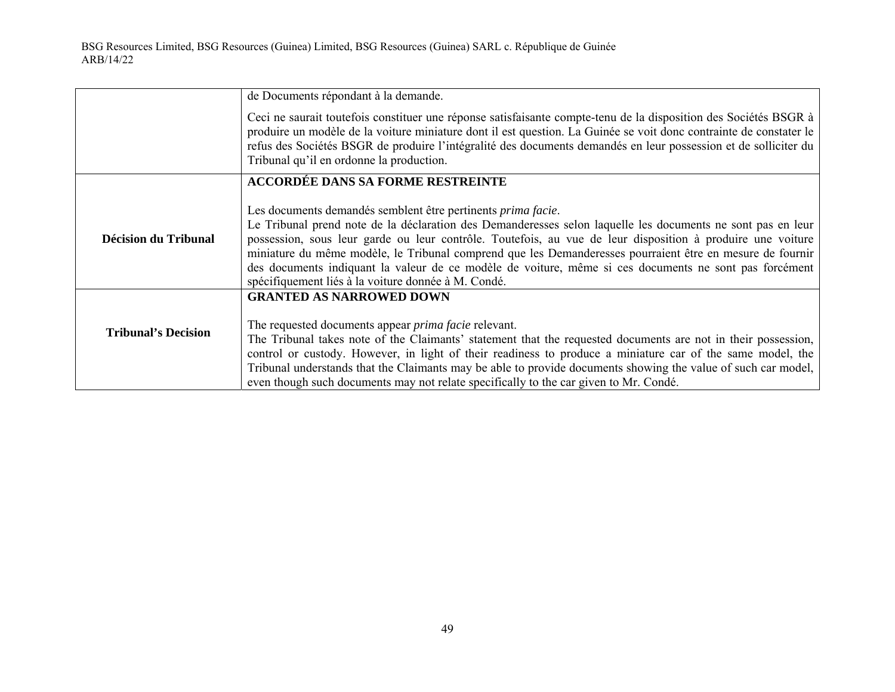|                            | de Documents répondant à la demande.                                                                                                                                                                                                                                                                                                                                                                                                                                                                                                                                            |
|----------------------------|---------------------------------------------------------------------------------------------------------------------------------------------------------------------------------------------------------------------------------------------------------------------------------------------------------------------------------------------------------------------------------------------------------------------------------------------------------------------------------------------------------------------------------------------------------------------------------|
|                            | Ceci ne saurait toutefois constituer une réponse satisfaisante compte-tenu de la disposition des Sociétés BSGR à<br>produire un modèle de la voiture miniature dont il est question. La Guinée se voit donc contrainte de constater le<br>refus des Sociétés BSGR de produire l'intégralité des documents demandés en leur possession et de solliciter du<br>Tribunal qu'il en ordonne la production.                                                                                                                                                                           |
|                            | <b>ACCORDÉE DANS SA FORME RESTREINTE</b>                                                                                                                                                                                                                                                                                                                                                                                                                                                                                                                                        |
| Décision du Tribunal       | Les documents demandés semblent être pertinents <i>prima facie</i> .<br>Le Tribunal prend note de la déclaration des Demanderesses selon laquelle les documents ne sont pas en leur<br>possession, sous leur garde ou leur contrôle. Toutefois, au vue de leur disposition à produire une voiture<br>miniature du même modèle, le Tribunal comprend que les Demanderesses pourraient être en mesure de fournir<br>des documents indiquant la valeur de ce modèle de voiture, même si ces documents ne sont pas forcément<br>spécifiquement liés à la voiture donnée à M. Condé. |
| <b>Tribunal's Decision</b> | <b>GRANTED AS NARROWED DOWN</b><br>The requested documents appear <i>prima facie</i> relevant.<br>The Tribunal takes note of the Claimants' statement that the requested documents are not in their possession,<br>control or custody. However, in light of their readiness to produce a miniature car of the same model, the<br>Tribunal understands that the Claimants may be able to provide documents showing the value of such car model,<br>even though such documents may not relate specifically to the car given to Mr. Condé.                                         |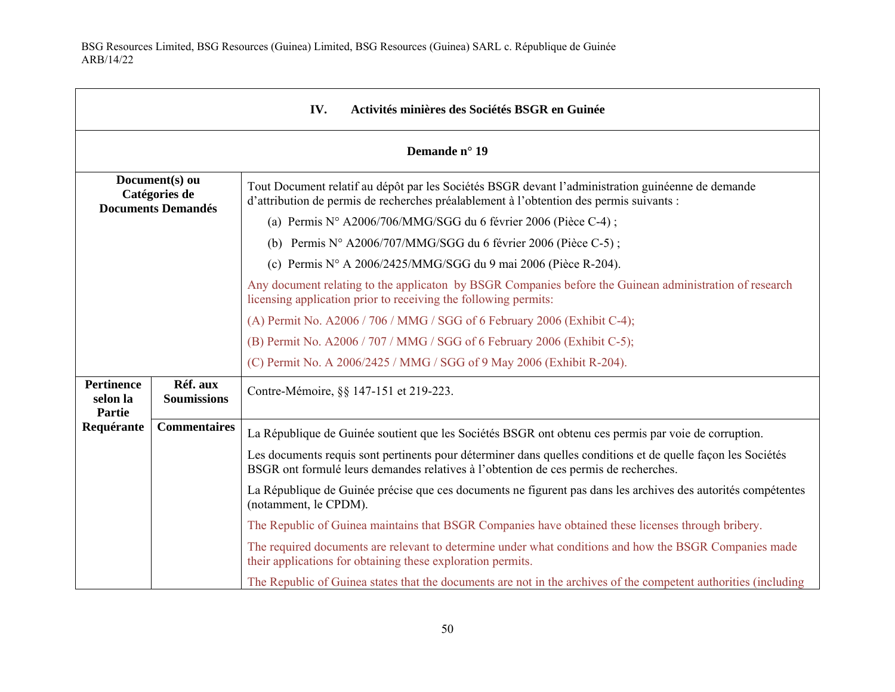г

| IV.<br>Activités minières des Sociétés BSGR en Guinée        |                                |                                                                                                                                                                                                      |
|--------------------------------------------------------------|--------------------------------|------------------------------------------------------------------------------------------------------------------------------------------------------------------------------------------------------|
| Demande n° 19                                                |                                |                                                                                                                                                                                                      |
| Document(s) ou<br>Catégories de<br><b>Documents Demandés</b> |                                | Tout Document relatif au dépôt par les Sociétés BSGR devant l'administration guinéenne de demande<br>d'attribution de permis de recherches préalablement à l'obtention des permis suivants :         |
|                                                              |                                | (a) Permis $N^{\circ}$ A2006/706/MMG/SGG du 6 février 2006 (Pièce C-4);                                                                                                                              |
|                                                              |                                | (b) Permis $N^{\circ}$ A2006/707/MMG/SGG du 6 février 2006 (Pièce C-5);                                                                                                                              |
|                                                              |                                | (c) Permis $N^{\circ}$ A 2006/2425/MMG/SGG du 9 mai 2006 (Pièce R-204).                                                                                                                              |
|                                                              |                                | Any document relating to the applicaton by BSGR Companies before the Guinean administration of research<br>licensing application prior to receiving the following permits:                           |
|                                                              |                                | (A) Permit No. A2006 / 706 / MMG / SGG of 6 February 2006 (Exhibit C-4);                                                                                                                             |
|                                                              |                                | (B) Permit No. A2006 / 707 / MMG / SGG of 6 February 2006 (Exhibit C-5);                                                                                                                             |
|                                                              |                                | (C) Permit No. A 2006/2425 / MMG / SGG of 9 May 2006 (Exhibit R-204).                                                                                                                                |
| <b>Pertinence</b><br>selon la<br>Partie                      | Réf. aux<br><b>Soumissions</b> | Contre-Mémoire, §§ 147-151 et 219-223.                                                                                                                                                               |
| Requérante                                                   | <b>Commentaires</b>            | La République de Guinée soutient que les Sociétés BSGR ont obtenu ces permis par voie de corruption.                                                                                                 |
|                                                              |                                | Les documents requis sont pertinents pour déterminer dans quelles conditions et de quelle façon les Sociétés<br>BSGR ont formulé leurs demandes relatives à l'obtention de ces permis de recherches. |
|                                                              |                                | La République de Guinée précise que ces documents ne figurent pas dans les archives des autorités compétentes<br>(notamment, le CPDM).                                                               |
|                                                              |                                | The Republic of Guinea maintains that BSGR Companies have obtained these licenses through bribery.                                                                                                   |
|                                                              |                                | The required documents are relevant to determine under what conditions and how the BSGR Companies made<br>their applications for obtaining these exploration permits.                                |
|                                                              |                                | The Republic of Guinea states that the documents are not in the archives of the competent authorities (including                                                                                     |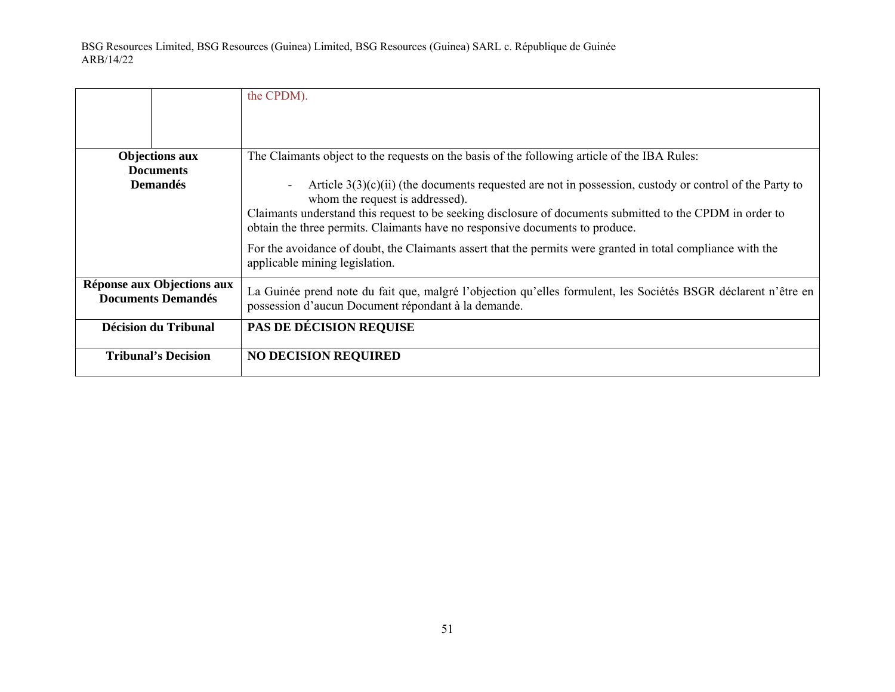|                                                         | the CPDM).                                                                                                                                                                                |
|---------------------------------------------------------|-------------------------------------------------------------------------------------------------------------------------------------------------------------------------------------------|
| <b>Objections aux</b><br><b>Documents</b>               | The Claimants object to the requests on the basis of the following article of the IBA Rules:                                                                                              |
| <b>Demandés</b>                                         | Article $3(3)(c)(ii)$ (the documents requested are not in possession, custody or control of the Party to<br>$\overline{\phantom{a}}$<br>whom the request is addressed).                   |
|                                                         | Claimants understand this request to be seeking disclosure of documents submitted to the CPDM in order to<br>obtain the three permits. Claimants have no responsive documents to produce. |
|                                                         | For the avoidance of doubt, the Claimants assert that the permits were granted in total compliance with the<br>applicable mining legislation.                                             |
| Réponse aux Objections aux<br><b>Documents Demandés</b> | La Guinée prend note du fait que, malgré l'objection qu'elles formulent, les Sociétés BSGR déclarent n'être en<br>possession d'aucun Document répondant à la demande.                     |
| <b>Décision du Tribunal</b>                             | <b>PAS DE DÉCISION REQUISE</b>                                                                                                                                                            |
| <b>Tribunal's Decision</b>                              | <b>NO DECISION REQUIRED</b>                                                                                                                                                               |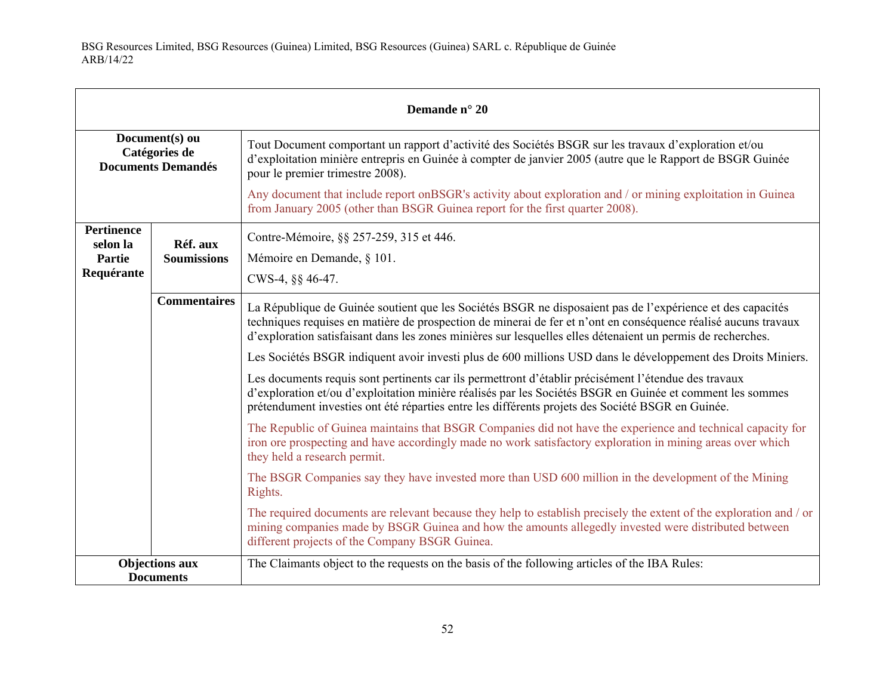| Demande n° 20                                                |                                |                                                                                                                                                                                                                                                                                                                                             |
|--------------------------------------------------------------|--------------------------------|---------------------------------------------------------------------------------------------------------------------------------------------------------------------------------------------------------------------------------------------------------------------------------------------------------------------------------------------|
| Document(s) ou<br>Catégories de<br><b>Documents Demandés</b> |                                | Tout Document comportant un rapport d'activité des Sociétés BSGR sur les travaux d'exploration et/ou<br>d'exploitation minière entrepris en Guinée à compter de janvier 2005 (autre que le Rapport de BSGR Guinée<br>pour le premier trimestre 2008).                                                                                       |
|                                                              |                                | Any document that include report on BSGR's activity about exploration and / or mining exploitation in Guinea<br>from January 2005 (other than BSGR Guinea report for the first quarter 2008).                                                                                                                                               |
| <b>Pertinence</b><br>selon la<br>Partie<br>Requérante        | Réf. aux<br><b>Soumissions</b> | Contre-Mémoire, §§ 257-259, 315 et 446.<br>Mémoire en Demande, § 101.<br>CWS-4, §§ 46-47.                                                                                                                                                                                                                                                   |
|                                                              | <b>Commentaires</b>            | La République de Guinée soutient que les Sociétés BSGR ne disposaient pas de l'expérience et des capacités<br>techniques requises en matière de prospection de minerai de fer et n'ont en conséquence réalisé aucuns travaux<br>d'exploration satisfaisant dans les zones minières sur lesquelles elles détenaient un permis de recherches. |
|                                                              |                                | Les Sociétés BSGR indiquent avoir investi plus de 600 millions USD dans le développement des Droits Miniers.                                                                                                                                                                                                                                |
|                                                              |                                | Les documents requis sont pertinents car ils permettront d'établir précisément l'étendue des travaux<br>d'exploration et/ou d'exploitation minière réalisés par les Sociétés BSGR en Guinée et comment les sommes<br>prétendument investies ont été réparties entre les différents projets des Société BSGR en Guinée.                      |
|                                                              |                                | The Republic of Guinea maintains that BSGR Companies did not have the experience and technical capacity for<br>iron ore prospecting and have accordingly made no work satisfactory exploration in mining areas over which<br>they held a research permit.                                                                                   |
|                                                              |                                | The BSGR Companies say they have invested more than USD 600 million in the development of the Mining<br>Rights.                                                                                                                                                                                                                             |
|                                                              |                                | The required documents are relevant because they help to establish precisely the extent of the exploration and / or<br>mining companies made by BSGR Guinea and how the amounts allegedly invested were distributed between<br>different projects of the Company BSGR Guinea.                                                               |
| <b>Objections aux</b><br><b>Documents</b>                    |                                | The Claimants object to the requests on the basis of the following articles of the IBA Rules:                                                                                                                                                                                                                                               |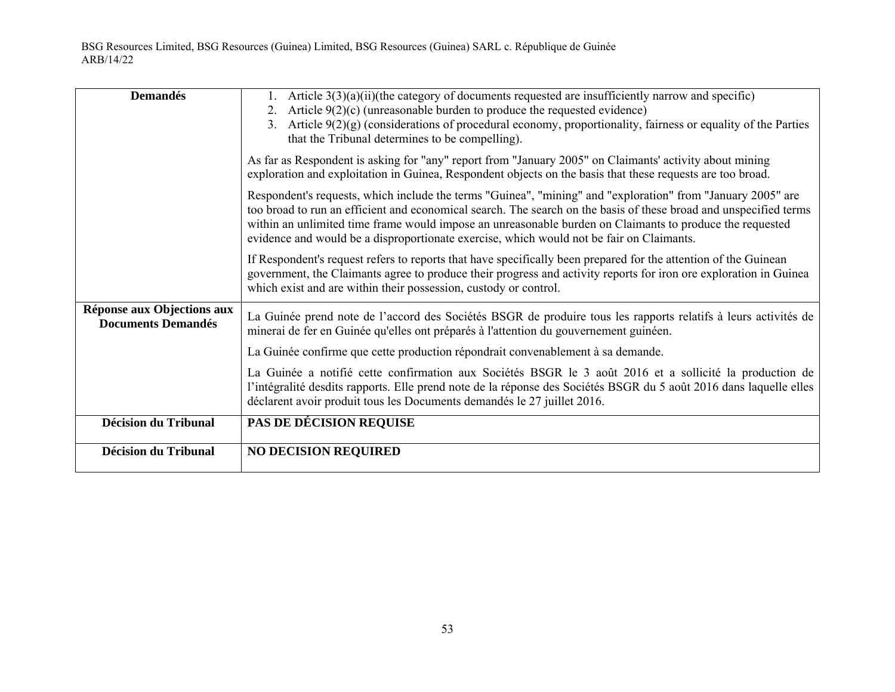| <b>Demandés</b>                                         | 1. Article $3(3)(a)(ii)$ (the category of documents requested are insufficiently narrow and specific)<br>2. Article $9(2)(c)$ (unreasonable burden to produce the requested evidence)<br>3. Article 9(2)(g) (considerations of procedural economy, proportionality, fairness or equality of the Parties<br>that the Tribunal determines to be compelling).                                                                               |
|---------------------------------------------------------|------------------------------------------------------------------------------------------------------------------------------------------------------------------------------------------------------------------------------------------------------------------------------------------------------------------------------------------------------------------------------------------------------------------------------------------|
|                                                         | As far as Respondent is asking for "any" report from "January 2005" on Claimants' activity about mining<br>exploration and exploitation in Guinea, Respondent objects on the basis that these requests are too broad.                                                                                                                                                                                                                    |
|                                                         | Respondent's requests, which include the terms "Guinea", "mining" and "exploration" from "January 2005" are<br>too broad to run an efficient and economical search. The search on the basis of these broad and unspecified terms<br>within an unlimited time frame would impose an unreasonable burden on Claimants to produce the requested<br>evidence and would be a disproportionate exercise, which would not be fair on Claimants. |
|                                                         | If Respondent's request refers to reports that have specifically been prepared for the attention of the Guinean<br>government, the Claimants agree to produce their progress and activity reports for iron ore exploration in Guinea<br>which exist and are within their possession, custody or control.                                                                                                                                 |
| Réponse aux Objections aux<br><b>Documents Demandés</b> | La Guinée prend note de l'accord des Sociétés BSGR de produire tous les rapports relatifs à leurs activités de<br>minerai de fer en Guinée qu'elles ont préparés à l'attention du gouvernement guinéen.                                                                                                                                                                                                                                  |
|                                                         | La Guinée confirme que cette production répondrait convenablement à sa demande.                                                                                                                                                                                                                                                                                                                                                          |
|                                                         | La Guinée a notifié cette confirmation aux Sociétés BSGR le 3 août 2016 et a sollicité la production de<br>l'intégralité desdits rapports. Elle prend note de la réponse des Sociétés BSGR du 5 août 2016 dans laquelle elles<br>déclarent avoir produit tous les Documents demandés le 27 juillet 2016.                                                                                                                                 |
| <b>Décision du Tribunal</b>                             | PAS DE DÉCISION REQUISE                                                                                                                                                                                                                                                                                                                                                                                                                  |
| <b>Décision du Tribunal</b>                             | <b>NO DECISION REQUIRED</b>                                                                                                                                                                                                                                                                                                                                                                                                              |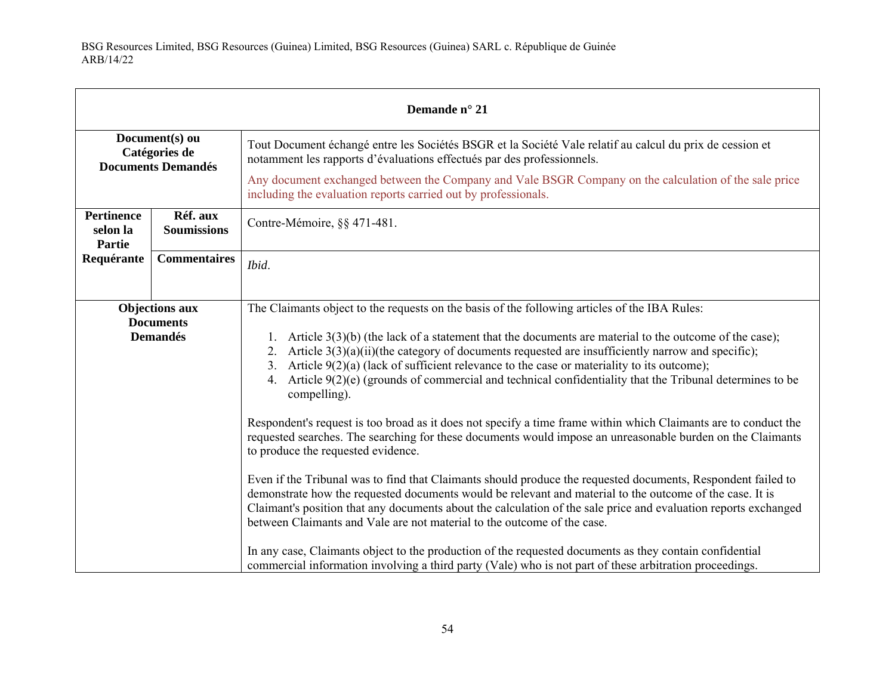| Demande n° 21                                                |                                     |                                                                                                                                                                                                                                                                                                                                                                                                                                                        |
|--------------------------------------------------------------|-------------------------------------|--------------------------------------------------------------------------------------------------------------------------------------------------------------------------------------------------------------------------------------------------------------------------------------------------------------------------------------------------------------------------------------------------------------------------------------------------------|
| Document(s) ou<br>Catégories de<br><b>Documents Demandés</b> |                                     | Tout Document échangé entre les Sociétés BSGR et la Société Vale relatif au calcul du prix de cession et<br>notamment les rapports d'évaluations effectués par des professionnels.                                                                                                                                                                                                                                                                     |
|                                                              |                                     | Any document exchanged between the Company and Vale BSGR Company on the calculation of the sale price<br>including the evaluation reports carried out by professionals.                                                                                                                                                                                                                                                                                |
| <b>Pertinence</b><br>selon la<br>Partie                      | Réf. aux<br><b>Soumissions</b>      | Contre-Mémoire, §§ 471-481.                                                                                                                                                                                                                                                                                                                                                                                                                            |
| Requérante                                                   | <b>Commentaires</b>                 | Ibid.                                                                                                                                                                                                                                                                                                                                                                                                                                                  |
|                                                              | <b>Objections aux</b>               | The Claimants object to the requests on the basis of the following articles of the IBA Rules:                                                                                                                                                                                                                                                                                                                                                          |
|                                                              | <b>Documents</b><br><b>Demandés</b> | 1. Article $3(3)(b)$ (the lack of a statement that the documents are material to the outcome of the case);<br>2. Article $3(3)(a)(ii)$ (the category of documents requested are insufficiently narrow and specific);<br>3. Article $9(2)(a)$ (lack of sufficient relevance to the case or materiality to its outcome);<br>4. Article $9(2)(e)$ (grounds of commercial and technical confidentiality that the Tribunal determines to be<br>compelling). |
|                                                              |                                     | Respondent's request is too broad as it does not specify a time frame within which Claimants are to conduct the<br>requested searches. The searching for these documents would impose an unreasonable burden on the Claimants<br>to produce the requested evidence.                                                                                                                                                                                    |
|                                                              |                                     | Even if the Tribunal was to find that Claimants should produce the requested documents, Respondent failed to<br>demonstrate how the requested documents would be relevant and material to the outcome of the case. It is<br>Claimant's position that any documents about the calculation of the sale price and evaluation reports exchanged<br>between Claimants and Vale are not material to the outcome of the case.                                 |
|                                                              |                                     | In any case, Claimants object to the production of the requested documents as they contain confidential<br>commercial information involving a third party (Vale) who is not part of these arbitration proceedings.                                                                                                                                                                                                                                     |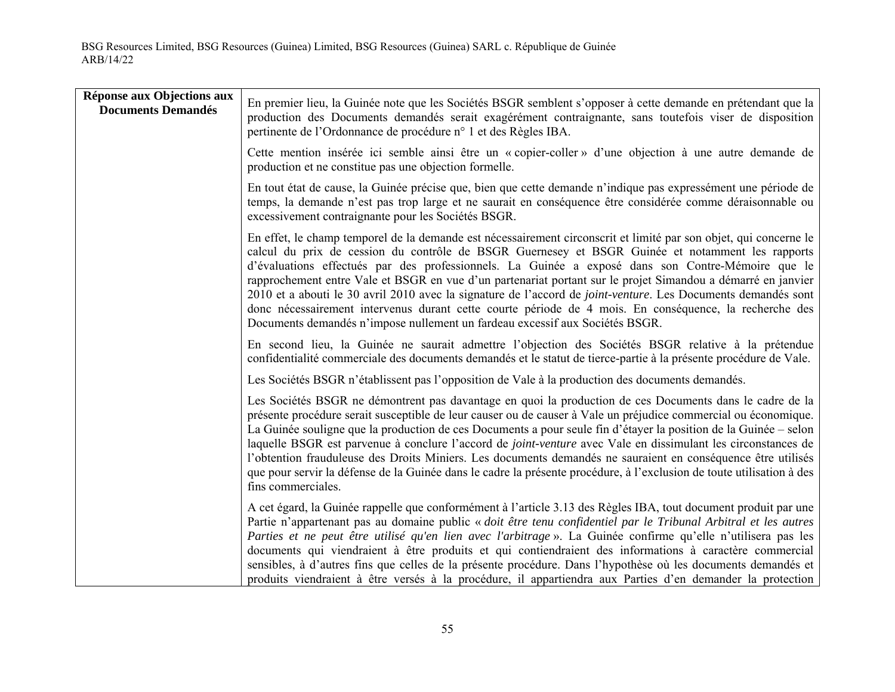| Réponse aux Objections aux<br><b>Documents Demandés</b> | En premier lieu, la Guinée note que les Sociétés BSGR semblent s'opposer à cette demande en prétendant que la<br>production des Documents demandés serait exagérément contraignante, sans toutefois viser de disposition<br>pertinente de l'Ordonnance de procédure n° 1 et des Règles IBA.                                                                                                                                                                                                                                                                                                                                                                                                                                                                   |
|---------------------------------------------------------|---------------------------------------------------------------------------------------------------------------------------------------------------------------------------------------------------------------------------------------------------------------------------------------------------------------------------------------------------------------------------------------------------------------------------------------------------------------------------------------------------------------------------------------------------------------------------------------------------------------------------------------------------------------------------------------------------------------------------------------------------------------|
|                                                         | Cette mention insérée ici semble ainsi être un « copier-coller » d'une objection à une autre demande de<br>production et ne constitue pas une objection formelle.                                                                                                                                                                                                                                                                                                                                                                                                                                                                                                                                                                                             |
|                                                         | En tout état de cause, la Guinée précise que, bien que cette demande n'indique pas expressément une période de<br>temps, la demande n'est pas trop large et ne saurait en conséquence être considérée comme déraisonnable ou<br>excessivement contraignante pour les Sociétés BSGR.                                                                                                                                                                                                                                                                                                                                                                                                                                                                           |
|                                                         | En effet, le champ temporel de la demande est nécessairement circonscrit et limité par son objet, qui concerne le<br>calcul du prix de cession du contrôle de BSGR Guernesey et BSGR Guinée et notamment les rapports<br>d'évaluations effectués par des professionnels. La Guinée a exposé dans son Contre-Mémoire que le<br>rapprochement entre Vale et BSGR en vue d'un partenariat portant sur le projet Simandou a démarré en janvier<br>2010 et a abouti le 30 avril 2010 avec la signature de l'accord de <i>joint-venture</i> . Les Documents demandés sont<br>donc nécessairement intervenus durant cette courte période de 4 mois. En conséquence, la recherche des<br>Documents demandés n'impose nullement un fardeau excessif aux Sociétés BSGR. |
|                                                         | En second lieu, la Guinée ne saurait admettre l'objection des Sociétés BSGR relative à la prétendue<br>confidentialité commerciale des documents demandés et le statut de tierce-partie à la présente procédure de Vale.                                                                                                                                                                                                                                                                                                                                                                                                                                                                                                                                      |
|                                                         | Les Sociétés BSGR n'établissent pas l'opposition de Vale à la production des documents demandés.                                                                                                                                                                                                                                                                                                                                                                                                                                                                                                                                                                                                                                                              |
|                                                         | Les Sociétés BSGR ne démontrent pas davantage en quoi la production de ces Documents dans le cadre de la<br>présente procédure serait susceptible de leur causer ou de causer à Vale un préjudice commercial ou économique.<br>La Guinée souligne que la production de ces Documents a pour seule fin d'étayer la position de la Guinée – selon<br>laquelle BSGR est parvenue à conclure l'accord de <i>joint-venture</i> avec Vale en dissimulant les circonstances de<br>l'obtention frauduleuse des Droits Miniers. Les documents demandés ne sauraient en conséquence être utilisés<br>que pour servir la défense de la Guinée dans le cadre la présente procédure, à l'exclusion de toute utilisation à des<br>fins commerciales.                        |
|                                                         | A cet égard, la Guinée rappelle que conformément à l'article 3.13 des Règles IBA, tout document produit par une<br>Partie n'appartenant pas au domaine public « doit être tenu confidentiel par le Tribunal Arbitral et les autres<br>Parties et ne peut être utilisé qu'en lien avec l'arbitrage ». La Guinée confirme qu'elle n'utilisera pas les<br>documents qui viendraient à être produits et qui contiendraient des informations à caractère commercial<br>sensibles, à d'autres fins que celles de la présente procédure. Dans l'hypothèse où les documents demandés et<br>produits viendraient à être versés à la procédure, il appartiendra aux Parties d'en demander la protection                                                                 |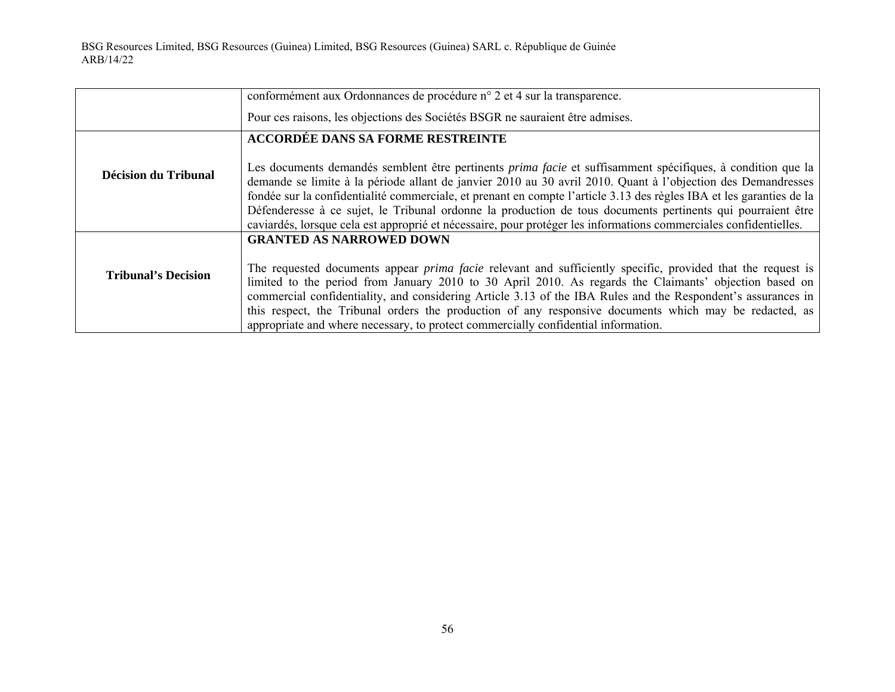|                             | conformément aux Ordonnances de procédure n° 2 et 4 sur la transparence.                                                                                                                                                                                                                                                                                                                                                                                                                                                                                                                       |
|-----------------------------|------------------------------------------------------------------------------------------------------------------------------------------------------------------------------------------------------------------------------------------------------------------------------------------------------------------------------------------------------------------------------------------------------------------------------------------------------------------------------------------------------------------------------------------------------------------------------------------------|
|                             | Pour ces raisons, les objections des Sociétés BSGR ne sauraient être admises.                                                                                                                                                                                                                                                                                                                                                                                                                                                                                                                  |
|                             | <b>ACCORDÉE DANS SA FORME RESTREINTE</b>                                                                                                                                                                                                                                                                                                                                                                                                                                                                                                                                                       |
| <b>Décision du Tribunal</b> | Les documents demandés semblent être pertinents <i>prima facie</i> et suffisamment spécifiques, à condition que la<br>demande se limite à la période allant de janvier 2010 au 30 avril 2010. Quant à l'objection des Demandresses<br>fondée sur la confidentialité commerciale, et prenant en compte l'article 3.13 des règles IBA et les garanties de la<br>Défenderesse à ce sujet, le Tribunal ordonne la production de tous documents pertinents qui pourraient être<br>caviardés, lorsque cela est approprié et nécessaire, pour protéger les informations commerciales confidentielles. |
| <b>Tribunal's Decision</b>  | <b>GRANTED AS NARROWED DOWN</b><br>The requested documents appear <i>prima facie</i> relevant and sufficiently specific, provided that the request is<br>limited to the period from January 2010 to 30 April 2010. As regards the Claimants' objection based on<br>commercial confidentiality, and considering Article 3.13 of the IBA Rules and the Respondent's assurances in<br>this respect, the Tribunal orders the production of any responsive documents which may be redacted, as<br>appropriate and where necessary, to protect commercially confidential information.                |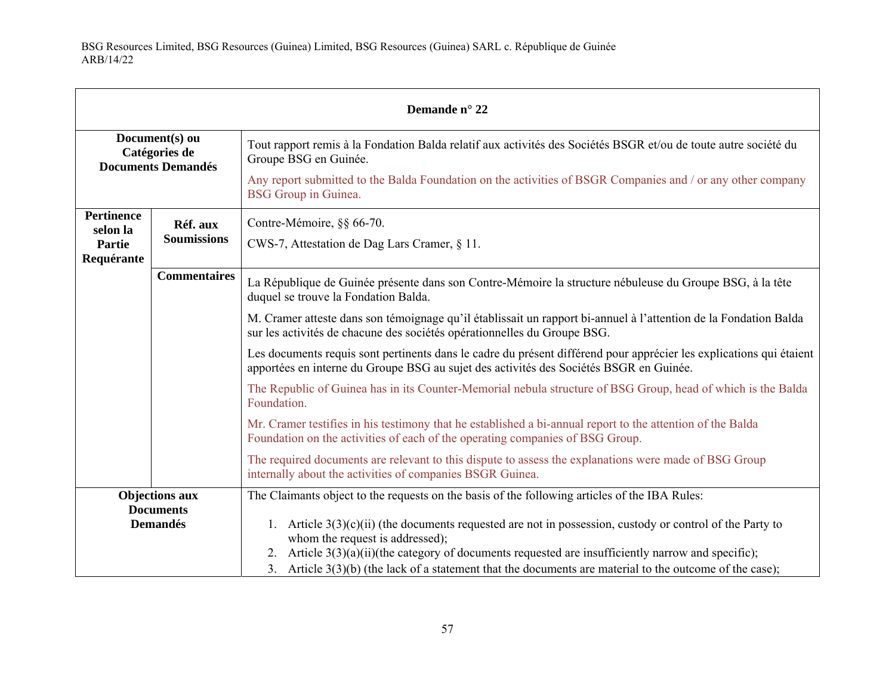| Demande n° 22                                                |                                     |                                                                                                                                                                                                                                                                                                                                                                        |
|--------------------------------------------------------------|-------------------------------------|------------------------------------------------------------------------------------------------------------------------------------------------------------------------------------------------------------------------------------------------------------------------------------------------------------------------------------------------------------------------|
| Document(s) ou<br>Catégories de<br><b>Documents Demandés</b> |                                     | Tout rapport remis à la Fondation Balda relatif aux activités des Sociétés BSGR et/ou de toute autre société du<br>Groupe BSG en Guinée.<br>Any report submitted to the Balda Foundation on the activities of BSGR Companies and / or any other company<br>BSG Group in Guinea.                                                                                        |
| <b>Pertinence</b><br>selon la<br>Partie<br>Requérante        | Réf. aux<br><b>Soumissions</b>      | Contre-Mémoire, §§ 66-70.<br>CWS-7, Attestation de Dag Lars Cramer, § 11.                                                                                                                                                                                                                                                                                              |
|                                                              | <b>Commentaires</b>                 | La République de Guinée présente dans son Contre-Mémoire la structure nébuleuse du Groupe BSG, à la tête<br>duquel se trouve la Fondation Balda.                                                                                                                                                                                                                       |
|                                                              |                                     | M. Cramer atteste dans son témoignage qu'il établissait un rapport bi-annuel à l'attention de la Fondation Balda<br>sur les activités de chacune des sociétés opérationnelles du Groupe BSG.                                                                                                                                                                           |
|                                                              |                                     | Les documents requis sont pertinents dans le cadre du présent différend pour apprécier les explications qui étaient<br>apportées en interne du Groupe BSG au sujet des activités des Sociétés BSGR en Guinée.                                                                                                                                                          |
|                                                              |                                     | The Republic of Guinea has in its Counter-Memorial nebula structure of BSG Group, head of which is the Balda<br>Foundation.                                                                                                                                                                                                                                            |
|                                                              |                                     | Mr. Cramer testifies in his testimony that he established a bi-annual report to the attention of the Balda<br>Foundation on the activities of each of the operating companies of BSG Group.                                                                                                                                                                            |
|                                                              |                                     | The required documents are relevant to this dispute to assess the explanations were made of BSG Group<br>internally about the activities of companies BSGR Guinea.                                                                                                                                                                                                     |
|                                                              | <b>Objections aux</b>               | The Claimants object to the requests on the basis of the following articles of the IBA Rules:                                                                                                                                                                                                                                                                          |
|                                                              | <b>Documents</b><br><b>Demandés</b> | 1. Article $3(3)(c)(ii)$ (the documents requested are not in possession, custody or control of the Party to<br>whom the request is addressed);<br>2. Article $3(3)(a)(ii)$ (the category of documents requested are insufficiently narrow and specific);<br>3. Article $3(3)(b)$ (the lack of a statement that the documents are material to the outcome of the case); |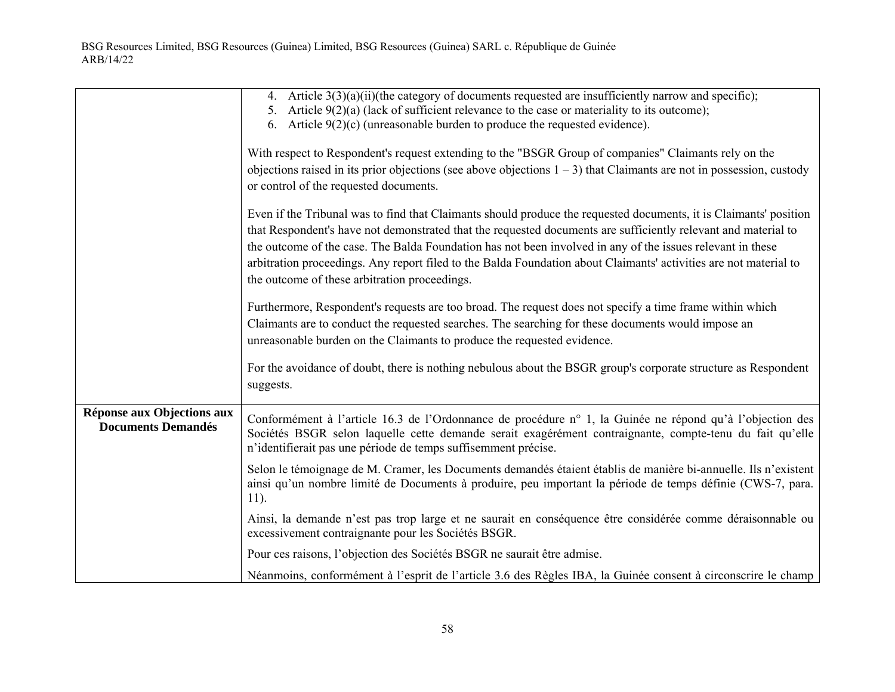|                                                         | 4. Article $3(3)(a)(ii)$ (the category of documents requested are insufficiently narrow and specific);<br>5. Article $9(2)(a)$ (lack of sufficient relevance to the case or materiality to its outcome);<br>6. Article $9(2)(c)$ (unreasonable burden to produce the requested evidence).<br>With respect to Respondent's request extending to the "BSGR Group of companies" Claimants rely on the<br>objections raised in its prior objections (see above objections $1 - 3$ ) that Claimants are not in possession, custody<br>or control of the requested documents. |
|---------------------------------------------------------|-------------------------------------------------------------------------------------------------------------------------------------------------------------------------------------------------------------------------------------------------------------------------------------------------------------------------------------------------------------------------------------------------------------------------------------------------------------------------------------------------------------------------------------------------------------------------|
|                                                         | Even if the Tribunal was to find that Claimants should produce the requested documents, it is Claimants' position<br>that Respondent's have not demonstrated that the requested documents are sufficiently relevant and material to<br>the outcome of the case. The Balda Foundation has not been involved in any of the issues relevant in these<br>arbitration proceedings. Any report filed to the Balda Foundation about Claimants' activities are not material to<br>the outcome of these arbitration proceedings.                                                 |
|                                                         | Furthermore, Respondent's requests are too broad. The request does not specify a time frame within which<br>Claimants are to conduct the requested searches. The searching for these documents would impose an<br>unreasonable burden on the Claimants to produce the requested evidence.                                                                                                                                                                                                                                                                               |
|                                                         | For the avoidance of doubt, there is nothing nebulous about the BSGR group's corporate structure as Respondent<br>suggests.                                                                                                                                                                                                                                                                                                                                                                                                                                             |
| Réponse aux Objections aux<br><b>Documents Demandés</b> | Conformément à l'article 16.3 de l'Ordonnance de procédure n° 1, la Guinée ne répond qu'à l'objection des<br>Sociétés BSGR selon laquelle cette demande serait exagérément contraignante, compte-tenu du fait qu'elle<br>n'identifierait pas une période de temps suffisemment précise.                                                                                                                                                                                                                                                                                 |
|                                                         | Selon le témoignage de M. Cramer, les Documents demandés étaient établis de manière bi-annuelle. Ils n'existent<br>ainsi qu'un nombre limité de Documents à produire, peu important la période de temps définie (CWS-7, para.<br>$11$ ).                                                                                                                                                                                                                                                                                                                                |
|                                                         | Ainsi, la demande n'est pas trop large et ne saurait en conséquence être considérée comme déraisonnable ou<br>excessivement contraignante pour les Sociétés BSGR.                                                                                                                                                                                                                                                                                                                                                                                                       |
|                                                         | Pour ces raisons, l'objection des Sociétés BSGR ne saurait être admise.                                                                                                                                                                                                                                                                                                                                                                                                                                                                                                 |
|                                                         | Néanmoins, conformément à l'esprit de l'article 3.6 des Règles IBA, la Guinée consent à circonscrire le champ                                                                                                                                                                                                                                                                                                                                                                                                                                                           |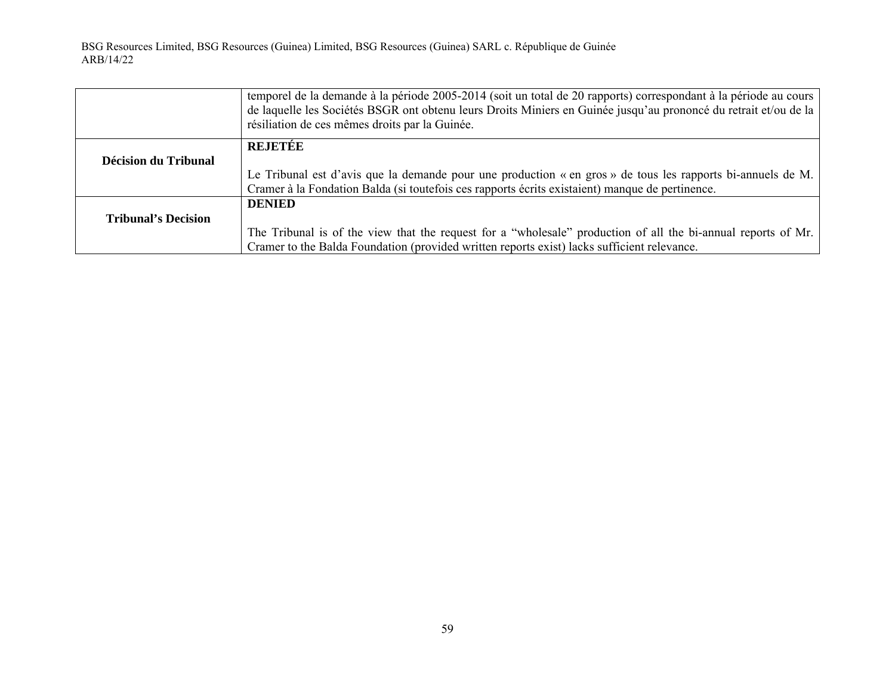|                            | temporel de la demande à la période 2005-2014 (soit un total de 20 rapports) correspondant à la période au cours<br>de laquelle les Sociétés BSGR ont obtenu leurs Droits Miniers en Guinée jusqu'au prononcé du retrait et/ou de la<br>résiliation de ces mêmes droits par la Guinée. |
|----------------------------|----------------------------------------------------------------------------------------------------------------------------------------------------------------------------------------------------------------------------------------------------------------------------------------|
|                            | REJETÉE                                                                                                                                                                                                                                                                                |
| Décision du Tribunal       |                                                                                                                                                                                                                                                                                        |
|                            | Le Tribunal est d'avis que la demande pour une production « en gros » de tous les rapports bi-annuels de M.                                                                                                                                                                            |
|                            | Cramer à la Fondation Balda (si toutefois ces rapports écrits existaient) manque de pertinence.                                                                                                                                                                                        |
|                            | <b>DENIED</b>                                                                                                                                                                                                                                                                          |
| <b>Tribunal's Decision</b> |                                                                                                                                                                                                                                                                                        |
|                            | The Tribunal is of the view that the request for a "wholesale" production of all the bi-annual reports of Mr.                                                                                                                                                                          |
|                            | Cramer to the Balda Foundation (provided written reports exist) lacks sufficient relevance.                                                                                                                                                                                            |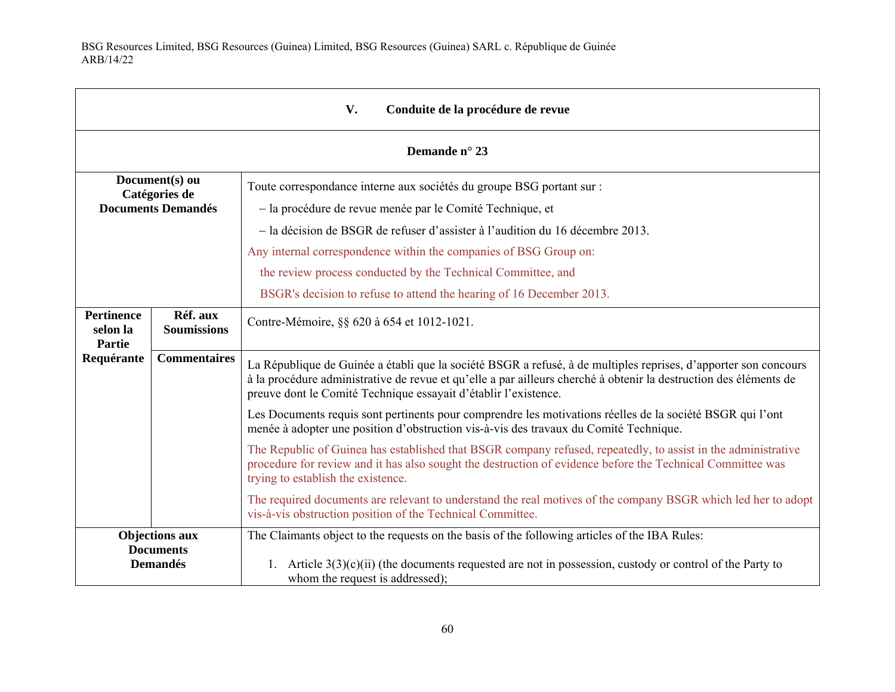| V.<br>Conduite de la procédure de revue                      |                                |                                                                                                                                                                                                                                                                                                                                                                                                                                  |  |
|--------------------------------------------------------------|--------------------------------|----------------------------------------------------------------------------------------------------------------------------------------------------------------------------------------------------------------------------------------------------------------------------------------------------------------------------------------------------------------------------------------------------------------------------------|--|
|                                                              | Demande n° 23                  |                                                                                                                                                                                                                                                                                                                                                                                                                                  |  |
| Document(s) ou<br>Catégories de<br><b>Documents Demandés</b> |                                | Toute correspondance interne aux sociétés du groupe BSG portant sur :<br>- la procédure de revue menée par le Comité Technique, et<br>- la décision de BSGR de refuser d'assister à l'audition du 16 décembre 2013.<br>Any internal correspondence within the companies of BSG Group on:<br>the review process conducted by the Technical Committee, and<br>BSGR's decision to refuse to attend the hearing of 16 December 2013. |  |
| <b>Pertinence</b><br>selon la<br>Partie                      | Réf. aux<br><b>Soumissions</b> | Contre-Mémoire, §§ 620 à 654 et 1012-1021.                                                                                                                                                                                                                                                                                                                                                                                       |  |
| Requérante                                                   | <b>Commentaires</b>            | La République de Guinée a établi que la société BSGR a refusé, à de multiples reprises, d'apporter son concours<br>à la procédure administrative de revue et qu'elle a par ailleurs cherché à obtenir la destruction des éléments de<br>preuve dont le Comité Technique essayait d'établir l'existence.                                                                                                                          |  |
|                                                              |                                | Les Documents requis sont pertinents pour comprendre les motivations réelles de la société BSGR qui l'ont<br>menée à adopter une position d'obstruction vis-à-vis des travaux du Comité Technique.                                                                                                                                                                                                                               |  |
|                                                              |                                | The Republic of Guinea has established that BSGR company refused, repeatedly, to assist in the administrative<br>procedure for review and it has also sought the destruction of evidence before the Technical Committee was<br>trying to establish the existence.                                                                                                                                                                |  |
|                                                              |                                | The required documents are relevant to understand the real motives of the company BSGR which led her to adopt<br>vis-à-vis obstruction position of the Technical Committee.                                                                                                                                                                                                                                                      |  |
| <b>Objections aux</b><br><b>Documents</b><br><b>Demandés</b> |                                | The Claimants object to the requests on the basis of the following articles of the IBA Rules:<br>1. Article $3(3)(c)(ii)$ (the documents requested are not in possession, custody or control of the Party to<br>whom the request is addressed);                                                                                                                                                                                  |  |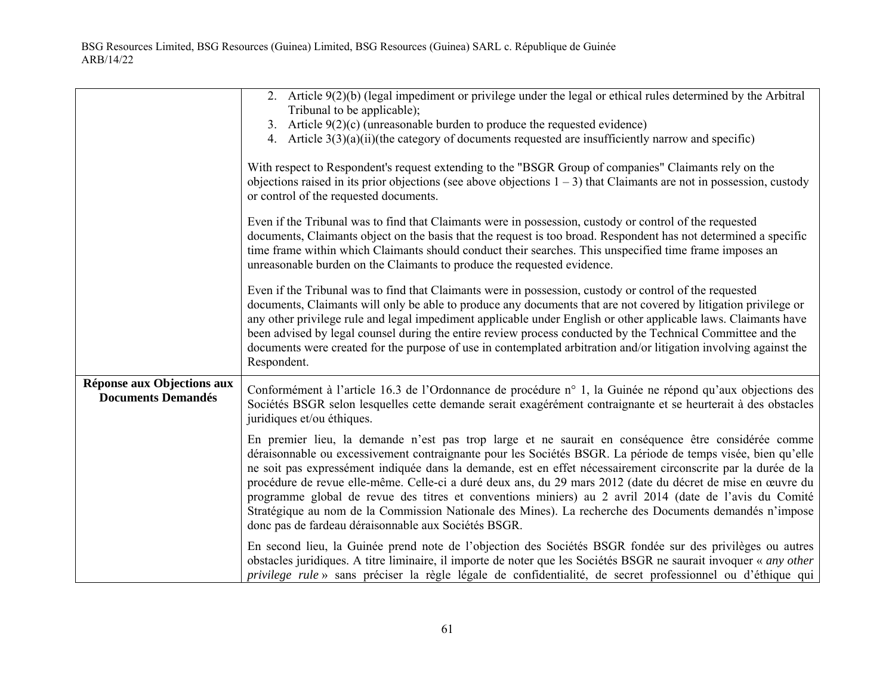|                                                         | 2. Article $9(2)(b)$ (legal impediment or privilege under the legal or ethical rules determined by the Arbitral<br>Tribunal to be applicable);<br>3. Article $9(2)(c)$ (unreasonable burden to produce the requested evidence)<br>4. Article $3(3)(a)(ii)$ (the category of documents requested are insufficiently narrow and specific)<br>With respect to Respondent's request extending to the "BSGR Group of companies" Claimants rely on the<br>objections raised in its prior objections (see above objections $1 - 3$ ) that Claimants are not in possession, custody<br>or control of the requested documents.<br>Even if the Tribunal was to find that Claimants were in possession, custody or control of the requested<br>documents, Claimants object on the basis that the request is too broad. Respondent has not determined a specific<br>time frame within which Claimants should conduct their searches. This unspecified time frame imposes an<br>unreasonable burden on the Claimants to produce the requested evidence.<br>Even if the Tribunal was to find that Claimants were in possession, custody or control of the requested |
|---------------------------------------------------------|-------------------------------------------------------------------------------------------------------------------------------------------------------------------------------------------------------------------------------------------------------------------------------------------------------------------------------------------------------------------------------------------------------------------------------------------------------------------------------------------------------------------------------------------------------------------------------------------------------------------------------------------------------------------------------------------------------------------------------------------------------------------------------------------------------------------------------------------------------------------------------------------------------------------------------------------------------------------------------------------------------------------------------------------------------------------------------------------------------------------------------------------------------|
|                                                         | documents, Claimants will only be able to produce any documents that are not covered by litigation privilege or<br>any other privilege rule and legal impediment applicable under English or other applicable laws. Claimants have<br>been advised by legal counsel during the entire review process conducted by the Technical Committee and the<br>documents were created for the purpose of use in contemplated arbitration and/or litigation involving against the<br>Respondent.                                                                                                                                                                                                                                                                                                                                                                                                                                                                                                                                                                                                                                                                 |
| Réponse aux Objections aux<br><b>Documents Demandés</b> | Conformément à l'article 16.3 de l'Ordonnance de procédure n° 1, la Guinée ne répond qu'aux objections des<br>Sociétés BSGR selon lesquelles cette demande serait exagérément contraignante et se heurterait à des obstacles<br>juridiques et/ou éthiques.                                                                                                                                                                                                                                                                                                                                                                                                                                                                                                                                                                                                                                                                                                                                                                                                                                                                                            |
|                                                         | En premier lieu, la demande n'est pas trop large et ne saurait en conséquence être considérée comme<br>déraisonnable ou excessivement contraignante pour les Sociétés BSGR. La période de temps visée, bien qu'elle<br>ne soit pas expressément indiquée dans la demande, est en effet nécessairement circonscrite par la durée de la<br>procédure de revue elle-même. Celle-ci a duré deux ans, du 29 mars 2012 (date du décret de mise en œuvre du<br>programme global de revue des titres et conventions miniers) au 2 avril 2014 (date de l'avis du Comité<br>Stratégique au nom de la Commission Nationale des Mines). La recherche des Documents demandés n'impose<br>donc pas de fardeau déraisonnable aux Sociétés BSGR.                                                                                                                                                                                                                                                                                                                                                                                                                      |
|                                                         | En second lieu, la Guinée prend note de l'objection des Sociétés BSGR fondée sur des privilèges ou autres<br>obstacles juridiques. A titre liminaire, il importe de noter que les Sociétés BSGR ne saurait invoquer « any other<br>privilege rule » sans préciser la règle légale de confidentialité, de secret professionnel ou d'éthique qui                                                                                                                                                                                                                                                                                                                                                                                                                                                                                                                                                                                                                                                                                                                                                                                                        |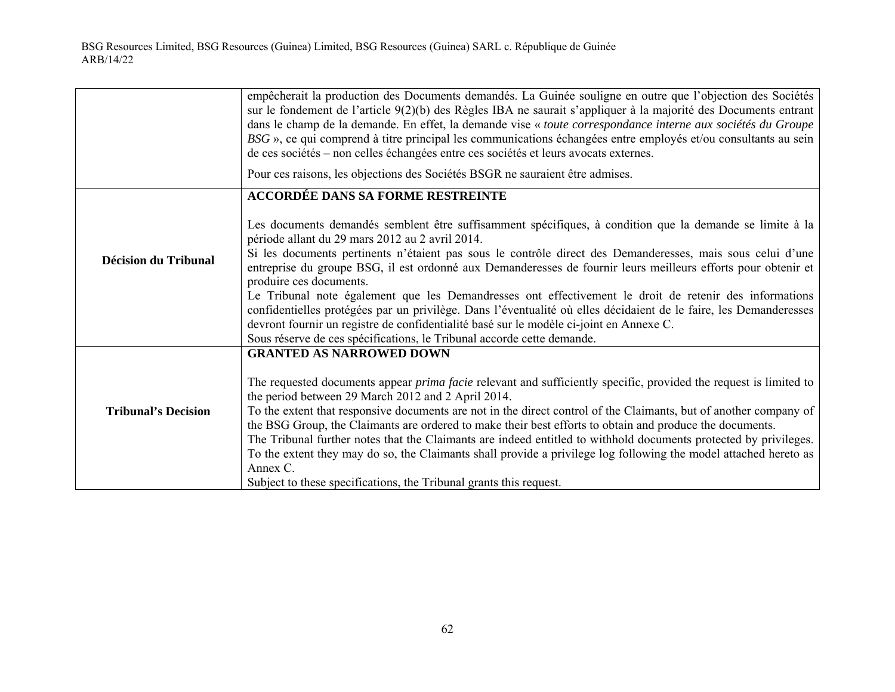|                             | empêcherait la production des Documents demandés. La Guinée souligne en outre que l'objection des Sociétés<br>sur le fondement de l'article 9(2)(b) des Règles IBA ne saurait s'appliquer à la majorité des Documents entrant<br>dans le champ de la demande. En effet, la demande vise « toute correspondance interne aux sociétés du Groupe<br>BSG », ce qui comprend à titre principal les communications échangées entre employés et/ou consultants au sein<br>de ces sociétés – non celles échangées entre ces sociétés et leurs avocats externes. |
|-----------------------------|---------------------------------------------------------------------------------------------------------------------------------------------------------------------------------------------------------------------------------------------------------------------------------------------------------------------------------------------------------------------------------------------------------------------------------------------------------------------------------------------------------------------------------------------------------|
|                             | Pour ces raisons, les objections des Sociétés BSGR ne sauraient être admises.                                                                                                                                                                                                                                                                                                                                                                                                                                                                           |
|                             | ACCORDÉE DANS SA FORME RESTREINTE                                                                                                                                                                                                                                                                                                                                                                                                                                                                                                                       |
|                             | Les documents demandés semblent être suffisamment spécifiques, à condition que la demande se limite à la<br>période allant du 29 mars 2012 au 2 avril 2014.                                                                                                                                                                                                                                                                                                                                                                                             |
| <b>Décision du Tribunal</b> | Si les documents pertinents n'étaient pas sous le contrôle direct des Demanderesses, mais sous celui d'une<br>entreprise du groupe BSG, il est ordonné aux Demanderesses de fournir leurs meilleurs efforts pour obtenir et<br>produire ces documents.                                                                                                                                                                                                                                                                                                  |
|                             | Le Tribunal note également que les Demandresses ont effectivement le droit de retenir des informations<br>confidentielles protégées par un privilège. Dans l'éventualité où elles décidaient de le faire, les Demanderesses<br>devront fournir un registre de confidentialité basé sur le modèle ci-joint en Annexe C.<br>Sous réserve de ces spécifications, le Tribunal accorde cette demande.                                                                                                                                                        |
|                             | <b>GRANTED AS NARROWED DOWN</b>                                                                                                                                                                                                                                                                                                                                                                                                                                                                                                                         |
| <b>Tribunal's Decision</b>  | The requested documents appear <i>prima facie</i> relevant and sufficiently specific, provided the request is limited to<br>the period between 29 March 2012 and 2 April 2014.<br>To the extent that responsive documents are not in the direct control of the Claimants, but of another company of<br>the BSG Group, the Claimants are ordered to make their best efforts to obtain and produce the documents.                                                                                                                                         |
|                             | The Tribunal further notes that the Claimants are indeed entitled to withhold documents protected by privileges.                                                                                                                                                                                                                                                                                                                                                                                                                                        |
|                             | To the extent they may do so, the Claimants shall provide a privilege log following the model attached hereto as<br>Annex C.                                                                                                                                                                                                                                                                                                                                                                                                                            |
|                             | Subject to these specifications, the Tribunal grants this request.                                                                                                                                                                                                                                                                                                                                                                                                                                                                                      |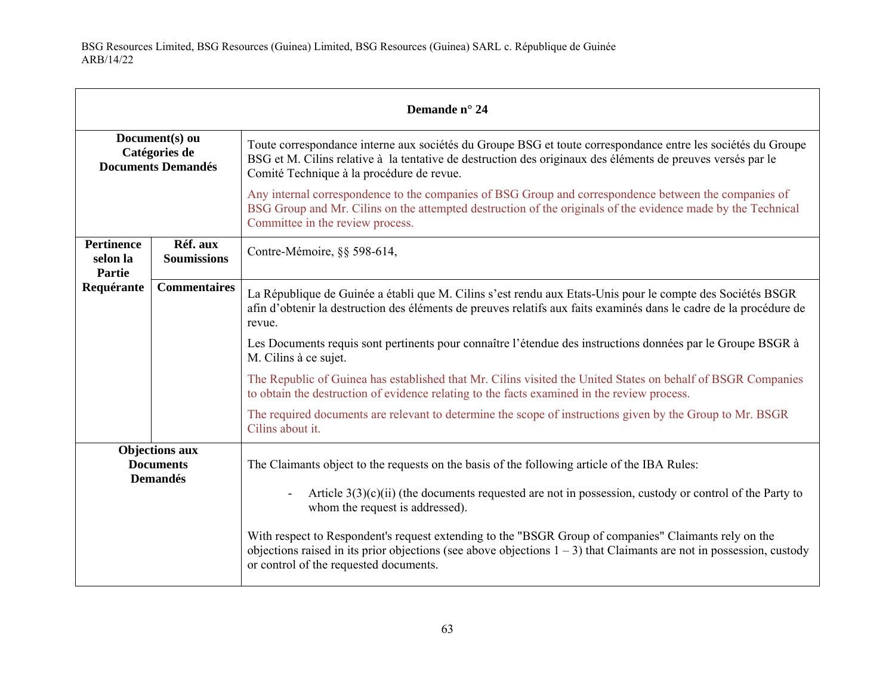| Demande n° 24                                                |                                |                                                                                                                                                                                                                                                                            |
|--------------------------------------------------------------|--------------------------------|----------------------------------------------------------------------------------------------------------------------------------------------------------------------------------------------------------------------------------------------------------------------------|
| Document(s) ou<br>Catégories de<br><b>Documents Demandés</b> |                                | Toute correspondance interne aux sociétés du Groupe BSG et toute correspondance entre les sociétés du Groupe<br>BSG et M. Cilins relative à la tentative de destruction des originaux des éléments de preuves versés par le<br>Comité Technique à la procédure de revue.   |
|                                                              |                                | Any internal correspondence to the companies of BSG Group and correspondence between the companies of<br>BSG Group and Mr. Cilins on the attempted destruction of the originals of the evidence made by the Technical<br>Committee in the review process.                  |
| <b>Pertinence</b><br>selon la<br><b>Partie</b>               | Réf. aux<br><b>Soumissions</b> | Contre-Mémoire, §§ 598-614,                                                                                                                                                                                                                                                |
| Requérante                                                   | <b>Commentaires</b>            | La République de Guinée a établi que M. Cilins s'est rendu aux Etats-Unis pour le compte des Sociétés BSGR<br>afin d'obtenir la destruction des éléments de preuves relatifs aux faits examinés dans le cadre de la procédure de<br>revue.                                 |
|                                                              |                                | Les Documents requis sont pertinents pour connaître l'étendue des instructions données par le Groupe BSGR à<br>M. Cilins à ce sujet.                                                                                                                                       |
|                                                              |                                | The Republic of Guinea has established that Mr. Cilins visited the United States on behalf of BSGR Companies<br>to obtain the destruction of evidence relating to the facts examined in the review process.                                                                |
|                                                              |                                | The required documents are relevant to determine the scope of instructions given by the Group to Mr. BSGR<br>Cilins about it.                                                                                                                                              |
| <b>Objections aux</b><br><b>Documents</b><br><b>Demandés</b> |                                | The Claimants object to the requests on the basis of the following article of the IBA Rules:<br>Article $3(3)(c)(ii)$ (the documents requested are not in possession, custody or control of the Party to<br>whom the request is addressed).                                |
|                                                              |                                | With respect to Respondent's request extending to the "BSGR Group of companies" Claimants rely on the<br>objections raised in its prior objections (see above objections $1 - 3$ ) that Claimants are not in possession, custody<br>or control of the requested documents. |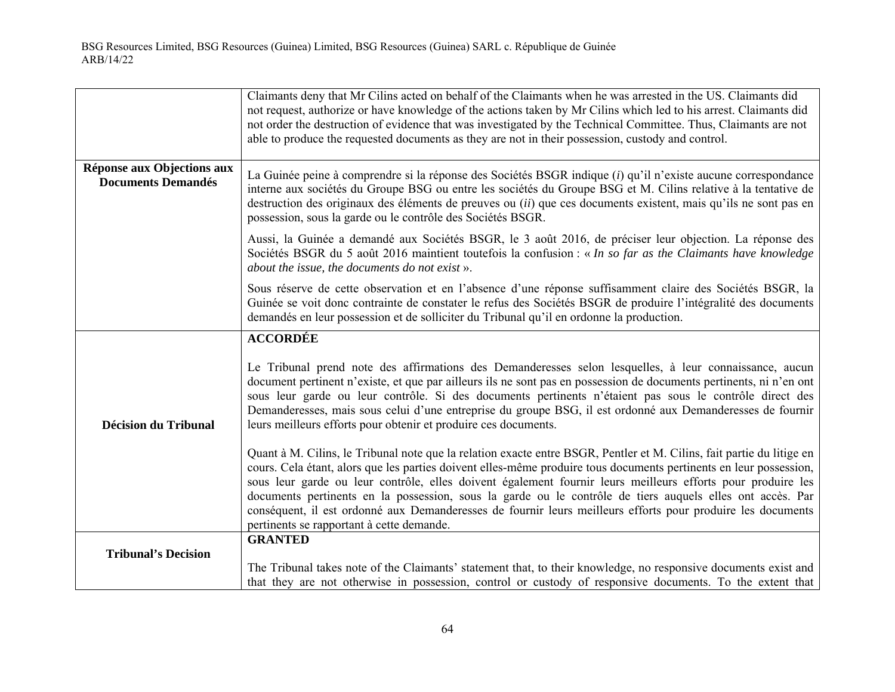|                                                         | Claimants deny that Mr Cilins acted on behalf of the Claimants when he was arrested in the US. Claimants did<br>not request, authorize or have knowledge of the actions taken by Mr Cilins which led to his arrest. Claimants did<br>not order the destruction of evidence that was investigated by the Technical Committee. Thus, Claimants are not<br>able to produce the requested documents as they are not in their possession, custody and control.                                                                                                                                                                           |
|---------------------------------------------------------|-------------------------------------------------------------------------------------------------------------------------------------------------------------------------------------------------------------------------------------------------------------------------------------------------------------------------------------------------------------------------------------------------------------------------------------------------------------------------------------------------------------------------------------------------------------------------------------------------------------------------------------|
| Réponse aux Objections aux<br><b>Documents Demandés</b> | La Guinée peine à comprendre si la réponse des Sociétés BSGR indique (i) qu'il n'existe aucune correspondance<br>interne aux sociétés du Groupe BSG ou entre les sociétés du Groupe BSG et M. Cilins relative à la tentative de<br>destruction des originaux des éléments de preuves ou <i>(ii)</i> que ces documents existent, mais qu'ils ne sont pas en<br>possession, sous la garde ou le contrôle des Sociétés BSGR.                                                                                                                                                                                                           |
|                                                         | Aussi, la Guinée a demandé aux Sociétés BSGR, le 3 août 2016, de préciser leur objection. La réponse des<br>Sociétés BSGR du 5 août 2016 maintient toutefois la confusion : « In so far as the Claimants have knowledge<br>about the issue, the documents do not exist ».                                                                                                                                                                                                                                                                                                                                                           |
|                                                         | Sous réserve de cette observation et en l'absence d'une réponse suffisamment claire des Sociétés BSGR, la<br>Guinée se voit donc contrainte de constater le refus des Sociétés BSGR de produire l'intégralité des documents<br>demandés en leur possession et de solliciter du Tribunal qu'il en ordonne la production.                                                                                                                                                                                                                                                                                                             |
|                                                         | <b>ACCORDÉE</b>                                                                                                                                                                                                                                                                                                                                                                                                                                                                                                                                                                                                                     |
| <b>Décision du Tribunal</b>                             | Le Tribunal prend note des affirmations des Demanderesses selon lesquelles, à leur connaissance, aucun<br>document pertinent n'existe, et que par ailleurs ils ne sont pas en possession de documents pertinents, ni n'en ont<br>sous leur garde ou leur contrôle. Si des documents pertinents n'étaient pas sous le contrôle direct des<br>Demanderesses, mais sous celui d'une entreprise du groupe BSG, il est ordonné aux Demanderesses de fournir<br>leurs meilleurs efforts pour obtenir et produire ces documents.                                                                                                           |
|                                                         | Quant à M. Cilins, le Tribunal note que la relation exacte entre BSGR, Pentler et M. Cilins, fait partie du litige en<br>cours. Cela étant, alors que les parties doivent elles-même produire tous documents pertinents en leur possession,<br>sous leur garde ou leur contrôle, elles doivent également fournir leurs meilleurs efforts pour produire les<br>documents pertinents en la possession, sous la garde ou le contrôle de tiers auquels elles ont accès. Par<br>conséquent, il est ordonné aux Demanderesses de fournir leurs meilleurs efforts pour produire les documents<br>pertinents se rapportant à cette demande. |
|                                                         | <b>GRANTED</b>                                                                                                                                                                                                                                                                                                                                                                                                                                                                                                                                                                                                                      |
| <b>Tribunal's Decision</b>                              | The Tribunal takes note of the Claimants' statement that, to their knowledge, no responsive documents exist and<br>that they are not otherwise in possession, control or custody of responsive documents. To the extent that                                                                                                                                                                                                                                                                                                                                                                                                        |
|                                                         |                                                                                                                                                                                                                                                                                                                                                                                                                                                                                                                                                                                                                                     |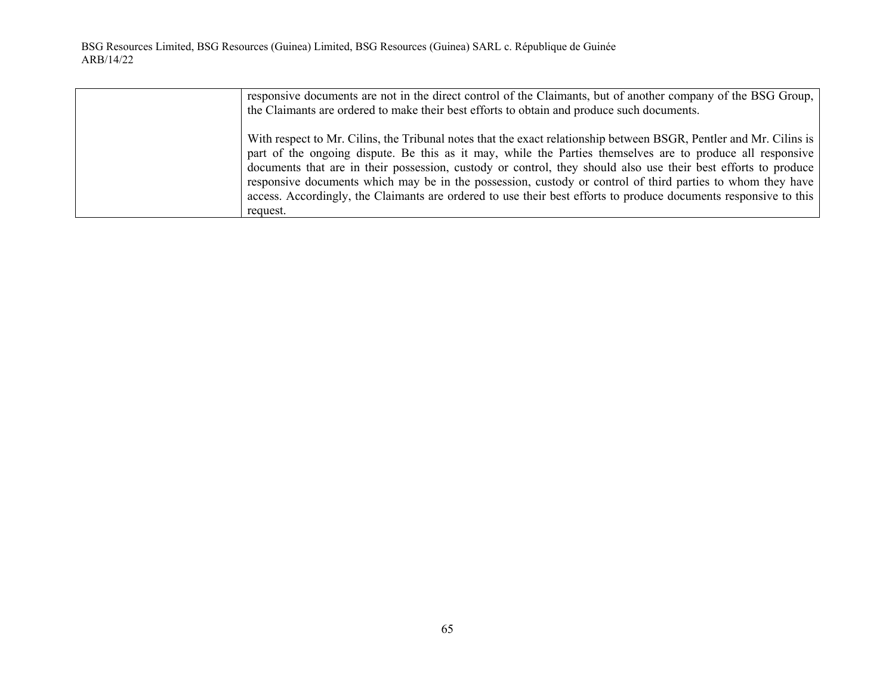| responsive documents are not in the direct control of the Claimants, but of another company of the BSG Group,      |
|--------------------------------------------------------------------------------------------------------------------|
| the Claimants are ordered to make their best efforts to obtain and produce such documents.                         |
| With respect to Mr. Cilins, the Tribunal notes that the exact relationship between BSGR, Pentler and Mr. Cilins is |
| part of the ongoing dispute. Be this as it may, while the Parties themselves are to produce all responsive         |
| documents that are in their possession, custody or control, they should also use their best efforts to produce     |
| responsive documents which may be in the possession, custody or control of third parties to whom they have         |
| access. Accordingly, the Claimants are ordered to use their best efforts to produce documents responsive to this   |
| request.                                                                                                           |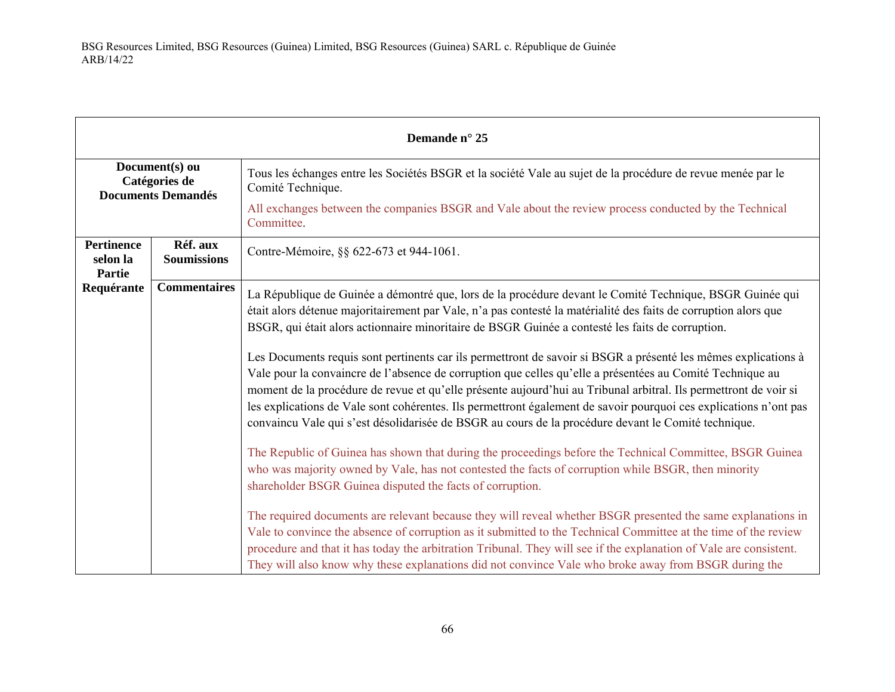| Demande n° 25                                                |                                |                                                                                                                                                                                                                                                                                                                                                                                                                                                                                                                                                                                                                                                                                                                                                                                                                                                                                                                                                                                                                                                                                                                                                                                                                                                                                                                                                                                                                                                                                                                                                                                                                                                                 |
|--------------------------------------------------------------|--------------------------------|-----------------------------------------------------------------------------------------------------------------------------------------------------------------------------------------------------------------------------------------------------------------------------------------------------------------------------------------------------------------------------------------------------------------------------------------------------------------------------------------------------------------------------------------------------------------------------------------------------------------------------------------------------------------------------------------------------------------------------------------------------------------------------------------------------------------------------------------------------------------------------------------------------------------------------------------------------------------------------------------------------------------------------------------------------------------------------------------------------------------------------------------------------------------------------------------------------------------------------------------------------------------------------------------------------------------------------------------------------------------------------------------------------------------------------------------------------------------------------------------------------------------------------------------------------------------------------------------------------------------------------------------------------------------|
| Document(s) ou<br>Catégories de<br><b>Documents Demandés</b> |                                | Tous les échanges entre les Sociétés BSGR et la société Vale au sujet de la procédure de revue menée par le<br>Comité Technique.                                                                                                                                                                                                                                                                                                                                                                                                                                                                                                                                                                                                                                                                                                                                                                                                                                                                                                                                                                                                                                                                                                                                                                                                                                                                                                                                                                                                                                                                                                                                |
|                                                              |                                | All exchanges between the companies BSGR and Vale about the review process conducted by the Technical<br>Committee.                                                                                                                                                                                                                                                                                                                                                                                                                                                                                                                                                                                                                                                                                                                                                                                                                                                                                                                                                                                                                                                                                                                                                                                                                                                                                                                                                                                                                                                                                                                                             |
| <b>Pertinence</b><br>selon la<br><b>Partie</b>               | Réf. aux<br><b>Soumissions</b> | Contre-Mémoire, §§ 622-673 et 944-1061.                                                                                                                                                                                                                                                                                                                                                                                                                                                                                                                                                                                                                                                                                                                                                                                                                                                                                                                                                                                                                                                                                                                                                                                                                                                                                                                                                                                                                                                                                                                                                                                                                         |
| Requérante                                                   | <b>Commentaires</b>            | La République de Guinée a démontré que, lors de la procédure devant le Comité Technique, BSGR Guinée qui<br>était alors détenue majoritairement par Vale, n'a pas contesté la matérialité des faits de corruption alors que<br>BSGR, qui était alors actionnaire minoritaire de BSGR Guinée a contesté les faits de corruption.<br>Les Documents requis sont pertinents car ils permettront de savoir si BSGR a présenté les mêmes explications à<br>Vale pour la convaincre de l'absence de corruption que celles qu'elle a présentées au Comité Technique au<br>moment de la procédure de revue et qu'elle présente aujourd'hui au Tribunal arbitral. Ils permettront de voir si<br>les explications de Vale sont cohérentes. Ils permettront également de savoir pourquoi ces explications n'ont pas<br>convaincu Vale qui s'est désolidarisée de BSGR au cours de la procédure devant le Comité technique.<br>The Republic of Guinea has shown that during the proceedings before the Technical Committee, BSGR Guinea<br>who was majority owned by Vale, has not contested the facts of corruption while BSGR, then minority<br>shareholder BSGR Guinea disputed the facts of corruption.<br>The required documents are relevant because they will reveal whether BSGR presented the same explanations in<br>Vale to convince the absence of corruption as it submitted to the Technical Committee at the time of the review<br>procedure and that it has today the arbitration Tribunal. They will see if the explanation of Vale are consistent.<br>They will also know why these explanations did not convince Vale who broke away from BSGR during the |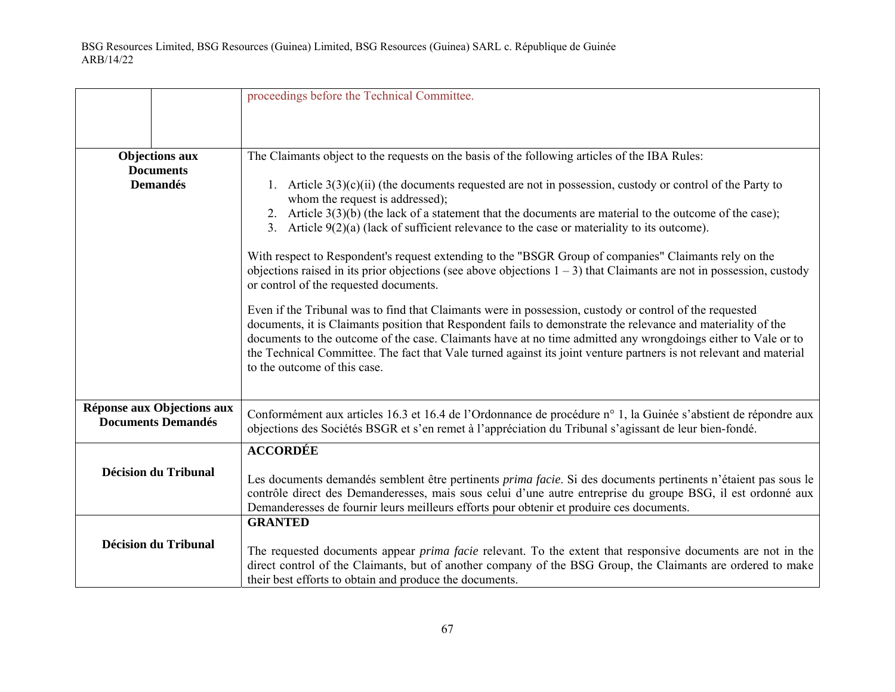|                                                              | proceedings before the Technical Committee.                                                                                                                                                                                                                                                                                                                                                                                                                                                                                                                                                                                                                                                                                                                                                                                                                                                                                                                               |
|--------------------------------------------------------------|---------------------------------------------------------------------------------------------------------------------------------------------------------------------------------------------------------------------------------------------------------------------------------------------------------------------------------------------------------------------------------------------------------------------------------------------------------------------------------------------------------------------------------------------------------------------------------------------------------------------------------------------------------------------------------------------------------------------------------------------------------------------------------------------------------------------------------------------------------------------------------------------------------------------------------------------------------------------------|
|                                                              |                                                                                                                                                                                                                                                                                                                                                                                                                                                                                                                                                                                                                                                                                                                                                                                                                                                                                                                                                                           |
| <b>Objections aux</b><br><b>Documents</b><br><b>Demandés</b> | The Claimants object to the requests on the basis of the following articles of the IBA Rules:<br>1. Article $3(3)(c)(ii)$ (the documents requested are not in possession, custody or control of the Party to<br>whom the request is addressed);<br>2. Article $3(3)(b)$ (the lack of a statement that the documents are material to the outcome of the case);<br>3. Article $9(2)(a)$ (lack of sufficient relevance to the case or materiality to its outcome).<br>With respect to Respondent's request extending to the "BSGR Group of companies" Claimants rely on the<br>objections raised in its prior objections (see above objections $1 - 3$ ) that Claimants are not in possession, custody<br>or control of the requested documents.<br>Even if the Tribunal was to find that Claimants were in possession, custody or control of the requested<br>documents, it is Claimants position that Respondent fails to demonstrate the relevance and materiality of the |
|                                                              | documents to the outcome of the case. Claimants have at no time admitted any wrongdoings either to Vale or to<br>the Technical Committee. The fact that Vale turned against its joint venture partners is not relevant and material<br>to the outcome of this case.                                                                                                                                                                                                                                                                                                                                                                                                                                                                                                                                                                                                                                                                                                       |
| Réponse aux Objections aux<br><b>Documents Demandés</b>      | Conformément aux articles 16.3 et 16.4 de l'Ordonnance de procédure n° 1, la Guinée s'abstient de répondre aux<br>objections des Sociétés BSGR et s'en remet à l'appréciation du Tribunal s'agissant de leur bien-fondé.                                                                                                                                                                                                                                                                                                                                                                                                                                                                                                                                                                                                                                                                                                                                                  |
| <b>Décision du Tribunal</b>                                  | <b>ACCORDÉE</b><br>Les documents demandés semblent être pertinents prima facie. Si des documents pertinents n'étaient pas sous le<br>contrôle direct des Demanderesses, mais sous celui d'une autre entreprise du groupe BSG, il est ordonné aux<br>Demanderesses de fournir leurs meilleurs efforts pour obtenir et produire ces documents.                                                                                                                                                                                                                                                                                                                                                                                                                                                                                                                                                                                                                              |
| <b>Décision du Tribunal</b>                                  | <b>GRANTED</b><br>The requested documents appear <i>prima facie</i> relevant. To the extent that responsive documents are not in the<br>direct control of the Claimants, but of another company of the BSG Group, the Claimants are ordered to make<br>their best efforts to obtain and produce the documents.                                                                                                                                                                                                                                                                                                                                                                                                                                                                                                                                                                                                                                                            |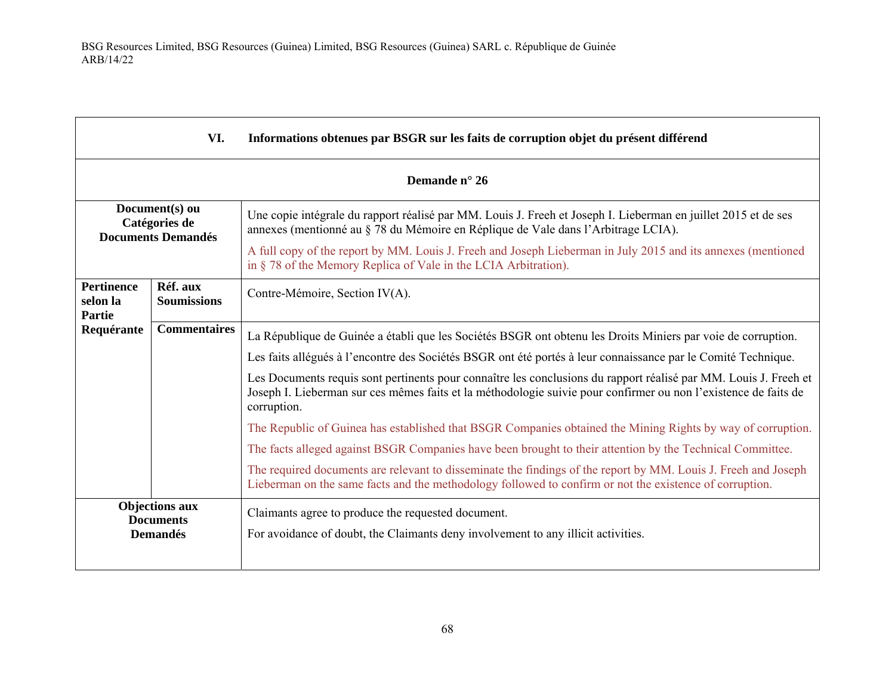| VI.<br>Informations obtenues par BSGR sur les faits de corruption objet du présent différend |                                |                                                                                                                                                                                                                                                    |  |
|----------------------------------------------------------------------------------------------|--------------------------------|----------------------------------------------------------------------------------------------------------------------------------------------------------------------------------------------------------------------------------------------------|--|
|                                                                                              | Demande n° 26                  |                                                                                                                                                                                                                                                    |  |
| Document(s) ou<br>Catégories de<br><b>Documents Demandés</b>                                 |                                | Une copie intégrale du rapport réalisé par MM. Louis J. Freeh et Joseph I. Lieberman en juillet 2015 et de ses<br>annexes (mentionné au § 78 du Mémoire en Réplique de Vale dans l'Arbitrage LCIA).                                                |  |
|                                                                                              |                                | A full copy of the report by MM. Louis J. Freeh and Joseph Lieberman in July 2015 and its annexes (mentioned<br>in § 78 of the Memory Replica of Vale in the LCIA Arbitration).                                                                    |  |
| <b>Pertinence</b><br>selon la<br>Partie                                                      | Réf. aux<br><b>Soumissions</b> | Contre-Mémoire, Section IV(A).                                                                                                                                                                                                                     |  |
| Requérante                                                                                   | <b>Commentaires</b>            | La République de Guinée a établi que les Sociétés BSGR ont obtenu les Droits Miniers par voie de corruption.                                                                                                                                       |  |
|                                                                                              |                                | Les faits allégués à l'encontre des Sociétés BSGR ont été portés à leur connaissance par le Comité Technique.                                                                                                                                      |  |
|                                                                                              |                                | Les Documents requis sont pertinents pour connaître les conclusions du rapport réalisé par MM. Louis J. Freeh et<br>Joseph I. Lieberman sur ces mêmes faits et la méthodologie suivie pour confirmer ou non l'existence de faits de<br>corruption. |  |
|                                                                                              |                                | The Republic of Guinea has established that BSGR Companies obtained the Mining Rights by way of corruption.                                                                                                                                        |  |
|                                                                                              |                                | The facts alleged against BSGR Companies have been brought to their attention by the Technical Committee.                                                                                                                                          |  |
|                                                                                              |                                | The required documents are relevant to disseminate the findings of the report by MM. Louis J. Freeh and Joseph<br>Lieberman on the same facts and the methodology followed to confirm or not the existence of corruption.                          |  |
| <b>Objections aux</b><br><b>Documents</b>                                                    |                                | Claimants agree to produce the requested document.                                                                                                                                                                                                 |  |
| <b>Demandés</b>                                                                              |                                | For avoidance of doubt, the Claimants deny involvement to any illicit activities.                                                                                                                                                                  |  |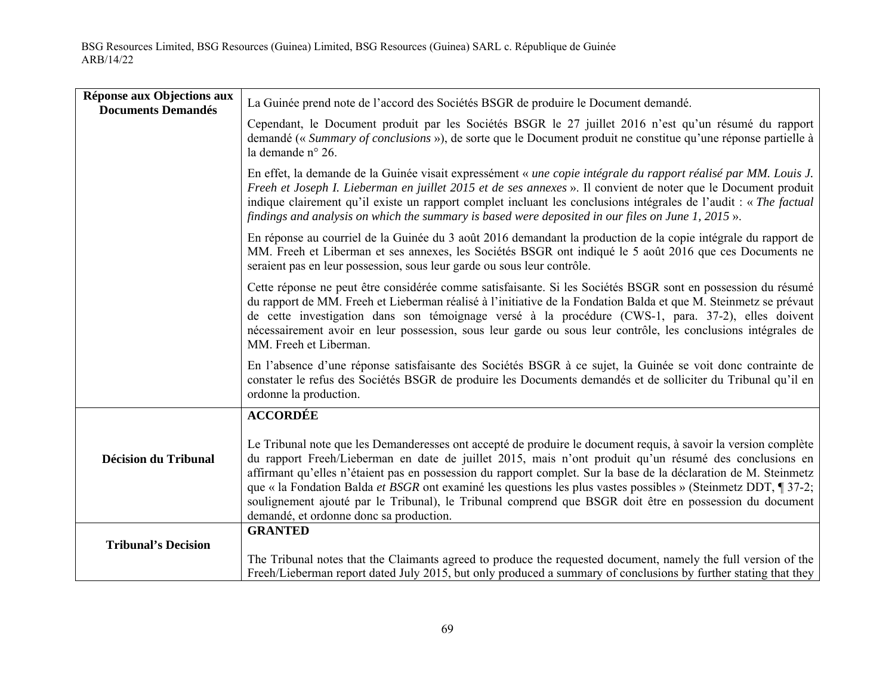| Réponse aux Objections aux  | La Guinée prend note de l'accord des Sociétés BSGR de produire le Document demandé.                                                                                                                                                                                                                                                                                                                                                                                                                                                                                                                                   |
|-----------------------------|-----------------------------------------------------------------------------------------------------------------------------------------------------------------------------------------------------------------------------------------------------------------------------------------------------------------------------------------------------------------------------------------------------------------------------------------------------------------------------------------------------------------------------------------------------------------------------------------------------------------------|
| <b>Documents Demandés</b>   | Cependant, le Document produit par les Sociétés BSGR le 27 juillet 2016 n'est qu'un résumé du rapport<br>demandé (« Summary of conclusions »), de sorte que le Document produit ne constitue qu'une réponse partielle à<br>la demande n° 26.                                                                                                                                                                                                                                                                                                                                                                          |
|                             | En effet, la demande de la Guinée visait expressément « une copie intégrale du rapport réalisé par MM. Louis J.<br>Freeh et Joseph I. Lieberman en juillet 2015 et de ses annexes ». Il convient de noter que le Document produit<br>indique clairement qu'il existe un rapport complet incluant les conclusions intégrales de l'audit : « The factual<br>findings and analysis on which the summary is based were deposited in our files on June 1, 2015 ».                                                                                                                                                          |
|                             | En réponse au courriel de la Guinée du 3 août 2016 demandant la production de la copie intégrale du rapport de<br>MM. Freeh et Liberman et ses annexes, les Sociétés BSGR ont indiqué le 5 août 2016 que ces Documents ne<br>seraient pas en leur possession, sous leur garde ou sous leur contrôle.                                                                                                                                                                                                                                                                                                                  |
|                             | Cette réponse ne peut être considérée comme satisfaisante. Si les Sociétés BSGR sont en possession du résumé<br>du rapport de MM. Freeh et Lieberman réalisé à l'initiative de la Fondation Balda et que M. Steinmetz se prévaut<br>de cette investigation dans son témoignage versé à la procédure (CWS-1, para. 37-2), elles doivent<br>nécessairement avoir en leur possession, sous leur garde ou sous leur contrôle, les conclusions intégrales de<br>MM. Freeh et Liberman.                                                                                                                                     |
|                             | En l'absence d'une réponse satisfaisante des Sociétés BSGR à ce sujet, la Guinée se voit donc contrainte de<br>constater le refus des Sociétés BSGR de produire les Documents demandés et de solliciter du Tribunal qu'il en<br>ordonne la production.                                                                                                                                                                                                                                                                                                                                                                |
|                             | <b>ACCORDÉE</b>                                                                                                                                                                                                                                                                                                                                                                                                                                                                                                                                                                                                       |
| <b>Décision du Tribunal</b> | Le Tribunal note que les Demanderesses ont accepté de produire le document requis, à savoir la version complète<br>du rapport Freeh/Lieberman en date de juillet 2015, mais n'ont produit qu'un résumé des conclusions en<br>affirmant qu'elles n'étaient pas en possession du rapport complet. Sur la base de la déclaration de M. Steinmetz<br>que « la Fondation Balda et BSGR ont examiné les questions les plus vastes possibles » (Steinmetz DDT, ¶ 37-2;<br>soulignement ajouté par le Tribunal), le Tribunal comprend que BSGR doit être en possession du document<br>demandé, et ordonne donc sa production. |
|                             | <b>GRANTED</b>                                                                                                                                                                                                                                                                                                                                                                                                                                                                                                                                                                                                        |
| <b>Tribunal's Decision</b>  | The Tribunal notes that the Claimants agreed to produce the requested document, namely the full version of the                                                                                                                                                                                                                                                                                                                                                                                                                                                                                                        |
|                             | Freeh/Lieberman report dated July 2015, but only produced a summary of conclusions by further stating that they                                                                                                                                                                                                                                                                                                                                                                                                                                                                                                       |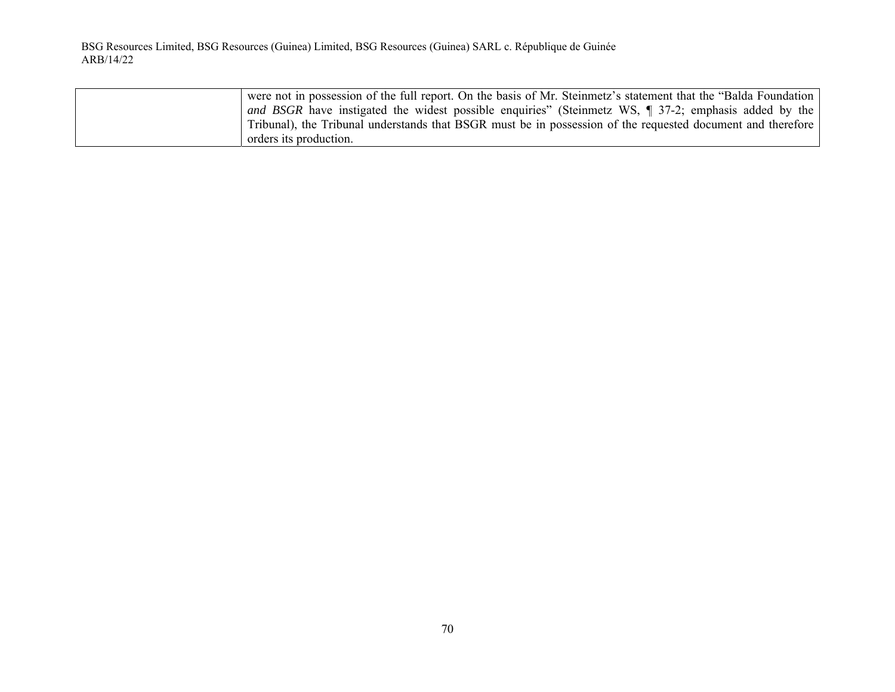| were not in possession of the full report. On the basis of Mr. Steinmetz's statement that the "Balda Foundation" |
|------------------------------------------------------------------------------------------------------------------|
| and BSGR have instigated the widest possible enquiries" (Steinmetz WS, $\P$ 37-2; emphasis added by the          |
| Tribunal), the Tribunal understands that BSGR must be in possession of the requested document and therefore      |
| orders its production.                                                                                           |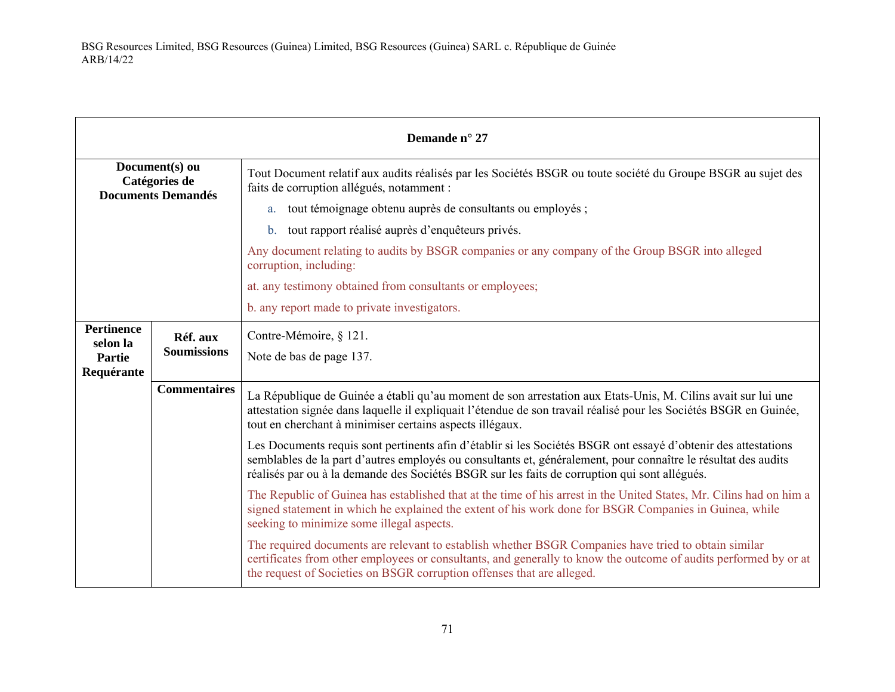| Demande n° 27                                                |                     |                                                                                                                                                                                                                                                                                                                                   |
|--------------------------------------------------------------|---------------------|-----------------------------------------------------------------------------------------------------------------------------------------------------------------------------------------------------------------------------------------------------------------------------------------------------------------------------------|
| Document(s) ou<br>Catégories de<br><b>Documents Demandés</b> |                     | Tout Document relatif aux audits réalisés par les Sociétés BSGR ou toute société du Groupe BSGR au sujet des<br>faits de corruption allégués, notamment :                                                                                                                                                                         |
|                                                              |                     | a. tout témoignage obtenu auprès de consultants ou employés ;                                                                                                                                                                                                                                                                     |
|                                                              |                     | tout rapport réalisé auprès d'enquêteurs privés.<br>$\mathbf{b}$ .                                                                                                                                                                                                                                                                |
|                                                              |                     | Any document relating to audits by BSGR companies or any company of the Group BSGR into alleged<br>corruption, including:                                                                                                                                                                                                         |
|                                                              |                     | at. any testimony obtained from consultants or employees;                                                                                                                                                                                                                                                                         |
|                                                              |                     | b. any report made to private investigators.                                                                                                                                                                                                                                                                                      |
| <b>Pertinence</b><br>selon la                                | Réf. aux            | Contre-Mémoire, § 121.                                                                                                                                                                                                                                                                                                            |
| <b>Partie</b>                                                | <b>Soumissions</b>  | Note de bas de page 137.                                                                                                                                                                                                                                                                                                          |
| Requérante                                                   |                     |                                                                                                                                                                                                                                                                                                                                   |
|                                                              | <b>Commentaires</b> | La République de Guinée a établi qu'au moment de son arrestation aux Etats-Unis, M. Cilins avait sur lui une<br>attestation signée dans laquelle il expliquait l'étendue de son travail réalisé pour les Sociétés BSGR en Guinée,<br>tout en cherchant à minimiser certains aspects illégaux.                                     |
|                                                              |                     | Les Documents requis sont pertinents afin d'établir si les Sociétés BSGR ont essayé d'obtenir des attestations<br>semblables de la part d'autres employés ou consultants et, généralement, pour connaître le résultat des audits<br>réalisés par ou à la demande des Sociétés BSGR sur les faits de corruption qui sont allégués. |
|                                                              |                     | The Republic of Guinea has established that at the time of his arrest in the United States, Mr. Cilins had on him a<br>signed statement in which he explained the extent of his work done for BSGR Companies in Guinea, while<br>seeking to minimize some illegal aspects.                                                        |
|                                                              |                     | The required documents are relevant to establish whether BSGR Companies have tried to obtain similar<br>certificates from other employees or consultants, and generally to know the outcome of audits performed by or at<br>the request of Societies on BSGR corruption offenses that are alleged.                                |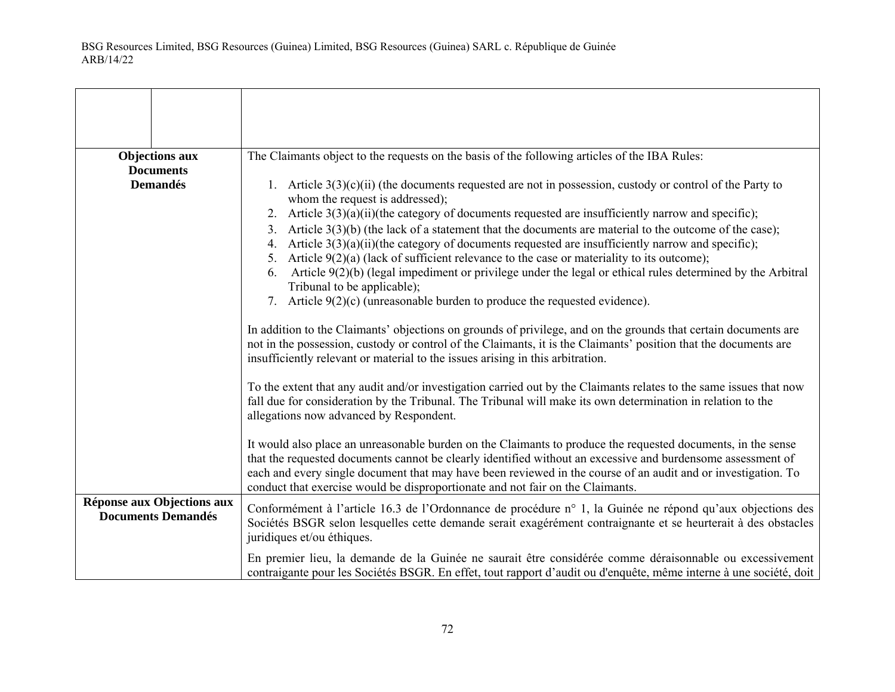| <b>Objections aux</b><br><b>Documents</b>               | The Claimants object to the requests on the basis of the following articles of the IBA Rules:                                                                                                                                                                                                                                                                                                                                  |
|---------------------------------------------------------|--------------------------------------------------------------------------------------------------------------------------------------------------------------------------------------------------------------------------------------------------------------------------------------------------------------------------------------------------------------------------------------------------------------------------------|
| <b>Demandés</b>                                         | 1. Article $3(3)(c)(ii)$ (the documents requested are not in possession, custody or control of the Party to<br>whom the request is addressed);                                                                                                                                                                                                                                                                                 |
|                                                         | 2. Article $3(3)(a)(ii)$ (the category of documents requested are insufficiently narrow and specific);                                                                                                                                                                                                                                                                                                                         |
|                                                         | 3. Article $3(3)(b)$ (the lack of a statement that the documents are material to the outcome of the case);<br>4. Article $3(3)(a)(ii)$ (the category of documents requested are insufficiently narrow and specific);                                                                                                                                                                                                           |
|                                                         | 5. Article $9(2)(a)$ (lack of sufficient relevance to the case or materiality to its outcome);<br>Article 9(2)(b) (legal impediment or privilege under the legal or ethical rules determined by the Arbitral<br>6.<br>Tribunal to be applicable);                                                                                                                                                                              |
|                                                         | 7. Article $9(2)(c)$ (unreasonable burden to produce the requested evidence).                                                                                                                                                                                                                                                                                                                                                  |
|                                                         | In addition to the Claimants' objections on grounds of privilege, and on the grounds that certain documents are<br>not in the possession, custody or control of the Claimants, it is the Claimants' position that the documents are<br>insufficiently relevant or material to the issues arising in this arbitration.                                                                                                          |
|                                                         | To the extent that any audit and/or investigation carried out by the Claimants relates to the same issues that now<br>fall due for consideration by the Tribunal. The Tribunal will make its own determination in relation to the<br>allegations now advanced by Respondent.                                                                                                                                                   |
|                                                         | It would also place an unreasonable burden on the Claimants to produce the requested documents, in the sense<br>that the requested documents cannot be clearly identified without an excessive and burdensome assessment of<br>each and every single document that may have been reviewed in the course of an audit and or investigation. To<br>conduct that exercise would be disproportionate and not fair on the Claimants. |
| Réponse aux Objections aux<br><b>Documents Demandés</b> | Conformément à l'article 16.3 de l'Ordonnance de procédure n° 1, la Guinée ne répond qu'aux objections des<br>Sociétés BSGR selon lesquelles cette demande serait exagérément contraignante et se heurterait à des obstacles<br>juridiques et/ou éthiques.                                                                                                                                                                     |
|                                                         | En premier lieu, la demande de la Guinée ne saurait être considérée comme déraisonnable ou excessivement<br>contraigante pour les Sociétés BSGR. En effet, tout rapport d'audit ou d'enquête, même interne à une société, doit                                                                                                                                                                                                 |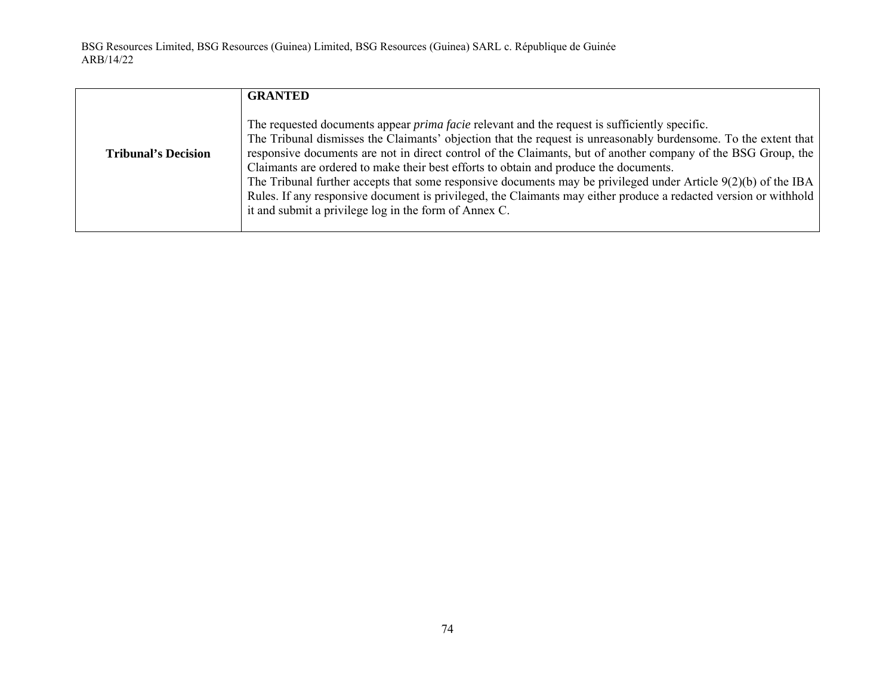|                            | <b>GRANTED</b>                                                                                                                                                                                                                                                                                                                                                                                                                                                                                                                                                                                                                                                                                                                     |
|----------------------------|------------------------------------------------------------------------------------------------------------------------------------------------------------------------------------------------------------------------------------------------------------------------------------------------------------------------------------------------------------------------------------------------------------------------------------------------------------------------------------------------------------------------------------------------------------------------------------------------------------------------------------------------------------------------------------------------------------------------------------|
| <b>Tribunal's Decision</b> | The requested documents appear <i>prima facie</i> relevant and the request is sufficiently specific.<br>The Tribunal dismisses the Claimants' objection that the request is unreasonably burdensome. To the extent that<br>responsive documents are not in direct control of the Claimants, but of another company of the BSG Group, the<br>Claimants are ordered to make their best efforts to obtain and produce the documents.<br>The Tribunal further accepts that some responsive documents may be privileged under Article $9(2)(b)$ of the IBA<br>Rules. If any responsive document is privileged, the Claimants may either produce a redacted version or withhold<br>it and submit a privilege log in the form of Annex C. |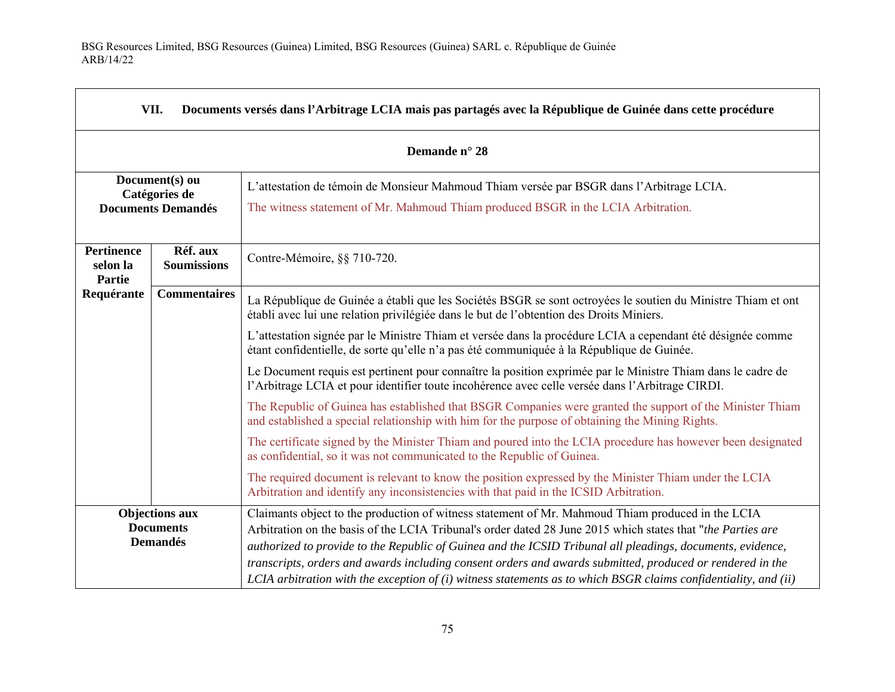$\Gamma$ 

| VII.<br>Documents versés dans l'Arbitrage LCIA mais pas partagés avec la République de Guinée dans cette procédure |                                                              |                                                                                                                                                                                                                                                                                                                                                                                                                                             |  |
|--------------------------------------------------------------------------------------------------------------------|--------------------------------------------------------------|---------------------------------------------------------------------------------------------------------------------------------------------------------------------------------------------------------------------------------------------------------------------------------------------------------------------------------------------------------------------------------------------------------------------------------------------|--|
|                                                                                                                    | Demande n° 28                                                |                                                                                                                                                                                                                                                                                                                                                                                                                                             |  |
| Document(s) ou<br>Catégories de                                                                                    |                                                              | L'attestation de témoin de Monsieur Mahmoud Thiam versée par BSGR dans l'Arbitrage LCIA.                                                                                                                                                                                                                                                                                                                                                    |  |
| <b>Documents Demandés</b>                                                                                          |                                                              | The witness statement of Mr. Mahmoud Thiam produced BSGR in the LCIA Arbitration.                                                                                                                                                                                                                                                                                                                                                           |  |
| <b>Pertinence</b><br>selon la<br><b>Partie</b>                                                                     | Réf. aux<br><b>Soumissions</b>                               | Contre-Mémoire, §§ 710-720.                                                                                                                                                                                                                                                                                                                                                                                                                 |  |
| Requérante                                                                                                         | <b>Commentaires</b>                                          | La République de Guinée a établi que les Sociétés BSGR se sont octroyées le soutien du Ministre Thiam et ont<br>établi avec lui une relation privilégiée dans le but de l'obtention des Droits Miniers.                                                                                                                                                                                                                                     |  |
|                                                                                                                    |                                                              | L'attestation signée par le Ministre Thiam et versée dans la procédure LCIA a cependant été désignée comme<br>étant confidentielle, de sorte qu'elle n'a pas été communiquée à la République de Guinée.                                                                                                                                                                                                                                     |  |
|                                                                                                                    |                                                              | Le Document requis est pertinent pour connaître la position exprimée par le Ministre Thiam dans le cadre de<br>l'Arbitrage LCIA et pour identifier toute incohérence avec celle versée dans l'Arbitrage CIRDI.                                                                                                                                                                                                                              |  |
|                                                                                                                    |                                                              | The Republic of Guinea has established that BSGR Companies were granted the support of the Minister Thiam<br>and established a special relationship with him for the purpose of obtaining the Mining Rights.                                                                                                                                                                                                                                |  |
|                                                                                                                    |                                                              | The certificate signed by the Minister Thiam and poured into the LCIA procedure has however been designated<br>as confidential, so it was not communicated to the Republic of Guinea.                                                                                                                                                                                                                                                       |  |
|                                                                                                                    |                                                              | The required document is relevant to know the position expressed by the Minister Thiam under the LCIA<br>Arbitration and identify any inconsistencies with that paid in the ICSID Arbitration.                                                                                                                                                                                                                                              |  |
|                                                                                                                    | <b>Objections aux</b><br><b>Documents</b><br><b>Demandés</b> | Claimants object to the production of witness statement of Mr. Mahmoud Thiam produced in the LCIA<br>Arbitration on the basis of the LCIA Tribunal's order dated 28 June 2015 which states that "the Parties are<br>authorized to provide to the Republic of Guinea and the ICSID Tribunal all pleadings, documents, evidence,<br>transcripts, orders and awards including consent orders and awards submitted, produced or rendered in the |  |
|                                                                                                                    |                                                              | LCIA arbitration with the exception of $(i)$ witness statements as to which BSGR claims confidentiality, and $(ii)$                                                                                                                                                                                                                                                                                                                         |  |

 $\overline{\phantom{a}}$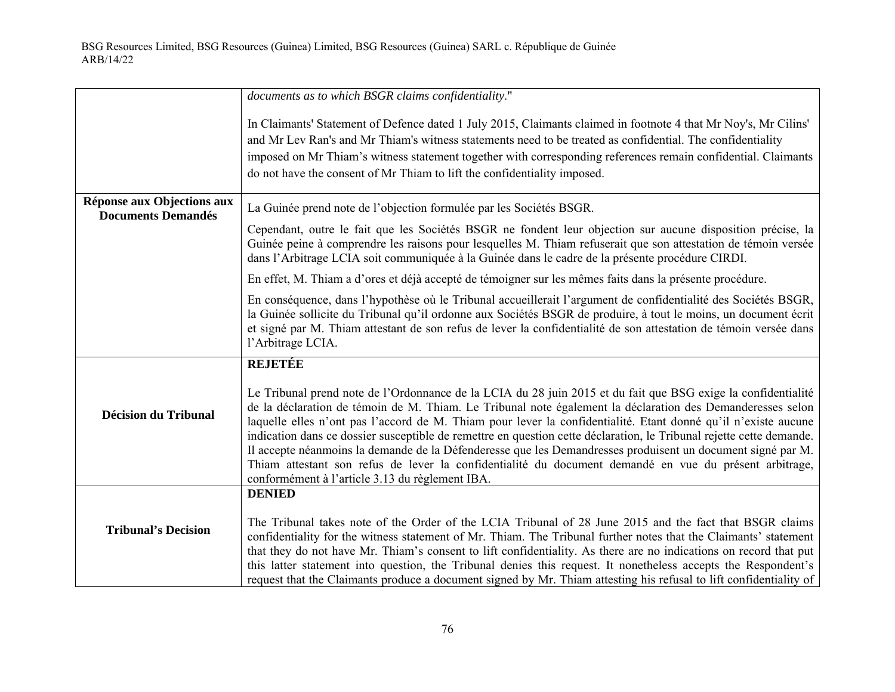|                                                         | documents as to which BSGR claims confidentiality."                                                                                                                                                                                                                                                                                                                                                                                                                                                                                                                                                                                                                                                                                               |
|---------------------------------------------------------|---------------------------------------------------------------------------------------------------------------------------------------------------------------------------------------------------------------------------------------------------------------------------------------------------------------------------------------------------------------------------------------------------------------------------------------------------------------------------------------------------------------------------------------------------------------------------------------------------------------------------------------------------------------------------------------------------------------------------------------------------|
|                                                         | In Claimants' Statement of Defence dated 1 July 2015, Claimants claimed in footnote 4 that Mr Noy's, Mr Cilins'<br>and Mr Lev Ran's and Mr Thiam's witness statements need to be treated as confidential. The confidentiality<br>imposed on Mr Thiam's witness statement together with corresponding references remain confidential. Claimants<br>do not have the consent of Mr Thiam to lift the confidentiality imposed.                                                                                                                                                                                                                                                                                                                        |
| Réponse aux Objections aux<br><b>Documents Demandés</b> | La Guinée prend note de l'objection formulée par les Sociétés BSGR.                                                                                                                                                                                                                                                                                                                                                                                                                                                                                                                                                                                                                                                                               |
|                                                         | Cependant, outre le fait que les Sociétés BSGR ne fondent leur objection sur aucune disposition précise, la<br>Guinée peine à comprendre les raisons pour lesquelles M. Thiam refuserait que son attestation de témoin versée<br>dans l'Arbitrage LCIA soit communiquée à la Guinée dans le cadre de la présente procédure CIRDI.                                                                                                                                                                                                                                                                                                                                                                                                                 |
|                                                         | En effet, M. Thiam a d'ores et déjà accepté de témoigner sur les mêmes faits dans la présente procédure.                                                                                                                                                                                                                                                                                                                                                                                                                                                                                                                                                                                                                                          |
|                                                         | En conséquence, dans l'hypothèse où le Tribunal accueillerait l'argument de confidentialité des Sociétés BSGR,<br>la Guinée sollicite du Tribunal qu'il ordonne aux Sociétés BSGR de produire, à tout le moins, un document écrit<br>et signé par M. Thiam attestant de son refus de lever la confidentialité de son attestation de témoin versée dans<br>l'Arbitrage LCIA.                                                                                                                                                                                                                                                                                                                                                                       |
|                                                         | <b>REJETÉE</b>                                                                                                                                                                                                                                                                                                                                                                                                                                                                                                                                                                                                                                                                                                                                    |
| <b>Décision du Tribunal</b>                             | Le Tribunal prend note de l'Ordonnance de la LCIA du 28 juin 2015 et du fait que BSG exige la confidentialité<br>de la déclaration de témoin de M. Thiam. Le Tribunal note également la déclaration des Demanderesses selon<br>laquelle elles n'ont pas l'accord de M. Thiam pour lever la confidentialité. Etant donné qu'il n'existe aucune<br>indication dans ce dossier susceptible de remettre en question cette déclaration, le Tribunal rejette cette demande.<br>Il accepte néanmoins la demande de la Défenderesse que les Demandresses produisent un document signé par M.<br>Thiam attestant son refus de lever la confidentialité du document demandé en vue du présent arbitrage,<br>conformément à l'article 3.13 du règlement IBA. |
|                                                         | <b>DENIED</b>                                                                                                                                                                                                                                                                                                                                                                                                                                                                                                                                                                                                                                                                                                                                     |
| <b>Tribunal's Decision</b>                              | The Tribunal takes note of the Order of the LCIA Tribunal of 28 June 2015 and the fact that BSGR claims<br>confidentiality for the witness statement of Mr. Thiam. The Tribunal further notes that the Claimants' statement<br>that they do not have Mr. Thiam's consent to lift confidentiality. As there are no indications on record that put<br>this latter statement into question, the Tribunal denies this request. It nonetheless accepts the Respondent's<br>request that the Claimants produce a document signed by Mr. Thiam attesting his refusal to lift confidentiality of                                                                                                                                                          |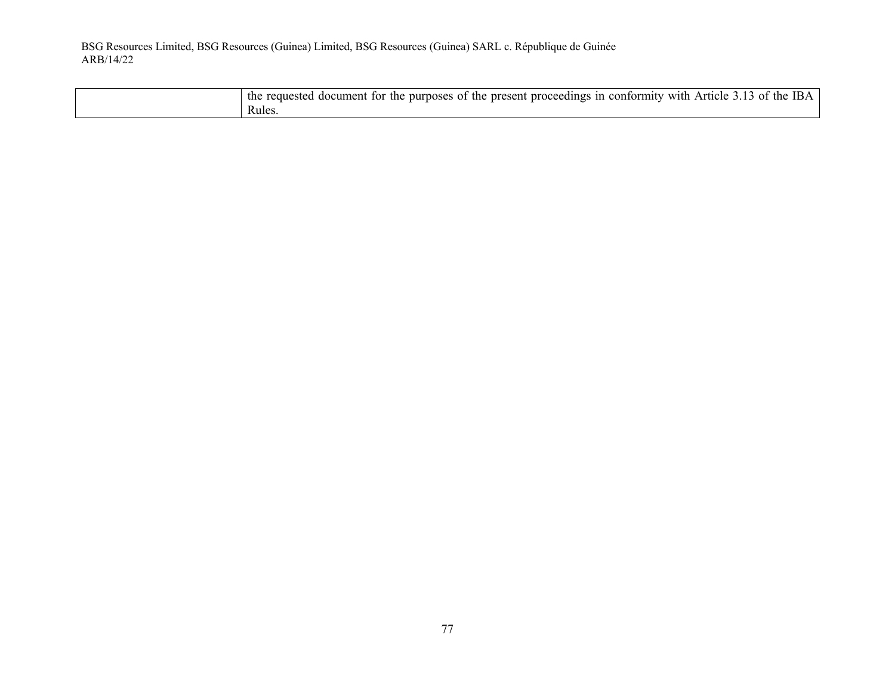| $\cdot$ the.<br>present<br>: proceedings in<br>Article<br>purposes of the<br>conformity<br>with<br>document<br>for the<br>the<br>requested :<br>0Ť |
|----------------------------------------------------------------------------------------------------------------------------------------------------|
| Rules.                                                                                                                                             |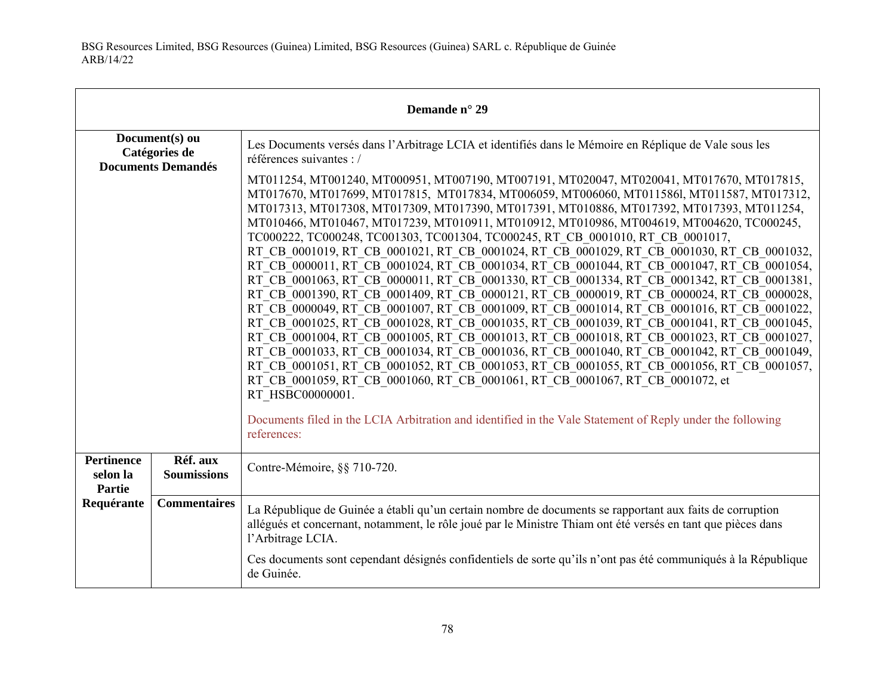| Demande n° 29                                  |                                |                                                                                                                                                                                                                                                                                                                                                                                                                                                                                                                                                                                                                                                                                                                                                                                                                                                                                                                                                                                                                                                                                                                                                                                                                                                                                                                                                                                                                                                                                                                                                                            |
|------------------------------------------------|--------------------------------|----------------------------------------------------------------------------------------------------------------------------------------------------------------------------------------------------------------------------------------------------------------------------------------------------------------------------------------------------------------------------------------------------------------------------------------------------------------------------------------------------------------------------------------------------------------------------------------------------------------------------------------------------------------------------------------------------------------------------------------------------------------------------------------------------------------------------------------------------------------------------------------------------------------------------------------------------------------------------------------------------------------------------------------------------------------------------------------------------------------------------------------------------------------------------------------------------------------------------------------------------------------------------------------------------------------------------------------------------------------------------------------------------------------------------------------------------------------------------------------------------------------------------------------------------------------------------|
| Document(s) ou<br>Catégories de                |                                | Les Documents versés dans l'Arbitrage LCIA et identifiés dans le Mémoire en Réplique de Vale sous les<br>références suivantes : /                                                                                                                                                                                                                                                                                                                                                                                                                                                                                                                                                                                                                                                                                                                                                                                                                                                                                                                                                                                                                                                                                                                                                                                                                                                                                                                                                                                                                                          |
| <b>Documents Demandés</b>                      |                                | MT011254, MT001240, MT000951, MT007190, MT007191, MT020047, MT020041, MT017670, MT017815,<br>MT017670, MT017699, MT017815, MT017834, MT006059, MT006060, MT0115861, MT011587, MT017312,<br>MT017313, MT017308, MT017309, MT017390, MT017391, MT010886, MT017392, MT017393, MT011254,<br>MT010466, MT010467, MT017239, MT010911, MT010912, MT010986, MT004619, MT004620, TC000245,<br>TC000222, TC000248, TC001303, TC001304, TC000245, RT CB 0001010, RT CB 0001017,<br>RT CB 0001019, RT CB 0001021, RT CB 0001024, RT CB 0001029, RT CB 0001030, RT CB 0001032,<br>RT CB 0000011, RT CB 0001024, RT CB 0001034, RT CB 0001044, RT CB 0001047, RT CB 0001054,<br>RT CB 0001063, RT CB 0000011, RT CB 0001330, RT CB 0001334, RT CB 0001342, RT CB 0001381,<br>RT CB 0001390, RT CB 0001409, RT CB 0000121, RT CB 0000019, RT CB 0000024, RT CB 0000028,<br>RT CB 0000049, RT CB 0001007, RT CB 0001009, RT CB 0001014, RT CB 0001016, RT CB 0001022,<br>RT CB 0001025, RT CB 0001028, RT CB 0001035, RT CB 0001039, RT CB 0001041, RT CB 0001045,<br>RT CB 0001004, RT CB 0001005, RT CB 0001013, RT CB 0001018, RT CB 0001023, RT CB 0001027,<br>RT CB 0001033, RT CB 0001034, RT CB 0001036, RT CB 0001040, RT CB 0001042, RT CB 0001049,<br>RT CB 0001051, RT CB 0001052, RT CB 0001053, RT CB 0001055, RT CB 0001056, RT CB 0001057,<br>RT CB 0001059, RT CB 0001060, RT CB 0001061, RT CB 0001067, RT CB 0001072, et<br>RT HSBC00000001.<br>Documents filed in the LCIA Arbitration and identified in the Vale Statement of Reply under the following<br>references: |
| <b>Pertinence</b><br>selon la<br><b>Partie</b> | Réf. aux<br><b>Soumissions</b> | Contre-Mémoire, §§ 710-720.                                                                                                                                                                                                                                                                                                                                                                                                                                                                                                                                                                                                                                                                                                                                                                                                                                                                                                                                                                                                                                                                                                                                                                                                                                                                                                                                                                                                                                                                                                                                                |
| Requérante                                     | <b>Commentaires</b>            | La République de Guinée a établi qu'un certain nombre de documents se rapportant aux faits de corruption<br>allégués et concernant, notamment, le rôle joué par le Ministre Thiam ont été versés en tant que pièces dans<br>l'Arbitrage LCIA.                                                                                                                                                                                                                                                                                                                                                                                                                                                                                                                                                                                                                                                                                                                                                                                                                                                                                                                                                                                                                                                                                                                                                                                                                                                                                                                              |
|                                                |                                | Ces documents sont cependant désignés confidentiels de sorte qu'ils n'ont pas été communiqués à la République<br>de Guinée.                                                                                                                                                                                                                                                                                                                                                                                                                                                                                                                                                                                                                                                                                                                                                                                                                                                                                                                                                                                                                                                                                                                                                                                                                                                                                                                                                                                                                                                |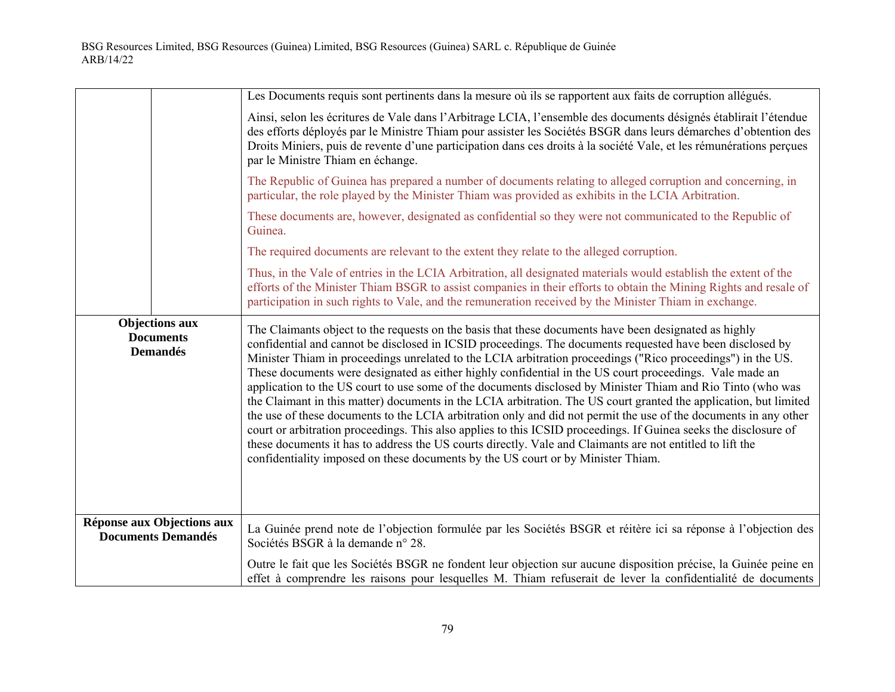|                                                              | Les Documents requis sont pertinents dans la mesure où ils se rapportent aux faits de corruption allégués.                                                                                                                                                                                                                                                                                                                                                                                                                                                                                                                                                                                                                                                                                                                                                                                                                                                                                                                                                                                                                |
|--------------------------------------------------------------|---------------------------------------------------------------------------------------------------------------------------------------------------------------------------------------------------------------------------------------------------------------------------------------------------------------------------------------------------------------------------------------------------------------------------------------------------------------------------------------------------------------------------------------------------------------------------------------------------------------------------------------------------------------------------------------------------------------------------------------------------------------------------------------------------------------------------------------------------------------------------------------------------------------------------------------------------------------------------------------------------------------------------------------------------------------------------------------------------------------------------|
|                                                              | Ainsi, selon les écritures de Vale dans l'Arbitrage LCIA, l'ensemble des documents désignés établirait l'étendue<br>des efforts déployés par le Ministre Thiam pour assister les Sociétés BSGR dans leurs démarches d'obtention des<br>Droits Miniers, puis de revente d'une participation dans ces droits à la société Vale, et les rémunérations perçues<br>par le Ministre Thiam en échange.                                                                                                                                                                                                                                                                                                                                                                                                                                                                                                                                                                                                                                                                                                                           |
|                                                              | The Republic of Guinea has prepared a number of documents relating to alleged corruption and concerning, in<br>particular, the role played by the Minister Thiam was provided as exhibits in the LCIA Arbitration.                                                                                                                                                                                                                                                                                                                                                                                                                                                                                                                                                                                                                                                                                                                                                                                                                                                                                                        |
|                                                              | These documents are, however, designated as confidential so they were not communicated to the Republic of<br>Guinea.                                                                                                                                                                                                                                                                                                                                                                                                                                                                                                                                                                                                                                                                                                                                                                                                                                                                                                                                                                                                      |
|                                                              | The required documents are relevant to the extent they relate to the alleged corruption.                                                                                                                                                                                                                                                                                                                                                                                                                                                                                                                                                                                                                                                                                                                                                                                                                                                                                                                                                                                                                                  |
|                                                              | Thus, in the Vale of entries in the LCIA Arbitration, all designated materials would establish the extent of the<br>efforts of the Minister Thiam BSGR to assist companies in their efforts to obtain the Mining Rights and resale of<br>participation in such rights to Vale, and the remuneration received by the Minister Thiam in exchange.                                                                                                                                                                                                                                                                                                                                                                                                                                                                                                                                                                                                                                                                                                                                                                           |
| <b>Objections aux</b><br><b>Documents</b><br><b>Demandés</b> | The Claimants object to the requests on the basis that these documents have been designated as highly<br>confidential and cannot be disclosed in ICSID proceedings. The documents requested have been disclosed by<br>Minister Thiam in proceedings unrelated to the LCIA arbitration proceedings ("Rico proceedings") in the US.<br>These documents were designated as either highly confidential in the US court proceedings. Vale made an<br>application to the US court to use some of the documents disclosed by Minister Thiam and Rio Tinto (who was<br>the Claimant in this matter) documents in the LCIA arbitration. The US court granted the application, but limited<br>the use of these documents to the LCIA arbitration only and did not permit the use of the documents in any other<br>court or arbitration proceedings. This also applies to this ICSID proceedings. If Guinea seeks the disclosure of<br>these documents it has to address the US courts directly. Vale and Claimants are not entitled to lift the<br>confidentiality imposed on these documents by the US court or by Minister Thiam. |
| Réponse aux Objections aux<br><b>Documents Demandés</b>      | La Guinée prend note de l'objection formulée par les Sociétés BSGR et réitère ici sa réponse à l'objection des<br>Sociétés BSGR à la demande n° 28.                                                                                                                                                                                                                                                                                                                                                                                                                                                                                                                                                                                                                                                                                                                                                                                                                                                                                                                                                                       |
|                                                              | Outre le fait que les Sociétés BSGR ne fondent leur objection sur aucune disposition précise, la Guinée peine en<br>effet à comprendre les raisons pour lesquelles M. Thiam refuserait de lever la confidentialité de documents                                                                                                                                                                                                                                                                                                                                                                                                                                                                                                                                                                                                                                                                                                                                                                                                                                                                                           |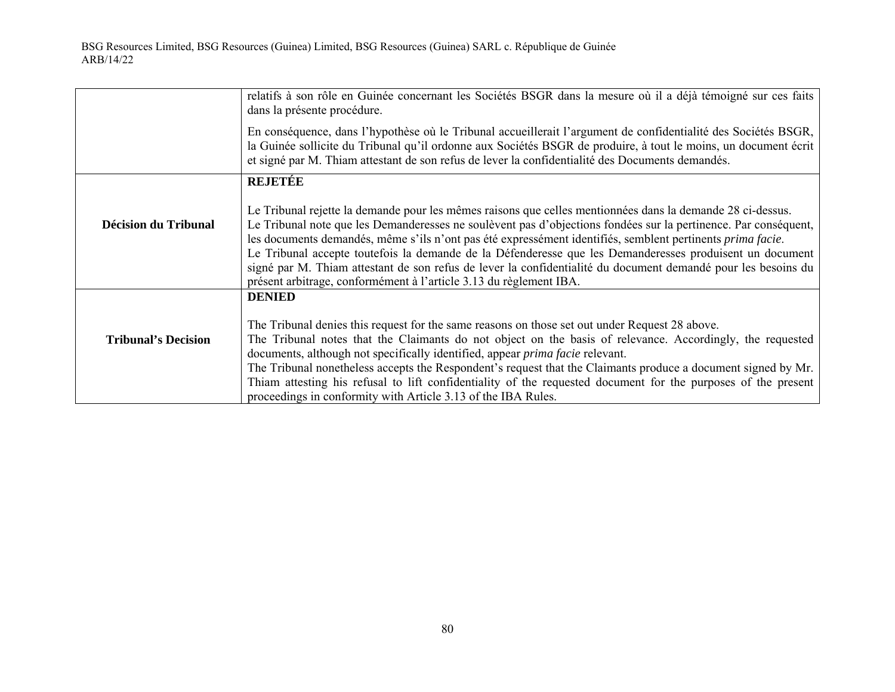|                            | relatifs à son rôle en Guinée concernant les Sociétés BSGR dans la mesure où il a déjà témoigné sur ces faits<br>dans la présente procédure.                                                                                                                                                                                                                                                                                                                                                                                                                                                                                                           |
|----------------------------|--------------------------------------------------------------------------------------------------------------------------------------------------------------------------------------------------------------------------------------------------------------------------------------------------------------------------------------------------------------------------------------------------------------------------------------------------------------------------------------------------------------------------------------------------------------------------------------------------------------------------------------------------------|
|                            | En conséquence, dans l'hypothèse où le Tribunal accueillerait l'argument de confidentialité des Sociétés BSGR,<br>la Guinée sollicite du Tribunal qu'il ordonne aux Sociétés BSGR de produire, à tout le moins, un document écrit<br>et signé par M. Thiam attestant de son refus de lever la confidentialité des Documents demandés.                                                                                                                                                                                                                                                                                                                  |
|                            | <b>REJETÉE</b>                                                                                                                                                                                                                                                                                                                                                                                                                                                                                                                                                                                                                                         |
| Décision du Tribunal       | Le Tribunal rejette la demande pour les mêmes raisons que celles mentionnées dans la demande 28 ci-dessus.<br>Le Tribunal note que les Demanderesses ne soulèvent pas d'objections fondées sur la pertinence. Par conséquent,<br>les documents demandés, même s'ils n'ont pas été expressément identifiés, semblent pertinents <i>prima facie</i> .<br>Le Tribunal accepte toutefois la demande de la Défenderesse que les Demanderesses produisent un document<br>signé par M. Thiam attestant de son refus de lever la confidentialité du document demandé pour les besoins du<br>présent arbitrage, conformément à l'article 3.13 du règlement IBA. |
|                            | <b>DENIED</b>                                                                                                                                                                                                                                                                                                                                                                                                                                                                                                                                                                                                                                          |
| <b>Tribunal's Decision</b> | The Tribunal denies this request for the same reasons on those set out under Request 28 above.<br>The Tribunal notes that the Claimants do not object on the basis of relevance. Accordingly, the requested<br>documents, although not specifically identified, appear <i>prima facie</i> relevant.<br>The Tribunal nonetheless accepts the Respondent's request that the Claimants produce a document signed by Mr.<br>Thiam attesting his refusal to lift confidentiality of the requested document for the purposes of the present<br>proceedings in conformity with Article 3.13 of the IBA Rules.                                                 |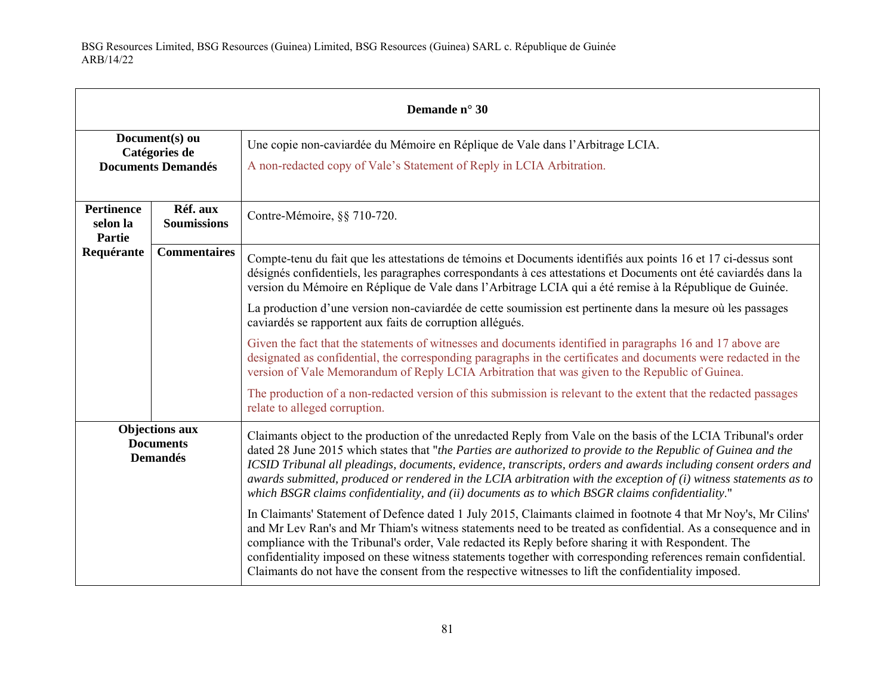| Demande n° 30                                                |                                                              |                                                                                                                                                                                                                                                                                                                                                                                                                                                                                                                                                                             |
|--------------------------------------------------------------|--------------------------------------------------------------|-----------------------------------------------------------------------------------------------------------------------------------------------------------------------------------------------------------------------------------------------------------------------------------------------------------------------------------------------------------------------------------------------------------------------------------------------------------------------------------------------------------------------------------------------------------------------------|
|                                                              | Document(s) ou<br>Catégories de<br><b>Documents Demandés</b> | Une copie non-caviardée du Mémoire en Réplique de Vale dans l'Arbitrage LCIA.<br>A non-redacted copy of Vale's Statement of Reply in LCIA Arbitration.                                                                                                                                                                                                                                                                                                                                                                                                                      |
| <b>Pertinence</b><br>selon la<br><b>Partie</b>               | Réf. aux<br><b>Soumissions</b>                               | Contre-Mémoire, §§ 710-720.                                                                                                                                                                                                                                                                                                                                                                                                                                                                                                                                                 |
| Requérante                                                   | <b>Commentaires</b>                                          | Compte-tenu du fait que les attestations de témoins et Documents identifiés aux points 16 et 17 ci-dessus sont<br>désignés confidentiels, les paragraphes correspondants à ces attestations et Documents ont été caviardés dans la<br>version du Mémoire en Réplique de Vale dans l'Arbitrage LCIA qui a été remise à la République de Guinée.                                                                                                                                                                                                                              |
|                                                              |                                                              | La production d'une version non-caviardée de cette soumission est pertinente dans la mesure où les passages<br>caviardés se rapportent aux faits de corruption allégués.                                                                                                                                                                                                                                                                                                                                                                                                    |
|                                                              |                                                              | Given the fact that the statements of witnesses and documents identified in paragraphs 16 and 17 above are<br>designated as confidential, the corresponding paragraphs in the certificates and documents were redacted in the<br>version of Vale Memorandum of Reply LCIA Arbitration that was given to the Republic of Guinea.                                                                                                                                                                                                                                             |
|                                                              |                                                              | The production of a non-redacted version of this submission is relevant to the extent that the redacted passages<br>relate to alleged corruption.                                                                                                                                                                                                                                                                                                                                                                                                                           |
| <b>Objections aux</b><br><b>Documents</b><br><b>Demandés</b> |                                                              | Claimants object to the production of the unredacted Reply from Vale on the basis of the LCIA Tribunal's order<br>dated 28 June 2015 which states that "the Parties are authorized to provide to the Republic of Guinea and the<br>ICSID Tribunal all pleadings, documents, evidence, transcripts, orders and awards including consent orders and<br>awards submitted, produced or rendered in the LCIA arbitration with the exception of $(i)$ witness statements as to<br>which BSGR claims confidentiality, and (ii) documents as to which BSGR claims confidentiality." |
|                                                              |                                                              | In Claimants' Statement of Defence dated 1 July 2015, Claimants claimed in footnote 4 that Mr Noy's, Mr Cilins'<br>and Mr Lev Ran's and Mr Thiam's witness statements need to be treated as confidential. As a consequence and in<br>compliance with the Tribunal's order, Vale redacted its Reply before sharing it with Respondent. The<br>confidentiality imposed on these witness statements together with corresponding references remain confidential.<br>Claimants do not have the consent from the respective witnesses to lift the confidentiality imposed.        |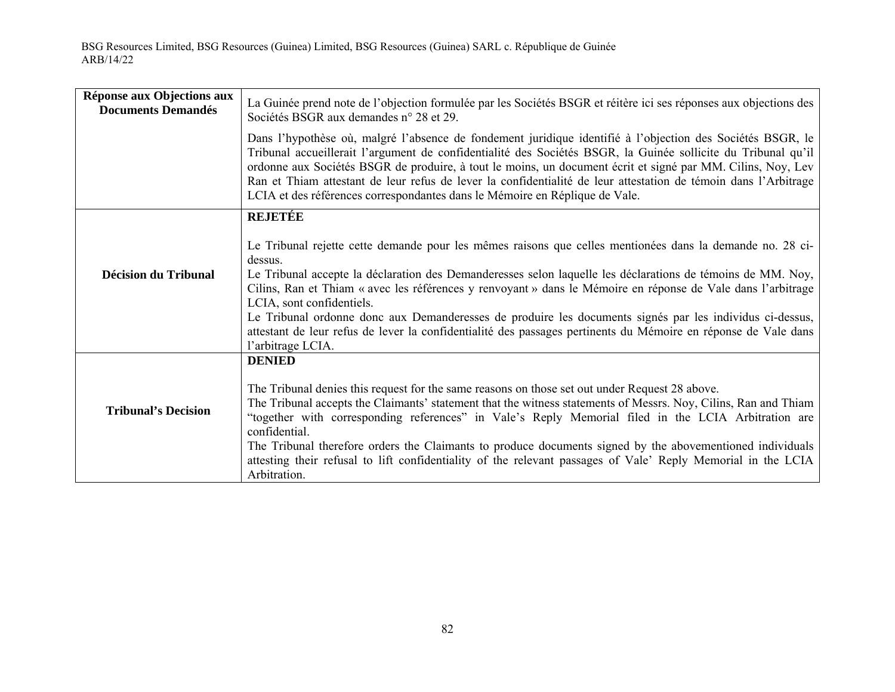| Réponse aux Objections aux<br><b>Documents Demandés</b> | La Guinée prend note de l'objection formulée par les Sociétés BSGR et réitère ici ses réponses aux objections des<br>Sociétés BSGR aux demandes n° 28 et 29.                                                                                                                                                                                                                                                                                                                                                                                                                                                                        |
|---------------------------------------------------------|-------------------------------------------------------------------------------------------------------------------------------------------------------------------------------------------------------------------------------------------------------------------------------------------------------------------------------------------------------------------------------------------------------------------------------------------------------------------------------------------------------------------------------------------------------------------------------------------------------------------------------------|
|                                                         | Dans l'hypothèse où, malgré l'absence de fondement juridique identifié à l'objection des Sociétés BSGR, le<br>Tribunal accueillerait l'argument de confidentialité des Sociétés BSGR, la Guinée sollicite du Tribunal qu'il<br>ordonne aux Sociétés BSGR de produire, à tout le moins, un document écrit et signé par MM. Cilins, Noy, Lev<br>Ran et Thiam attestant de leur refus de lever la confidentialité de leur attestation de témoin dans l'Arbitrage<br>LCIA et des références correspondantes dans le Mémoire en Réplique de Vale.                                                                                        |
|                                                         | <b>REJETÉE</b>                                                                                                                                                                                                                                                                                                                                                                                                                                                                                                                                                                                                                      |
| <b>Décision du Tribunal</b>                             | Le Tribunal rejette cette demande pour les mêmes raisons que celles mentionées dans la demande no. 28 ci-<br>dessus.<br>Le Tribunal accepte la déclaration des Demanderesses selon laquelle les déclarations de témoins de MM. Noy,<br>Cilins, Ran et Thiam « avec les références y renvoyant » dans le Mémoire en réponse de Vale dans l'arbitrage<br>LCIA, sont confidentiels.<br>Le Tribunal ordonne donc aux Demanderesses de produire les documents signés par les individus ci-dessus,<br>attestant de leur refus de lever la confidentialité des passages pertinents du Mémoire en réponse de Vale dans<br>l'arbitrage LCIA. |
| <b>Tribunal's Decision</b>                              | <b>DENIED</b><br>The Tribunal denies this request for the same reasons on those set out under Request 28 above.<br>The Tribunal accepts the Claimants' statement that the witness statements of Messrs. Noy, Cilins, Ran and Thiam<br>"together with corresponding references" in Vale's Reply Memorial filed in the LCIA Arbitration are<br>confidential.<br>The Tribunal therefore orders the Claimants to produce documents signed by the abovementioned individuals<br>attesting their refusal to lift confidentiality of the relevant passages of Vale' Reply Memorial in the LCIA<br>Arbitration.                             |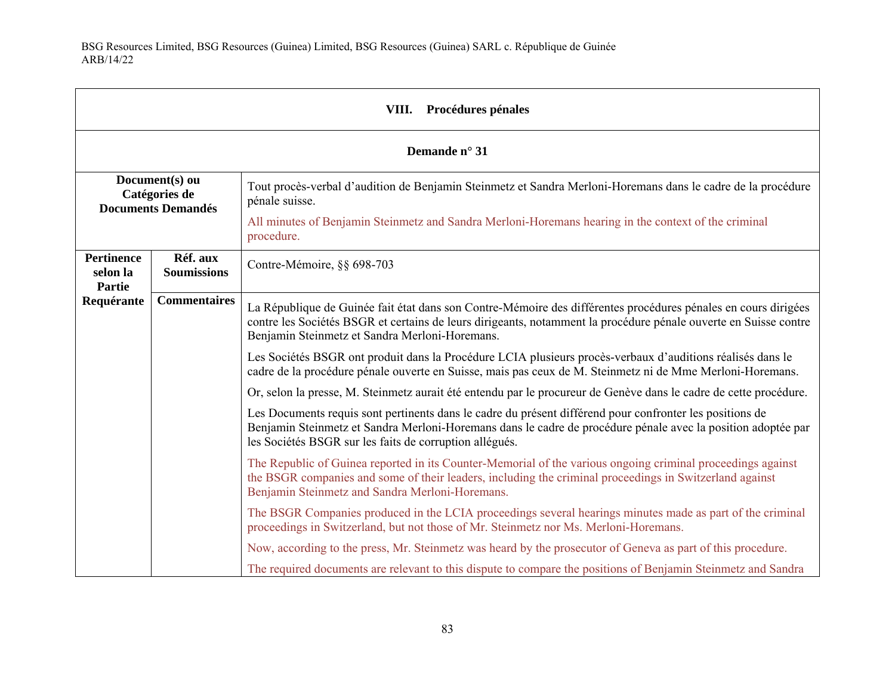| <b>Procédures pénales</b><br>VIII.                           |                                |                                                                                                                                                                                                                                                                                      |  |
|--------------------------------------------------------------|--------------------------------|--------------------------------------------------------------------------------------------------------------------------------------------------------------------------------------------------------------------------------------------------------------------------------------|--|
|                                                              | Demande n° 31                  |                                                                                                                                                                                                                                                                                      |  |
| Document(s) ou<br>Catégories de<br><b>Documents Demandés</b> |                                | Tout procès-verbal d'audition de Benjamin Steinmetz et Sandra Merloni-Horemans dans le cadre de la procédure<br>pénale suisse.                                                                                                                                                       |  |
|                                                              |                                | All minutes of Benjamin Steinmetz and Sandra Merloni-Horemans hearing in the context of the criminal<br>procedure.                                                                                                                                                                   |  |
| <b>Pertinence</b><br>selon la<br><b>Partie</b><br>Requérante | Réf. aux<br><b>Soumissions</b> | Contre-Mémoire, §§ 698-703                                                                                                                                                                                                                                                           |  |
|                                                              | <b>Commentaires</b>            | La République de Guinée fait état dans son Contre-Mémoire des différentes procédures pénales en cours dirigées<br>contre les Sociétés BSGR et certains de leurs dirigeants, notamment la procédure pénale ouverte en Suisse contre<br>Benjamin Steinmetz et Sandra Merloni-Horemans. |  |
|                                                              |                                | Les Sociétés BSGR ont produit dans la Procédure LCIA plusieurs procès-verbaux d'auditions réalisés dans le<br>cadre de la procédure pénale ouverte en Suisse, mais pas ceux de M. Steinmetz ni de Mme Merloni-Horemans.                                                              |  |
|                                                              |                                | Or, selon la presse, M. Steinmetz aurait été entendu par le procureur de Genève dans le cadre de cette procédure.                                                                                                                                                                    |  |
|                                                              |                                | Les Documents requis sont pertinents dans le cadre du présent différend pour confronter les positions de<br>Benjamin Steinmetz et Sandra Merloni-Horemans dans le cadre de procédure pénale avec la position adoptée par<br>les Sociétés BSGR sur les faits de corruption allégués.  |  |
|                                                              |                                | The Republic of Guinea reported in its Counter-Memorial of the various ongoing criminal proceedings against<br>the BSGR companies and some of their leaders, including the criminal proceedings in Switzerland against<br>Benjamin Steinmetz and Sandra Merloni-Horemans.            |  |
|                                                              |                                | The BSGR Companies produced in the LCIA proceedings several hearings minutes made as part of the criminal<br>proceedings in Switzerland, but not those of Mr. Steinmetz nor Ms. Merloni-Horemans.                                                                                    |  |
|                                                              |                                | Now, according to the press, Mr. Steinmetz was heard by the prosecutor of Geneva as part of this procedure.                                                                                                                                                                          |  |
|                                                              |                                | The required documents are relevant to this dispute to compare the positions of Benjamin Steinmetz and Sandra                                                                                                                                                                        |  |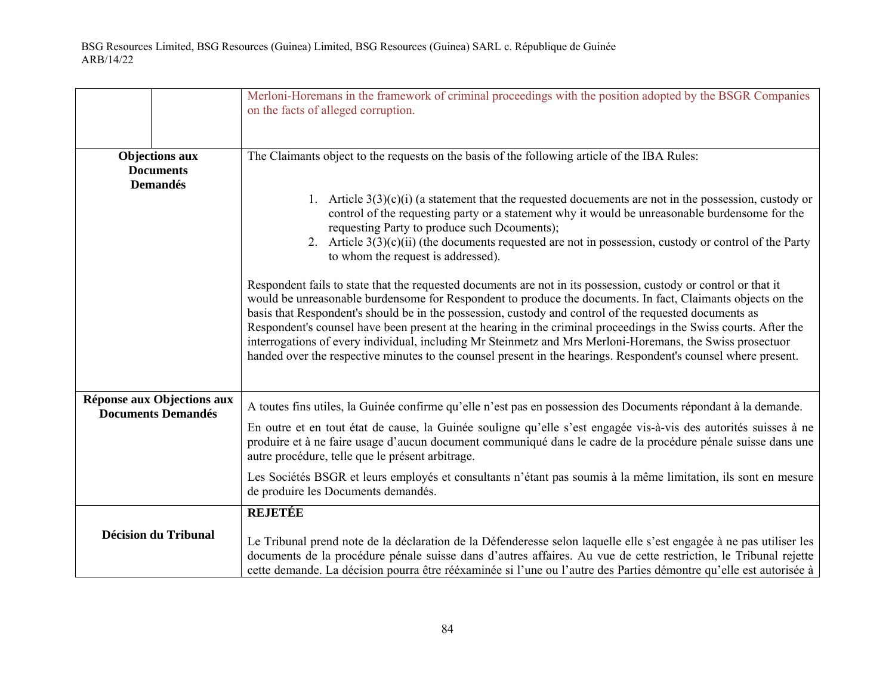|                                                              | Merloni-Horemans in the framework of criminal proceedings with the position adopted by the BSGR Companies<br>on the facts of alleged corruption.                                                                                                                                                                                                                                                                                                                                                                                                                                                                                                                                            |  |  |  |  |
|--------------------------------------------------------------|---------------------------------------------------------------------------------------------------------------------------------------------------------------------------------------------------------------------------------------------------------------------------------------------------------------------------------------------------------------------------------------------------------------------------------------------------------------------------------------------------------------------------------------------------------------------------------------------------------------------------------------------------------------------------------------------|--|--|--|--|
| <b>Objections aux</b><br><b>Documents</b><br><b>Demandés</b> | The Claimants object to the requests on the basis of the following article of the IBA Rules:                                                                                                                                                                                                                                                                                                                                                                                                                                                                                                                                                                                                |  |  |  |  |
|                                                              | 1. Article $3(3)(c)(i)$ (a statement that the requested documents are not in the possession, custody or<br>control of the requesting party or a statement why it would be unreasonable burdensome for the<br>requesting Party to produce such Dcouments);<br>2. Article $3(3)(c)(ii)$ (the documents requested are not in possession, custody or control of the Party<br>to whom the request is addressed).                                                                                                                                                                                                                                                                                 |  |  |  |  |
|                                                              | Respondent fails to state that the requested documents are not in its possession, custody or control or that it<br>would be unreasonable burdensome for Respondent to produce the documents. In fact, Claimants objects on the<br>basis that Respondent's should be in the possession, custody and control of the requested documents as<br>Respondent's counsel have been present at the hearing in the criminal proceedings in the Swiss courts. After the<br>interrogations of every individual, including Mr Steinmetz and Mrs Merloni-Horemans, the Swiss prosectuor<br>handed over the respective minutes to the counsel present in the hearings. Respondent's counsel where present. |  |  |  |  |
| Réponse aux Objections aux<br><b>Documents Demandés</b>      | A toutes fins utiles, la Guinée confirme qu'elle n'est pas en possession des Documents répondant à la demande.                                                                                                                                                                                                                                                                                                                                                                                                                                                                                                                                                                              |  |  |  |  |
|                                                              | En outre et en tout état de cause, la Guinée souligne qu'elle s'est engagée vis-à-vis des autorités suisses à ne<br>produire et à ne faire usage d'aucun document communiqué dans le cadre de la procédure pénale suisse dans une<br>autre procédure, telle que le présent arbitrage.                                                                                                                                                                                                                                                                                                                                                                                                       |  |  |  |  |
|                                                              | Les Sociétés BSGR et leurs employés et consultants n'étant pas soumis à la même limitation, ils sont en mesure<br>de produire les Documents demandés.                                                                                                                                                                                                                                                                                                                                                                                                                                                                                                                                       |  |  |  |  |
|                                                              | <b>REJETÉE</b>                                                                                                                                                                                                                                                                                                                                                                                                                                                                                                                                                                                                                                                                              |  |  |  |  |
| <b>Décision du Tribunal</b>                                  | Le Tribunal prend note de la déclaration de la Défenderesse selon laquelle elle s'est engagée à ne pas utiliser les<br>documents de la procédure pénale suisse dans d'autres affaires. Au vue de cette restriction, le Tribunal rejette<br>cette demande. La décision pourra être rééxaminée si l'une ou l'autre des Parties démontre qu'elle est autorisée à                                                                                                                                                                                                                                                                                                                               |  |  |  |  |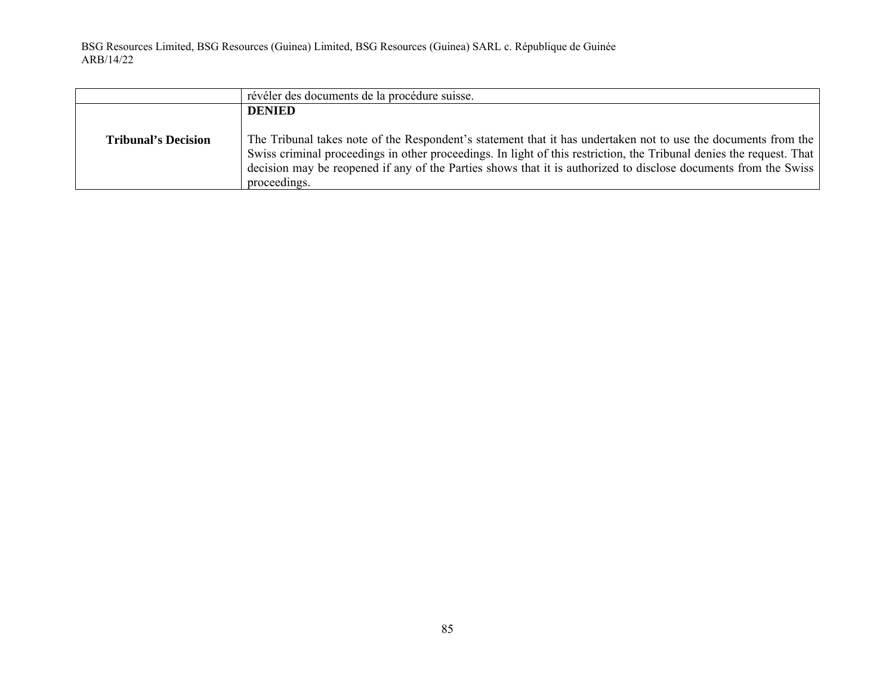|                            | révéler des documents de la procédure suisse.                                                                                                                                                                                                                                                                                                                             |  |  |  |  |
|----------------------------|---------------------------------------------------------------------------------------------------------------------------------------------------------------------------------------------------------------------------------------------------------------------------------------------------------------------------------------------------------------------------|--|--|--|--|
|                            | <b>DENIED</b>                                                                                                                                                                                                                                                                                                                                                             |  |  |  |  |
| <b>Tribunal's Decision</b> | The Tribunal takes note of the Respondent's statement that it has undertaken not to use the documents from the<br>Swiss criminal proceedings in other proceedings. In light of this restriction, the Tribunal denies the request. That<br>decision may be reopened if any of the Parties shows that it is authorized to disclose documents from the Swiss<br>proceedings. |  |  |  |  |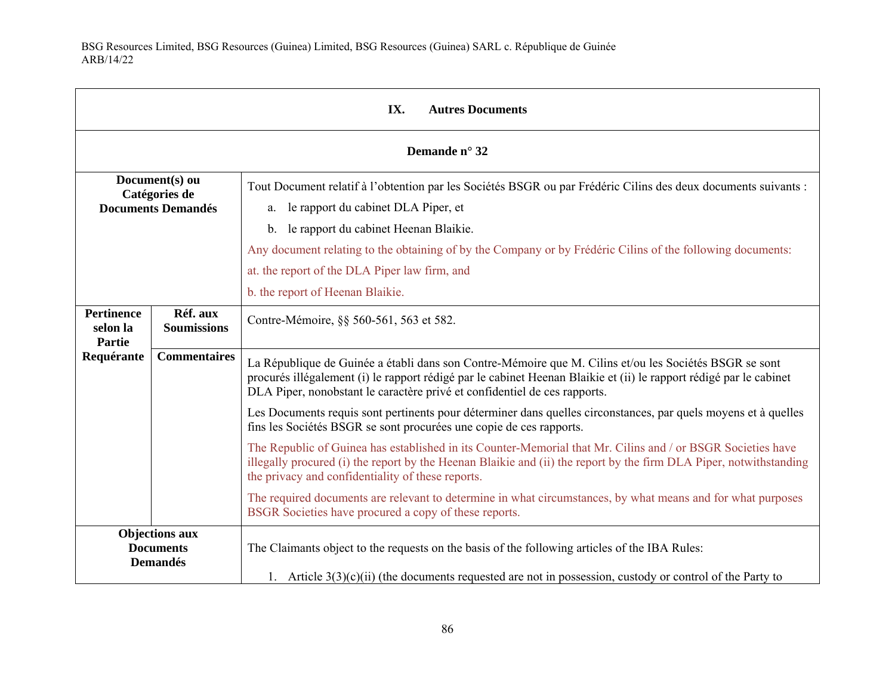| IX.<br><b>Autres Documents</b>                               |                                |                                                                                                                                                                                                                                                                                                                                                                                                                     |  |  |
|--------------------------------------------------------------|--------------------------------|---------------------------------------------------------------------------------------------------------------------------------------------------------------------------------------------------------------------------------------------------------------------------------------------------------------------------------------------------------------------------------------------------------------------|--|--|
|                                                              | Demande n° 32                  |                                                                                                                                                                                                                                                                                                                                                                                                                     |  |  |
| Document(s) ou<br>Catégories de<br><b>Documents Demandés</b> |                                | Tout Document relatif à l'obtention par les Sociétés BSGR ou par Frédéric Cilins des deux documents suivants :<br>a. le rapport du cabinet DLA Piper, et<br>le rapport du cabinet Heenan Blaikie.<br>$b_{\cdot}$<br>Any document relating to the obtaining of by the Company or by Frédéric Cilins of the following documents:<br>at. the report of the DLA Piper law firm, and<br>b. the report of Heenan Blaikie. |  |  |
| <b>Pertinence</b><br>selon la<br>Partie                      | Réf. aux<br><b>Soumissions</b> | Contre-Mémoire, §§ 560-561, 563 et 582.                                                                                                                                                                                                                                                                                                                                                                             |  |  |
| Requérante                                                   | <b>Commentaires</b>            | La République de Guinée a établi dans son Contre-Mémoire que M. Cilins et/ou les Sociétés BSGR se sont<br>procurés illégalement (i) le rapport rédigé par le cabinet Heenan Blaikie et (ii) le rapport rédigé par le cabinet<br>DLA Piper, nonobstant le caractère privé et confidentiel de ces rapports.                                                                                                           |  |  |
|                                                              |                                | Les Documents requis sont pertinents pour déterminer dans quelles circonstances, par quels moyens et à quelles<br>fins les Sociétés BSGR se sont procurées une copie de ces rapports.                                                                                                                                                                                                                               |  |  |
|                                                              |                                | The Republic of Guinea has established in its Counter-Memorial that Mr. Cilins and / or BSGR Societies have<br>illegally procured (i) the report by the Heenan Blaikie and (ii) the report by the firm DLA Piper, notwithstanding<br>the privacy and confidentiality of these reports.                                                                                                                              |  |  |
|                                                              |                                | The required documents are relevant to determine in what circumstances, by what means and for what purposes<br>BSGR Societies have procured a copy of these reports.                                                                                                                                                                                                                                                |  |  |
| <b>Objections aux</b><br><b>Documents</b><br><b>Demandés</b> |                                | The Claimants object to the requests on the basis of the following articles of the IBA Rules:<br>1. Article $3(3)(c)(ii)$ (the documents requested are not in possession, custody or control of the Party to                                                                                                                                                                                                        |  |  |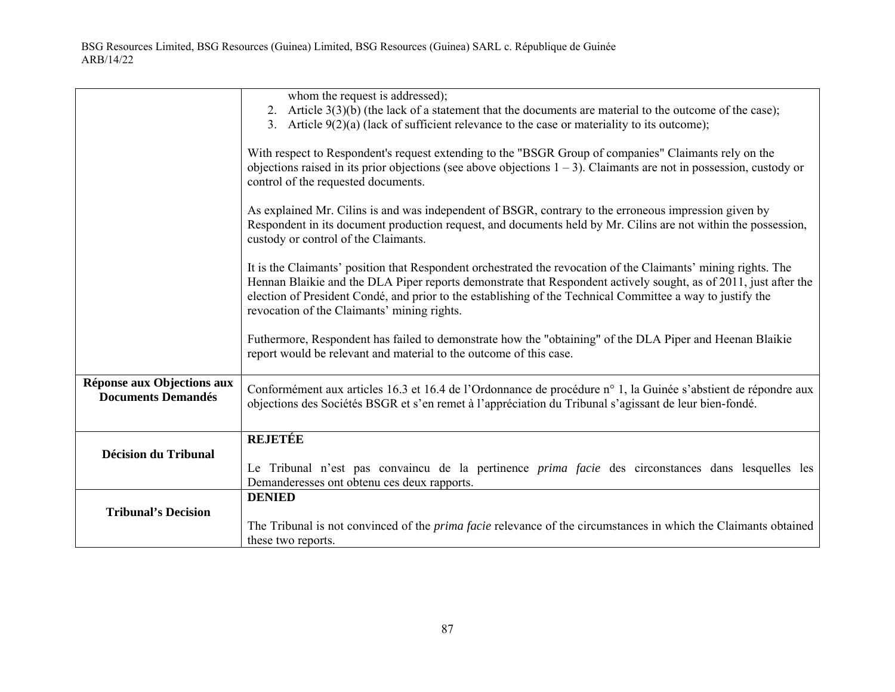|                                                                                                                                                                                                                                                                                                                                                                                                 | whom the request is addressed);<br>2. Article $3(3)(b)$ (the lack of a statement that the documents are material to the outcome of the case);                                                                                                                          |  |  |  |  |  |
|-------------------------------------------------------------------------------------------------------------------------------------------------------------------------------------------------------------------------------------------------------------------------------------------------------------------------------------------------------------------------------------------------|------------------------------------------------------------------------------------------------------------------------------------------------------------------------------------------------------------------------------------------------------------------------|--|--|--|--|--|
|                                                                                                                                                                                                                                                                                                                                                                                                 | 3. Article $9(2)(a)$ (lack of sufficient relevance to the case or materiality to its outcome);                                                                                                                                                                         |  |  |  |  |  |
|                                                                                                                                                                                                                                                                                                                                                                                                 | With respect to Respondent's request extending to the "BSGR Group of companies" Claimants rely on the<br>objections raised in its prior objections (see above objections $1 - 3$ ). Claimants are not in possession, custody or<br>control of the requested documents. |  |  |  |  |  |
|                                                                                                                                                                                                                                                                                                                                                                                                 | As explained Mr. Cilins is and was independent of BSGR, contrary to the erroneous impression given by<br>Respondent in its document production request, and documents held by Mr. Cilins are not within the possession,<br>custody or control of the Claimants.        |  |  |  |  |  |
| It is the Claimants' position that Respondent orchestrated the revocation of the Claimants' mining rights. The<br>Hennan Blaikie and the DLA Piper reports demonstrate that Respondent actively sought, as of 2011, just after the<br>election of President Condé, and prior to the establishing of the Technical Committee a way to justify the<br>revocation of the Claimants' mining rights. |                                                                                                                                                                                                                                                                        |  |  |  |  |  |
|                                                                                                                                                                                                                                                                                                                                                                                                 | Futhermore, Respondent has failed to demonstrate how the "obtaining" of the DLA Piper and Heenan Blaikie<br>report would be relevant and material to the outcome of this case.                                                                                         |  |  |  |  |  |
| Réponse aux Objections aux<br><b>Documents Demandés</b>                                                                                                                                                                                                                                                                                                                                         | Conformément aux articles 16.3 et 16.4 de l'Ordonnance de procédure n° 1, la Guinée s'abstient de répondre aux<br>objections des Sociétés BSGR et s'en remet à l'appréciation du Tribunal s'agissant de leur bien-fondé.                                               |  |  |  |  |  |
|                                                                                                                                                                                                                                                                                                                                                                                                 | <b>REJETÉE</b>                                                                                                                                                                                                                                                         |  |  |  |  |  |
| <b>Décision du Tribunal</b>                                                                                                                                                                                                                                                                                                                                                                     | Le Tribunal n'est pas convaincu de la pertinence <i>prima facie</i> des circonstances dans lesquelles les<br>Demanderesses ont obtenu ces deux rapports.                                                                                                               |  |  |  |  |  |
|                                                                                                                                                                                                                                                                                                                                                                                                 | <b>DENIED</b>                                                                                                                                                                                                                                                          |  |  |  |  |  |
| <b>Tribunal's Decision</b>                                                                                                                                                                                                                                                                                                                                                                      | The Tribunal is not convinced of the <i>prima facie</i> relevance of the circumstances in which the Claimants obtained<br>these two reports.                                                                                                                           |  |  |  |  |  |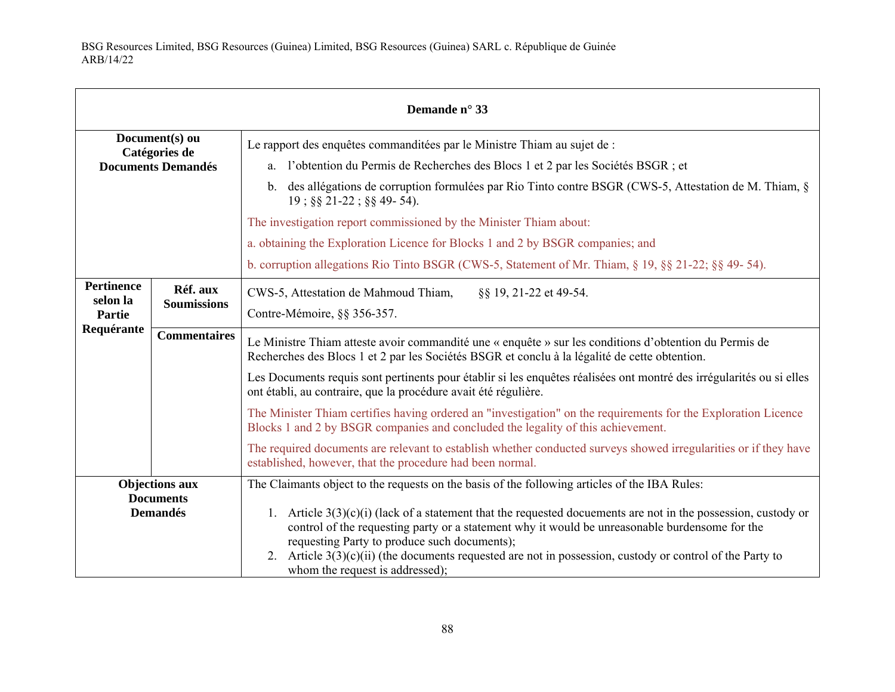| Demande n° 33                                                |                                |                                                                                                                                                                                                                                                                                                                                                                                                                                                                                                                                                                                                                                                                                                                                                                                           |  |  |  |
|--------------------------------------------------------------|--------------------------------|-------------------------------------------------------------------------------------------------------------------------------------------------------------------------------------------------------------------------------------------------------------------------------------------------------------------------------------------------------------------------------------------------------------------------------------------------------------------------------------------------------------------------------------------------------------------------------------------------------------------------------------------------------------------------------------------------------------------------------------------------------------------------------------------|--|--|--|
| Document(s) ou<br>Catégories de<br><b>Documents Demandés</b> |                                | Le rapport des enquêtes commanditées par le Ministre Thiam au sujet de :<br>a. l'obtention du Permis de Recherches des Blocs 1 et 2 par les Sociétés BSGR ; et<br>b. des allégations de corruption formulées par Rio Tinto contre BSGR (CWS-5, Attestation de M. Thiam, §<br>$19$ ; §§ 21-22; §§ 49-54).<br>The investigation report commissioned by the Minister Thiam about:<br>a. obtaining the Exploration Licence for Blocks 1 and 2 by BSGR companies; and<br>b. corruption allegations Rio Tinto BSGR (CWS-5, Statement of Mr. Thiam, $\S$ 19, $\S$ $\S$ 21-22; $\S$ $\S$ $\S$ 49-54).                                                                                                                                                                                             |  |  |  |
| <b>Pertinence</b><br>selon la<br>Partie<br>Requérante        | Réf. aux<br><b>Soumissions</b> | CWS-5, Attestation de Mahmoud Thiam,<br>§§ 19, 21-22 et 49-54.<br>Contre-Mémoire, §§ 356-357.                                                                                                                                                                                                                                                                                                                                                                                                                                                                                                                                                                                                                                                                                             |  |  |  |
|                                                              | <b>Commentaires</b>            | Le Ministre Thiam atteste avoir commandité une « enquête » sur les conditions d'obtention du Permis de<br>Recherches des Blocs 1 et 2 par les Sociétés BSGR et conclu à la légalité de cette obtention.<br>Les Documents requis sont pertinents pour établir si les enquêtes réalisées ont montré des irrégularités ou si elles<br>ont établi, au contraire, que la procédure avait été régulière.<br>The Minister Thiam certifies having ordered an "investigation" on the requirements for the Exploration Licence<br>Blocks 1 and 2 by BSGR companies and concluded the legality of this achievement.<br>The required documents are relevant to establish whether conducted surveys showed irregularities or if they have<br>established, however, that the procedure had been normal. |  |  |  |
| <b>Objections aux</b><br><b>Documents</b><br><b>Demandés</b> |                                | The Claimants object to the requests on the basis of the following articles of the IBA Rules:<br>1. Article $3(3)(c)(i)$ (lack of a statement that the requested documents are not in the possession, custody or<br>control of the requesting party or a statement why it would be unreasonable burdensome for the<br>requesting Party to produce such documents);<br>2. Article $3(3)(c)(ii)$ (the documents requested are not in possession, custody or control of the Party to<br>whom the request is addressed);                                                                                                                                                                                                                                                                      |  |  |  |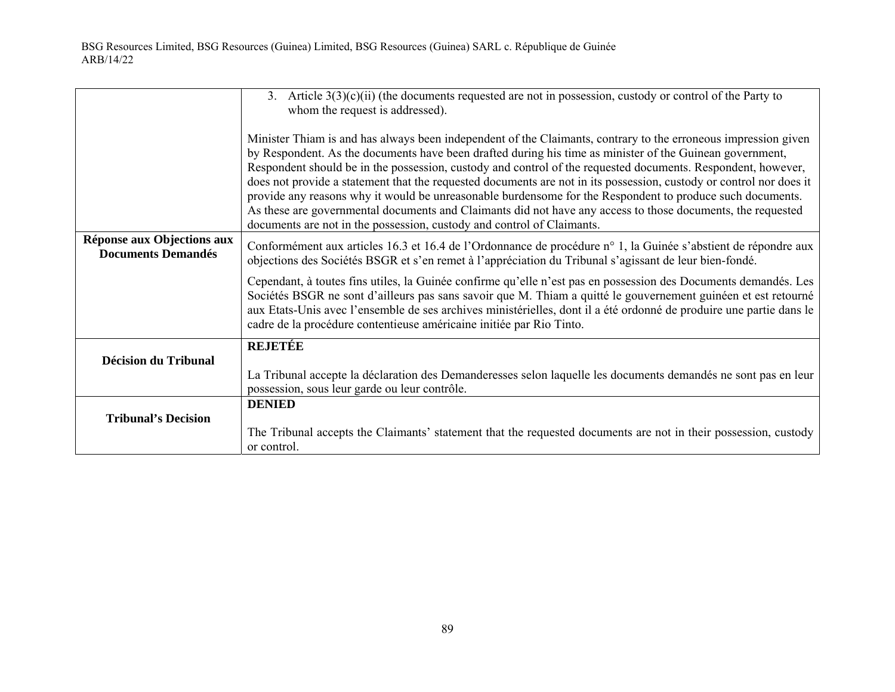|                                                         | 3. Article $3(3)(c)(ii)$ (the documents requested are not in possession, custody or control of the Party to<br>whom the request is addressed).                                                                                                                                                                                                                                                                                                                                                                                                                                                                                                                                                                                                                          |  |  |  |
|---------------------------------------------------------|-------------------------------------------------------------------------------------------------------------------------------------------------------------------------------------------------------------------------------------------------------------------------------------------------------------------------------------------------------------------------------------------------------------------------------------------------------------------------------------------------------------------------------------------------------------------------------------------------------------------------------------------------------------------------------------------------------------------------------------------------------------------------|--|--|--|
|                                                         | Minister Thiam is and has always been independent of the Claimants, contrary to the erroneous impression given<br>by Respondent. As the documents have been drafted during his time as minister of the Guinean government,<br>Respondent should be in the possession, custody and control of the requested documents. Respondent, however,<br>does not provide a statement that the requested documents are not in its possession, custody or control nor does it<br>provide any reasons why it would be unreasonable burdensome for the Respondent to produce such documents.<br>As these are governmental documents and Claimants did not have any access to those documents, the requested<br>documents are not in the possession, custody and control of Claimants. |  |  |  |
| Réponse aux Objections aux<br><b>Documents Demandés</b> | Conformément aux articles 16.3 et 16.4 de l'Ordonnance de procédure n° 1, la Guinée s'abstient de répondre aux<br>objections des Sociétés BSGR et s'en remet à l'appréciation du Tribunal s'agissant de leur bien-fondé.                                                                                                                                                                                                                                                                                                                                                                                                                                                                                                                                                |  |  |  |
|                                                         | Cependant, à toutes fins utiles, la Guinée confirme qu'elle n'est pas en possession des Documents demandés. Les<br>Sociétés BSGR ne sont d'ailleurs pas sans savoir que M. Thiam a quitté le gouvernement guinéen et est retourné<br>aux Etats-Unis avec l'ensemble de ses archives ministérielles, dont il a été ordonné de produire une partie dans le<br>cadre de la procédure contentieuse américaine initiée par Rio Tinto.                                                                                                                                                                                                                                                                                                                                        |  |  |  |
|                                                         | <b>REJETÉE</b>                                                                                                                                                                                                                                                                                                                                                                                                                                                                                                                                                                                                                                                                                                                                                          |  |  |  |
| Décision du Tribunal                                    | La Tribunal accepte la déclaration des Demanderesses selon laquelle les documents demandés ne sont pas en leur<br>possession, sous leur garde ou leur contrôle.                                                                                                                                                                                                                                                                                                                                                                                                                                                                                                                                                                                                         |  |  |  |
|                                                         | <b>DENIED</b>                                                                                                                                                                                                                                                                                                                                                                                                                                                                                                                                                                                                                                                                                                                                                           |  |  |  |
| <b>Tribunal's Decision</b>                              | The Tribunal accepts the Claimants' statement that the requested documents are not in their possession, custody<br>or control.                                                                                                                                                                                                                                                                                                                                                                                                                                                                                                                                                                                                                                          |  |  |  |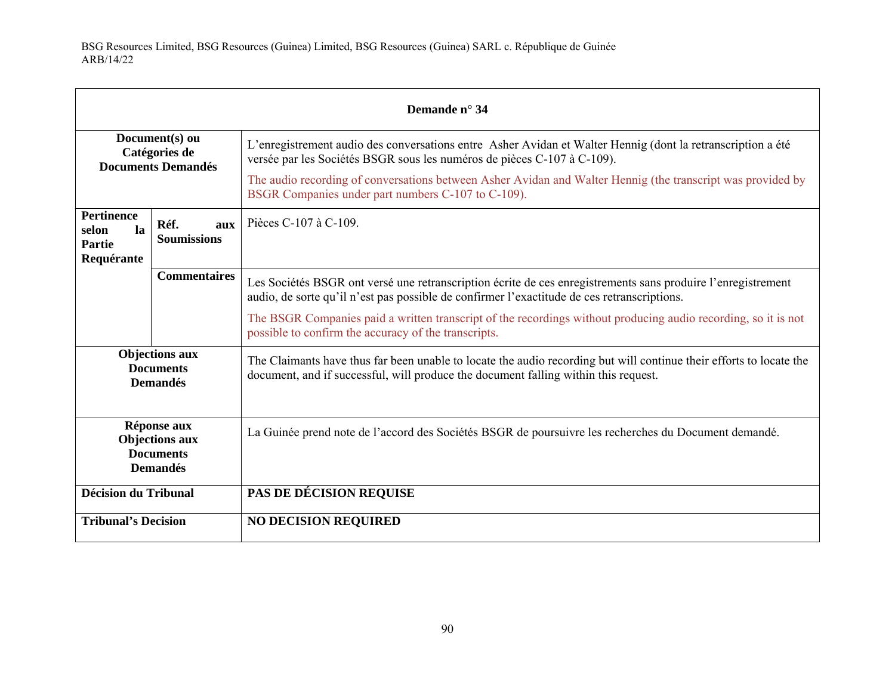| Demande n° 34                                                                                        |                     |                                                                                                                                                                                                             |  |
|------------------------------------------------------------------------------------------------------|---------------------|-------------------------------------------------------------------------------------------------------------------------------------------------------------------------------------------------------------|--|
| Document(s) ou<br>Catégories de<br><b>Documents Demandés</b>                                         |                     | L'enregistrement audio des conversations entre Asher Avidan et Walter Hennig (dont la retranscription a été<br>versée par les Sociétés BSGR sous les numéros de pièces C-107 à C-109).                      |  |
|                                                                                                      |                     | The audio recording of conversations between Asher Avidan and Walter Hennig (the transcript was provided by<br>BSGR Companies under part numbers C-107 to C-109).                                           |  |
| <b>Pertinence</b><br>Réf.<br>aux<br>la<br>selon<br><b>Soumissions</b><br><b>Partie</b><br>Requérante |                     | Pièces C-107 à C-109.                                                                                                                                                                                       |  |
|                                                                                                      | <b>Commentaires</b> | Les Sociétés BSGR ont versé une retranscription écrite de ces enregistrements sans produire l'enregistrement<br>audio, de sorte qu'il n'est pas possible de confirmer l'exactitude de ces retranscriptions. |  |
|                                                                                                      |                     | The BSGR Companies paid a written transcript of the recordings without producing audio recording, so it is not<br>possible to confirm the accuracy of the transcripts.                                      |  |
| <b>Objections aux</b><br><b>Documents</b><br><b>Demandés</b>                                         |                     | The Claimants have thus far been unable to locate the audio recording but will continue their efforts to locate the<br>document, and if successful, will produce the document falling within this request.  |  |
| Réponse aux<br><b>Objections aux</b><br><b>Documents</b><br><b>Demandés</b>                          |                     | La Guinée prend note de l'accord des Sociétés BSGR de poursuivre les recherches du Document demandé.                                                                                                        |  |
| <b>Décision du Tribunal</b>                                                                          |                     | PAS DE DÉCISION REQUISE                                                                                                                                                                                     |  |
| <b>Tribunal's Decision</b>                                                                           |                     | <b>NO DECISION REQUIRED</b>                                                                                                                                                                                 |  |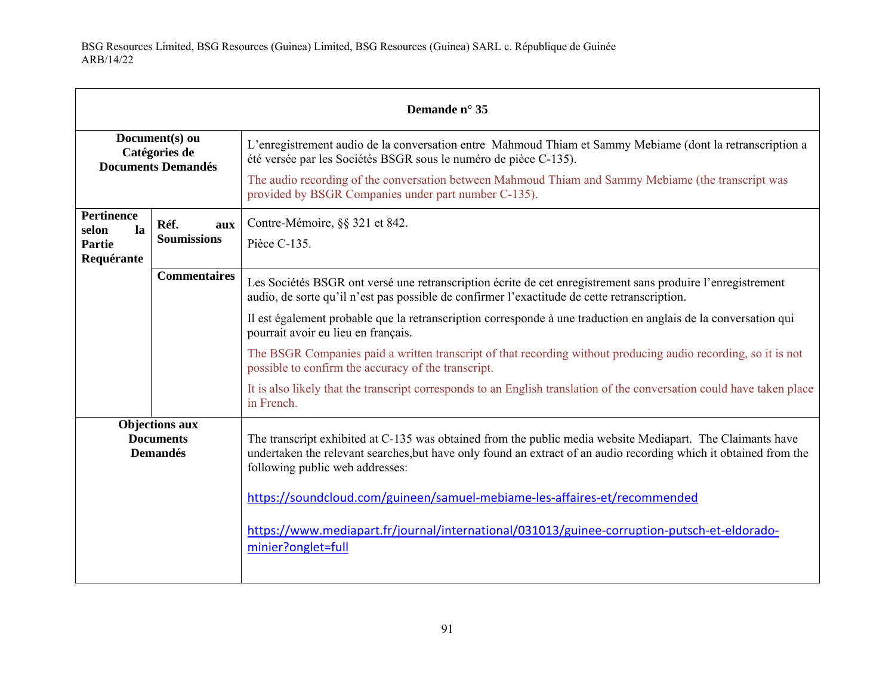| Demande n° 35                                                |                     |                                                                                                                                                                                                                                                                    |  |  |
|--------------------------------------------------------------|---------------------|--------------------------------------------------------------------------------------------------------------------------------------------------------------------------------------------------------------------------------------------------------------------|--|--|
| Document(s) ou<br>Catégories de<br><b>Documents Demandés</b> |                     | L'enregistrement audio de la conversation entre Mahmoud Thiam et Sammy Mebiame (dont la retranscription a<br>été versée par les Sociétés BSGR sous le numéro de pièce C-135).                                                                                      |  |  |
|                                                              |                     | The audio recording of the conversation between Mahmoud Thiam and Sammy Mebiame (the transcript was<br>provided by BSGR Companies under part number C-135).                                                                                                        |  |  |
| Pertinence<br>la<br>selon                                    | Réf.<br>aux         | Contre-Mémoire, §§ 321 et 842.                                                                                                                                                                                                                                     |  |  |
| Partie<br>Requérante                                         | <b>Soumissions</b>  | Pièce C-135.                                                                                                                                                                                                                                                       |  |  |
|                                                              | <b>Commentaires</b> | Les Sociétés BSGR ont versé une retranscription écrite de cet enregistrement sans produire l'enregistrement<br>audio, de sorte qu'il n'est pas possible de confirmer l'exactitude de cette retranscription.                                                        |  |  |
|                                                              |                     | Il est également probable que la retranscription corresponde à une traduction en anglais de la conversation qui<br>pourrait avoir eu lieu en français.                                                                                                             |  |  |
|                                                              |                     | The BSGR Companies paid a written transcript of that recording without producing audio recording, so it is not<br>possible to confirm the accuracy of the transcript.                                                                                              |  |  |
|                                                              |                     | It is also likely that the transcript corresponds to an English translation of the conversation could have taken place<br>in French.                                                                                                                               |  |  |
| <b>Objections aux</b><br><b>Documents</b><br><b>Demandés</b> |                     | The transcript exhibited at C-135 was obtained from the public media website Mediapart. The Claimants have<br>undertaken the relevant searches, but have only found an extract of an audio recording which it obtained from the<br>following public web addresses: |  |  |
|                                                              |                     | https://soundcloud.com/guineen/samuel-mebiame-les-affaires-et/recommended                                                                                                                                                                                          |  |  |
|                                                              |                     | https://www.mediapart.fr/journal/international/031013/guinee-corruption-putsch-et-eldorado-<br>minier?onglet=full                                                                                                                                                  |  |  |
|                                                              |                     |                                                                                                                                                                                                                                                                    |  |  |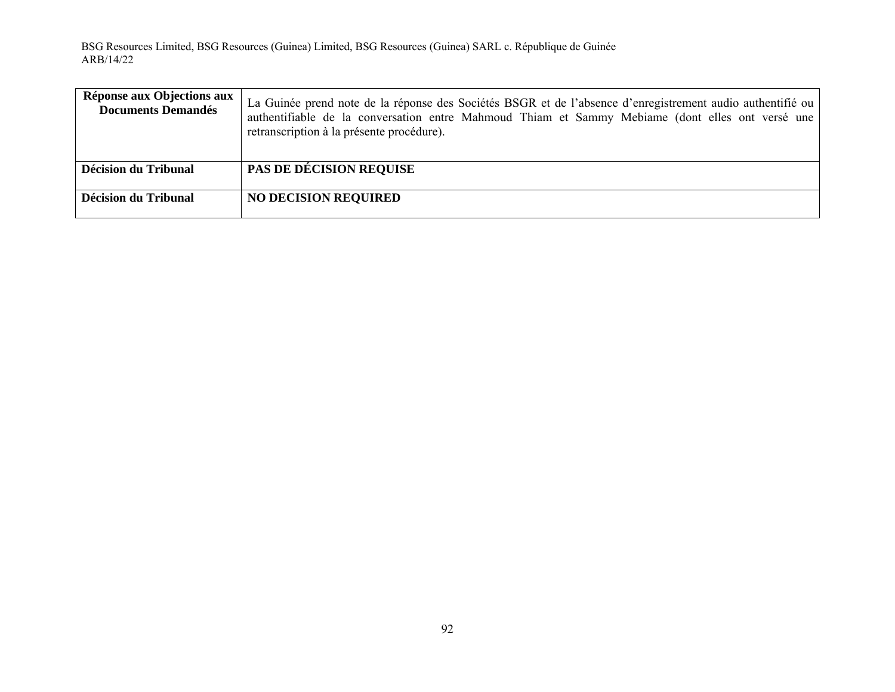| Réponse aux Objections aux<br><b>Documents Demandés</b> | La Guinée prend note de la réponse des Sociétés BSGR et de l'absence d'enregistrement audio authentifié ou<br>authentifiable de la conversation entre Mahmoud Thiam et Sammy Mebiame (dont elles ont versé une<br>retranscription à la présente procédure). |
|---------------------------------------------------------|-------------------------------------------------------------------------------------------------------------------------------------------------------------------------------------------------------------------------------------------------------------|
| <b>Décision du Tribunal</b>                             | <b>PAS DE DÉCISION REQUISE</b>                                                                                                                                                                                                                              |
| Décision du Tribunal                                    | <b>NO DECISION REQUIRED</b>                                                                                                                                                                                                                                 |